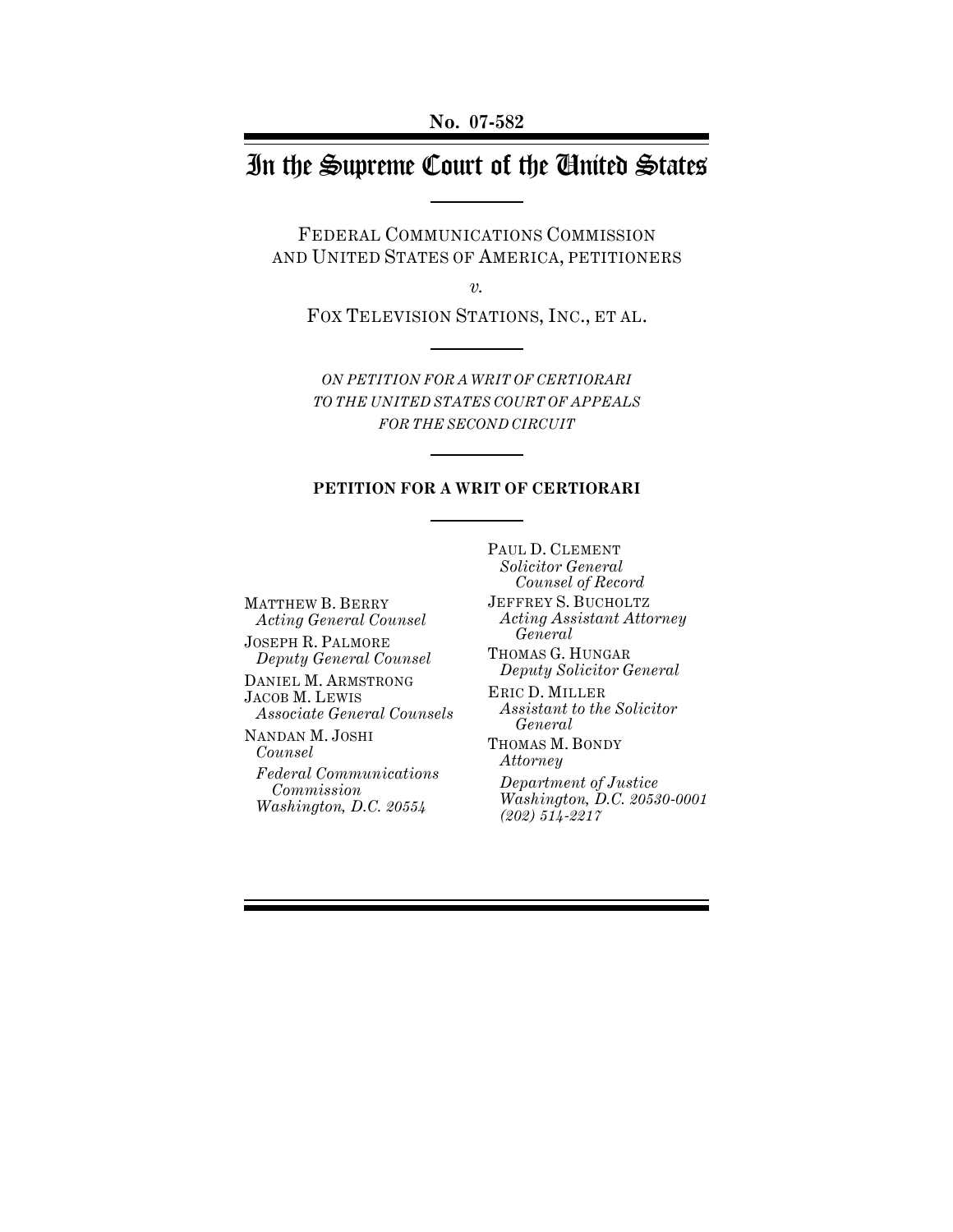# In the Supreme Court of the United States

FEDERAL COMMUNICATIONS COMMISSION AND UNITED STATES OF AMERICA, PETITIONERS

*v.*

FOX TELEVISION STATIONS, INC., ET AL.

*ON PETITION FOR A WRIT OF CERTIORARI TO THE UNITED STATES COURT OF APPEALS FOR THE SECOND CIRCUIT*

#### **PETITION FOR A WRIT OF CERTIORARI**

MATTHEW B. BERRY *Acting General Counsel* JOSEPH R. PALMORE *Deputy General Counsel* DANIEL M. ARMSTRONG

JACOB M. LEWIS *Associate General Counsels*

NANDAN M. JOSHI *Counsel*

*Federal Communications Commission Washington, D.C. 20554*

PAUL D. CLEMENT *Solicitor General Counsel of Record* JEFFREY S. BUCHOLTZ *Acting Assistant Attorney General* THOMAS G. HUNGAR *Deputy Solicitor General* ERIC D. MILLER *Assistant to the Solicitor General* THOMAS M. BONDY *Attorney*

*Department of Justice Washington, D.C. 20530-0001 (202) 514-2217*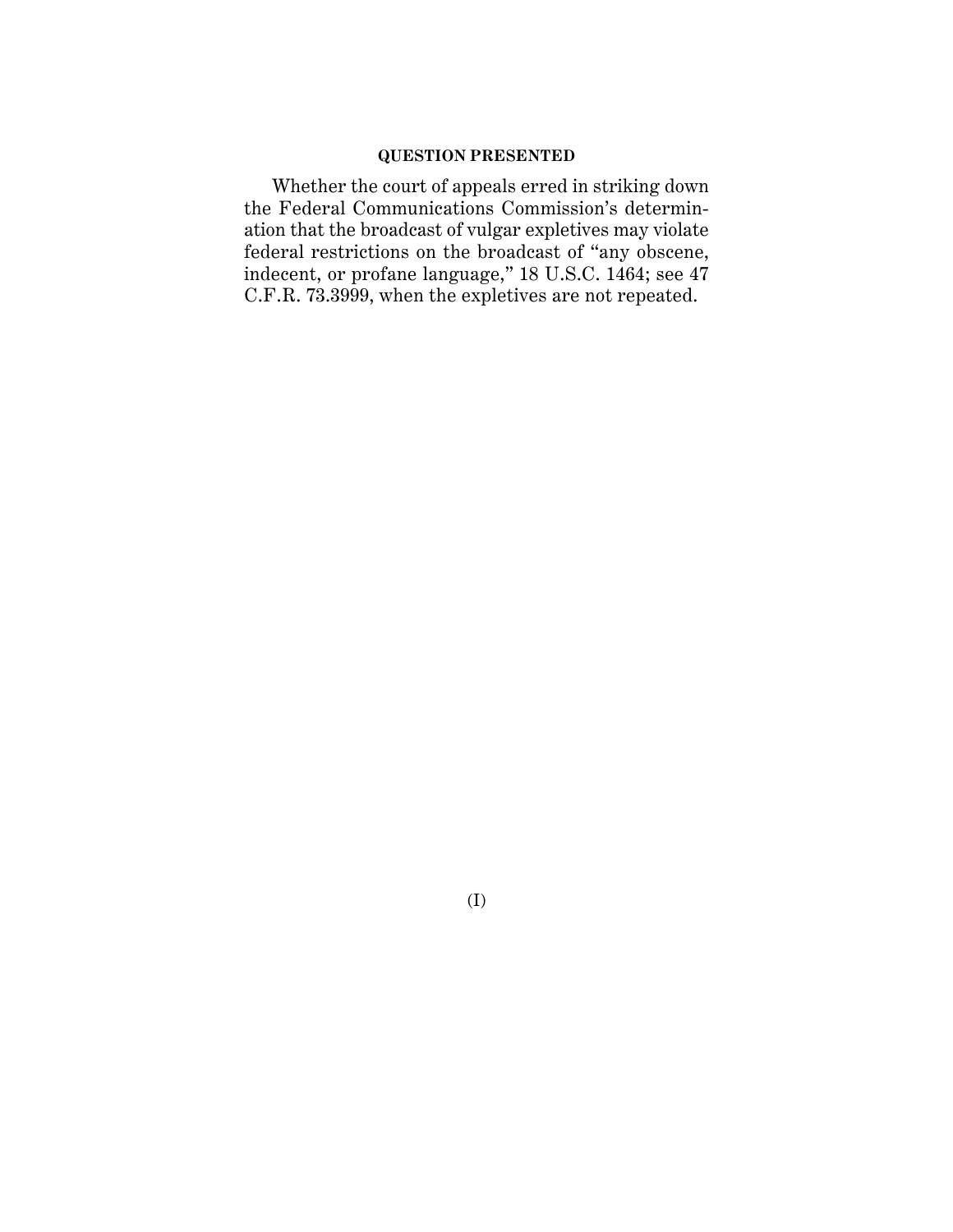# **QUESTION PRESENTED**

Whether the court of appeals erred in striking down the Federal Communications Commission's determination that the broadcast of vulgar expletives may violate federal restrictions on the broadcast of "any obscene, indecent, or profane language," 18 U.S.C. 1464; see 47 C.F.R. 73.3999, when the expletives are not repeated.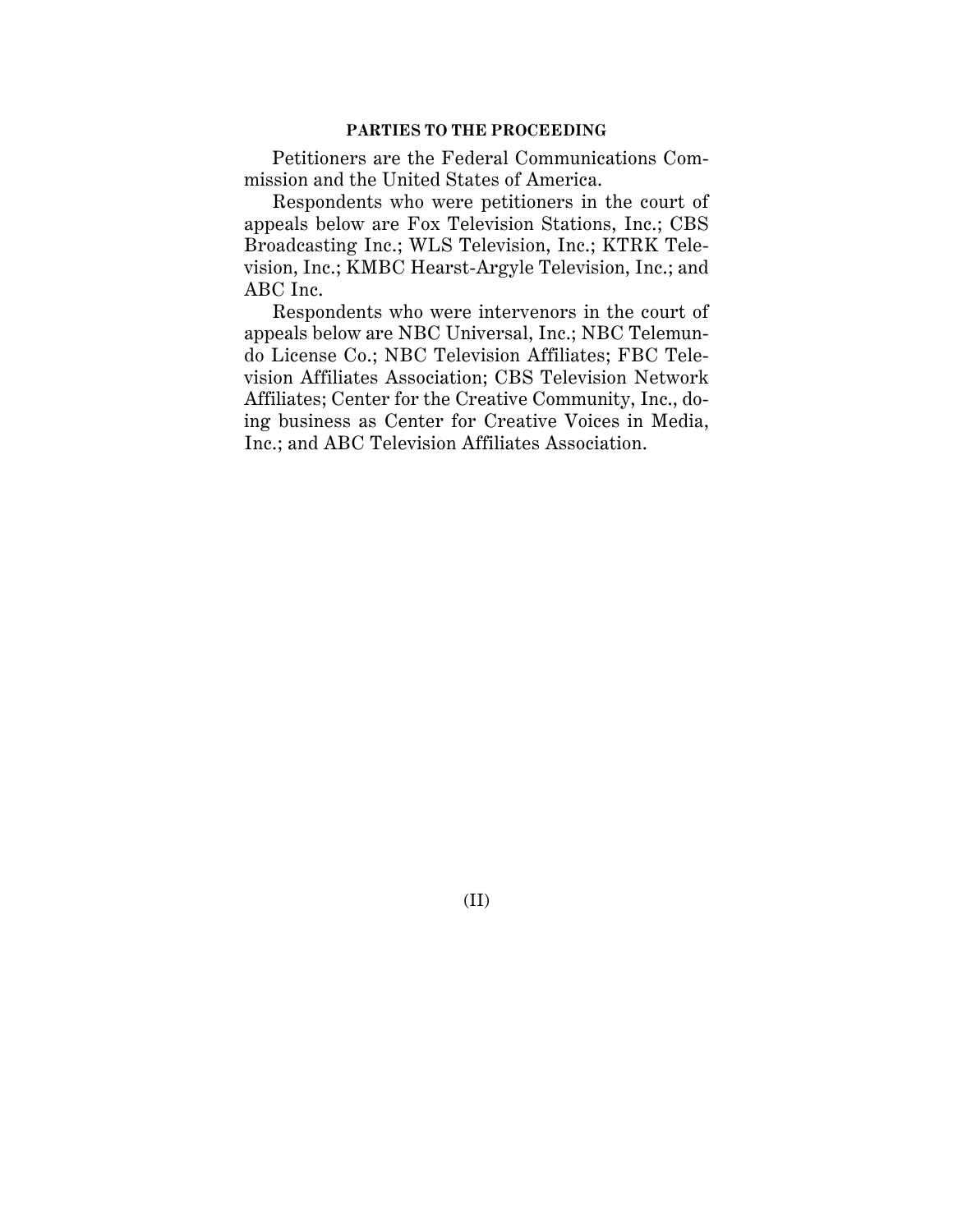### **PARTIES TO THE PROCEEDING**

Petitioners are the Federal Communications Commission and the United States of America.

Respondents who were petitioners in the court of appeals below are Fox Television Stations, Inc.; CBS Broadcasting Inc.; WLS Television, Inc.; KTRK Television, Inc.; KMBC Hearst-Argyle Television, Inc.; and ABC Inc.

Respondents who were intervenors in the court of appeals below are NBC Universal, Inc.; NBC Telemundo License Co.; NBC Television Affiliates; FBC Television Affiliates Association; CBS Television Network Affiliates; Center for the Creative Community, Inc., doing business as Center for Creative Voices in Media, Inc.; and ABC Television Affiliates Association.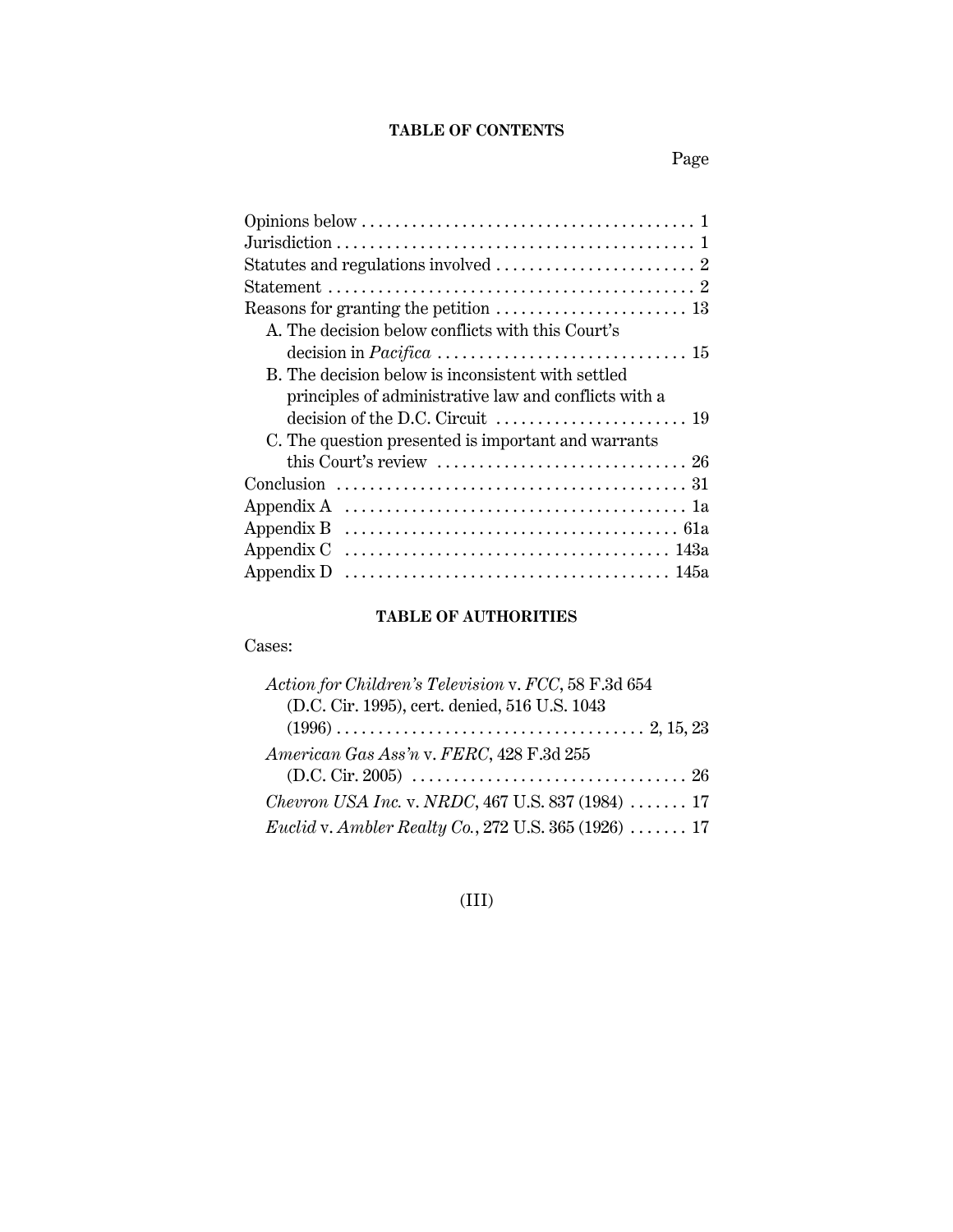# **TABLE OF CONTENTS**

| A. The decision below conflicts with this Court's                                        |
|------------------------------------------------------------------------------------------|
| decision in $Pacifica \ldots \ldots \ldots \ldots \ldots \ldots \ldots \ldots \ldots 15$ |
| B. The decision below is inconsistent with settled                                       |
| principles of administrative law and conflicts with a                                    |
|                                                                                          |
| C. The question presented is important and warrants                                      |
|                                                                                          |
|                                                                                          |
|                                                                                          |
|                                                                                          |
|                                                                                          |
|                                                                                          |
|                                                                                          |

# **TABLE OF AUTHORITIES**

Cases:

| Action for Children's Television v. FCC, 58 F.3d 654                        |
|-----------------------------------------------------------------------------|
| (D.C. Cir. 1995), cert. denied, 516 U.S. 1043                               |
|                                                                             |
| American Gas Ass'n v. FERC, 428 F.3d 255                                    |
|                                                                             |
| <i>Chevron USA Inc. v. NRDC</i> , 467 U.S. 837 (1984)  17                   |
| <i>Euclid v. Ambler Realty Co.</i> , 272 U.S. 365 (1926) $\ldots \ldots$ 17 |

# (III)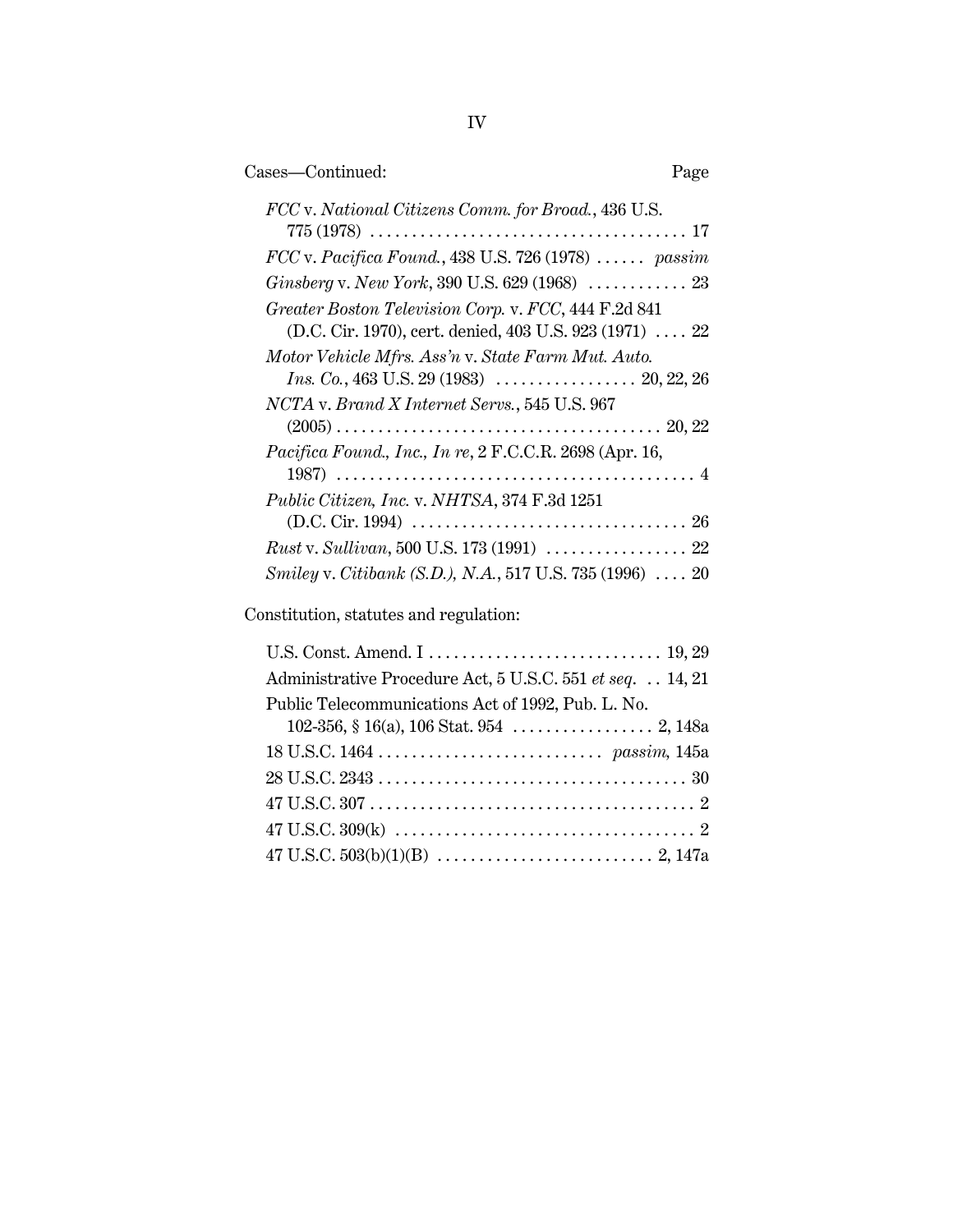| Cases—Continued:                                                                                                                                                  | Page |
|-------------------------------------------------------------------------------------------------------------------------------------------------------------------|------|
| FCC v. National Citizens Comm. for Broad., 436 U.S.<br>$775 (1978) \ldots \ldots \ldots \ldots \ldots \ldots \ldots \ldots \ldots \ldots \ldots \ldots \ldots 17$ |      |
| $FCC$ v. Pacifica Found., 438 U.S. 726 (1978)  passim                                                                                                             |      |
|                                                                                                                                                                   |      |
| Greater Boston Television Corp. v. FCC, 444 F.2d 841<br>(D.C. Cir. 1970), cert. denied, 403 U.S. 923 (1971)  22                                                   |      |
| Motor Vehicle Mfrs. Ass'n v. State Farm Mut. Auto.                                                                                                                |      |
| NCTA v. Brand X Internet Servs., 545 U.S. 967                                                                                                                     |      |
| <i>Pacifica Found., Inc., In re, 2 F.C.C.R. 2698 (Apr. 16,</i>                                                                                                    |      |
| <i>Public Citizen, Inc. v. NHTSA, 374 F.3d 1251</i>                                                                                                               |      |
| Rust v. Sullivan, 500 U.S. 173 (1991)  22                                                                                                                         |      |
| Smiley v. Citibank (S.D.), N.A., 517 U.S. 735 (1996)  20                                                                                                          |      |
|                                                                                                                                                                   |      |

Constitution, statutes and regulation:

| Administrative Procedure Act, 5 U.S.C. 551 et seq. 14, 21 |
|-----------------------------------------------------------|
| Public Telecommunications Act of 1992, Pub. L. No.        |
|                                                           |
|                                                           |
|                                                           |
|                                                           |
|                                                           |
|                                                           |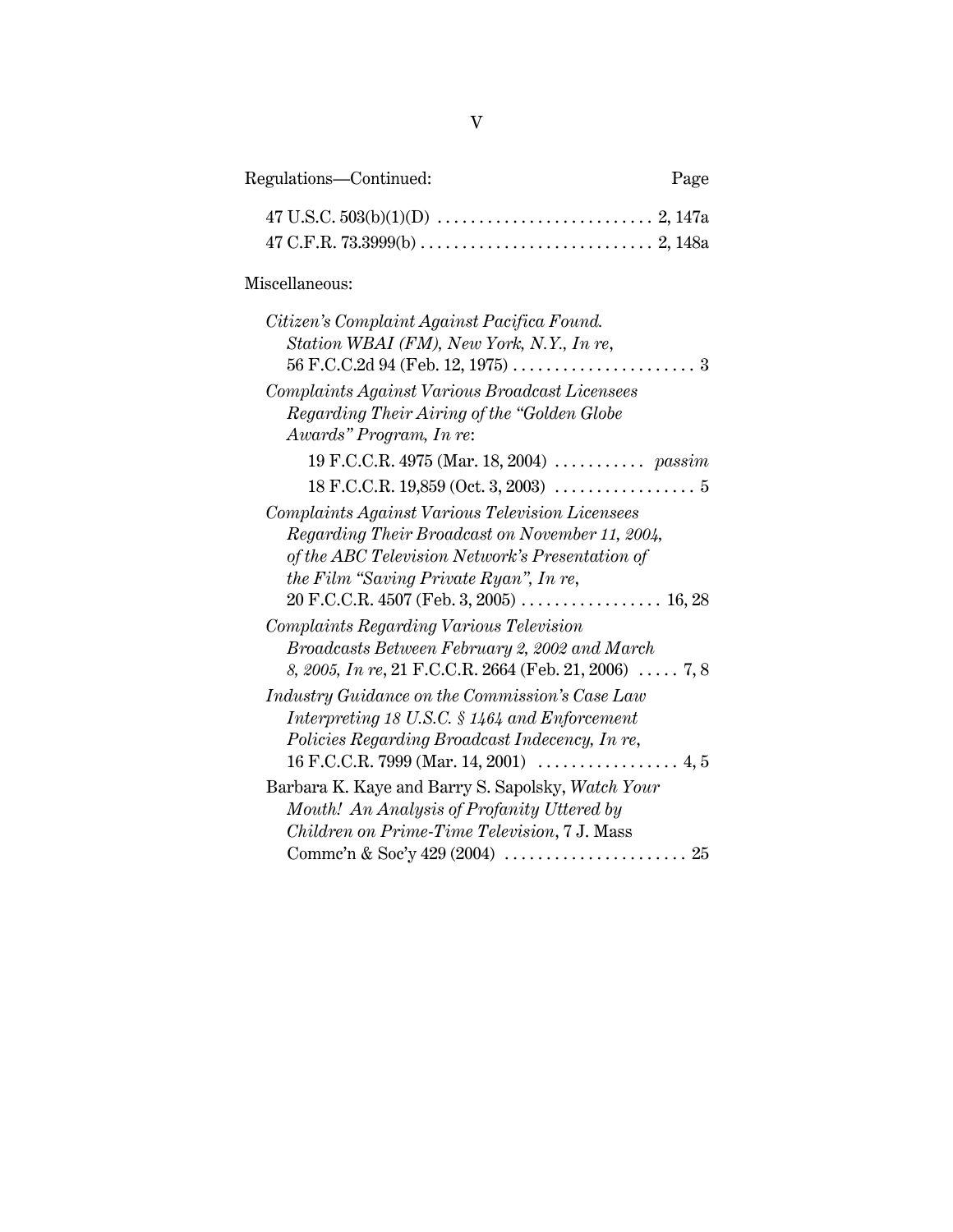| Regulations—Continued: | Page |
|------------------------|------|
|                        |      |

|--|--|

# Miscellaneous:

| Citizen's Complaint Against Pacifica Found.            |
|--------------------------------------------------------|
| Station WBAI (FM), New York, N.Y., In re,              |
|                                                        |
| Complaints Against Various Broadcast Licensees         |
| Regarding Their Airing of the "Golden Globe            |
| Awards" Program, In re:                                |
| 19 F.C.C.R. 4975 (Mar. 18, 2004)  passim               |
| $18 F.C.C.R. 19,859 (Oct. 3, 2003) \ldots$             |
| Complaints Against Various Television Licensees        |
| Regarding Their Broadcast on November 11, 2004,        |
| of the ABC Television Network's Presentation of        |
| the Film "Saving Private Ryan", In re,                 |
|                                                        |
| <b>Complaints Regarding Various Television</b>         |
| Broadcasts Between February 2, 2002 and March          |
| 8, 2005, In re, 21 F.C.C.R. 2664 (Feb. 21, 2006)  7, 8 |
| Industry Guidance on the Commission's Case Law         |
| Interpreting 18 U.S.C. § 1464 and Enforcement          |
| Policies Regarding Broadcast Indecency, In re,         |
|                                                        |
| Barbara K. Kaye and Barry S. Sapolsky, Watch Your      |
| Mouth! An Analysis of Profanity Uttered by             |
| Children on Prime-Time Television, 7 J. Mass           |
|                                                        |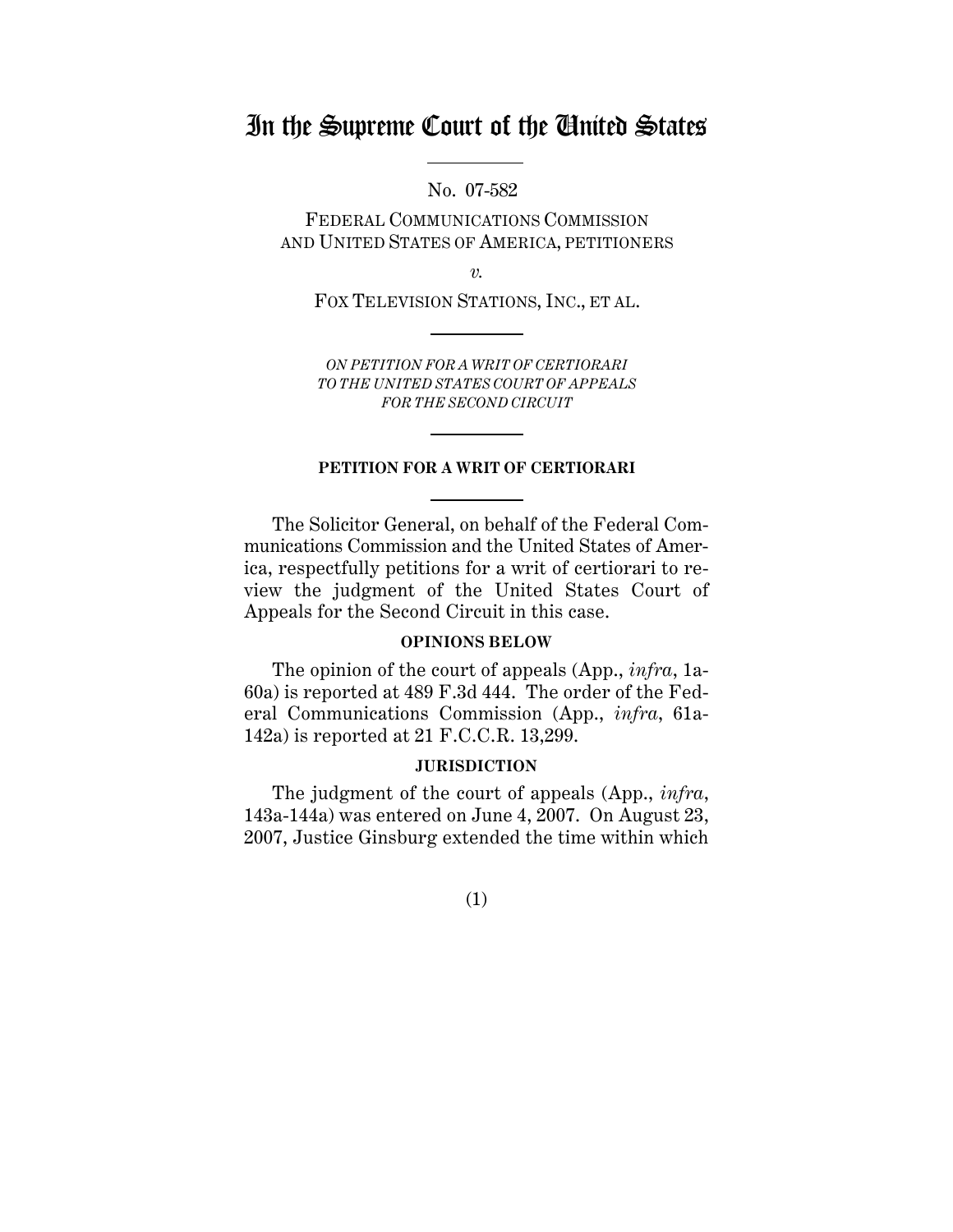# In the Supreme Court of the United States

No. 07-582

FEDERAL COMMUNICATIONS COMMISSION AND UNITED STATES OF AMERICA, PETITIONERS

*v.*

FOX TELEVISION STATIONS, INC., ET AL.

*ON PETITION FOR A WRIT OF CERTIORARI TO THE UNITED STATES COURT OF APPEALS FOR THE SECOND CIRCUIT*

#### **PETITION FOR A WRIT OF CERTIORARI**

The Solicitor General, on behalf of the Federal Communications Commission and the United States of America, respectfully petitions for a writ of certiorari to review the judgment of the United States Court of Appeals for the Second Circuit in this case.

### **OPINIONS BELOW**

The opinion of the court of appeals (App., *infra*, 1a-60a) is reported at 489 F.3d 444. The order of the Federal Communications Commission (App., *infra*, 61a-142a) is reported at 21 F.C.C.R. 13,299.

## **JURISDICTION**

The judgment of the court of appeals (App., *infra*, 143a-144a) was entered on June 4, 2007. On August 23, 2007, Justice Ginsburg extended the time within which

(1)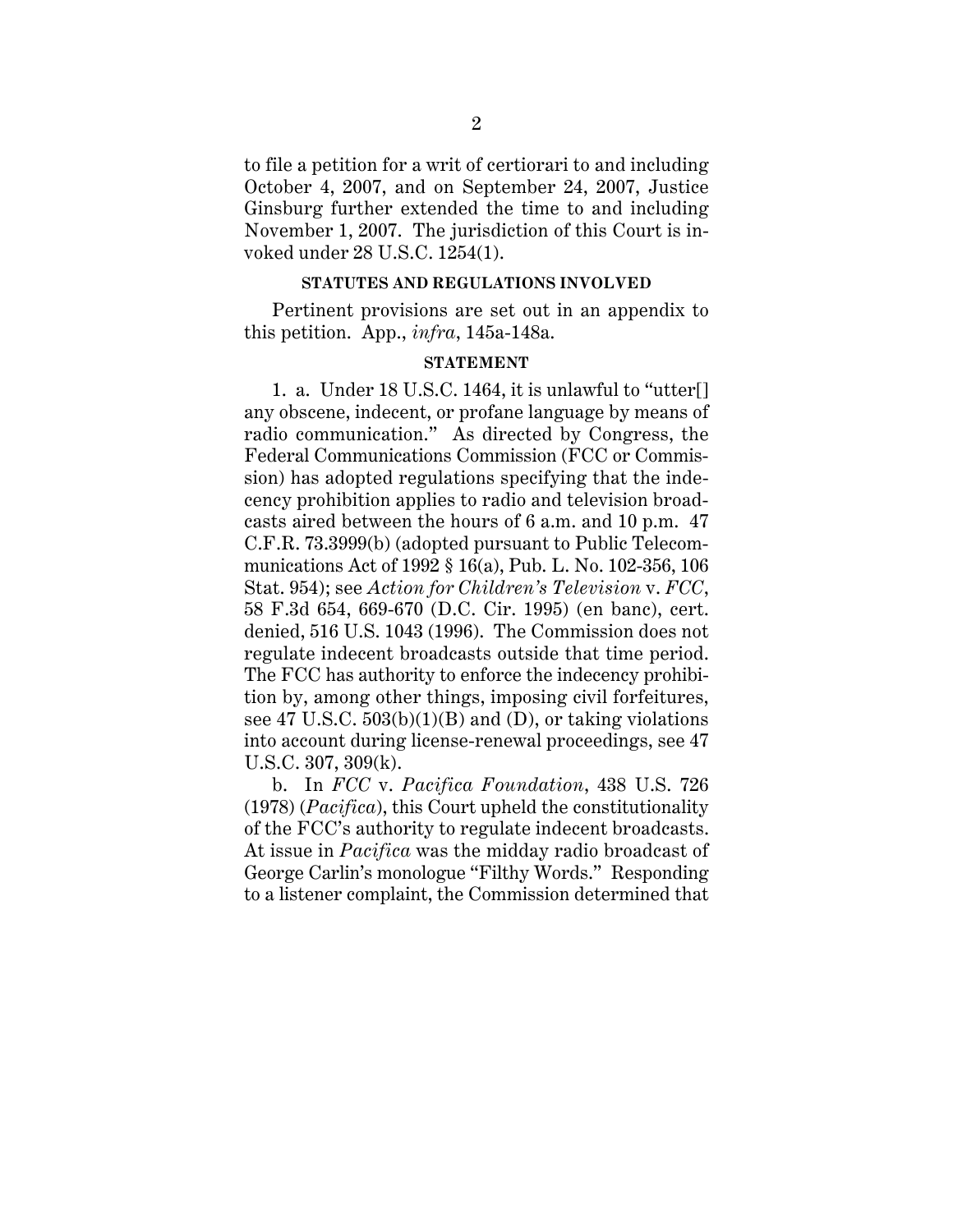to file a petition for a writ of certiorari to and including October 4, 2007, and on September 24, 2007, Justice Ginsburg further extended the time to and including November 1, 2007. The jurisdiction of this Court is invoked under 28 U.S.C. 1254(1).

## **STATUTES AND REGULATIONS INVOLVED**

Pertinent provisions are set out in an appendix to this petition. App., *infra*, 145a-148a.

# **STATEMENT**

1. a. Under 18 U.S.C. 1464, it is unlawful to "utter[] any obscene, indecent, or profane language by means of radio communication." As directed by Congress, the Federal Communications Commission (FCC or Commission) has adopted regulations specifying that the indecency prohibition applies to radio and television broadcasts aired between the hours of 6 a.m. and 10 p.m. 47 C.F.R. 73.3999(b) (adopted pursuant to Public Telecommunications Act of 1992 § 16(a), Pub. L. No. 102-356, 106 Stat. 954); see *Action for Children's Television* v. *FCC*, 58 F.3d 654, 669-670 (D.C. Cir. 1995) (en banc), cert. denied, 516 U.S. 1043 (1996). The Commission does not regulate indecent broadcasts outside that time period. The FCC has authority to enforce the indecency prohibition by, among other things, imposing civil forfeitures, see 47 U.S.C.  $503(b)(1)(B)$  and (D), or taking violations into account during license-renewal proceedings, see 47 U.S.C. 307, 309(k).

b. In *FCC* v. *Pacifica Foundation*, 438 U.S. 726 (1978) (*Pacifica*), this Court upheld the constitutionality of the FCC's authority to regulate indecent broadcasts. At issue in *Pacifica* was the midday radio broadcast of George Carlin's monologue "Filthy Words." Responding to a listener complaint, the Commission determined that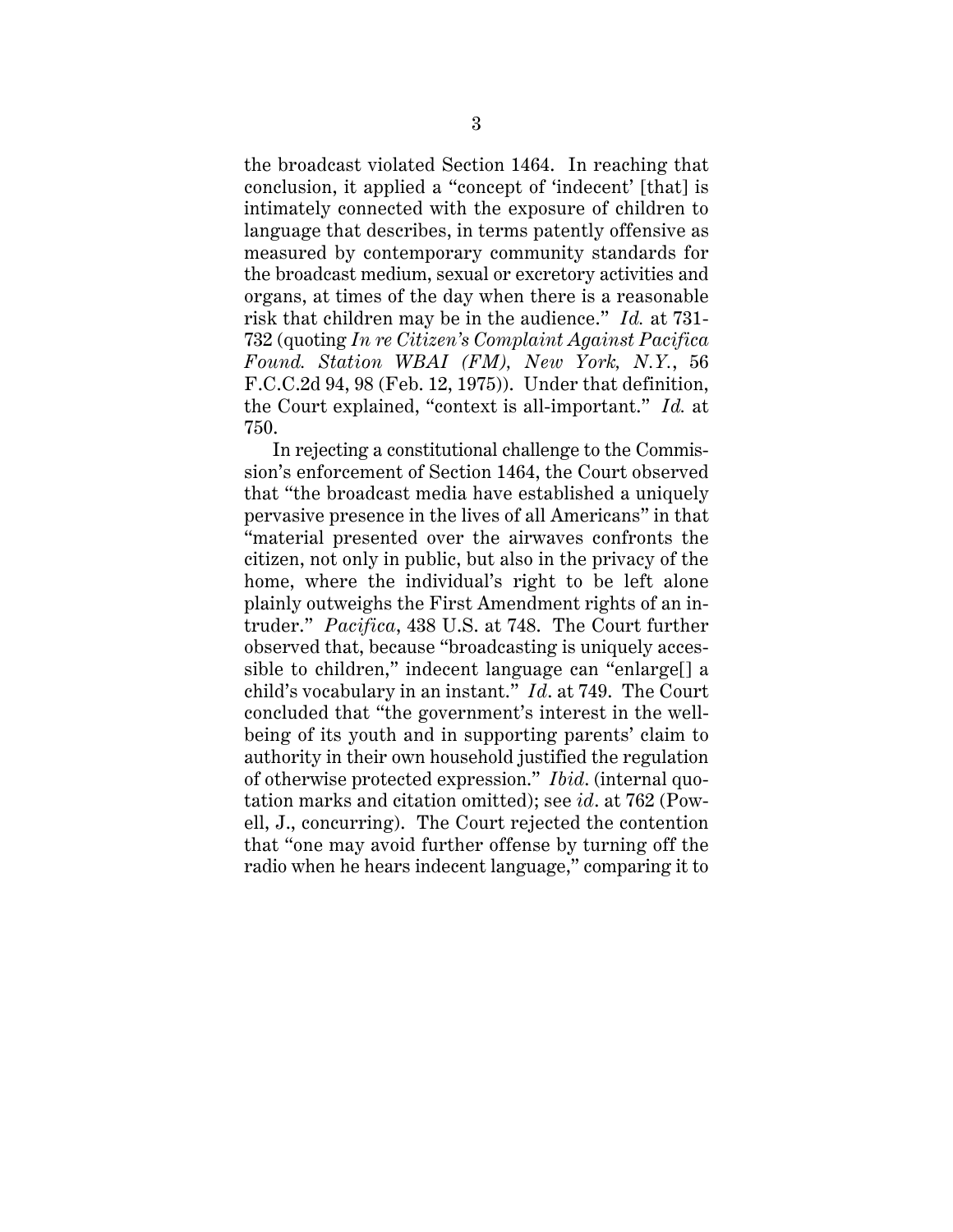the broadcast violated Section 1464. In reaching that conclusion, it applied a "concept of 'indecent' [that] is intimately connected with the exposure of children to language that describes, in terms patently offensive as measured by contemporary community standards for the broadcast medium, sexual or excretory activities and organs, at times of the day when there is a reasonable risk that children may be in the audience." *Id.* at 731- 732 (quoting *In re Citizen's Complaint Against Pacifica Found. Station WBAI (FM), New York, N.Y.*, 56 F.C.C.2d 94, 98 (Feb. 12, 1975)). Under that definition, the Court explained, "context is all-important." *Id.* at 750.

In rejecting a constitutional challenge to the Commission's enforcement of Section 1464, the Court observed that "the broadcast media have established a uniquely pervasive presence in the lives of all Americans" in that "material presented over the airwaves confronts the citizen, not only in public, but also in the privacy of the home, where the individual's right to be left alone plainly outweighs the First Amendment rights of an intruder." *Pacifica*, 438 U.S. at 748. The Court further observed that, because "broadcasting is uniquely accessible to children," indecent language can "enlarge[] a child's vocabulary in an instant." *Id*. at 749. The Court concluded that "the government's interest in the wellbeing of its youth and in supporting parents' claim to authority in their own household justified the regulation of otherwise protected expression." *Ibid*. (internal quotation marks and citation omitted); see *id*. at 762 (Powell, J., concurring). The Court rejected the contention that "one may avoid further offense by turning off the radio when he hears indecent language," comparing it to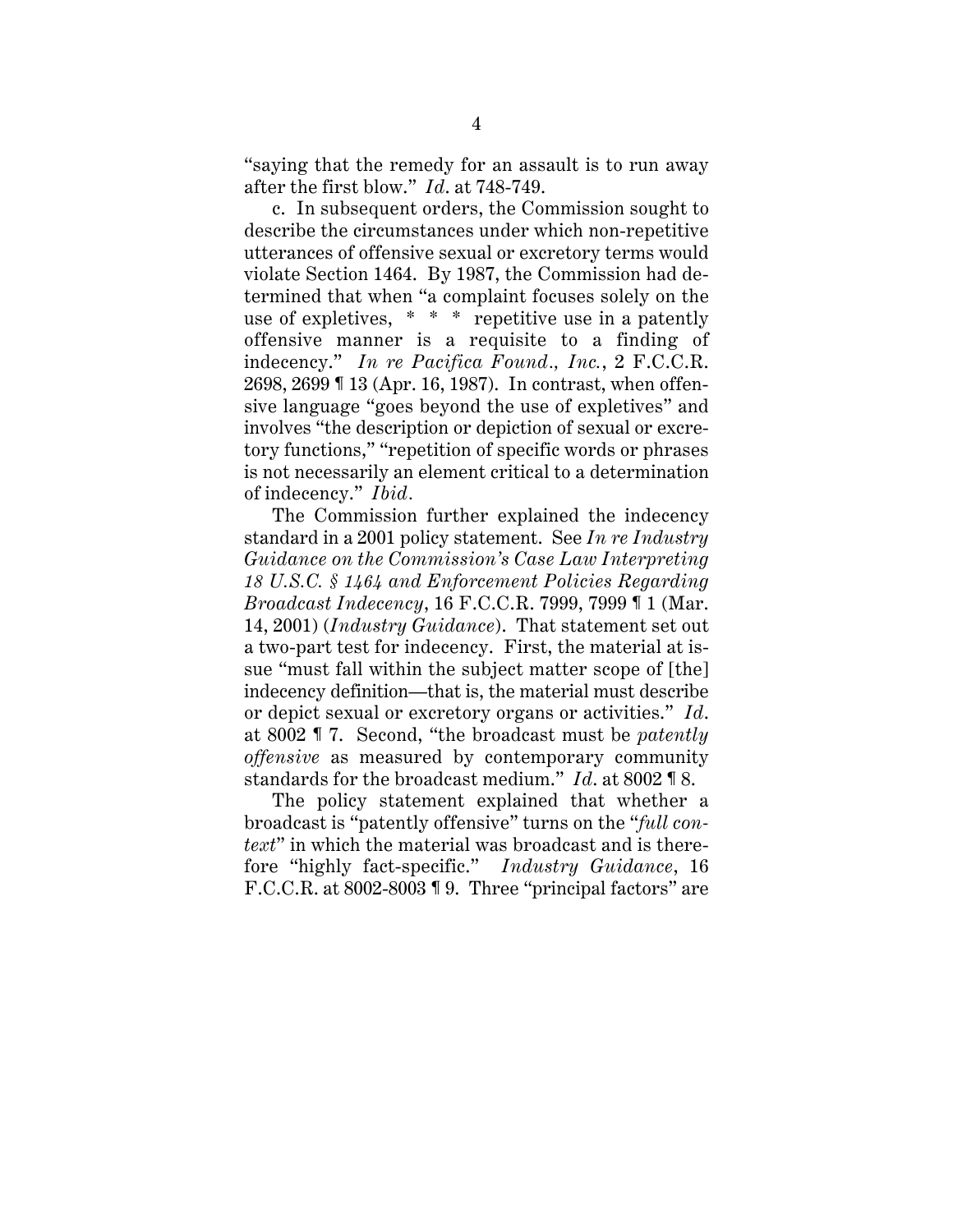"saying that the remedy for an assault is to run away after the first blow." *Id*. at 748-749.

c. In subsequent orders, the Commission sought to describe the circumstances under which non-repetitive utterances of offensive sexual or excretory terms would violate Section 1464. By 1987, the Commission had determined that when "a complaint focuses solely on the use of expletives, \* \* \* repetitive use in a patently offensive manner is a requisite to a finding of indecency." *In re Pacifica Found., Inc.*, 2 F.C.C.R. 2698, 2699 ¶ 13 (Apr. 16, 1987). In contrast, when offensive language "goes beyond the use of expletives" and involves "the description or depiction of sexual or excretory functions," "repetition of specific words or phrases is not necessarily an element critical to a determination of indecency." *Ibid .*

The Commission further explained the indecency standard in a 2001 policy statement. See *In re Industry Guidance on the Commission's Case Law Interpreting 18 U.S.C. § 1464 and Enforcement Policies Regarding Broadcast Indecency*, 16 F.C.C.R. 7999, 7999 ¶ 1 (Mar. 14, 2001) (*Industry Guidance*). That statement set out a two-part test for indecency. First, the material at issue "must fall within the subject matter scope of [the] indecency definition—that is, the material must describe or depict sexual or excretory organs or activities." *Id*. at 8002 ¶ 7. Second, "the broadcast must be *patently offensive* as measured by contemporary community standards for the broadcast medium." *Id*. at 8002 ¶ 8.

The policy statement explained that whether a broadcast is "patently offensive" turns on the "*full context*" in which the material was broadcast and is therefore "highly fact-specific." *Industry Guidance*, 16 F.C.C.R. at 8002-8003 ¶ 9. Three "principal factors" are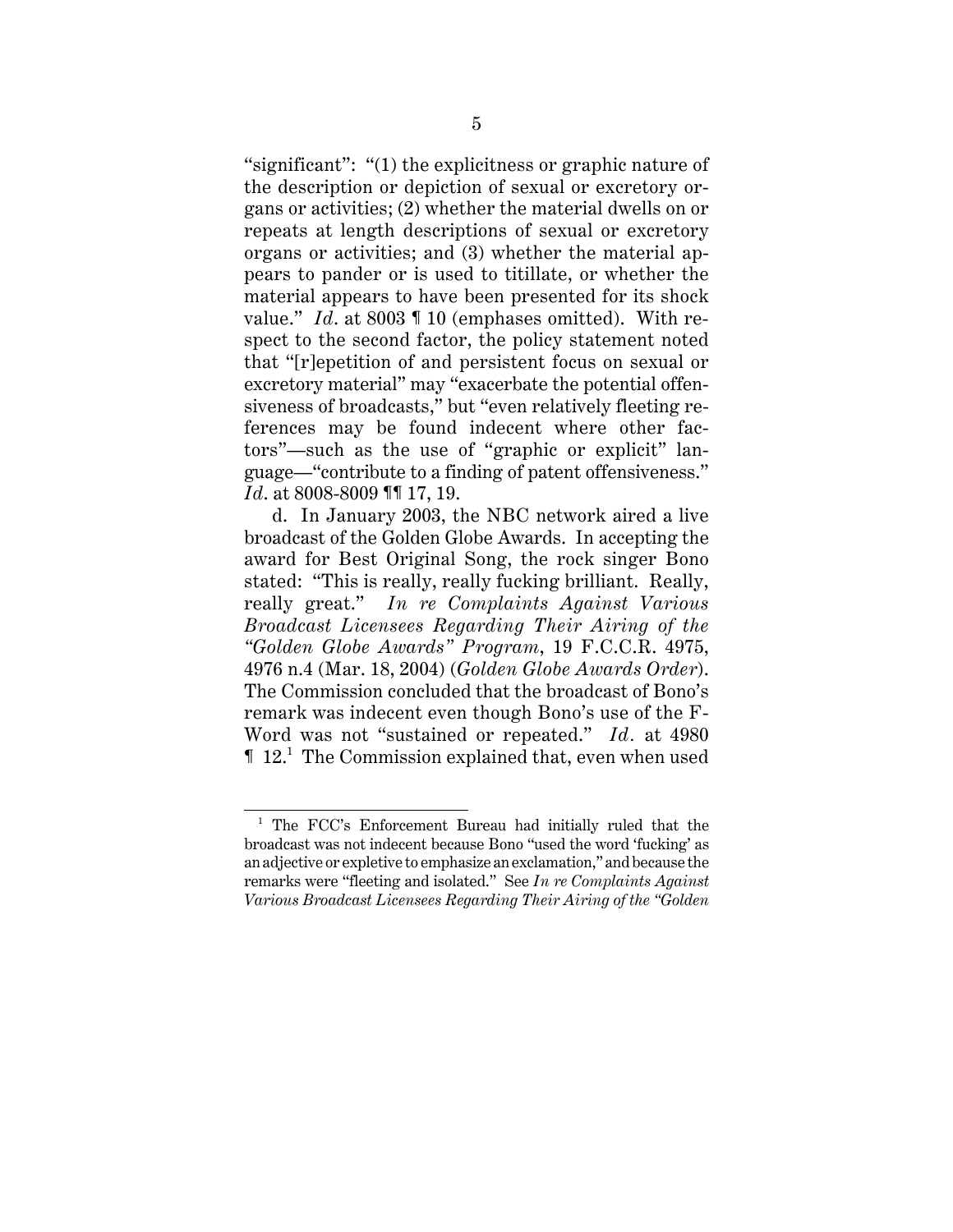"significant": "(1) the explicitness or graphic nature of the description or depiction of sexual or excretory organs or activities; (2) whether the material dwells on or repeats at length descriptions of sexual or excretory organs or activities; and (3) whether the material appears to pander or is used to titillate, or whether the material appears to have been presented for its shock value." *Id*. at 8003 ¶ 10 (emphases omitted). With respect to the second factor, the policy statement noted that "[r]epetition of and persistent focus on sexual or excretory material" may "exacerbate the potential offensiveness of broadcasts," but "even relatively fleeting references may be found indecent where other factors"—such as the use of "graphic or explicit" language—"contribute to a finding of patent offensiveness." *Id*. at 8008-8009 ¶¶ 17, 19.

d. In January 2003, the NBC network aired a live broadcast of the Golden Globe Awards. In accepting the award for Best Original Song, the rock singer Bono stated: "This is really, really fucking brilliant. Really, really great." *In re Complaints Against Various Broadcast Licensees Regarding Their Airing of the "Golden Globe Awards" Program*, 19 F.C.C.R. 4975, 4976 n.4 (Mar. 18, 2004) (*Golden Globe Awards Order*). The Commission concluded that the broadcast of Bono's remark was indecent even though Bono's use of the F-Word was not "sustained or repeated." *Id.* at 4980 **12.**<sup>1</sup> The Commission explained that, even when used

<sup>&</sup>lt;sup>1</sup> The FCC's Enforcement Bureau had initially ruled that the broadcast was not indecent because Bono "used the word 'fucking' as an adjective or expletive to emphasize an exclamation," and because the remarks were "fleeting and isolated." See *In re Complaints Against Various Broadcast Licensees Regarding Their Airing of the "Golden*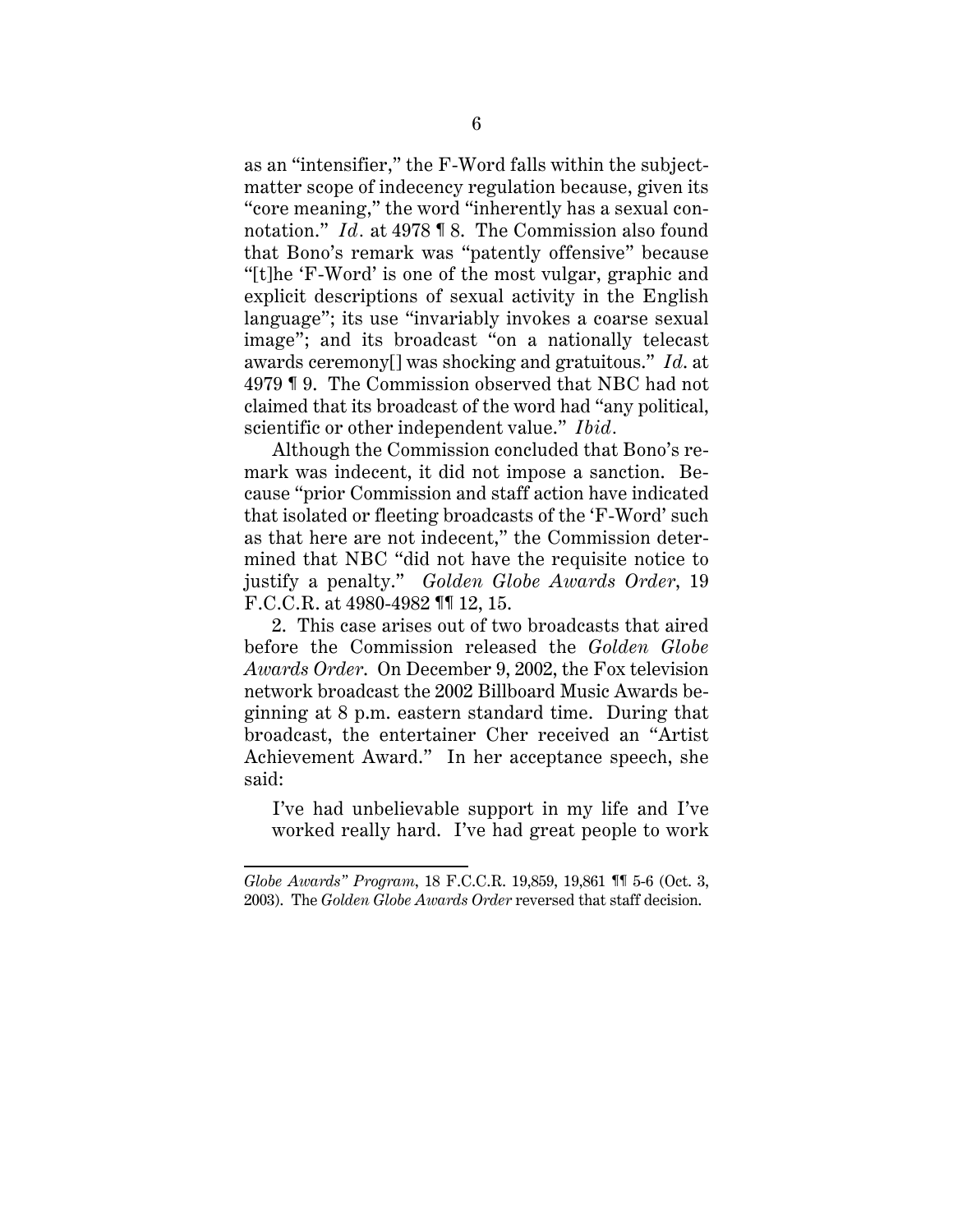as an "intensifier," the F-Word falls within the subjectmatter scope of indecency regulation because, given its "core meaning," the word "inherently has a sexual connotation." *Id.* at 4978 ¶ 8. The Commission also found that Bono's remark was "patently offensive" because "[t]he 'F-Word' is one of the most vulgar, graphic and explicit descriptions of sexual activity in the English language"; its use "invariably invokes a coarse sexual image"; and its broadcast "on a nationally telecast awards ceremony[] was shocking and gratuitous." *Id*. at 4979 ¶ 9. The Commission observed that NBC had not claimed that its broadcast of the word had "any political, scientific or other independent value." *Ibid.*

Although the Commission concluded that Bono's remark was indecent, it did not impose a sanction. Because "prior Commission and staff action have indicated that isolated or fleeting broadcasts of the 'F-Word' such as that here are not indecent," the Commission determined that NBC "did not have the requisite notice to justify a penalty." *Golden Globe Awards Order*, 19 F.C.C.R. at 4980-4982 ¶¶ 12, 15.

2. This case arises out of two broadcasts that aired before the Commission released the *Golden Globe Awards Order*. On December 9, 2002, the Fox television network broadcast the 2002 Billboard Music Awards beginning at 8 p.m. eastern standard time. During that broadcast, the entertainer Cher received an "Artist Achievement Award." In her acceptance speech, she said:

I've had unbelievable support in my life and I've worked really hard. I've had great people to work

*Globe Awards" Program*, 18 F.C.C.R. 19,859, 19,861 ¶¶ 5-6 (Oct. 3, 2003). The *Golden Globe Awards Order* reversed that staff decision.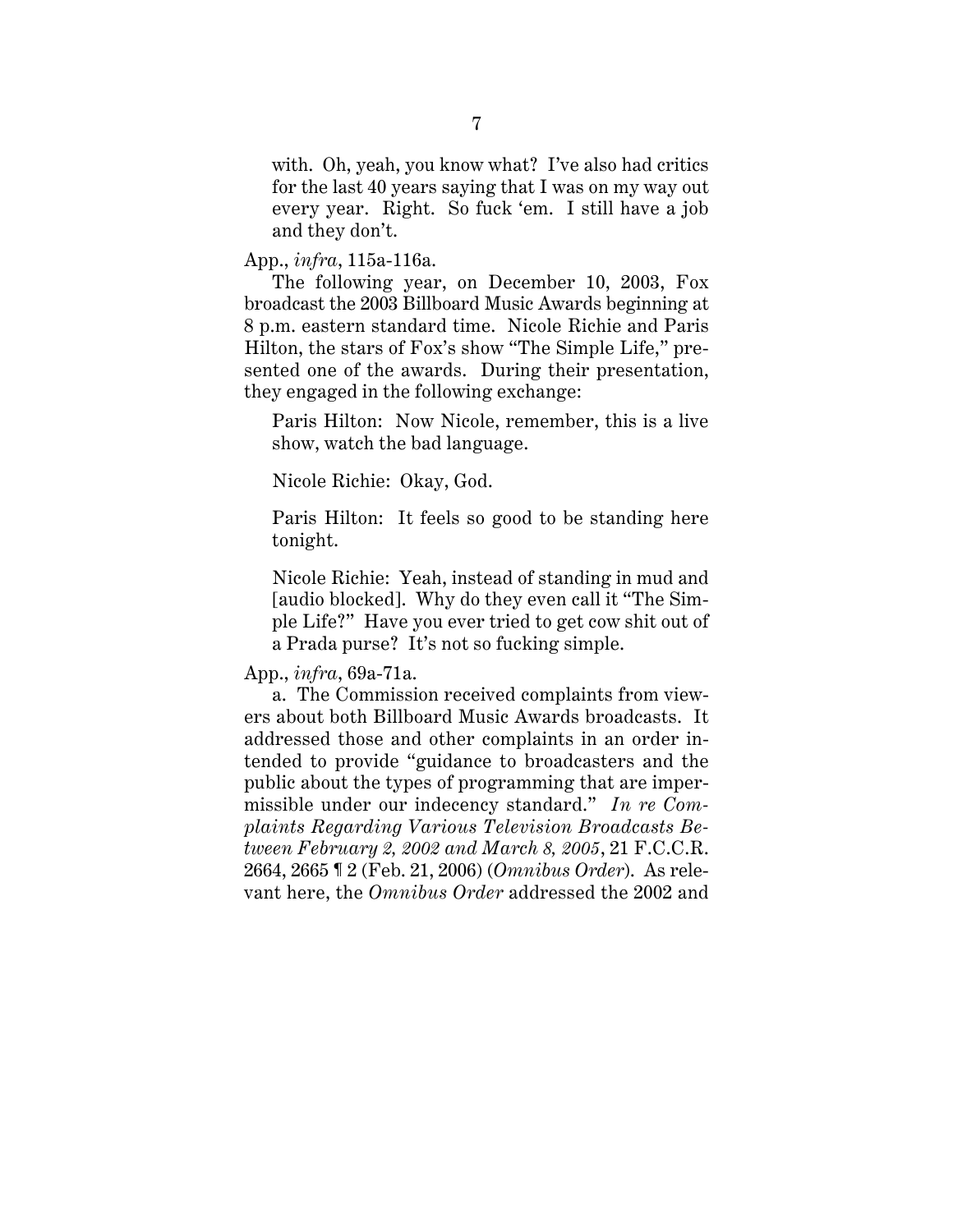with. Oh, yeah, you know what? I've also had critics for the last 40 years saying that I was on my way out every year. Right. So fuck 'em. I still have a job and they don't.

App., *infra*, 115a-116a.

The following year, on December 10, 2003, Fox broadcast the 2003 Billboard Music Awards beginning at 8 p.m. eastern standard time. Nicole Richie and Paris Hilton, the stars of Fox's show "The Simple Life," presented one of the awards. During their presentation, they engaged in the following exchange:

Paris Hilton: Now Nicole, remember, this is a live show, watch the bad language.

Nicole Richie: Okay, God.

Paris Hilton: It feels so good to be standing here tonight.

Nicole Richie: Yeah, instead of standing in mud and [audio blocked]. Why do they even call it "The Simple Life?" Have you ever tried to get cow shit out of a Prada purse? It's not so fucking simple.

App., *infra*, 69a-71a.

a. The Commission received complaints from viewers about both Billboard Music Awards broadcasts. It addressed those and other complaints in an order intended to provide "guidance to broadcasters and the public about the types of programming that are impermissible under our indecency standard." *In re Complaints Regarding Various Television Broadcasts Between February 2, 2002 and March 8, 2005*, 21 F.C.C.R. 2664, 2665 ¶ 2 (Feb. 21, 2006) (*Omnibus Order*). As relevant here, the *Omnibus Order* addressed the 2002 and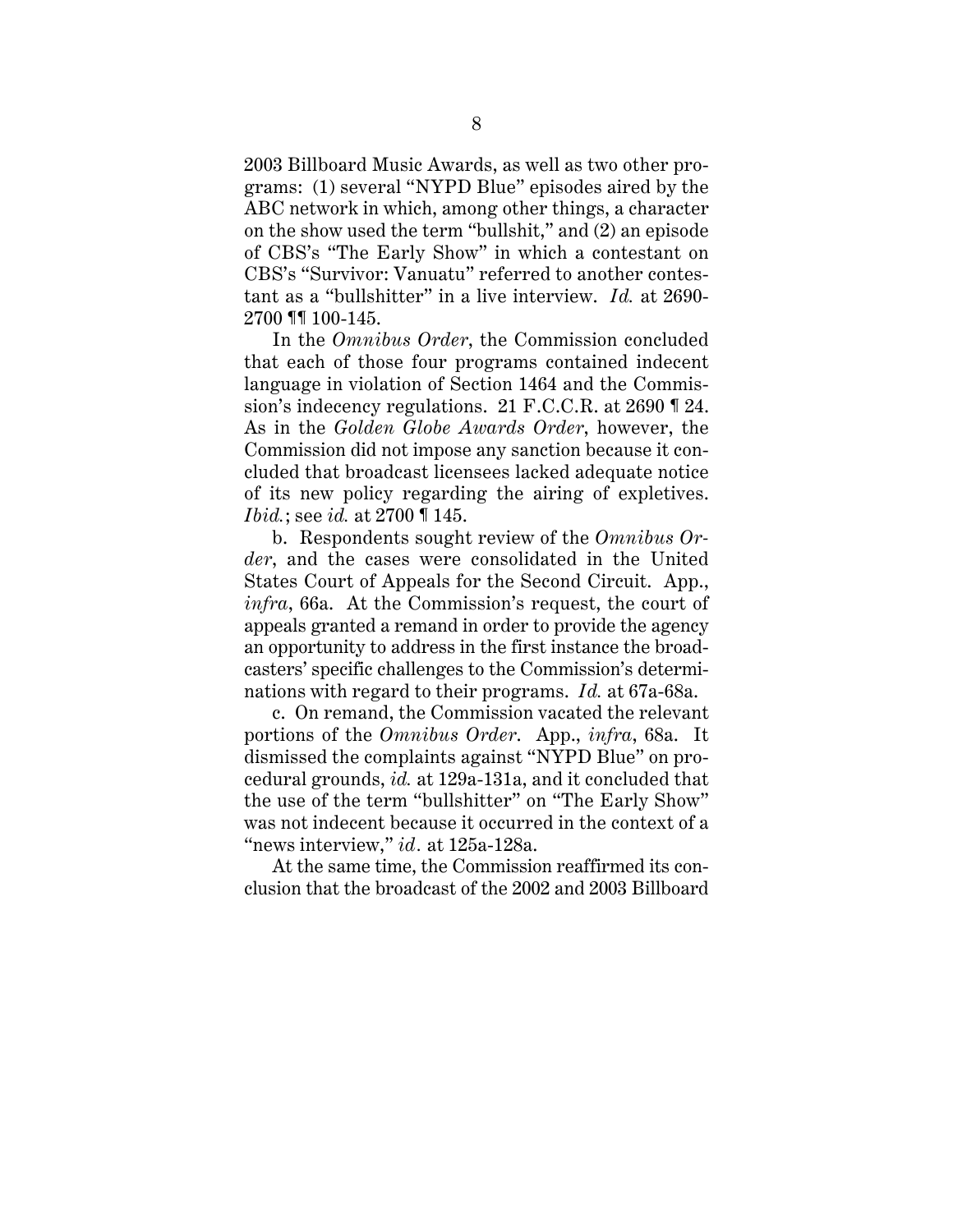2003 Billboard Music Awards, as well as two other programs: (1) several "NYPD Blue" episodes aired by the ABC network in which, among other things, a character on the show used the term "bullshit," and (2) an episode of CBS's "The Early Show" in which a contestant on CBS's "Survivor: Vanuatu" referred to another contestant as a "bullshitter" in a live interview. *Id.* at 2690- 2700 ¶¶ 100-145.

In the *Omnibus Order*, the Commission concluded that each of those four programs contained indecent language in violation of Section 1464 and the Commission's indecency regulations. 21 F.C.C.R. at 2690 ¶ 24. As in the *Golden Globe Awards Order*, however, the Commission did not impose any sanction because it concluded that broadcast licensees lacked adequate notice of its new policy regarding the airing of expletives. *Ibid.*; see *id.* at 2700 ¶ 145.

b. Respondents sought review of the *Omnibus Order*, and the cases were consolidated in the United States Court of Appeals for the Second Circuit. App., *infra*, 66a. At the Commission's request, the court of appeals granted a remand in order to provide the agency an opportunity to address in the first instance the broadcasters' specific challenges to the Commission's determinations with regard to their programs. *Id.* at 67a-68a.

c. On remand, the Commission vacated the relevant portions of the *Omnibus Order*. App., *infra*, 68a. It dismissed the complaints against "NYPD Blue" on procedural grounds, *id.* at 129a-131a, and it concluded that the use of the term "bullshitter" on "The Early Show" was not indecent because it occurred in the context of a "news interview," *id.* at 125a-128a.

At the same time, the Commission reaffirmed its conclusion that the broadcast of the 2002 and 2003 Billboard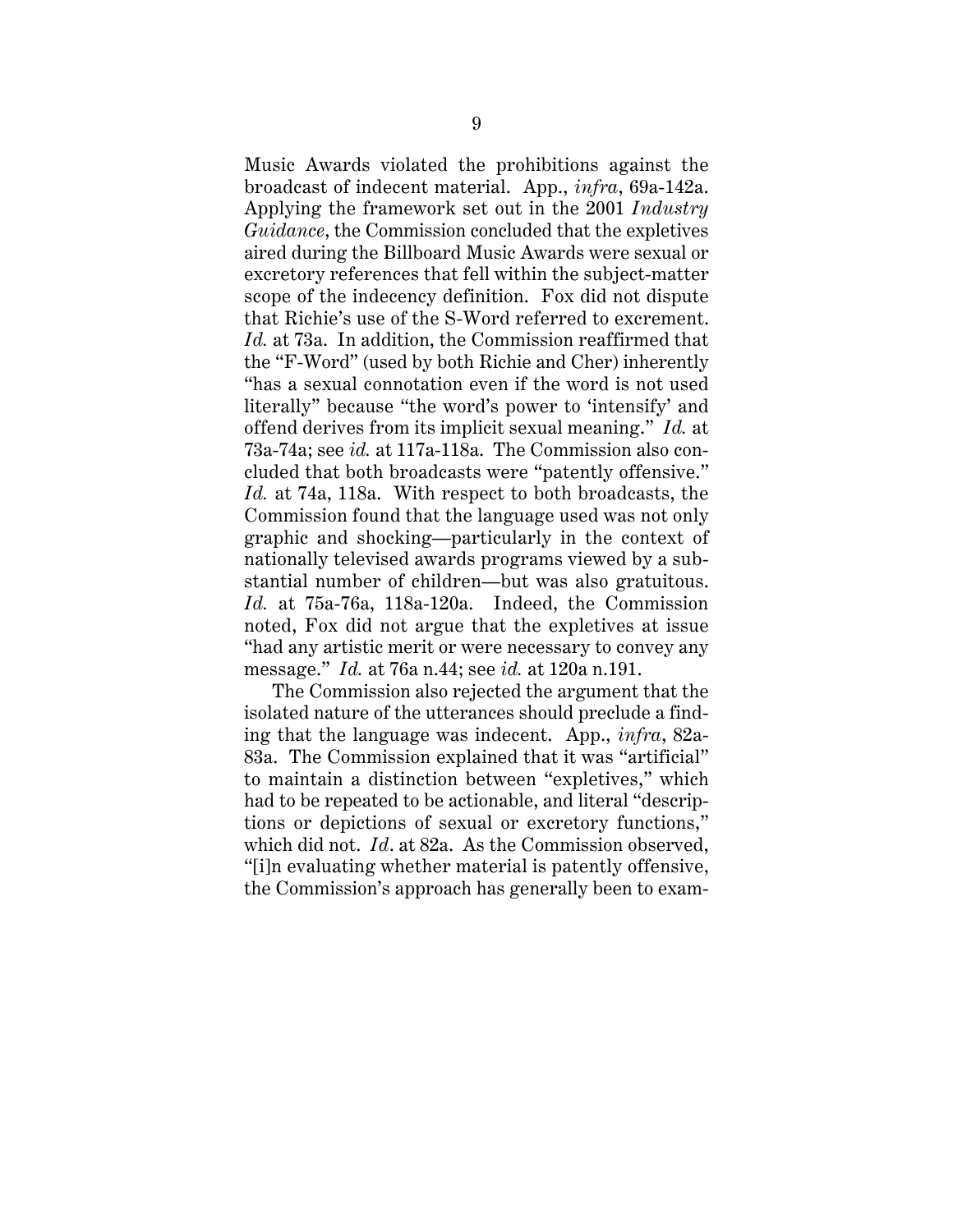Music Awards violated the prohibitions against the broadcast of indecent material. App., *infra*, 69a-142a. Applying the framework set out in the 2001 *Industry Guidance*, the Commission concluded that the expletives aired during the Billboard Music Awards were sexual or excretory references that fell within the subject-matter scope of the indecency definition. Fox did not dispute that Richie's use of the S-Word referred to excrement. *Id.* at 73a. In addition, the Commission reaffirmed that the "F-Word" (used by both Richie and Cher) inherently "has a sexual connotation even if the word is not used literally" because "the word's power to 'intensify' and offend derives from its implicit sexual meaning." *Id.* at 73a-74a; see *id.* at 117a-118a. The Commission also concluded that both broadcasts were "patently offensive." *Id.* at 74a, 118a. With respect to both broadcasts, the Commission found that the language used was not only graphic and shocking—particularly in the context of nationally televised awards programs viewed by a substantial number of children—but was also gratuitous. *Id.* at 75a-76a, 118a-120a. Indeed, the Commission noted, Fox did not argue that the expletives at issue "had any artistic merit or were necessary to convey any message." *Id.* at 76a n.44; see *id.* at 120a n.191.

The Commission also rejected the argument that the isolated nature of the utterances should preclude a finding that the language was indecent. App., *infra*, 82a-83a. The Commission explained that it was "artificial" to maintain a distinction between "expletives," which had to be repeated to be actionable, and literal "descriptions or depictions of sexual or excretory functions," which did not. *Id*. at 82a. As the Commission observed, "[i]n evaluating whether material is patently offensive, the Commission's approach has generally been to exam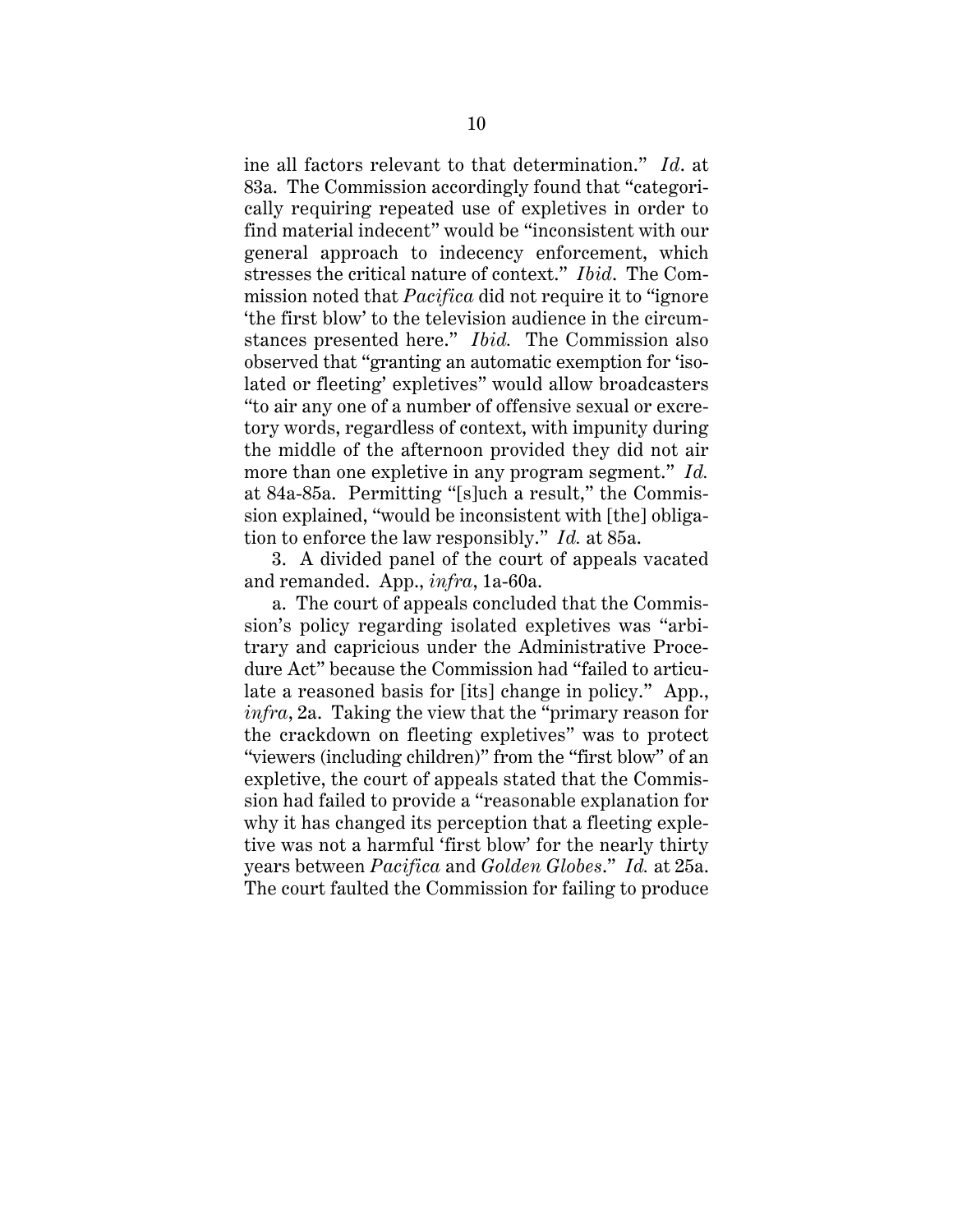ine all factors relevant to that determination." *Id*. at 83a. The Commission accordingly found that "categorically requiring repeated use of expletives in order to find material indecent" would be "inconsistent with our general approach to indecency enforcement, which stresses the critical nature of context." *Ibid*. The Commission noted that *Pacifica* did not require it to "ignore 'the first blow' to the television audience in the circumstances presented here." *Ibid.* The Commission also observed that "granting an automatic exemption for 'isolated or fleeting' expletives" would allow broadcasters "to air any one of a number of offensive sexual or excretory words, regardless of context, with impunity during the middle of the afternoon provided they did not air more than one expletive in any program segment." *Id.* at 84a-85a. Permitting "[s]uch a result," the Commission explained, "would be inconsistent with [the] obligation to enforce the law responsibly." *Id.* at 85a.

3. A divided panel of the court of appeals vacated and remanded. App., *infra*, 1a-60a.

a. The court of appeals concluded that the Commission's policy regarding isolated expletives was "arbitrary and capricious under the Administrative Procedure Act" because the Commission had "failed to articulate a reasoned basis for [its] change in policy." App., *infra*, 2a. Taking the view that the "primary reason for the crackdown on fleeting expletives" was to protect "viewers (including children)" from the "first blow" of an expletive, the court of appeals stated that the Commission had failed to provide a "reasonable explanation for why it has changed its perception that a fleeting expletive was not a harmful 'first blow' for the nearly thirty years between *Pacifica* and *Golden Globes*." *Id.* at 25a. The court faulted the Commission for failing to produce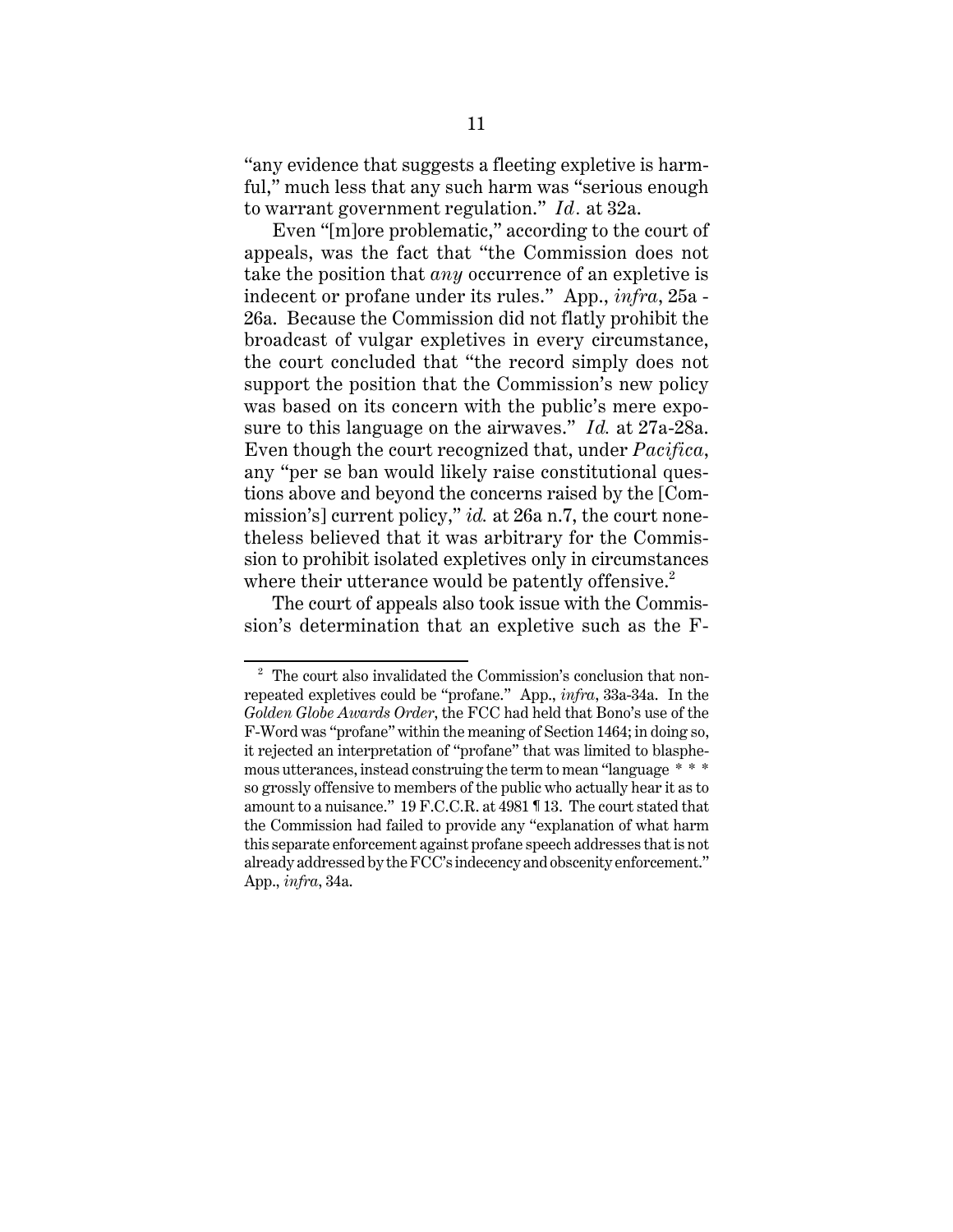"any evidence that suggests a fleeting expletive is harmful," much less that any such harm was "serious enough to warrant government regulation." *Id.* at 32a.

Even "[m]ore problematic," according to the court of appeals, was the fact that "the Commission does not take the position that *any* occurrence of an expletive is indecent or profane under its rules." App., *infra*, 25a - 26a. Because the Commission did not flatly prohibit the broadcast of vulgar expletives in every circumstance, the court concluded that "the record simply does not support the position that the Commission's new policy was based on its concern with the public's mere exposure to this language on the airwaves." *Id.* at 27a-28a. Even though the court recognized that, under *Pacifica*, any "per se ban would likely raise constitutional questions above and beyond the concerns raised by the [Commission's] current policy," *id.* at 26a n.7, the court nonetheless believed that it was arbitrary for the Commission to prohibit isolated expletives only in circumstances where their utterance would be patently offensive.<sup>2</sup>

The court of appeals also took issue with the Commission's determination that an expletive such as the F-

 $2\degree$  The court also invalidated the Commission's conclusion that nonrepeated expletives could be "profane." App., *infra*, 33a-34a. In the *Golden Globe Awards Order*, the FCC had held that Bono's use of the F-Word was "profane" within the meaning of Section 1464; in doing so, it rejected an interpretation of "profane" that was limited to blasphemous utterances, instead construing the term to mean "language \* \* \* so grossly offensive to members of the public who actually hear it as to amount to a nuisance." 19 F.C.C.R. at 4981 ¶ 13. The court stated that the Commission had failed to provide any "explanation of what harm this separate enforcement against profane speech addresses that is not already addressed by the FCC's indecency and obscenity enforcement." App., *infra*, 34a.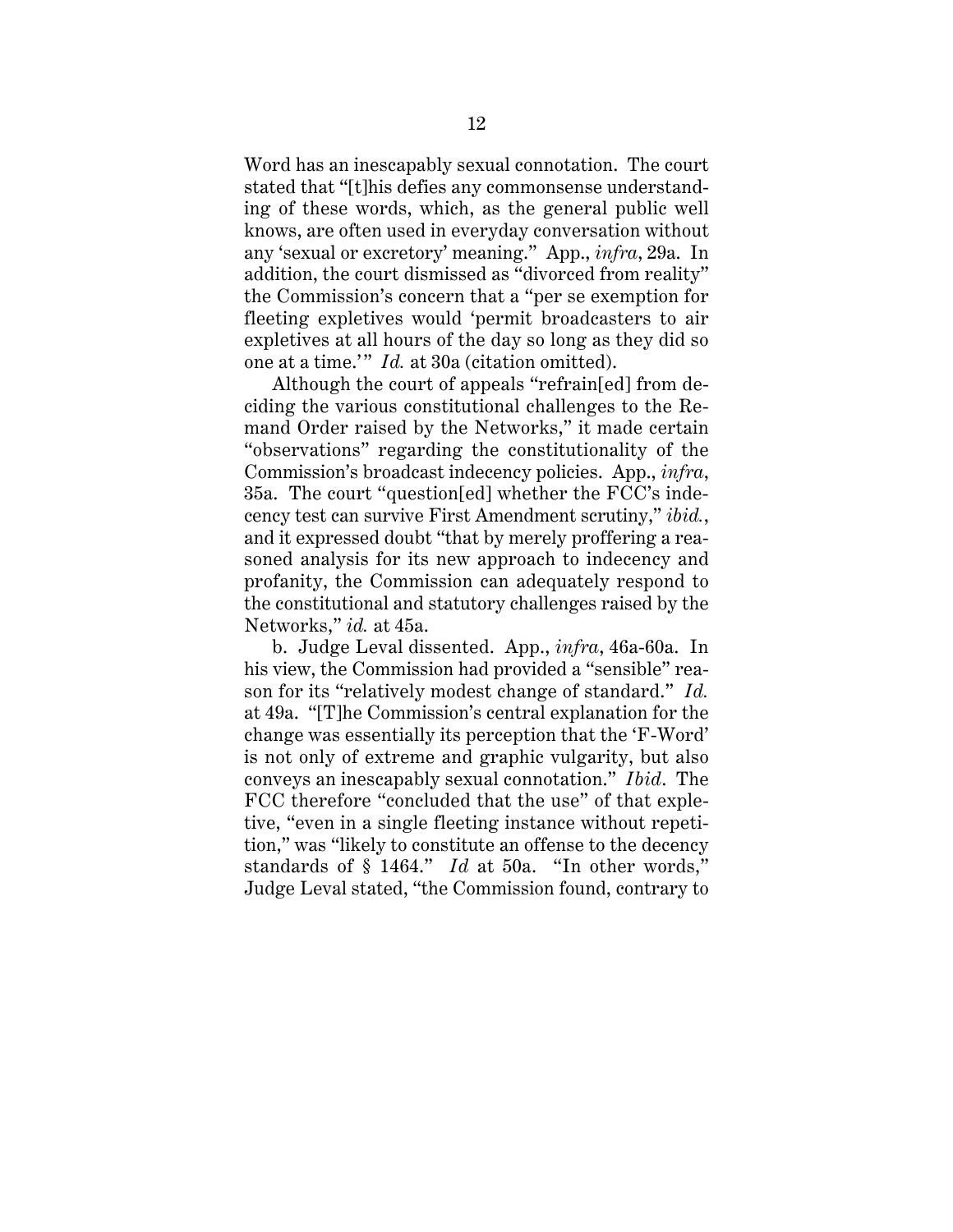Word has an inescapably sexual connotation. The court stated that "[t]his defies any commonsense understanding of these words, which, as the general public well knows, are often used in everyday conversation without any 'sexual or excretory' meaning." App., *infra*, 29a. In addition, the court dismissed as "divorced from reality" the Commission's concern that a "per se exemption for fleeting expletives would 'permit broadcasters to air expletives at all hours of the day so long as they did so one at a time.'" *Id.* at 30a (citation omitted).

Although the court of appeals "refrain[ed] from deciding the various constitutional challenges to the Remand Order raised by the Networks," it made certain "observations" regarding the constitutionality of the Commission's broadcast indecency policies. App., *infra*, 35a. The court "question[ed] whether the FCC's indecency test can survive First Amendment scrutiny," *ibid.*, and it expressed doubt "that by merely proffering a reasoned analysis for its new approach to indecency and profanity, the Commission can adequately respond to the constitutional and statutory challenges raised by the Networks," *id.* at 45a.

b. Judge Leval dissented. App., *infra*, 46a-60a. In his view, the Commission had provided a "sensible" reason for its "relatively modest change of standard." *Id.* at 49a. "[T]he Commission's central explanation for the change was essentially its perception that the 'F-Word' is not only of extreme and graphic vulgarity, but also conveys an inescapably sexual connotation." *Ibid*. The FCC therefore "concluded that the use" of that expletive, "even in a single fleeting instance without repetition," was "likely to constitute an offense to the decency standards of § 1464." *Id* at 50a. "In other words," Judge Leval stated, "the Commission found, contrary to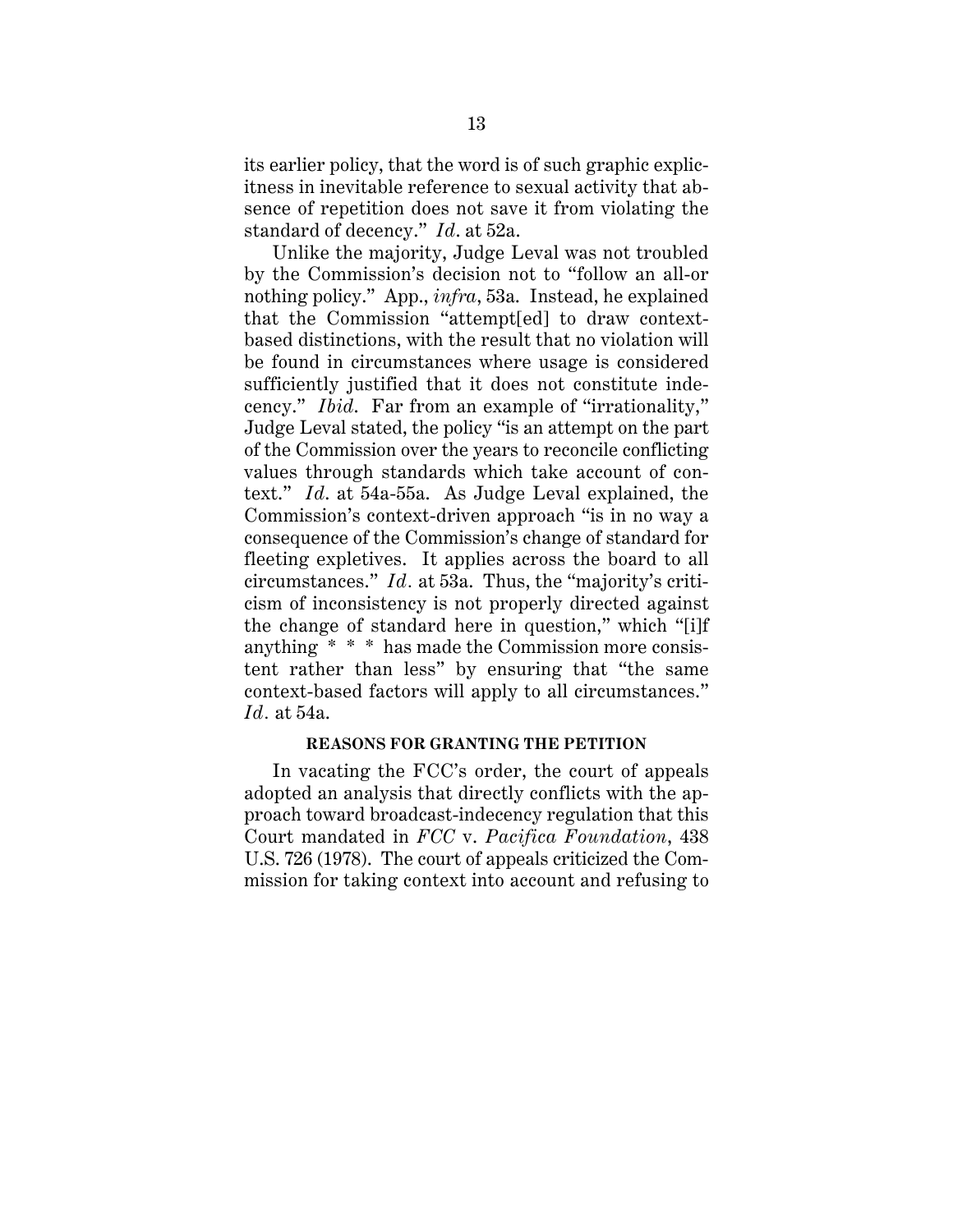its earlier policy, that the word is of such graphic explicitness in inevitable reference to sexual activity that absence of repetition does not save it from violating the standard of decency." *Id*. at 52a.

Unlike the majority, Judge Leval was not troubled by the Commission's decision not to "follow an all-or nothing policy." App., *infra*, 53a. Instead, he explained that the Commission "attempt[ed] to draw contextbased distinctions, with the result that no violation will be found in circumstances where usage is considered sufficiently justified that it does not constitute indecency." *Ibid*. Far from an example of "irrationality," Judge Leval stated, the policy "is an attempt on the part of the Commission over the years to reconcile conflicting values through standards which take account of context." *Id*. at 54a-55a. As Judge Leval explained, the Commission's context-driven approach "is in no way a consequence of the Commission's change of standard for fleeting expletives. It applies across the board to all circumstances." *Id.* at 53a. Thus, the "majority's criticism of inconsistency is not properly directed against the change of standard here in question," which "[i]f anything \* \* \* has made the Commission more consistent rather than less" by ensuring that "the same context-based factors will apply to all circumstances." *Id.* at 54a.

## **REASONS FOR GRANTING THE PETITION**

In vacating the FCC's order, the court of appeals adopted an analysis that directly conflicts with the approach toward broadcast-indecency regulation that this Court mandated in *FCC* v. *Pacifica Foundation*, 438 U.S. 726 (1978). The court of appeals criticized the Commission for taking context into account and refusing to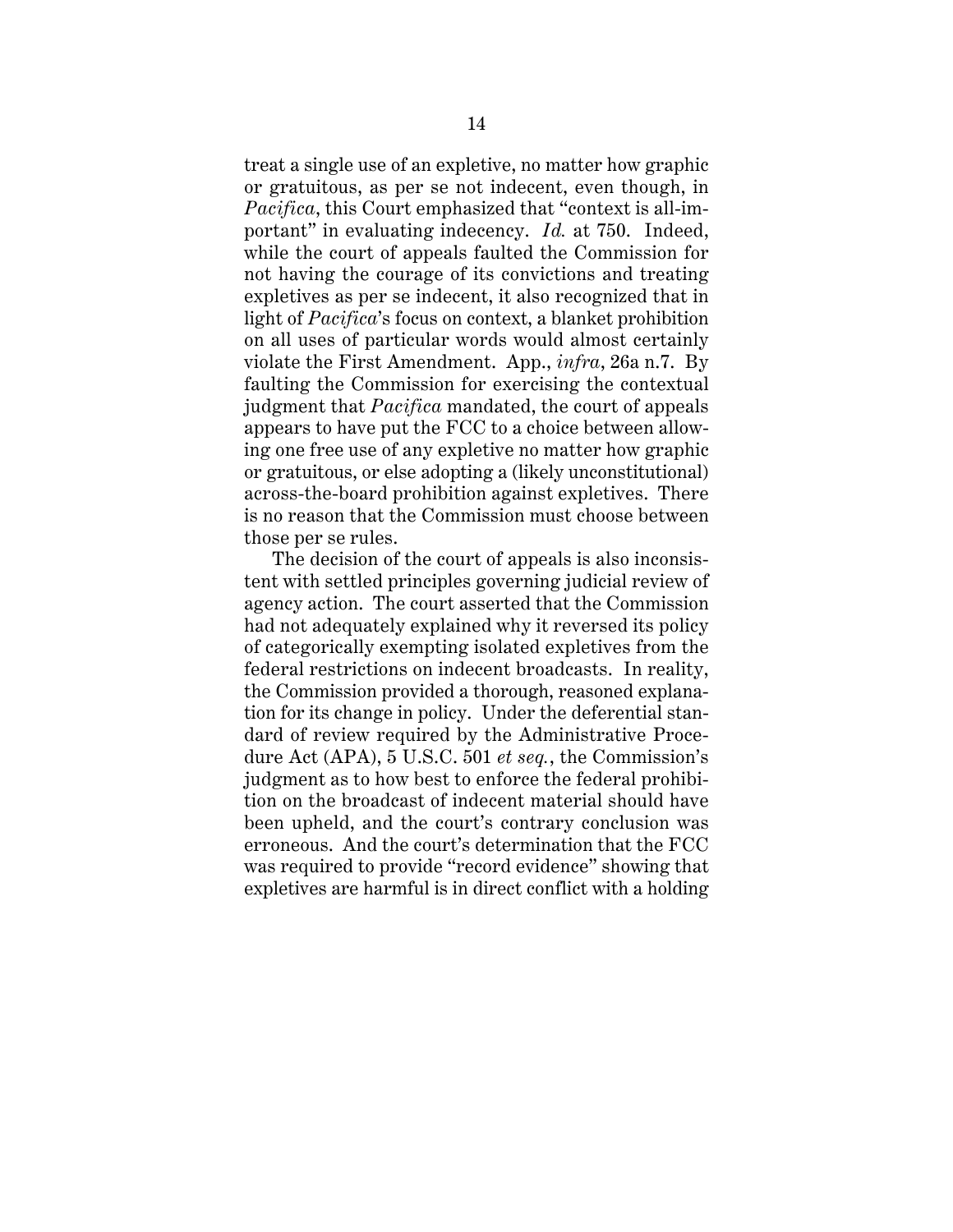treat a single use of an expletive, no matter how graphic or gratuitous, as per se not indecent, even though, in *Pacifica*, this Court emphasized that "context is all-important" in evaluating indecency. *Id.* at 750. Indeed, while the court of appeals faulted the Commission for not having the courage of its convictions and treating expletives as per se indecent, it also recognized that in light of *Pacifica*'s focus on context, a blanket prohibition on all uses of particular words would almost certainly violate the First Amendment. App., *infra*, 26a n.7. By faulting the Commission for exercising the contextual judgment that *Pacifica* mandated, the court of appeals appears to have put the FCC to a choice between allowing one free use of any expletive no matter how graphic or gratuitous, or else adopting a (likely unconstitutional) across-the-board prohibition against expletives. There is no reason that the Commission must choose between those per se rules.

The decision of the court of appeals is also inconsistent with settled principles governing judicial review of agency action. The court asserted that the Commission had not adequately explained why it reversed its policy of categorically exempting isolated expletives from the federal restrictions on indecent broadcasts. In reality, the Commission provided a thorough, reasoned explanation for its change in policy. Under the deferential standard of review required by the Administrative Procedure Act (APA), 5 U.S.C. 501 *et seq.*, the Commission's judgment as to how best to enforce the federal prohibition on the broadcast of indecent material should have been upheld, and the court's contrary conclusion was erroneous. And the court's determination that the FCC was required to provide "record evidence" showing that expletives are harmful is in direct conflict with a holding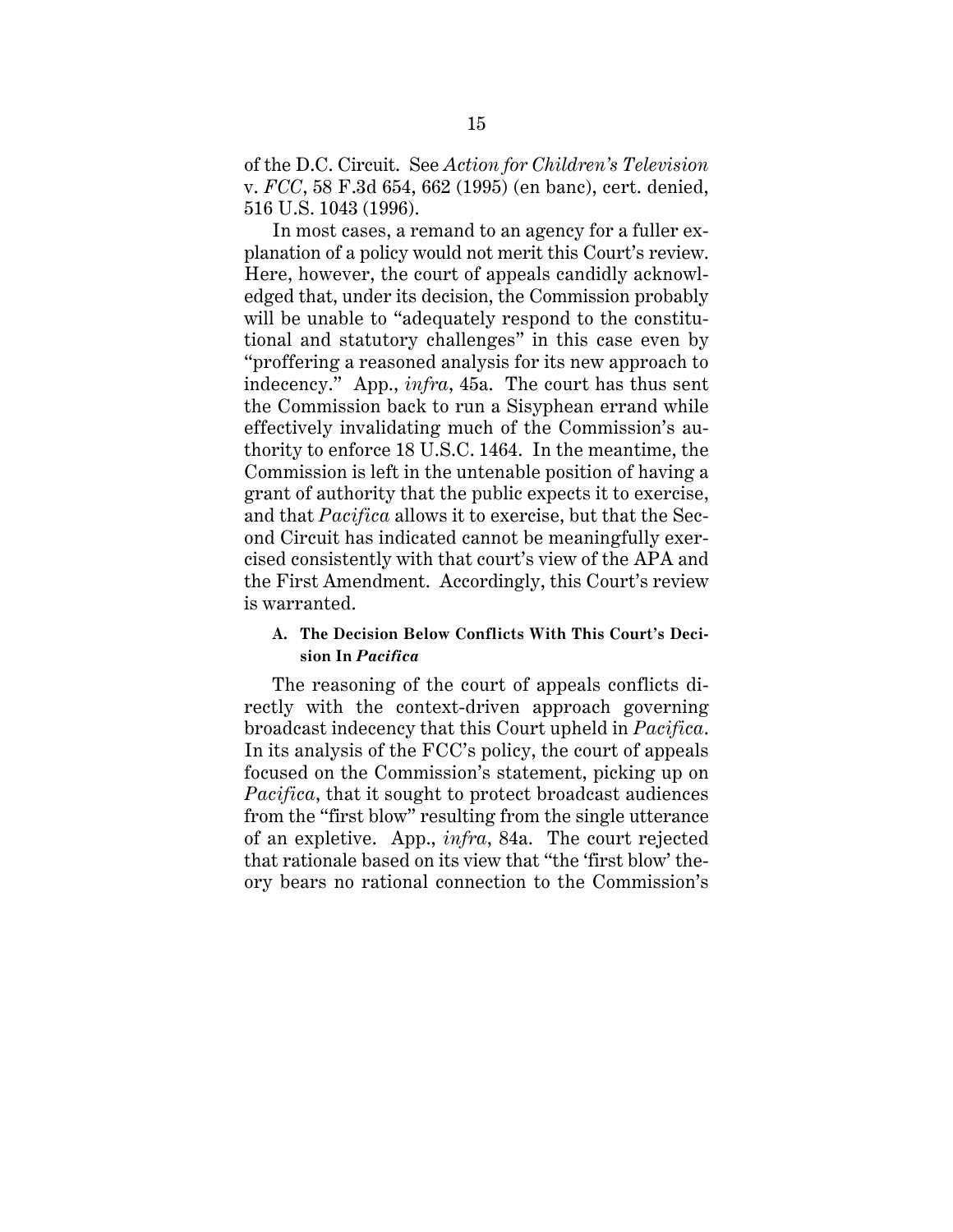of the D.C. Circuit. See *Action for Children's Television* v. *FCC*, 58 F.3d 654, 662 (1995) (en banc), cert. denied, 516 U.S. 1043 (1996).

In most cases, a remand to an agency for a fuller explanation of a policy would not merit this Court's review. Here, however, the court of appeals candidly acknowledged that, under its decision, the Commission probably will be unable to "adequately respond to the constitutional and statutory challenges" in this case even by "proffering a reasoned analysis for its new approach to indecency." App., *infra*, 45a. The court has thus sent the Commission back to run a Sisyphean errand while effectively invalidating much of the Commission's authority to enforce 18 U.S.C. 1464. In the meantime, the Commission is left in the untenable position of having a grant of authority that the public expects it to exercise, and that *Pacifica* allows it to exercise, but that the Second Circuit has indicated cannot be meaningfully exercised consistently with that court's view of the APA and the First Amendment. Accordingly, this Court's review is warranted.

# **A. The Decision Below Conflicts With This Court's Decision In** *Pacifica*

The reasoning of the court of appeals conflicts directly with the context-driven approach governing broadcast indecency that this Court upheld in *Pacifica*. In its analysis of the FCC's policy, the court of appeals focused on the Commission's statement, picking up on *Pacifica*, that it sought to protect broadcast audiences from the "first blow" resulting from the single utterance of an expletive. App., *infra*, 84a. The court rejected that rationale based on its view that "the 'first blow' theory bears no rational connection to the Commission's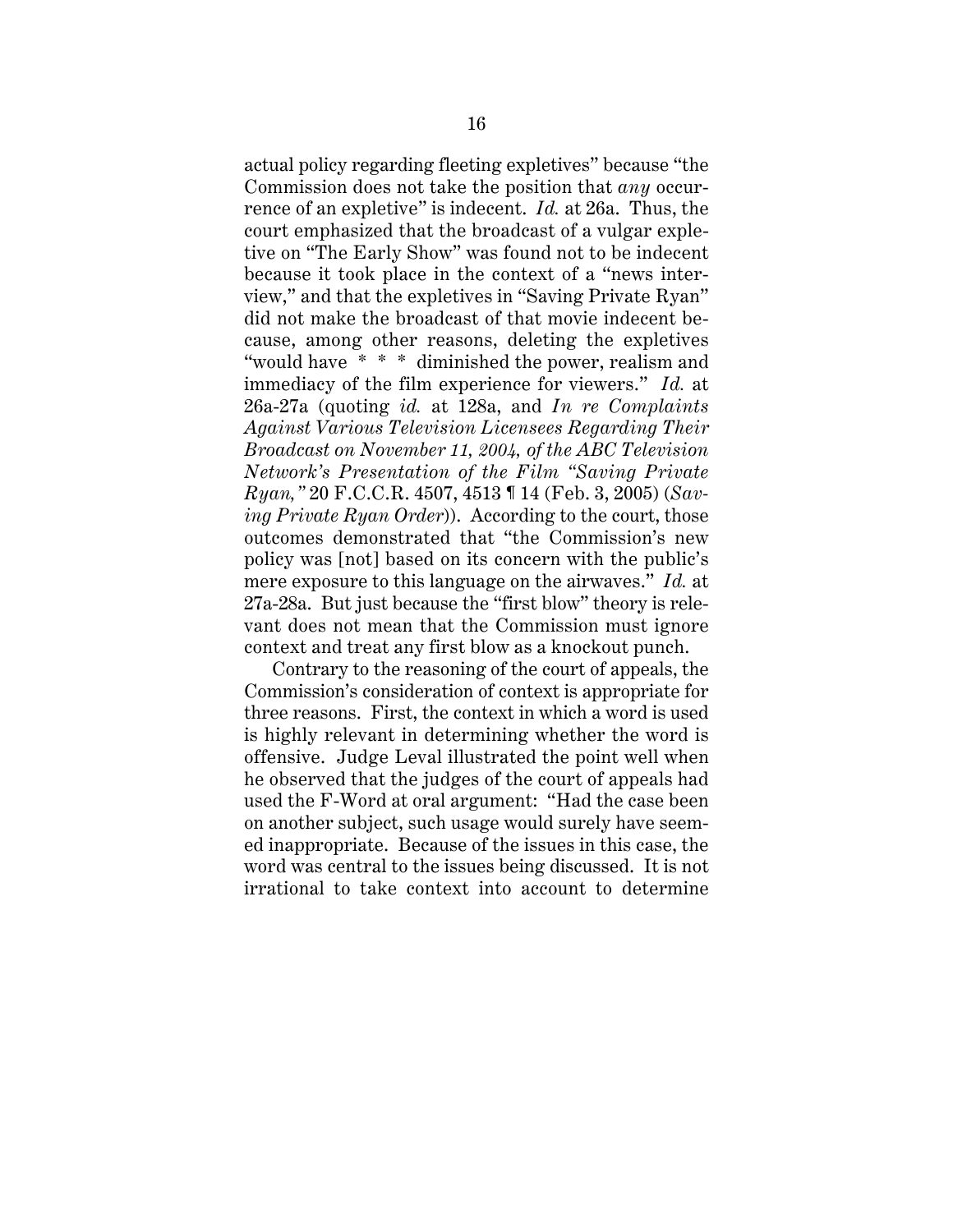actual policy regarding fleeting expletives" because "the Commission does not take the position that *any* occurrence of an expletive" is indecent. *Id.* at 26a. Thus, the court emphasized that the broadcast of a vulgar expletive on "The Early Show" was found not to be indecent because it took place in the context of a "news interview," and that the expletives in "Saving Private Ryan" did not make the broadcast of that movie indecent because, among other reasons, deleting the expletives "would have \* \* \* diminished the power, realism and immediacy of the film experience for viewers." *Id.* at 26a-27a (quoting *id.* at 128a, and *In re Complaints Against Various Television Licensees Regarding Their Broadcast on November 11, 2004, of the ABC Television Network's Presentation of the Film "Saving Private Ryan,"* 20 F.C.C.R. 4507, 4513 ¶ 14 (Feb. 3, 2005) (*Saving Private Ryan Order*)). According to the court, those outcomes demonstrated that "the Commission's new policy was [not] based on its concern with the public's mere exposure to this language on the airwaves." *Id.* at 27a-28a. But just because the "first blow" theory is relevant does not mean that the Commission must ignore context and treat any first blow as a knockout punch.

Contrary to the reasoning of the court of appeals, the Commission's consideration of context is appropriate for three reasons. First, the context in which a word is used is highly relevant in determining whether the word is offensive. Judge Leval illustrated the point well when he observed that the judges of the court of appeals had used the F-Word at oral argument: "Had the case been on another subject, such usage would surely have seemed inappropriate. Because of the issues in this case, the word was central to the issues being discussed. It is not irrational to take context into account to determine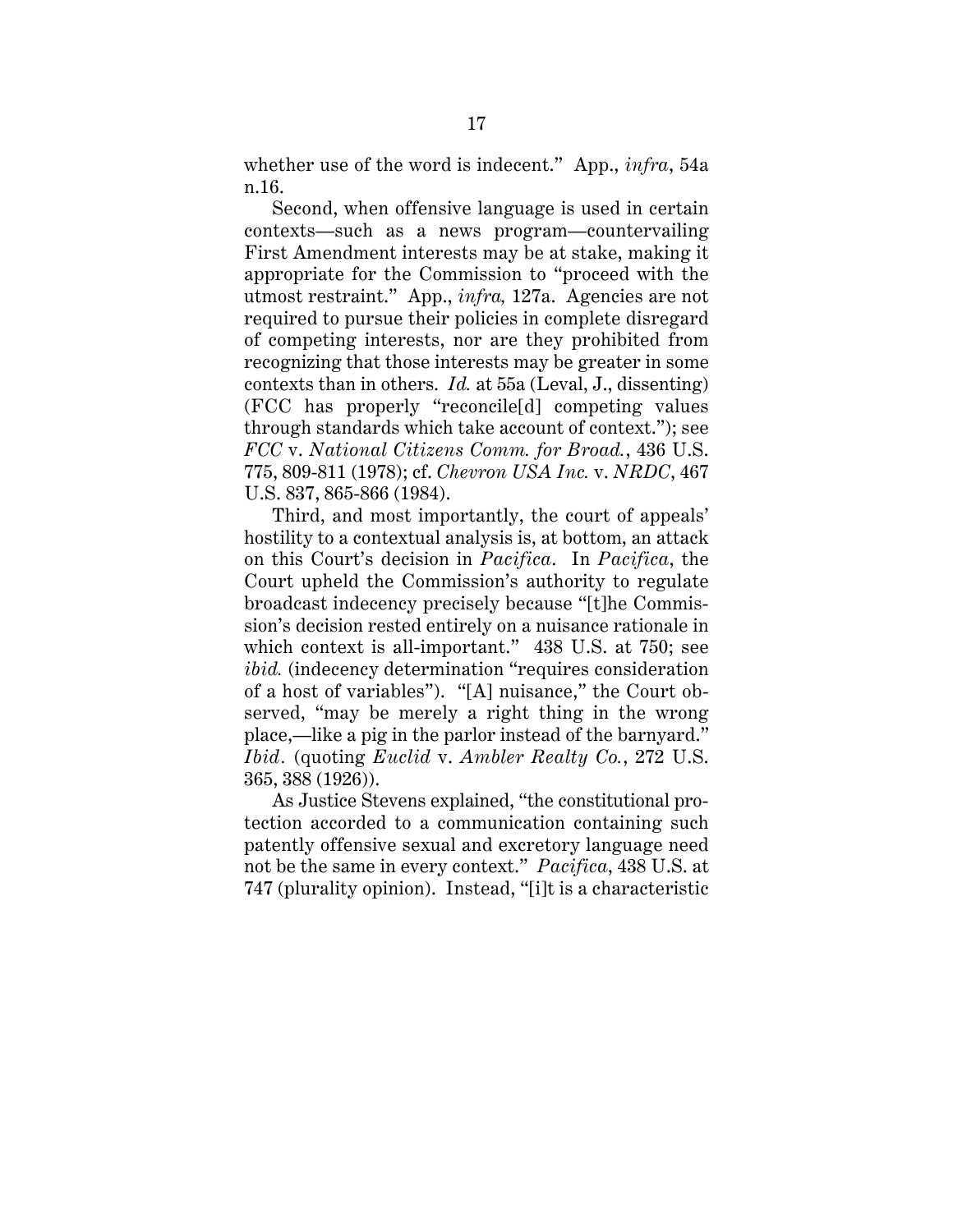whether use of the word is indecent." App., *infra*, 54a n.16.

Second, when offensive language is used in certain contexts—such as a news program—countervailing First Amendment interests may be at stake, making it appropriate for the Commission to "proceed with the utmost restraint." App., *infra,* 127a. Agencies are not required to pursue their policies in complete disregard of competing interests, nor are they prohibited from recognizing that those interests may be greater in some contexts than in others. *Id.* at 55a (Leval, J., dissenting) (FCC has properly "reconcile[d] competing values through standards which take account of context."); see *FCC* v. *National Citizens Comm. for Broad.*, 436 U.S. 775, 809-811 (1978); cf. *Chevron USA Inc.* v. *NRDC*, 467 U.S. 837, 865-866 (1984).

Third, and most importantly, the court of appeals' hostility to a contextual analysis is, at bottom, an attack on this Court's decision in *Pacifica*. In *Pacifica*, the Court upheld the Commission's authority to regulate broadcast indecency precisely because "[t]he Commission's decision rested entirely on a nuisance rationale in which context is all-important." 438 U.S. at 750; see *ibid.* (indecency determination "requires consideration of a host of variables"). "[A] nuisance," the Court observed, "may be merely a right thing in the wrong place,—like a pig in the parlor instead of the barnyard." *Ibid.* (quoting *Euclid* v. *Ambler Realty Co.*, 272 U.S. 365, 388 (1926)).

As Justice Stevens explained, "the constitutional protection accorded to a communication containing such patently offensive sexual and excretory language need not be the same in every context." *Pacifica*, 438 U.S. at 747 (plurality opinion). Instead, "[i]t is a characteristic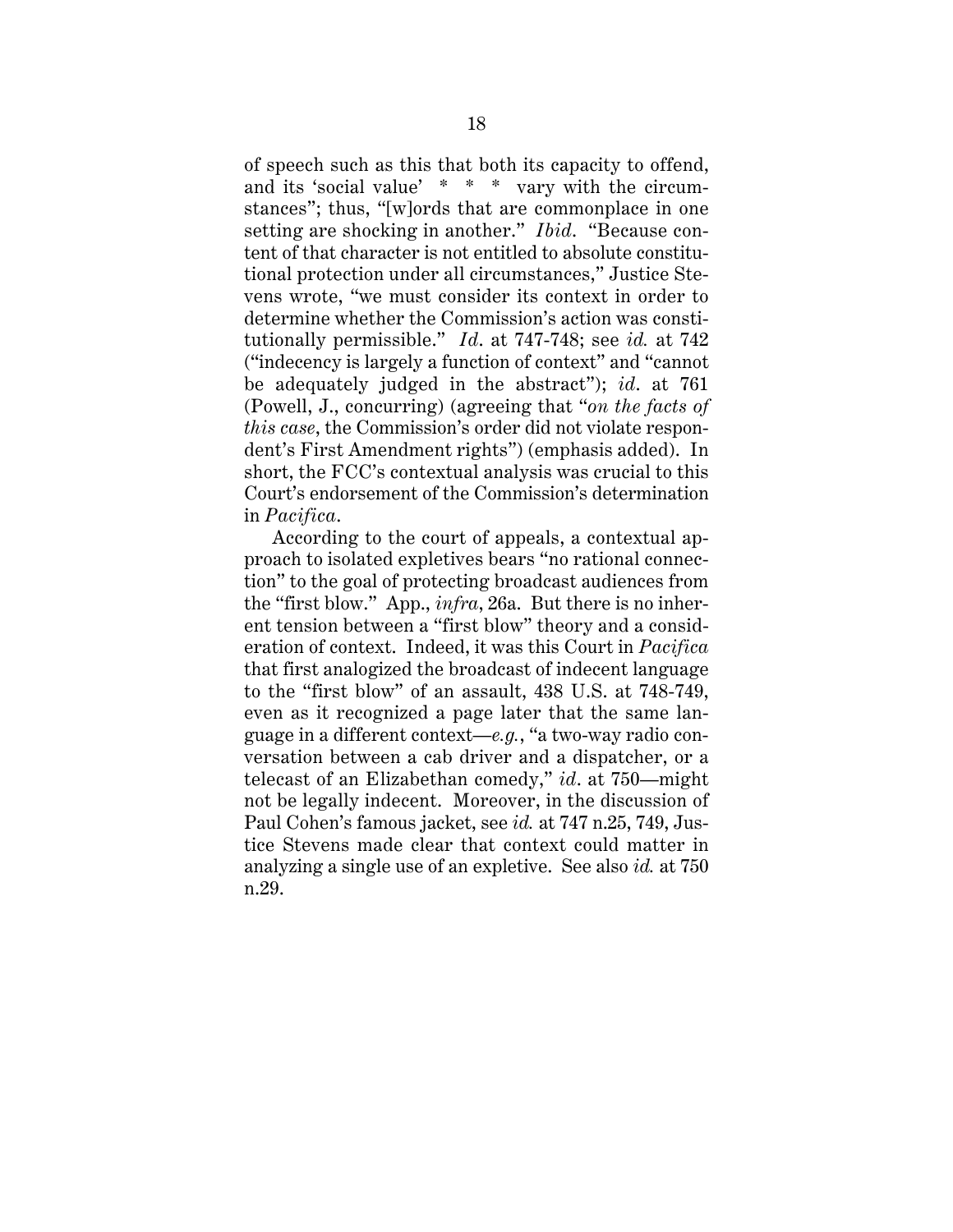of speech such as this that both its capacity to offend, and its 'social value' \* \* \* vary with the circumstances"; thus, "[w]ords that are commonplace in one setting are shocking in another." *Ibid*. "Because content of that character is not entitled to absolute constitutional protection under all circumstances," Justice Stevens wrote, "we must consider its context in order to determine whether the Commission's action was constitutionally permissible." *Id*. at 747-748; see *id.* at 742 ("indecency is largely a function of context" and "cannot be adequately judged in the abstract"); *id*. at 761 (Powell, J., concurring) (agreeing that "*on the facts of this case*, the Commission's order did not violate respondent's First Amendment rights") (emphasis added). In short, the FCC's contextual analysis was crucial to this Court's endorsement of the Commission's determination in *Pacifica*.

According to the court of appeals, a contextual approach to isolated expletives bears "no rational connection" to the goal of protecting broadcast audiences from the "first blow." App., *infra*, 26a. But there is no inherent tension between a "first blow" theory and a consideration of context. Indeed, it was this Court in *Pacifica* that first analogized the broadcast of indecent language to the "first blow" of an assault, 438 U.S. at 748-749, even as it recognized a page later that the same language in a different context—*e.g.*, "a two-way radio conversation between a cab driver and a dispatcher, or a telecast of an Elizabethan comedy," *id*. at 750—might not be legally indecent. Moreover, in the discussion of Paul Cohen's famous jacket, see *id.* at 747 n.25, 749, Justice Stevens made clear that context could matter in analyzing a single use of an expletive. See also *id.* at 750 n.29.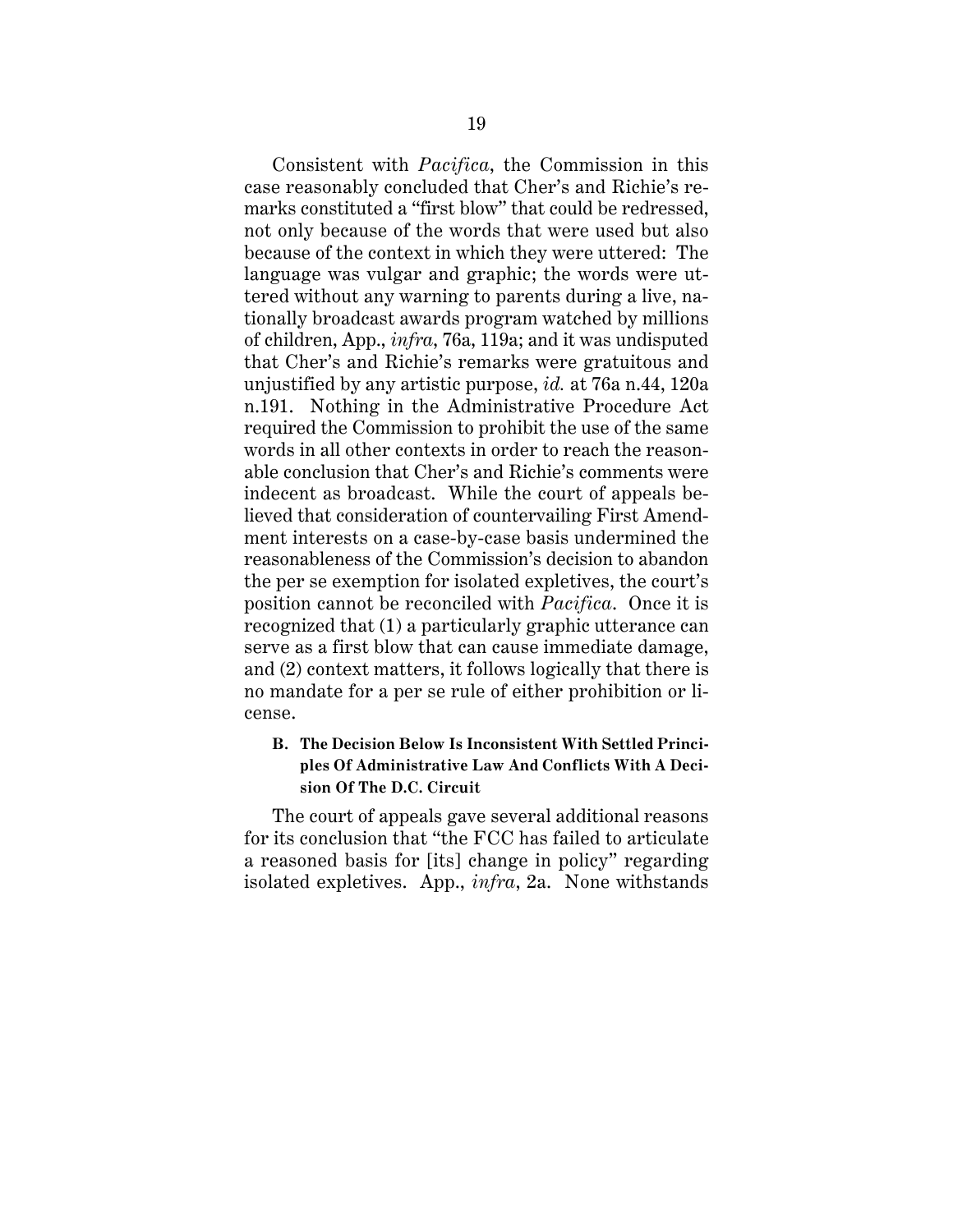Consistent with *Pacifica*, the Commission in this case reasonably concluded that Cher's and Richie's remarks constituted a "first blow" that could be redressed, not only because of the words that were used but also because of the context in which they were uttered: The language was vulgar and graphic; the words were uttered without any warning to parents during a live, nationally broadcast awards program watched by millions of children, App., *infra*, 76a, 119a; and it was undisputed that Cher's and Richie's remarks were gratuitous and unjustified by any artistic purpose, *id.* at 76a n.44, 120a n.191. Nothing in the Administrative Procedure Act required the Commission to prohibit the use of the same words in all other contexts in order to reach the reasonable conclusion that Cher's and Richie's comments were indecent as broadcast. While the court of appeals believed that consideration of countervailing First Amendment interests on a case-by-case basis undermined the reasonableness of the Commission's decision to abandon the per se exemption for isolated expletives, the court's position cannot be reconciled with *Pacifica*. Once it is recognized that (1) a particularly graphic utterance can serve as a first blow that can cause immediate damage, and (2) context matters, it follows logically that there is no mandate for a per se rule of either prohibition or license.

# **B. The Decision Below Is Inconsistent With Settled Principles Of Administrative Law And Conflicts With A Decision Of The D.C. Circuit**

The court of appeals gave several additional reasons for its conclusion that "the FCC has failed to articulate a reasoned basis for [its] change in policy" regarding isolated expletives. App., *infra*, 2a. None withstands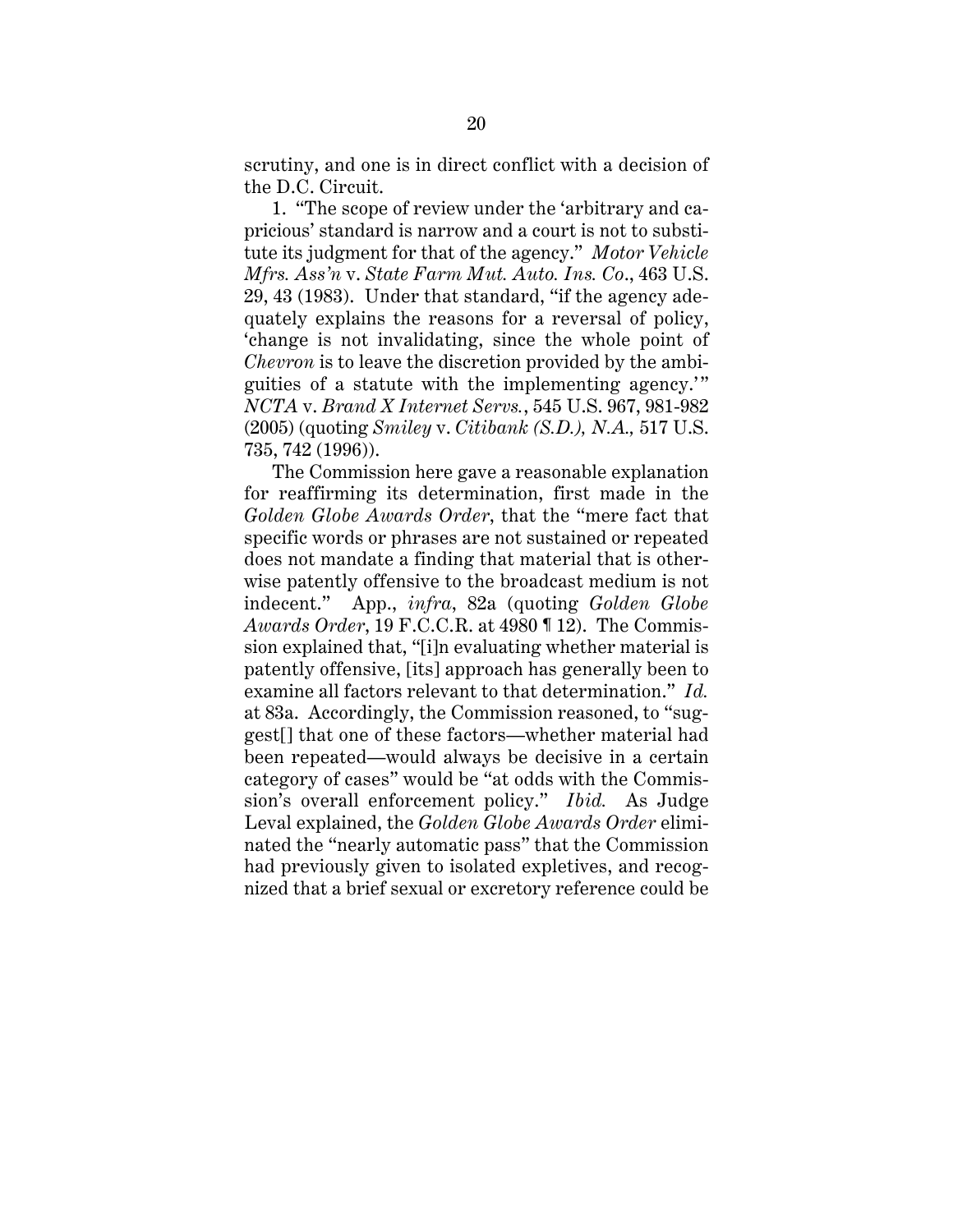scrutiny, and one is in direct conflict with a decision of the D.C. Circuit.

1. "The scope of review under the 'arbitrary and capricious' standard is narrow and a court is not to substitute its judgment for that of the agency." *Motor Vehicle Mfrs. Ass'n* v. *State Farm Mut. Auto. Ins. Co*., 463 U.S. 29, 43 (1983). Under that standard, "if the agency adequately explains the reasons for a reversal of policy, 'change is not invalidating, since the whole point of *Chevron* is to leave the discretion provided by the ambiguities of a statute with the implementing agency.'" *NCTA* v. *Brand X Internet Servs.*, 545 U.S. 967, 981-982 (2005) (quoting *Smiley* v. *Citibank (S.D.), N.A.,* 517 U.S. 735, 742 (1996)).

The Commission here gave a reasonable explanation for reaffirming its determination, first made in the *Golden Globe Awards Order*, that the "mere fact that specific words or phrases are not sustained or repeated does not mandate a finding that material that is otherwise patently offensive to the broadcast medium is not indecent." App., *infra*, 82a (quoting *Golden Globe Awards Order*, 19 F.C.C.R. at 4980 ¶ 12). The Commission explained that, "[i]n evaluating whether material is patently offensive, [its] approach has generally been to examine all factors relevant to that determination." *Id.* at 83a. Accordingly, the Commission reasoned, to "suggest[] that one of these factors—whether material had been repeated—would always be decisive in a certain category of cases" would be "at odds with the Commission's overall enforcement policy." *Ibid.* As Judge Leval explained, the *Golden Globe Awards Order* eliminated the "nearly automatic pass" that the Commission had previously given to isolated expletives, and recognized that a brief sexual or excretory reference could be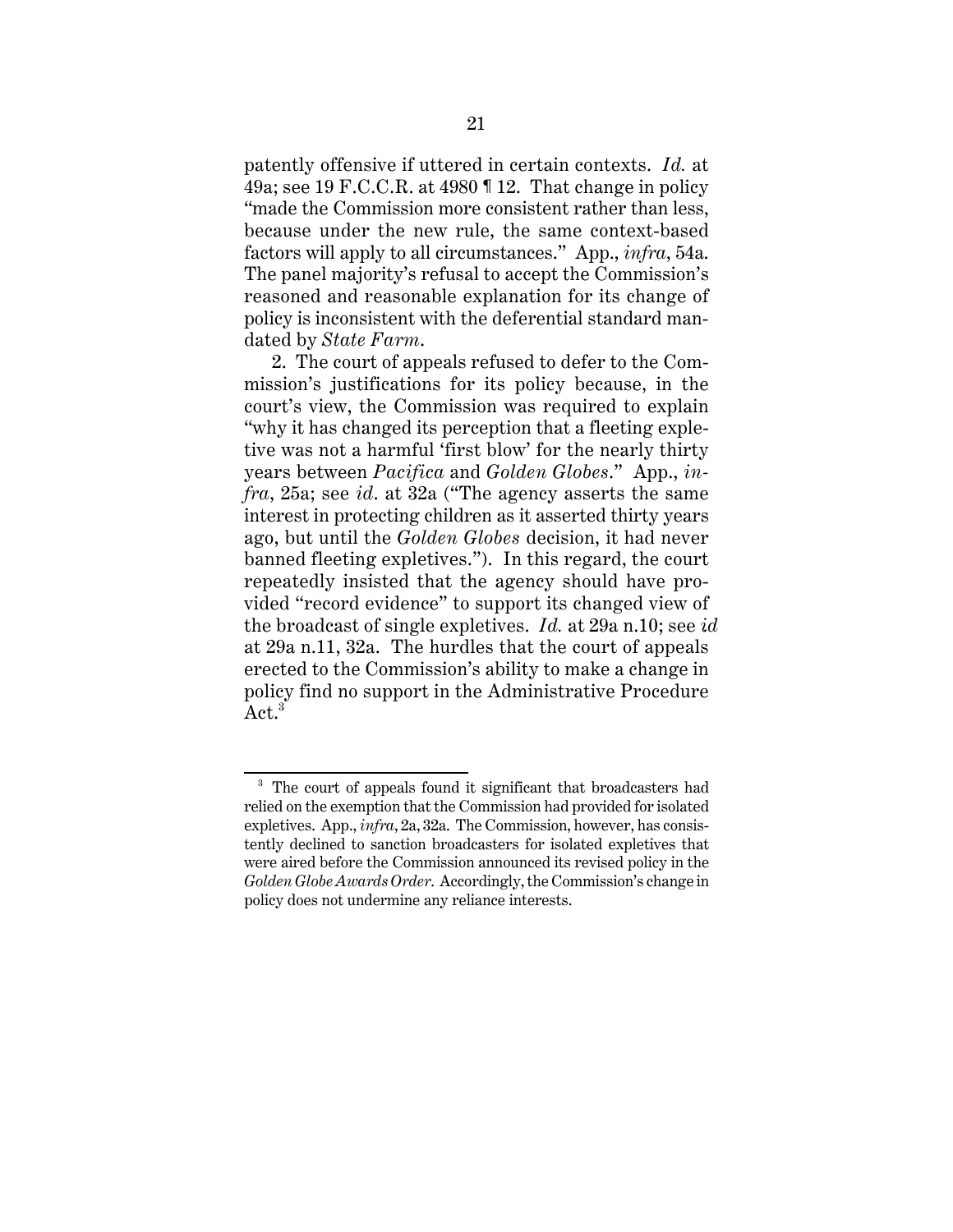patently offensive if uttered in certain contexts. *Id.* at 49a; see 19 F.C.C.R. at 4980  $\parallel$  12. That change in policy "made the Commission more consistent rather than less, because under the new rule, the same context-based factors will apply to all circumstances." App., *infra*, 54a. The panel majority's refusal to accept the Commission's reasoned and reasonable explanation for its change of policy is inconsistent with the deferential standard mandated by *State Farm*.

2. The court of appeals refused to defer to the Commission's justifications for its policy because, in the court's view, the Commission was required to explain "why it has changed its perception that a fleeting expletive was not a harmful 'first blow' for the nearly thirty years between *Pacifica* and *Golden Globes*." App., *infra*, 25a; see *id*. at 32a ("The agency asserts the same interest in protecting children as it asserted thirty years ago, but until the *Golden Globes* decision, it had never banned fleeting expletives."). In this regard, the court repeatedly insisted that the agency should have provided "record evidence" to support its changed view of the broadcast of single expletives. *Id.* at 29a n.10; see *id.* at 29a n.11, 32a. The hurdles that the court of appeals erected to the Commission's ability to make a change in policy find no support in the Administrative Procedure Act.<sup>3</sup>

<sup>&</sup>lt;sup>3</sup> The court of appeals found it significant that broadcasters had relied on the exemption that the Commission had provided for isolated expletives. App., *infra*, 2a, 32a. The Commission, however, has consistently declined to sanction broadcasters for isolated expletives that were aired before the Commission announced its revised policy in the *Golden Globe Awards Order*. Accordingly, the Commission's change in policy does not undermine any reliance interests.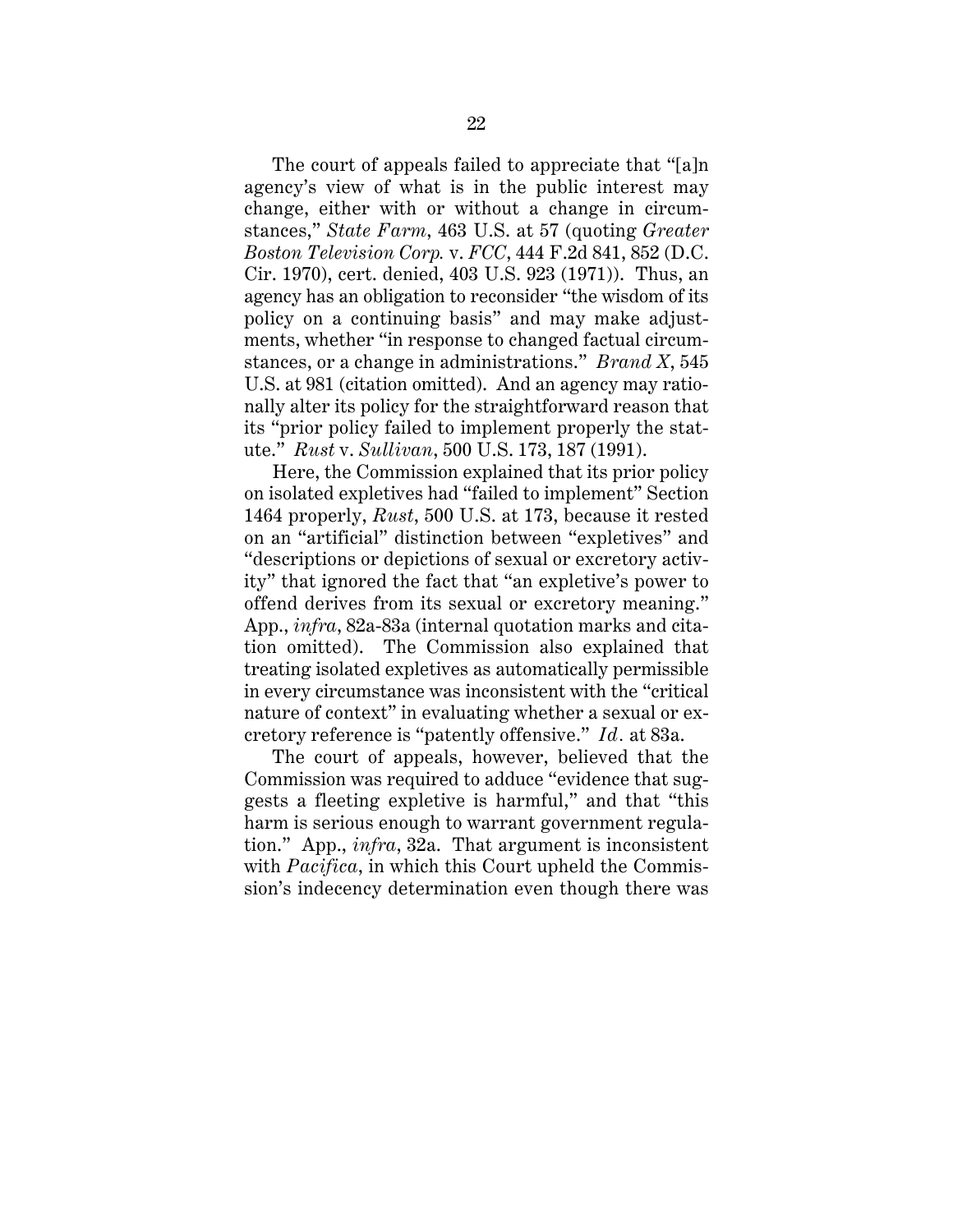The court of appeals failed to appreciate that "[a]n agency's view of what is in the public interest may change, either with or without a change in circumstances," *State Farm*, 463 U.S. at 57 (quoting *Greater Boston Television Corp.* v. *FCC*, 444 F.2d 841, 852 (D.C. Cir. 1970), cert. denied, 403 U.S. 923 (1971)). Thus, an agency has an obligation to reconsider "the wisdom of its policy on a continuing basis" and may make adjustments, whether "in response to changed factual circumstances, or a change in administrations." *Brand X*, 545 U.S. at 981 (citation omitted). And an agency may rationally alter its policy for the straightforward reason that its "prior policy failed to implement properly the statute." *Rust* v. *Sullivan*, 500 U.S. 173, 187 (1991).

Here, the Commission explained that its prior policy on isolated expletives had "failed to implement" Section 1464 properly, *Rust*, 500 U.S. at 173, because it rested on an "artificial" distinction between "expletives" and "descriptions or depictions of sexual or excretory activity" that ignored the fact that "an expletive's power to offend derives from its sexual or excretory meaning." App., *infra*, 82a-83a (internal quotation marks and citation omitted). The Commission also explained that treating isolated expletives as automatically permissible in every circumstance was inconsistent with the "critical nature of context" in evaluating whether a sexual or excretory reference is "patently offensive." *Id.* at 83a.

The court of appeals, however, believed that the Commission was required to adduce "evidence that suggests a fleeting expletive is harmful," and that "this harm is serious enough to warrant government regulation." App., *infra*, 32a. That argument is inconsistent with *Pacifica*, in which this Court upheld the Commission's indecency determination even though there was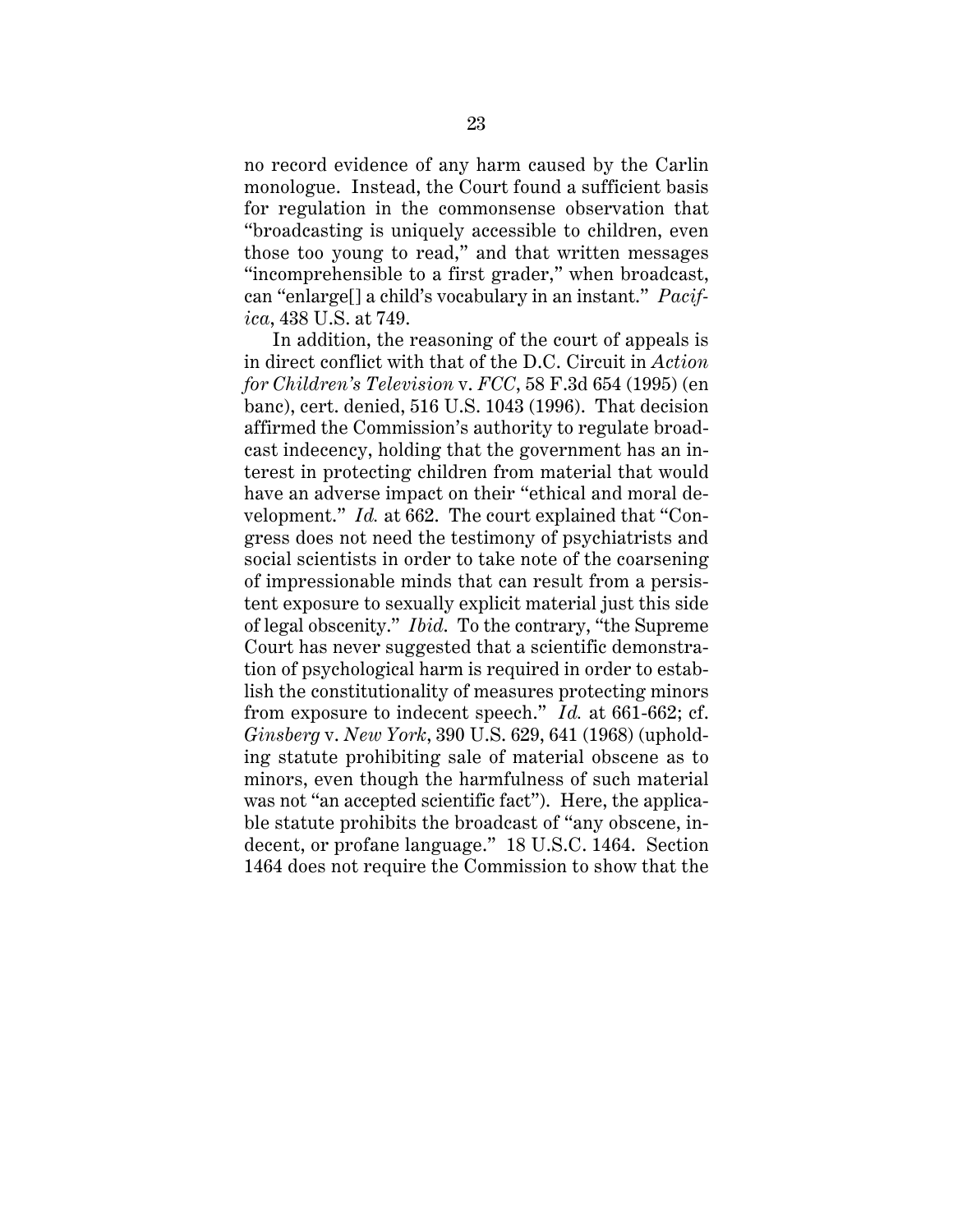no record evidence of any harm caused by the Carlin monologue. Instead, the Court found a sufficient basis for regulation in the commonsense observation that "broadcasting is uniquely accessible to children, even those too young to read," and that written messages "incomprehensible to a first grader," when broadcast, can "enlarge[] a child's vocabulary in an instant." *Pacifica*, 438 U.S. at 749.

In addition, the reasoning of the court of appeals is in direct conflict with that of the D.C. Circuit in *Action for Children's Television* v. *FCC*, 58 F.3d 654 (1995) (en banc), cert. denied, 516 U.S. 1043 (1996). That decision affirmed the Commission's authority to regulate broadcast indecency, holding that the government has an interest in protecting children from material that would have an adverse impact on their "ethical and moral development." *Id.* at 662. The court explained that "Congress does not need the testimony of psychiatrists and social scientists in order to take note of the coarsening of impressionable minds that can result from a persistent exposure to sexually explicit material just this side of legal obscenity." *Ibid*. To the contrary, "the Supreme Court has never suggested that a scientific demonstration of psychological harm is required in order to establish the constitutionality of measures protecting minors from exposure to indecent speech." *Id.* at 661-662; cf. *Ginsberg* v. *New York*, 390 U.S. 629, 641 (1968) (upholding statute prohibiting sale of material obscene as to minors, even though the harmfulness of such material was not "an accepted scientific fact"). Here, the applicable statute prohibits the broadcast of "any obscene, indecent, or profane language." 18 U.S.C. 1464. Section 1464 does not require the Commission to show that the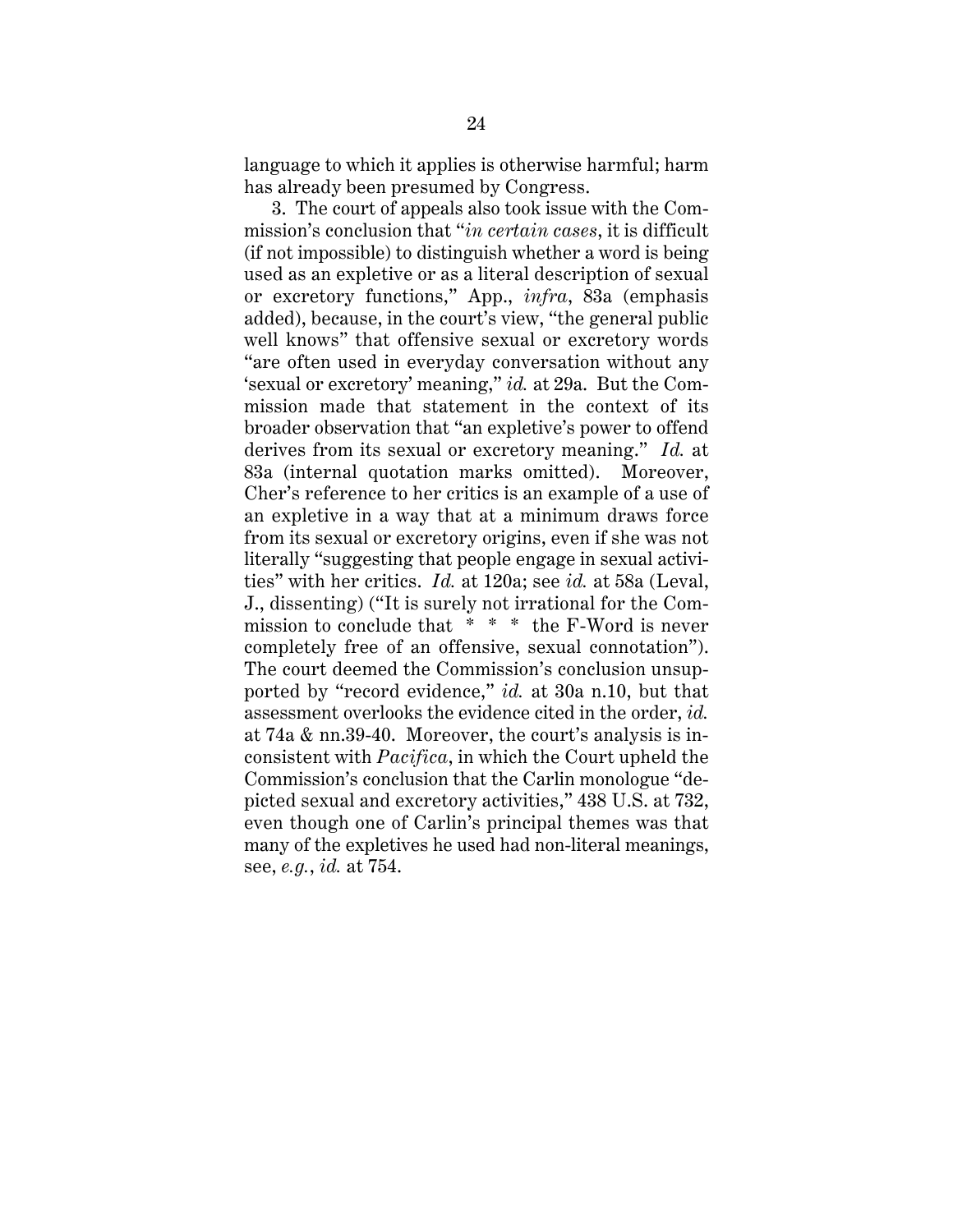language to which it applies is otherwise harmful; harm has already been presumed by Congress.

3. The court of appeals also took issue with the Commission's conclusion that "*in certain cases*, it is difficult (if not impossible) to distinguish whether a word is being used as an expletive or as a literal description of sexual or excretory functions," App., *infra*, 83a (emphasis added), because, in the court's view, "the general public well knows" that offensive sexual or excretory words "are often used in everyday conversation without any 'sexual or excretory' meaning," *id.* at 29a. But the Commission made that statement in the context of its broader observation that "an expletive's power to offend derives from its sexual or excretory meaning." *Id.* at 83a (internal quotation marks omitted). Moreover, Cher's reference to her critics is an example of a use of an expletive in a way that at a minimum draws force from its sexual or excretory origins, even if she was not literally "suggesting that people engage in sexual activities" with her critics. *Id.* at 120a; see *id.* at 58a (Leval, J., dissenting) ("It is surely not irrational for the Commission to conclude that \* \* \* the F-Word is never completely free of an offensive, sexual connotation"). The court deemed the Commission's conclusion unsupported by "record evidence," *id.* at 30a n.10, but that assessment overlooks the evidence cited in the order, *id.* at 74a & nn.39-40. Moreover, the court's analysis is inconsistent with *Pacifica*, in which the Court upheld the Commission's conclusion that the Carlin monologue "depicted sexual and excretory activities," 438 U.S. at 732, even though one of Carlin's principal themes was that many of the expletives he used had non-literal meanings, see, *e.g.*, *id.* at 754.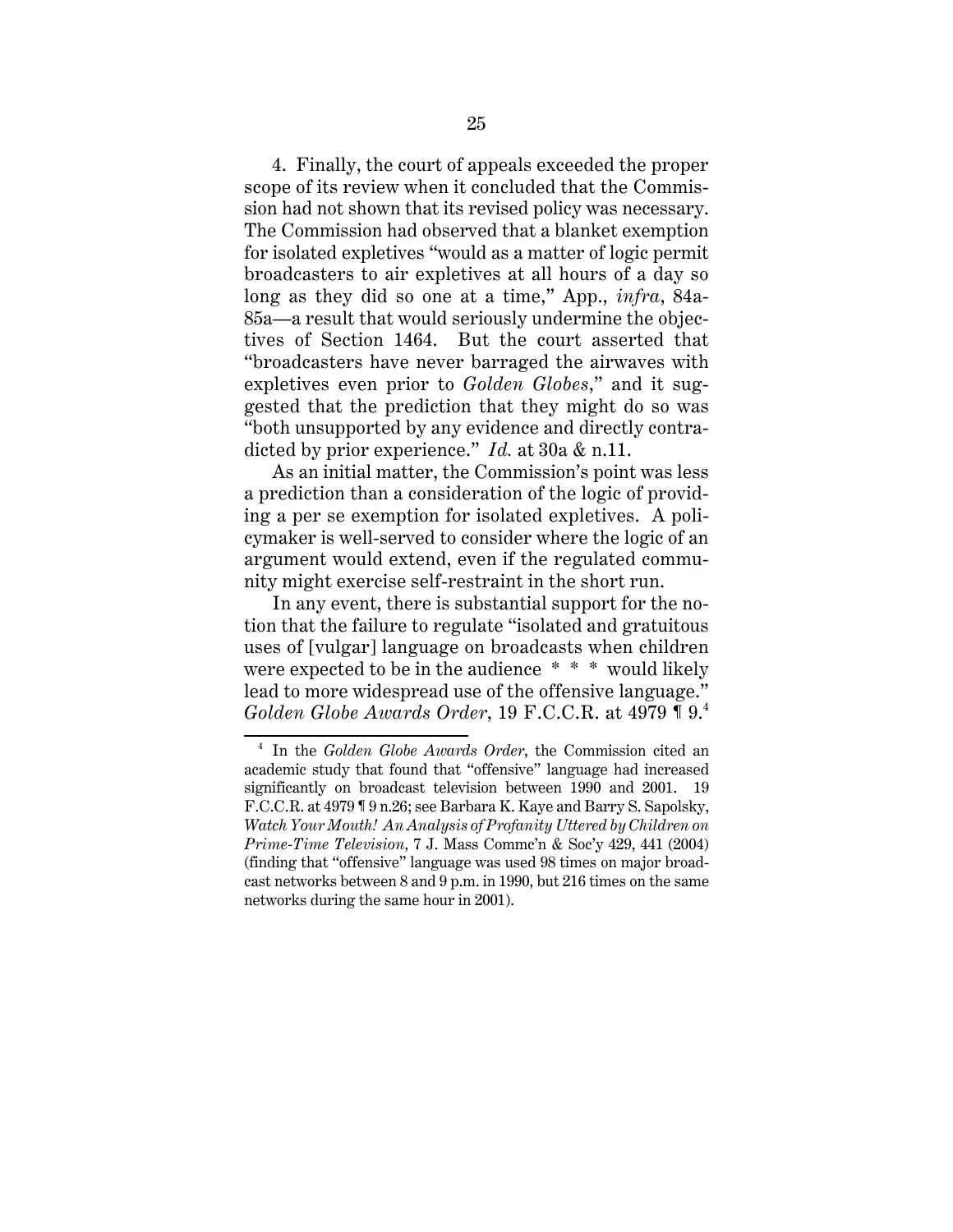4. Finally, the court of appeals exceeded the proper scope of its review when it concluded that the Commission had not shown that its revised policy was necessary. The Commission had observed that a blanket exemption for isolated expletives "would as a matter of logic permit broadcasters to air expletives at all hours of a day so long as they did so one at a time," App., *infra*, 84a-85a—a result that would seriously undermine the objectives of Section 1464. But the court asserted that "broadcasters have never barraged the airwaves with expletives even prior to *Golden Globes*," and it suggested that the prediction that they might do so was "both unsupported by any evidence and directly contradicted by prior experience." *Id.* at 30a & n.11.

As an initial matter, the Commission's point was less a prediction than a consideration of the logic of providing a per se exemption for isolated expletives. A policymaker is well-served to consider where the logic of an argument would extend, even if the regulated community might exercise self-restraint in the short run.

In any event, there is substantial support for the notion that the failure to regulate "isolated and gratuitous uses of [vulgar] language on broadcasts when children were expected to be in the audience \* \* \* would likely lead to more widespread use of the offensive language." *Golden Globe Awards Order*, 19 F.C.C.R. at 4979 ¶ 9.<sup>4</sup>

<sup>4</sup> In the *Golden Globe Awards Order*, the Commission cited an academic study that found that "offensive" language had increased significantly on broadcast television between 1990 and 2001. 19 F.C.C.R. at 4979 ¶ 9 n.26; see Barbara K. Kaye and Barry S. Sapolsky, *Watch Your Mouth! An Analysis of Profanity Uttered by Children on Prime-Time Television*, 7 J. Mass Commc'n & Soc'y 429, 441 (2004) (finding that "offensive" language was used 98 times on major broadcast networks between 8 and 9 p.m. in 1990, but 216 times on the same networks during the same hour in 2001).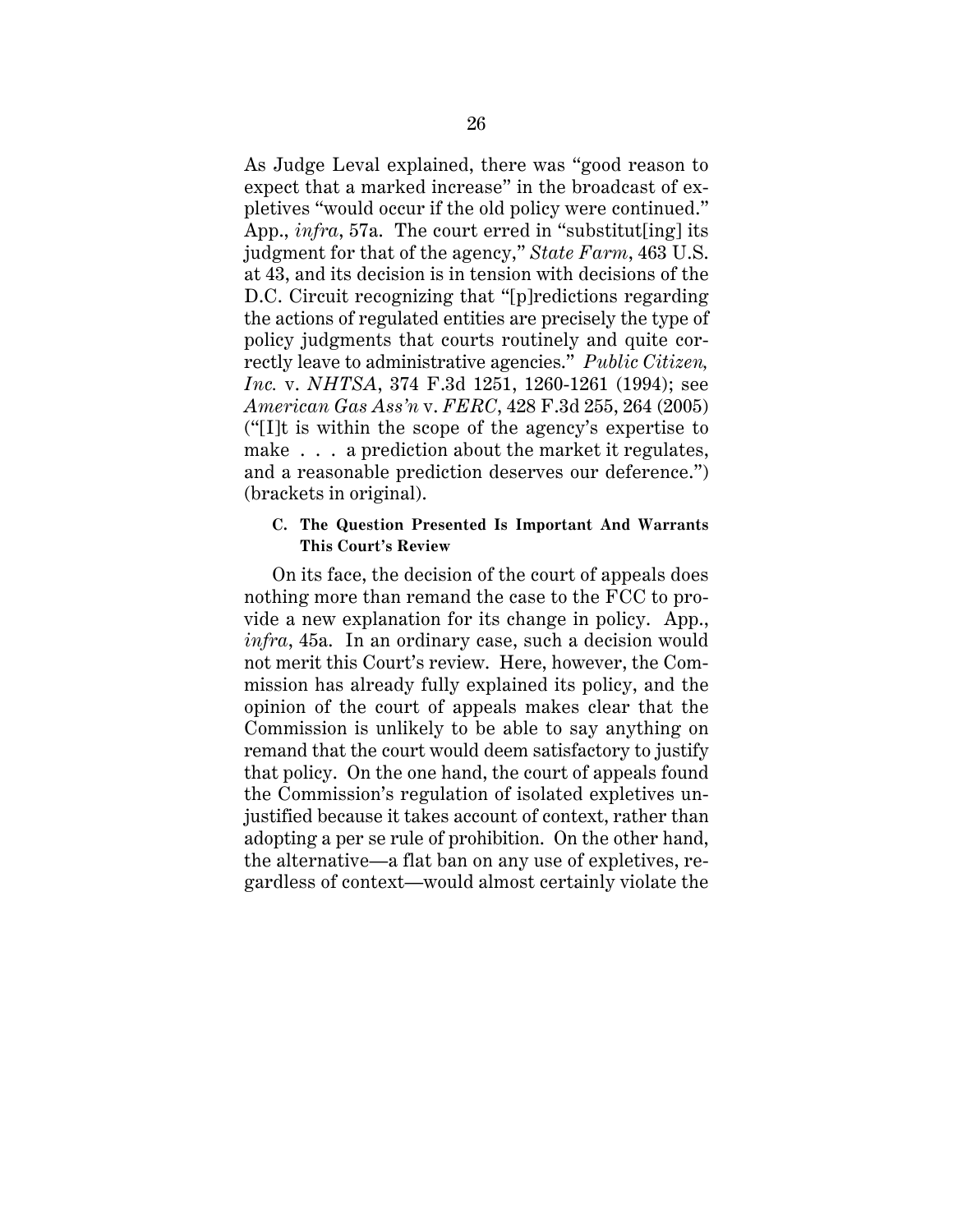As Judge Leval explained, there was "good reason to expect that a marked increase" in the broadcast of expletives "would occur if the old policy were continued." App., *infra*, 57a. The court erred in "substitut[ing] its judgment for that of the agency," *State Farm*, 463 U.S. at 43, and its decision is in tension with decisions of the D.C. Circuit recognizing that "[p]redictions regarding the actions of regulated entities are precisely the type of policy judgments that courts routinely and quite correctly leave to administrative agencies." *Public Citizen, Inc.* v. *NHTSA*, 374 F.3d 1251, 1260-1261 (1994); see *American Gas Ass'n* v. *FERC*, 428 F.3d 255, 264 (2005) ("[I]t is within the scope of the agency's expertise to make . . . a prediction about the market it regulates, and a reasonable prediction deserves our deference.") (brackets in original).

# **C. The Question Presented Is Important And Warrants This Court's Review**

On its face, the decision of the court of appeals does nothing more than remand the case to the FCC to provide a new explanation for its change in policy. App., *infra*, 45a. In an ordinary case, such a decision would not merit this Court's review. Here, however, the Commission has already fully explained its policy, and the opinion of the court of appeals makes clear that the Commission is unlikely to be able to say anything on remand that the court would deem satisfactory to justify that policy. On the one hand, the court of appeals found the Commission's regulation of isolated expletives unjustified because it takes account of context, rather than adopting a per se rule of prohibition. On the other hand, the alternative—a flat ban on any use of expletives, regardless of context—would almost certainly violate the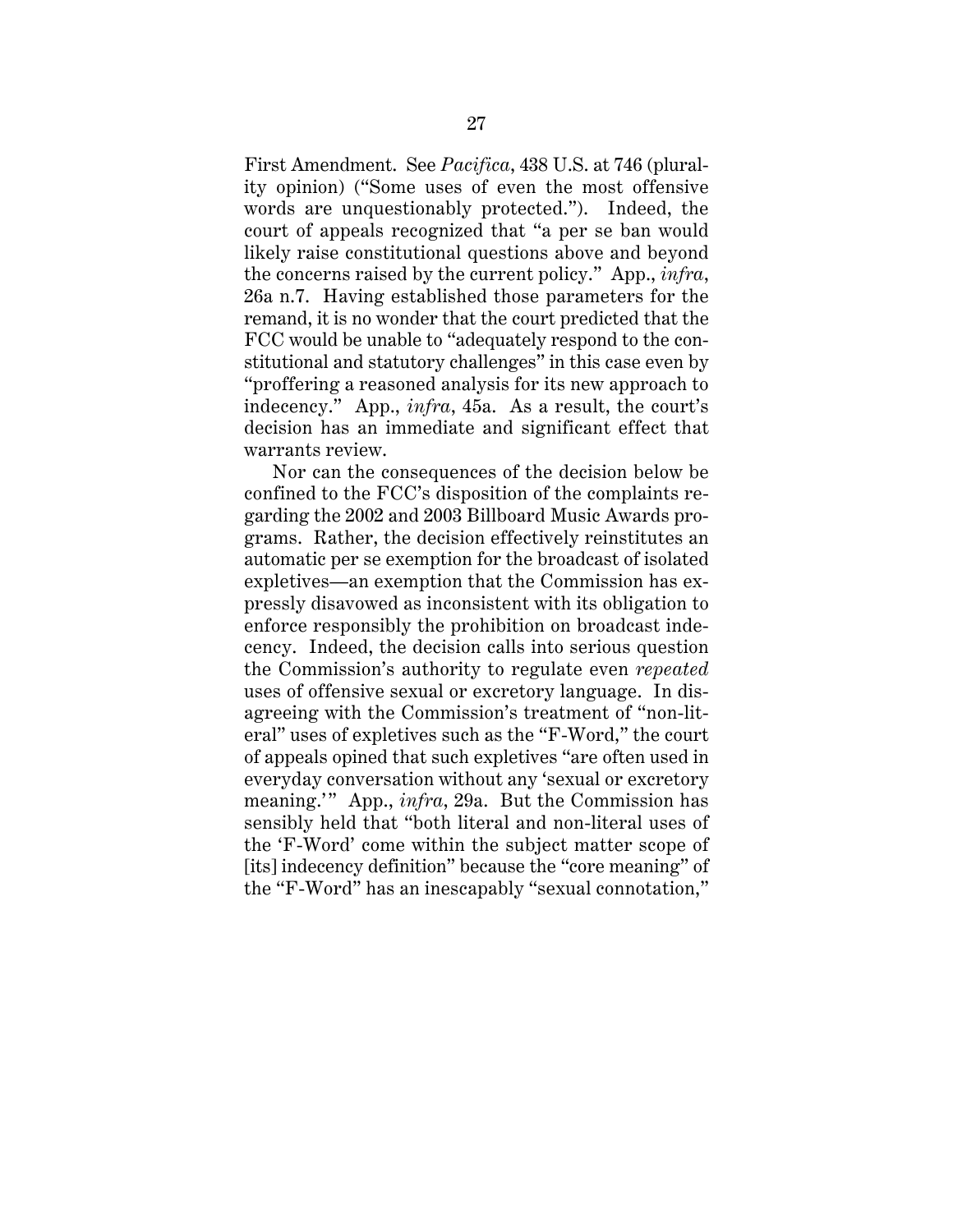First Amendment. See *Pacifica*, 438 U.S. at 746 (plurality opinion) ("Some uses of even the most offensive words are unquestionably protected."). Indeed, the court of appeals recognized that "a per se ban would likely raise constitutional questions above and beyond the concerns raised by the current policy." App., *infra*, 26a n.7. Having established those parameters for the remand, it is no wonder that the court predicted that the FCC would be unable to "adequately respond to the constitutional and statutory challenges" in this case even by "proffering a reasoned analysis for its new approach to indecency." App., *infra*, 45a. As a result, the court's decision has an immediate and significant effect that warrants review.

Nor can the consequences of the decision below be confined to the FCC's disposition of the complaints regarding the 2002 and 2003 Billboard Music Awards programs. Rather, the decision effectively reinstitutes an automatic per se exemption for the broadcast of isolated expletives—an exemption that the Commission has expressly disavowed as inconsistent with its obligation to enforce responsibly the prohibition on broadcast indecency. Indeed, the decision calls into serious question the Commission's authority to regulate even *repeated* uses of offensive sexual or excretory language. In disagreeing with the Commission's treatment of "non-literal" uses of expletives such as the "F-Word," the court of appeals opined that such expletives "are often used in everyday conversation without any 'sexual or excretory meaning.'" App., *infra*, 29a. But the Commission has sensibly held that "both literal and non-literal uses of the 'F-Word' come within the subject matter scope of [its] indecency definition" because the "core meaning" of the "F-Word" has an inescapably "sexual connotation,"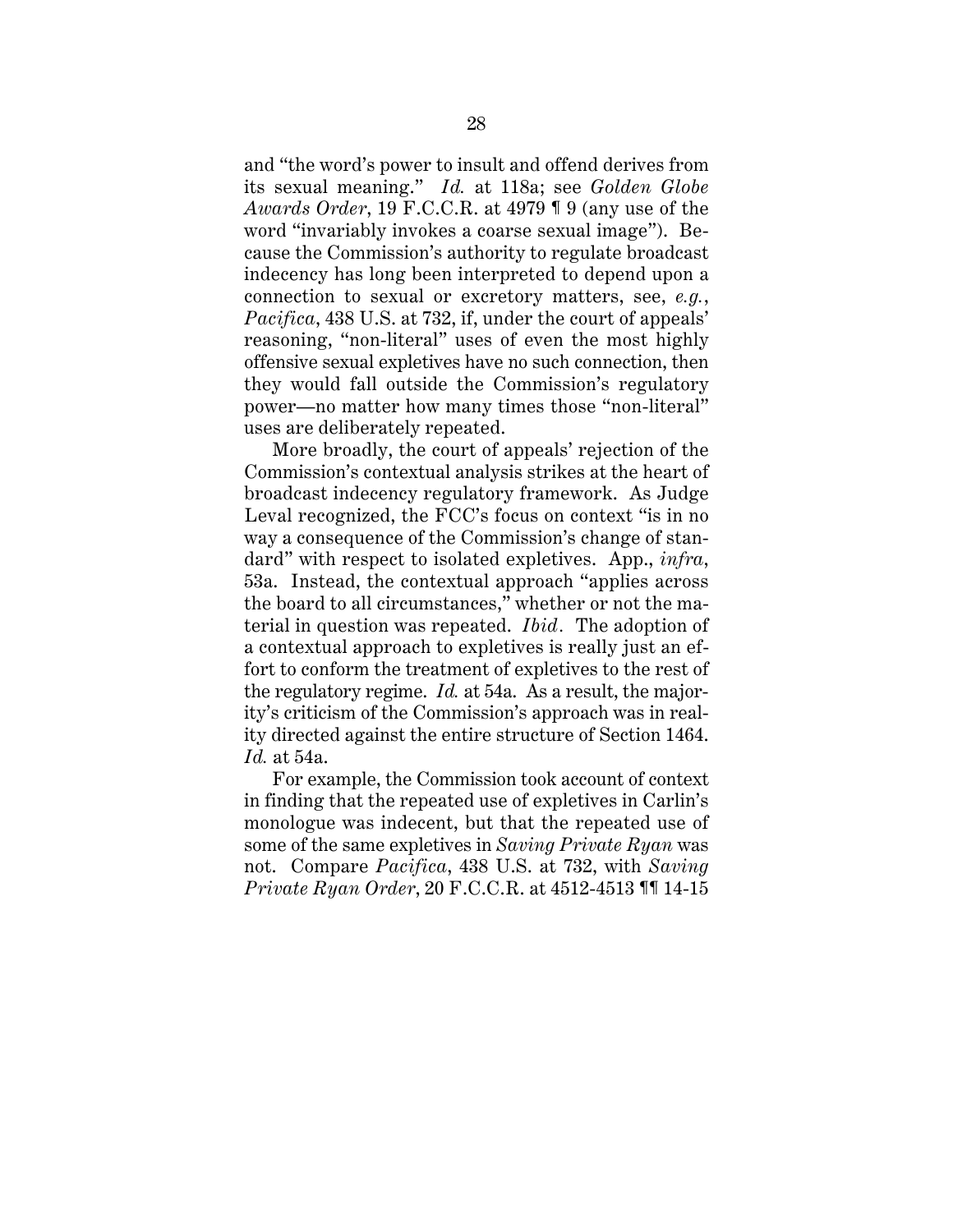and "the word's power to insult and offend derives from its sexual meaning." *Id.* at 118a; see *Golden Globe Awards Order*, 19 F.C.C.R. at 4979 ¶ 9 (any use of the word "invariably invokes a coarse sexual image"). Because the Commission's authority to regulate broadcast indecency has long been interpreted to depend upon a connection to sexual or excretory matters, see, *e.g.*, *Pacifica*, 438 U.S. at 732, if, under the court of appeals' reasoning, "non-literal" uses of even the most highly offensive sexual expletives have no such connection, then they would fall outside the Commission's regulatory power—no matter how many times those "non-literal" uses are deliberately repeated.

More broadly, the court of appeals' rejection of the Commission's contextual analysis strikes at the heart of broadcast indecency regulatory framework. As Judge Leval recognized, the FCC's focus on context "is in no way a consequence of the Commission's change of standard" with respect to isolated expletives. App., *infra*, 53a. Instead, the contextual approach "applies across the board to all circumstances," whether or not the material in question was repeated. *Ibid.* The adoption of a contextual approach to expletives is really just an effort to conform the treatment of expletives to the rest of the regulatory regime. *Id.* at 54a. As a result, the majority's criticism of the Commission's approach was in reality directed against the entire structure of Section 1464. *Id.* at 54a.

For example, the Commission took account of context in finding that the repeated use of expletives in Carlin's monologue was indecent, but that the repeated use of some of the same expletives in *Saving Private Ryan* was not. Compare *Pacifica*, 438 U.S. at 732, with *Saving Private Ryan Order*, 20 F.C.C.R. at 4512-4513 ¶¶ 14-15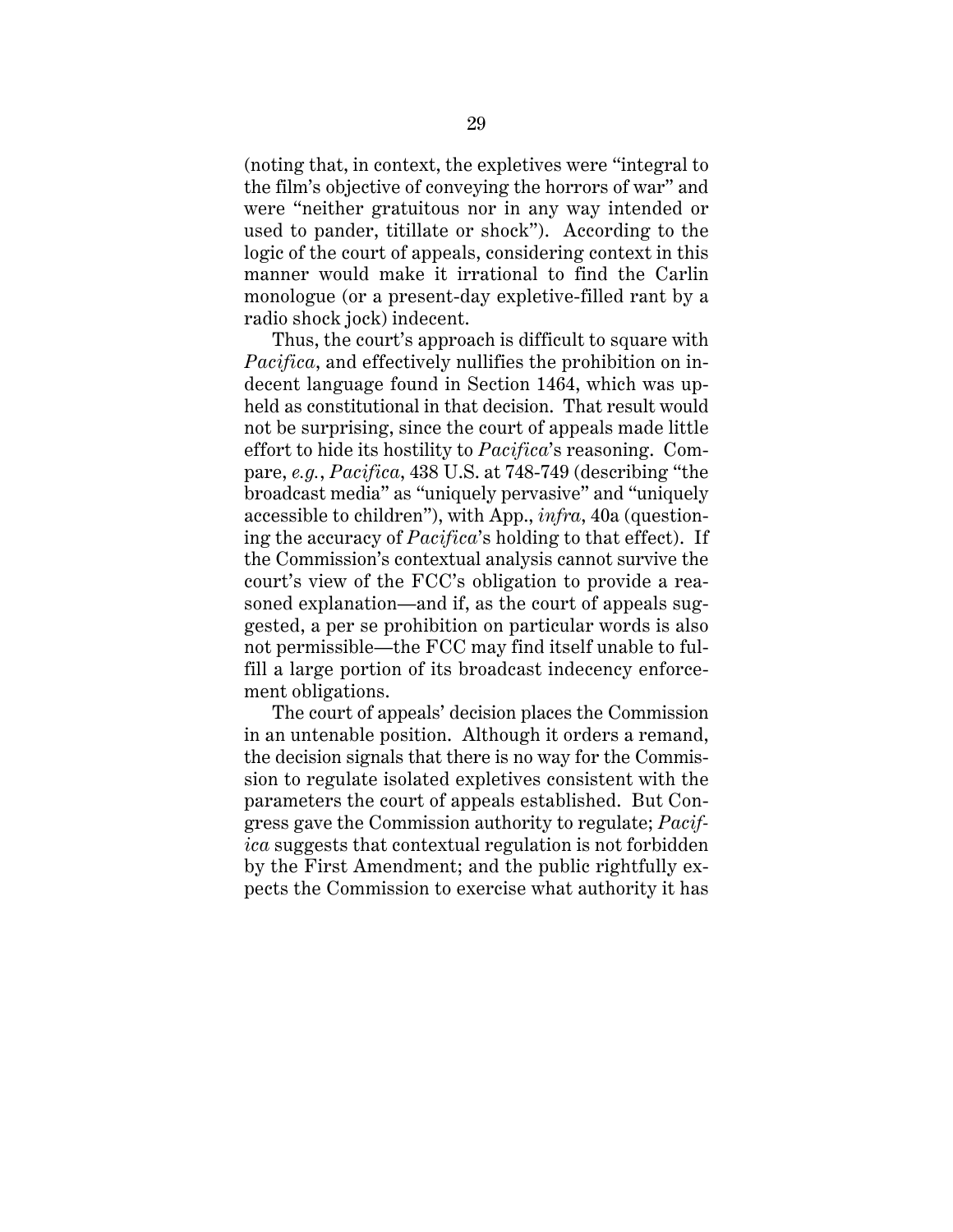(noting that, in context, the expletives were "integral to the film's objective of conveying the horrors of war" and were "neither gratuitous nor in any way intended or used to pander, titillate or shock"). According to the logic of the court of appeals, considering context in this manner would make it irrational to find the Carlin monologue (or a present-day expletive-filled rant by a radio shock jock) indecent.

Thus, the court's approach is difficult to square with *Pacifica*, and effectively nullifies the prohibition on indecent language found in Section 1464, which was upheld as constitutional in that decision. That result would not be surprising, since the court of appeals made little effort to hide its hostility to *Pacifica*'s reasoning. Compare, *e.g.*, *Pacifica*, 438 U.S. at 748-749 (describing "the broadcast media" as "uniquely pervasive" and "uniquely accessible to children"), with App., *infra*, 40a (questioning the accuracy of *Pacifica*'s holding to that effect). If the Commission's contextual analysis cannot survive the court's view of the FCC's obligation to provide a reasoned explanation—and if, as the court of appeals suggested, a per se prohibition on particular words is also not permissible—the FCC may find itself unable to fulfill a large portion of its broadcast indecency enforcement obligations.

The court of appeals' decision places the Commission in an untenable position. Although it orders a remand, the decision signals that there is no way for the Commission to regulate isolated expletives consistent with the parameters the court of appeals established. But Congress gave the Commission authority to regulate; *Pacifica* suggests that contextual regulation is not forbidden by the First Amendment; and the public rightfully expects the Commission to exercise what authority it has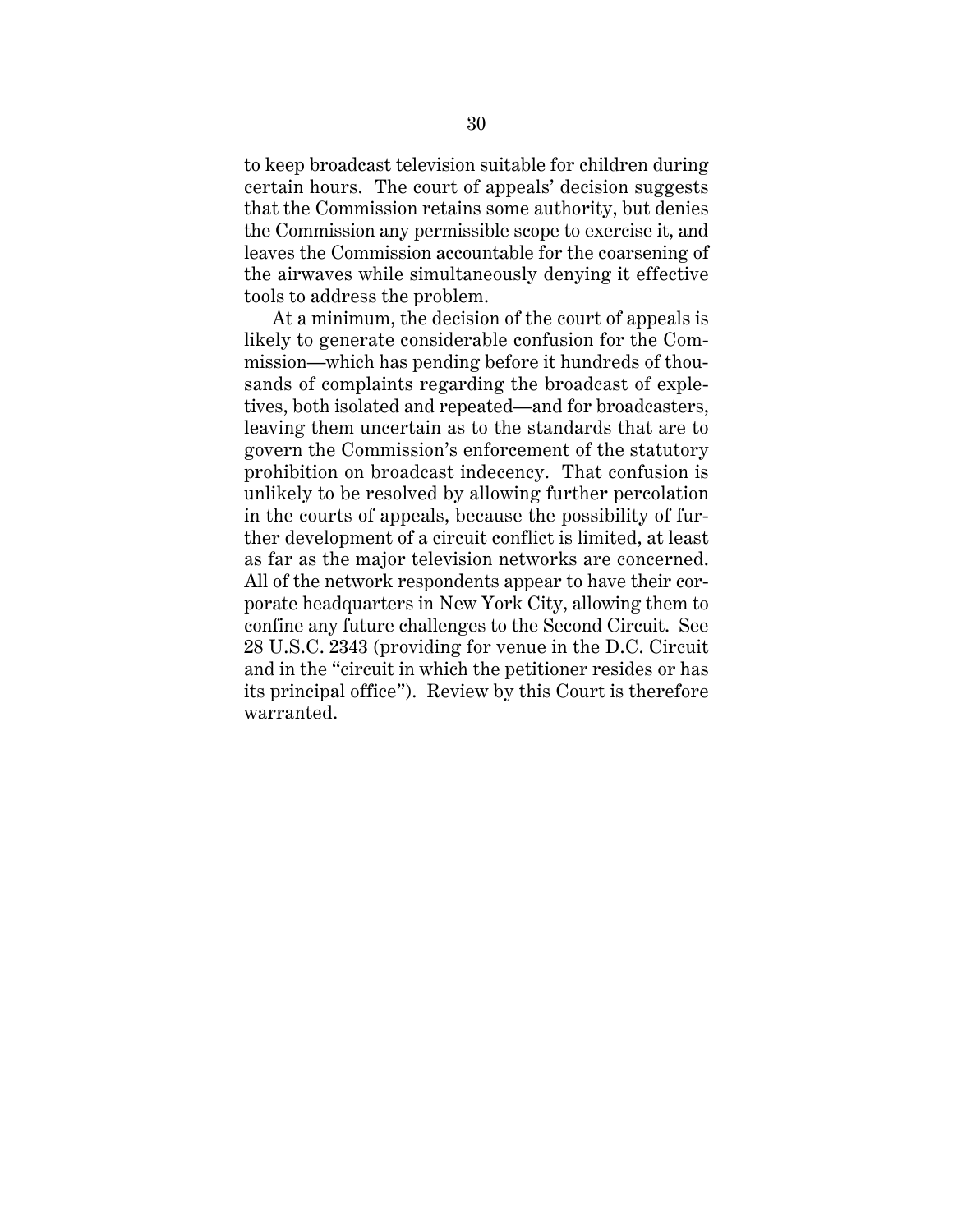to keep broadcast television suitable for children during certain hours. The court of appeals' decision suggests that the Commission retains some authority, but denies the Commission any permissible scope to exercise it, and leaves the Commission accountable for the coarsening of the airwaves while simultaneously denying it effective tools to address the problem.

At a minimum, the decision of the court of appeals is likely to generate considerable confusion for the Commission—which has pending before it hundreds of thousands of complaints regarding the broadcast of expletives, both isolated and repeated—and for broadcasters, leaving them uncertain as to the standards that are to govern the Commission's enforcement of the statutory prohibition on broadcast indecency. That confusion is unlikely to be resolved by allowing further percolation in the courts of appeals, because the possibility of further development of a circuit conflict is limited, at least as far as the major television networks are concerned. All of the network respondents appear to have their corporate headquarters in New York City, allowing them to confine any future challenges to the Second Circuit. See 28 U.S.C. 2343 (providing for venue in the D.C. Circuit and in the "circuit in which the petitioner resides or has its principal office"). Review by this Court is therefore warranted.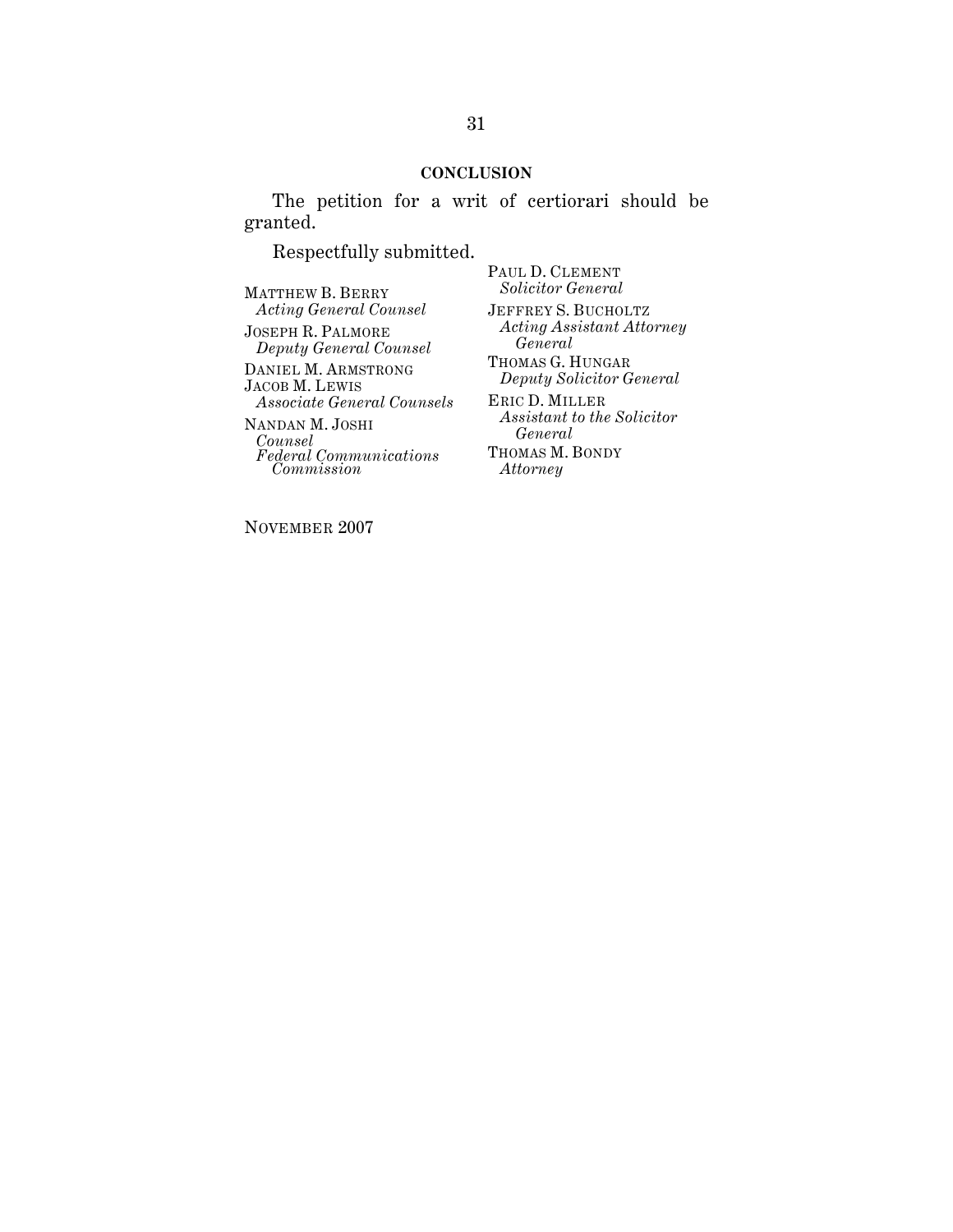## **CONCLUSION**

The petition for a writ of certiorari should be granted.

Respectfully submitted.

MATTHEW B. BERRY *Acting General Counsel*

JOSEPH R. PALMORE *Deputy General Counsel*

DANIEL M. ARMSTRONG JACOB M. LEWIS *Associate General Counsels* NANDAN M. JOSHI *Counsel Federal Communications Commission*

PAUL D. CLEMENT *Solicitor General* JEFFREY S. BUCHOLTZ *Acting Assistant Attorney General* THOMAS G. HUNGAR *Deputy Solicitor General* ERIC D. MILLER *Assistant to the Solicitor General* THOMAS M. BONDY *Attorney*

NOVEMBER 2007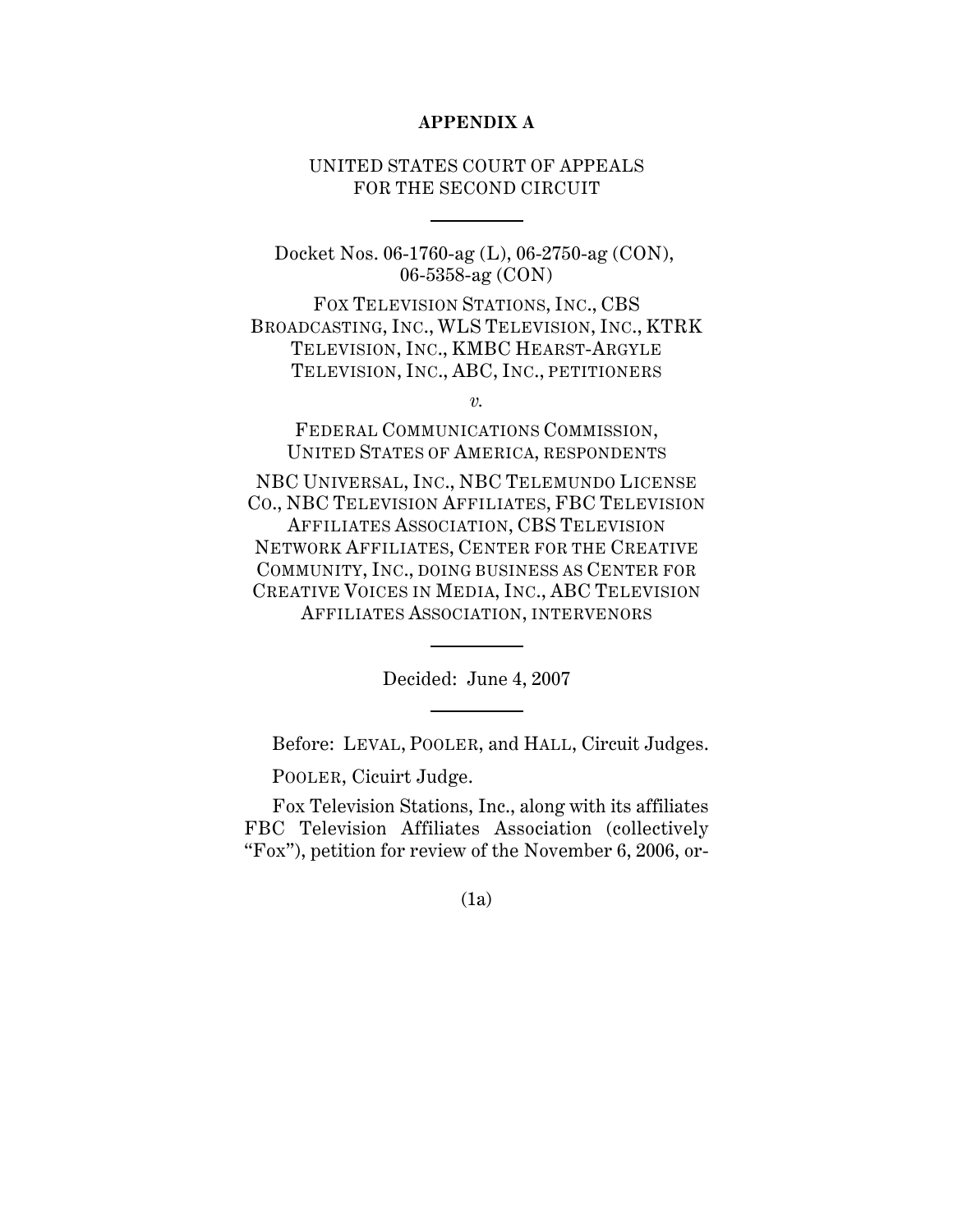## **APPENDIX A**

# UNITED STATES COURT OF APPEALS FOR THE SECOND CIRCUIT

Docket Nos. 06-1760-ag (L), 06-2750-ag (CON), 06-5358-ag (CON)

FOX TELEVISION STATIONS, INC., CBS BROADCASTING, INC., WLS TELEVISION, INC., KTRK TELEVISION, INC., KMBC HEARST-ARGYLE TELEVISION, INC., ABC, INC., PETITIONERS

*v.*

FEDERAL COMMUNICATIONS COMMISSION, UNITED STATES OF AMERICA, RESPONDENTS

NBC UNIVERSAL, INC., NBC TELEMUNDO LICENSE CO., NBC TELEVISION AFFILIATES, FBC TELEVISION AFFILIATES ASSOCIATION, CBS TELEVISION NETWORK AFFILIATES, CENTER FOR THE CREATIVE COMMUNITY, INC., DOING BUSINESS AS CENTER FOR CREATIVE VOICES IN MEDIA, INC., ABC TELEVISION AFFILIATES ASSOCIATION, INTERVENORS

Decided: June 4, 2007

Before: LEVAL, POOLER, and HALL, Circuit Judges.

POOLER, Cicuirt Judge.

Fox Television Stations, Inc., along with its affiliates FBC Television Affiliates Association (collectively "Fox"), petition for review of the November 6, 2006, or-

(1a)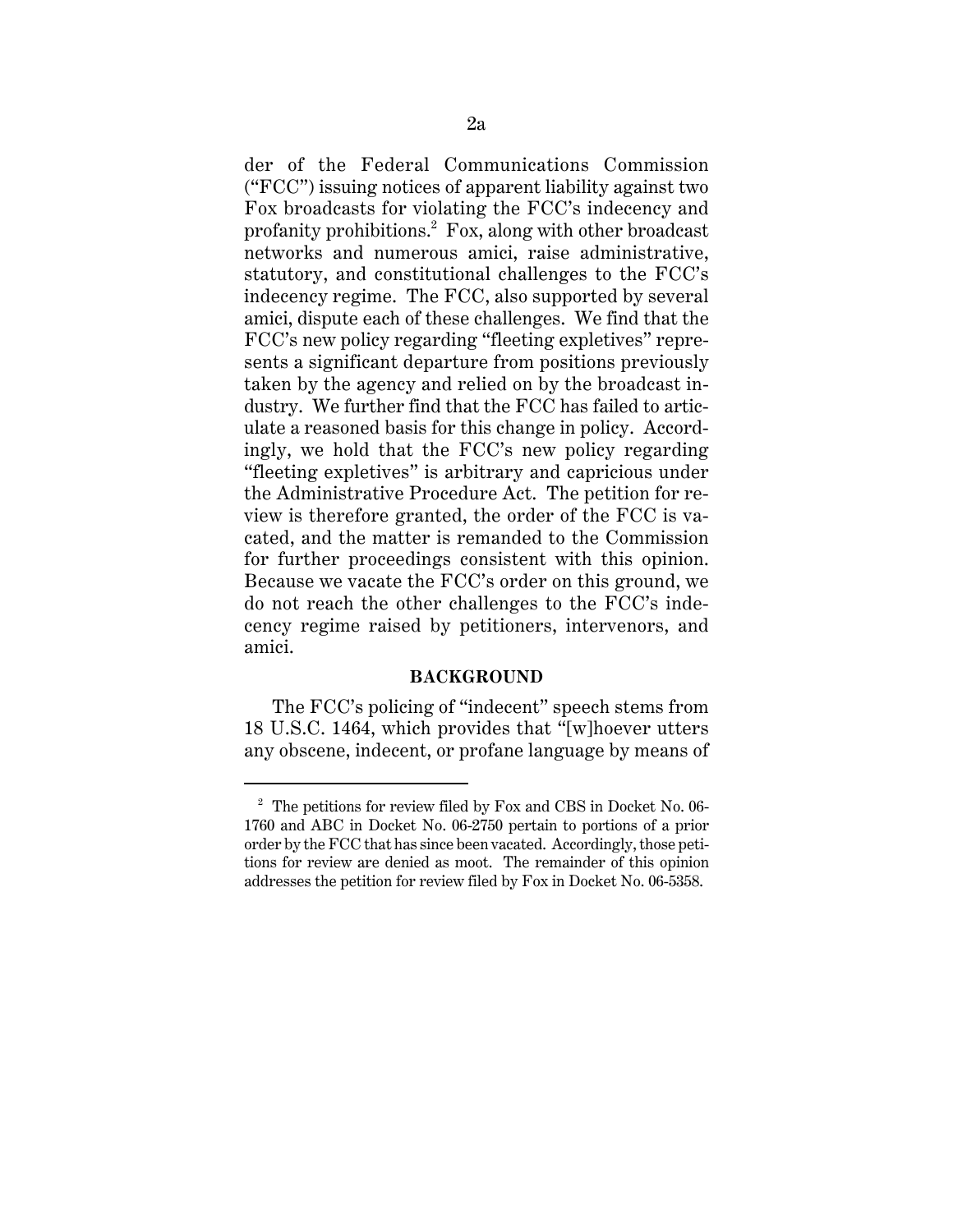der of the Federal Communications Commission ("FCC") issuing notices of apparent liability against two Fox broadcasts for violating the FCC's indecency and profanity prohibitions.<sup>2</sup> Fox, along with other broadcast networks and numerous amici, raise administrative, statutory, and constitutional challenges to the FCC's indecency regime. The FCC, also supported by several amici, dispute each of these challenges. We find that the FCC's new policy regarding "fleeting expletives" represents a significant departure from positions previously taken by the agency and relied on by the broadcast industry. We further find that the FCC has failed to articulate a reasoned basis for this change in policy. Accordingly, we hold that the FCC's new policy regarding "fleeting expletives" is arbitrary and capricious under the Administrative Procedure Act. The petition for review is therefore granted, the order of the FCC is vacated, and the matter is remanded to the Commission for further proceedings consistent with this opinion. Because we vacate the FCC's order on this ground, we do not reach the other challenges to the FCC's indecency regime raised by petitioners, intervenors, and amici.

### **BACKGROUND**

The FCC's policing of "indecent" speech stems from 18 U.S.C. 1464, which provides that "[w]hoever utters any obscene, indecent, or profane language by means of

 $2\degree$  The petitions for review filed by Fox and CBS in Docket No. 06-1760 and ABC in Docket No. 06-2750 pertain to portions of a prior order by the FCC that has since been vacated. Accordingly, those petitions for review are denied as moot. The remainder of this opinion addresses the petition for review filed by Fox in Docket No. 06-5358.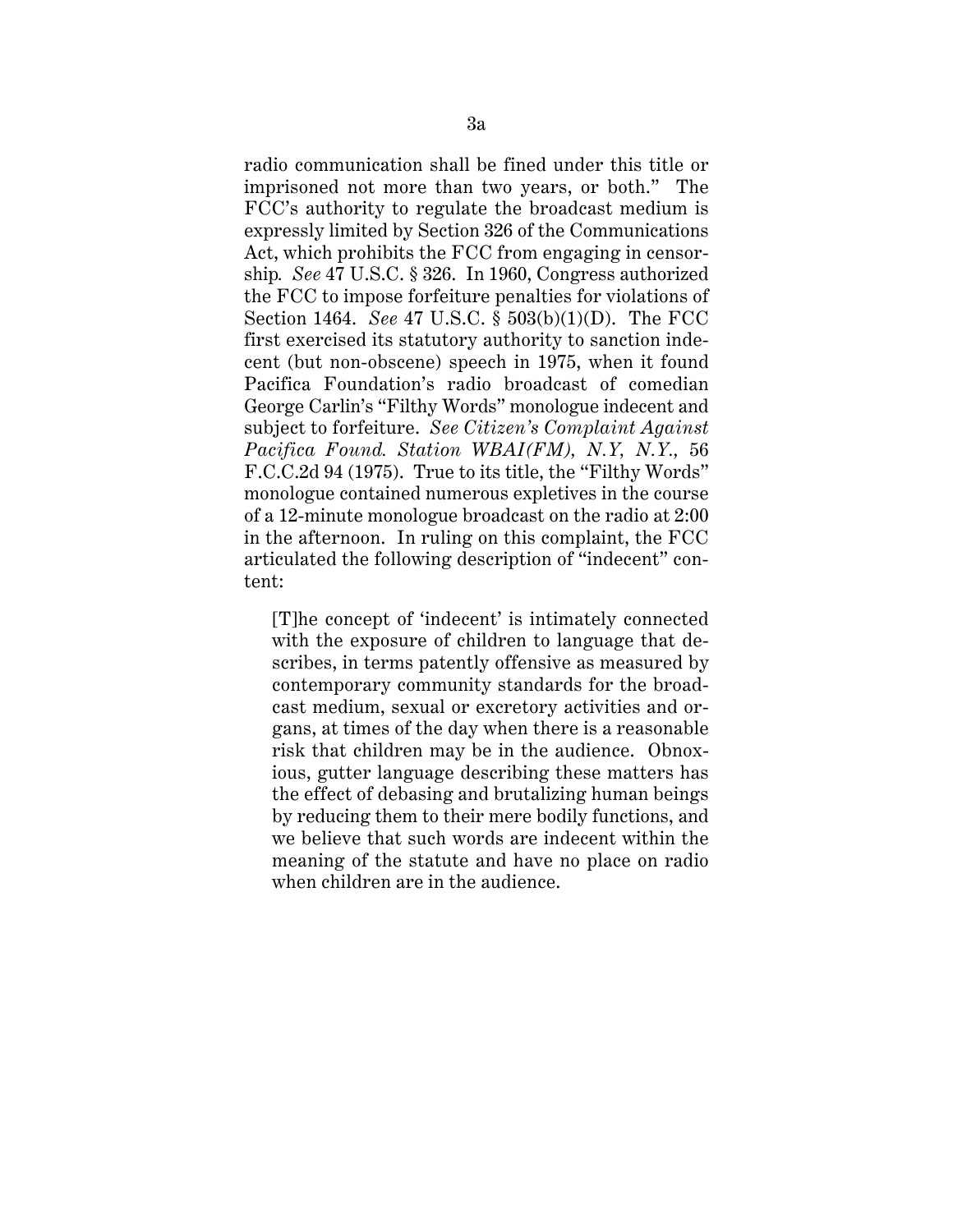radio communication shall be fined under this title or imprisoned not more than two years, or both." The FCC's authority to regulate the broadcast medium is expressly limited by Section 326 of the Communications Act, which prohibits the FCC from engaging in censorship*. See* 47 U.S.C. § 326. In 1960, Congress authorized the FCC to impose forfeiture penalties for violations of Section 1464. *See* 47 U.S.C. § 503(b)(1)(D). The FCC first exercised its statutory authority to sanction indecent (but non-obscene) speech in 1975, when it found Pacifica Foundation's radio broadcast of comedian George Carlin's "Filthy Words" monologue indecent and subject to forfeiture. *See Citizen's Complaint Against Pacifica Found. Station WBAI(FM), N.Y, N.Y.,* 56 F.C.C.2d 94 (1975). True to its title, the "Filthy Words" monologue contained numerous expletives in the course of a 12-minute monologue broadcast on the radio at 2:00 in the afternoon. In ruling on this complaint, the FCC articulated the following description of "indecent" content:

[T]he concept of 'indecent' is intimately connected with the exposure of children to language that describes, in terms patently offensive as measured by contemporary community standards for the broadcast medium, sexual or excretory activities and organs, at times of the day when there is a reasonable risk that children may be in the audience. Obnoxious, gutter language describing these matters has the effect of debasing and brutalizing human beings by reducing them to their mere bodily functions, and we believe that such words are indecent within the meaning of the statute and have no place on radio when children are in the audience.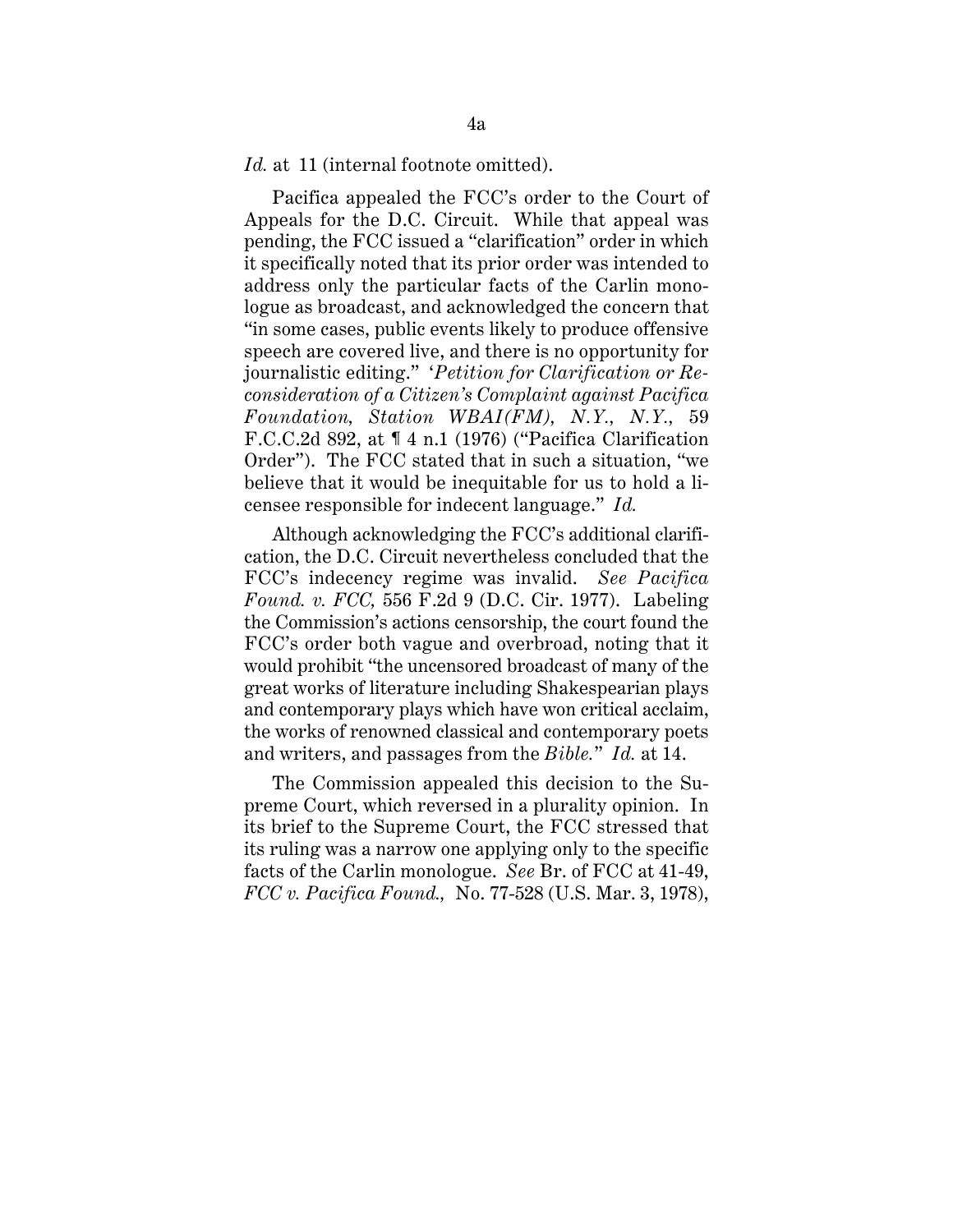Id. at 11 (internal footnote omitted).

Pacifica appealed the FCC's order to the Court of Appeals for the D.C. Circuit. While that appeal was pending, the FCC issued a "clarification" order in which it specifically noted that its prior order was intended to address only the particular facts of the Carlin monologue as broadcast, and acknowledged the concern that "in some cases, public events likely to produce offensive speech are covered live, and there is no opportunity for journalistic editing." '*Petition for Clarification or Reconsideration of a Citizen's Complaint against Pacifica Foundation, Station WBAI(FM), N.Y., N.Y.,* 59 F.C.C.2d 892, at ¶ 4 n.1 (1976) ("Pacifica Clarification Order"). The FCC stated that in such a situation, "we believe that it would be inequitable for us to hold a licensee responsible for indecent language." *Id.*

Although acknowledging the FCC's additional clarification, the D.C. Circuit nevertheless concluded that the FCC's indecency regime was invalid. *See Pacifica Found. v. FCC,* 556 F.2d 9 (D.C. Cir. 1977). Labeling the Commission's actions censorship, the court found the FCC's order both vague and overbroad, noting that it would prohibit "the uncensored broadcast of many of the great works of literature including Shakespearian plays and contemporary plays which have won critical acclaim, the works of renowned classical and contemporary poets and writers, and passages from the *Bible.*" *Id.* at 14.

The Commission appealed this decision to the Supreme Court, which reversed in a plurality opinion. In its brief to the Supreme Court, the FCC stressed that its ruling was a narrow one applying only to the specific facts of the Carlin monologue. *See* Br. of FCC at 41-49, *FCC v. Pacifica Found.,* No. 77-528 (U.S. Mar. 3, 1978),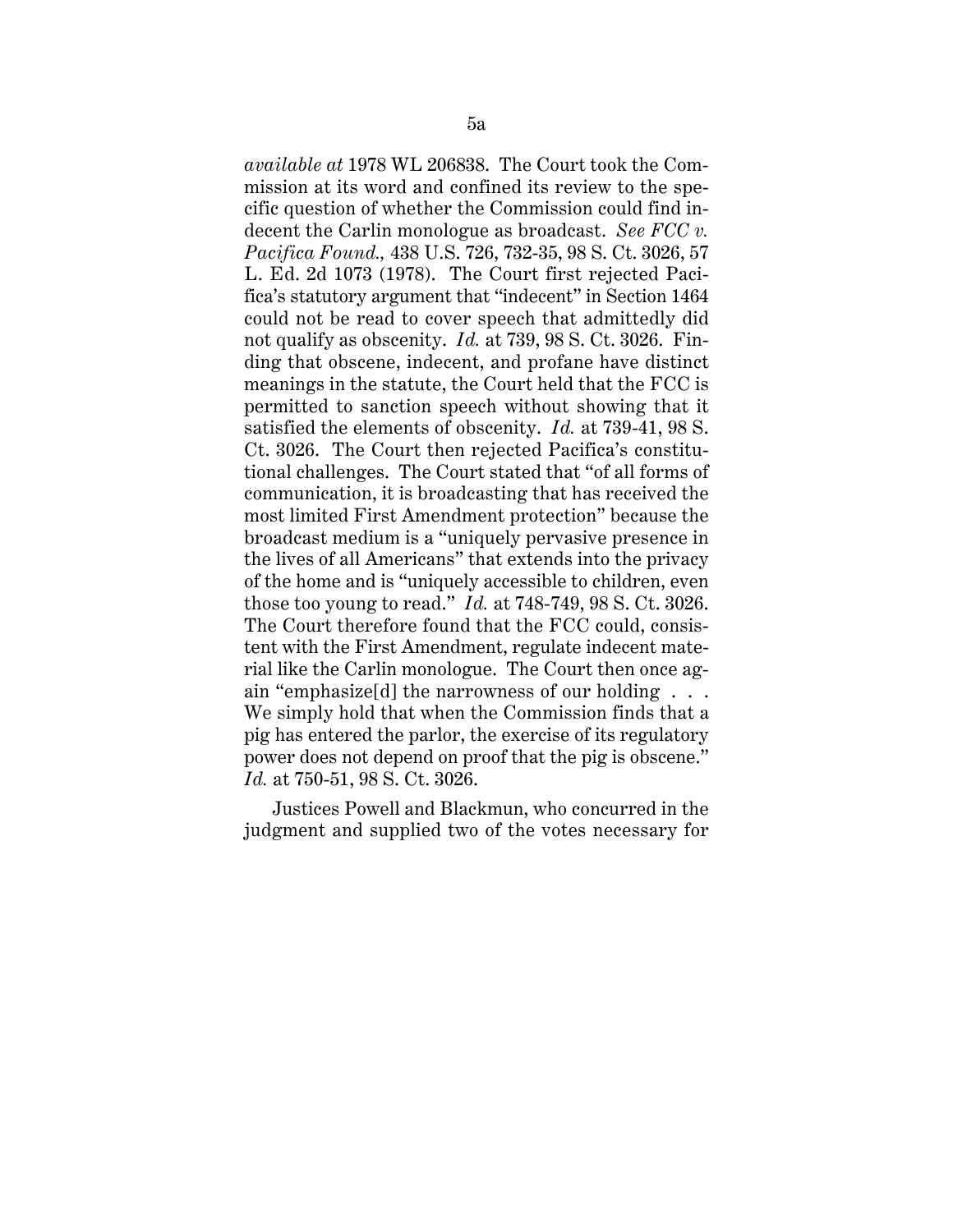*available at* 1978 WL 206838. The Court took the Commission at its word and confined its review to the specific question of whether the Commission could find indecent the Carlin monologue as broadcast. *See FCC v. Pacifica Found.,* 438 U.S. 726, 732-35, 98 S. Ct. 3026, 57 L. Ed. 2d 1073 (1978). The Court first rejected Pacifica's statutory argument that "indecent" in Section 1464 could not be read to cover speech that admittedly did not qualify as obscenity. *Id.* at 739, 98 S. Ct. 3026. Finding that obscene, indecent, and profane have distinct meanings in the statute, the Court held that the FCC is permitted to sanction speech without showing that it satisfied the elements of obscenity. *Id.* at 739-41, 98 S. Ct. 3026. The Court then rejected Pacifica's constitutional challenges. The Court stated that "of all forms of communication, it is broadcasting that has received the most limited First Amendment protection" because the broadcast medium is a "uniquely pervasive presence in the lives of all Americans" that extends into the privacy of the home and is "uniquely accessible to children, even those too young to read." *Id.* at 748-749, 98 S. Ct. 3026. The Court therefore found that the FCC could, consistent with the First Amendment, regulate indecent material like the Carlin monologue. The Court then once again "emphasize[d] the narrowness of our holding . . . We simply hold that when the Commission finds that a pig has entered the parlor, the exercise of its regulatory power does not depend on proof that the pig is obscene." *Id.* at 750-51, 98 S. Ct. 3026.

Justices Powell and Blackmun, who concurred in the judgment and supplied two of the votes necessary for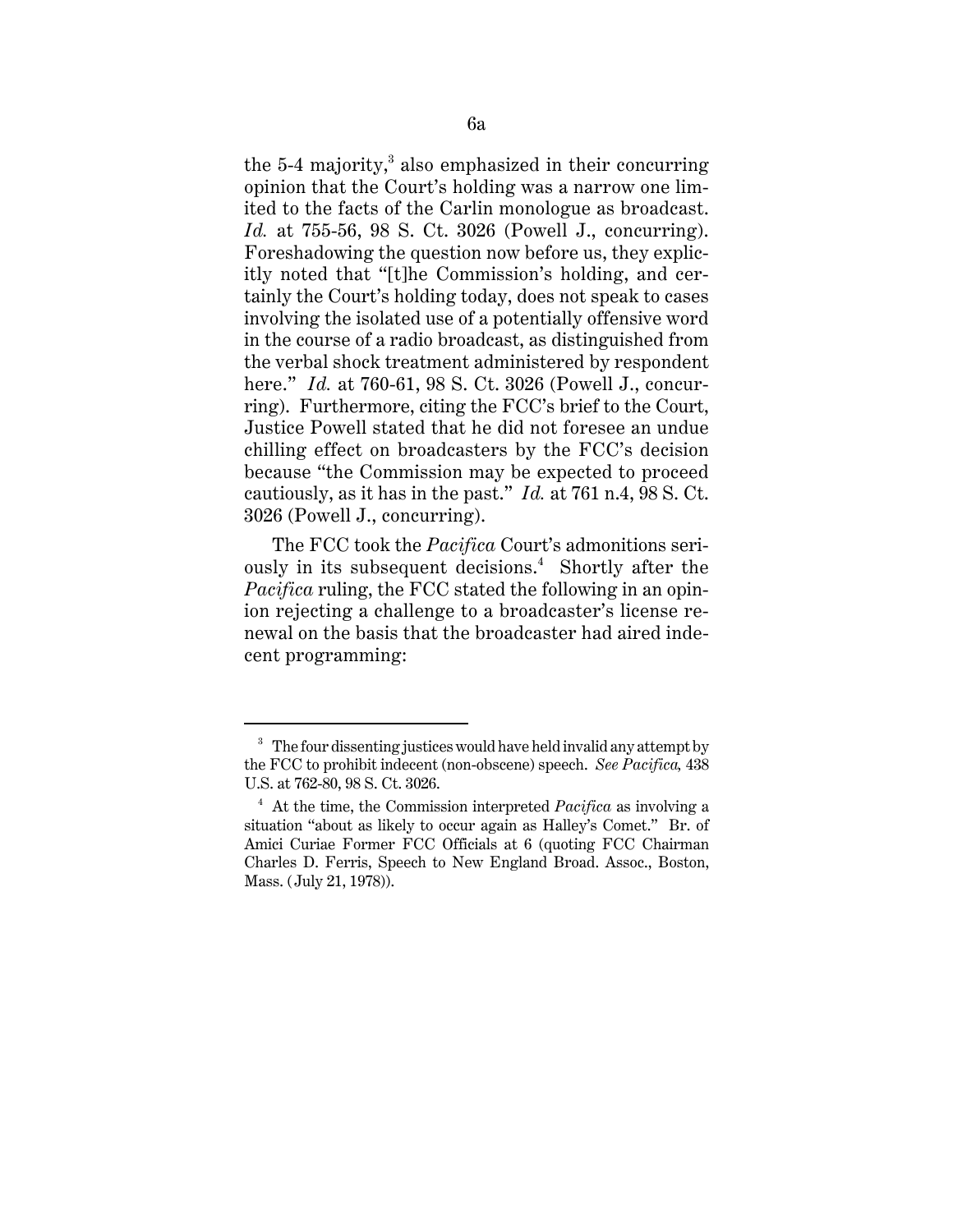the 5-4 majority, $3$  also emphasized in their concurring opinion that the Court's holding was a narrow one limited to the facts of the Carlin monologue as broadcast. *Id.* at 755-56, 98 S. Ct. 3026 (Powell J., concurring). Foreshadowing the question now before us, they explicitly noted that "[t]he Commission's holding, and certainly the Court's holding today, does not speak to cases involving the isolated use of a potentially offensive word in the course of a radio broadcast, as distinguished from the verbal shock treatment administered by respondent here." *Id.* at 760-61, 98 S. Ct. 3026 (Powell J., concurring). Furthermore, citing the FCC's brief to the Court, Justice Powell stated that he did not foresee an undue chilling effect on broadcasters by the FCC's decision because "the Commission may be expected to proceed cautiously, as it has in the past." *Id.* at 761 n.4, 98 S. Ct. 3026 (Powell J., concurring).

 The FCC took the *Pacifica* Court's admonitions seriously in its subsequent decisions.<sup>4</sup> Shortly after the *Pacifica* ruling, the FCC stated the following in an opinion rejecting a challenge to a broadcaster's license renewal on the basis that the broadcaster had aired indecent programming:

<sup>&</sup>lt;sup>3</sup> The four dissenting justices would have held invalid any attempt by the FCC to prohibit indecent (non-obscene) speech. *See Pacifica,* 438 U.S. at 762-80, 98 S. Ct. 3026.

<sup>4</sup> At the time, the Commission interpreted *Pacifica* as involving a situation "about as likely to occur again as Halley's Comet." Br. of Amici Curiae Former FCC Officials at 6 (quoting FCC Chairman Charles D. Ferris, Speech to New England Broad. Assoc., Boston, Mass. (July 21, 1978)).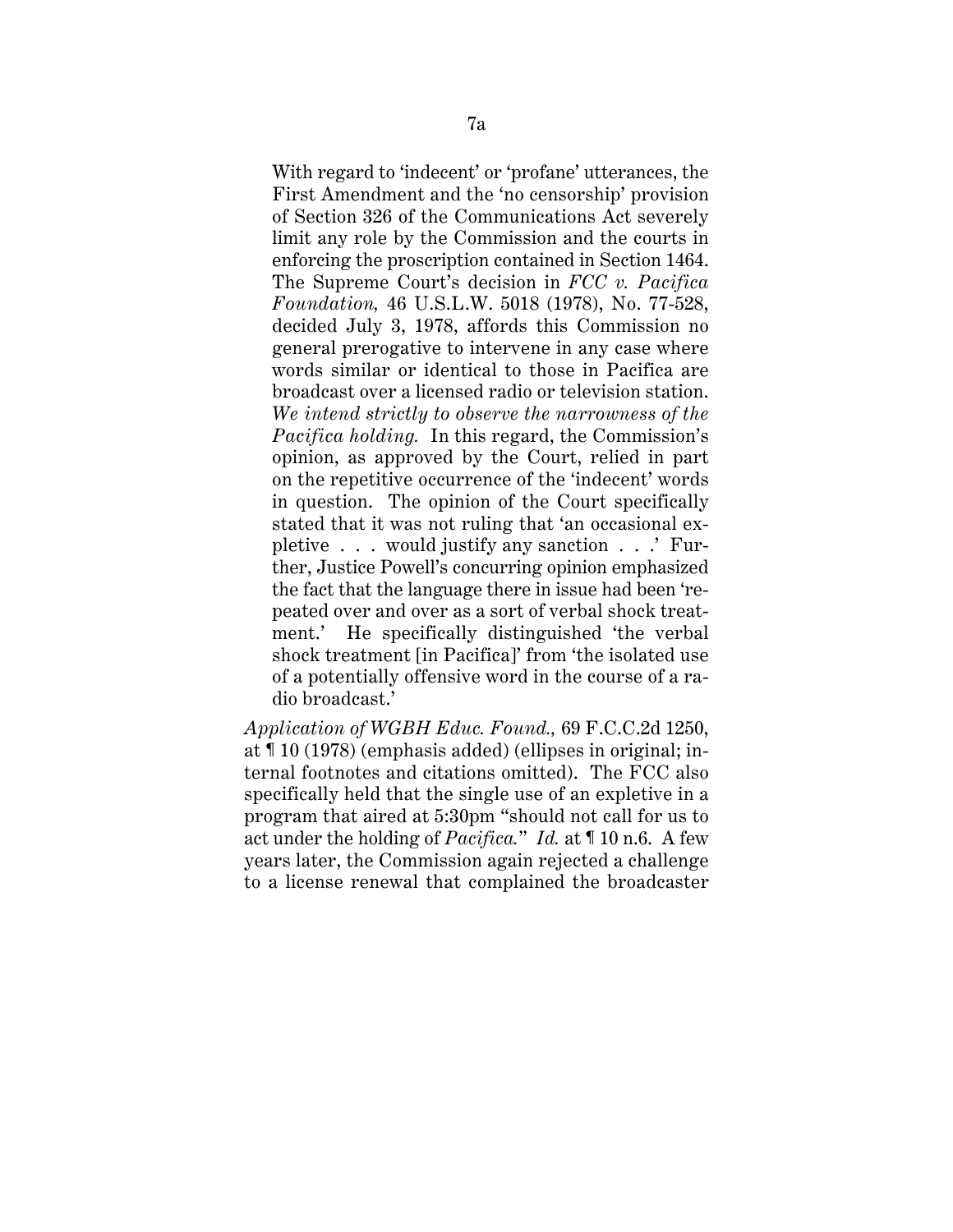With regard to 'indecent' or 'profane' utterances, the First Amendment and the 'no censorship' provision of Section 326 of the Communications Act severely limit any role by the Commission and the courts in enforcing the proscription contained in Section 1464. The Supreme Court's decision in *FCC v. Pacifica Foundation,* 46 U.S.L.W. 5018 (1978), No. 77-528, decided July 3, 1978, affords this Commission no general prerogative to intervene in any case where words similar or identical to those in Pacifica are broadcast over a licensed radio or television station. *We intend strictly to observe the narrowness of the Pacifica holding.* In this regard, the Commission's opinion, as approved by the Court, relied in part on the repetitive occurrence of the 'indecent' words in question. The opinion of the Court specifically stated that it was not ruling that 'an occasional expletive . . . would justify any sanction . . .' Further, Justice Powell's concurring opinion emphasized the fact that the language there in issue had been 'repeated over and over as a sort of verbal shock treatment.' He specifically distinguished 'the verbal shock treatment [in Pacifica]' from 'the isolated use of a potentially offensive word in the course of a radio broadcast.'

*Application of WGBH Educ. Found.,* 69 F.C.C.2d 1250, at ¶ 10 (1978) (emphasis added) (ellipses in original; internal footnotes and citations omitted). The FCC also specifically held that the single use of an expletive in a program that aired at 5:30pm "should not call for us to act under the holding of *Pacifica.*" *Id.* at ¶ 10 n.6. A few years later, the Commission again rejected a challenge to a license renewal that complained the broadcaster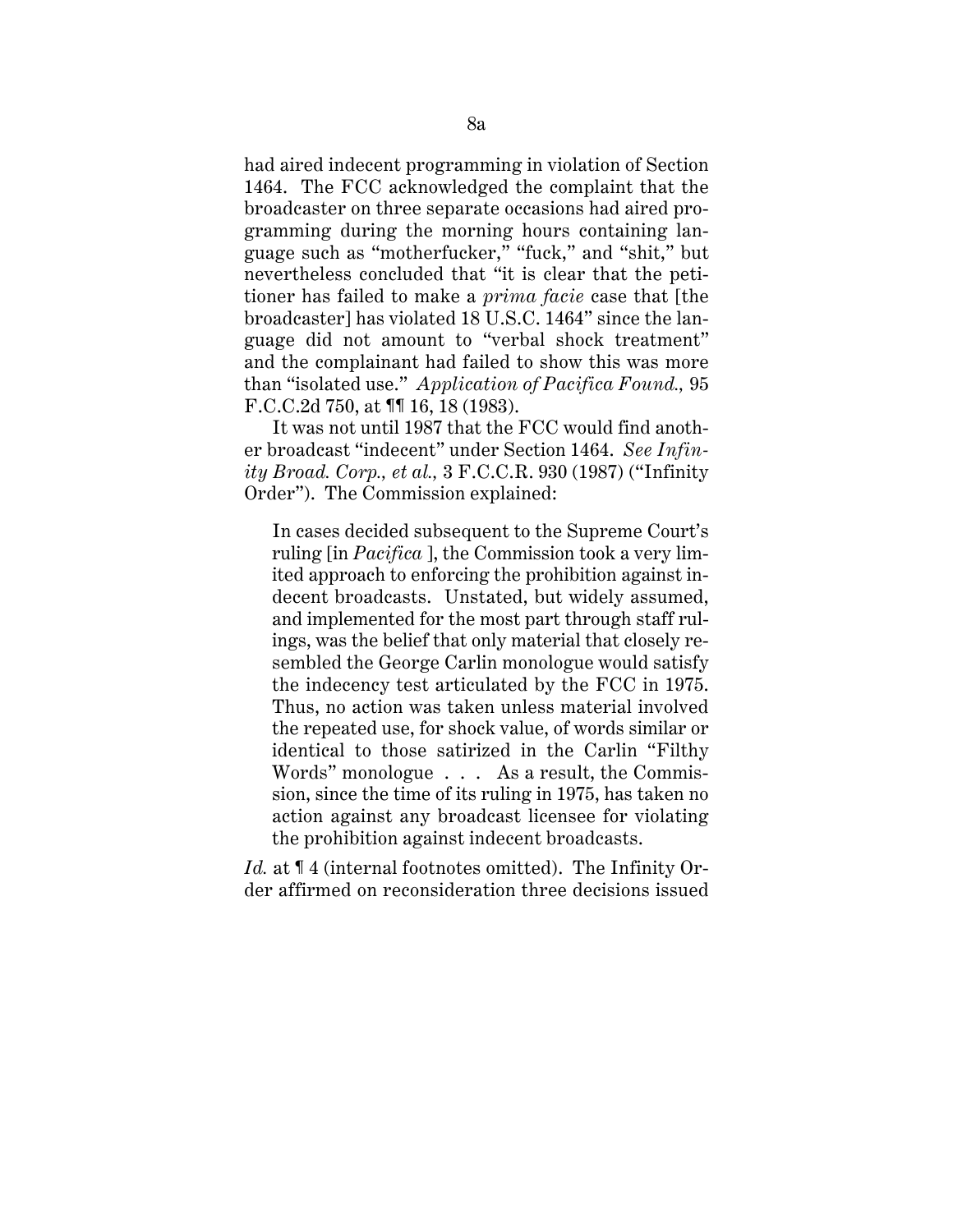had aired indecent programming in violation of Section 1464. The FCC acknowledged the complaint that the broadcaster on three separate occasions had aired programming during the morning hours containing language such as "motherfucker," "fuck," and "shit," but nevertheless concluded that "it is clear that the petitioner has failed to make a *prima facie* case that [the broadcaster] has violated 18 U.S.C. 1464" since the language did not amount to "verbal shock treatment" and the complainant had failed to show this was more than "isolated use." *Application of Pacifica Found.,* 95 F.C.C.2d 750, at ¶¶ 16, 18 (1983).

It was not until 1987 that the FCC would find another broadcast "indecent" under Section 1464. *See Infinity Broad. Corp., et al.,* 3 F.C.C.R. 930 (1987) ("Infinity Order"). The Commission explained:

In cases decided subsequent to the Supreme Court's ruling [in *Pacifica* ], the Commission took a very limited approach to enforcing the prohibition against indecent broadcasts. Unstated, but widely assumed, and implemented for the most part through staff rulings, was the belief that only material that closely resembled the George Carlin monologue would satisfy the indecency test articulated by the FCC in 1975. Thus, no action was taken unless material involved the repeated use, for shock value, of words similar or identical to those satirized in the Carlin "Filthy Words" monologue . . . As a result, the Commission, since the time of its ruling in 1975, has taken no action against any broadcast licensee for violating the prohibition against indecent broadcasts.

*Id.* at  $\P$  4 (internal footnotes omitted). The Infinity Order affirmed on reconsideration three decisions issued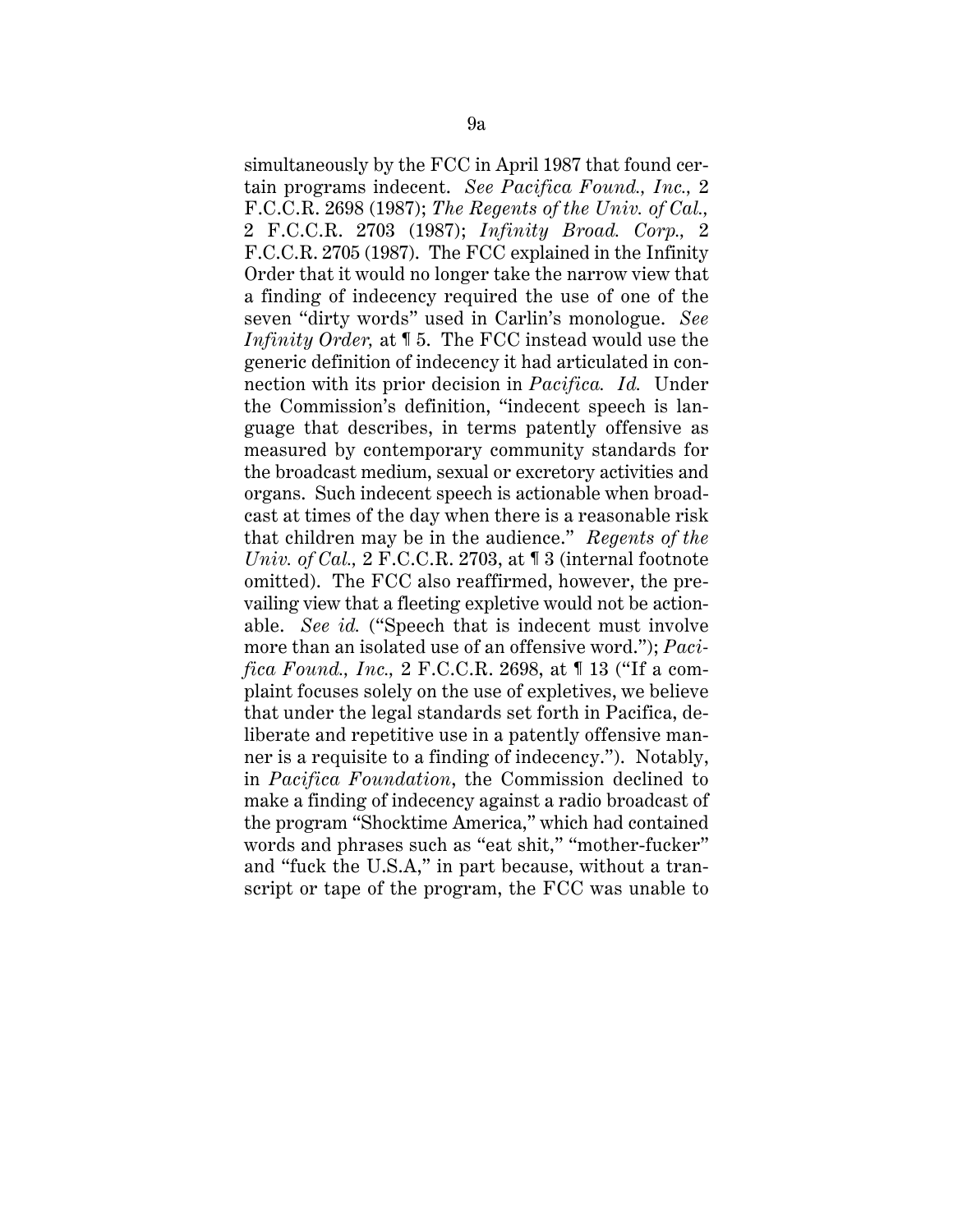simultaneously by the FCC in April 1987 that found certain programs indecent. *See Pacifica Found., Inc.,* 2 F.C.C.R. 2698 (1987); *The Regents of the Univ. of Cal.,* 2 F.C.C.R. 2703 (1987); *Infinity Broad. Corp.,* 2 F.C.C.R. 2705 (1987). The FCC explained in the Infinity Order that it would no longer take the narrow view that a finding of indecency required the use of one of the seven "dirty words" used in Carlin's monologue. *See Infinity Order,* at ¶ 5. The FCC instead would use the generic definition of indecency it had articulated in connection with its prior decision in *Pacifica. Id.* Under the Commission's definition, "indecent speech is language that describes, in terms patently offensive as measured by contemporary community standards for the broadcast medium, sexual or excretory activities and organs. Such indecent speech is actionable when broadcast at times of the day when there is a reasonable risk that children may be in the audience." *Regents of the Univ. of Cal.,* 2 F.C.C.R. 2703, at ¶ 3 (internal footnote omitted). The FCC also reaffirmed, however, the prevailing view that a fleeting expletive would not be actionable. *See id.* ("Speech that is indecent must involve more than an isolated use of an offensive word."); *Pacifica Found., Inc.,* 2 F.C.C.R. 2698, at ¶ 13 ("If a complaint focuses solely on the use of expletives, we believe that under the legal standards set forth in Pacifica, deliberate and repetitive use in a patently offensive manner is a requisite to a finding of indecency."). Notably, in *Pacifica Foundation*, the Commission declined to make a finding of indecency against a radio broadcast of the program "Shocktime America," which had contained words and phrases such as "eat shit," "mother-fucker" and "fuck the U.S.A," in part because, without a transcript or tape of the program, the FCC was unable to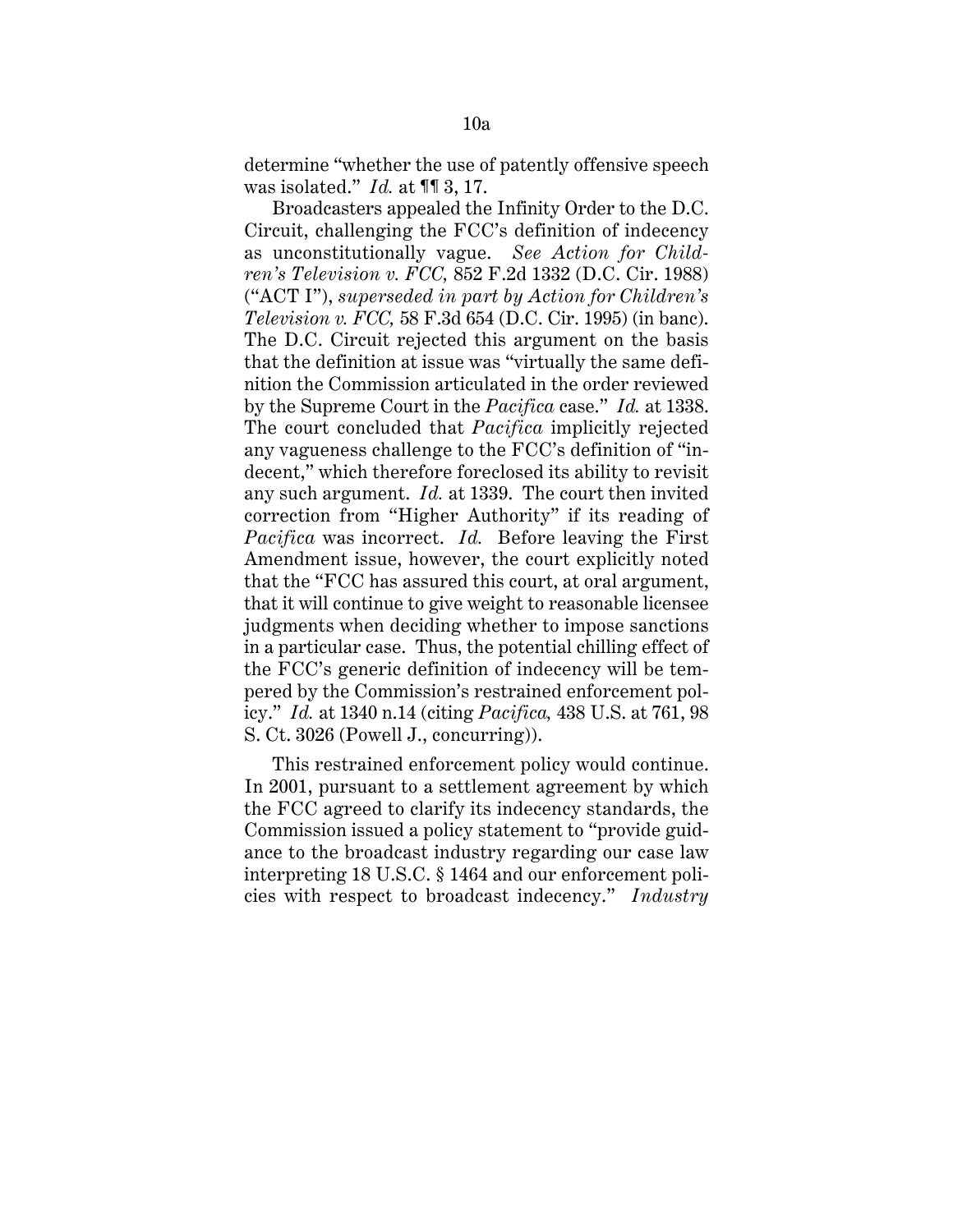determine "whether the use of patently offensive speech was isolated." *Id.* at ¶¶ 3, 17.

Broadcasters appealed the Infinity Order to the D.C. Circuit, challenging the FCC's definition of indecency as unconstitutionally vague. *See Action for Children's Television v. FCC,* 852 F.2d 1332 (D.C. Cir. 1988) ("ACT I"), *superseded in part by Action for Children's Television v. FCC,* 58 F.3d 654 (D.C. Cir. 1995) (in banc). The D.C. Circuit rejected this argument on the basis that the definition at issue was "virtually the same definition the Commission articulated in the order reviewed by the Supreme Court in the *Pacifica* case." *Id.* at 1338. The court concluded that *Pacifica* implicitly rejected any vagueness challenge to the FCC's definition of "indecent," which therefore foreclosed its ability to revisit any such argument. *Id.* at 1339. The court then invited correction from "Higher Authority" if its reading of *Pacifica* was incorrect. *Id.* Before leaving the First Amendment issue, however, the court explicitly noted that the "FCC has assured this court, at oral argument, that it will continue to give weight to reasonable licensee judgments when deciding whether to impose sanctions in a particular case. Thus, the potential chilling effect of the FCC's generic definition of indecency will be tempered by the Commission's restrained enforcement policy." *Id.* at 1340 n.14 (citing *Pacifica,* 438 U.S. at 761, 98 S. Ct. 3026 (Powell J., concurring)).

This restrained enforcement policy would continue. In 2001, pursuant to a settlement agreement by which the FCC agreed to clarify its indecency standards, the Commission issued a policy statement to "provide guidance to the broadcast industry regarding our case law interpreting 18 U.S.C. § 1464 and our enforcement policies with respect to broadcast indecency." *Industry*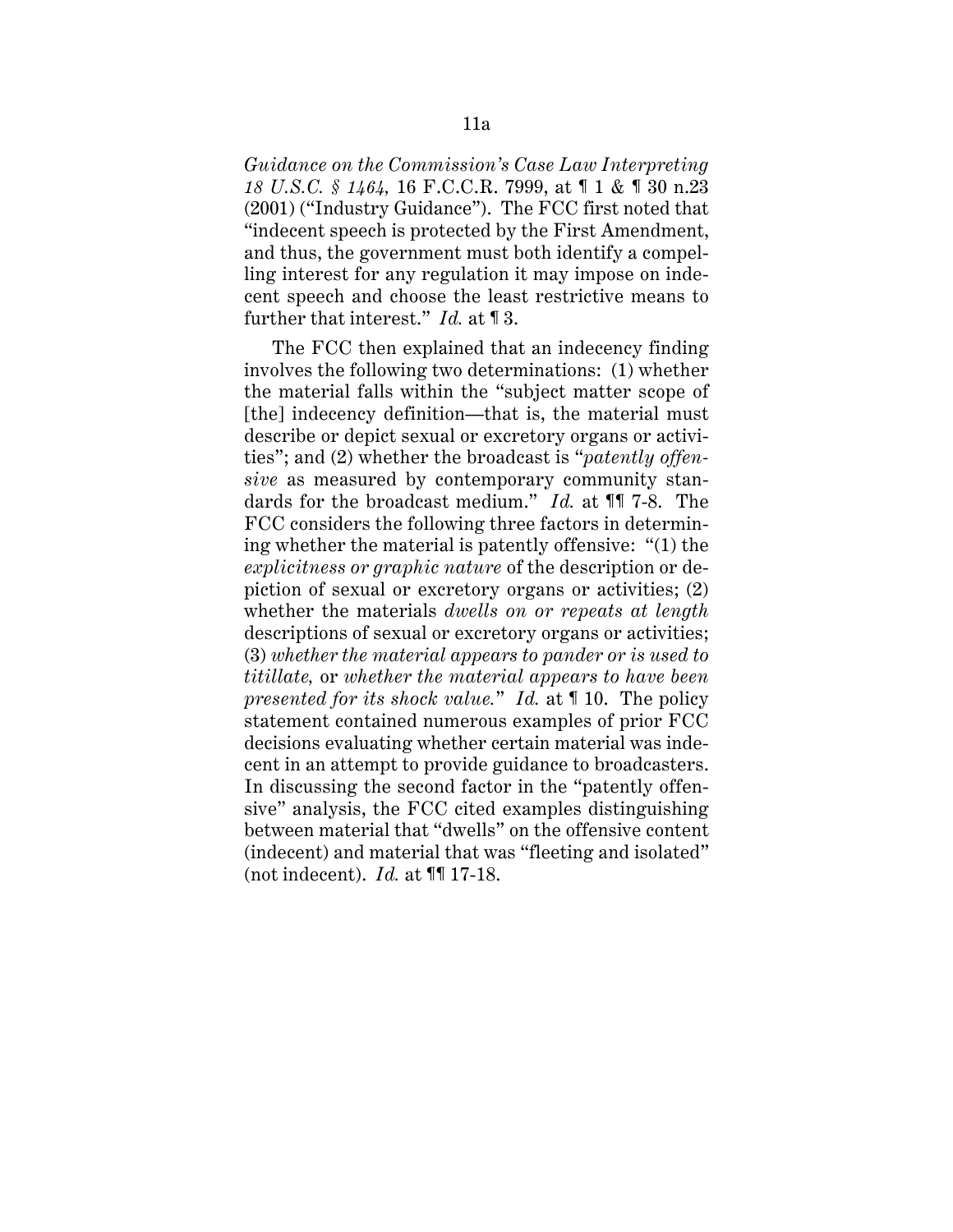*Guidance on the Commission's Case Law Interpreting 18 U.S.C. § 1464,* 16 F.C.C.R. 7999, at ¶ 1 & ¶ 30 n.23 (2001) ("Industry Guidance"). The FCC first noted that "indecent speech is protected by the First Amendment, and thus, the government must both identify a compelling interest for any regulation it may impose on indecent speech and choose the least restrictive means to further that interest." *Id.* at ¶ 3.

The FCC then explained that an indecency finding involves the following two determinations: (1) whether the material falls within the "subject matter scope of [the] indecency definition—that is, the material must describe or depict sexual or excretory organs or activities"; and (2) whether the broadcast is "*patently offensive* as measured by contemporary community standards for the broadcast medium." *Id.* at ¶¶ 7-8. The FCC considers the following three factors in determining whether the material is patently offensive: "(1) the *explicitness or graphic nature* of the description or depiction of sexual or excretory organs or activities; (2) whether the materials *dwells on or repeats at length* descriptions of sexual or excretory organs or activities; (3) *whether the material appears to pander or is used to titillate,* or *whether the material appears to have been presented for its shock value.*" *Id.* at ¶ 10. The policy statement contained numerous examples of prior FCC decisions evaluating whether certain material was indecent in an attempt to provide guidance to broadcasters. In discussing the second factor in the "patently offensive" analysis, the FCC cited examples distinguishing between material that "dwells" on the offensive content (indecent) and material that was "fleeting and isolated" (not indecent). *Id.* at ¶¶ 17-18.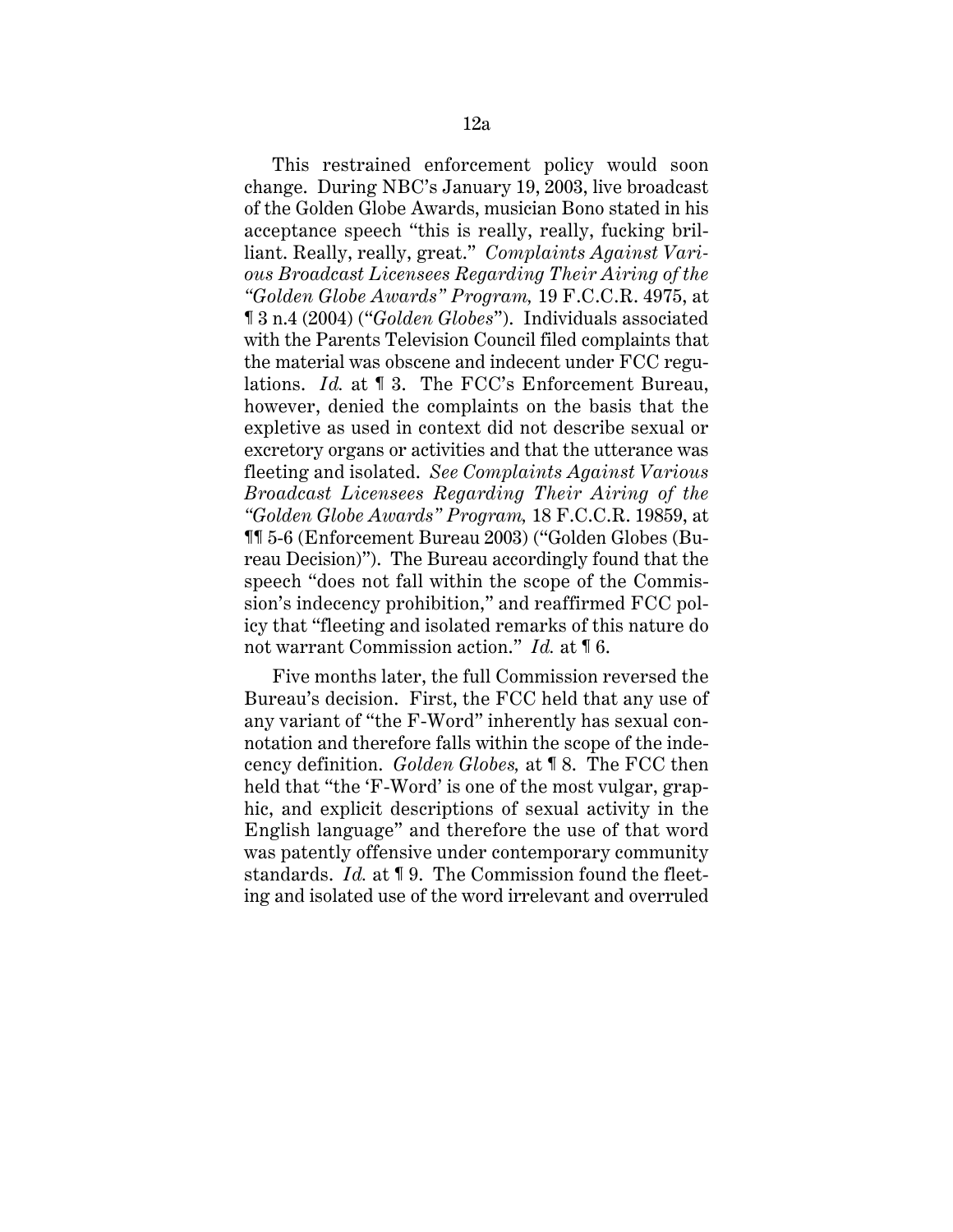This restrained enforcement policy would soon change. During NBC's January 19, 2003, live broadcast of the Golden Globe Awards, musician Bono stated in his acceptance speech "this is really, really, fucking brilliant. Really, really, great." *Complaints Against Various Broadcast Licensees Regarding Their Airing of the "Golden Globe Awards" Program,* 19 F.C.C.R. 4975, at ¶ 3 n.4 (2004) ("*Golden Globes*"). Individuals associated with the Parents Television Council filed complaints that the material was obscene and indecent under FCC regulations. *Id.* at ¶ 3. The FCC's Enforcement Bureau, however, denied the complaints on the basis that the expletive as used in context did not describe sexual or excretory organs or activities and that the utterance was fleeting and isolated. *See Complaints Against Various Broadcast Licensees Regarding Their Airing of the "Golden Globe Awards" Program,* 18 F.C.C.R. 19859, at ¶¶ 5-6 (Enforcement Bureau 2003) ("Golden Globes (Bureau Decision)"). The Bureau accordingly found that the speech "does not fall within the scope of the Commission's indecency prohibition," and reaffirmed FCC policy that "fleeting and isolated remarks of this nature do not warrant Commission action." *Id.* at ¶ 6.

Five months later, the full Commission reversed the Bureau's decision. First, the FCC held that any use of any variant of "the F-Word" inherently has sexual connotation and therefore falls within the scope of the indecency definition. *Golden Globes,* at ¶ 8. The FCC then held that "the 'F-Word' is one of the most vulgar, graphic, and explicit descriptions of sexual activity in the English language" and therefore the use of that word was patently offensive under contemporary community standards. *Id.* at ¶ 9. The Commission found the fleeting and isolated use of the word irrelevant and overruled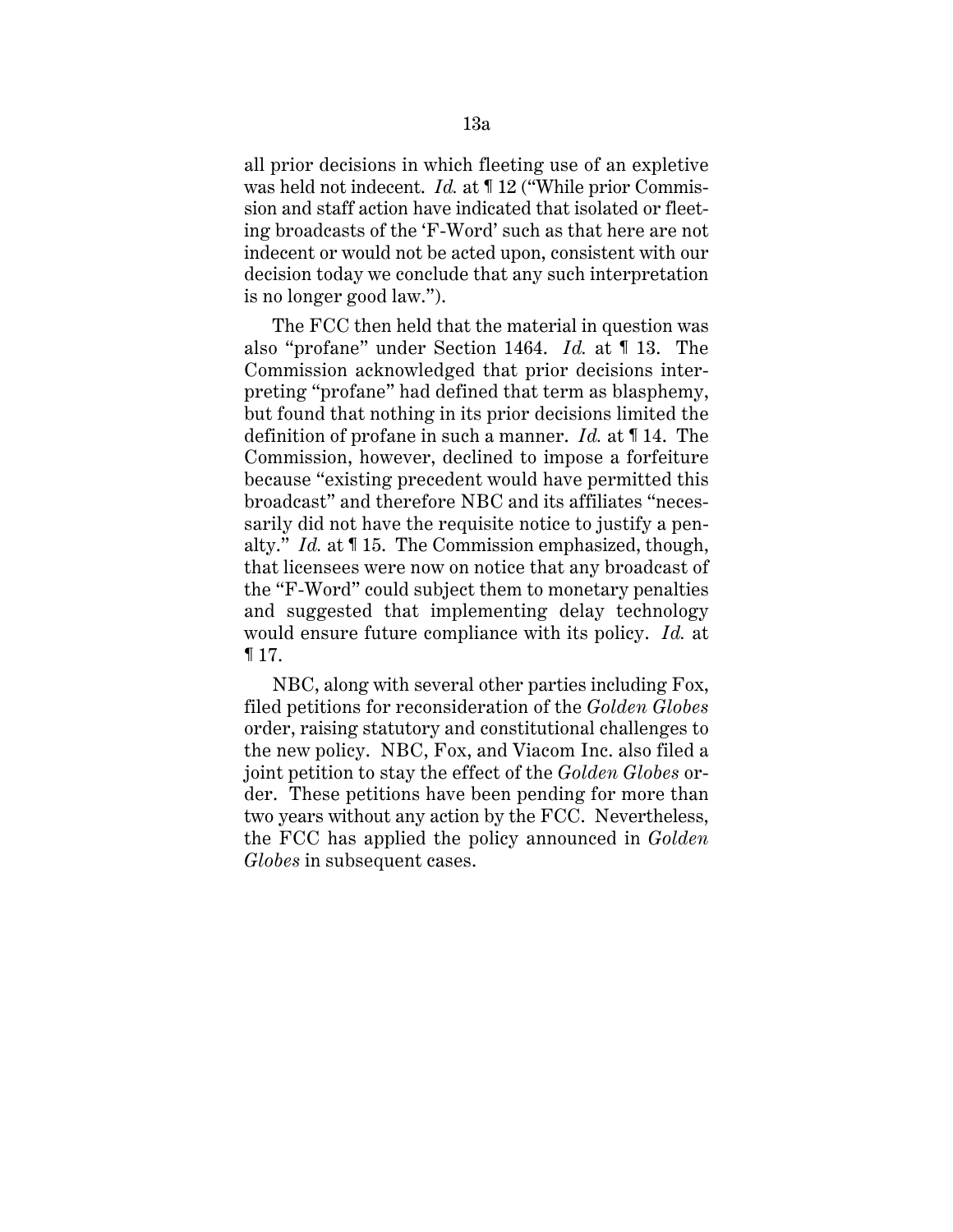all prior decisions in which fleeting use of an expletive was held not indecent. *Id.* at ¶ 12 ("While prior Commission and staff action have indicated that isolated or fleeting broadcasts of the 'F-Word' such as that here are not indecent or would not be acted upon, consistent with our decision today we conclude that any such interpretation is no longer good law.").

The FCC then held that the material in question was also "profane" under Section 1464. *Id.* at ¶ 13. The Commission acknowledged that prior decisions interpreting "profane" had defined that term as blasphemy, but found that nothing in its prior decisions limited the definition of profane in such a manner. *Id.* at ¶ 14. The Commission, however, declined to impose a forfeiture because "existing precedent would have permitted this broadcast" and therefore NBC and its affiliates "necessarily did not have the requisite notice to justify a penalty." *Id.* at ¶ 15. The Commission emphasized, though, that licensees were now on notice that any broadcast of the "F-Word" could subject them to monetary penalties and suggested that implementing delay technology would ensure future compliance with its policy. *Id.* at ¶ 17.

NBC, along with several other parties including Fox, filed petitions for reconsideration of the *Golden Globes* order, raising statutory and constitutional challenges to the new policy. NBC, Fox, and Viacom Inc. also filed a joint petition to stay the effect of the *Golden Globes* order. These petitions have been pending for more than two years without any action by the FCC. Nevertheless, the FCC has applied the policy announced in *Golden Globes* in subsequent cases.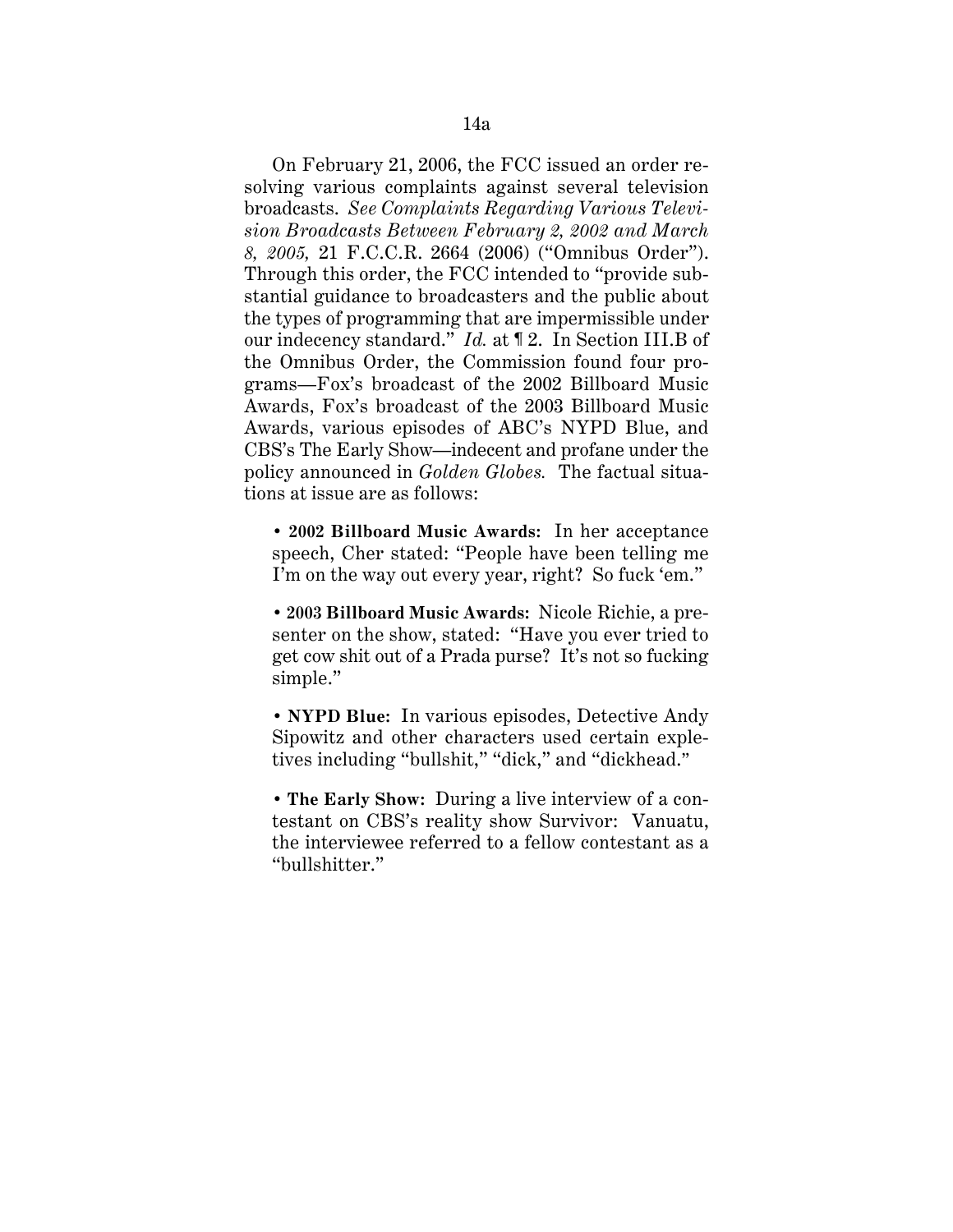On February 21, 2006, the FCC issued an order resolving various complaints against several television broadcasts. *See Complaints Regarding Various Television Broadcasts Between February 2, 2002 and March 8, 2005,* 21 F.C.C.R. 2664 (2006) ("Omnibus Order"). Through this order, the FCC intended to "provide substantial guidance to broadcasters and the public about the types of programming that are impermissible under our indecency standard." *Id.* at ¶ 2. In Section III.B of the Omnibus Order, the Commission found four programs—Fox's broadcast of the 2002 Billboard Music Awards, Fox's broadcast of the 2003 Billboard Music Awards, various episodes of ABC's NYPD Blue, and CBS's The Early Show—indecent and profane under the policy announced in *Golden Globes.* The factual situations at issue are as follows:

**• 2002 Billboard Music Awards:** In her acceptance speech, Cher stated: "People have been telling me I'm on the way out every year, right? So fuck 'em."

**• 2003 Billboard Music Awards:** Nicole Richie, a presenter on the show, stated: "Have you ever tried to get cow shit out of a Prada purse? It's not so fucking simple."

**• NYPD Blue:** In various episodes, Detective Andy Sipowitz and other characters used certain expletives including "bullshit," "dick," and "dickhead."

**• The Early Show:** During a live interview of a contestant on CBS's reality show Survivor: Vanuatu, the interviewee referred to a fellow contestant as a "bullshitter."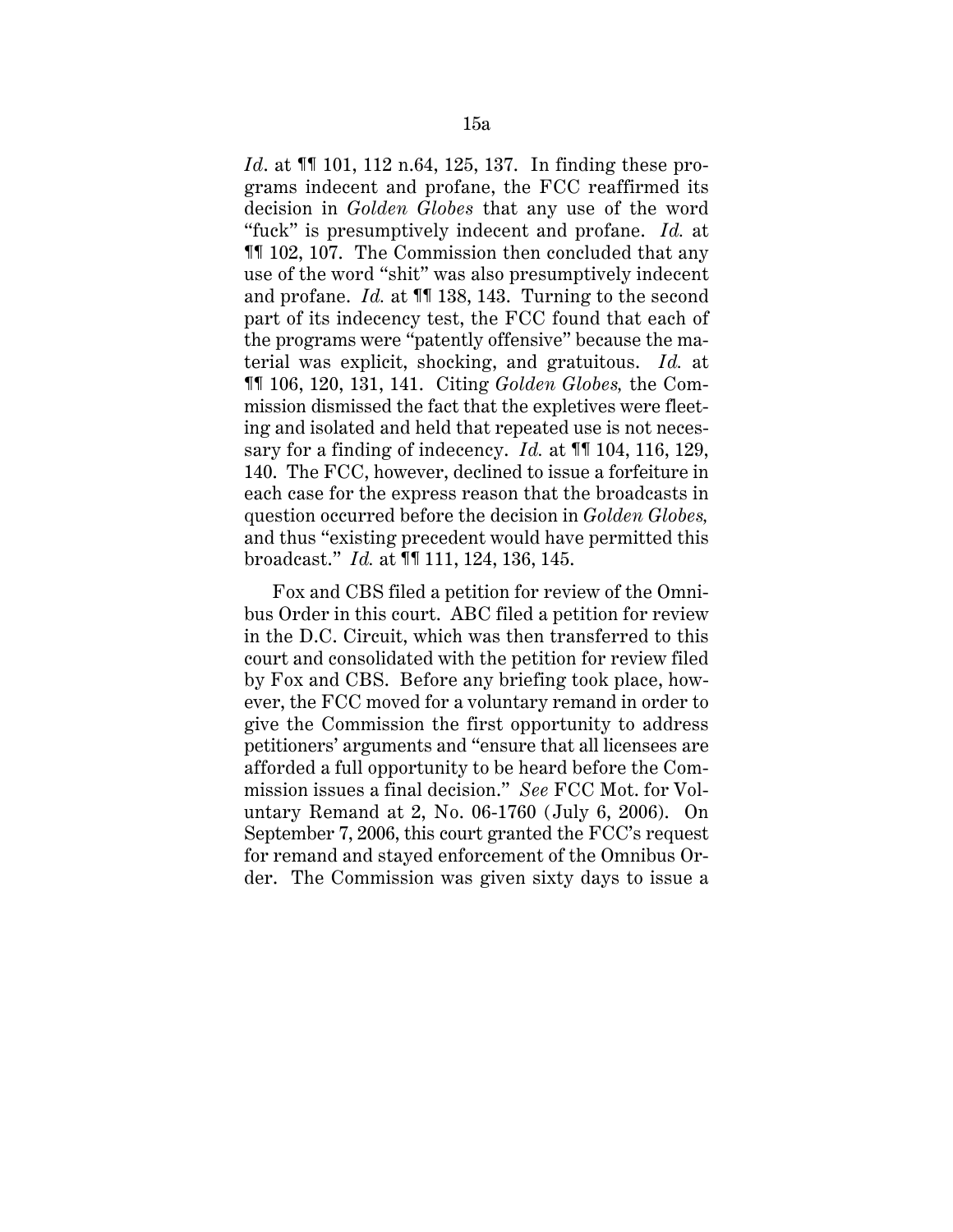*Id.* at  $\P$  101, 112 n.64, 125, 137. In finding these programs indecent and profane, the FCC reaffirmed its decision in *Golden Globes* that any use of the word "fuck" is presumptively indecent and profane. *Id.* at ¶¶ 102, 107. The Commission then concluded that any use of the word "shit" was also presumptively indecent and profane. *Id.* at ¶¶ 138, 143. Turning to the second part of its indecency test, the FCC found that each of the programs were "patently offensive" because the material was explicit, shocking, and gratuitous. *Id.* at ¶¶ 106, 120, 131, 141. Citing *Golden Globes,* the Commission dismissed the fact that the expletives were fleeting and isolated and held that repeated use is not necessary for a finding of indecency. *Id.* at ¶¶ 104, 116, 129, 140. The FCC, however, declined to issue a forfeiture in each case for the express reason that the broadcasts in question occurred before the decision in *Golden Globes,* and thus "existing precedent would have permitted this broadcast." *Id.* at ¶¶ 111, 124, 136, 145.

Fox and CBS filed a petition for review of the Omnibus Order in this court. ABC filed a petition for review in the D.C. Circuit, which was then transferred to this court and consolidated with the petition for review filed by Fox and CBS. Before any briefing took place, however, the FCC moved for a voluntary remand in order to give the Commission the first opportunity to address petitioners' arguments and "ensure that all licensees are afforded a full opportunity to be heard before the Commission issues a final decision." *See* FCC Mot. for Voluntary Remand at 2, No. 06-1760 (July 6, 2006). On September 7, 2006, this court granted the FCC's request for remand and stayed enforcement of the Omnibus Order. The Commission was given sixty days to issue a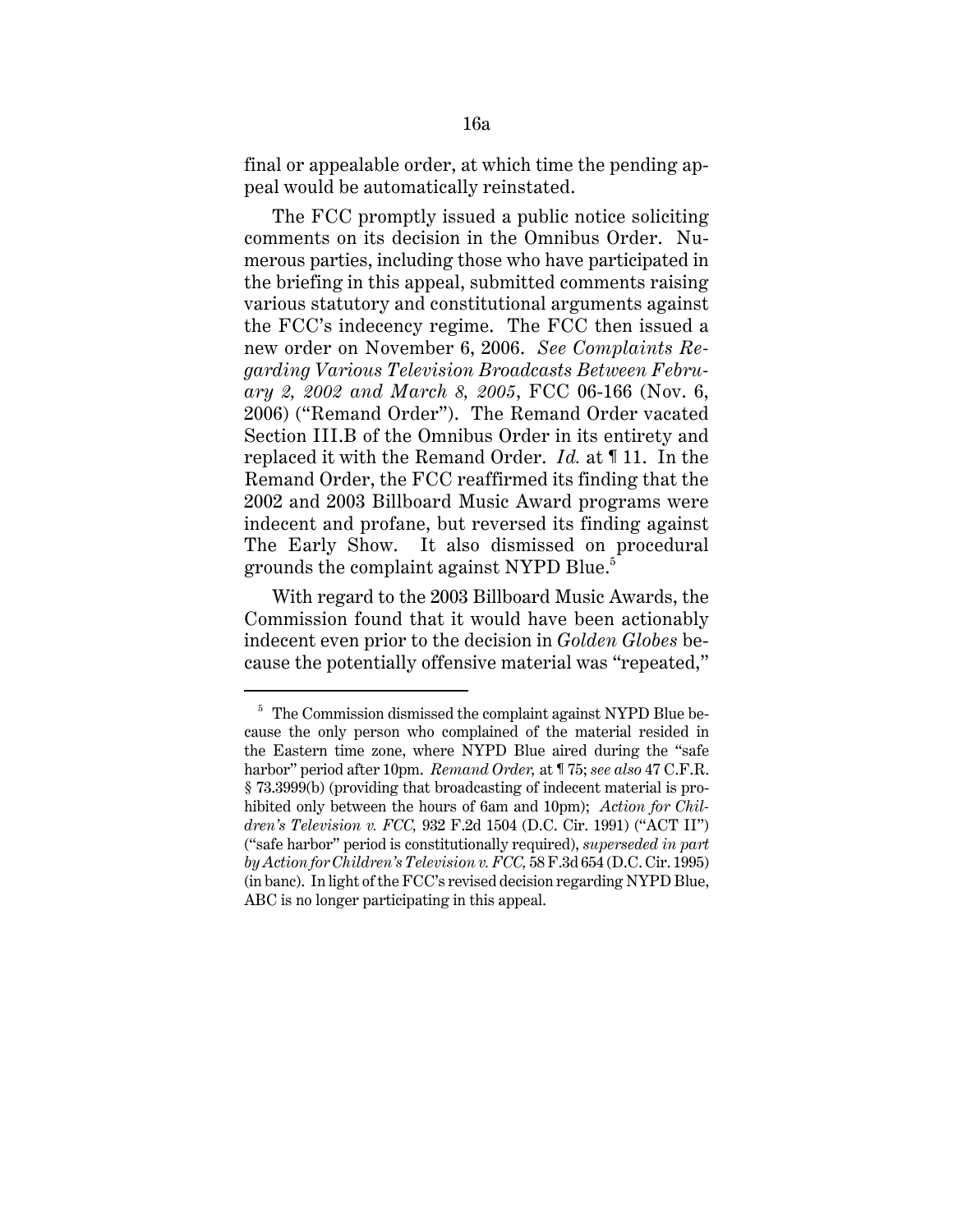final or appealable order, at which time the pending appeal would be automatically reinstated.

The FCC promptly issued a public notice soliciting comments on its decision in the Omnibus Order. Numerous parties, including those who have participated in the briefing in this appeal, submitted comments raising various statutory and constitutional arguments against the FCC's indecency regime. The FCC then issued a new order on November 6, 2006. *See Complaints Regarding Various Television Broadcasts Between February 2, 2002 and March 8, 2005*, FCC 06-166 (Nov. 6, 2006) ("Remand Order"). The Remand Order vacated Section III.B of the Omnibus Order in its entirety and replaced it with the Remand Order. *Id.* at ¶ 11. In the Remand Order, the FCC reaffirmed its finding that the 2002 and 2003 Billboard Music Award programs were indecent and profane, but reversed its finding against The Early Show. It also dismissed on procedural grounds the complaint against NYPD Blue.<sup>5</sup>

With regard to the 2003 Billboard Music Awards, the Commission found that it would have been actionably indecent even prior to the decision in *Golden Globes* because the potentially offensive material was "repeated,"

<sup>&</sup>lt;sup>5</sup> The Commission dismissed the complaint against NYPD Blue because the only person who complained of the material resided in the Eastern time zone, where NYPD Blue aired during the "safe harbor" period after 10pm. *Remand Order,* at ¶ 75; *see also* 47 C.F.R. § 73.3999(b) (providing that broadcasting of indecent material is prohibited only between the hours of 6am and 10pm); *Action for Children's Television v. FCC,* 932 F.2d 1504 (D.C. Cir. 1991) ("ACT II") ("safe harbor" period is constitutionally required), *superseded in part by Action for Children's Television v. FCC,* 58 F.3d 654 (D.C. Cir. 1995) (in banc). In light of the FCC's revised decision regarding NYPD Blue, ABC is no longer participating in this appeal.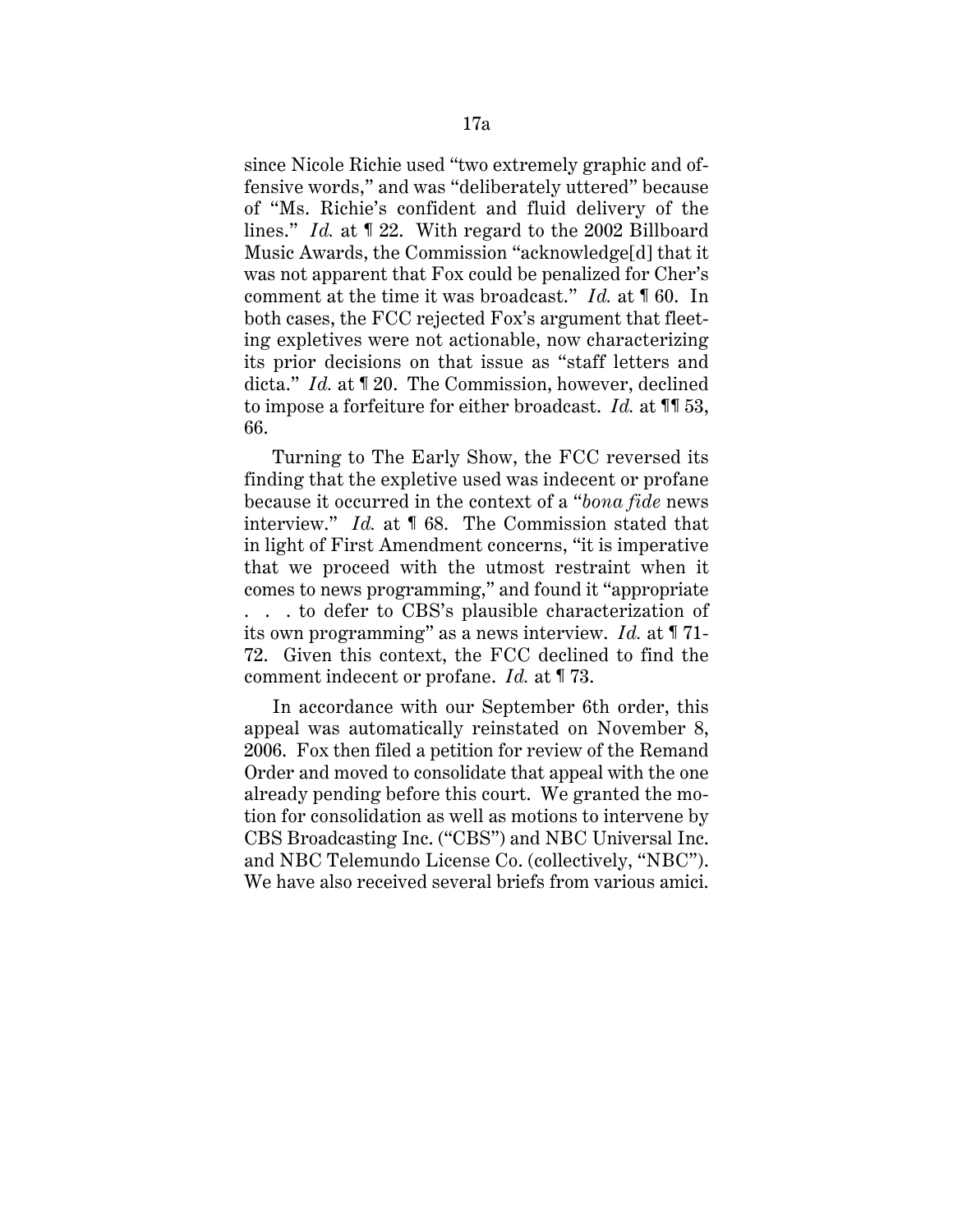since Nicole Richie used "two extremely graphic and offensive words," and was "deliberately uttered" because of "Ms. Richie's confident and fluid delivery of the lines." *Id.* at ¶ 22. With regard to the 2002 Billboard Music Awards, the Commission "acknowledge[d] that it was not apparent that Fox could be penalized for Cher's comment at the time it was broadcast." *Id.* at ¶ 60. In both cases, the FCC rejected Fox's argument that fleeting expletives were not actionable, now characterizing its prior decisions on that issue as "staff letters and dicta." *Id.* at ¶ 20. The Commission, however, declined to impose a forfeiture for either broadcast. *Id.* at ¶¶ 53, 66.

Turning to The Early Show, the FCC reversed its finding that the expletive used was indecent or profane because it occurred in the context of a "*bona fide* news interview." *Id.* at ¶ 68. The Commission stated that in light of First Amendment concerns, "it is imperative that we proceed with the utmost restraint when it comes to news programming," and found it "appropriate . . . to defer to CBS's plausible characterization of its own programming" as a news interview. *Id.* at ¶ 71- 72. Given this context, the FCC declined to find the comment indecent or profane. *Id.* at ¶ 73.

In accordance with our September 6th order, this appeal was automatically reinstated on November 8, 2006. Fox then filed a petition for review of the Remand Order and moved to consolidate that appeal with the one already pending before this court. We granted the motion for consolidation as well as motions to intervene by CBS Broadcasting Inc. ("CBS") and NBC Universal Inc. and NBC Telemundo License Co. (collectively, "NBC"). We have also received several briefs from various amici.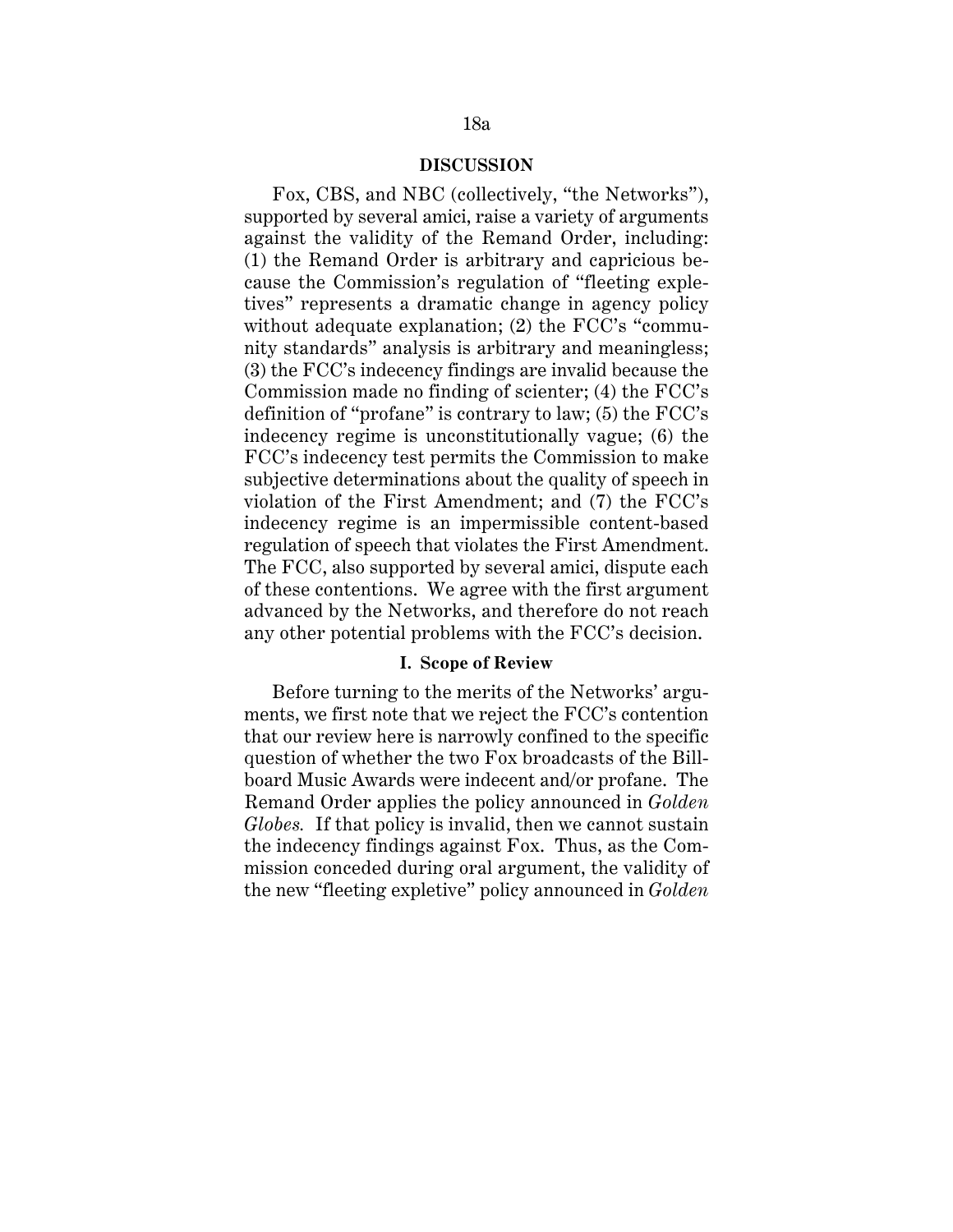### **DISCUSSION**

Fox, CBS, and NBC (collectively, "the Networks"), supported by several amici, raise a variety of arguments against the validity of the Remand Order, including: (1) the Remand Order is arbitrary and capricious because the Commission's regulation of "fleeting expletives" represents a dramatic change in agency policy without adequate explanation; (2) the FCC's "community standards" analysis is arbitrary and meaningless; (3) the FCC's indecency findings are invalid because the Commission made no finding of scienter; (4) the FCC's definition of "profane" is contrary to law; (5) the FCC's indecency regime is unconstitutionally vague; (6) the FCC's indecency test permits the Commission to make subjective determinations about the quality of speech in violation of the First Amendment; and (7) the FCC's indecency regime is an impermissible content-based regulation of speech that violates the First Amendment. The FCC, also supported by several amici, dispute each of these contentions. We agree with the first argument advanced by the Networks, and therefore do not reach any other potential problems with the FCC's decision.

#### **I. Scope of Review**

Before turning to the merits of the Networks' arguments, we first note that we reject the FCC's contention that our review here is narrowly confined to the specific question of whether the two Fox broadcasts of the Billboard Music Awards were indecent and/or profane. The Remand Order applies the policy announced in *Golden Globes.* If that policy is invalid, then we cannot sustain the indecency findings against Fox. Thus, as the Commission conceded during oral argument, the validity of the new "fleeting expletive" policy announced in *Golden*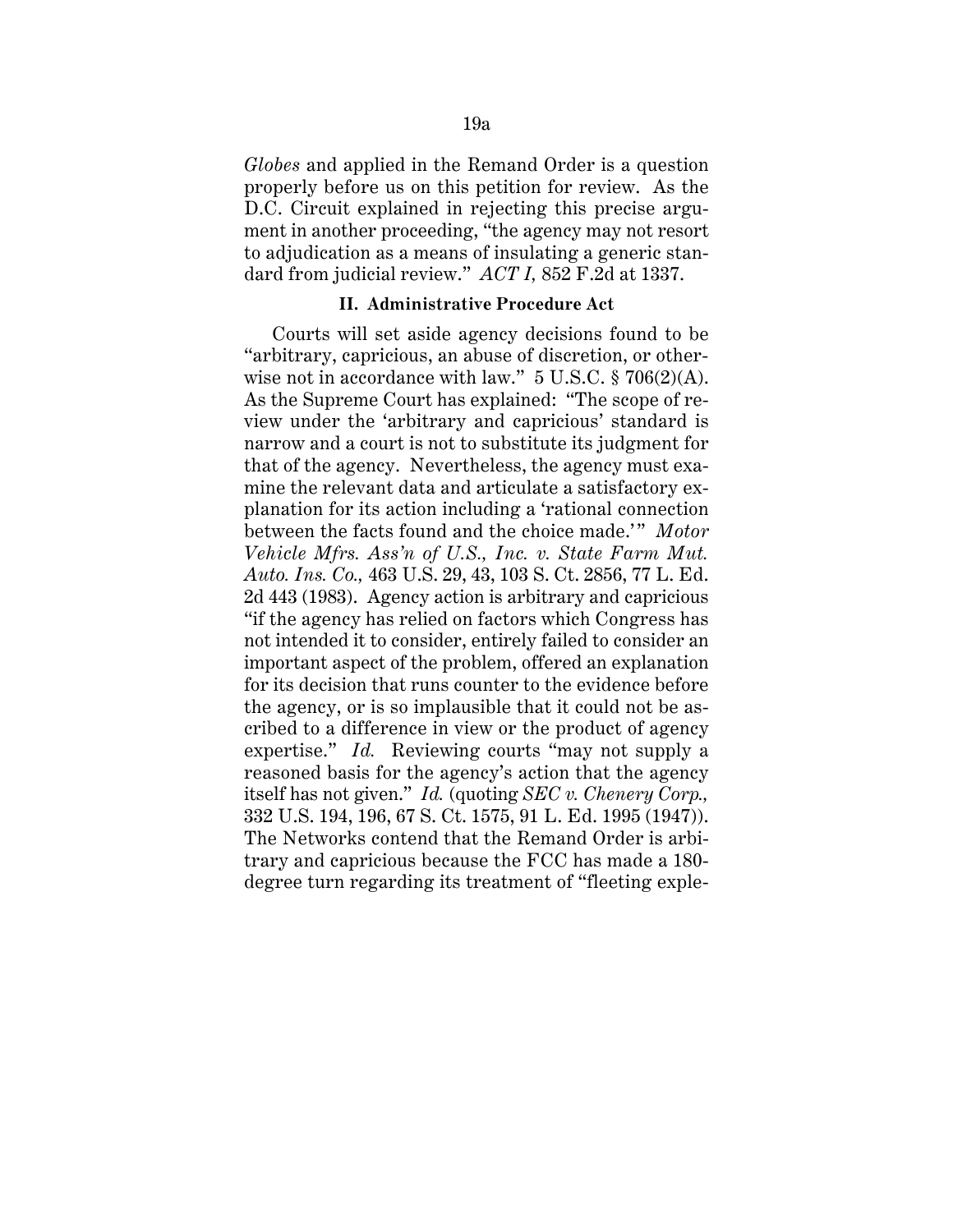*Globes* and applied in the Remand Order is a question properly before us on this petition for review. As the D.C. Circuit explained in rejecting this precise argument in another proceeding, "the agency may not resort to adjudication as a means of insulating a generic standard from judicial review." *ACT I,* 852 F.2d at 1337.

#### **II. Administrative Procedure Act**

Courts will set aside agency decisions found to be "arbitrary, capricious, an abuse of discretion, or otherwise not in accordance with law."  $5 \text{ U.S.C.} \$  706(2)(A). As the Supreme Court has explained: "The scope of review under the 'arbitrary and capricious' standard is narrow and a court is not to substitute its judgment for that of the agency. Nevertheless, the agency must examine the relevant data and articulate a satisfactory explanation for its action including a 'rational connection between the facts found and the choice made.'" *Motor Vehicle Mfrs. Ass'n of U.S., Inc. v. State Farm Mut. Auto. Ins. Co.,* 463 U.S. 29, 43, 103 S. Ct. 2856, 77 L. Ed. 2d 443 (1983). Agency action is arbitrary and capricious "if the agency has relied on factors which Congress has not intended it to consider, entirely failed to consider an important aspect of the problem, offered an explanation for its decision that runs counter to the evidence before the agency, or is so implausible that it could not be ascribed to a difference in view or the product of agency expertise." *Id.* Reviewing courts "may not supply a reasoned basis for the agency's action that the agency itself has not given." *Id.* (quoting *SEC v. Chenery Corp.,* 332 U.S. 194, 196, 67 S. Ct. 1575, 91 L. Ed. 1995 (1947)). The Networks contend that the Remand Order is arbitrary and capricious because the FCC has made a 180 degree turn regarding its treatment of "fleeting exple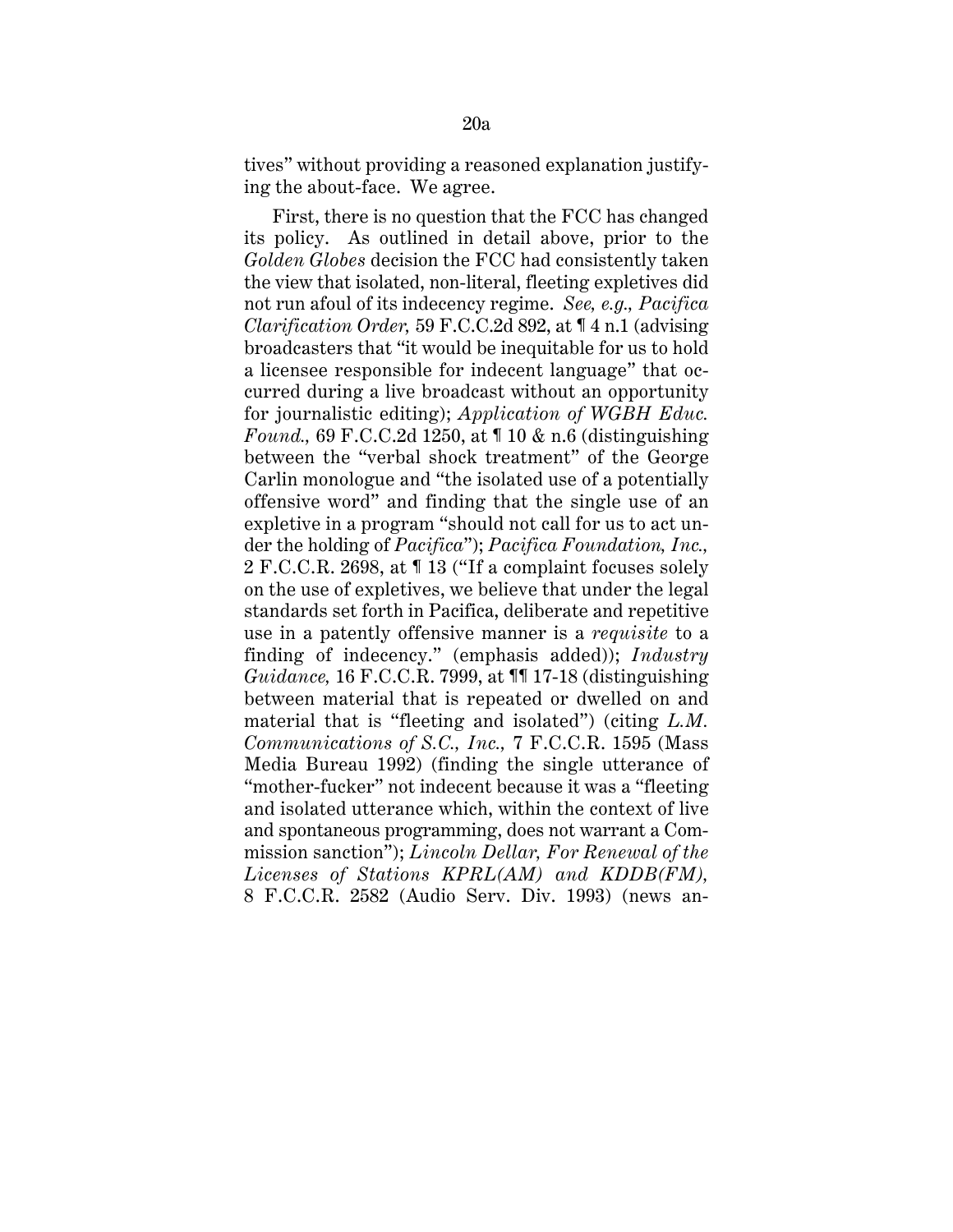tives" without providing a reasoned explanation justifying the about-face. We agree.

First, there is no question that the FCC has changed its policy. As outlined in detail above, prior to the *Golden Globes* decision the FCC had consistently taken the view that isolated, non-literal, fleeting expletives did not run afoul of its indecency regime. *See, e.g., Pacifica Clarification Order,* 59 F.C.C.2d 892, at ¶ 4 n.1 (advising broadcasters that "it would be inequitable for us to hold a licensee responsible for indecent language" that occurred during a live broadcast without an opportunity for journalistic editing); *Application of WGBH Educ. Found.,* 69 F.C.C.2d 1250, at ¶ 10 & n.6 (distinguishing between the "verbal shock treatment" of the George Carlin monologue and "the isolated use of a potentially offensive word" and finding that the single use of an expletive in a program "should not call for us to act under the holding of *Pacifica*"); *Pacifica Foundation, Inc.,* 2 F.C.C.R. 2698, at ¶ 13 ("If a complaint focuses solely on the use of expletives, we believe that under the legal standards set forth in Pacifica, deliberate and repetitive use in a patently offensive manner is a *requisite* to a finding of indecency." (emphasis added)); *Industry Guidance,* 16 F.C.C.R. 7999, at ¶¶ 17-18 (distinguishing between material that is repeated or dwelled on and material that is "fleeting and isolated") (citing *L.M. Communications of S.C., Inc.,* 7 F.C.C.R. 1595 (Mass Media Bureau 1992) (finding the single utterance of "mother-fucker" not indecent because it was a "fleeting and isolated utterance which, within the context of live and spontaneous programming, does not warrant a Commission sanction"); *Lincoln Dellar, For Renewal of the Licenses of Stations KPRL(AM) and KDDB(FM),* 8 F.C.C.R. 2582 (Audio Serv. Div. 1993) (news an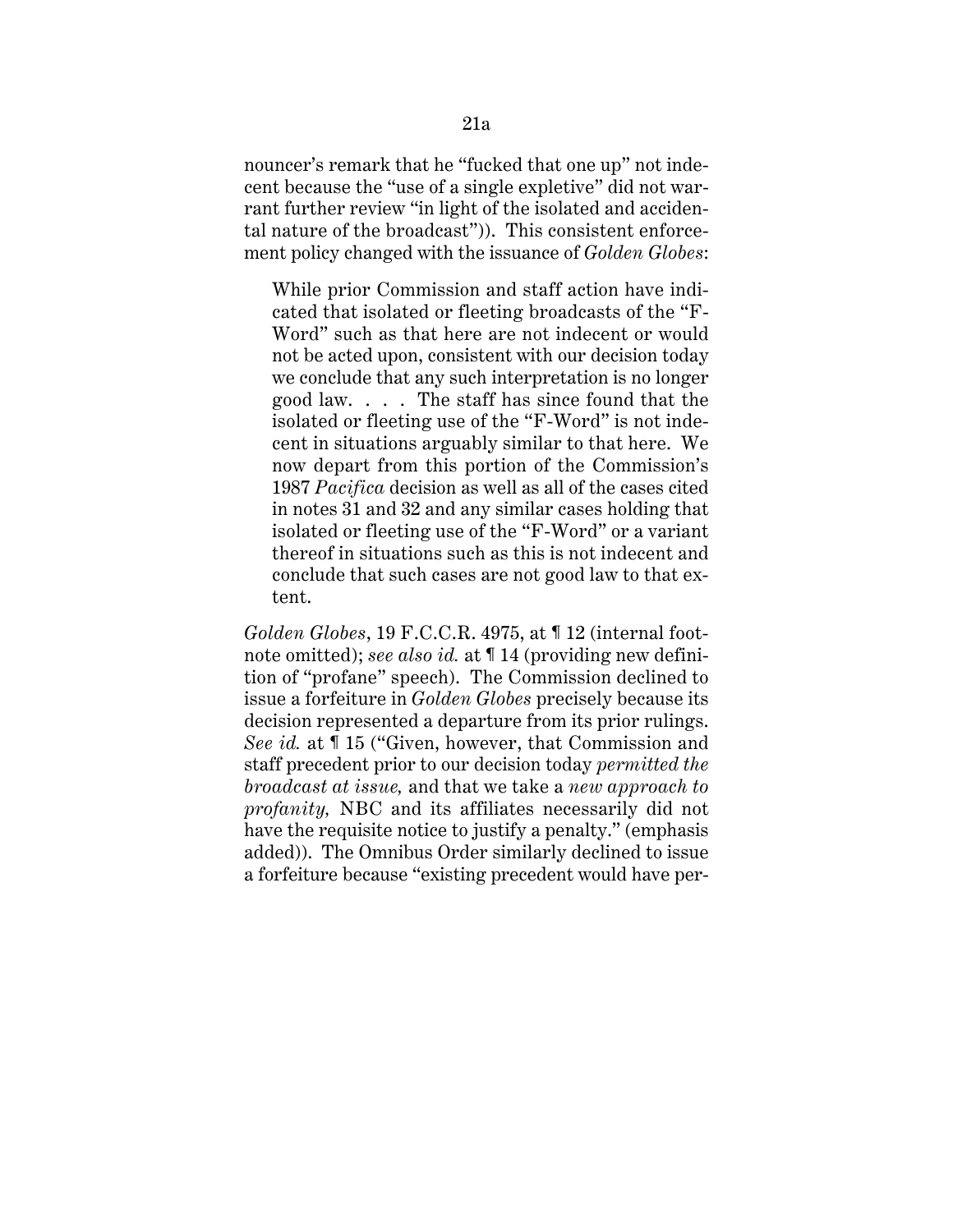nouncer's remark that he "fucked that one up" not indecent because the "use of a single expletive" did not warrant further review "in light of the isolated and accidental nature of the broadcast")). This consistent enforcement policy changed with the issuance of *Golden Globes*:

While prior Commission and staff action have indicated that isolated or fleeting broadcasts of the "F-Word" such as that here are not indecent or would not be acted upon, consistent with our decision today we conclude that any such interpretation is no longer good law. . . . The staff has since found that the isolated or fleeting use of the "F-Word" is not indecent in situations arguably similar to that here. We now depart from this portion of the Commission's 1987 *Pacifica* decision as well as all of the cases cited in notes 31 and 32 and any similar cases holding that isolated or fleeting use of the "F-Word" or a variant thereof in situations such as this is not indecent and conclude that such cases are not good law to that extent.

*Golden Globes*, 19 F.C.C.R. 4975, at ¶ 12 (internal footnote omitted); *see also id.* at ¶ 14 (providing new definition of "profane" speech). The Commission declined to issue a forfeiture in *Golden Globes* precisely because its decision represented a departure from its prior rulings. *See id.* at ¶ 15 ("Given, however, that Commission and staff precedent prior to our decision today *permitted the broadcast at issue,* and that we take a *new approach to profanity,* NBC and its affiliates necessarily did not have the requisite notice to justify a penalty." (emphasis added)). The Omnibus Order similarly declined to issue a forfeiture because "existing precedent would have per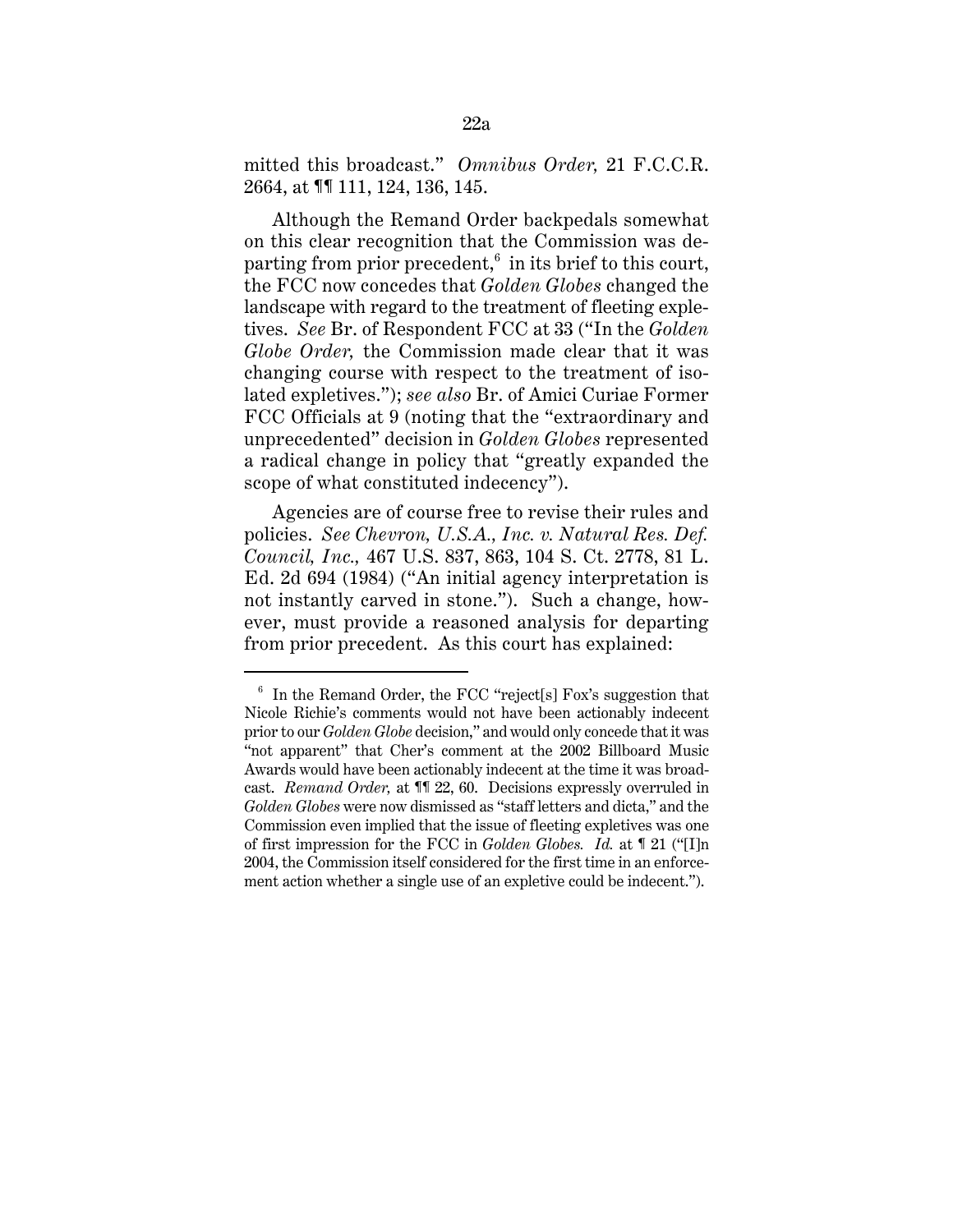mitted this broadcast." *Omnibus Order,* 21 F.C.C.R. 2664, at ¶¶ 111, 124, 136, 145.

Although the Remand Order backpedals somewhat on this clear recognition that the Commission was departing from prior precedent, $^6$  in its brief to this court, the FCC now concedes that *Golden Globes* changed the landscape with regard to the treatment of fleeting expletives. *See* Br. of Respondent FCC at 33 ("In the *Golden Globe Order,* the Commission made clear that it was changing course with respect to the treatment of isolated expletives."); *see also* Br. of Amici Curiae Former FCC Officials at 9 (noting that the "extraordinary and unprecedented" decision in *Golden Globes* represented a radical change in policy that "greatly expanded the scope of what constituted indecency").

Agencies are of course free to revise their rules and policies. *See Chevron, U.S.A., Inc. v. Natural Res. Def. Council, Inc.,* 467 U.S. 837, 863, 104 S. Ct. 2778, 81 L. Ed. 2d 694 (1984) ("An initial agency interpretation is not instantly carved in stone."). Such a change, however, must provide a reasoned analysis for departing from prior precedent. As this court has explained:

 $6\;$  In the Remand Order, the FCC "reject[s] Fox's suggestion that Nicole Richie's comments would not have been actionably indecent prior to our *Golden Globe* decision," and would only concede that it was "not apparent" that Cher's comment at the 2002 Billboard Music Awards would have been actionably indecent at the time it was broadcast. *Remand Order,* at ¶¶ 22, 60. Decisions expressly overruled in *Golden Globes* were now dismissed as "staff letters and dicta," and the Commission even implied that the issue of fleeting expletives was one of first impression for the FCC in *Golden Globes. Id.* at ¶ 21 ("[I]n 2004, the Commission itself considered for the first time in an enforcement action whether a single use of an expletive could be indecent.").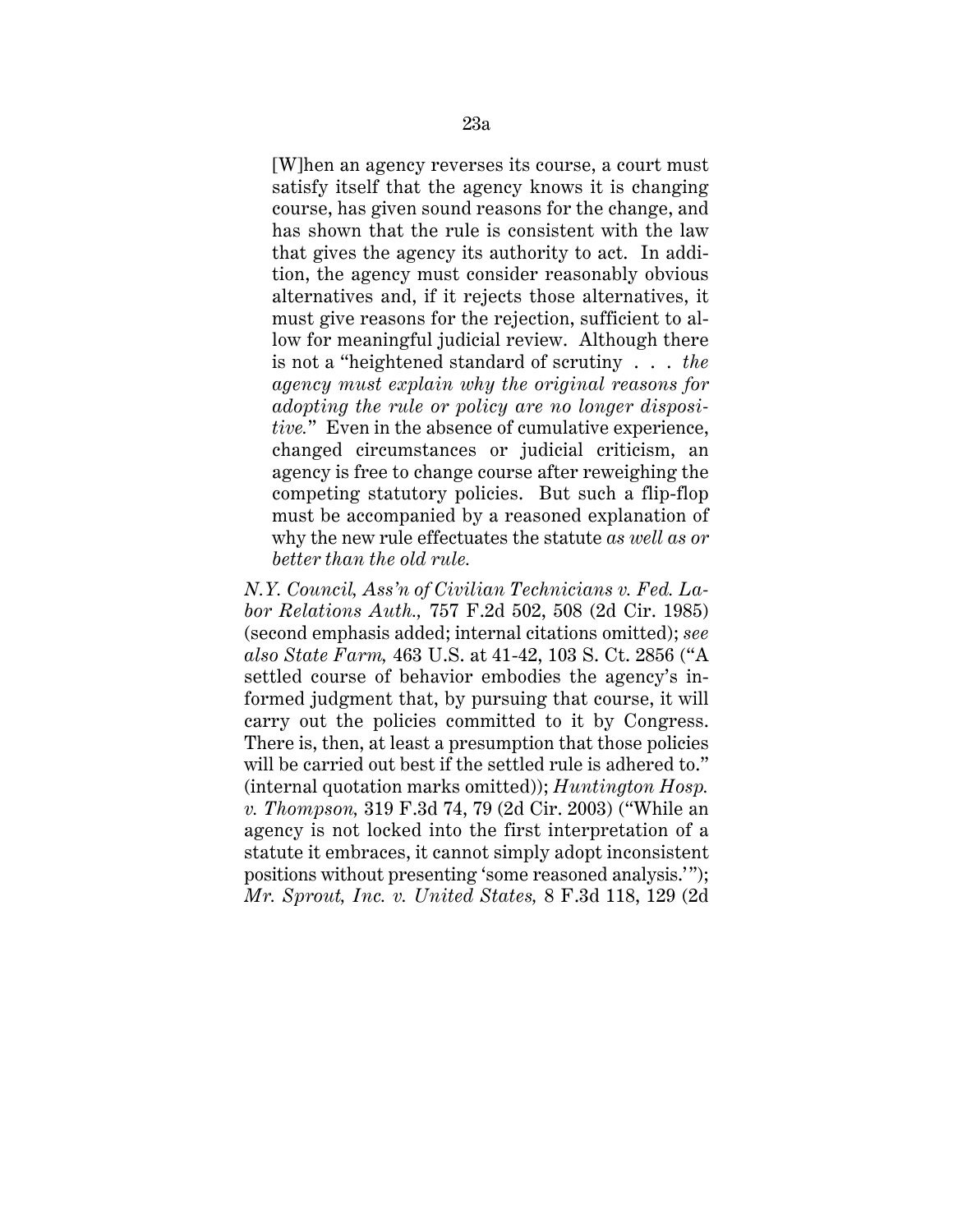[W]hen an agency reverses its course, a court must satisfy itself that the agency knows it is changing course, has given sound reasons for the change, and has shown that the rule is consistent with the law that gives the agency its authority to act. In addition, the agency must consider reasonably obvious alternatives and, if it rejects those alternatives, it must give reasons for the rejection, sufficient to allow for meaningful judicial review. Although there is not a "heightened standard of scrutiny . . . *the agency must explain why the original reasons for adopting the rule or policy are no longer dispositive.*" Even in the absence of cumulative experience, changed circumstances or judicial criticism, an agency is free to change course after reweighing the competing statutory policies. But such a flip-flop must be accompanied by a reasoned explanation of why the new rule effectuates the statute *as well as or better than the old rule.*

*N.Y. Council, Ass'n of Civilian Technicians v. Fed. Labor Relations Auth.,* 757 F.2d 502, 508 (2d Cir. 1985) (second emphasis added; internal citations omitted); *see also State Farm,* 463 U.S. at 41-42, 103 S. Ct. 2856 ("A settled course of behavior embodies the agency's informed judgment that, by pursuing that course, it will carry out the policies committed to it by Congress. There is, then, at least a presumption that those policies will be carried out best if the settled rule is adhered to." (internal quotation marks omitted)); *Huntington Hosp. v. Thompson,* 319 F.3d 74, 79 (2d Cir. 2003) ("While an agency is not locked into the first interpretation of a statute it embraces, it cannot simply adopt inconsistent positions without presenting 'some reasoned analysis.'"); *Mr. Sprout, Inc. v. United States,* 8 F.3d 118, 129 (2d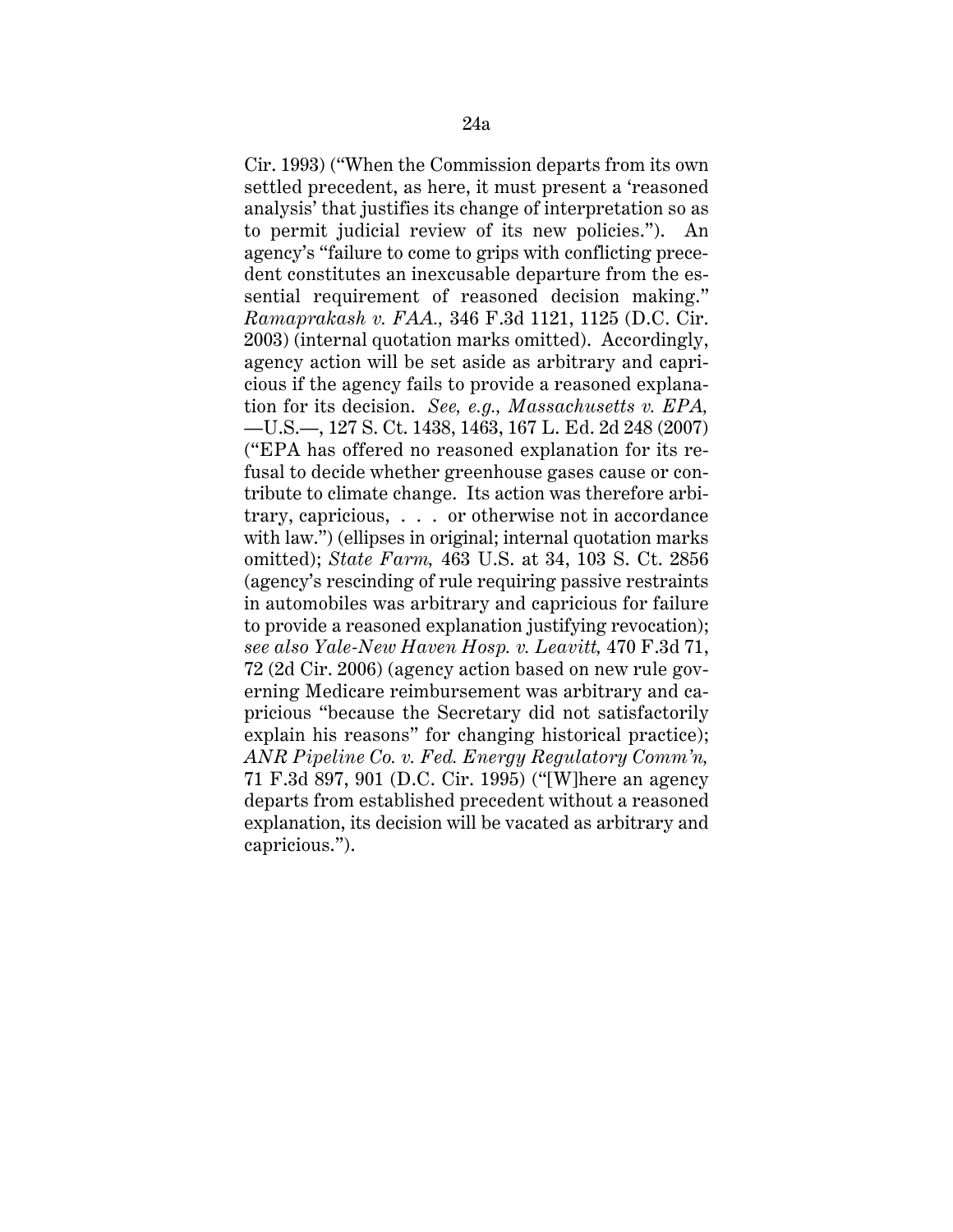Cir. 1993) ("When the Commission departs from its own settled precedent, as here, it must present a 'reasoned analysis' that justifies its change of interpretation so as to permit judicial review of its new policies."). An agency's "failure to come to grips with conflicting precedent constitutes an inexcusable departure from the essential requirement of reasoned decision making." *Ramaprakash v. FAA.,* 346 F.3d 1121, 1125 (D.C. Cir. 2003) (internal quotation marks omitted). Accordingly, agency action will be set aside as arbitrary and capricious if the agency fails to provide a reasoned explanation for its decision. *See, e.g., Massachusetts v. EPA,* —U.S.—, 127 S. Ct. 1438, 1463, 167 L. Ed. 2d 248 (2007) ("EPA has offered no reasoned explanation for its refusal to decide whether greenhouse gases cause or contribute to climate change. Its action was therefore arbitrary, capricious, . . . or otherwise not in accordance with law.") (ellipses in original; internal quotation marks omitted); *State Farm,* 463 U.S. at 34, 103 S. Ct. 2856 (agency's rescinding of rule requiring passive restraints in automobiles was arbitrary and capricious for failure to provide a reasoned explanation justifying revocation); *see also Yale-New Haven Hosp. v. Leavitt,* 470 F.3d 71, 72 (2d Cir. 2006) (agency action based on new rule governing Medicare reimbursement was arbitrary and capricious "because the Secretary did not satisfactorily explain his reasons" for changing historical practice); *ANR Pipeline Co. v. Fed. Energy Regulatory Comm'n,* 71 F.3d 897, 901 (D.C. Cir. 1995) ("[W]here an agency departs from established precedent without a reasoned explanation, its decision will be vacated as arbitrary and capricious.").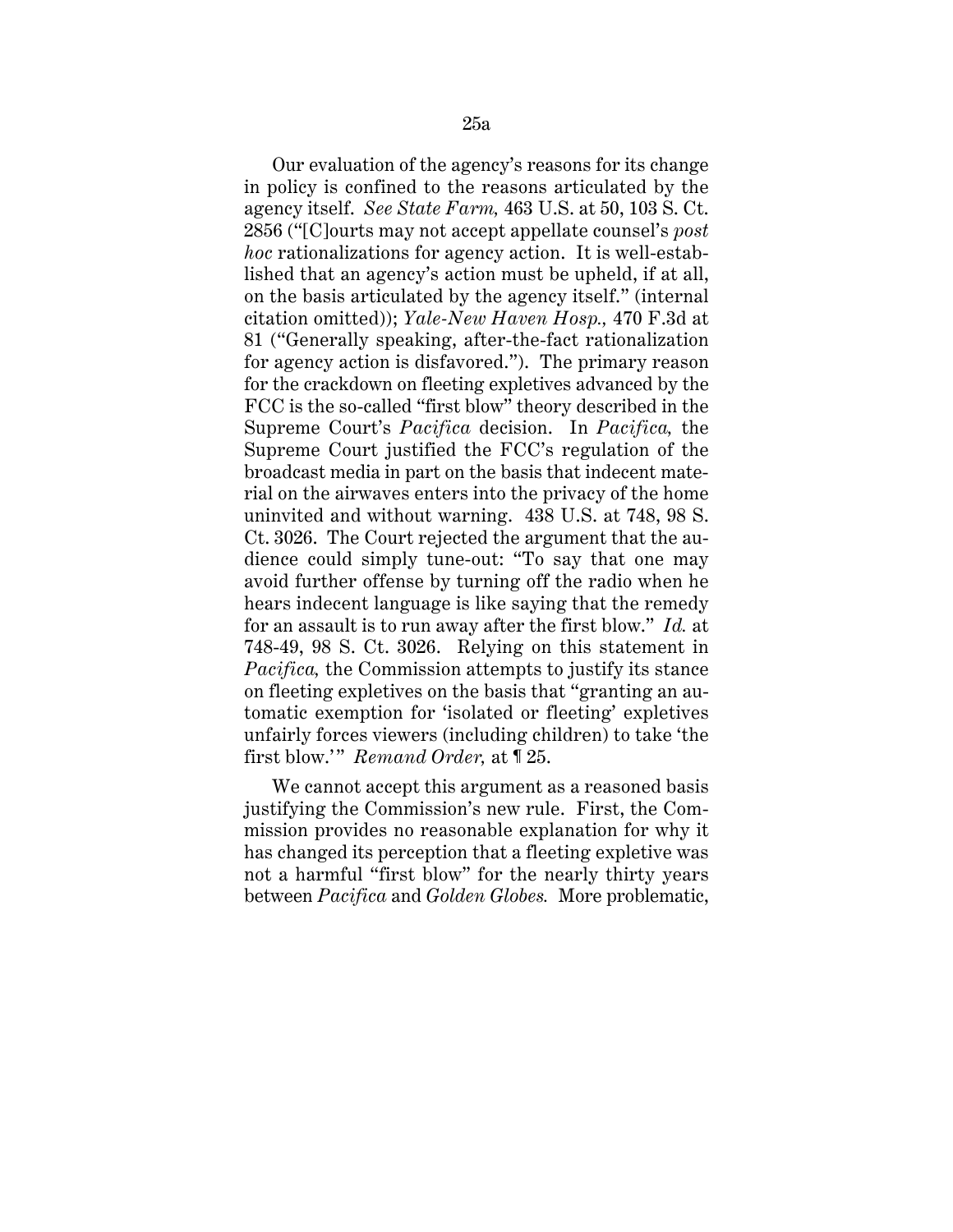Our evaluation of the agency's reasons for its change in policy is confined to the reasons articulated by the agency itself. *See State Farm,* 463 U.S. at 50, 103 S. Ct. 2856 ("[C]ourts may not accept appellate counsel's *post hoc* rationalizations for agency action. It is well-established that an agency's action must be upheld, if at all, on the basis articulated by the agency itself." (internal citation omitted)); *Yale-New Haven Hosp.,* 470 F.3d at 81 ("Generally speaking, after-the-fact rationalization for agency action is disfavored."). The primary reason for the crackdown on fleeting expletives advanced by the FCC is the so-called "first blow" theory described in the Supreme Court's *Pacifica* decision. In *Pacifica,* the Supreme Court justified the FCC's regulation of the broadcast media in part on the basis that indecent material on the airwaves enters into the privacy of the home uninvited and without warning. 438 U.S. at 748, 98 S. Ct. 3026. The Court rejected the argument that the audience could simply tune-out: "To say that one may avoid further offense by turning off the radio when he hears indecent language is like saying that the remedy for an assault is to run away after the first blow." *Id.* at 748-49, 98 S. Ct. 3026. Relying on this statement in *Pacifica,* the Commission attempts to justify its stance on fleeting expletives on the basis that "granting an automatic exemption for 'isolated or fleeting' expletives unfairly forces viewers (including children) to take 'the first blow.'" *Remand Order,* at ¶ 25.

We cannot accept this argument as a reasoned basis justifying the Commission's new rule. First, the Commission provides no reasonable explanation for why it has changed its perception that a fleeting expletive was not a harmful "first blow" for the nearly thirty years between *Pacifica* and *Golden Globes.* More problematic,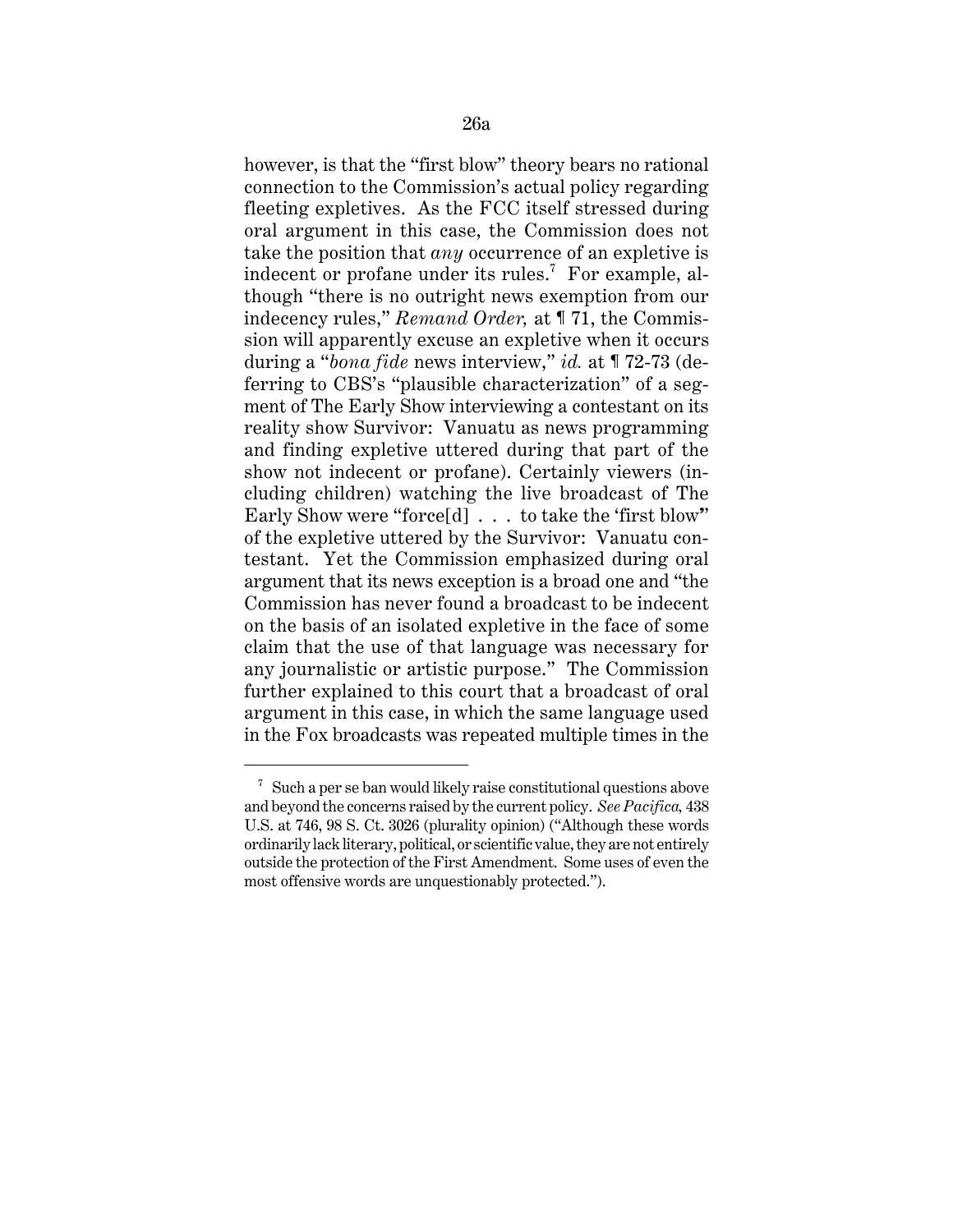however, is that the "first blow" theory bears no rational connection to the Commission's actual policy regarding fleeting expletives. As the FCC itself stressed during oral argument in this case, the Commission does not take the position that *any* occurrence of an expletive is indecent or profane under its rules. $^7$  For example, although "there is no outright news exemption from our indecency rules," *Remand Order,* at ¶ 71, the Commission will apparently excuse an expletive when it occurs during a "*bona fide* news interview," *id.* at ¶ 72-73 (deferring to CBS's "plausible characterization" of a segment of The Early Show interviewing a contestant on its reality show Survivor: Vanuatu as news programming and finding expletive uttered during that part of the show not indecent or profane). Certainly viewers (including children) watching the live broadcast of The Early Show were "force[d] . . . to take the 'first blow'" of the expletive uttered by the Survivor: Vanuatu contestant. Yet the Commission emphasized during oral argument that its news exception is a broad one and "the Commission has never found a broadcast to be indecent on the basis of an isolated expletive in the face of some claim that the use of that language was necessary for any journalistic or artistic purpose." The Commission further explained to this court that a broadcast of oral argument in this case, in which the same language used in the Fox broadcasts was repeated multiple times in the

 $7 \text{ Such a per se ban would likely raise constitutional questions above}$ and beyond the concerns raised by the current policy. *See Pacifica,* 438 U.S. at 746, 98 S. Ct. 3026 (plurality opinion) ("Although these words ordinarily lack literary, political, or scientific value, they are not entirely outside the protection of the First Amendment. Some uses of even the most offensive words are unquestionably protected.").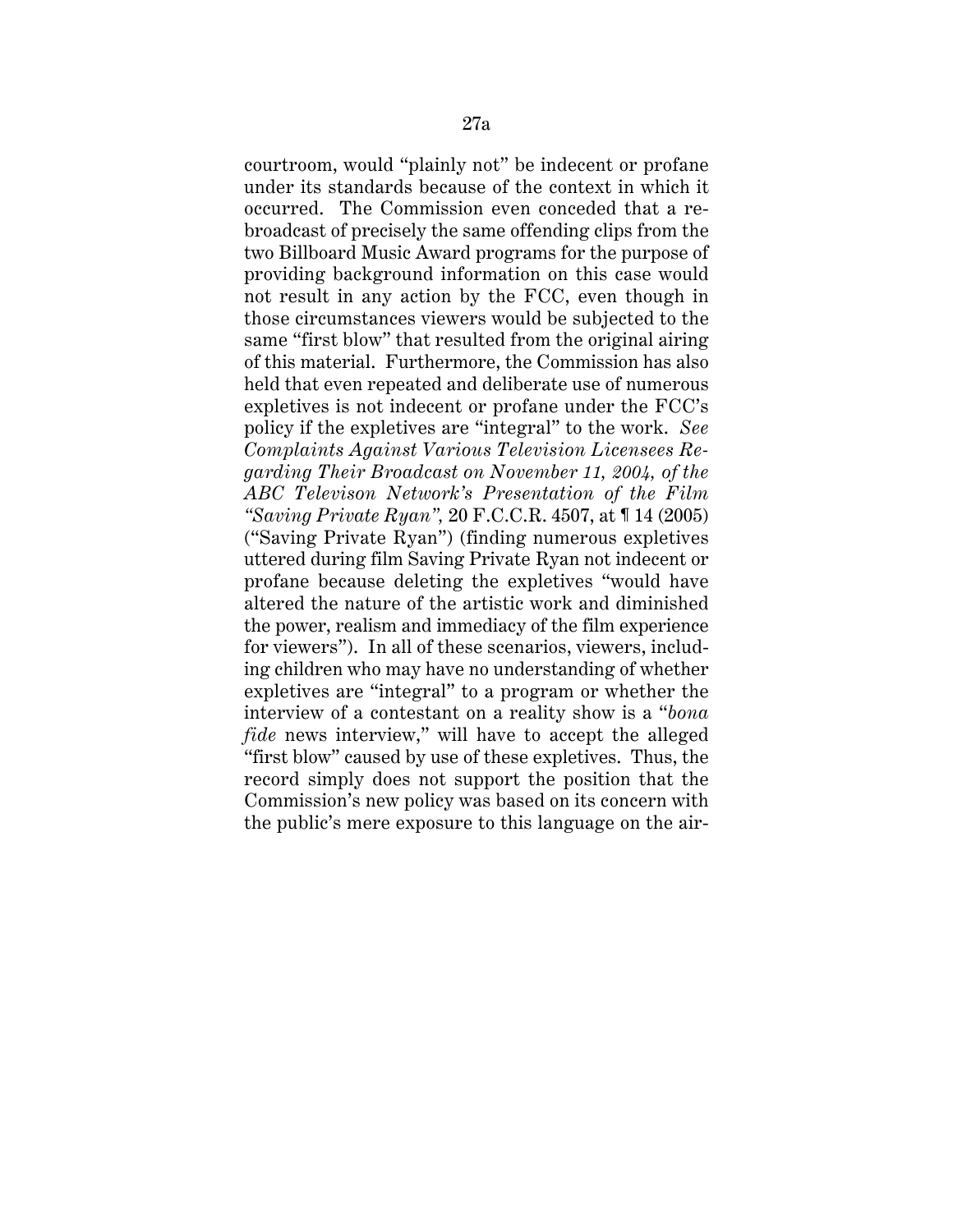courtroom, would "plainly not" be indecent or profane under its standards because of the context in which it occurred. The Commission even conceded that a rebroadcast of precisely the same offending clips from the two Billboard Music Award programs for the purpose of providing background information on this case would not result in any action by the FCC, even though in those circumstances viewers would be subjected to the same "first blow" that resulted from the original airing of this material. Furthermore, the Commission has also held that even repeated and deliberate use of numerous expletives is not indecent or profane under the FCC's policy if the expletives are "integral" to the work. *See Complaints Against Various Television Licensees Regarding Their Broadcast on November 11, 2004, of the ABC Televison Network's Presentation of the Film "Saving Private Ryan",* 20 F.C.C.R. 4507, at ¶ 14 (2005) ("Saving Private Ryan") (finding numerous expletives uttered during film Saving Private Ryan not indecent or profane because deleting the expletives "would have altered the nature of the artistic work and diminished the power, realism and immediacy of the film experience for viewers"). In all of these scenarios, viewers, including children who may have no understanding of whether expletives are "integral" to a program or whether the interview of a contestant on a reality show is a "*bona fide* news interview," will have to accept the alleged "first blow" caused by use of these expletives. Thus, the record simply does not support the position that the Commission's new policy was based on its concern with the public's mere exposure to this language on the air-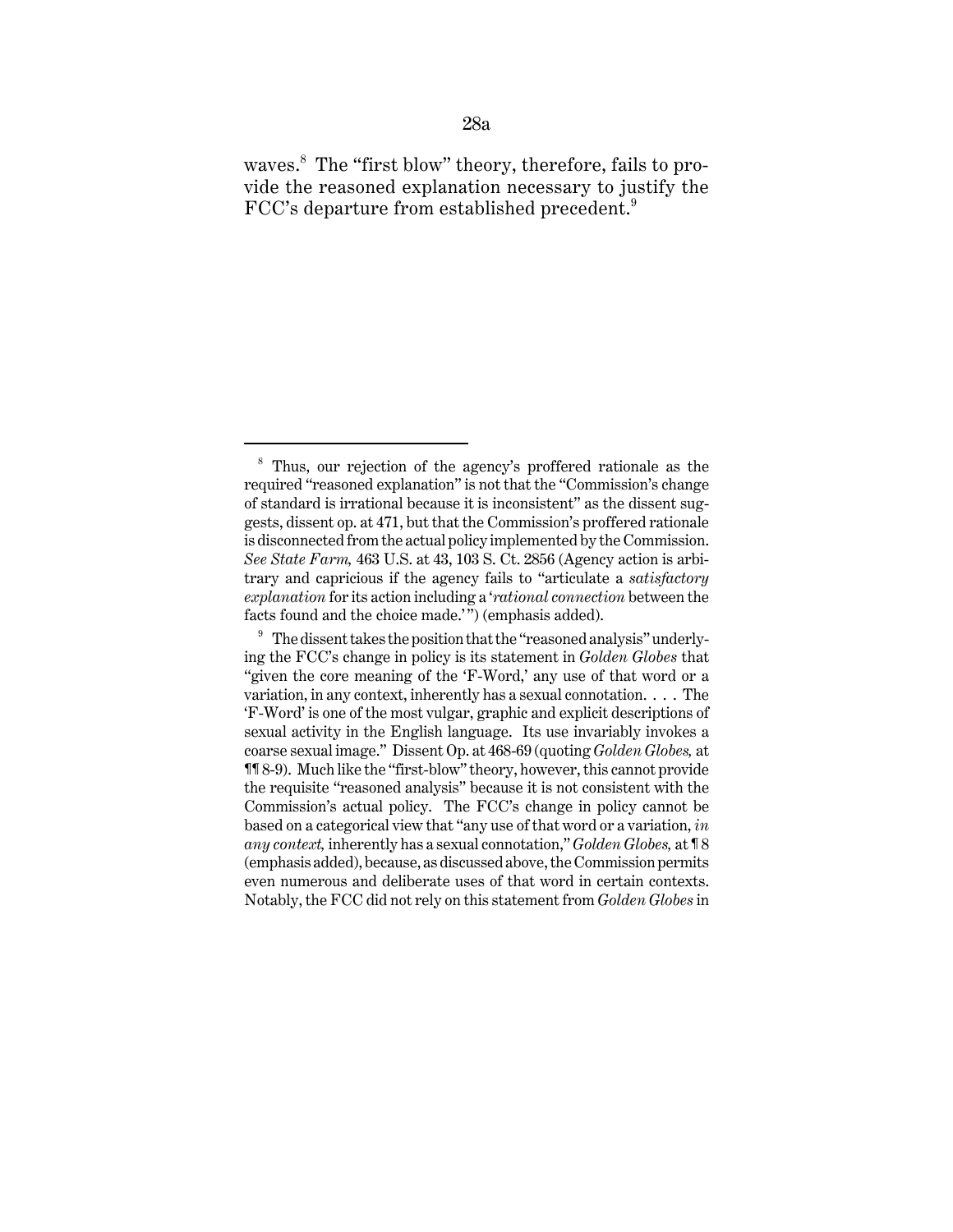waves.<sup>8</sup> The "first blow" theory, therefore, fails to provide the reasoned explanation necessary to justify the FCC's departure from established precedent. $9$ 

<sup>8</sup> Thus, our rejection of the agency's proffered rationale as the required "reasoned explanation" is not that the "Commission's change of standard is irrational because it is inconsistent" as the dissent suggests, dissent op. at 471, but that the Commission's proffered rationale is disconnected from the actual policy implemented by the Commission. *See State Farm,* 463 U.S. at 43, 103 S. Ct. 2856 (Agency action is arbitrary and capricious if the agency fails to "articulate a *satisfactory explanation* for its action including a '*rational connection* between the facts found and the choice made.'") (emphasis added).

 $9\textdegree$  The dissent takes the position that the "reasoned analysis" underlying the FCC's change in policy is its statement in *Golden Globes* that "given the core meaning of the 'F-Word,' any use of that word or a variation, in any context, inherently has a sexual connotation. . . . The 'F-Word' is one of the most vulgar, graphic and explicit descriptions of sexual activity in the English language. Its use invariably invokes a coarse sexual image." Dissent Op. at 468-69 (quoting *Golden Globes,* at ¶¶ 8-9). Much like the "first-blow" theory, however, this cannot provide the requisite "reasoned analysis" because it is not consistent with the Commission's actual policy. The FCC's change in policy cannot be based on a categorical view that "any use of that word or a variation, *in any context,* inherently has a sexual connotation," *Golden Globes,* at ¶ 8 (emphasis added), because, as discussed above, the Commission permits even numerous and deliberate uses of that word in certain contexts. Notably, the FCC did not rely on this statement from *Golden Globes* in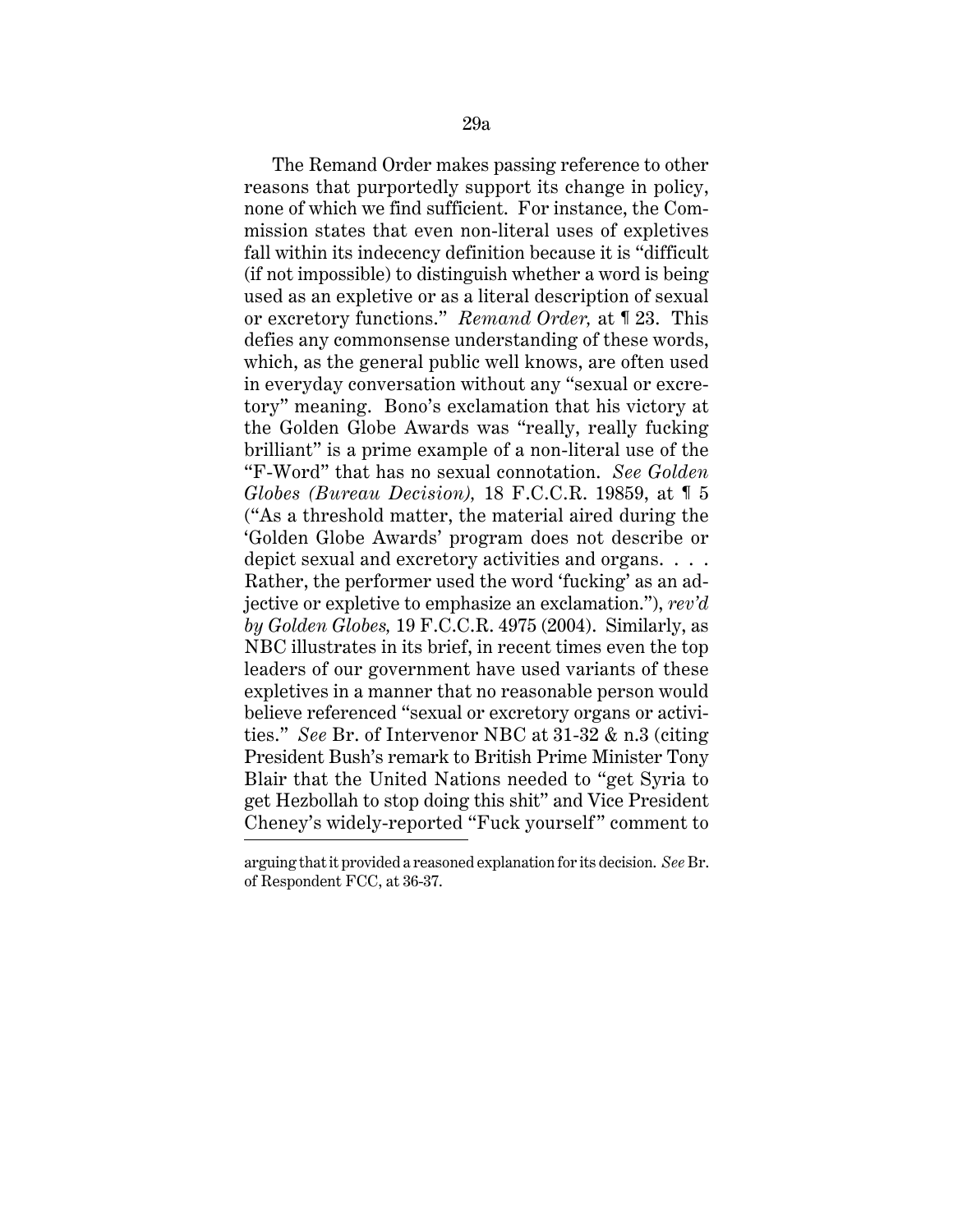The Remand Order makes passing reference to other reasons that purportedly support its change in policy, none of which we find sufficient. For instance, the Commission states that even non-literal uses of expletives fall within its indecency definition because it is "difficult (if not impossible) to distinguish whether a word is being used as an expletive or as a literal description of sexual or excretory functions." *Remand Order,* at ¶ 23. This defies any commonsense understanding of these words, which, as the general public well knows, are often used in everyday conversation without any "sexual or excretory" meaning. Bono's exclamation that his victory at the Golden Globe Awards was "really, really fucking brilliant" is a prime example of a non-literal use of the "F-Word" that has no sexual connotation. *See Golden Globes (Bureau Decision),* 18 F.C.C.R. 19859, at ¶ 5 ("As a threshold matter, the material aired during the 'Golden Globe Awards' program does not describe or depict sexual and excretory activities and organs. . . . Rather, the performer used the word 'fucking' as an adjective or expletive to emphasize an exclamation."), *rev'd by Golden Globes,* 19 F.C.C.R. 4975 (2004). Similarly, as NBC illustrates in its brief, in recent times even the top leaders of our government have used variants of these expletives in a manner that no reasonable person would believe referenced "sexual or excretory organs or activities." *See* Br. of Intervenor NBC at 31-32 & n.3 (citing President Bush's remark to British Prime Minister Tony Blair that the United Nations needed to "get Syria to get Hezbollah to stop doing this shit" and Vice President Cheney's widely-reported "Fuck yourself" comment to

arguing that it provided a reasoned explanation for its decision. *See* Br. of Respondent FCC, at 36-37.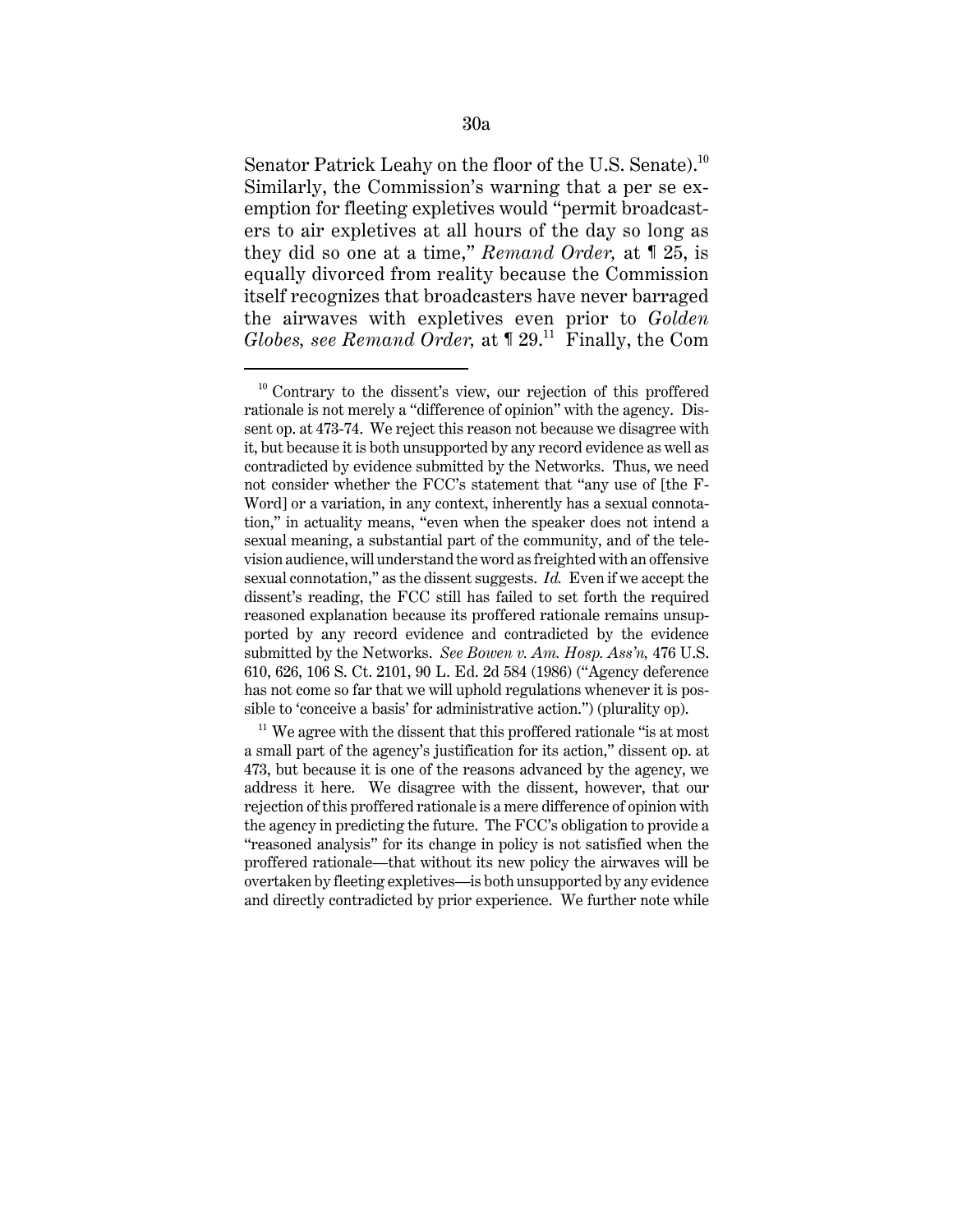Senator Patrick Leahy on the floor of the U.S. Senate).<sup>10</sup> Similarly, the Commission's warning that a per se exemption for fleeting expletives would "permit broadcasters to air expletives at all hours of the day so long as they did so one at a time," *Remand Order,* at ¶ 25, is equally divorced from reality because the Commission itself recognizes that broadcasters have never barraged the airwaves with expletives even prior to *Golden Globes, see Remand Order,* at  $\lceil 29 \rceil$ <sup>11</sup> Finally, the Com

 $10$  Contrary to the dissent's view, our rejection of this proffered rationale is not merely a "difference of opinion" with the agency. Dissent op. at 473-74. We reject this reason not because we disagree with it, but because it is both unsupported by any record evidence as well as contradicted by evidence submitted by the Networks. Thus, we need not consider whether the FCC's statement that "any use of [the F-Word] or a variation, in any context, inherently has a sexual connotation," in actuality means, "even when the speaker does not intend a sexual meaning, a substantial part of the community, and of the television audience, will understand the word as freighted with an offensive sexual connotation," as the dissent suggests. *Id.* Even if we accept the dissent's reading, the FCC still has failed to set forth the required reasoned explanation because its proffered rationale remains unsupported by any record evidence and contradicted by the evidence submitted by the Networks. *See Bowen v. Am. Hosp. Ass'n,* 476 U.S. 610, 626, 106 S. Ct. 2101, 90 L. Ed. 2d 584 (1986) ("Agency deference has not come so far that we will uphold regulations whenever it is possible to 'conceive a basis' for administrative action.") (plurality op).

 $11$  We agree with the dissent that this proffered rationale "is at most a small part of the agency's justification for its action," dissent op. at 473, but because it is one of the reasons advanced by the agency, we address it here. We disagree with the dissent, however, that our rejection of this proffered rationale is a mere difference of opinion with the agency in predicting the future. The FCC's obligation to provide a "reasoned analysis" for its change in policy is not satisfied when the proffered rationale—that without its new policy the airwaves will be overtaken by fleeting expletives—is both unsupported by any evidence and directly contradicted by prior experience. We further note while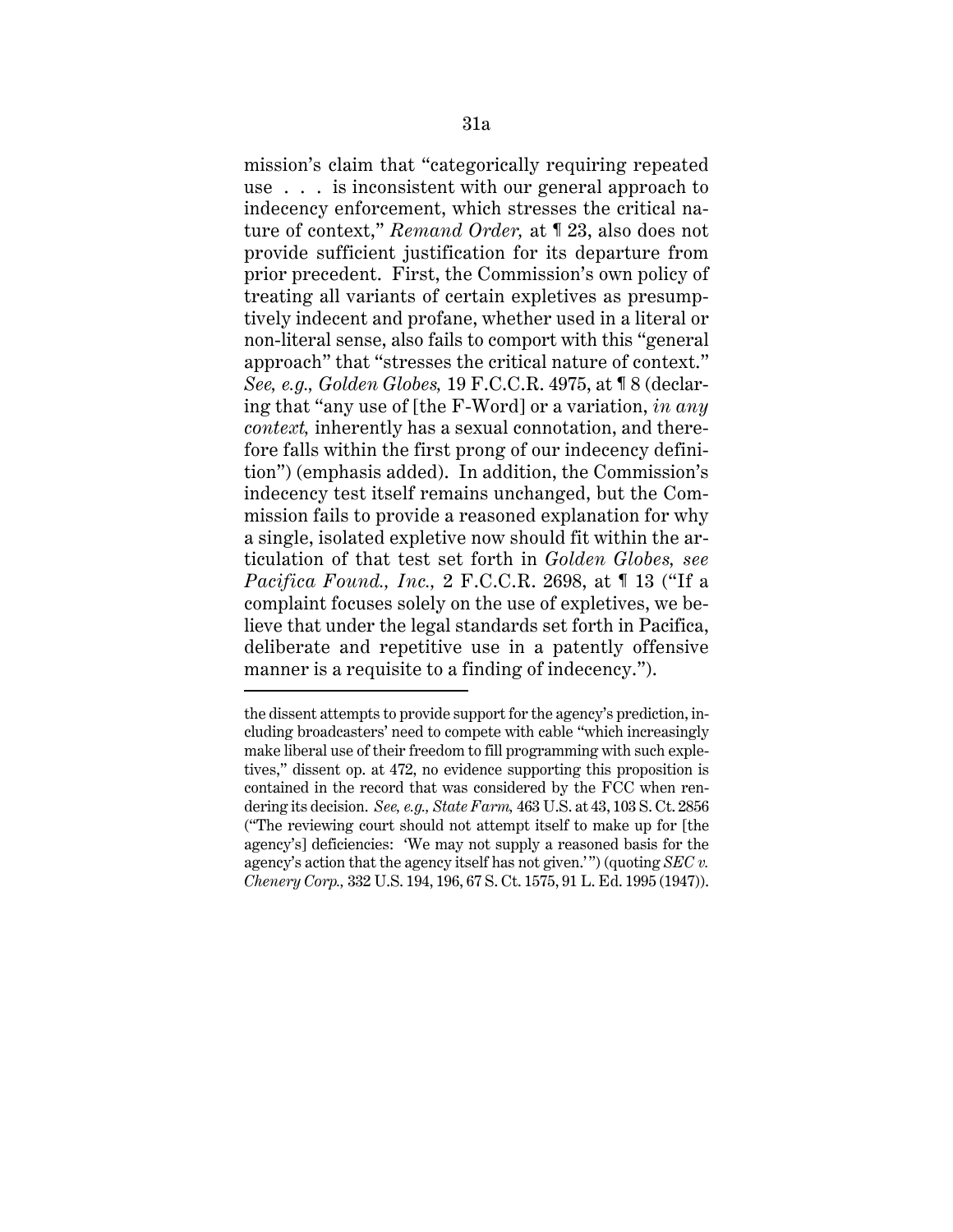mission's claim that "categorically requiring repeated use . . . is inconsistent with our general approach to indecency enforcement, which stresses the critical nature of context," *Remand Order,* at ¶ 23, also does not provide sufficient justification for its departure from prior precedent. First, the Commission's own policy of treating all variants of certain expletives as presumptively indecent and profane, whether used in a literal or non-literal sense, also fails to comport with this "general approach" that "stresses the critical nature of context." *See, e.g., Golden Globes,* 19 F.C.C.R. 4975, at ¶ 8 (declaring that "any use of [the F-Word] or a variation, *in any context,* inherently has a sexual connotation, and therefore falls within the first prong of our indecency definition") (emphasis added). In addition, the Commission's indecency test itself remains unchanged, but the Commission fails to provide a reasoned explanation for why a single, isolated expletive now should fit within the articulation of that test set forth in *Golden Globes, see Pacifica Found., Inc.,* 2 F.C.C.R. 2698, at ¶ 13 ("If a complaint focuses solely on the use of expletives, we believe that under the legal standards set forth in Pacifica, deliberate and repetitive use in a patently offensive manner is a requisite to a finding of indecency.").

the dissent attempts to provide support for the agency's prediction, including broadcasters' need to compete with cable "which increasingly make liberal use of their freedom to fill programming with such expletives," dissent op. at 472, no evidence supporting this proposition is contained in the record that was considered by the FCC when rendering its decision. *See, e.g., State Farm,* 463 U.S. at 43, 103 S. Ct. 2856 ("The reviewing court should not attempt itself to make up for [the agency's] deficiencies: 'We may not supply a reasoned basis for the agency's action that the agency itself has not given.'") (quoting *SEC v. Chenery Corp.,* 332 U.S. 194, 196, 67 S. Ct. 1575, 91 L. Ed. 1995 (1947)).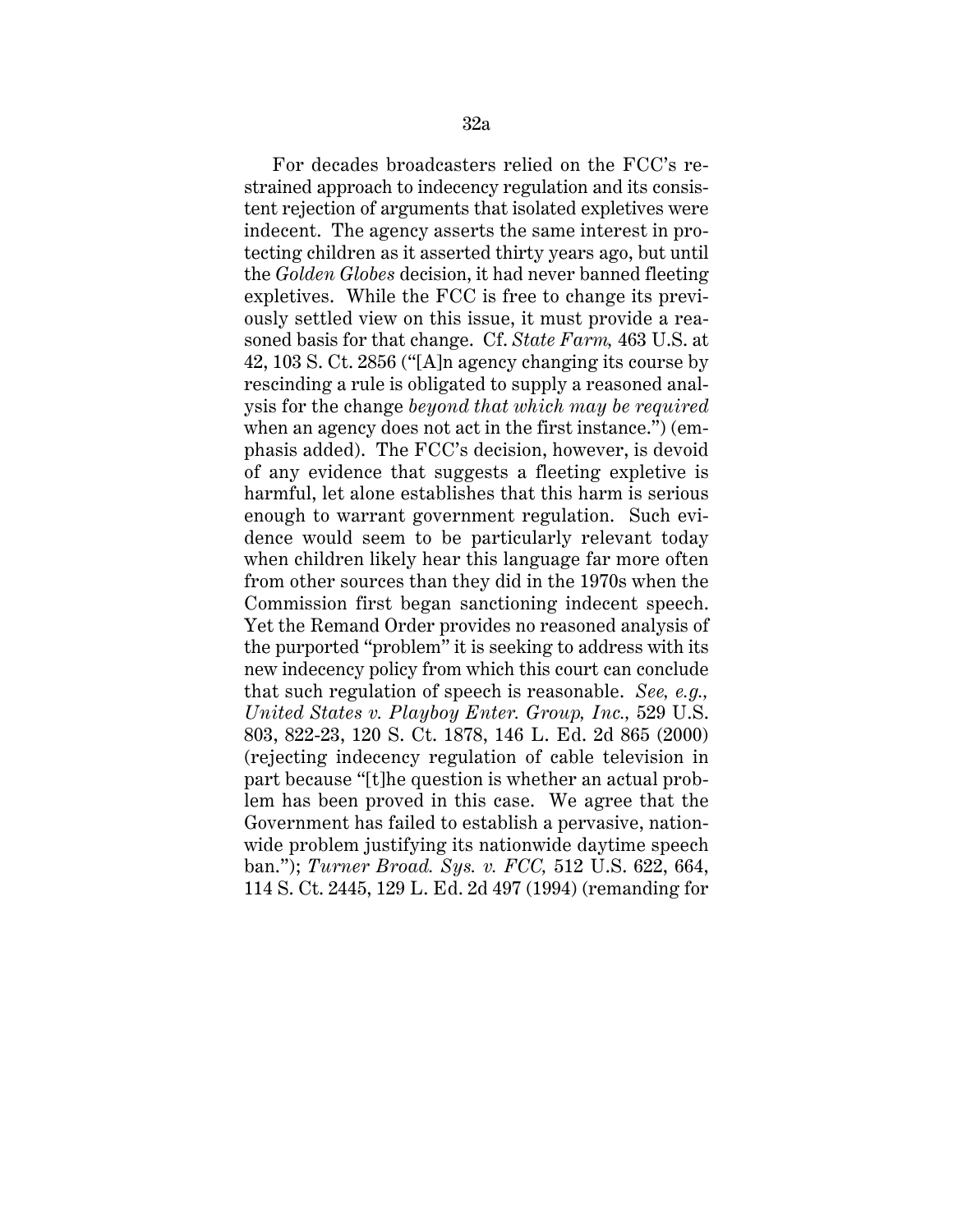For decades broadcasters relied on the FCC's restrained approach to indecency regulation and its consistent rejection of arguments that isolated expletives were indecent. The agency asserts the same interest in protecting children as it asserted thirty years ago, but until the *Golden Globes* decision, it had never banned fleeting expletives. While the FCC is free to change its previously settled view on this issue, it must provide a reasoned basis for that change. Cf. *State Farm,* 463 U.S. at 42, 103 S. Ct. 2856 ("[A]n agency changing its course by rescinding a rule is obligated to supply a reasoned analysis for the change *beyond that which may be required* when an agency does not act in the first instance.") (emphasis added). The FCC's decision, however, is devoid of any evidence that suggests a fleeting expletive is harmful, let alone establishes that this harm is serious enough to warrant government regulation. Such evidence would seem to be particularly relevant today when children likely hear this language far more often from other sources than they did in the 1970s when the Commission first began sanctioning indecent speech. Yet the Remand Order provides no reasoned analysis of the purported "problem" it is seeking to address with its new indecency policy from which this court can conclude that such regulation of speech is reasonable. *See, e.g., United States v. Playboy Enter. Group, Inc.,* 529 U.S. 803, 822-23, 120 S. Ct. 1878, 146 L. Ed. 2d 865 (2000) (rejecting indecency regulation of cable television in part because "[t]he question is whether an actual problem has been proved in this case. We agree that the Government has failed to establish a pervasive, nationwide problem justifying its nationwide daytime speech ban."); *Turner Broad. Sys. v. FCC,* 512 U.S. 622, 664, 114 S. Ct. 2445, 129 L. Ed. 2d 497 (1994) (remanding for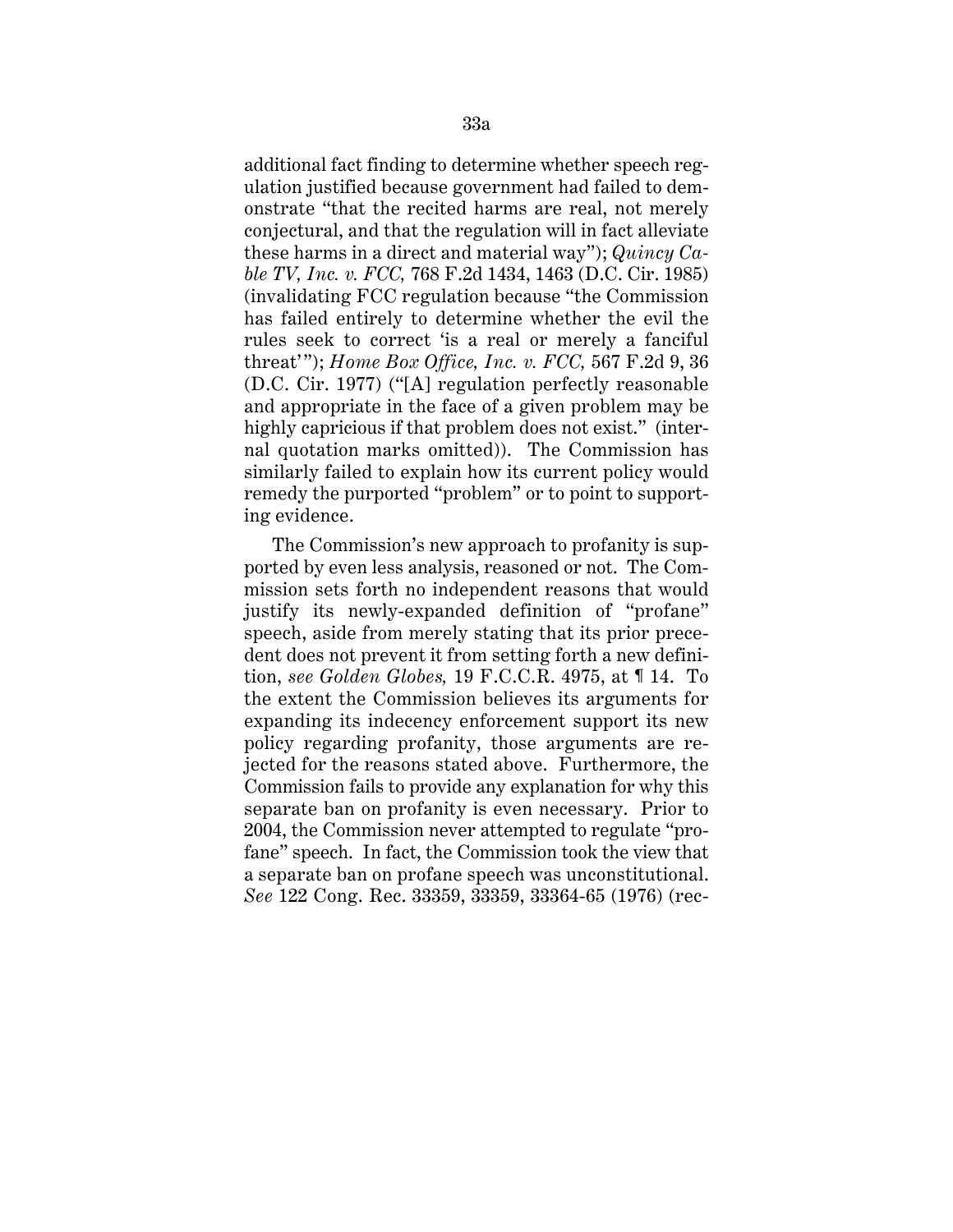additional fact finding to determine whether speech regulation justified because government had failed to demonstrate "that the recited harms are real, not merely conjectural, and that the regulation will in fact alleviate these harms in a direct and material way"); *Quincy Cable TV, Inc. v. FCC,* 768 F.2d 1434, 1463 (D.C. Cir. 1985) (invalidating FCC regulation because "the Commission has failed entirely to determine whether the evil the rules seek to correct 'is a real or merely a fanciful threat'"); *Home Box Office, Inc. v. FCC,* 567 F.2d 9, 36 (D.C. Cir. 1977) ("[A] regulation perfectly reasonable and appropriate in the face of a given problem may be highly capricious if that problem does not exist." (internal quotation marks omitted)). The Commission has similarly failed to explain how its current policy would remedy the purported "problem" or to point to supporting evidence.

The Commission's new approach to profanity is supported by even less analysis, reasoned or not. The Commission sets forth no independent reasons that would justify its newly-expanded definition of "profane" speech, aside from merely stating that its prior precedent does not prevent it from setting forth a new definition, *see Golden Globes,* 19 F.C.C.R. 4975, at ¶ 14. To the extent the Commission believes its arguments for expanding its indecency enforcement support its new policy regarding profanity, those arguments are rejected for the reasons stated above. Furthermore, the Commission fails to provide any explanation for why this separate ban on profanity is even necessary. Prior to 2004, the Commission never attempted to regulate "profane" speech. In fact, the Commission took the view that a separate ban on profane speech was unconstitutional. *See* 122 Cong. Rec. 33359, 33359, 33364-65 (1976) (rec-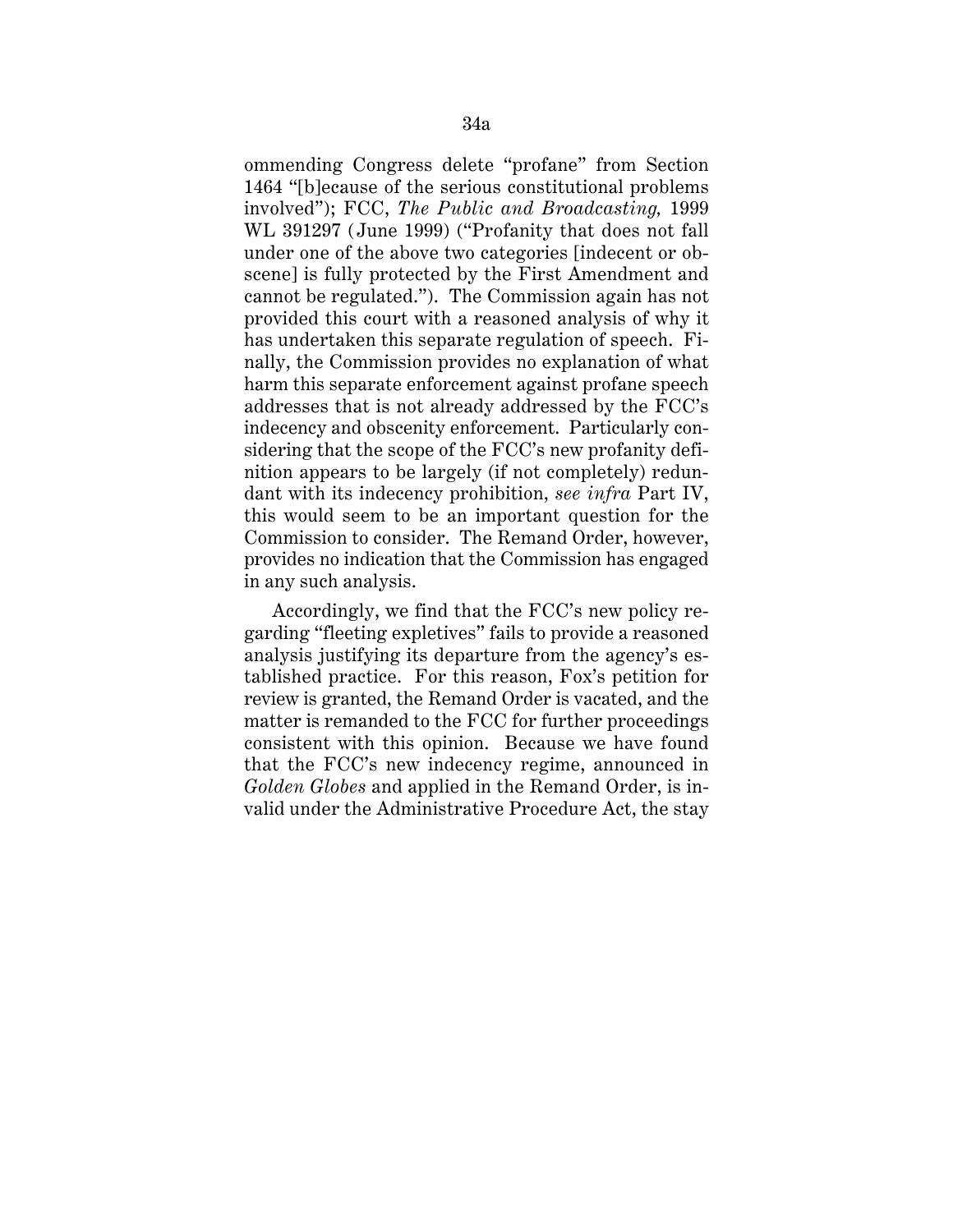ommending Congress delete "profane" from Section 1464 "[b]ecause of the serious constitutional problems involved"); FCC, *The Public and Broadcasting,* 1999 WL 391297 (June 1999) ("Profanity that does not fall under one of the above two categories [indecent or obscene] is fully protected by the First Amendment and cannot be regulated."). The Commission again has not provided this court with a reasoned analysis of why it has undertaken this separate regulation of speech. Finally, the Commission provides no explanation of what harm this separate enforcement against profane speech addresses that is not already addressed by the FCC's indecency and obscenity enforcement. Particularly considering that the scope of the FCC's new profanity definition appears to be largely (if not completely) redundant with its indecency prohibition, *see infra* Part IV, this would seem to be an important question for the Commission to consider. The Remand Order, however, provides no indication that the Commission has engaged in any such analysis.

Accordingly, we find that the FCC's new policy regarding "fleeting expletives" fails to provide a reasoned analysis justifying its departure from the agency's established practice. For this reason, Fox's petition for review is granted, the Remand Order is vacated, and the matter is remanded to the FCC for further proceedings consistent with this opinion. Because we have found that the FCC's new indecency regime, announced in *Golden Globes* and applied in the Remand Order, is invalid under the Administrative Procedure Act, the stay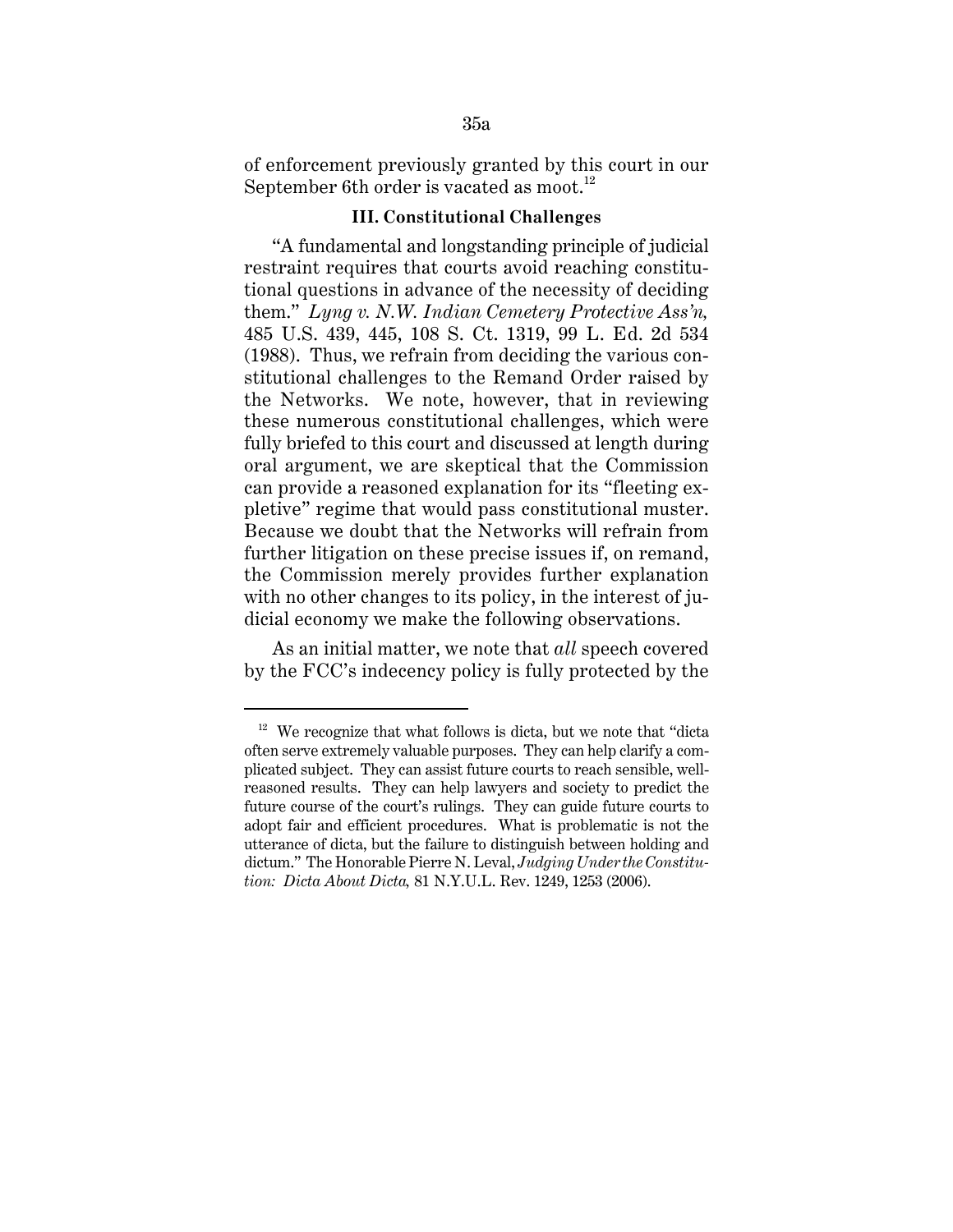of enforcement previously granted by this court in our September 6th order is vacated as moot.<sup>12</sup>

# **III. Constitutional Challenges**

"A fundamental and longstanding principle of judicial restraint requires that courts avoid reaching constitutional questions in advance of the necessity of deciding them." *Lyng v. N.W. Indian Cemetery Protective Ass'n,* 485 U.S. 439, 445, 108 S. Ct. 1319, 99 L. Ed. 2d 534 (1988). Thus, we refrain from deciding the various constitutional challenges to the Remand Order raised by the Networks. We note, however, that in reviewing these numerous constitutional challenges, which were fully briefed to this court and discussed at length during oral argument, we are skeptical that the Commission can provide a reasoned explanation for its "fleeting expletive" regime that would pass constitutional muster. Because we doubt that the Networks will refrain from further litigation on these precise issues if, on remand, the Commission merely provides further explanation with no other changes to its policy, in the interest of judicial economy we make the following observations.

As an initial matter, we note that *all* speech covered by the FCC's indecency policy is fully protected by the

 $12$  We recognize that what follows is dicta, but we note that "dicta often serve extremely valuable purposes. They can help clarify a complicated subject. They can assist future courts to reach sensible, wellreasoned results. They can help lawyers and society to predict the future course of the court's rulings. They can guide future courts to adopt fair and efficient procedures. What is problematic is not the utterance of dicta, but the failure to distinguish between holding and dictum." The Honorable Pierre N. Leval, *Judging Under the Constitution: Dicta About Dicta,* 81 N.Y.U.L. Rev. 1249, 1253 (2006).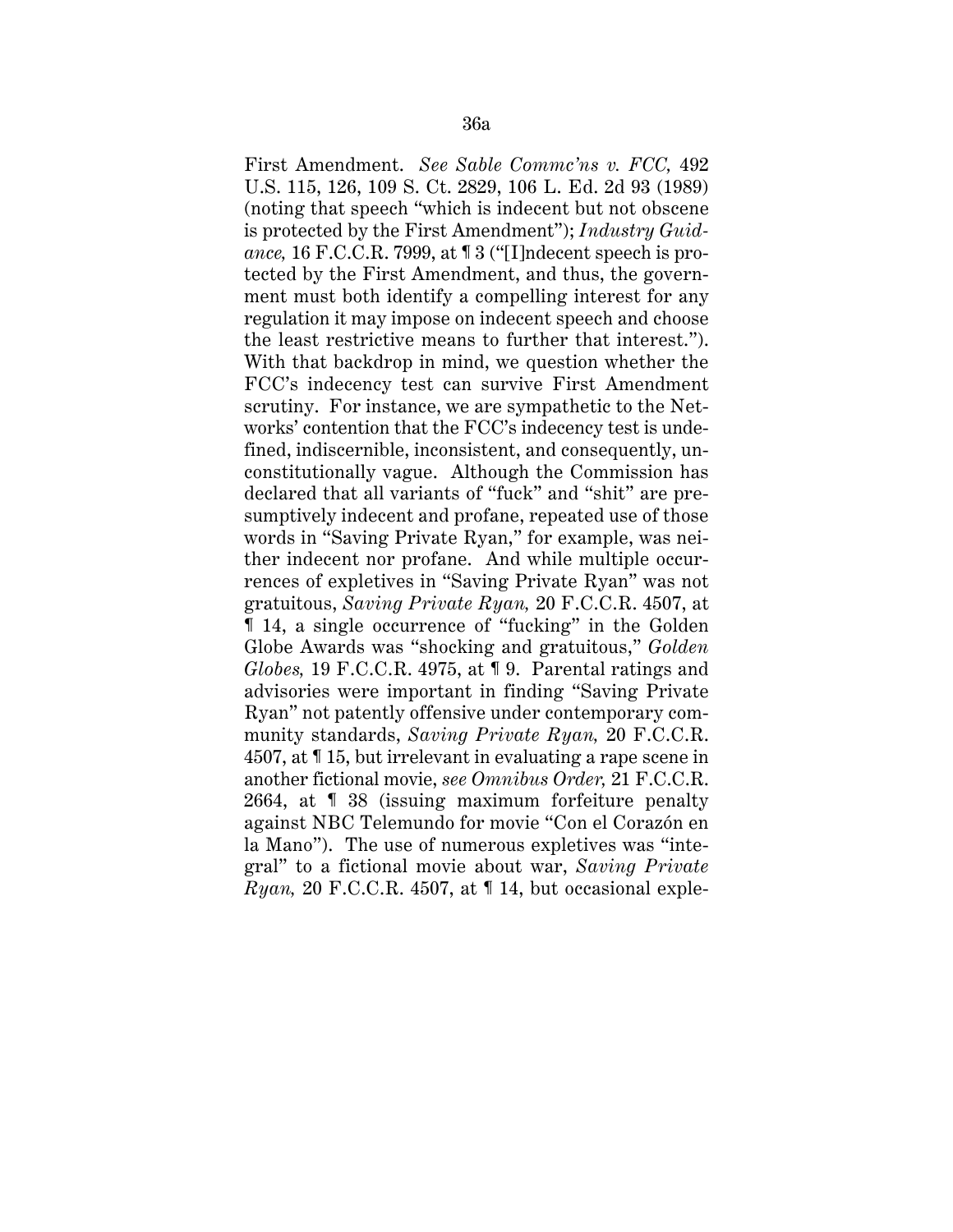First Amendment. *See Sable Commc'ns v. FCC,* 492 U.S. 115, 126, 109 S. Ct. 2829, 106 L. Ed. 2d 93 (1989) (noting that speech "which is indecent but not obscene is protected by the First Amendment"); *Industry Guidance,* 16 F.C.C.R. 7999, at ¶ 3 ("[I]ndecent speech is protected by the First Amendment, and thus, the government must both identify a compelling interest for any regulation it may impose on indecent speech and choose the least restrictive means to further that interest."). With that backdrop in mind, we question whether the FCC's indecency test can survive First Amendment scrutiny. For instance, we are sympathetic to the Networks' contention that the FCC's indecency test is undefined, indiscernible, inconsistent, and consequently, unconstitutionally vague. Although the Commission has declared that all variants of "fuck" and "shit" are presumptively indecent and profane, repeated use of those words in "Saving Private Ryan," for example, was neither indecent nor profane. And while multiple occurrences of expletives in "Saving Private Ryan" was not gratuitous, *Saving Private Ryan,* 20 F.C.C.R. 4507, at ¶ 14, a single occurrence of "fucking" in the Golden Globe Awards was "shocking and gratuitous," *Golden Globes,* 19 F.C.C.R. 4975, at ¶ 9. Parental ratings and advisories were important in finding "Saving Private Ryan" not patently offensive under contemporary community standards, *Saving Private Ryan,* 20 F.C.C.R. 4507, at ¶ 15, but irrelevant in evaluating a rape scene in another fictional movie, *see Omnibus Order,* 21 F.C.C.R. 2664, at ¶ 38 (issuing maximum forfeiture penalty against NBC Telemundo for movie "Con el Corazón en la Mano"). The use of numerous expletives was "integral" to a fictional movie about war, *Saving Private Ryan,* 20 F.C.C.R. 4507, at ¶ 14, but occasional exple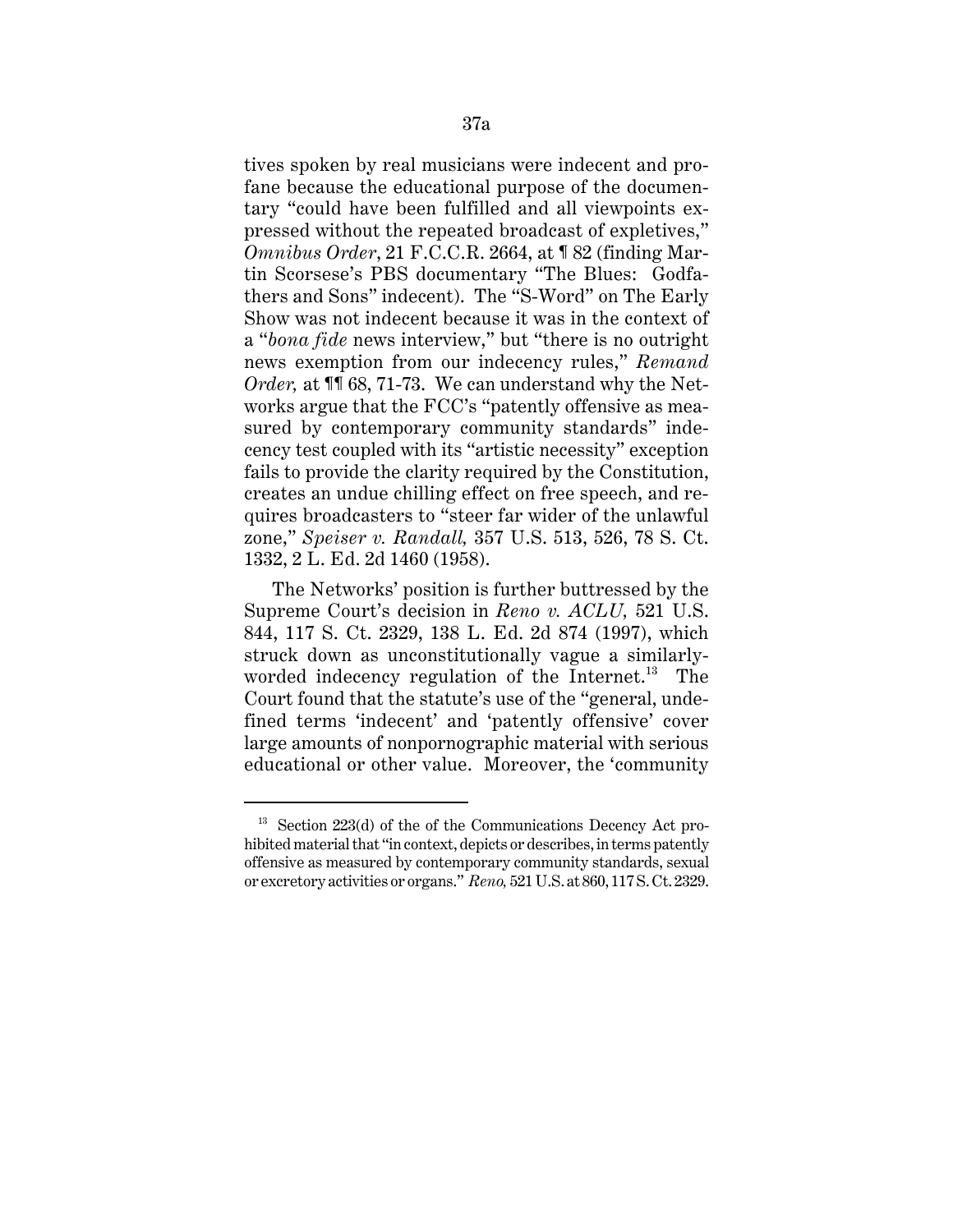tives spoken by real musicians were indecent and profane because the educational purpose of the documentary "could have been fulfilled and all viewpoints expressed without the repeated broadcast of expletives," *Omnibus Order*, 21 F.C.C.R. 2664, at ¶ 82 (finding Martin Scorsese's PBS documentary "The Blues: Godfathers and Sons" indecent). The "S-Word" on The Early Show was not indecent because it was in the context of a "*bona fide* news interview," but "there is no outright news exemption from our indecency rules," *Remand Order*, at **1168**, 71-73. We can understand why the Networks argue that the FCC's "patently offensive as measured by contemporary community standards" indecency test coupled with its "artistic necessity" exception fails to provide the clarity required by the Constitution, creates an undue chilling effect on free speech, and requires broadcasters to "steer far wider of the unlawful zone," *Speiser v. Randall,* 357 U.S. 513, 526, 78 S. Ct. 1332, 2 L. Ed. 2d 1460 (1958).

The Networks' position is further buttressed by the Supreme Court's decision in *Reno v. ACLU,* 521 U.S. 844, 117 S. Ct. 2329, 138 L. Ed. 2d 874 (1997), which struck down as unconstitutionally vague a similarlyworded indecency regulation of the Internet.<sup>13</sup> The Court found that the statute's use of the "general, undefined terms 'indecent' and 'patently offensive' cover large amounts of nonpornographic material with serious educational or other value. Moreover, the 'community

 $13$  Section 223(d) of the of the Communications Decency Act prohibited material that "in context, depicts or describes, in terms patently offensive as measured by contemporary community standards, sexual or excretory activities or organs." *Reno,* 521 U.S. at 860, 117 S. Ct. 2329.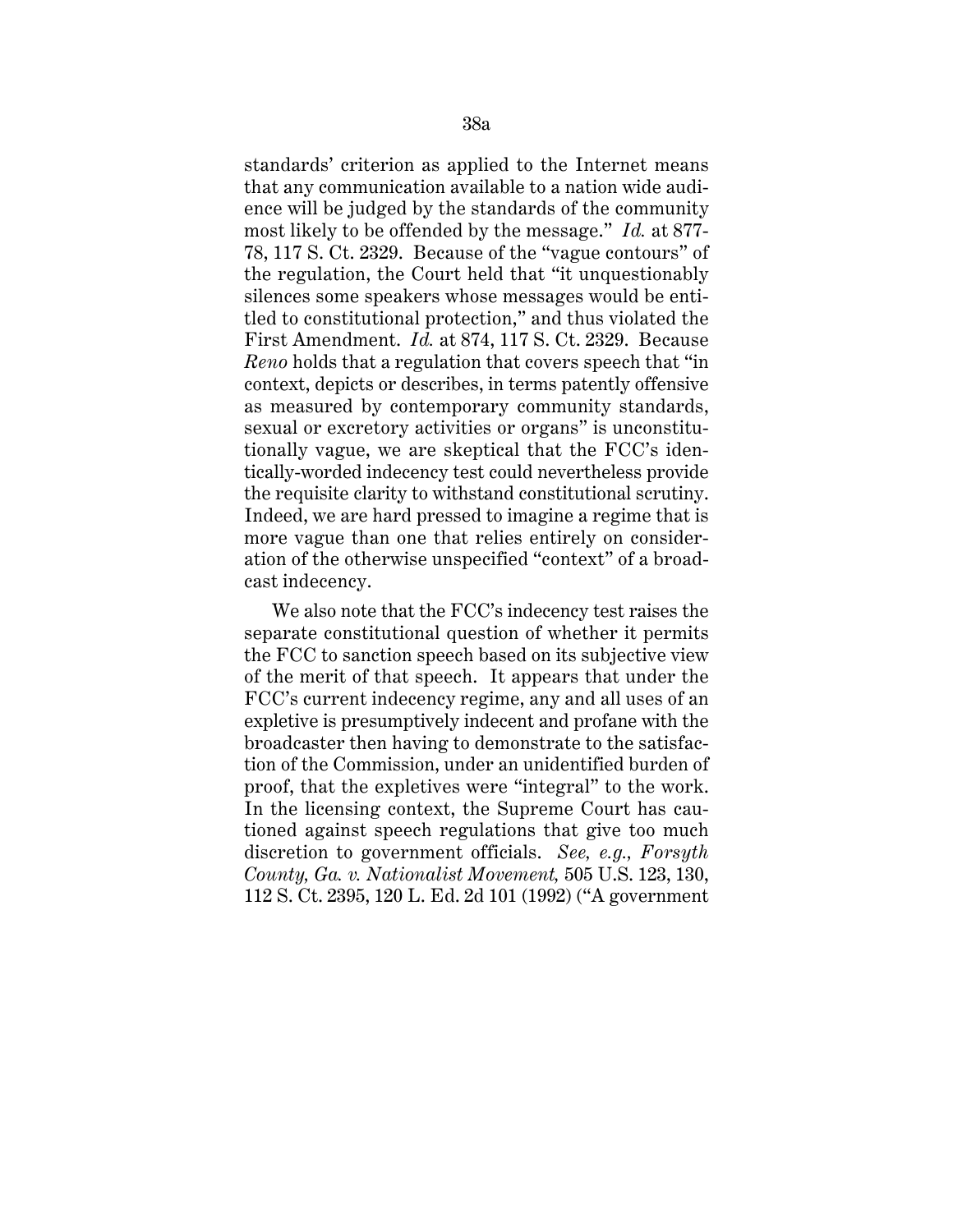standards' criterion as applied to the Internet means that any communication available to a nation wide audience will be judged by the standards of the community most likely to be offended by the message." *Id.* at 877- 78, 117 S. Ct. 2329. Because of the "vague contours" of the regulation, the Court held that "it unquestionably silences some speakers whose messages would be entitled to constitutional protection," and thus violated the First Amendment. *Id.* at 874, 117 S. Ct. 2329. Because *Reno* holds that a regulation that covers speech that "in context, depicts or describes, in terms patently offensive as measured by contemporary community standards, sexual or excretory activities or organs" is unconstitutionally vague, we are skeptical that the FCC's identically-worded indecency test could nevertheless provide the requisite clarity to withstand constitutional scrutiny. Indeed, we are hard pressed to imagine a regime that is more vague than one that relies entirely on consideration of the otherwise unspecified "context" of a broadcast indecency.

We also note that the FCC's indecency test raises the separate constitutional question of whether it permits the FCC to sanction speech based on its subjective view of the merit of that speech. It appears that under the FCC's current indecency regime, any and all uses of an expletive is presumptively indecent and profane with the broadcaster then having to demonstrate to the satisfaction of the Commission, under an unidentified burden of proof, that the expletives were "integral" to the work. In the licensing context, the Supreme Court has cautioned against speech regulations that give too much discretion to government officials. *See, e.g., Forsyth County, Ga. v. Nationalist Movement,* 505 U.S. 123, 130, 112 S. Ct. 2395, 120 L. Ed. 2d 101 (1992) ("A government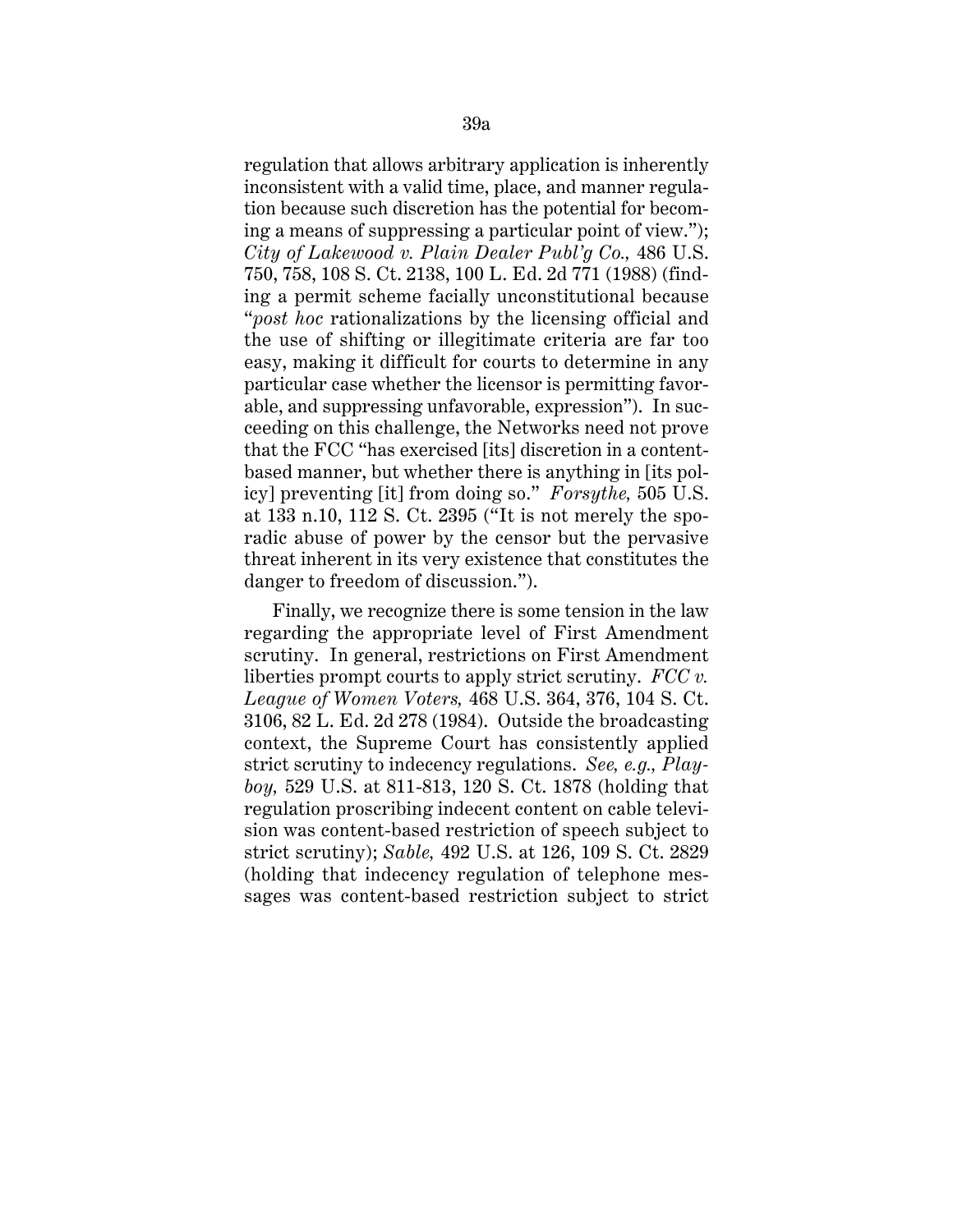regulation that allows arbitrary application is inherently inconsistent with a valid time, place, and manner regulation because such discretion has the potential for becoming a means of suppressing a particular point of view."); *City of Lakewood v. Plain Dealer Publ'g Co.,* 486 U.S. 750, 758, 108 S. Ct. 2138, 100 L. Ed. 2d 771 (1988) (finding a permit scheme facially unconstitutional because "*post hoc* rationalizations by the licensing official and the use of shifting or illegitimate criteria are far too easy, making it difficult for courts to determine in any particular case whether the licensor is permitting favorable, and suppressing unfavorable, expression"). In succeeding on this challenge, the Networks need not prove that the FCC "has exercised [its] discretion in a contentbased manner, but whether there is anything in [its policy] preventing [it] from doing so." *Forsythe,* 505 U.S. at 133 n.10, 112 S. Ct. 2395 ("It is not merely the sporadic abuse of power by the censor but the pervasive threat inherent in its very existence that constitutes the danger to freedom of discussion.").

Finally, we recognize there is some tension in the law regarding the appropriate level of First Amendment scrutiny. In general, restrictions on First Amendment liberties prompt courts to apply strict scrutiny. *FCC v. League of Women Voters,* 468 U.S. 364, 376, 104 S. Ct. 3106, 82 L. Ed. 2d 278 (1984). Outside the broadcasting context, the Supreme Court has consistently applied strict scrutiny to indecency regulations. *See, e.g., Playboy,* 529 U.S. at 811-813, 120 S. Ct. 1878 (holding that regulation proscribing indecent content on cable television was content-based restriction of speech subject to strict scrutiny); *Sable,* 492 U.S. at 126, 109 S. Ct. 2829 (holding that indecency regulation of telephone messages was content-based restriction subject to strict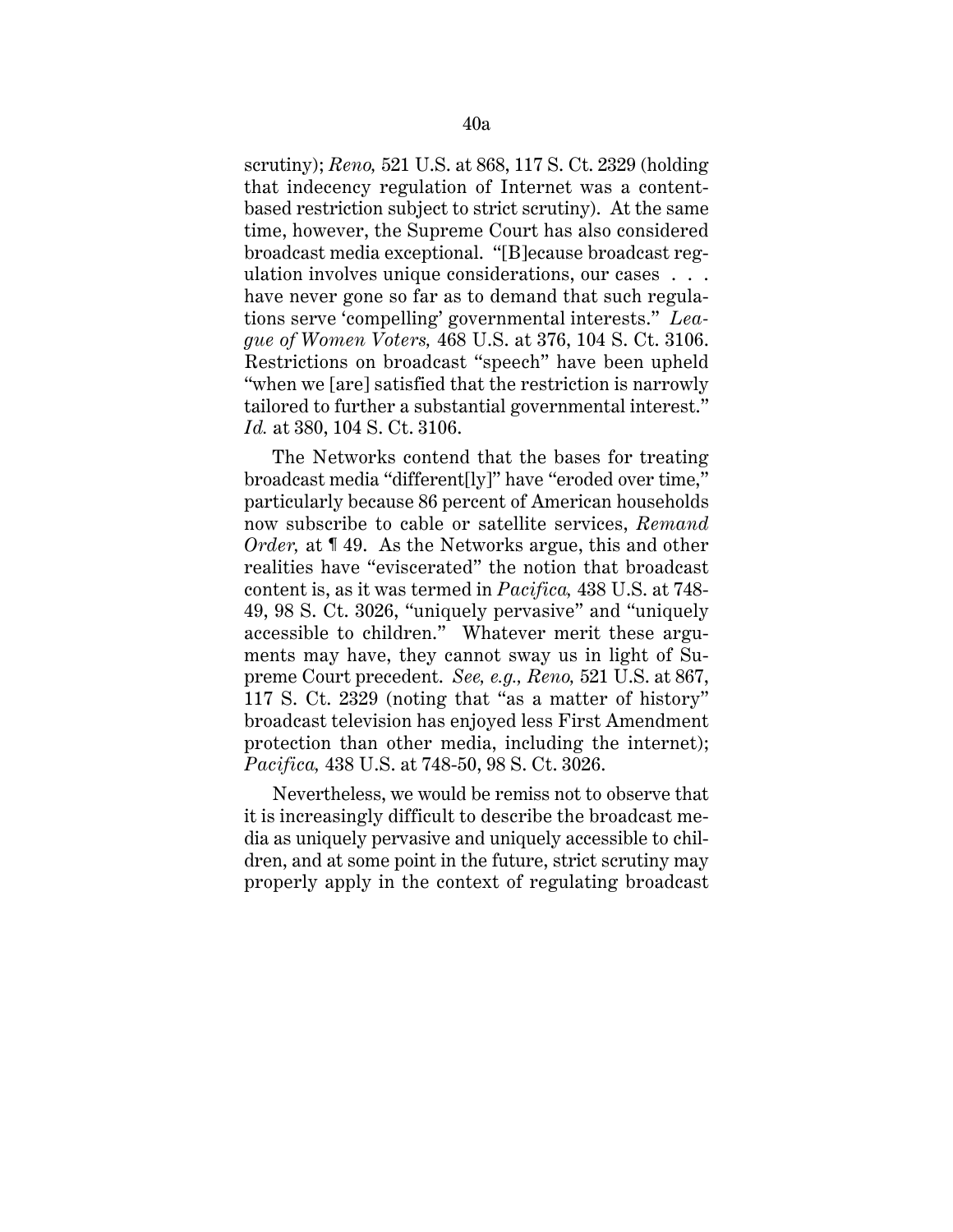scrutiny); *Reno,* 521 U.S. at 868, 117 S. Ct. 2329 (holding that indecency regulation of Internet was a contentbased restriction subject to strict scrutiny). At the same time, however, the Supreme Court has also considered broadcast media exceptional. "[B]ecause broadcast regulation involves unique considerations, our cases . . . have never gone so far as to demand that such regulations serve 'compelling' governmental interests." *League of Women Voters,* 468 U.S. at 376, 104 S. Ct. 3106. Restrictions on broadcast "speech" have been upheld "when we [are] satisfied that the restriction is narrowly tailored to further a substantial governmental interest." *Id.* at 380, 104 S. Ct. 3106.

The Networks contend that the bases for treating broadcast media "different[ly]" have "eroded over time," particularly because 86 percent of American households now subscribe to cable or satellite services, *Remand Order*, at 149. As the Networks argue, this and other realities have "eviscerated" the notion that broadcast content is, as it was termed in *Pacifica,* 438 U.S. at 748- 49, 98 S. Ct. 3026, "uniquely pervasive" and "uniquely accessible to children." Whatever merit these arguments may have, they cannot sway us in light of Supreme Court precedent. *See, e.g., Reno,* 521 U.S. at 867, 117 S. Ct. 2329 (noting that "as a matter of history" broadcast television has enjoyed less First Amendment protection than other media, including the internet); *Pacifica,* 438 U.S. at 748-50, 98 S. Ct. 3026.

Nevertheless, we would be remiss not to observe that it is increasingly difficult to describe the broadcast media as uniquely pervasive and uniquely accessible to children, and at some point in the future, strict scrutiny may properly apply in the context of regulating broadcast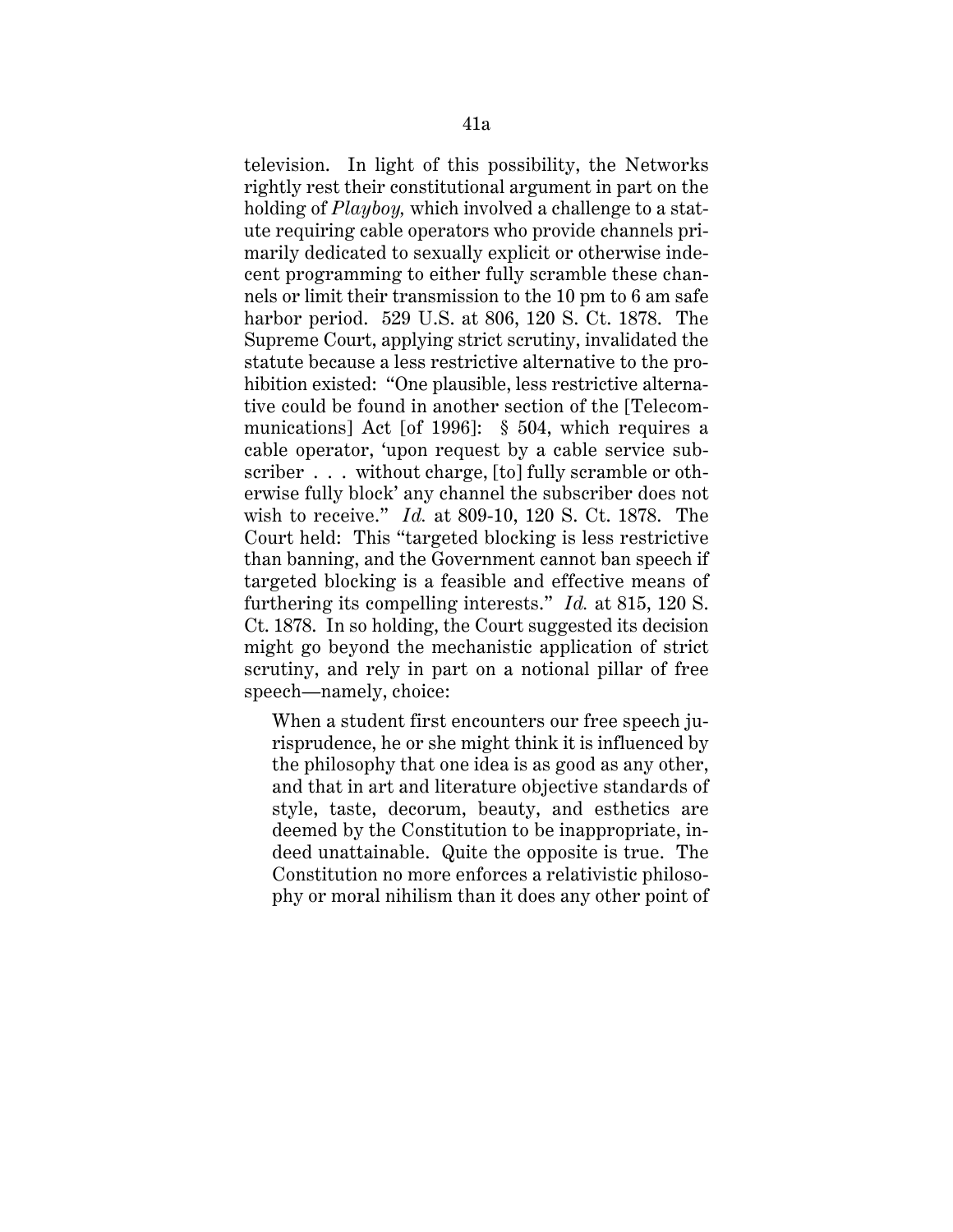television. In light of this possibility, the Networks rightly rest their constitutional argument in part on the holding of *Playboy,* which involved a challenge to a statute requiring cable operators who provide channels primarily dedicated to sexually explicit or otherwise indecent programming to either fully scramble these channels or limit their transmission to the 10 pm to 6 am safe harbor period. 529 U.S. at 806, 120 S. Ct. 1878. The Supreme Court, applying strict scrutiny, invalidated the statute because a less restrictive alternative to the prohibition existed: "One plausible, less restrictive alternative could be found in another section of the [Telecommunications] Act [of 1996]: § 504, which requires a cable operator, 'upon request by a cable service subscriber . . . without charge, [to] fully scramble or otherwise fully block' any channel the subscriber does not wish to receive." *Id.* at 809-10, 120 S. Ct. 1878. The Court held: This "targeted blocking is less restrictive than banning, and the Government cannot ban speech if targeted blocking is a feasible and effective means of furthering its compelling interests." *Id.* at 815, 120 S. Ct. 1878. In so holding, the Court suggested its decision might go beyond the mechanistic application of strict scrutiny, and rely in part on a notional pillar of free speech—namely, choice:

When a student first encounters our free speech jurisprudence, he or she might think it is influenced by the philosophy that one idea is as good as any other, and that in art and literature objective standards of style, taste, decorum, beauty, and esthetics are deemed by the Constitution to be inappropriate, indeed unattainable. Quite the opposite is true. The Constitution no more enforces a relativistic philosophy or moral nihilism than it does any other point of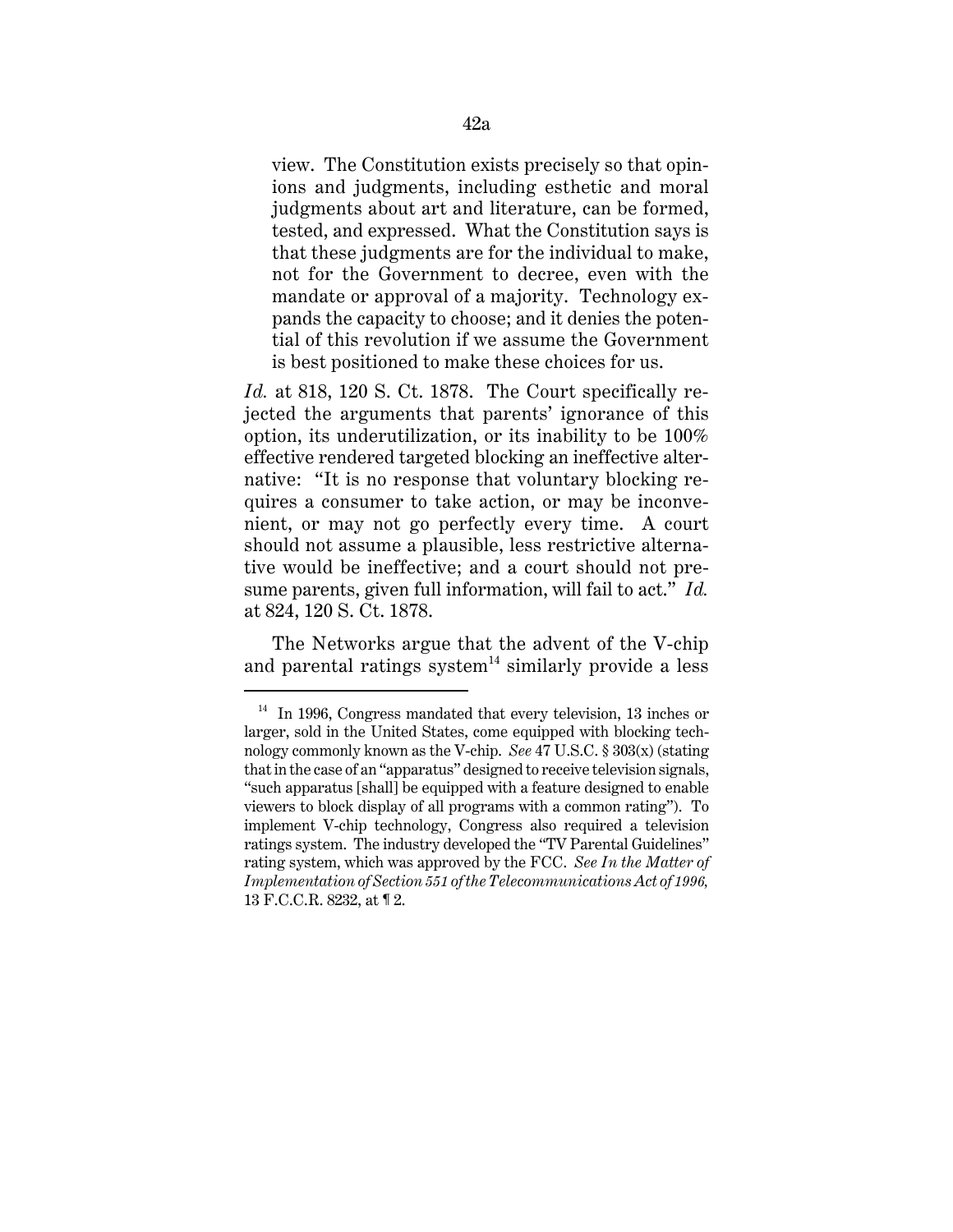view. The Constitution exists precisely so that opinions and judgments, including esthetic and moral judgments about art and literature, can be formed, tested, and expressed. What the Constitution says is that these judgments are for the individual to make, not for the Government to decree, even with the mandate or approval of a majority. Technology expands the capacity to choose; and it denies the potential of this revolution if we assume the Government is best positioned to make these choices for us.

*Id.* at 818, 120 S. Ct. 1878. The Court specifically rejected the arguments that parents' ignorance of this option, its underutilization, or its inability to be 100% effective rendered targeted blocking an ineffective alternative: "It is no response that voluntary blocking requires a consumer to take action, or may be inconvenient, or may not go perfectly every time. A court should not assume a plausible, less restrictive alternative would be ineffective; and a court should not presume parents, given full information, will fail to act." *Id.* at 824, 120 S. Ct. 1878.

The Networks argue that the advent of the V-chip and parental ratings system<sup>14</sup> similarly provide a less

<sup>&</sup>lt;sup>14</sup> In 1996, Congress mandated that every television, 13 inches or larger, sold in the United States, come equipped with blocking technology commonly known as the V-chip. *See* 47 U.S.C. § 303(x) (stating that in the case of an "apparatus" designed to receive television signals, "such apparatus [shall] be equipped with a feature designed to enable viewers to block display of all programs with a common rating"). To implement V-chip technology, Congress also required a television ratings system. The industry developed the "TV Parental Guidelines" rating system, which was approved by the FCC. *See In the Matter of Implementation of Section 551 of the Telecommunications Act of 1996,* 13 F.C.C.R. 8232, at ¶ 2.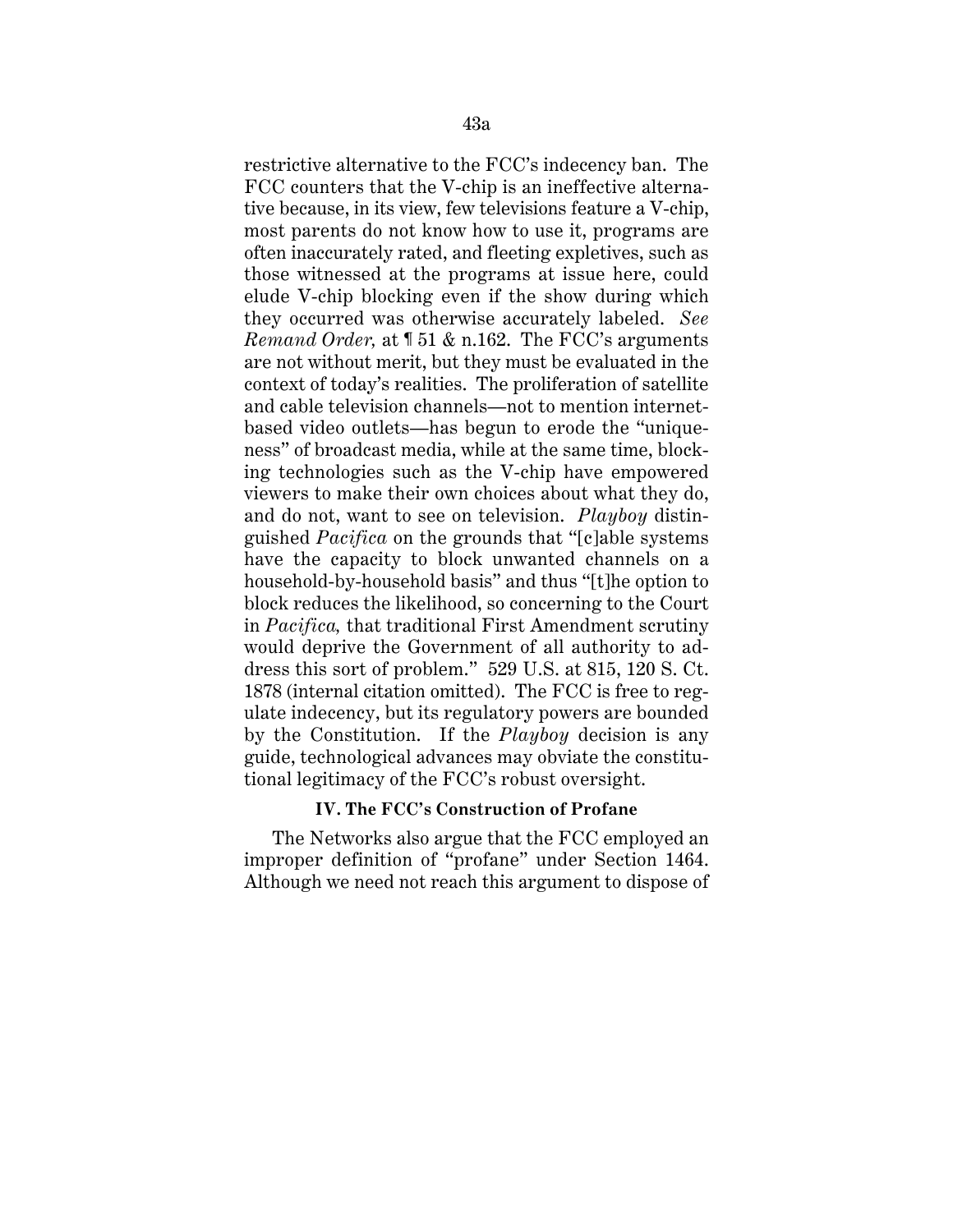restrictive alternative to the FCC's indecency ban. The FCC counters that the V-chip is an ineffective alternative because, in its view, few televisions feature a V-chip, most parents do not know how to use it, programs are often inaccurately rated, and fleeting expletives, such as those witnessed at the programs at issue here, could elude V-chip blocking even if the show during which they occurred was otherwise accurately labeled. *See Remand Order,* at ¶ 51 & n.162. The FCC's arguments are not without merit, but they must be evaluated in the context of today's realities. The proliferation of satellite and cable television channels—not to mention internetbased video outlets—has begun to erode the "uniqueness" of broadcast media, while at the same time, blocking technologies such as the V-chip have empowered viewers to make their own choices about what they do, and do not, want to see on television. *Playboy* distinguished *Pacifica* on the grounds that "[c]able systems have the capacity to block unwanted channels on a household-by-household basis" and thus "[t]he option to block reduces the likelihood, so concerning to the Court in *Pacifica,* that traditional First Amendment scrutiny would deprive the Government of all authority to address this sort of problem." 529 U.S. at 815, 120 S. Ct. 1878 (internal citation omitted). The FCC is free to regulate indecency, but its regulatory powers are bounded by the Constitution. If the *Playboy* decision is any guide, technological advances may obviate the constitutional legitimacy of the FCC's robust oversight.

## **IV. The FCC's Construction of Profane**

The Networks also argue that the FCC employed an improper definition of "profane" under Section 1464. Although we need not reach this argument to dispose of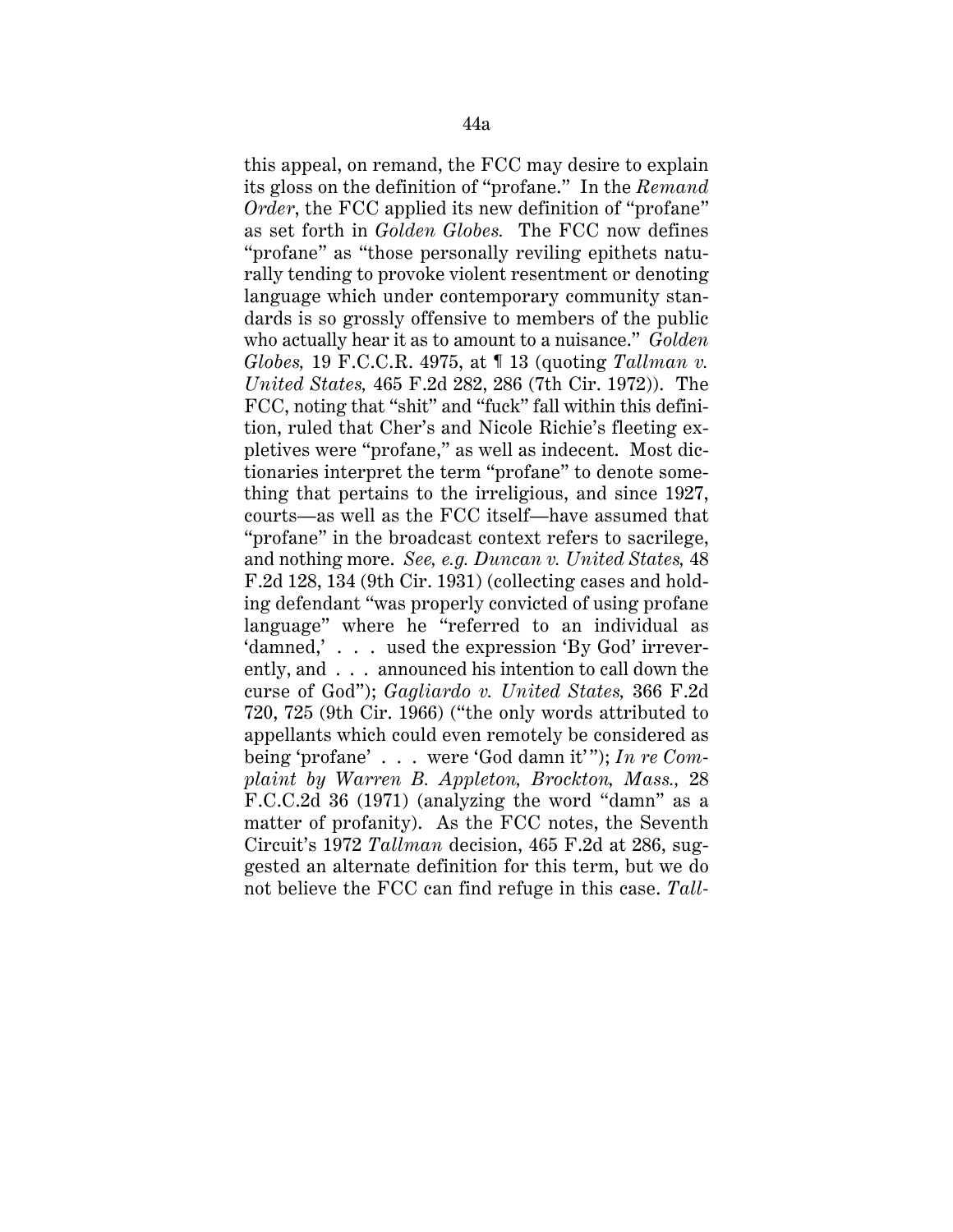this appeal, on remand, the FCC may desire to explain its gloss on the definition of "profane." In the *Remand Order*, the FCC applied its new definition of "profane" as set forth in *Golden Globes.* The FCC now defines "profane" as "those personally reviling epithets naturally tending to provoke violent resentment or denoting language which under contemporary community standards is so grossly offensive to members of the public who actually hear it as to amount to a nuisance." *Golden Globes,* 19 F.C.C.R. 4975, at ¶ 13 (quoting *Tallman v. United States,* 465 F.2d 282, 286 (7th Cir. 1972)). The FCC, noting that "shit" and "fuck" fall within this definition, ruled that Cher's and Nicole Richie's fleeting expletives were "profane," as well as indecent. Most dictionaries interpret the term "profane" to denote something that pertains to the irreligious, and since 1927, courts—as well as the FCC itself—have assumed that "profane" in the broadcast context refers to sacrilege, and nothing more. *See, e.g. Duncan v. United States,* 48 F.2d 128, 134 (9th Cir. 1931) (collecting cases and holding defendant "was properly convicted of using profane language" where he "referred to an individual as 'damned,' . . . used the expression 'By God' irreverently, and . . . announced his intention to call down the curse of God"); *Gagliardo v. United States,* 366 F.2d 720, 725 (9th Cir. 1966) ("the only words attributed to appellants which could even remotely be considered as being 'profane' . . . were 'God damn it'"); *In re Complaint by Warren B. Appleton, Brockton, Mass.,* 28 F.C.C.2d 36 (1971) (analyzing the word "damn" as a matter of profanity). As the FCC notes, the Seventh Circuit's 1972 *Tallman* decision, 465 F.2d at 286, suggested an alternate definition for this term, but we do not believe the FCC can find refuge in this case. *Tall-*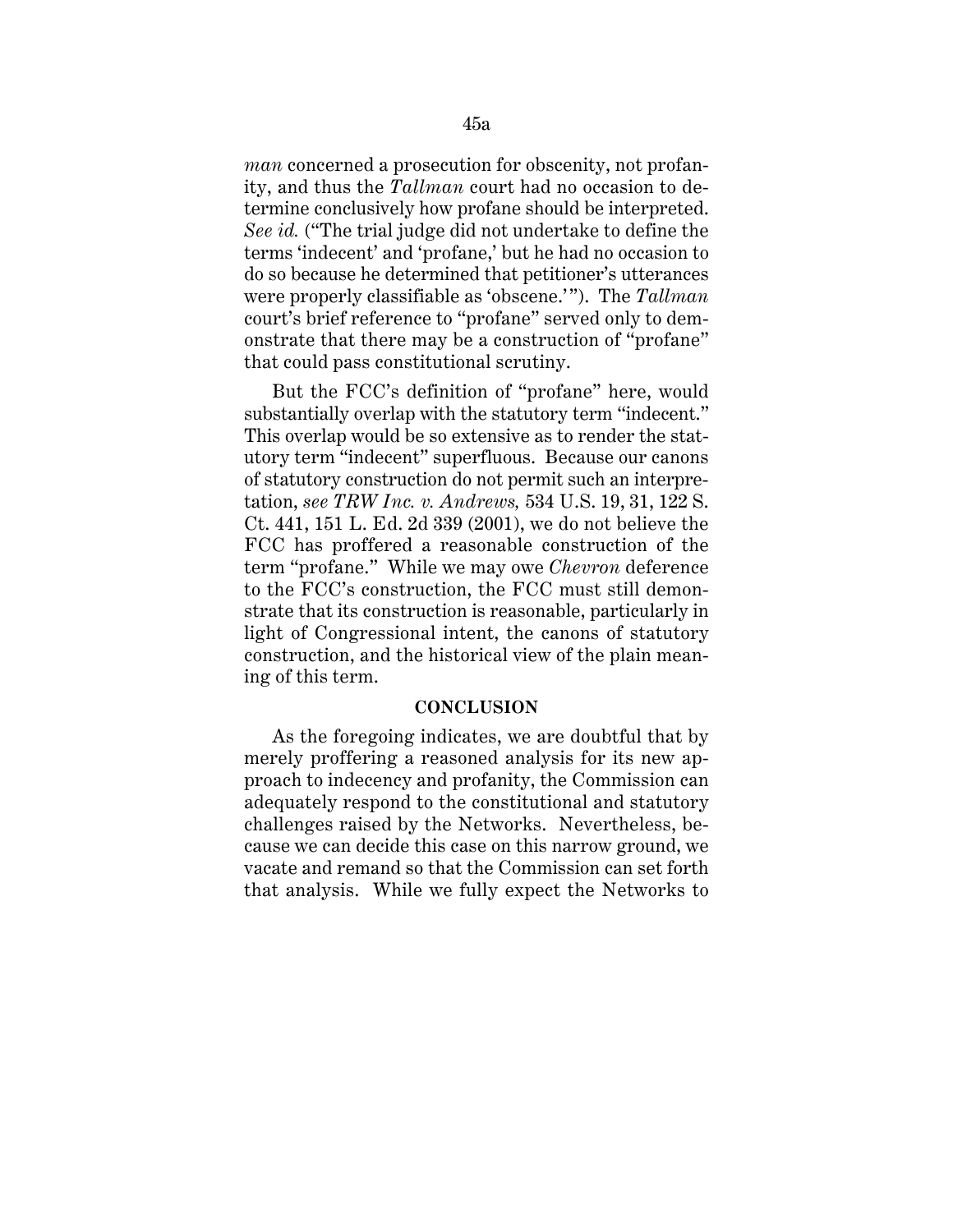*man* concerned a prosecution for obscenity, not profanity, and thus the *Tallman* court had no occasion to determine conclusively how profane should be interpreted. *See id.* ("The trial judge did not undertake to define the terms 'indecent' and 'profane,' but he had no occasion to do so because he determined that petitioner's utterances were properly classifiable as 'obscene.'"). The *Tallman* court's brief reference to "profane" served only to demonstrate that there may be a construction of "profane" that could pass constitutional scrutiny.

But the FCC's definition of "profane" here, would substantially overlap with the statutory term "indecent." This overlap would be so extensive as to render the statutory term "indecent" superfluous. Because our canons of statutory construction do not permit such an interpretation, *see TRW Inc. v. Andrews,* 534 U.S. 19, 31, 122 S. Ct. 441, 151 L. Ed. 2d 339 (2001), we do not believe the FCC has proffered a reasonable construction of the term "profane." While we may owe *Chevron* deference to the FCC's construction, the FCC must still demonstrate that its construction is reasonable, particularly in light of Congressional intent, the canons of statutory construction, and the historical view of the plain meaning of this term.

### **CONCLUSION**

As the foregoing indicates, we are doubtful that by merely proffering a reasoned analysis for its new approach to indecency and profanity, the Commission can adequately respond to the constitutional and statutory challenges raised by the Networks. Nevertheless, because we can decide this case on this narrow ground, we vacate and remand so that the Commission can set forth that analysis. While we fully expect the Networks to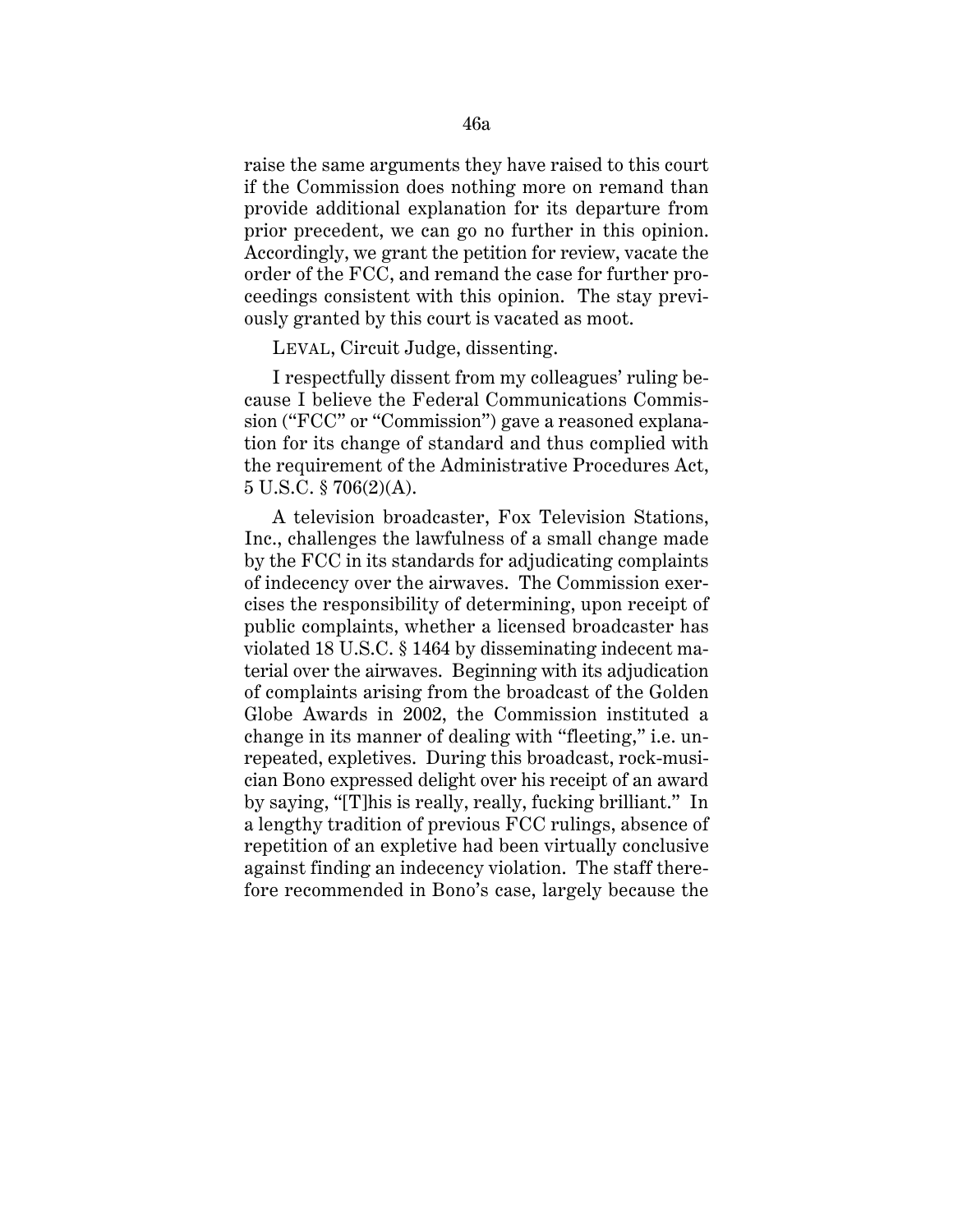raise the same arguments they have raised to this court if the Commission does nothing more on remand than provide additional explanation for its departure from prior precedent, we can go no further in this opinion. Accordingly, we grant the petition for review, vacate the order of the FCC, and remand the case for further proceedings consistent with this opinion. The stay previously granted by this court is vacated as moot.

LEVAL, Circuit Judge, dissenting.

I respectfully dissent from my colleagues' ruling because I believe the Federal Communications Commission ("FCC" or "Commission") gave a reasoned explanation for its change of standard and thus complied with the requirement of the Administrative Procedures Act, 5 U.S.C. § 706(2)(A).

A television broadcaster, Fox Television Stations, Inc., challenges the lawfulness of a small change made by the FCC in its standards for adjudicating complaints of indecency over the airwaves. The Commission exercises the responsibility of determining, upon receipt of public complaints, whether a licensed broadcaster has violated 18 U.S.C. § 1464 by disseminating indecent material over the airwaves. Beginning with its adjudication of complaints arising from the broadcast of the Golden Globe Awards in 2002, the Commission instituted a change in its manner of dealing with "fleeting," i.e. unrepeated, expletives. During this broadcast, rock-musician Bono expressed delight over his receipt of an award by saying, "[T]his is really, really, fucking brilliant." In a lengthy tradition of previous FCC rulings, absence of repetition of an expletive had been virtually conclusive against finding an indecency violation. The staff therefore recommended in Bono's case, largely because the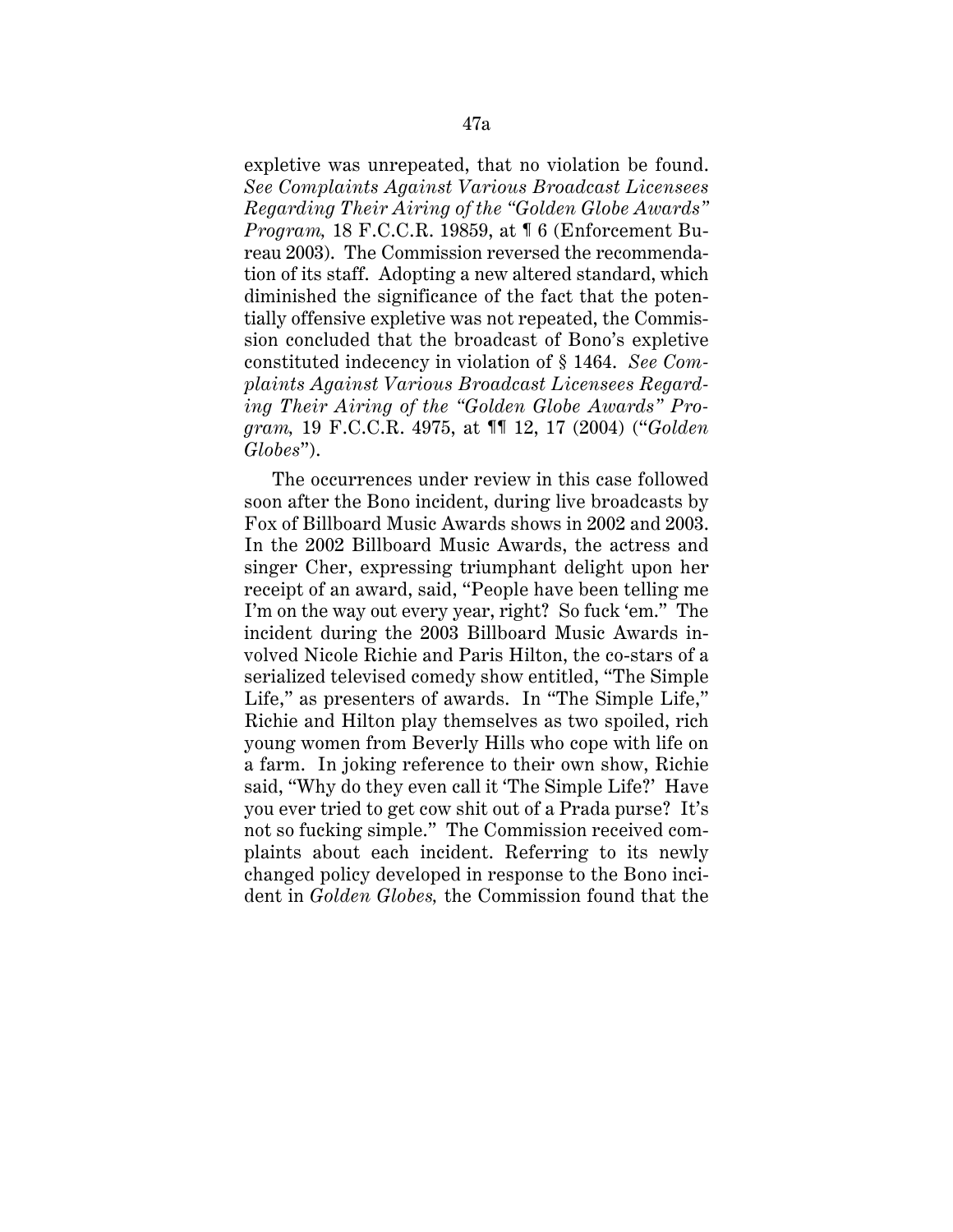expletive was unrepeated, that no violation be found. *See Complaints Against Various Broadcast Licensees Regarding Their Airing of the "Golden Globe Awards" Program,* 18 F.C.C.R. 19859, at ¶ 6 (Enforcement Bureau 2003). The Commission reversed the recommendation of its staff. Adopting a new altered standard, which diminished the significance of the fact that the potentially offensive expletive was not repeated, the Commission concluded that the broadcast of Bono's expletive constituted indecency in violation of § 1464. *See Complaints Against Various Broadcast Licensees Regarding Their Airing of the "Golden Globe Awards" Program,* 19 F.C.C.R. 4975, at ¶¶ 12, 17 (2004) ("*Golden Globes*").

The occurrences under review in this case followed soon after the Bono incident, during live broadcasts by Fox of Billboard Music Awards shows in 2002 and 2003. In the 2002 Billboard Music Awards, the actress and singer Cher, expressing triumphant delight upon her receipt of an award, said, "People have been telling me I'm on the way out every year, right? So fuck 'em." The incident during the 2003 Billboard Music Awards involved Nicole Richie and Paris Hilton, the co-stars of a serialized televised comedy show entitled, "The Simple Life," as presenters of awards. In "The Simple Life," Richie and Hilton play themselves as two spoiled, rich young women from Beverly Hills who cope with life on a farm. In joking reference to their own show, Richie said, "Why do they even call it 'The Simple Life?' Have you ever tried to get cow shit out of a Prada purse? It's not so fucking simple." The Commission received complaints about each incident. Referring to its newly changed policy developed in response to the Bono incident in *Golden Globes,* the Commission found that the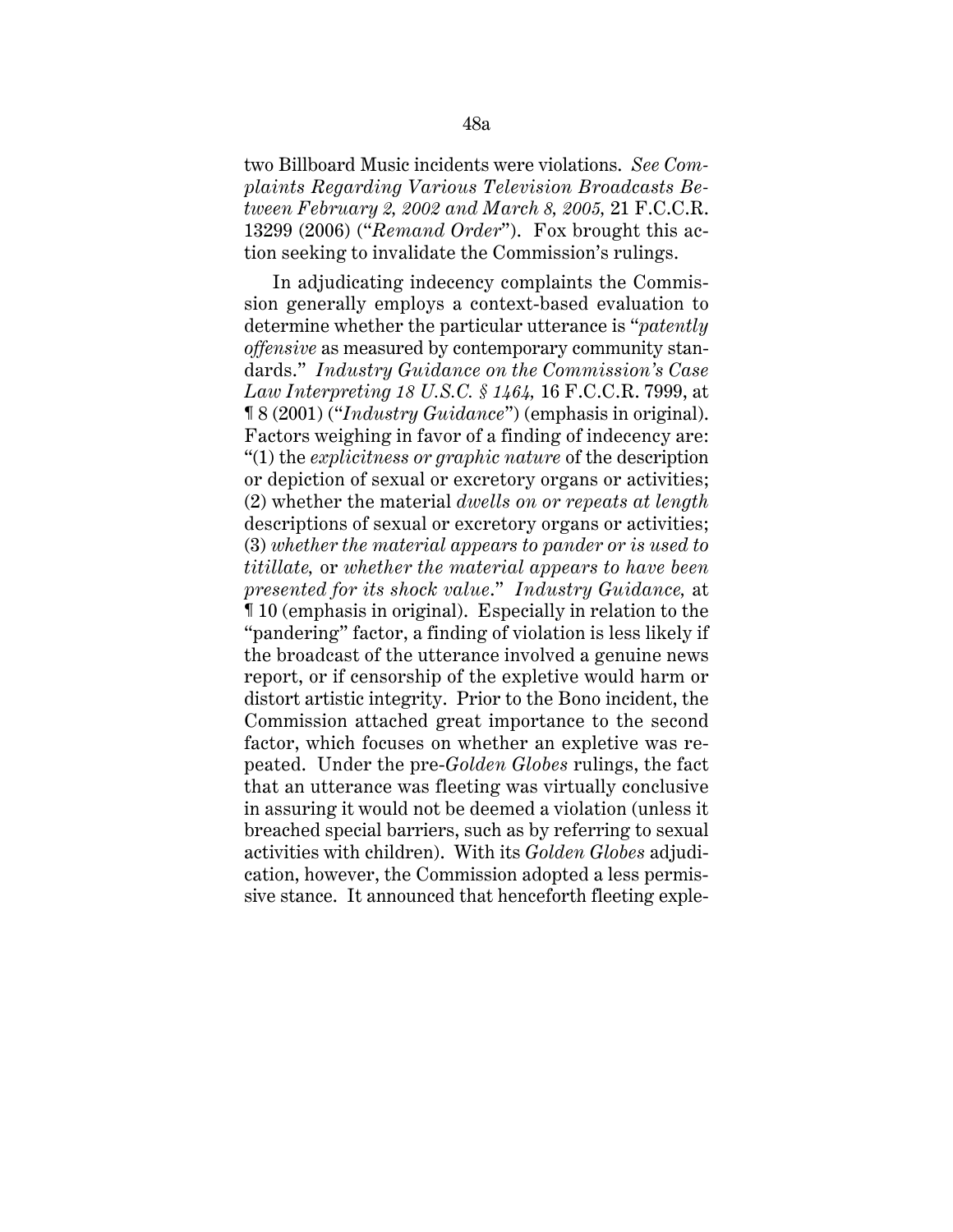two Billboard Music incidents were violations. *See Complaints Regarding Various Television Broadcasts Between February 2, 2002 and March 8, 2005,* 21 F.C.C.R. 13299 (2006) ("*Remand Order*"). Fox brought this action seeking to invalidate the Commission's rulings.

In adjudicating indecency complaints the Commission generally employs a context-based evaluation to determine whether the particular utterance is "*patently offensive* as measured by contemporary community standards." *Industry Guidance on the Commission's Case Law Interpreting 18 U.S.C. § 1464,* 16 F.C.C.R. 7999, at ¶ 8 (2001) ("*Industry Guidance*") (emphasis in original). Factors weighing in favor of a finding of indecency are: "(1) the *explicitness or graphic nature* of the description or depiction of sexual or excretory organs or activities; (2) whether the material *dwells on or repeats at length* descriptions of sexual or excretory organs or activities; (3) *whether the material appears to pander or is used to titillate,* or *whether the material appears to have been presented for its shock value*." *Industry Guidance,* at ¶ 10 (emphasis in original). Especially in relation to the "pandering" factor, a finding of violation is less likely if the broadcast of the utterance involved a genuine news report, or if censorship of the expletive would harm or distort artistic integrity. Prior to the Bono incident, the Commission attached great importance to the second factor, which focuses on whether an expletive was repeated. Under the pre-*Golden Globes* rulings, the fact that an utterance was fleeting was virtually conclusive in assuring it would not be deemed a violation (unless it breached special barriers, such as by referring to sexual activities with children). With its *Golden Globes* adjudication, however, the Commission adopted a less permissive stance. It announced that henceforth fleeting exple-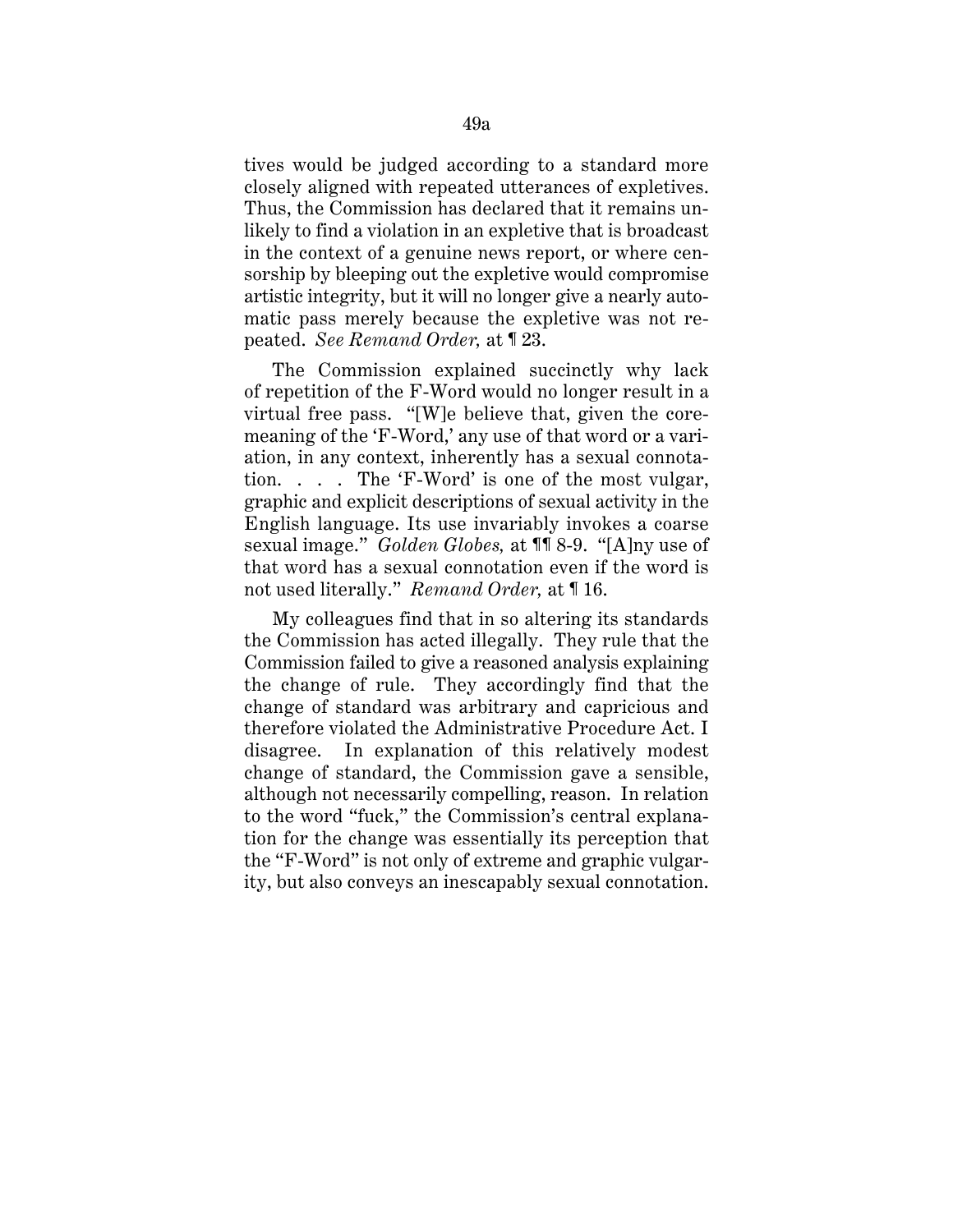tives would be judged according to a standard more closely aligned with repeated utterances of expletives. Thus, the Commission has declared that it remains unlikely to find a violation in an expletive that is broadcast in the context of a genuine news report, or where censorship by bleeping out the expletive would compromise artistic integrity, but it will no longer give a nearly automatic pass merely because the expletive was not repeated. *See Remand Order,* at ¶ 23.

The Commission explained succinctly why lack of repetition of the F-Word would no longer result in a virtual free pass. "[W]e believe that, given the coremeaning of the 'F-Word,' any use of that word or a variation, in any context, inherently has a sexual connotation. . . . The 'F-Word' is one of the most vulgar, graphic and explicit descriptions of sexual activity in the English language. Its use invariably invokes a coarse sexual image." *Golden Globes,* at ¶¶ 8-9. "[A]ny use of that word has a sexual connotation even if the word is not used literally." *Remand Order,* at ¶ 16.

My colleagues find that in so altering its standards the Commission has acted illegally. They rule that the Commission failed to give a reasoned analysis explaining the change of rule. They accordingly find that the change of standard was arbitrary and capricious and therefore violated the Administrative Procedure Act. I disagree. In explanation of this relatively modest change of standard, the Commission gave a sensible, although not necessarily compelling, reason. In relation to the word "fuck," the Commission's central explanation for the change was essentially its perception that the "F-Word" is not only of extreme and graphic vulgarity, but also conveys an inescapably sexual connotation.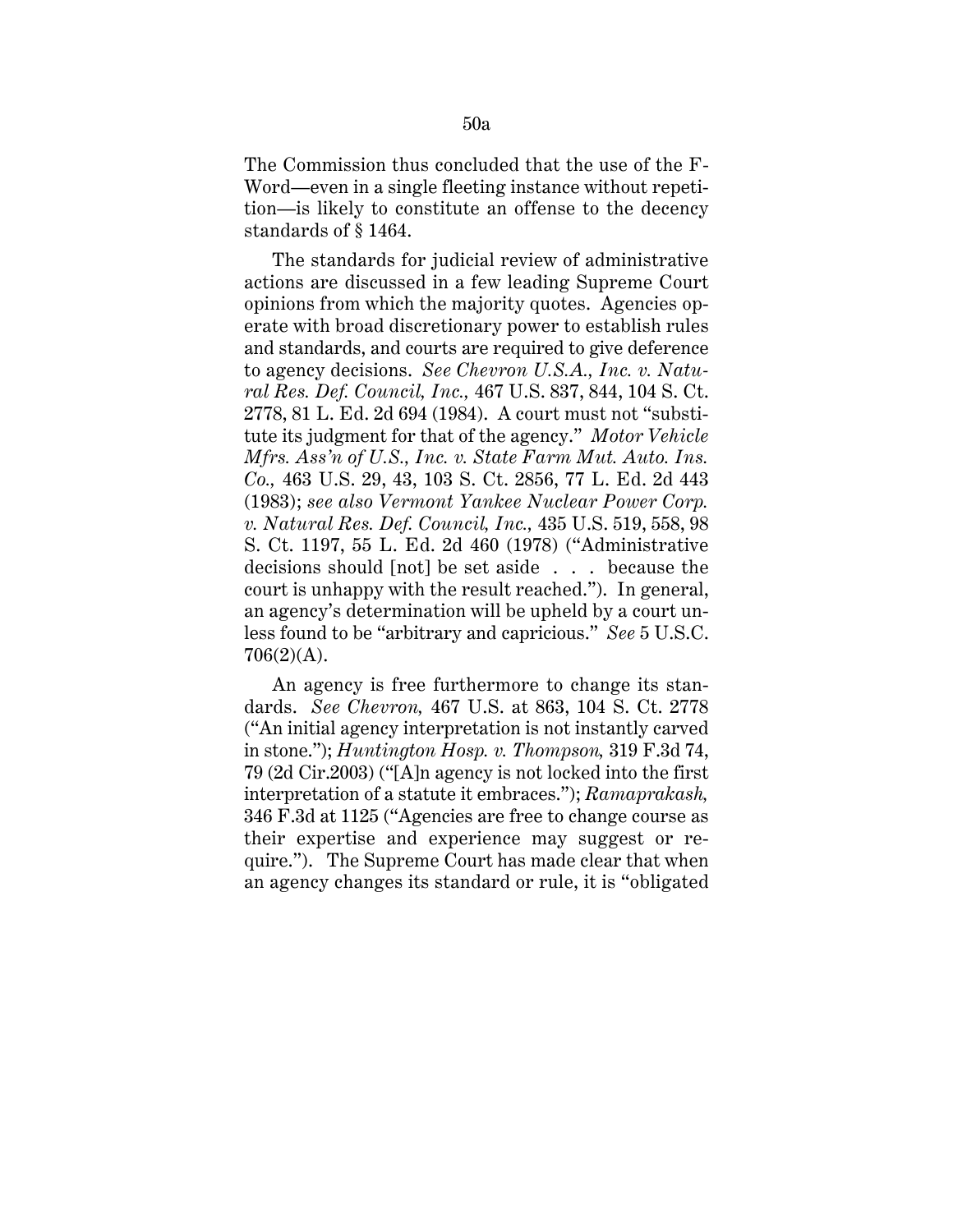The Commission thus concluded that the use of the F-Word—even in a single fleeting instance without repetition—is likely to constitute an offense to the decency standards of § 1464.

The standards for judicial review of administrative actions are discussed in a few leading Supreme Court opinions from which the majority quotes. Agencies operate with broad discretionary power to establish rules and standards, and courts are required to give deference to agency decisions. *See Chevron U.S.A., Inc. v. Natural Res. Def. Council, Inc.,* 467 U.S. 837, 844, 104 S. Ct. 2778, 81 L. Ed. 2d 694 (1984). A court must not "substitute its judgment for that of the agency." *Motor Vehicle Mfrs. Ass'n of U.S., Inc. v. State Farm Mut. Auto. Ins. Co.,* 463 U.S. 29, 43, 103 S. Ct. 2856, 77 L. Ed. 2d 443 (1983); *see also Vermont Yankee Nuclear Power Corp. v. Natural Res. Def. Council, Inc.,* 435 U.S. 519, 558, 98 S. Ct. 1197, 55 L. Ed. 2d 460 (1978) ("Administrative decisions should [not] be set aside . . . because the court is unhappy with the result reached."). In general, an agency's determination will be upheld by a court unless found to be "arbitrary and capricious." *See* 5 U.S.C. 706(2)(A).

An agency is free furthermore to change its standards. *See Chevron,* 467 U.S. at 863, 104 S. Ct. 2778 ("An initial agency interpretation is not instantly carved in stone."); *Huntington Hosp. v. Thompson,* 319 F.3d 74, 79 (2d Cir.2003) ("[A]n agency is not locked into the first interpretation of a statute it embraces."); *Ramaprakash,* 346 F.3d at 1125 ("Agencies are free to change course as their expertise and experience may suggest or require."). The Supreme Court has made clear that when an agency changes its standard or rule, it is "obligated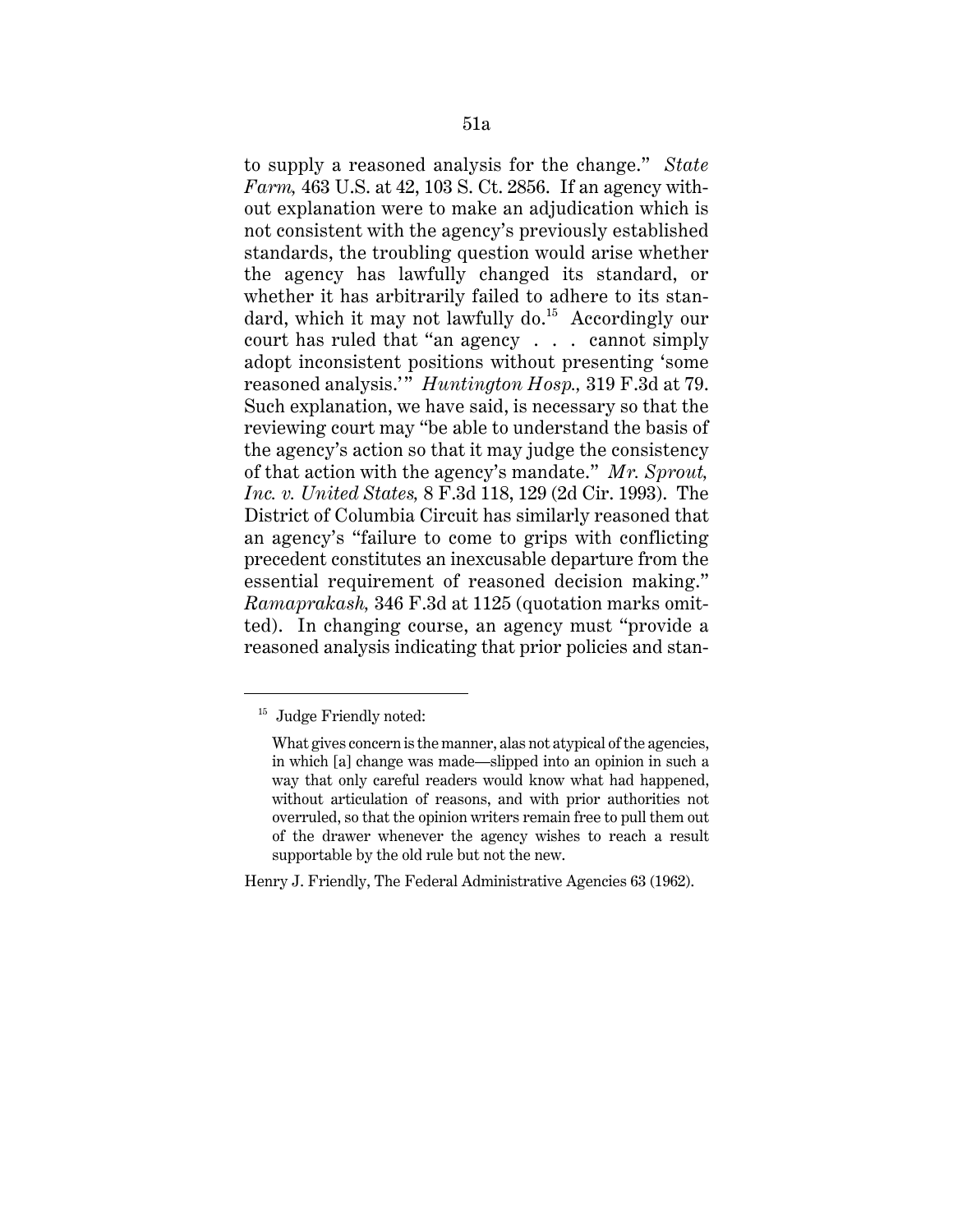to supply a reasoned analysis for the change." *State Farm,* 463 U.S. at 42, 103 S. Ct. 2856. If an agency without explanation were to make an adjudication which is not consistent with the agency's previously established standards, the troubling question would arise whether the agency has lawfully changed its standard, or whether it has arbitrarily failed to adhere to its standard, which it may not lawfully do.<sup>15</sup> Accordingly our court has ruled that "an agency . . . cannot simply adopt inconsistent positions without presenting 'some reasoned analysis.'" *Huntington Hosp.,* 319 F.3d at 79. Such explanation, we have said, is necessary so that the reviewing court may "be able to understand the basis of the agency's action so that it may judge the consistency of that action with the agency's mandate." *Mr. Sprout, Inc. v. United States,* 8 F.3d 118, 129 (2d Cir. 1993). The District of Columbia Circuit has similarly reasoned that an agency's "failure to come to grips with conflicting precedent constitutes an inexcusable departure from the essential requirement of reasoned decision making." *Ramaprakash,* 346 F.3d at 1125 (quotation marks omitted). In changing course, an agency must "provide a reasoned analysis indicating that prior policies and stan-

Henry J. Friendly, The Federal Administrative Agencies 63 (1962).

<sup>&</sup>lt;sup>15</sup> Judge Friendly noted:

What gives concern is the manner, alas not atypical of the agencies, in which [a] change was made—slipped into an opinion in such a way that only careful readers would know what had happened, without articulation of reasons, and with prior authorities not overruled, so that the opinion writers remain free to pull them out of the drawer whenever the agency wishes to reach a result supportable by the old rule but not the new.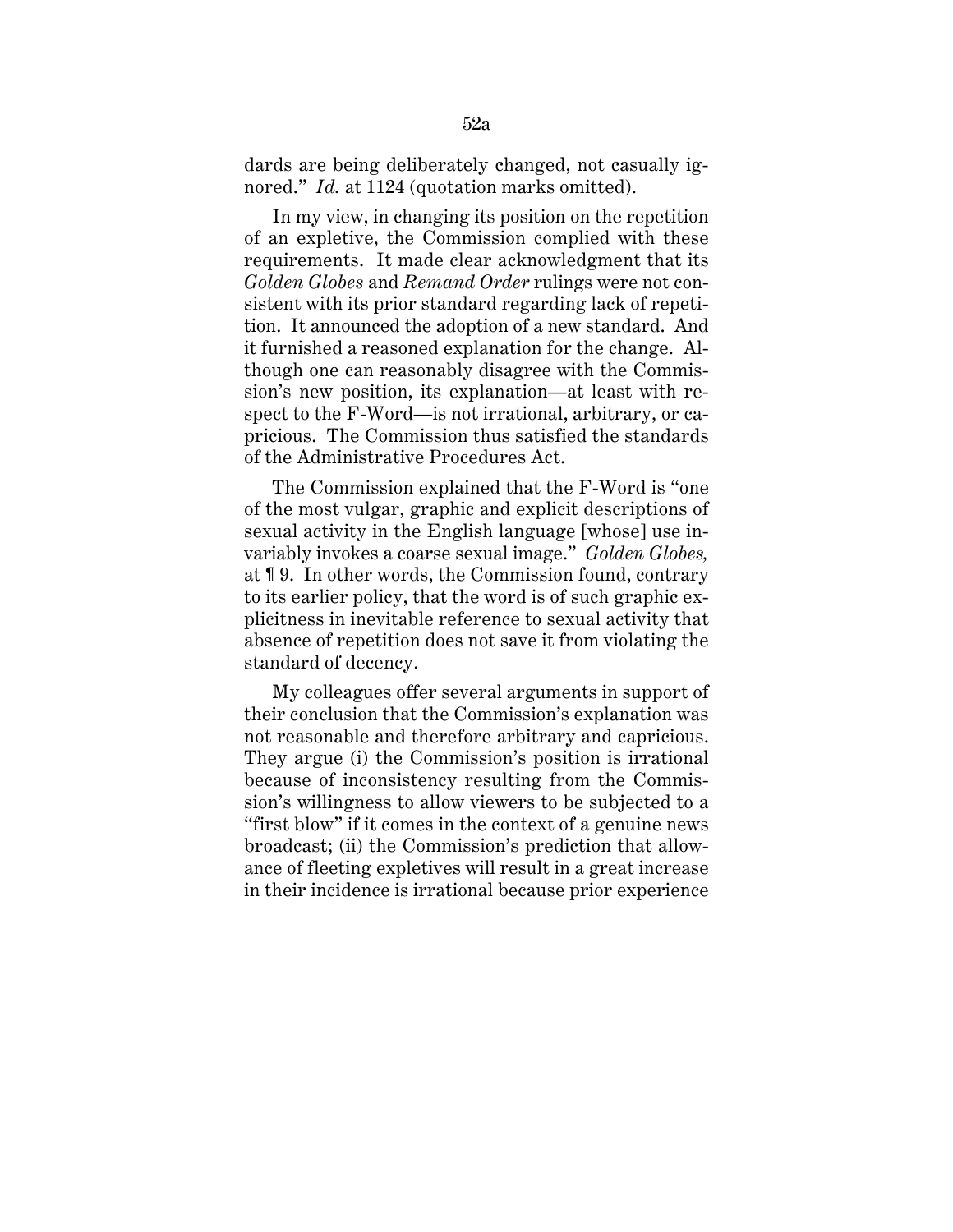dards are being deliberately changed, not casually ignored." *Id.* at 1124 (quotation marks omitted).

In my view, in changing its position on the repetition of an expletive, the Commission complied with these requirements. It made clear acknowledgment that its *Golden Globes* and *Remand Order* rulings were not consistent with its prior standard regarding lack of repetition. It announced the adoption of a new standard. And it furnished a reasoned explanation for the change. Although one can reasonably disagree with the Commission's new position, its explanation—at least with respect to the F-Word—is not irrational, arbitrary, or capricious. The Commission thus satisfied the standards of the Administrative Procedures Act.

The Commission explained that the F-Word is "one of the most vulgar, graphic and explicit descriptions of sexual activity in the English language [whose] use invariably invokes a coarse sexual image." *Golden Globes,* at ¶ 9. In other words, the Commission found, contrary to its earlier policy, that the word is of such graphic explicitness in inevitable reference to sexual activity that absence of repetition does not save it from violating the standard of decency.

My colleagues offer several arguments in support of their conclusion that the Commission's explanation was not reasonable and therefore arbitrary and capricious. They argue (i) the Commission's position is irrational because of inconsistency resulting from the Commission's willingness to allow viewers to be subjected to a "first blow" if it comes in the context of a genuine news broadcast; (ii) the Commission's prediction that allowance of fleeting expletives will result in a great increase in their incidence is irrational because prior experience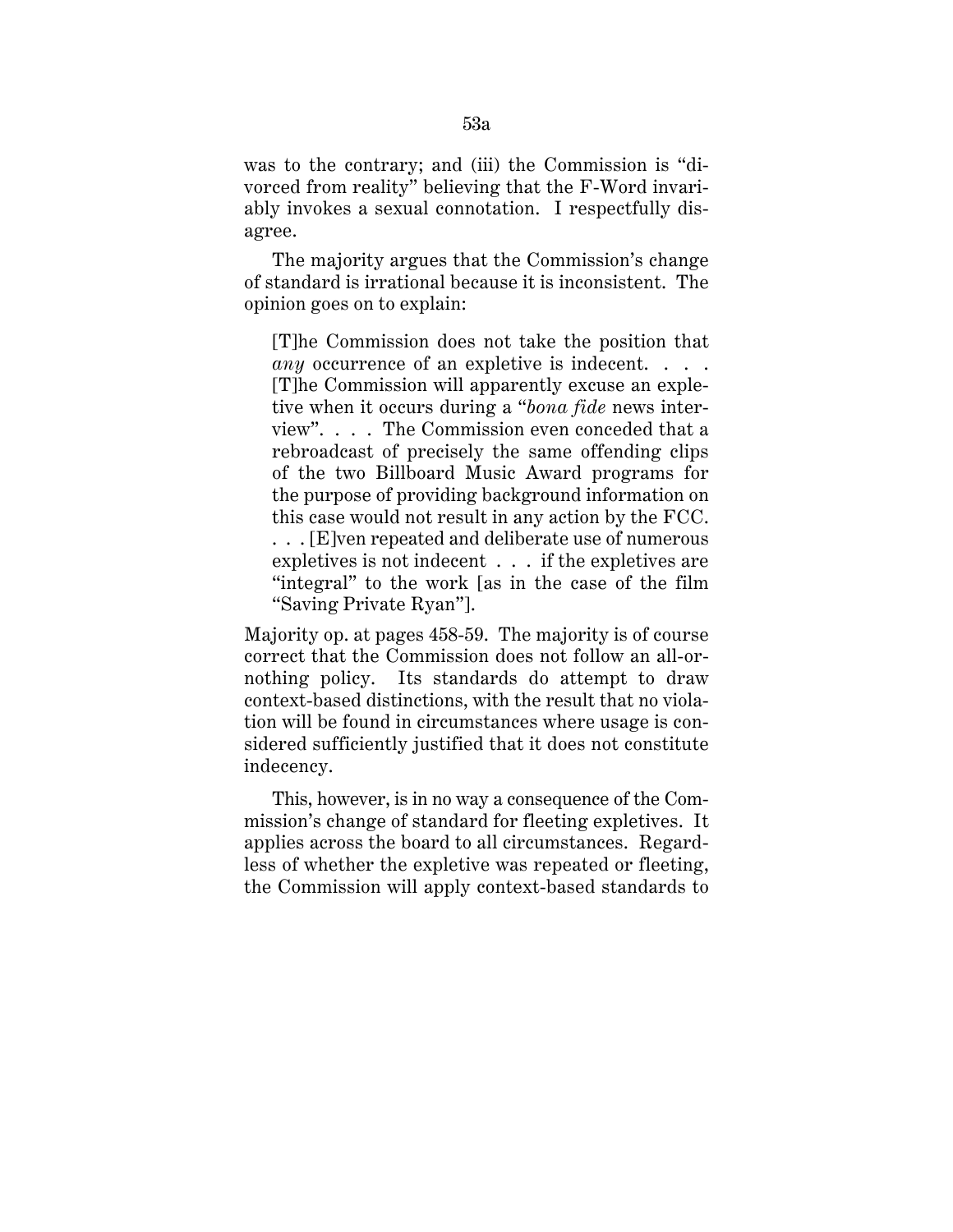was to the contrary; and (iii) the Commission is "divorced from reality" believing that the F-Word invariably invokes a sexual connotation. I respectfully disagree.

The majority argues that the Commission's change of standard is irrational because it is inconsistent. The opinion goes on to explain:

[T]he Commission does not take the position that *any* occurrence of an expletive is indecent. . . . [T]he Commission will apparently excuse an expletive when it occurs during a "*bona fide* news interview". . . . The Commission even conceded that a rebroadcast of precisely the same offending clips of the two Billboard Music Award programs for the purpose of providing background information on this case would not result in any action by the FCC. ... [E]ven repeated and deliberate use of numerous expletives is not indecent . . . if the expletives are "integral" to the work [as in the case of the film "Saving Private Ryan"].

Majority op. at pages 458-59. The majority is of course correct that the Commission does not follow an all-ornothing policy. Its standards do attempt to draw context-based distinctions, with the result that no violation will be found in circumstances where usage is considered sufficiently justified that it does not constitute indecency.

This, however, is in no way a consequence of the Commission's change of standard for fleeting expletives. It applies across the board to all circumstances. Regardless of whether the expletive was repeated or fleeting, the Commission will apply context-based standards to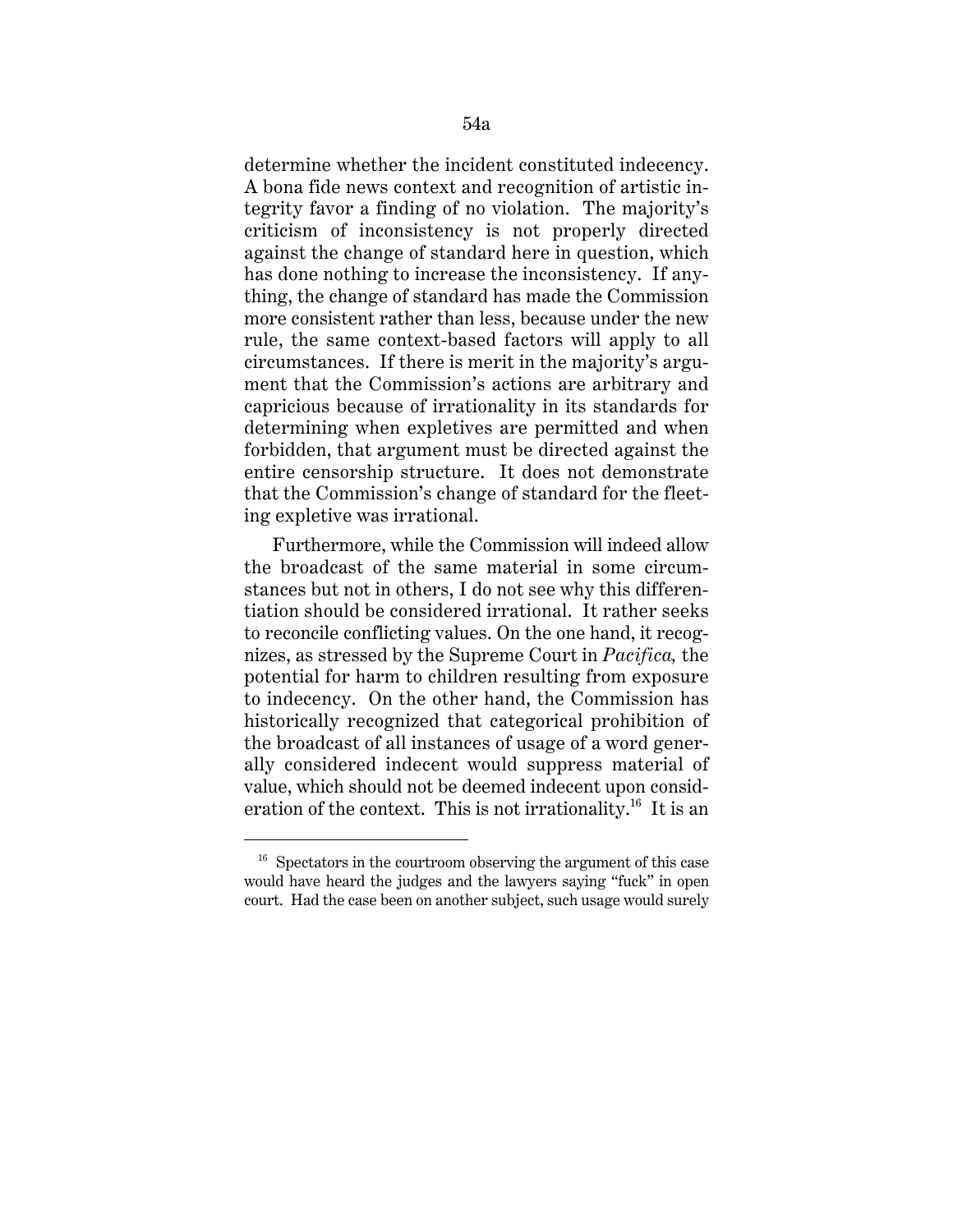determine whether the incident constituted indecency. A bona fide news context and recognition of artistic integrity favor a finding of no violation. The majority's criticism of inconsistency is not properly directed against the change of standard here in question, which has done nothing to increase the inconsistency. If anything, the change of standard has made the Commission more consistent rather than less, because under the new rule, the same context-based factors will apply to all circumstances. If there is merit in the majority's argument that the Commission's actions are arbitrary and capricious because of irrationality in its standards for determining when expletives are permitted and when forbidden, that argument must be directed against the entire censorship structure. It does not demonstrate that the Commission's change of standard for the fleeting expletive was irrational.

Furthermore, while the Commission will indeed allow the broadcast of the same material in some circumstances but not in others, I do not see why this differentiation should be considered irrational. It rather seeks to reconcile conflicting values. On the one hand, it recognizes, as stressed by the Supreme Court in *Pacifica,* the potential for harm to children resulting from exposure to indecency. On the other hand, the Commission has historically recognized that categorical prohibition of the broadcast of all instances of usage of a word generally considered indecent would suppress material of value, which should not be deemed indecent upon consideration of the context. This is not irrationality.<sup>16</sup> It is an

 $16$  Spectators in the courtroom observing the argument of this case would have heard the judges and the lawyers saying "fuck" in open court. Had the case been on another subject, such usage would surely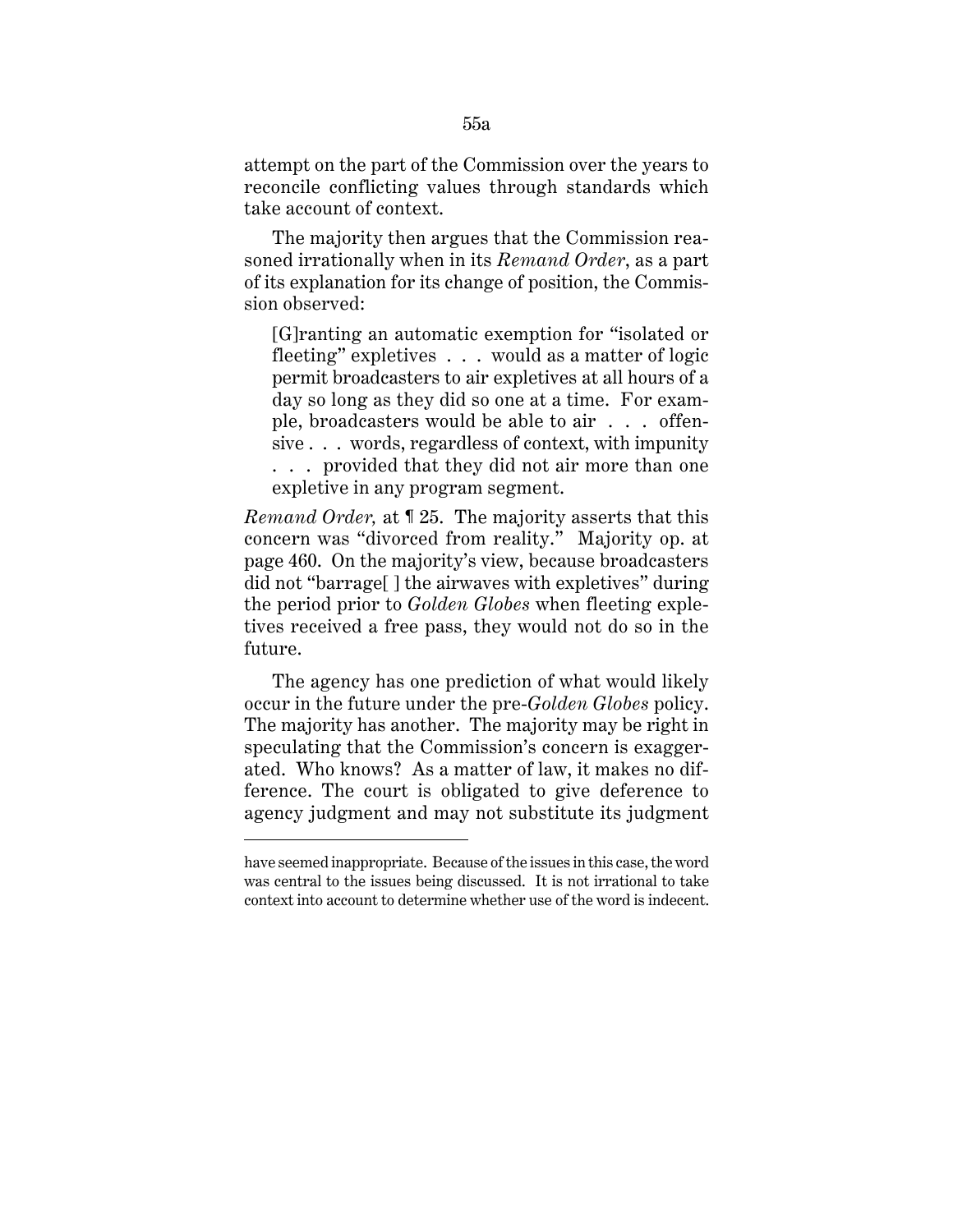attempt on the part of the Commission over the years to reconcile conflicting values through standards which take account of context.

The majority then argues that the Commission reasoned irrationally when in its *Remand Order*, as a part of its explanation for its change of position, the Commission observed:

[G]ranting an automatic exemption for "isolated or fleeting" expletives . . . would as a matter of logic permit broadcasters to air expletives at all hours of a day so long as they did so one at a time. For example, broadcasters would be able to air . . . offensive . . . words, regardless of context, with impunity . . . provided that they did not air more than one expletive in any program segment.

*Remand Order,* at ¶ 25. The majority asserts that this concern was "divorced from reality." Majority op. at page 460. On the majority's view, because broadcasters did not "barrage[ ] the airwaves with expletives" during the period prior to *Golden Globes* when fleeting expletives received a free pass, they would not do so in the future.

The agency has one prediction of what would likely occur in the future under the pre-*Golden Globes* policy. The majority has another. The majority may be right in speculating that the Commission's concern is exaggerated. Who knows? As a matter of law, it makes no difference. The court is obligated to give deference to agency judgment and may not substitute its judgment

have seemed inappropriate. Because of the issues in this case, the word was central to the issues being discussed. It is not irrational to take context into account to determine whether use of the word is indecent.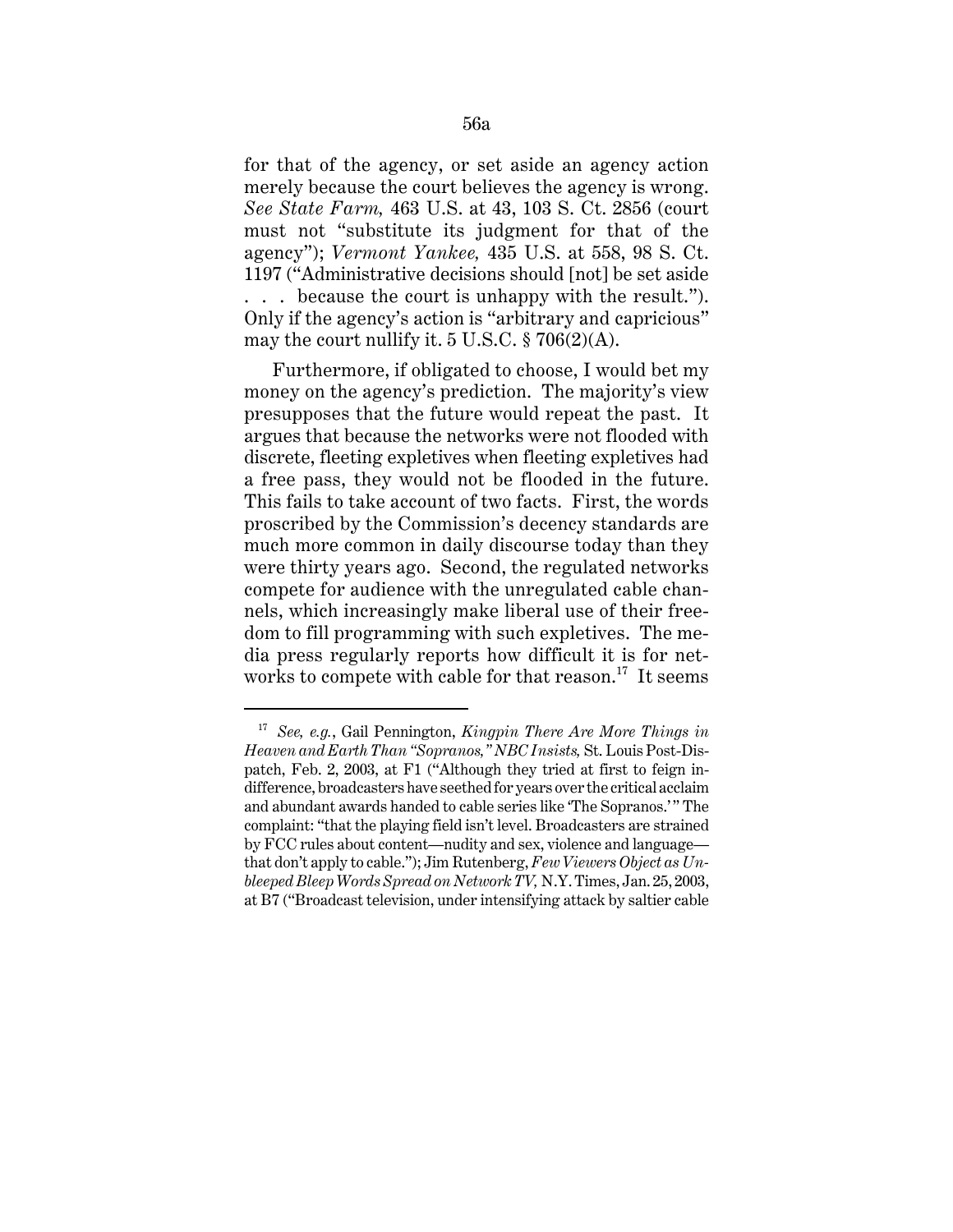for that of the agency, or set aside an agency action merely because the court believes the agency is wrong. *See State Farm,* 463 U.S. at 43, 103 S. Ct. 2856 (court must not "substitute its judgment for that of the agency"); *Vermont Yankee,* 435 U.S. at 558, 98 S. Ct. 1197 ("Administrative decisions should [not] be set aside . . . because the court is unhappy with the result."). Only if the agency's action is "arbitrary and capricious" may the court nullify it.  $5 \text{ U.S.C.} \$   $706(2)(\text{A})$ .

Furthermore, if obligated to choose, I would bet my money on the agency's prediction. The majority's view presupposes that the future would repeat the past. It argues that because the networks were not flooded with discrete, fleeting expletives when fleeting expletives had a free pass, they would not be flooded in the future. This fails to take account of two facts. First, the words proscribed by the Commission's decency standards are much more common in daily discourse today than they were thirty years ago. Second, the regulated networks compete for audience with the unregulated cable channels, which increasingly make liberal use of their freedom to fill programming with such expletives. The media press regularly reports how difficult it is for networks to compete with cable for that reason.<sup>17</sup> It seems

<sup>17</sup> *See, e.g.*, Gail Pennington, *Kingpin There Are More Things in Heaven and Earth Than "Sopranos," NBC Insists,* St. Louis Post-Dispatch, Feb. 2, 2003, at F1 ("Although they tried at first to feign indifference, broadcasters have seethed for years over the critical acclaim and abundant awards handed to cable series like 'The Sopranos.'" The complaint: "that the playing field isn't level. Broadcasters are strained by FCC rules about content—nudity and sex, violence and language that don't apply to cable."); Jim Rutenberg, *Few Viewers Object as Unbleeped Bleep Words Spread on Network TV,* N.Y. Times, Jan. 25, 2003, at B7 ("Broadcast television, under intensifying attack by saltier cable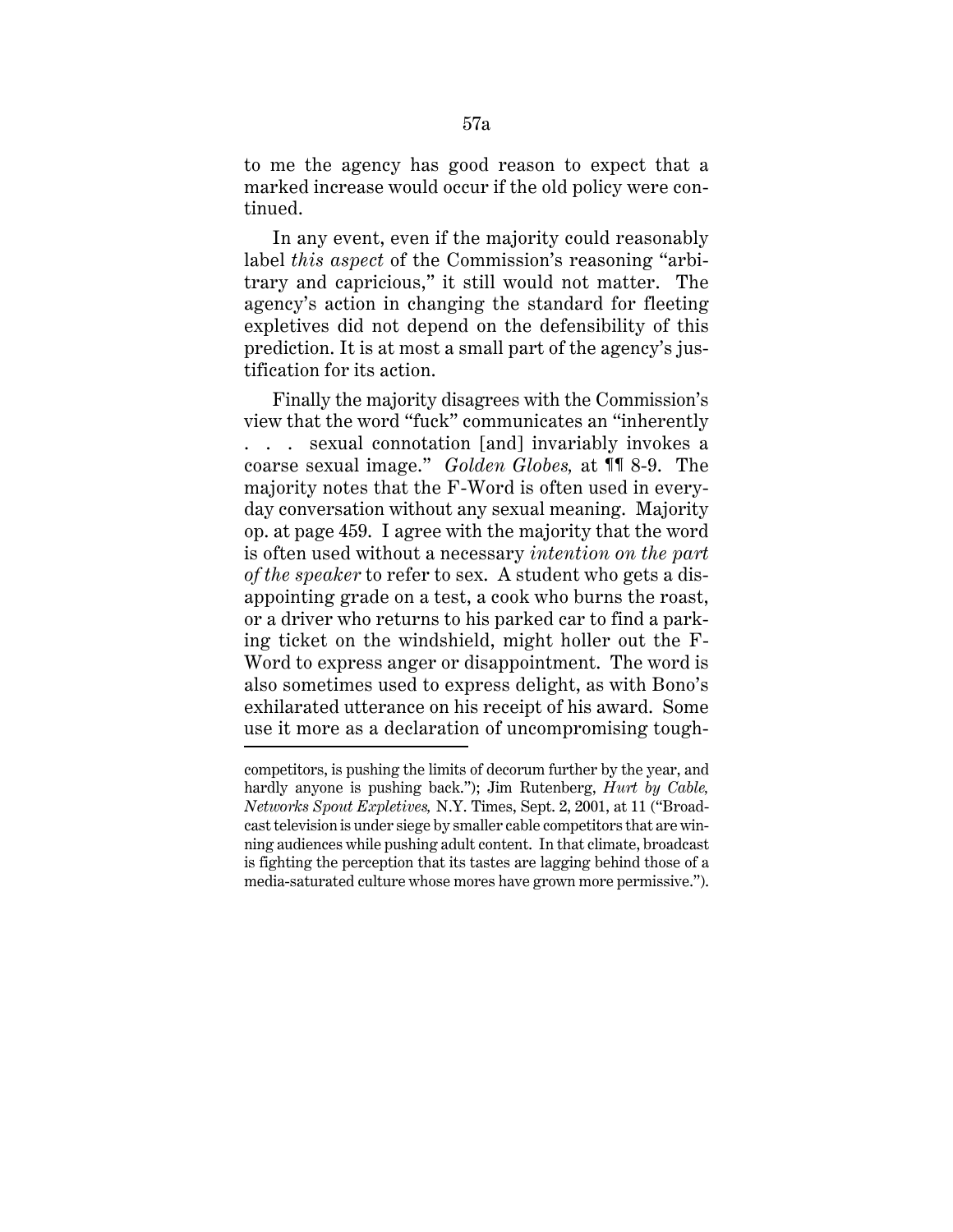to me the agency has good reason to expect that a marked increase would occur if the old policy were continued.

In any event, even if the majority could reasonably label *this aspect* of the Commission's reasoning "arbitrary and capricious," it still would not matter. The agency's action in changing the standard for fleeting expletives did not depend on the defensibility of this prediction. It is at most a small part of the agency's justification for its action.

Finally the majority disagrees with the Commission's view that the word "fuck" communicates an "inherently . . . sexual connotation [and] invariably invokes a coarse sexual image." *Golden Globes,* at ¶¶ 8-9. The majority notes that the F-Word is often used in everyday conversation without any sexual meaning. Majority op. at page 459. I agree with the majority that the word is often used without a necessary *intention on the part of the speaker* to refer to sex. A student who gets a disappointing grade on a test, a cook who burns the roast, or a driver who returns to his parked car to find a parking ticket on the windshield, might holler out the F-Word to express anger or disappointment. The word is also sometimes used to express delight, as with Bono's exhilarated utterance on his receipt of his award. Some use it more as a declaration of uncompromising tough-

competitors, is pushing the limits of decorum further by the year, and hardly anyone is pushing back."); Jim Rutenberg, *Hurt by Cable, Networks Spout Expletives,* N.Y. Times, Sept. 2, 2001, at 11 ("Broadcast television is under siege by smaller cable competitors that are winning audiences while pushing adult content. In that climate, broadcast is fighting the perception that its tastes are lagging behind those of a media-saturated culture whose mores have grown more permissive.").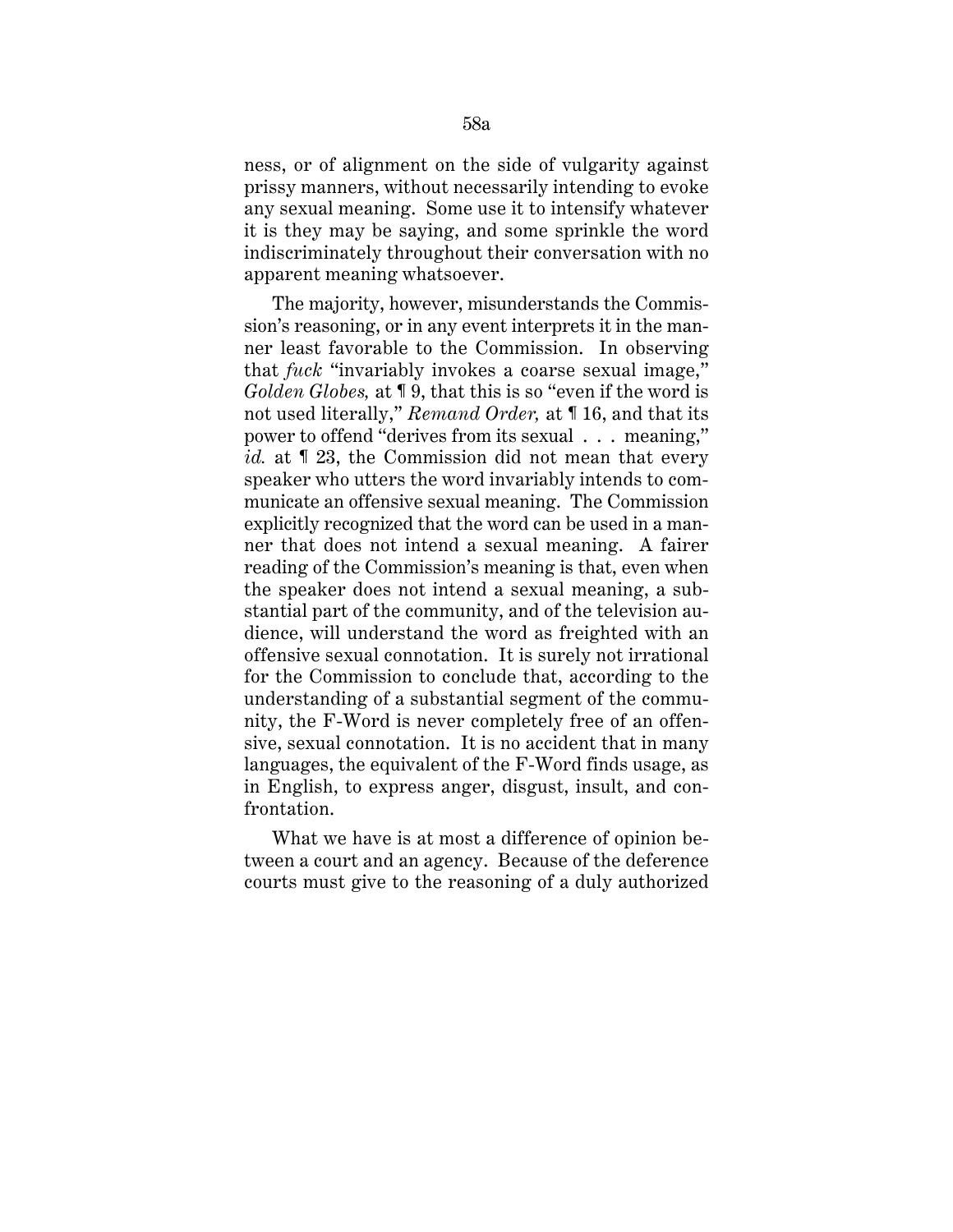ness, or of alignment on the side of vulgarity against prissy manners, without necessarily intending to evoke any sexual meaning. Some use it to intensify whatever it is they may be saying, and some sprinkle the word indiscriminately throughout their conversation with no apparent meaning whatsoever.

The majority, however, misunderstands the Commission's reasoning, or in any event interprets it in the manner least favorable to the Commission. In observing that *fuck* "invariably invokes a coarse sexual image," *Golden Globes,* at ¶ 9, that this is so "even if the word is not used literally," *Remand Order,* at ¶ 16, and that its power to offend "derives from its sexual . . . meaning," id. at  $\mathbb{I}$  23, the Commission did not mean that every speaker who utters the word invariably intends to communicate an offensive sexual meaning. The Commission explicitly recognized that the word can be used in a manner that does not intend a sexual meaning. A fairer reading of the Commission's meaning is that, even when the speaker does not intend a sexual meaning, a substantial part of the community, and of the television audience, will understand the word as freighted with an offensive sexual connotation. It is surely not irrational for the Commission to conclude that, according to the understanding of a substantial segment of the community, the F-Word is never completely free of an offensive, sexual connotation. It is no accident that in many languages, the equivalent of the F-Word finds usage, as in English, to express anger, disgust, insult, and confrontation.

What we have is at most a difference of opinion between a court and an agency. Because of the deference courts must give to the reasoning of a duly authorized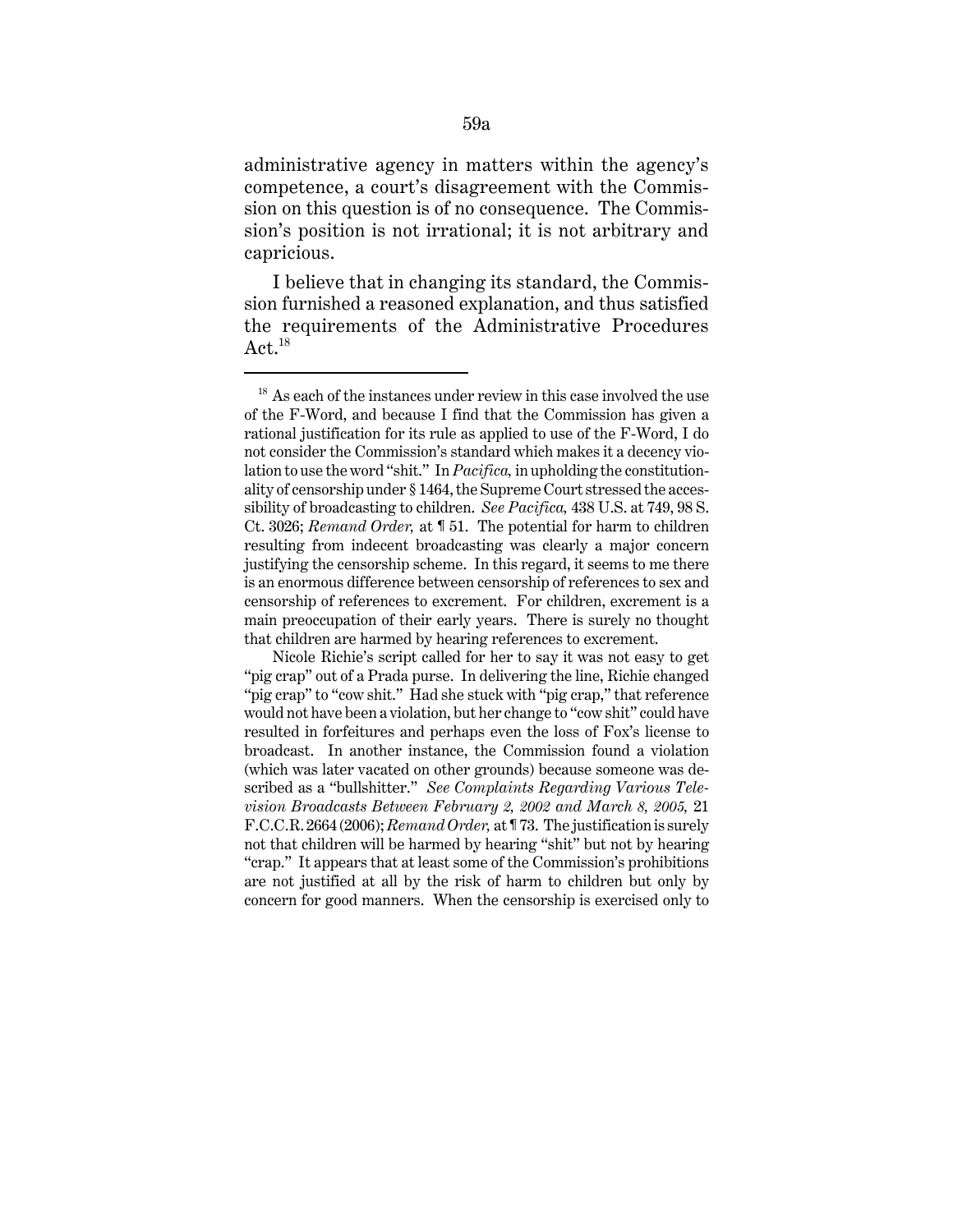administrative agency in matters within the agency's competence, a court's disagreement with the Commission on this question is of no consequence. The Commission's position is not irrational; it is not arbitrary and capricious.

I believe that in changing its standard, the Commission furnished a reasoned explanation, and thus satisfied the requirements of the Administrative Procedures  $\rm Act.^{18}$ 

 $18$  As each of the instances under review in this case involved the use of the F-Word, and because I find that the Commission has given a rational justification for its rule as applied to use of the F-Word, I do not consider the Commission's standard which makes it a decency violation to use the word "shit." In *Pacifica,* in upholding the constitutionality of censorship under § 1464, the Supreme Court stressed the accessibility of broadcasting to children. *See Pacifica,* 438 U.S. at 749, 98 S. Ct. 3026; *Remand Order,* at ¶ 51. The potential for harm to children resulting from indecent broadcasting was clearly a major concern justifying the censorship scheme. In this regard, it seems to me there is an enormous difference between censorship of references to sex and censorship of references to excrement. For children, excrement is a main preoccupation of their early years. There is surely no thought that children are harmed by hearing references to excrement.

Nicole Richie's script called for her to say it was not easy to get "pig crap" out of a Prada purse. In delivering the line, Richie changed "pig crap" to "cow shit." Had she stuck with "pig crap," that reference would not have been a violation, but her change to "cow shit" could have resulted in forfeitures and perhaps even the loss of Fox's license to broadcast. In another instance, the Commission found a violation (which was later vacated on other grounds) because someone was described as a "bullshitter." *See Complaints Regarding Various Television Broadcasts Between February 2, 2002 and March 8, 2005,* 21 F.C.C.R. 2664 (2006); *Remand Order,* at ¶ 73. The justification is surely not that children will be harmed by hearing "shit" but not by hearing "crap." It appears that at least some of the Commission's prohibitions are not justified at all by the risk of harm to children but only by concern for good manners. When the censorship is exercised only to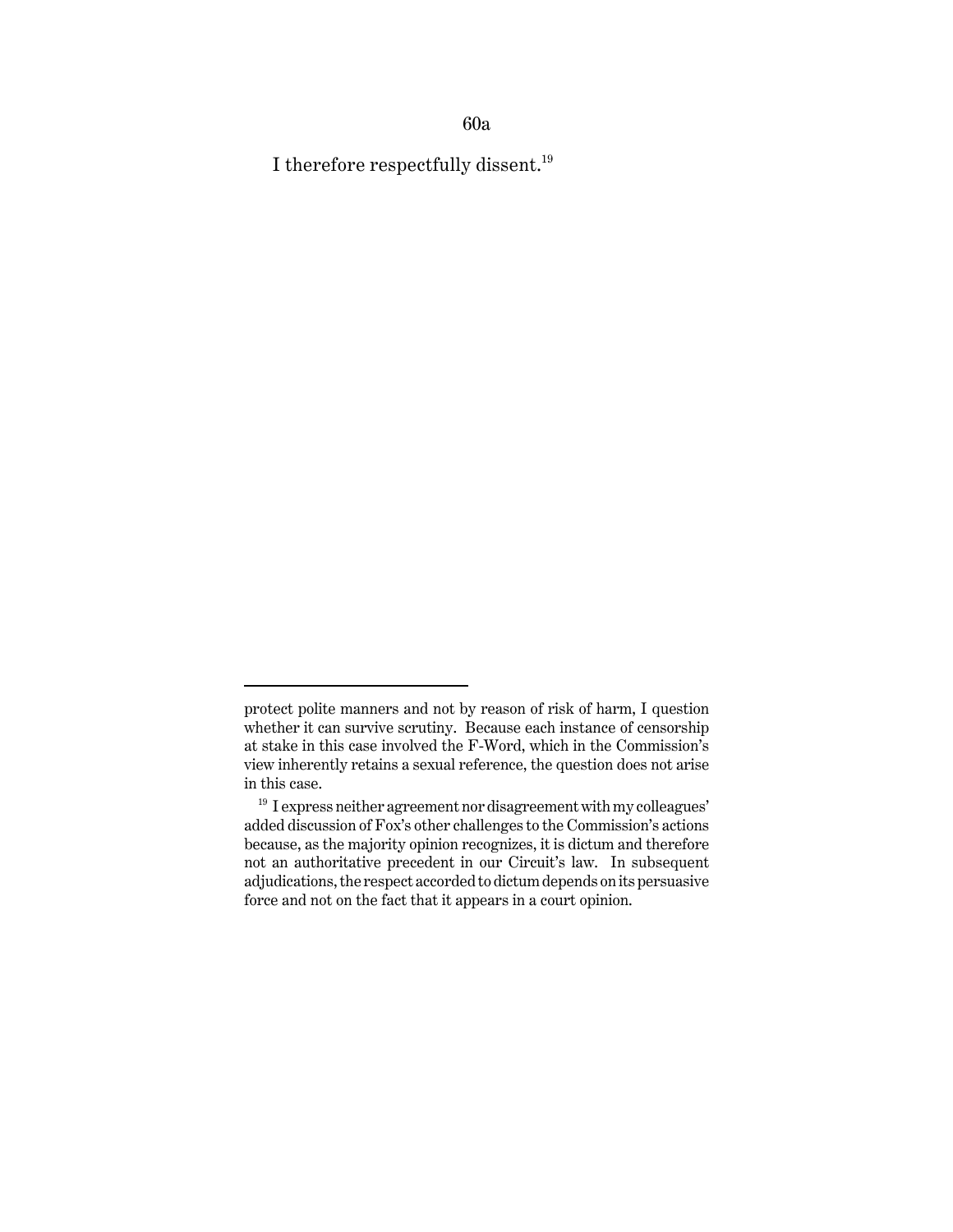60a

I therefore respectfully dissent.<sup>19</sup>

protect polite manners and not by reason of risk of harm, I question whether it can survive scrutiny. Because each instance of censorship at stake in this case involved the F-Word, which in the Commission's view inherently retains a sexual reference, the question does not arise in this case.

 $^{\rm 19}$  I express neither agreement nor disagreement with my colleagues' added discussion of Fox's other challenges to the Commission's actions because, as the majority opinion recognizes, it is dictum and therefore not an authoritative precedent in our Circuit's law. In subsequent adjudications, the respect accorded to dictum depends on its persuasive force and not on the fact that it appears in a court opinion.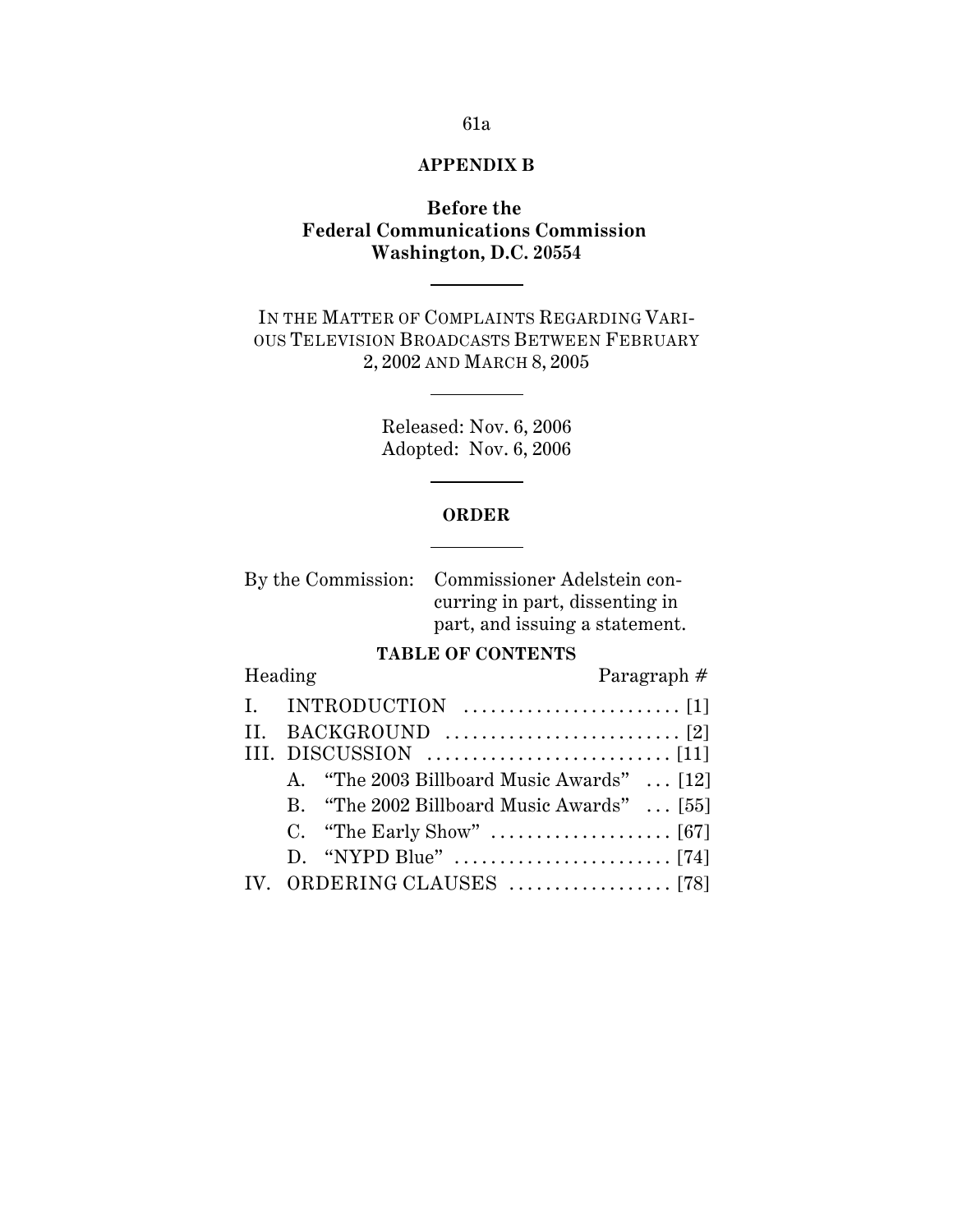## 61a

# **APPENDIX B**

# **Before the Federal Communications Commission Washington, D.C. 20554**

IN THE MATTER OF COMPLAINTS REGARDING VARI-OUS TELEVISION BROADCASTS BETWEEN FEBRUARY 2, 2002 AND MARCH 8, 2005

> Released: Nov. 6, 2006 Adopted: Nov. 6, 2006

### **ORDER**

By the Commission: Commissioner Adelstein concurring in part, dissenting in part, and issuing a statement.

# **TABLE OF CONTENTS**

Heading Paragraph #

|  | I. INTRODUCTION $\dots\dots\dots\dots\dots\dots\dots\dots$      |
|--|-----------------------------------------------------------------|
|  |                                                                 |
|  | III. DISCUSSION $\dots\dots\dots\dots\dots\dots\dots\dots\dots$ |
|  | A. "The 2003 Billboard Music Awards"  [12]                      |
|  | B. "The 2002 Billboard Music Awards"  [55]                      |
|  |                                                                 |
|  |                                                                 |
|  |                                                                 |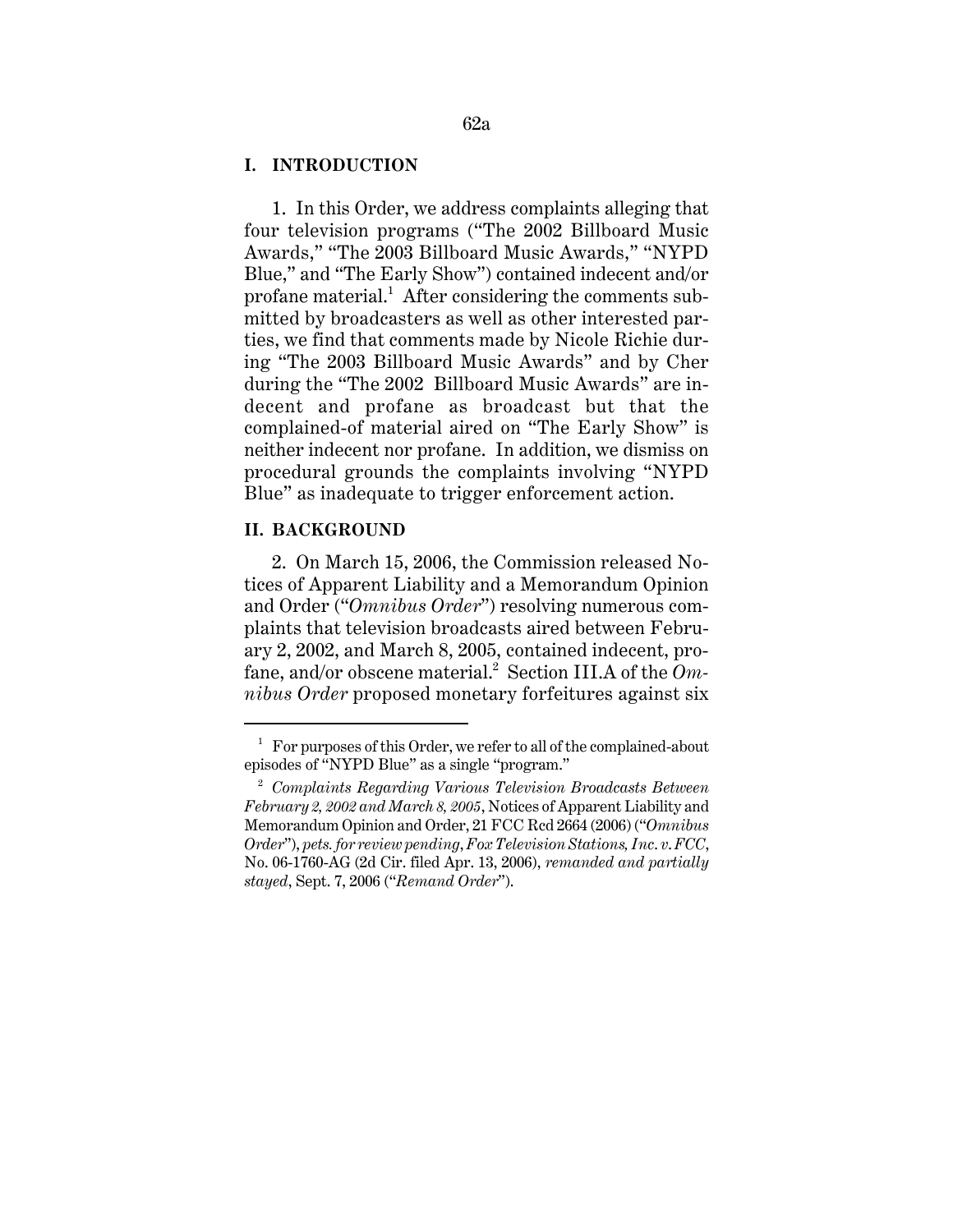### **I. INTRODUCTION**

1. In this Order, we address complaints alleging that four television programs ("The 2002 Billboard Music Awards," "The 2003 Billboard Music Awards," "NYPD Blue," and "The Early Show") contained indecent and/or profane material.<sup>1</sup> After considering the comments submitted by broadcasters as well as other interested parties, we find that comments made by Nicole Richie during "The 2003 Billboard Music Awards" and by Cher during the "The 2002 Billboard Music Awards" are indecent and profane as broadcast but that the complained-of material aired on "The Early Show" is neither indecent nor profane. In addition, we dismiss on procedural grounds the complaints involving "NYPD Blue" as inadequate to trigger enforcement action.

### **II. BACKGROUND**

2. On March 15, 2006, the Commission released Notices of Apparent Liability and a Memorandum Opinion and Order ("*Omnibus Order*") resolving numerous complaints that television broadcasts aired between February 2, 2002, and March 8, 2005, contained indecent, profane, and/or obscene material.<sup>2</sup> Section III.A of the *Omnibus Order* proposed monetary forfeitures against six

 $1$  For purposes of this Order, we refer to all of the complained-about episodes of "NYPD Blue" as a single "program."

<sup>2</sup> *Complaints Regarding Various Television Broadcasts Between February 2, 2002 and March 8, 2005*, Notices of Apparent Liability and Memorandum Opinion and Order, 21 FCC Rcd 2664 (2006) ("*Omnibus Order*"), *pets. for review pending*, *Fox Television Stations, Inc*. *v*. *FCC*, No. 06-1760-AG (2d Cir. filed Apr. 13, 2006), *remanded and partially stayed*, Sept. 7, 2006 ("*Remand Order*").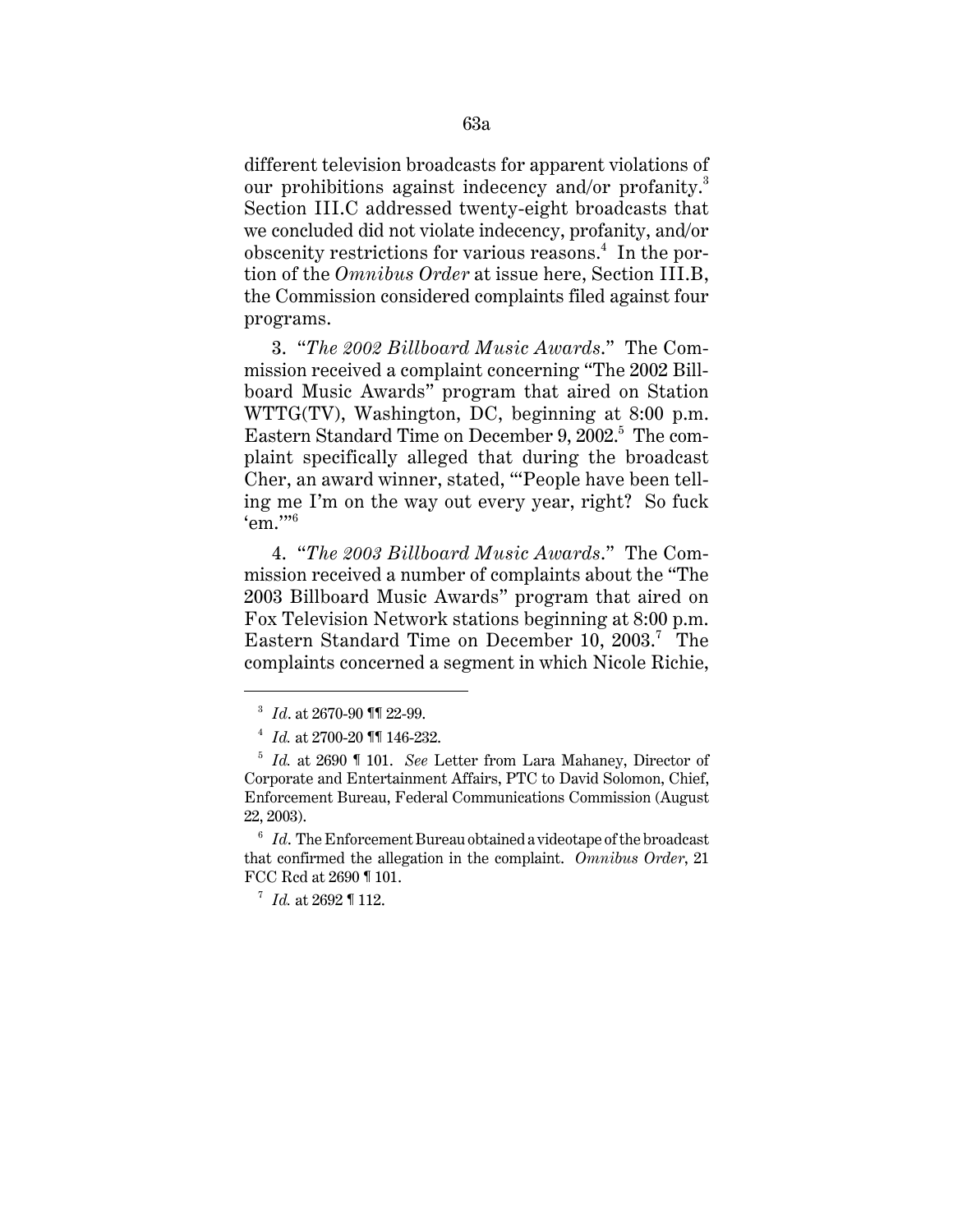different television broadcasts for apparent violations of our prohibitions against indecency and/or profanity.<sup>3</sup> Section III.C addressed twenty-eight broadcasts that we concluded did not violate indecency, profanity, and/or obscenity restrictions for various reasons.<sup>4</sup> In the portion of the *Omnibus Order* at issue here, Section III.B, the Commission considered complaints filed against four programs.

3. "*The 2002 Billboard Music Awards*." The Commission received a complaint concerning "The 2002 Billboard Music Awards" program that aired on Station WTTG(TV), Washington, DC, beginning at 8:00 p.m. Eastern Standard Time on December 9, 2002.<sup>5</sup> The complaint specifically alleged that during the broadcast Cher, an award winner, stated, "'People have been telling me I'm on the way out every year, right? So fuck  $\epsilon$ em."<sup>6</sup>

4. "*The 2003 Billboard Music Awards*." The Commission received a number of complaints about the "The 2003 Billboard Music Awards" program that aired on Fox Television Network stations beginning at 8:00 p.m. Eastern Standard Time on December 10, 2003.<sup>7</sup> The complaints concerned a segment in which Nicole Richie,

<sup>3</sup> *Id*. at 2670-90 ¶¶ 22-99.

<sup>4</sup> *Id.* at 2700-20 ¶¶ 146-232.

<sup>5</sup> *Id.* at 2690 ¶ 101. *See* Letter from Lara Mahaney, Director of Corporate and Entertainment Affairs, PTC to David Solomon, Chief, Enforcement Bureau, Federal Communications Commission (August 22, 2003).

<sup>6</sup> *Id*. The Enforcement Bureau obtained a videotape of the broadcast that confirmed the allegation in the complaint. *Omnibus Order*, 21 FCC Rcd at 2690 ¶ 101.

<sup>7</sup> *Id.* at 2692 ¶ 112.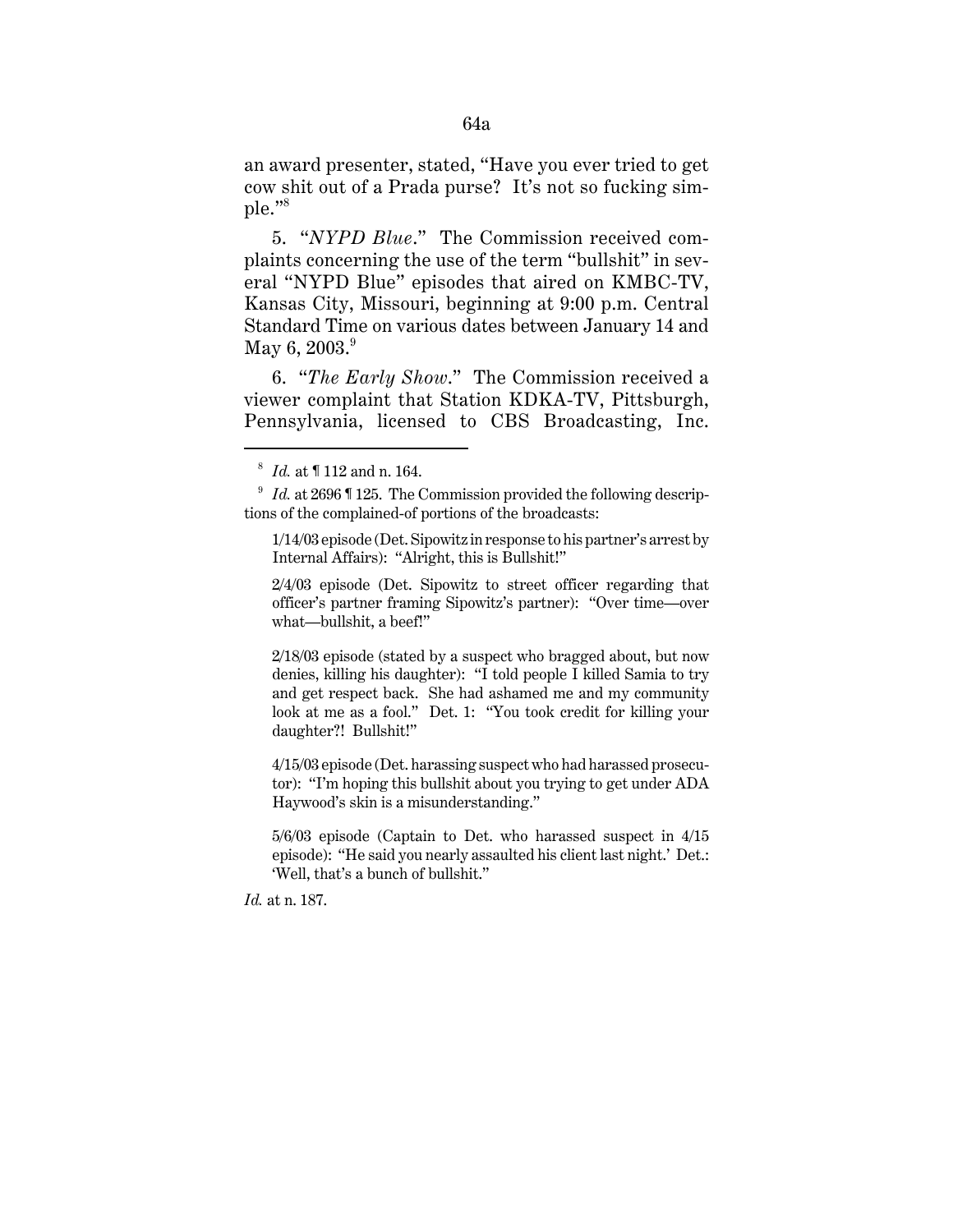an award presenter, stated, "Have you ever tried to get cow shit out of a Prada purse? It's not so fucking simple."<sup>8</sup>

5. "*NYPD Blue*." The Commission received complaints concerning the use of the term "bullshit" in several "NYPD Blue" episodes that aired on KMBC-TV, Kansas City, Missouri, beginning at 9:00 p.m. Central Standard Time on various dates between January 14 and May 6,  $2003.^9$ 

6. "*The Early Show*." The Commission received a viewer complaint that Station KDKA-TV, Pittsburgh, Pennsylvania, licensed to CBS Broadcasting, Inc.

2/18/03 episode (stated by a suspect who bragged about, but now denies, killing his daughter): "I told people I killed Samia to try and get respect back. She had ashamed me and my community look at me as a fool." Det. 1: "You took credit for killing your daughter?! Bullshit!"

4/15/03 episode (Det. harassing suspect who had harassed prosecutor): "I'm hoping this bullshit about you trying to get under ADA Haywood's skin is a misunderstanding."

5/6/03 episode (Captain to Det. who harassed suspect in 4/15 episode): "He said you nearly assaulted his client last night.' Det.: 'Well, that's a bunch of bullshit."

*Id.* at n. 187.

<sup>8</sup> *Id.* at ¶ 112 and n. 164.

<sup>&</sup>lt;sup>9</sup> *Id.* at 2696 ¶ 125. The Commission provided the following descriptions of the complained-of portions of the broadcasts:

<sup>1/14/03</sup> episode (Det. Sipowitz in response to his partner's arrest by Internal Affairs): "Alright, this is Bullshit!"

<sup>2/4/03</sup> episode (Det. Sipowitz to street officer regarding that officer's partner framing Sipowitz's partner): "Over time—over what—bullshit, a beef!"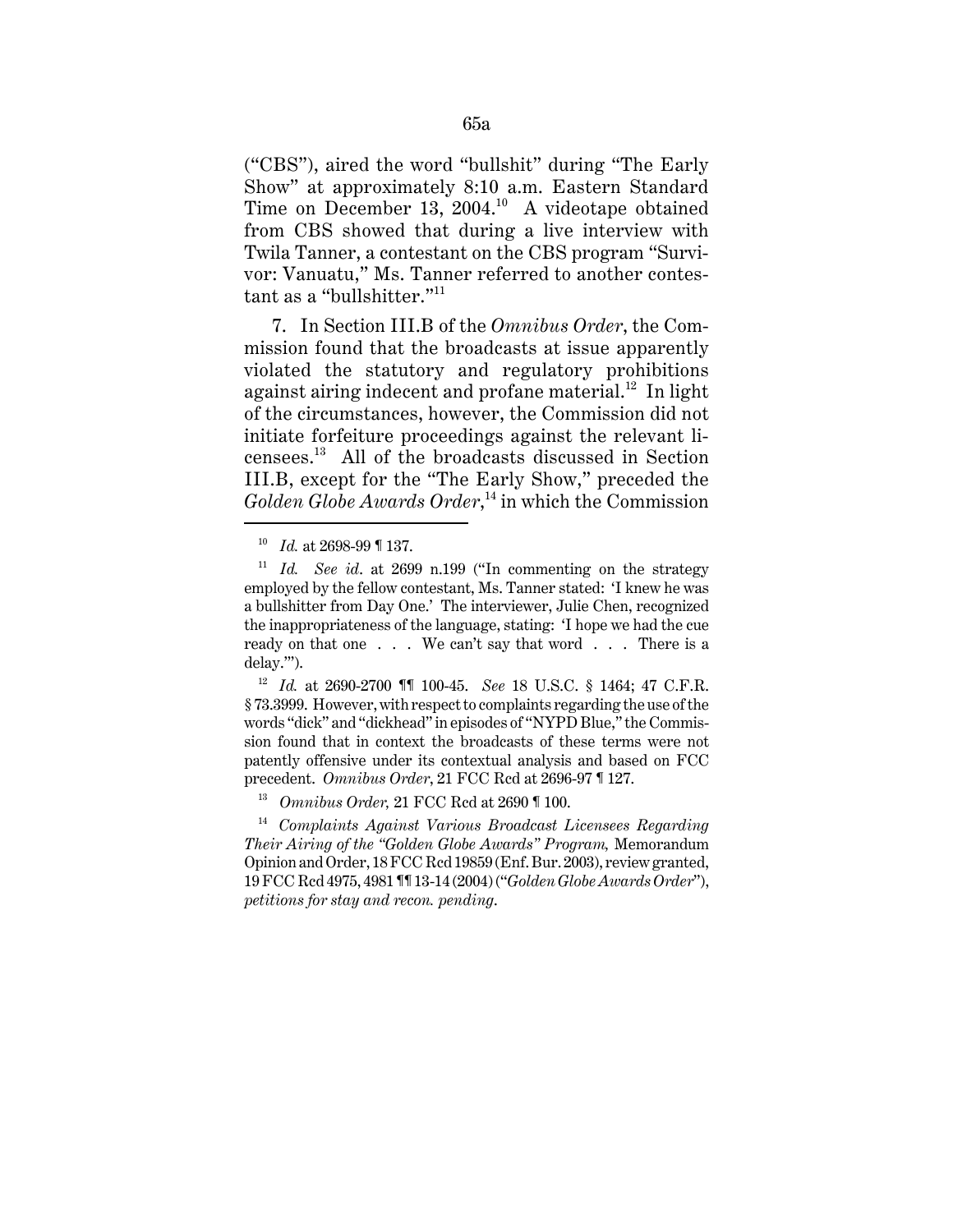("CBS"), aired the word "bullshit" during "The Early Show" at approximately 8:10 a.m. Eastern Standard Time on December 13, 2004.<sup>10</sup> A videotape obtained from CBS showed that during a live interview with Twila Tanner, a contestant on the CBS program "Survivor: Vanuatu," Ms. Tanner referred to another contestant as a "bullshitter."<sup>11</sup>

7. In Section III.B of the *Omnibus Order*, the Commission found that the broadcasts at issue apparently violated the statutory and regulatory prohibitions against airing indecent and profane material.<sup>12</sup> In light of the circumstances, however, the Commission did not initiate forfeiture proceedings against the relevant licensees.13 All of the broadcasts discussed in Section III.B, except for the "The Early Show," preceded the *Golden Globe Awards Order*, 14 in which the Commission

<sup>10</sup> *Id.* at 2698-99 ¶ 137.

<sup>11</sup> *Id. See id*. at 2699 n.199 ("In commenting on the strategy employed by the fellow contestant, Ms. Tanner stated: 'I knew he was a bullshitter from Day One.' The interviewer, Julie Chen, recognized the inappropriateness of the language, stating: 'I hope we had the cue ready on that one . . . We can't say that word . . . There is a delay.'").

<sup>12</sup> *Id.* at 2690-2700 ¶¶ 100-45. *See* 18 U.S.C. § 1464; 47 C.F.R. § 73.3999. However, with respect to complaints regarding the use of the words "dick" and "dickhead" in episodes of "NYPD Blue," the Commission found that in context the broadcasts of these terms were not patently offensive under its contextual analysis and based on FCC precedent. *Omnibus Order*, 21 FCC Rcd at 2696-97 ¶ 127.

<sup>13</sup> *Omnibus Order,* 21 FCC Rcd at 2690 ¶ 100.

<sup>14</sup> *Complaints Against Various Broadcast Licensees Regarding Their Airing of the "Golden Globe Awards" Program,* Memorandum Opinion and Order, 18 FCC Rcd 19859 (Enf. Bur. 2003), review granted, 19 FCC Rcd 4975, 4981 ¶¶ 13-14 (2004) ("*Golden Globe Awards Order*"), *petitions for stay and recon. pending*.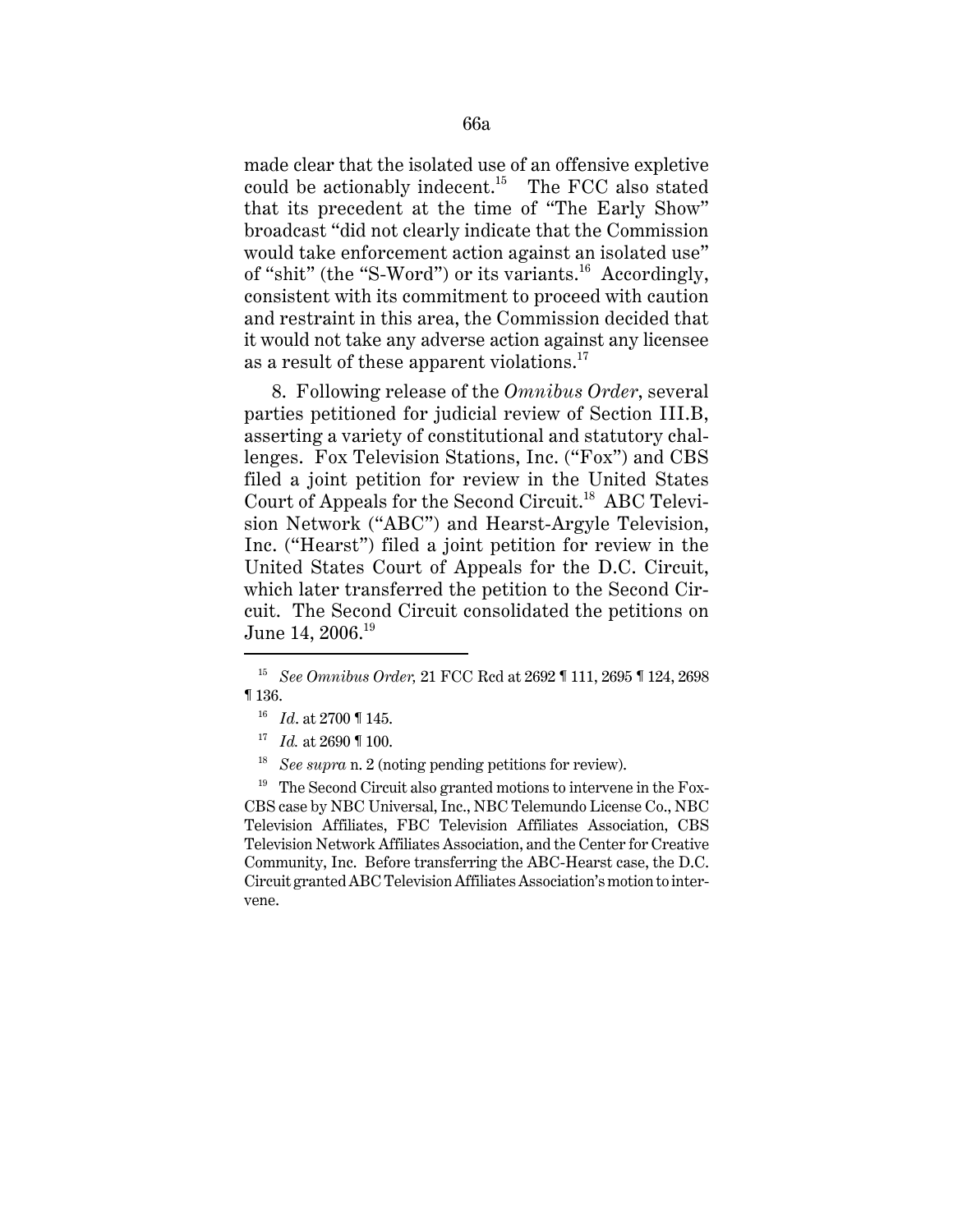made clear that the isolated use of an offensive expletive could be actionably indecent.<sup>15</sup> The FCC also stated that its precedent at the time of "The Early Show" broadcast "did not clearly indicate that the Commission would take enforcement action against an isolated use" of "shit" (the "S-Word") or its variants.<sup>16</sup> Accordingly, consistent with its commitment to proceed with caution and restraint in this area, the Commission decided that it would not take any adverse action against any licensee as a result of these apparent violations.<sup>17</sup>

8. Following release of the *Omnibus Order*, several parties petitioned for judicial review of Section III.B, asserting a variety of constitutional and statutory challenges. Fox Television Stations, Inc. ("Fox") and CBS filed a joint petition for review in the United States Court of Appeals for the Second Circuit.<sup>18</sup> ABC Television Network ("ABC") and Hearst-Argyle Television, Inc. ("Hearst") filed a joint petition for review in the United States Court of Appeals for the D.C. Circuit, which later transferred the petition to the Second Circuit. The Second Circuit consolidated the petitions on June 14, 2006.<sup>19</sup>

18 *See supra* n. 2 (noting pending petitions for review).

 $19$  The Second Circuit also granted motions to intervene in the Fox-CBS case by NBC Universal, Inc., NBC Telemundo License Co., NBC Television Affiliates, FBC Television Affiliates Association, CBS Television Network Affiliates Association, and the Center for Creative Community, Inc. Before transferring the ABC-Hearst case, the D.C. Circuit granted ABC Television Affiliates Association's motion to intervene.

<sup>15</sup> *See Omnibus Order,* 21 FCC Rcd at 2692 ¶ 111, 2695 ¶ 124, 2698 ¶ 136.

<sup>16</sup> *Id*. at 2700 ¶ 145.

<sup>17</sup> *Id.* at 2690 ¶ 100.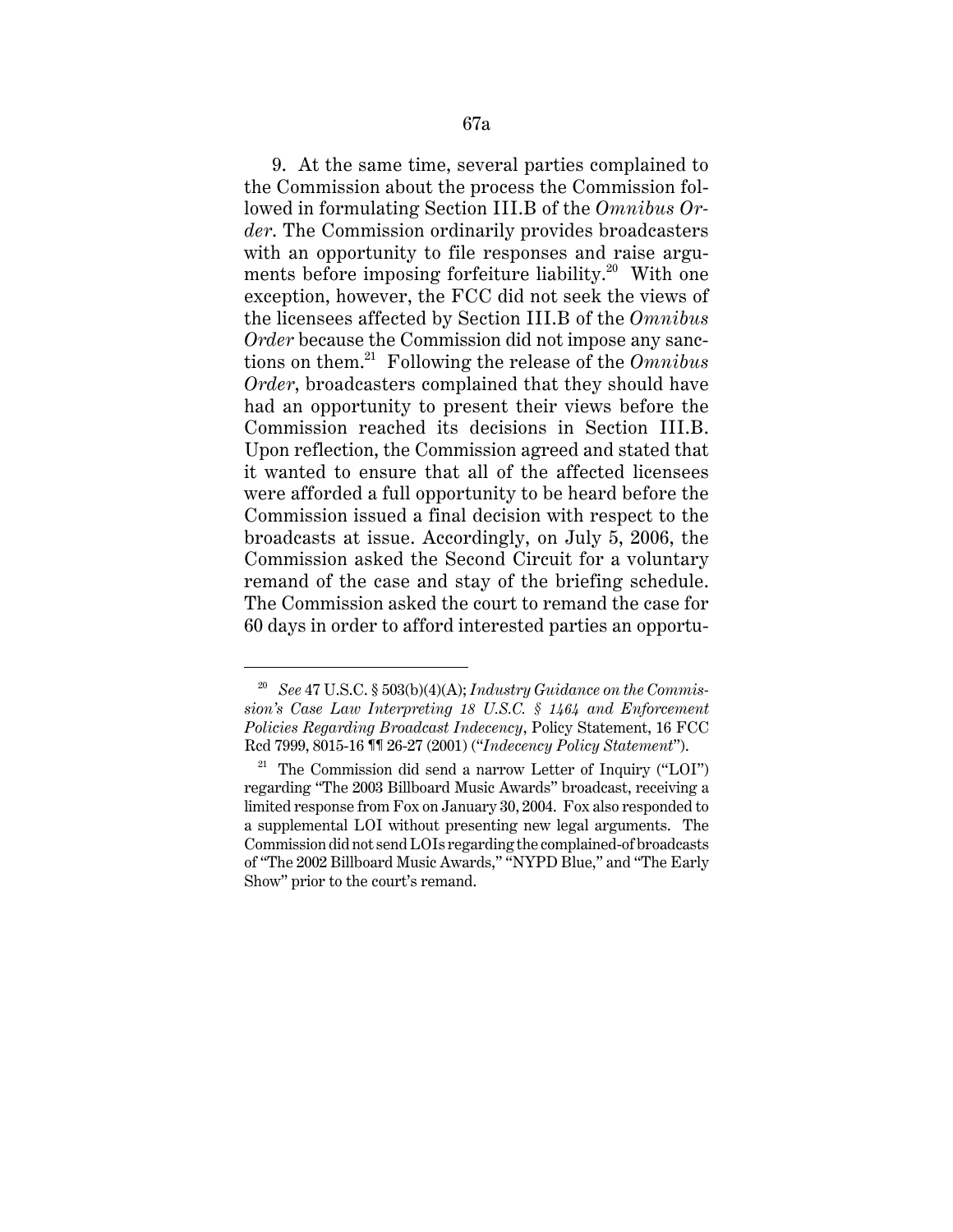9. At the same time, several parties complained to the Commission about the process the Commission followed in formulating Section III.B of the *Omnibus Order*. The Commission ordinarily provides broadcasters with an opportunity to file responses and raise arguments before imposing forfeiture liability.<sup>20</sup> With one exception, however, the FCC did not seek the views of the licensees affected by Section III.B of the *Omnibus Order* because the Commission did not impose any sanctions on them.21 Following the release of the *Omnibus Order*, broadcasters complained that they should have had an opportunity to present their views before the Commission reached its decisions in Section III.B. Upon reflection, the Commission agreed and stated that it wanted to ensure that all of the affected licensees were afforded a full opportunity to be heard before the Commission issued a final decision with respect to the broadcasts at issue. Accordingly, on July 5, 2006, the Commission asked the Second Circuit for a voluntary remand of the case and stay of the briefing schedule. The Commission asked the court to remand the case for 60 days in order to afford interested parties an opportu-

<sup>20</sup> *See* 47 U.S.C. § 503(b)(4)(A); *Industry Guidance on the Commission's Case Law Interpreting 18 U.S.C. § 1464 and Enforcement Policies Regarding Broadcast Indecency*, Policy Statement, 16 FCC Rcd 7999, 8015-16 ¶¶ 26-27 (2001) ("*Indecency Policy Statement*").

<sup>&</sup>lt;sup>21</sup> The Commission did send a narrow Letter of Inquiry ("LOI") regarding "The 2003 Billboard Music Awards" broadcast, receiving a limited response from Fox on January 30, 2004. Fox also responded to a supplemental LOI without presenting new legal arguments. The Commission did not send LOIs regarding the complained-of broadcasts of "The 2002 Billboard Music Awards," "NYPD Blue," and "The Early Show" prior to the court's remand.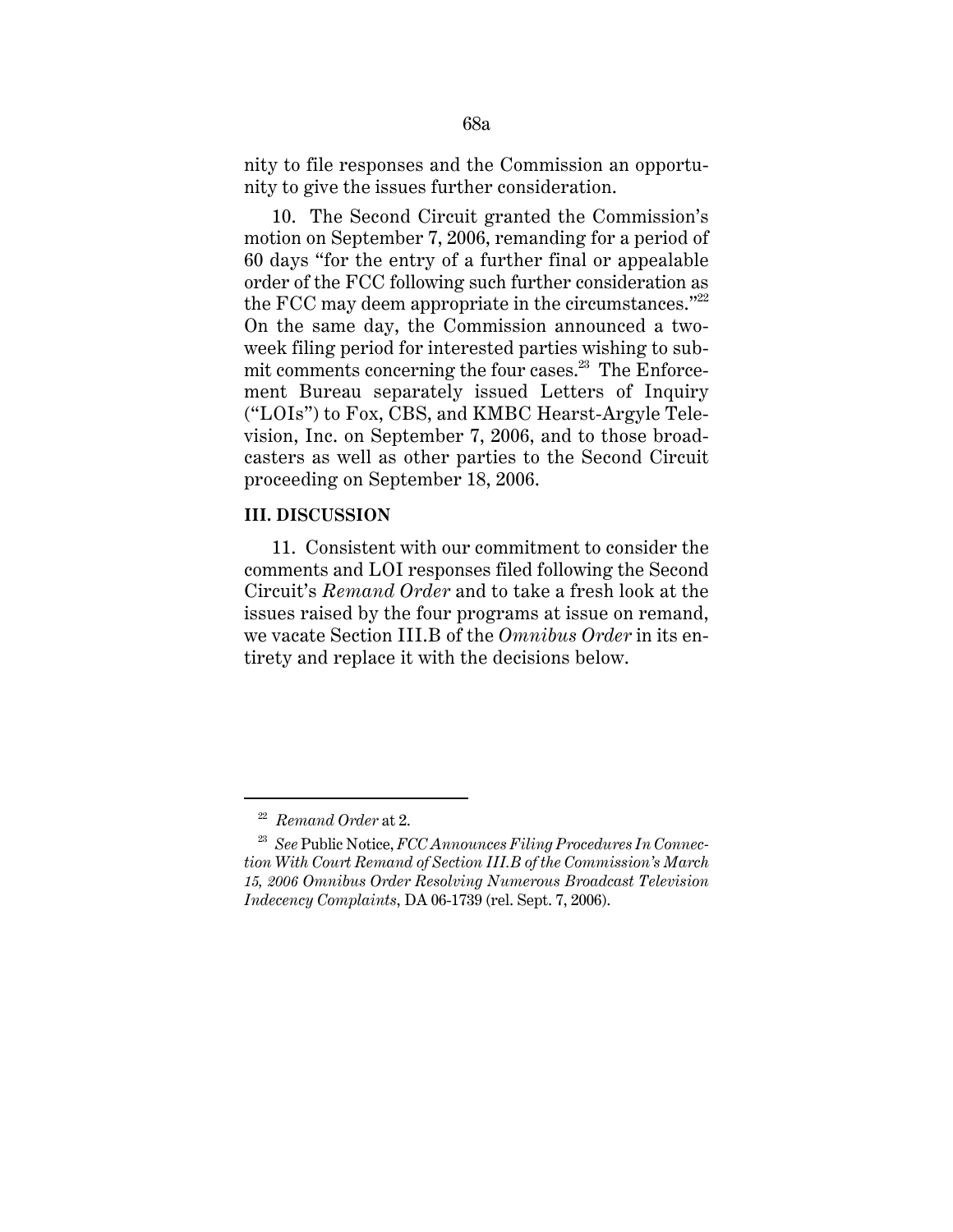nity to file responses and the Commission an opportunity to give the issues further consideration.

10. The Second Circuit granted the Commission's motion on September 7, 2006, remanding for a period of 60 days "for the entry of a further final or appealable order of the FCC following such further consideration as the FCC may deem appropriate in the circumstances." $22$ On the same day, the Commission announced a twoweek filing period for interested parties wishing to submit comments concerning the four cases. $^{23}$  The Enforcement Bureau separately issued Letters of Inquiry ("LOIs") to Fox, CBS, and KMBC Hearst-Argyle Television, Inc. on September 7, 2006, and to those broadcasters as well as other parties to the Second Circuit proceeding on September 18, 2006.

## **III. DISCUSSION**

11. Consistent with our commitment to consider the comments and LOI responses filed following the Second Circuit's *Remand Order* and to take a fresh look at the issues raised by the four programs at issue on remand, we vacate Section III.B of the *Omnibus Order* in its entirety and replace it with the decisions below.

<sup>22</sup> *Remand Order* at 2.

<sup>23</sup> *See* Public Notice, *FCC Announces Filing Procedures In Connection With Court Remand of Section III.B of the Commission's March 15, 2006 Omnibus Order Resolving Numerous Broadcast Television Indecency Complaints*, DA 06-1739 (rel. Sept. 7, 2006).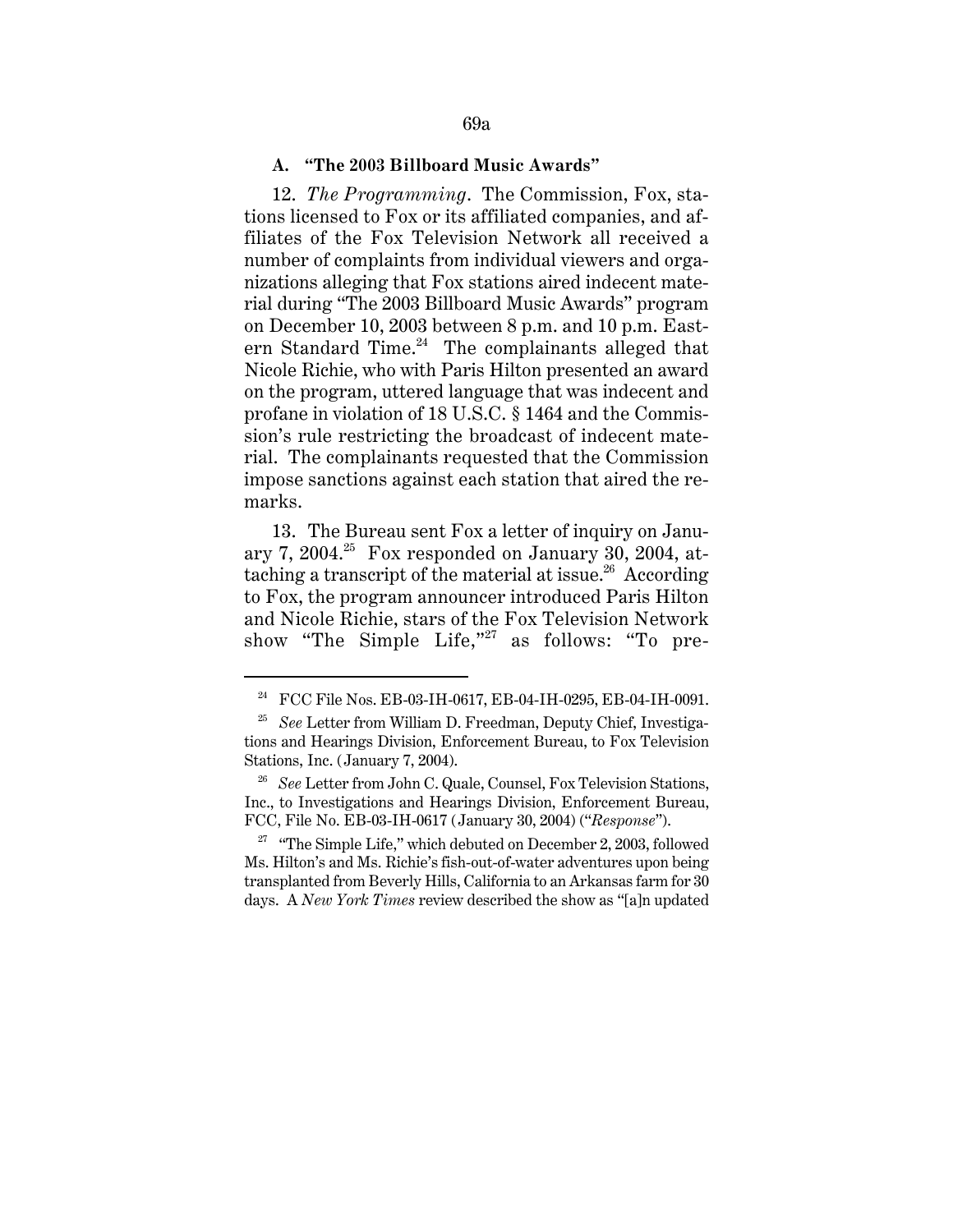### **A. "The 2003 Billboard Music Awards"**

12. *The Programming*. The Commission, Fox, stations licensed to Fox or its affiliated companies, and affiliates of the Fox Television Network all received a number of complaints from individual viewers and organizations alleging that Fox stations aired indecent material during "The 2003 Billboard Music Awards" program on December 10, 2003 between 8 p.m. and 10 p.m. Eastern Standard Time. $24$  The complainants alleged that Nicole Richie, who with Paris Hilton presented an award on the program, uttered language that was indecent and profane in violation of 18 U.S.C. § 1464 and the Commission's rule restricting the broadcast of indecent material. The complainants requested that the Commission impose sanctions against each station that aired the remarks.

13. The Bureau sent Fox a letter of inquiry on January 7, 2004.<sup>25</sup> Fox responded on January 30, 2004, attaching a transcript of the material at issue.<sup>26</sup> According to Fox, the program announcer introduced Paris Hilton and Nicole Richie, stars of the Fox Television Network show "The Simple Life,"<sup>27</sup> as follows: "To pre-

<sup>&</sup>lt;sup>24</sup> FCC File Nos. EB-03-IH-0617, EB-04-IH-0295, EB-04-IH-0091.

<sup>25</sup> *See* Letter from William D. Freedman, Deputy Chief, Investigations and Hearings Division, Enforcement Bureau, to Fox Television Stations, Inc. (January 7, 2004).

<sup>&</sup>lt;sup>26</sup> *See* Letter from John C. Quale, Counsel, Fox Television Stations, Inc., to Investigations and Hearings Division, Enforcement Bureau, FCC, File No. EB-03-IH-0617 (January 30, 2004) ("*Response*").

 $27$  "The Simple Life," which debuted on December 2, 2003, followed Ms. Hilton's and Ms. Richie's fish-out-of-water adventures upon being transplanted from Beverly Hills, California to an Arkansas farm for 30 days. A *New York Times* review described the show as "[a]n updated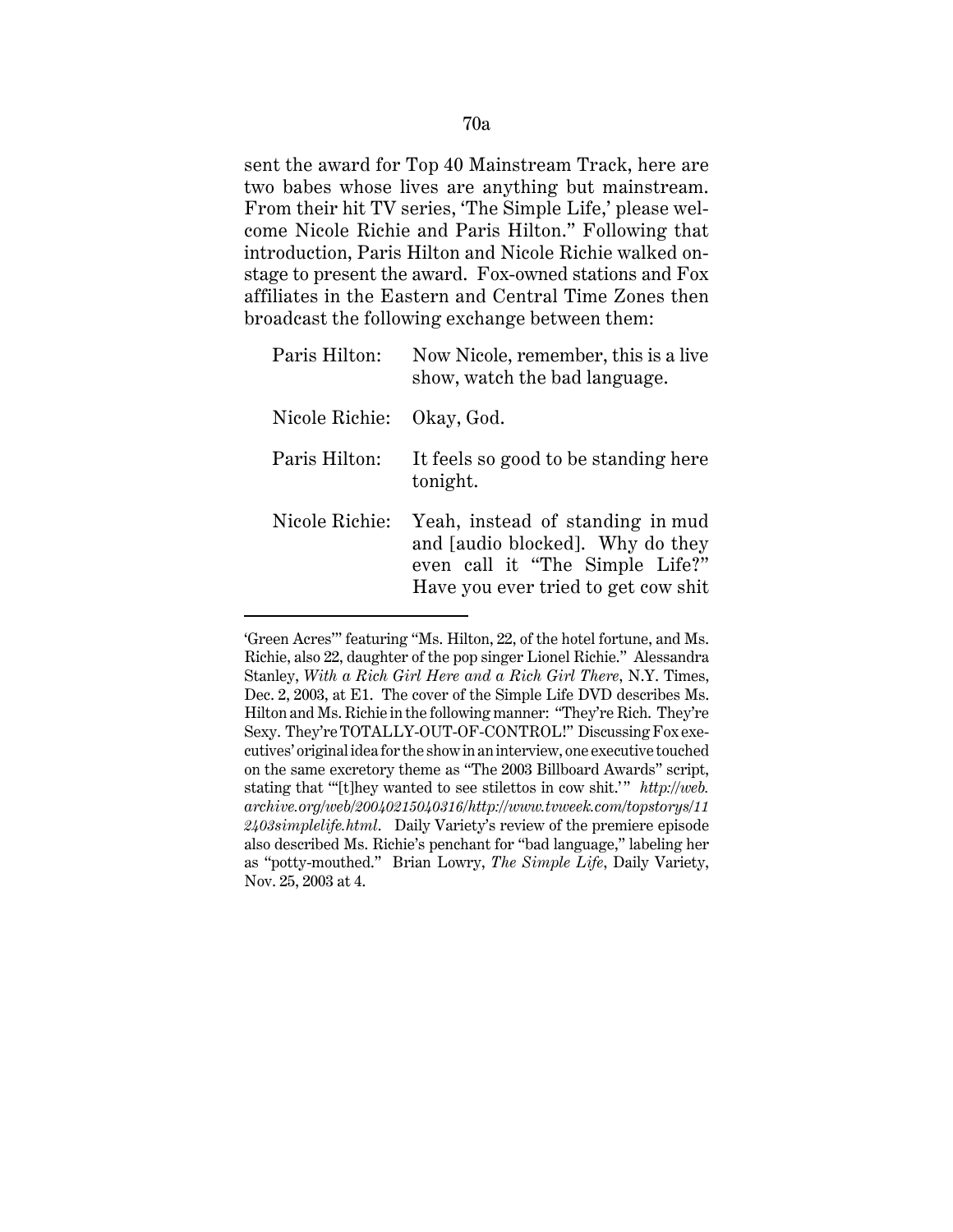sent the award for Top 40 Mainstream Track, here are two babes whose lives are anything but mainstream. From their hit TV series, 'The Simple Life,' please welcome Nicole Richie and Paris Hilton." Following that introduction, Paris Hilton and Nicole Richie walked onstage to present the award. Fox-owned stations and Fox affiliates in the Eastern and Central Time Zones then broadcast the following exchange between them:

| Paris Hilton:             | Now Nicole, remember, this is a live<br>show, watch the bad language.                                                                          |
|---------------------------|------------------------------------------------------------------------------------------------------------------------------------------------|
| Nicole Richie: Okay, God. |                                                                                                                                                |
| Paris Hilton:             | It feels so good to be standing here<br>tonight.                                                                                               |
| Nicole Richie:            | Yeah, instead of standing in mud<br>and [audio blocked]. Why do they<br>even call it "The Simple Life?"<br>Have you ever tried to get cow shit |

<sup>&#</sup>x27;Green Acres'" featuring "Ms. Hilton, 22, of the hotel fortune, and Ms. Richie, also 22, daughter of the pop singer Lionel Richie." Alessandra Stanley, *With a Rich Girl Here and a Rich Girl There*, N.Y. Times, Dec. 2, 2003, at E1. The cover of the Simple Life DVD describes Ms. Hilton and Ms. Richie in the following manner: "They're Rich. They're Sexy. They're TOTALLY-OUT-OF-CONTROL!" Discussing Fox executives' original idea for the show in an interview, one executive touched on the same excretory theme as "The 2003 Billboard Awards" script, stating that "'[t]hey wanted to see stilettos in cow shit.'" *http://web. archive.org/web/20040215040316/http://www.tvweek.com/topstorys/11 2403simplelife.html*. Daily Variety's review of the premiere episode also described Ms. Richie's penchant for "bad language," labeling her as "potty-mouthed." Brian Lowry, *The Simple Life*, Daily Variety, Nov. 25, 2003 at 4.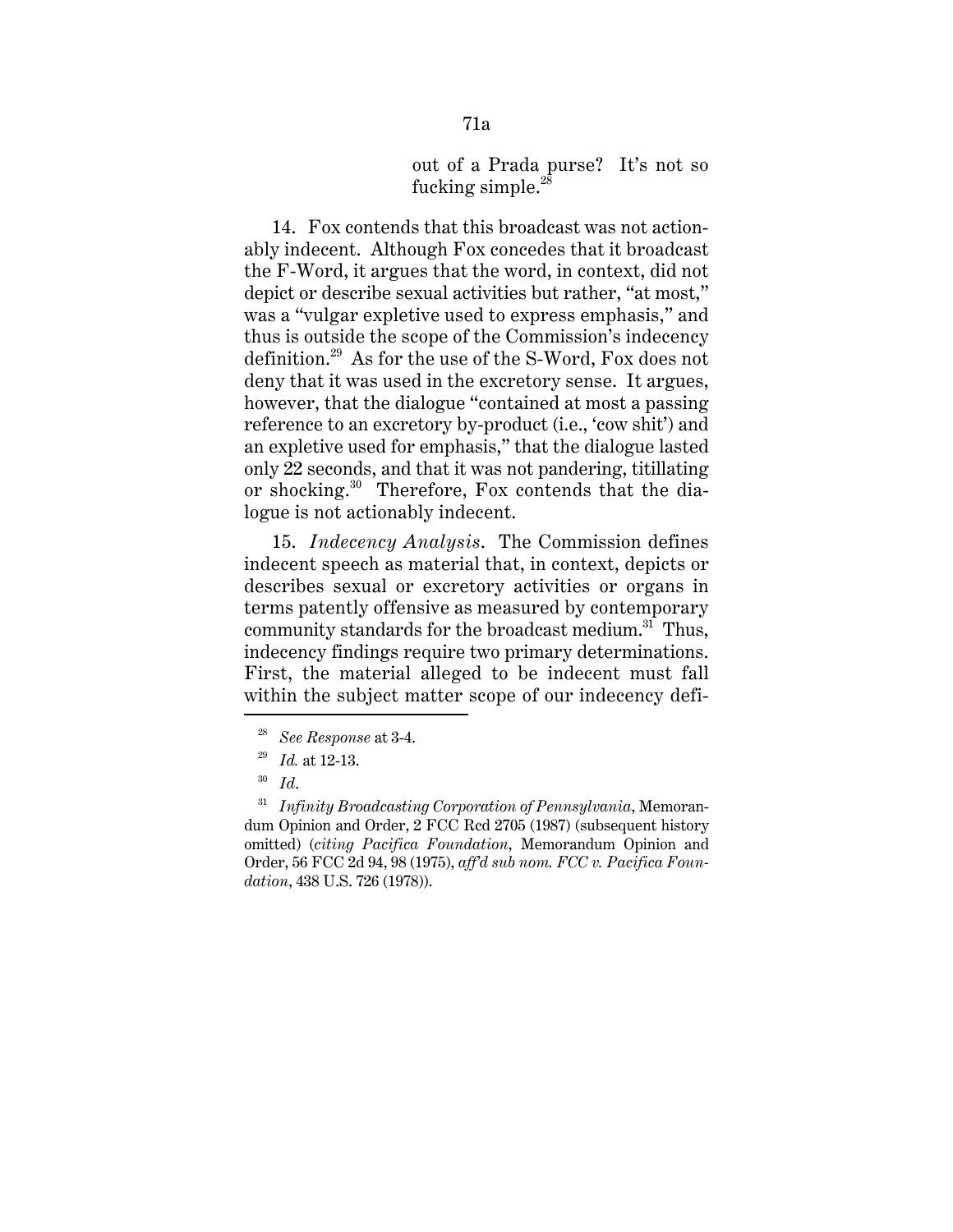## out of a Prada purse? It's not so fucking simple.<sup>28</sup>

14. Fox contends that this broadcast was not actionably indecent. Although Fox concedes that it broadcast the F-Word, it argues that the word, in context, did not depict or describe sexual activities but rather, "at most," was a "vulgar expletive used to express emphasis," and thus is outside the scope of the Commission's indecency definition.29 As for the use of the S-Word, Fox does not deny that it was used in the excretory sense. It argues, however, that the dialogue "contained at most a passing reference to an excretory by-product (i.e., 'cow shit') and an expletive used for emphasis," that the dialogue lasted only 22 seconds, and that it was not pandering, titillating or shocking.30 Therefore, Fox contends that the dialogue is not actionably indecent.

15. *Indecency Analysis*. The Commission defines indecent speech as material that, in context, depicts or describes sexual or excretory activities or organs in terms patently offensive as measured by contemporary community standards for the broadcast medium.<sup>31</sup> Thus, indecency findings require two primary determinations. First, the material alleged to be indecent must fall within the subject matter scope of our indecency defi-

<sup>28</sup> *See Response* at 3-4.

<sup>29</sup> *Id.* at 12-13.

<sup>30</sup> *Id*.

<sup>31</sup> *Infinity Broadcasting Corporation of Pennsylvania*, Memorandum Opinion and Order, 2 FCC Rcd 2705 (1987) (subsequent history omitted) (*citing Pacifica Foundation*, Memorandum Opinion and Order, 56 FCC 2d 94, 98 (1975), *aff'd sub nom. FCC v. Pacifica Foundation*, 438 U.S. 726 (1978)).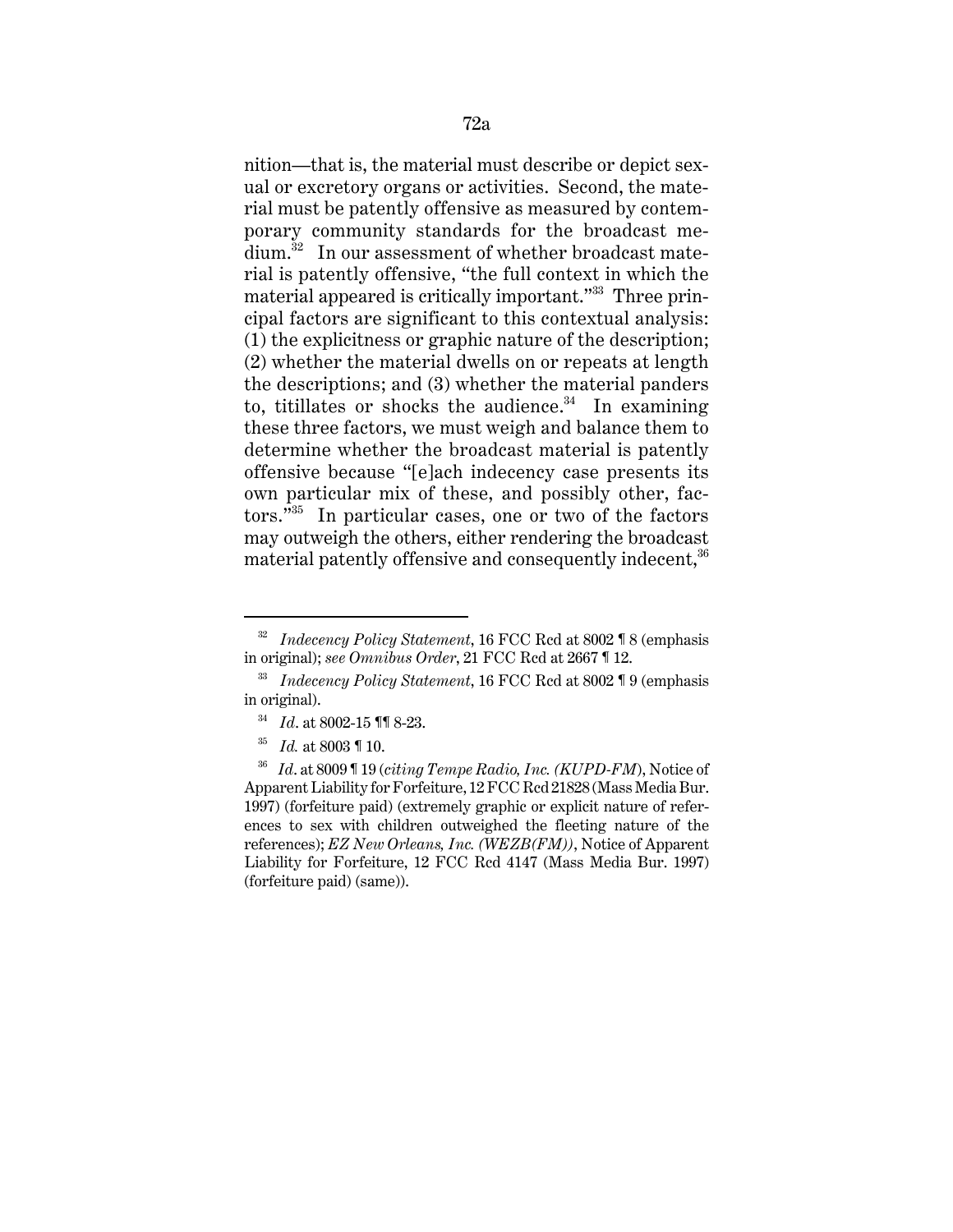nition—that is, the material must describe or depict sexual or excretory organs or activities. Second, the material must be patently offensive as measured by contemporary community standards for the broadcast medium.<sup>32</sup> In our assessment of whether broadcast material is patently offensive, "the full context in which the material appeared is critically important."33 Three principal factors are significant to this contextual analysis: (1) the explicitness or graphic nature of the description; (2) whether the material dwells on or repeats at length the descriptions; and (3) whether the material panders to, titillates or shocks the audience. $34$  In examining these three factors, we must weigh and balance them to determine whether the broadcast material is patently offensive because "[e]ach indecency case presents its own particular mix of these, and possibly other, factors."35 In particular cases, one or two of the factors may outweigh the others, either rendering the broadcast material patently offensive and consequently indecent,<sup>36</sup>

<sup>32</sup> *Indecency Policy Statement*, 16 FCC Rcd at 8002 ¶ 8 (emphasis in original); *see Omnibus Order*, 21 FCC Rcd at 2667 ¶ 12.

<sup>33</sup> *Indecency Policy Statement*, 16 FCC Rcd at 8002 ¶ 9 (emphasis in original).

<sup>34</sup> *Id*. at 8002-15 ¶¶ 8-23.

<sup>35</sup> *Id.* at 8003 ¶ 10.

<sup>36</sup> *Id*. at 8009 ¶ 19 (*citing Tempe Radio, Inc. (KUPD-FM*), Notice of Apparent Liability for Forfeiture, 12 FCC Rcd 21828 (Mass Media Bur. 1997) (forfeiture paid) (extremely graphic or explicit nature of references to sex with children outweighed the fleeting nature of the references); *EZ New Orleans, Inc. (WEZB(FM))*, Notice of Apparent Liability for Forfeiture, 12 FCC Rcd 4147 (Mass Media Bur. 1997) (forfeiture paid) (same)).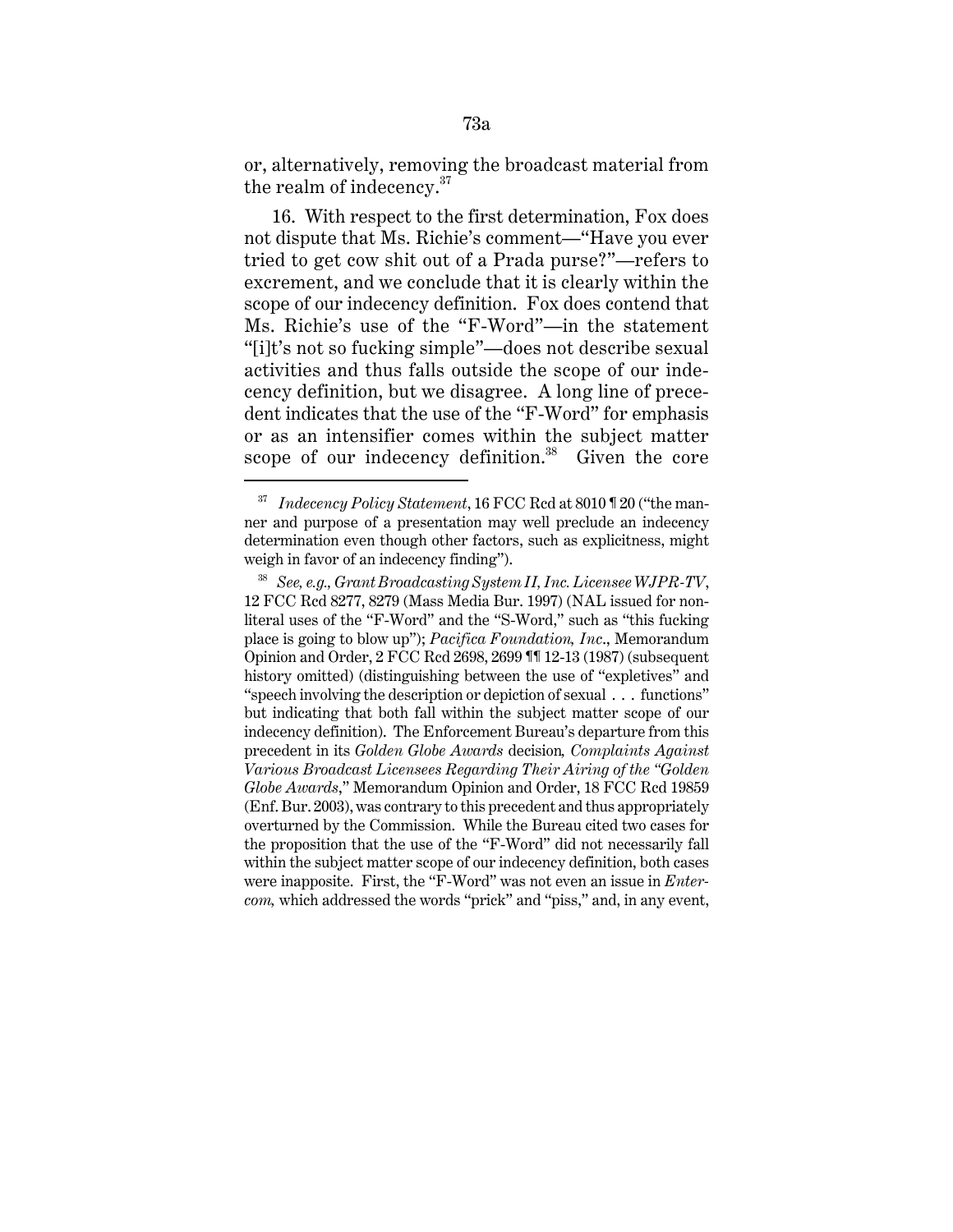or, alternatively, removing the broadcast material from the realm of indecency. $37$ 

16. With respect to the first determination, Fox does not dispute that Ms. Richie's comment—"Have you ever tried to get cow shit out of a Prada purse?"—refers to excrement, and we conclude that it is clearly within the scope of our indecency definition. Fox does contend that Ms. Richie's use of the "F-Word"—in the statement "[i]t's not so fucking simple"—does not describe sexual activities and thus falls outside the scope of our indecency definition, but we disagree. A long line of precedent indicates that the use of the "F-Word" for emphasis or as an intensifier comes within the subject matter scope of our indecency definition.<sup>38</sup> Given the core

<sup>37</sup> *Indecency Policy Statement*, 16 FCC Rcd at 8010 ¶ 20 ("the manner and purpose of a presentation may well preclude an indecency determination even though other factors, such as explicitness, might weigh in favor of an indecency finding").

<sup>38</sup> *See, e.g., Grant Broadcasting System II, Inc. Licensee WJPR-TV*, 12 FCC Rcd 8277, 8279 (Mass Media Bur. 1997) (NAL issued for nonliteral uses of the "F-Word" and the "S-Word," such as "this fucking place is going to blow up"); *Pacifica Foundation, Inc*., Memorandum Opinion and Order, 2 FCC Rcd 2698, 2699 ¶¶ 12-13 (1987) (subsequent history omitted) (distinguishing between the use of "expletives" and "speech involving the description or depiction of sexual . . . functions" but indicating that both fall within the subject matter scope of our indecency definition). The Enforcement Bureau's departure from this precedent in its *Golden Globe Awards* decision*, Complaints Against Various Broadcast Licensees Regarding Their Airing of the "Golden Globe Awards*," Memorandum Opinion and Order, 18 FCC Rcd 19859 (Enf. Bur. 2003), was contrary to this precedent and thus appropriately overturned by the Commission. While the Bureau cited two cases for the proposition that the use of the "F-Word" did not necessarily fall within the subject matter scope of our indecency definition, both cases were inapposite. First, the "F-Word" was not even an issue in *Entercom,* which addressed the words "prick" and "piss," and, in any event,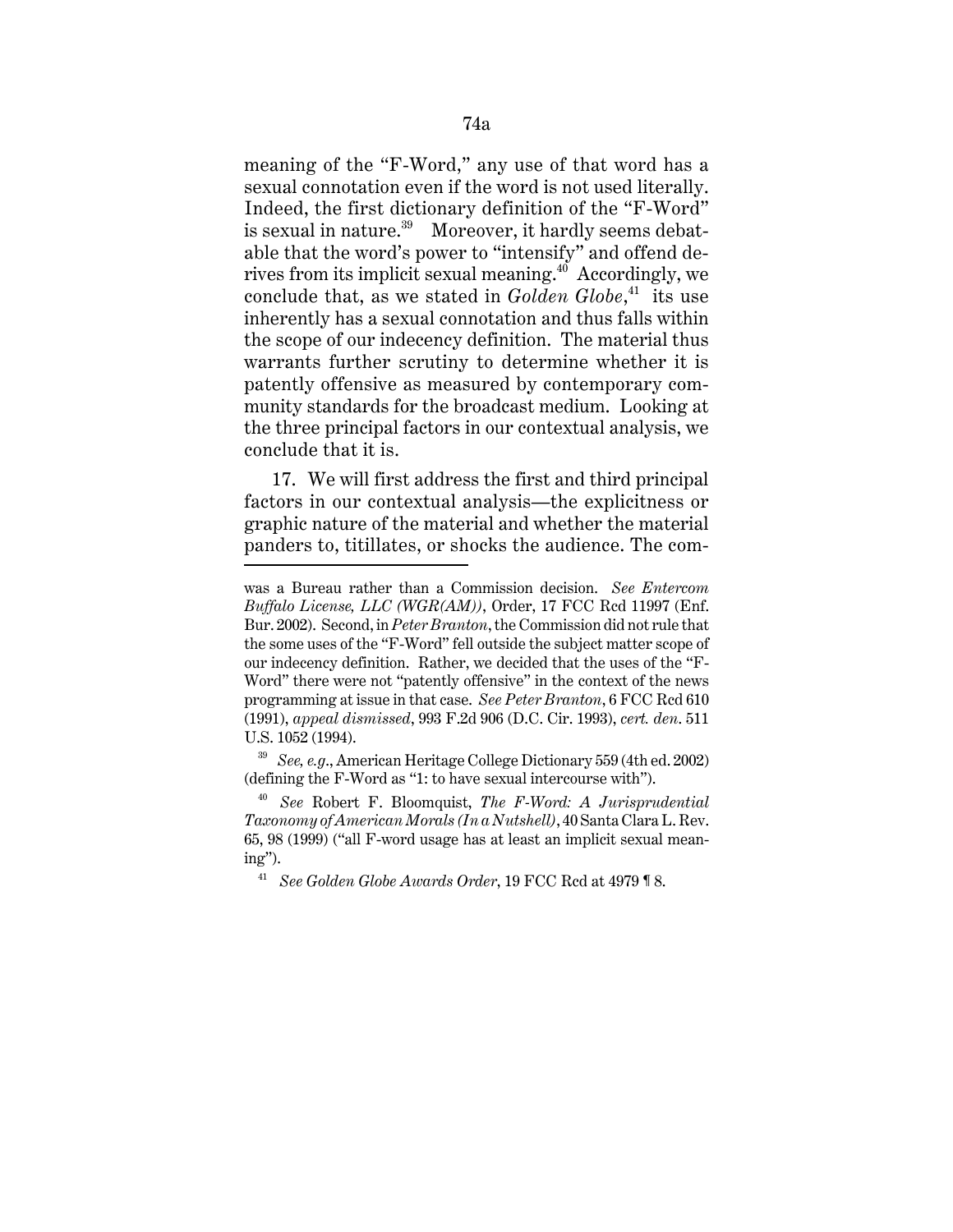meaning of the "F-Word," any use of that word has a sexual connotation even if the word is not used literally. Indeed, the first dictionary definition of the "F-Word" is sexual in nature.<sup>39</sup> Moreover, it hardly seems debatable that the word's power to "intensify" and offend derives from its implicit sexual meaning. $40^{\circ}$  Accordingly, we conclude that, as we stated in *Golden Globe*, 41 its use inherently has a sexual connotation and thus falls within the scope of our indecency definition. The material thus warrants further scrutiny to determine whether it is patently offensive as measured by contemporary community standards for the broadcast medium. Looking at the three principal factors in our contextual analysis, we conclude that it is.

17. We will first address the first and third principal factors in our contextual analysis—the explicitness or graphic nature of the material and whether the material panders to, titillates, or shocks the audience. The com-

was a Bureau rather than a Commission decision. *See Entercom Buffalo License, LLC (WGR(AM))*, Order, 17 FCC Rcd 11997 (Enf. Bur. 2002). Second, in *Peter Branton*, the Commission did not rule that the some uses of the "F-Word" fell outside the subject matter scope of our indecency definition. Rather, we decided that the uses of the "F-Word" there were not "patently offensive" in the context of the news programming at issue in that case. *See Peter Branton*, 6 FCC Rcd 610 (1991), *appeal dismissed*, 993 F.2d 906 (D.C. Cir. 1993), *cert. den*. 511 U.S. 1052 (1994).

<sup>39</sup> *See, e.g*., American Heritage College Dictionary 559 (4th ed. 2002) (defining the F-Word as "1: to have sexual intercourse with").

<sup>40</sup> *See* Robert F. Bloomquist, *The F-Word: A Jurisprudential Taxonomy of American Morals (In a Nutshell)*, 40 Santa Clara L. Rev. 65, 98 (1999) ("all F-word usage has at least an implicit sexual meaning").

<sup>41</sup> *See Golden Globe Awards Order*, 19 FCC Rcd at 4979 ¶ 8.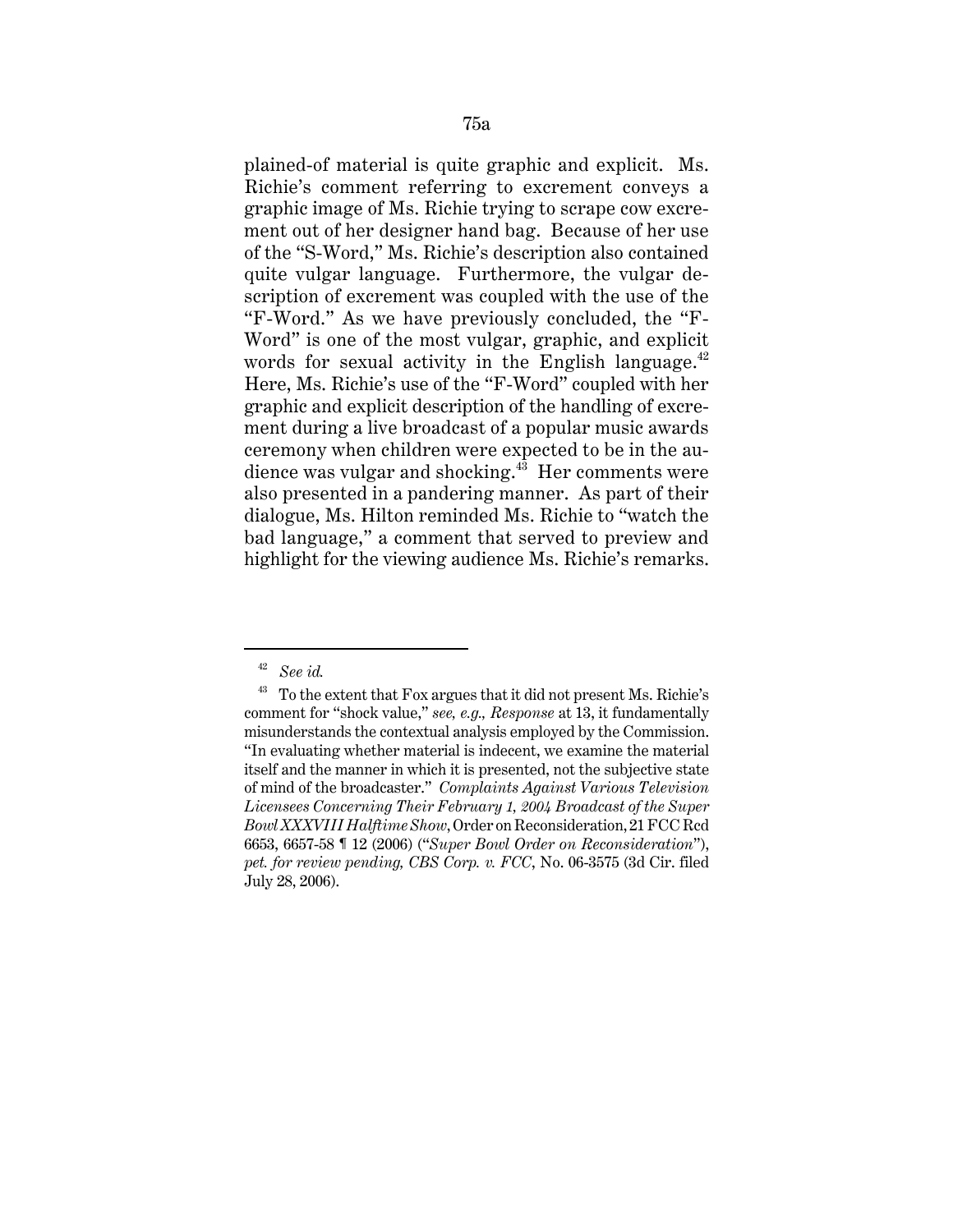plained-of material is quite graphic and explicit. Ms. Richie's comment referring to excrement conveys a graphic image of Ms. Richie trying to scrape cow excrement out of her designer hand bag. Because of her use of the "S-Word," Ms. Richie's description also contained quite vulgar language. Furthermore, the vulgar description of excrement was coupled with the use of the "F-Word." As we have previously concluded, the "F-Word" is one of the most vulgar, graphic, and explicit words for sexual activity in the English language. $42$ Here, Ms. Richie's use of the "F-Word" coupled with her graphic and explicit description of the handling of excrement during a live broadcast of a popular music awards ceremony when children were expected to be in the audience was vulgar and shocking.<sup>43</sup> Her comments were also presented in a pandering manner. As part of their dialogue, Ms. Hilton reminded Ms. Richie to "watch the bad language," a comment that served to preview and highlight for the viewing audience Ms. Richie's remarks.

<sup>42</sup> *See id.* 

<sup>&</sup>lt;sup>43</sup> To the extent that Fox argues that it did not present Ms. Richie's comment for "shock value," *see, e.g., Response* at 13, it fundamentally misunderstands the contextual analysis employed by the Commission. "In evaluating whether material is indecent, we examine the material itself and the manner in which it is presented, not the subjective state of mind of the broadcaster." *Complaints Against Various Television Licensees Concerning Their February 1, 2004 Broadcast of the Super Bowl XXXVIII Halftime Show*, Order on Reconsideration, 21 FCC Rcd 6653, 6657-58 ¶ 12 (2006) ("*Super Bowl Order on Reconsideration*"), *pet. for review pending, CBS Corp. v. FCC*, No. 06-3575 (3d Cir. filed July 28, 2006).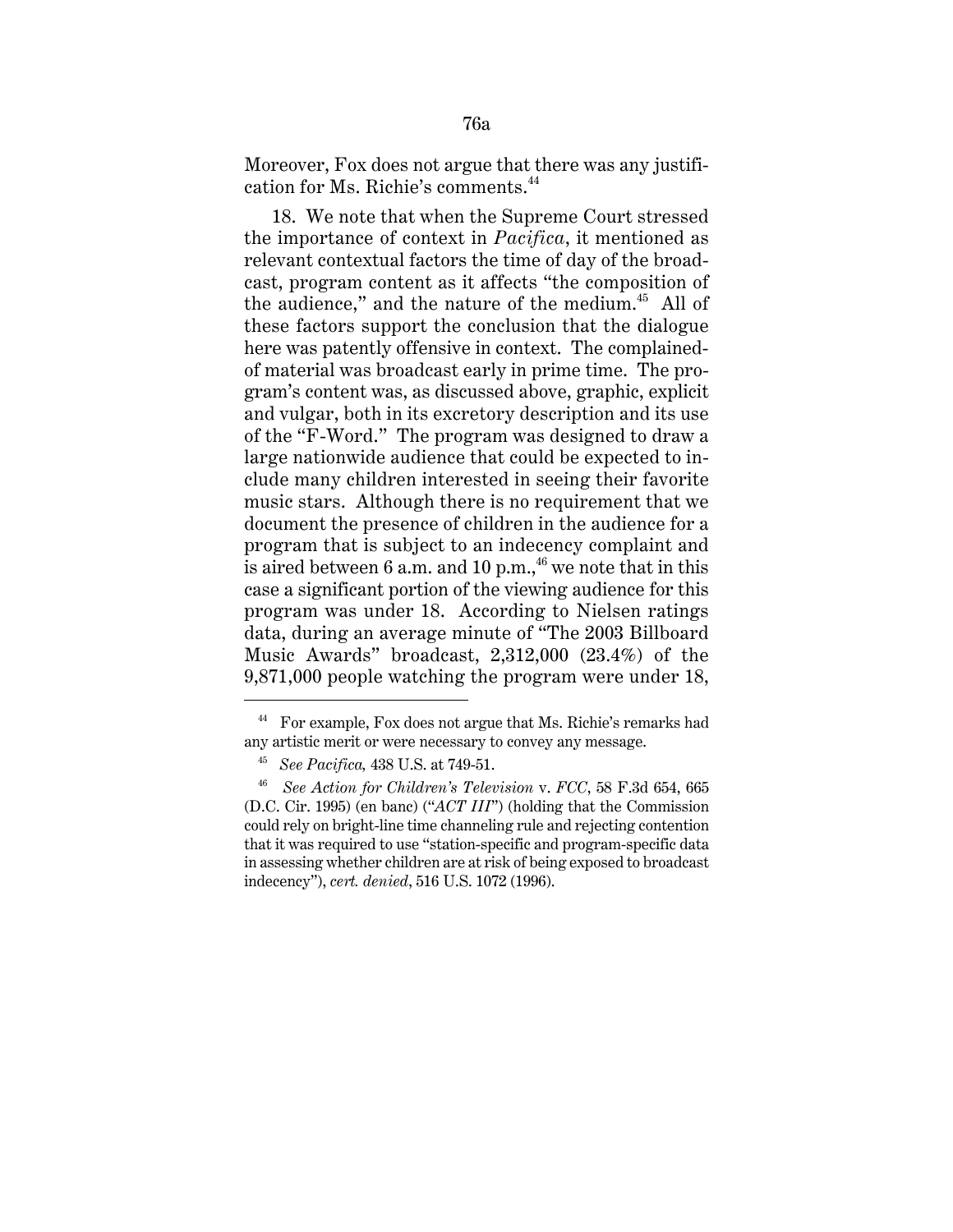Moreover, Fox does not argue that there was any justification for Ms. Richie's comments.<sup>44</sup>

18. We note that when the Supreme Court stressed the importance of context in *Pacifica*, it mentioned as relevant contextual factors the time of day of the broadcast, program content as it affects "the composition of the audience," and the nature of the medium.<sup>45</sup> All of these factors support the conclusion that the dialogue here was patently offensive in context. The complainedof material was broadcast early in prime time. The program's content was, as discussed above, graphic, explicit and vulgar, both in its excretory description and its use of the "F-Word." The program was designed to draw a large nationwide audience that could be expected to include many children interested in seeing their favorite music stars. Although there is no requirement that we document the presence of children in the audience for a program that is subject to an indecency complaint and is aired between 6 a.m. and 10 p.m.,  $46$  we note that in this case a significant portion of the viewing audience for this program was under 18. According to Nielsen ratings data, during an average minute of "The 2003 Billboard Music Awards" broadcast, 2,312,000 (23.4%) of the 9,871,000 people watching the program were under 18,

<sup>44</sup> For example, Fox does not argue that Ms. Richie's remarks had any artistic merit or were necessary to convey any message.

<sup>45</sup> *See Pacifica,* 438 U.S. at 749-51.

<sup>46</sup> *See Action for Children's Television* v. *FCC*, 58 F.3d 654, 665 (D.C. Cir. 1995) (en banc) ("*ACT III*") (holding that the Commission could rely on bright-line time channeling rule and rejecting contention that it was required to use "station-specific and program-specific data in assessing whether children are at risk of being exposed to broadcast indecency"), *cert. denied*, 516 U.S. 1072 (1996).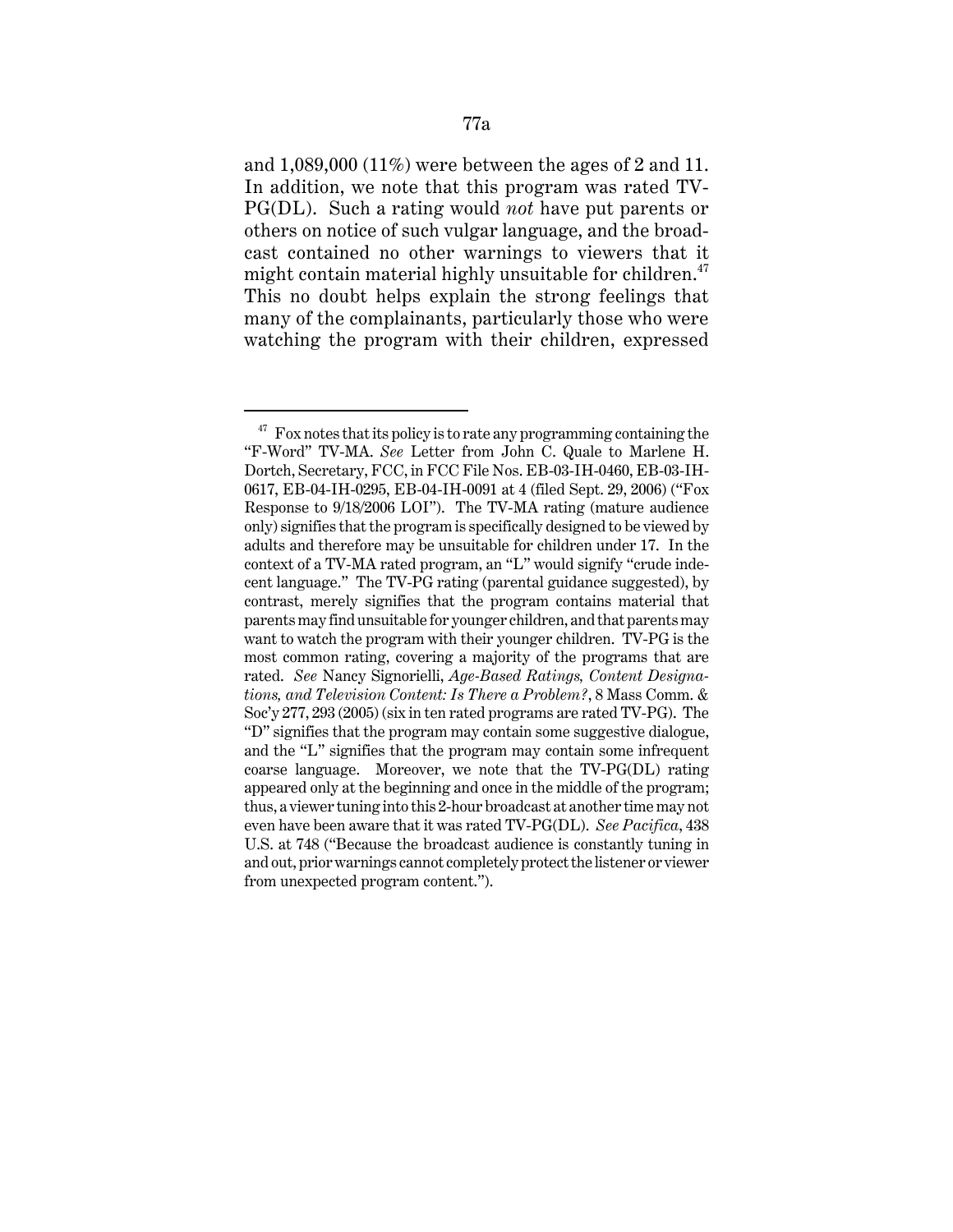and 1,089,000 (11%) were between the ages of 2 and 11. In addition, we note that this program was rated TV-PG(DL). Such a rating would *not* have put parents or others on notice of such vulgar language, and the broadcast contained no other warnings to viewers that it might contain material highly unsuitable for children. $47$ This no doubt helps explain the strong feelings that many of the complainants, particularly those who were watching the program with their children, expressed

 $47$  Fox notes that its policy is to rate any programming containing the "F-Word" TV-MA. *See* Letter from John C. Quale to Marlene H. Dortch, Secretary, FCC, in FCC File Nos. EB-03-IH-0460, EB-03-IH-0617, EB-04-IH-0295, EB-04-IH-0091 at 4 (filed Sept. 29, 2006) ("Fox Response to 9/18/2006 LOI"). The TV-MA rating (mature audience only) signifies that the program is specifically designed to be viewed by adults and therefore may be unsuitable for children under 17. In the context of a TV-MA rated program, an "L" would signify "crude indecent language." The TV-PG rating (parental guidance suggested), by contrast, merely signifies that the program contains material that parents may find unsuitable for younger children, and that parents may want to watch the program with their younger children. TV-PG is the most common rating, covering a majority of the programs that are rated. *See* Nancy Signorielli, *Age-Based Ratings, Content Designations, and Television Content: Is There a Problem?*, 8 Mass Comm. & Soc'y 277, 293 (2005) (six in ten rated programs are rated TV-PG). The "D" signifies that the program may contain some suggestive dialogue, and the "L" signifies that the program may contain some infrequent coarse language. Moreover, we note that the TV-PG(DL) rating appeared only at the beginning and once in the middle of the program; thus, a viewer tuning into this 2-hour broadcast at another time may not even have been aware that it was rated TV-PG(DL). *See Pacifica*, 438 U.S. at 748 ("Because the broadcast audience is constantly tuning in and out, prior warnings cannot completely protect the listener or viewer from unexpected program content.").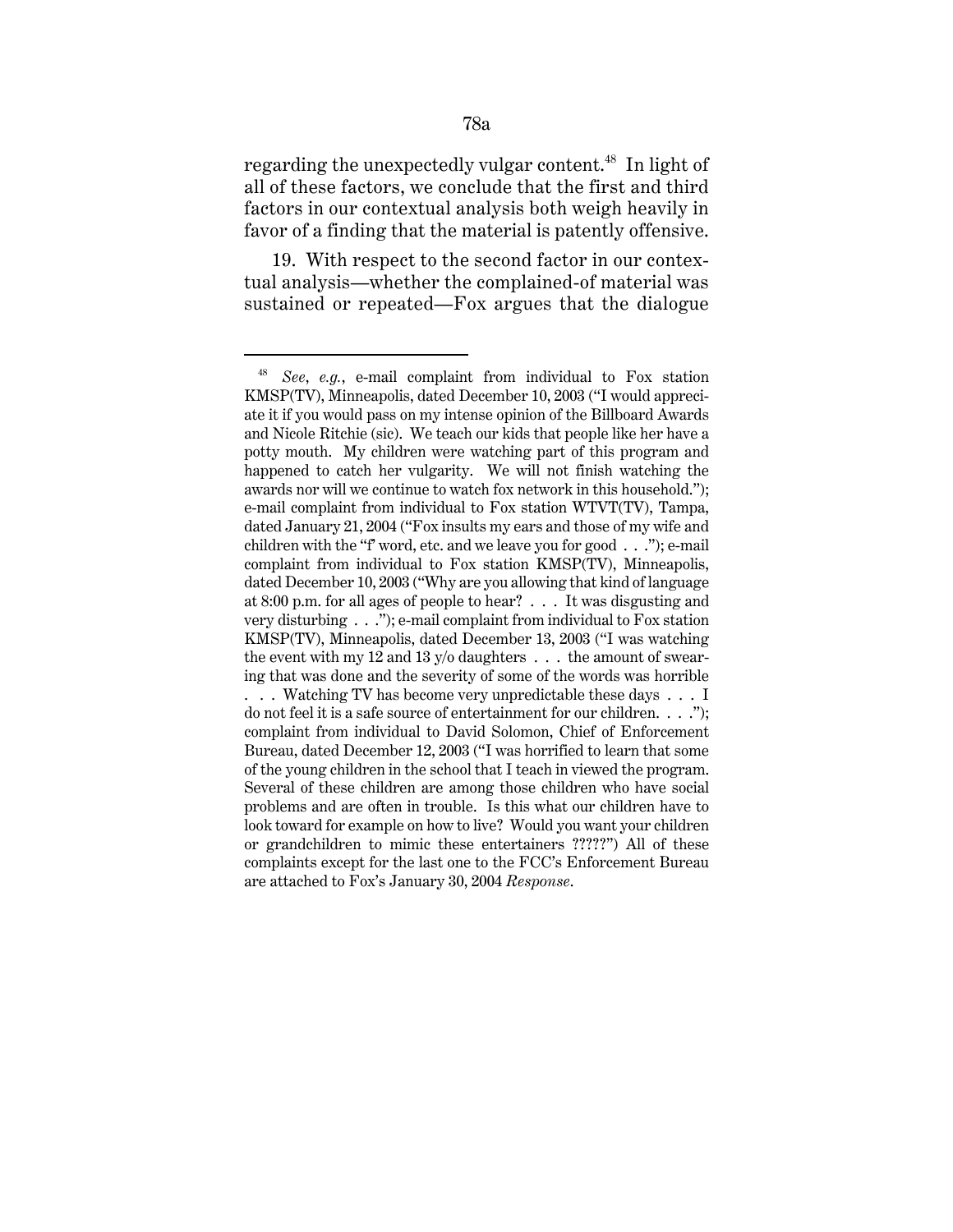regarding the unexpectedly vulgar content.<sup>48</sup> In light of all of these factors, we conclude that the first and third factors in our contextual analysis both weigh heavily in favor of a finding that the material is patently offensive.

19. With respect to the second factor in our contextual analysis—whether the complained-of material was sustained or repeated—Fox argues that the dialogue

<sup>48</sup> *See*, *e.g.*, e-mail complaint from individual to Fox station KMSP(TV), Minneapolis, dated December 10, 2003 ("I would appreciate it if you would pass on my intense opinion of the Billboard Awards and Nicole Ritchie (sic). We teach our kids that people like her have a potty mouth. My children were watching part of this program and happened to catch her vulgarity. We will not finish watching the awards nor will we continue to watch fox network in this household."); e-mail complaint from individual to Fox station WTVT(TV), Tampa, dated January 21, 2004 ("Fox insults my ears and those of my wife and children with the "f' word, etc. and we leave you for good . . ."); e-mail complaint from individual to Fox station KMSP(TV), Minneapolis, dated December 10, 2003 ("Why are you allowing that kind of language at 8:00 p.m. for all ages of people to hear? . . . It was disgusting and very disturbing . . ."); e-mail complaint from individual to Fox station KMSP(TV), Minneapolis, dated December 13, 2003 ("I was watching the event with my 12 and 13  $y$ /o daughters  $\dots$  the amount of swearing that was done and the severity of some of the words was horrible . . . Watching TV has become very unpredictable these days . . . I do not feel it is a safe source of entertainment for our children. . . ."); complaint from individual to David Solomon, Chief of Enforcement Bureau, dated December 12, 2003 ("I was horrified to learn that some of the young children in the school that I teach in viewed the program. Several of these children are among those children who have social problems and are often in trouble. Is this what our children have to look toward for example on how to live? Would you want your children or grandchildren to mimic these entertainers ?????") All of these complaints except for the last one to the FCC's Enforcement Bureau are attached to Fox's January 30, 2004 *Response*.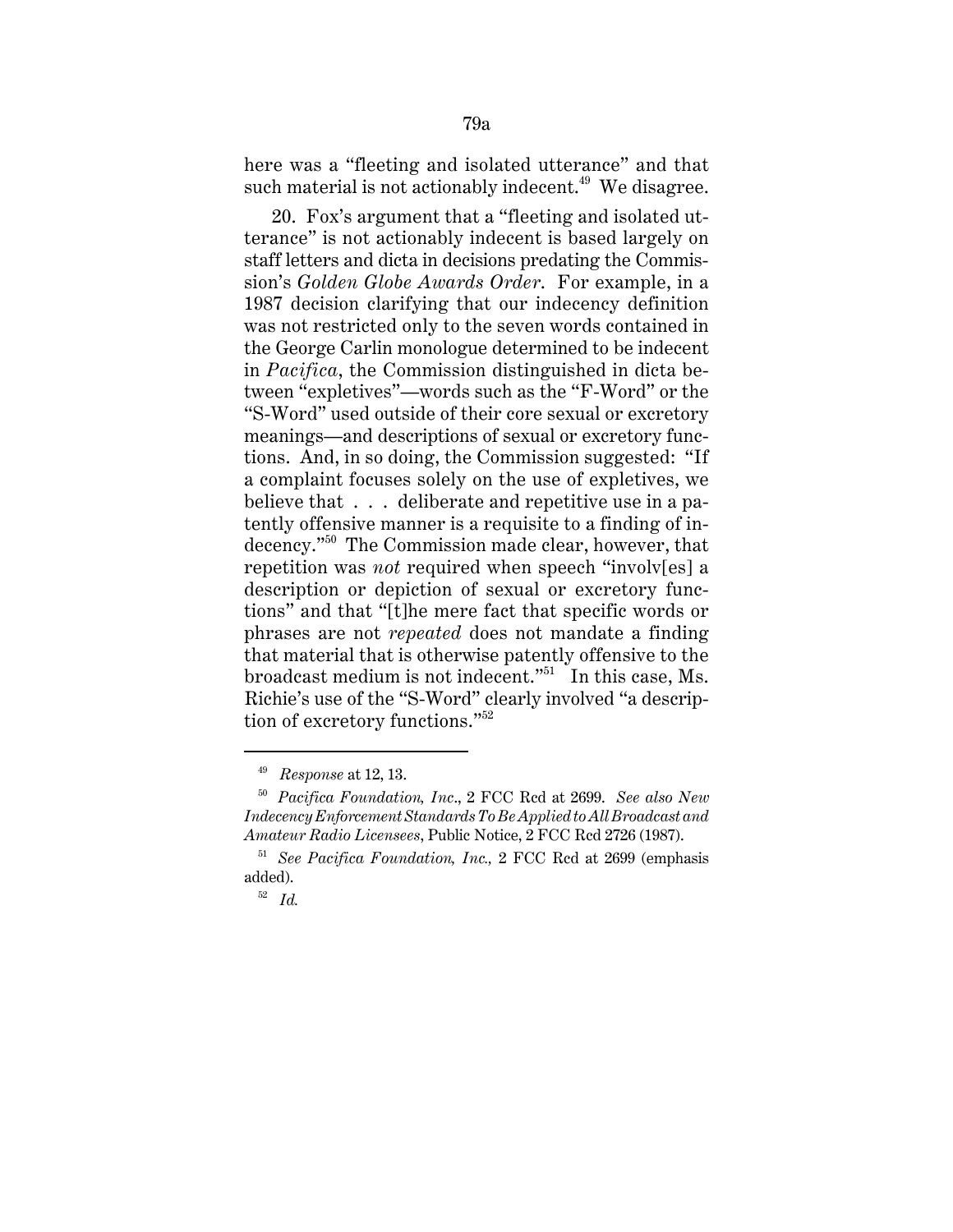here was a "fleeting and isolated utterance" and that such material is not actionably indecent.<sup>49</sup> We disagree.

20. Fox's argument that a "fleeting and isolated utterance" is not actionably indecent is based largely on staff letters and dicta in decisions predating the Commission's *Golden Globe Awards Order*. For example, in a 1987 decision clarifying that our indecency definition was not restricted only to the seven words contained in the George Carlin monologue determined to be indecent in *Pacifica*, the Commission distinguished in dicta between "expletives"—words such as the "F-Word" or the "S-Word" used outside of their core sexual or excretory meanings—and descriptions of sexual or excretory functions. And, in so doing, the Commission suggested: "If a complaint focuses solely on the use of expletives, we believe that . . . deliberate and repetitive use in a patently offensive manner is a requisite to a finding of indecency."50 The Commission made clear, however, that repetition was *not* required when speech "involv[es] a description or depiction of sexual or excretory functions" and that "[t]he mere fact that specific words or phrases are not *repeated* does not mandate a finding that material that is otherwise patently offensive to the broadcast medium is not indecent."<sup>51</sup> In this case, Ms. Richie's use of the "S-Word" clearly involved "a description of excretory functions."<sup>52</sup>

<sup>49</sup> *Response* at 12, 13.

<sup>50</sup> *Pacifica Foundation, Inc*., 2 FCC Rcd at 2699. *See also New Indecency Enforcement Standards To Be Applied to All Broadcast and Amateur Radio Licensees*, Public Notice, 2 FCC Rcd 2726 (1987).

<sup>51</sup> *See Pacifica Foundation, Inc.,* 2 FCC Rcd at 2699 (emphasis added).

<sup>52</sup> *Id.*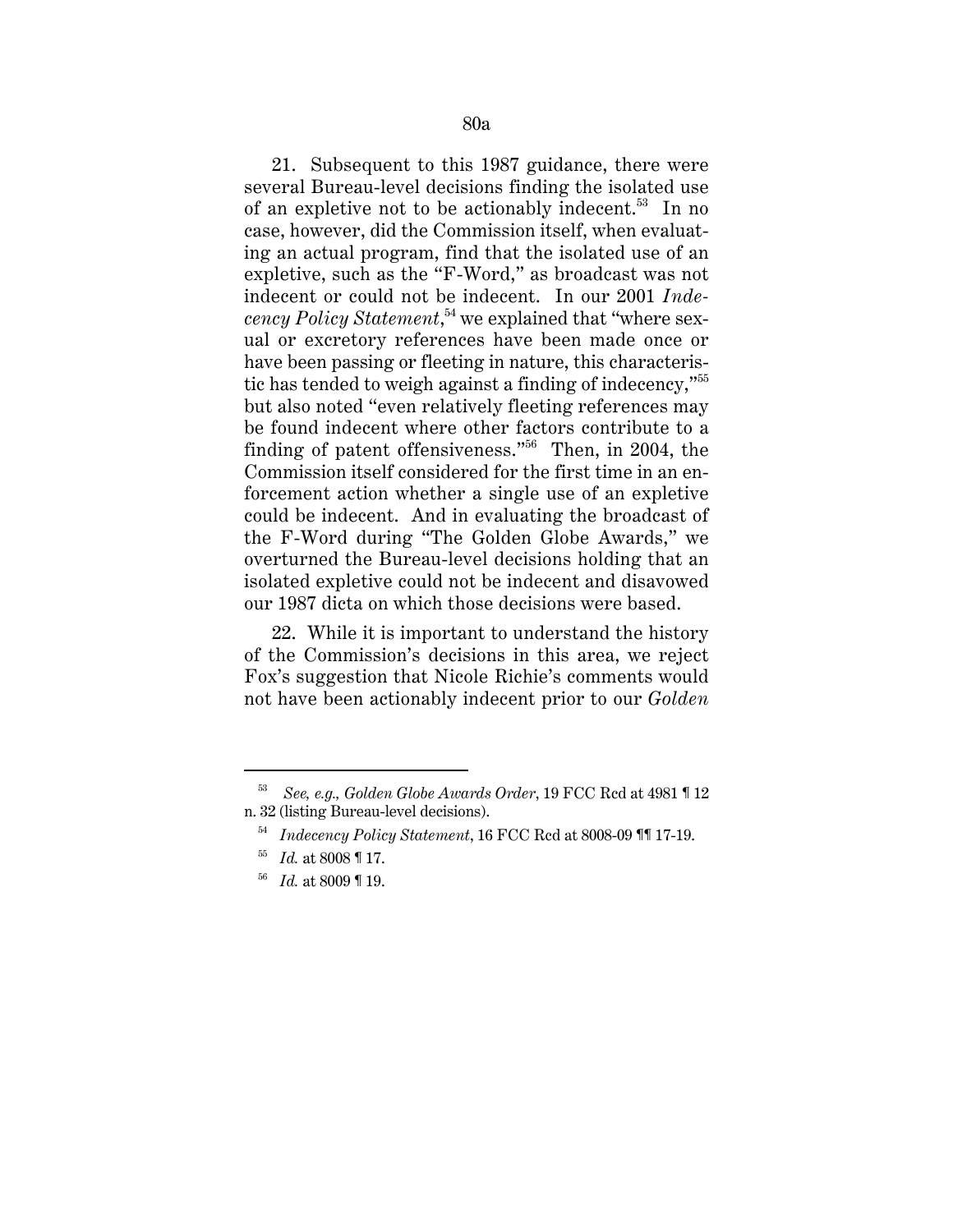21. Subsequent to this 1987 guidance, there were several Bureau-level decisions finding the isolated use of an expletive not to be actionably indecent.<sup>53</sup> In no case, however, did the Commission itself, when evaluating an actual program, find that the isolated use of an expletive, such as the "F-Word," as broadcast was not indecent or could not be indecent. In our 2001 *Indecency Policy Statement*, 54 we explained that "where sexual or excretory references have been made once or have been passing or fleeting in nature, this characteristic has tended to weigh against a finding of indecency,"<sup>55</sup> but also noted "even relatively fleeting references may be found indecent where other factors contribute to a finding of patent offensiveness."<sup>56</sup> Then, in 2004, the Commission itself considered for the first time in an enforcement action whether a single use of an expletive could be indecent. And in evaluating the broadcast of the F-Word during "The Golden Globe Awards," we overturned the Bureau-level decisions holding that an isolated expletive could not be indecent and disavowed our 1987 dicta on which those decisions were based.

22. While it is important to understand the history of the Commission's decisions in this area, we reject Fox's suggestion that Nicole Richie's comments would not have been actionably indecent prior to our *Golden*

<sup>53</sup> *See, e.g., Golden Globe Awards Order*, 19 FCC Rcd at 4981 ¶ 12 n. 32 (listing Bureau-level decisions).

<sup>54</sup> *Indecency Policy Statement*, 16 FCC Rcd at 8008-09 ¶¶ 17-19.

<sup>55</sup> *Id.* at 8008 ¶ 17.

<sup>56</sup> *Id.* at 8009 ¶ 19.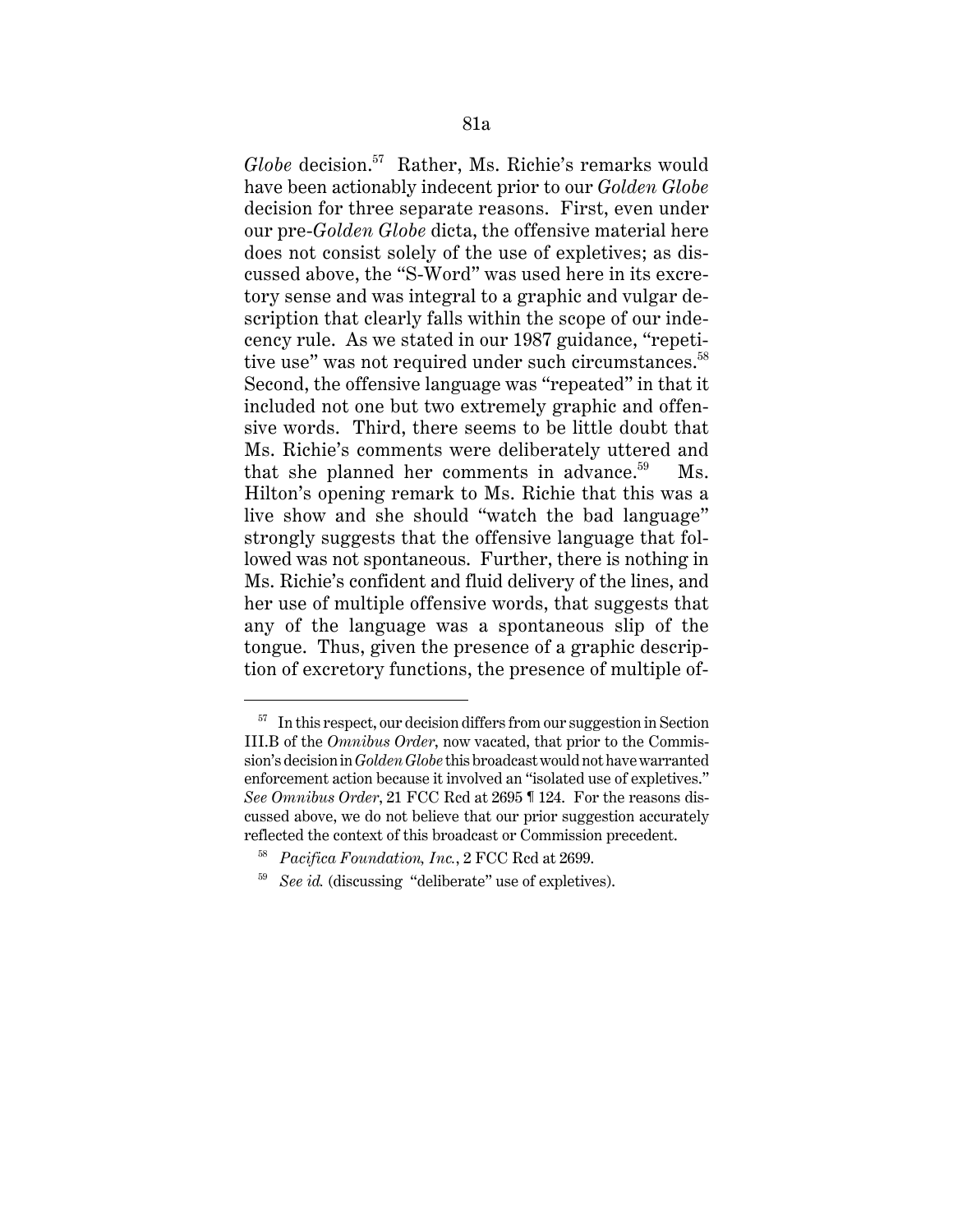*Globe* decision.57 Rather, Ms. Richie's remarks would have been actionably indecent prior to our *Golden Globe* decision for three separate reasons. First, even under our pre-*Golden Globe* dicta, the offensive material here does not consist solely of the use of expletives; as discussed above, the "S-Word" was used here in its excretory sense and was integral to a graphic and vulgar description that clearly falls within the scope of our indecency rule. As we stated in our 1987 guidance, "repetitive use" was not required under such circumstances.<sup>58</sup> Second, the offensive language was "repeated" in that it included not one but two extremely graphic and offensive words. Third, there seems to be little doubt that Ms. Richie's comments were deliberately uttered and that she planned her comments in advance. $59$  Ms. Hilton's opening remark to Ms. Richie that this was a live show and she should "watch the bad language" strongly suggests that the offensive language that followed was not spontaneous. Further, there is nothing in Ms. Richie's confident and fluid delivery of the lines, and her use of multiple offensive words, that suggests that any of the language was a spontaneous slip of the tongue. Thus, given the presence of a graphic description of excretory functions, the presence of multiple of-

 $57$  In this respect, our decision differs from our suggestion in Section III.B of the *Omnibus Order*, now vacated, that prior to the Commission's decision in *Golden Globe* this broadcast would not have warranted enforcement action because it involved an "isolated use of expletives." *See Omnibus Order*, 21 FCC Rcd at 2695 ¶ 124. For the reasons discussed above, we do not believe that our prior suggestion accurately reflected the context of this broadcast or Commission precedent.

<sup>58</sup> *Pacifica Foundation, Inc.*, 2 FCC Rcd at 2699.

<sup>59</sup> *See id.* (discussing "deliberate" use of expletives).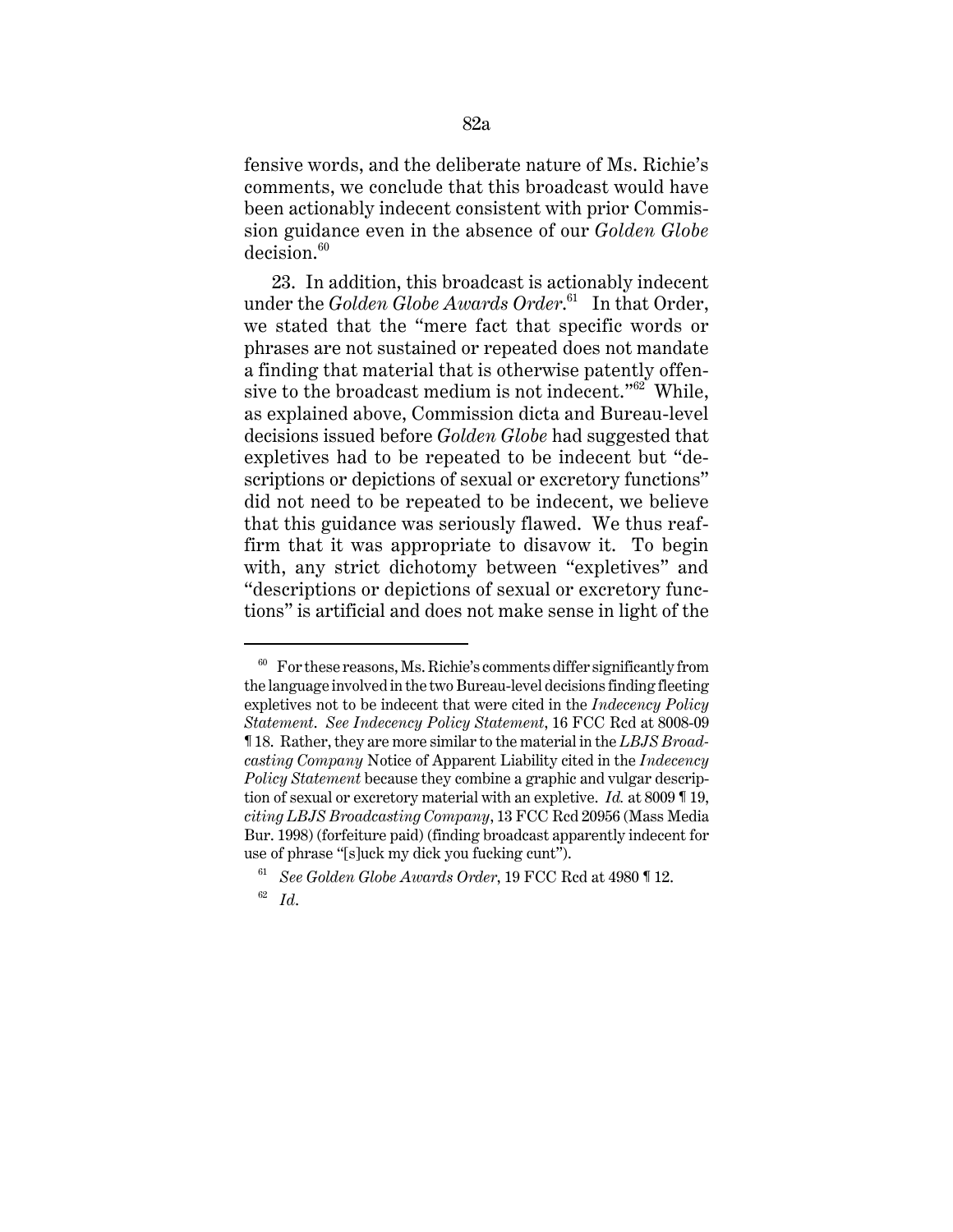fensive words, and the deliberate nature of Ms. Richie's comments, we conclude that this broadcast would have been actionably indecent consistent with prior Commission guidance even in the absence of our *Golden Globe*  $decision.<sup>60</sup>$ 

23. In addition, this broadcast is actionably indecent under the *Golden Globe Awards Order*. 61 In that Order, we stated that the "mere fact that specific words or phrases are not sustained or repeated does not mandate a finding that material that is otherwise patently offensive to the broadcast medium is not indecent." $62^{\circ}$  While, as explained above, Commission dicta and Bureau-level decisions issued before *Golden Globe* had suggested that expletives had to be repeated to be indecent but "descriptions or depictions of sexual or excretory functions" did not need to be repeated to be indecent, we believe that this guidance was seriously flawed. We thus reaffirm that it was appropriate to disavow it. To begin with, any strict dichotomy between "expletives" and "descriptions or depictions of sexual or excretory functions" is artificial and does not make sense in light of the

 $60$  For these reasons, Ms. Richie's comments differ significantly from the language involved in the two Bureau-level decisions finding fleeting expletives not to be indecent that were cited in the *Indecency Policy Statement*. *See Indecency Policy Statement*, 16 FCC Rcd at 8008-09 ¶ 18. Rather, they are more similar to the material in the *LBJS Broadcasting Company* Notice of Apparent Liability cited in the *Indecency Policy Statement* because they combine a graphic and vulgar description of sexual or excretory material with an expletive. *Id.* at 8009 ¶ 19, *citing LBJS Broadcasting Company*, 13 FCC Rcd 20956 (Mass Media Bur. 1998) (forfeiture paid) (finding broadcast apparently indecent for use of phrase "[s]uck my dick you fucking cunt").

<sup>61</sup> *See Golden Globe Awards Order*, 19 FCC Rcd at 4980 ¶ 12.

<sup>62</sup> *Id*.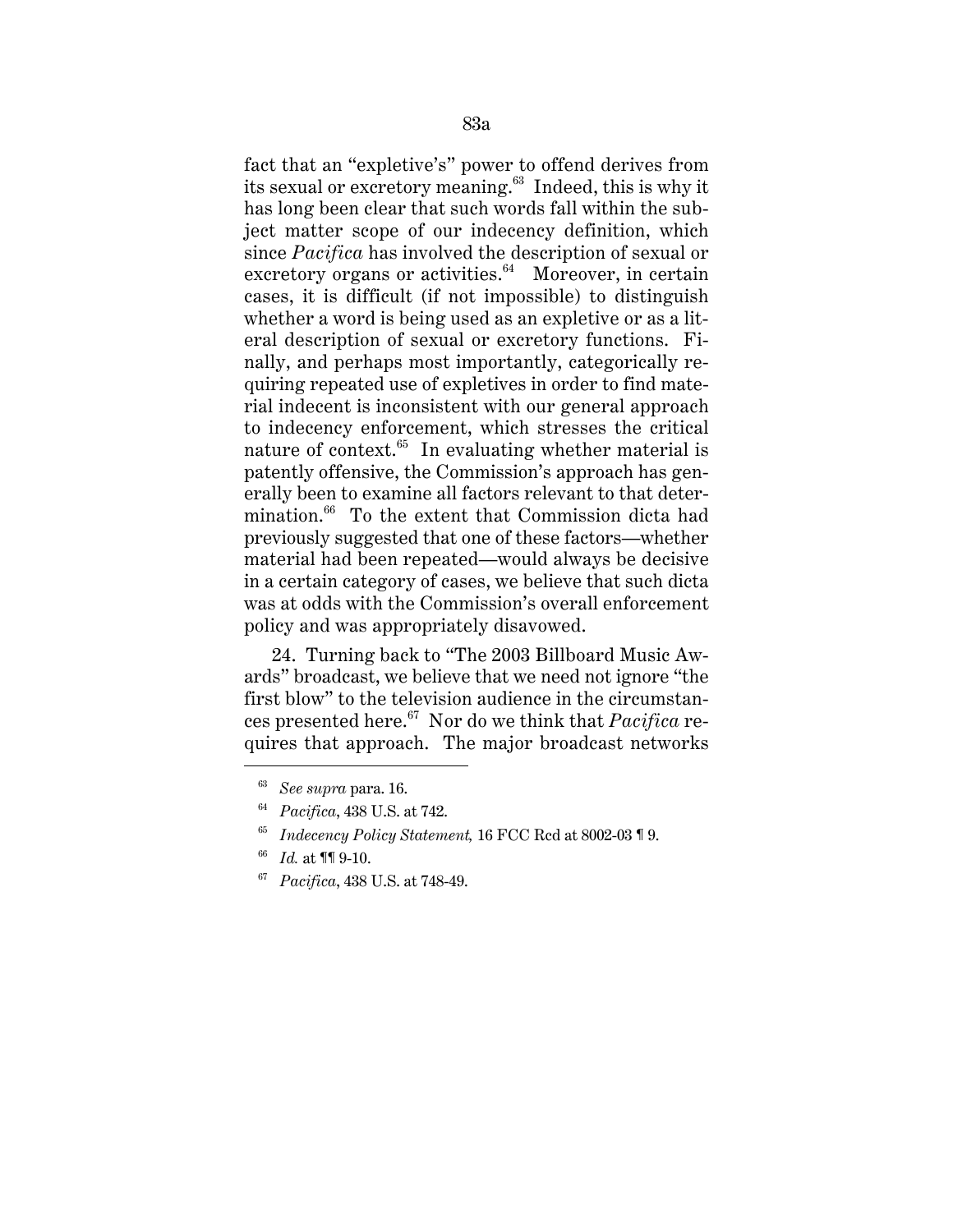fact that an "expletive's" power to offend derives from its sexual or excretory meaning.<sup>63</sup> Indeed, this is why it has long been clear that such words fall within the subject matter scope of our indecency definition, which since *Pacifica* has involved the description of sexual or excretory organs or activities. $64$  Moreover, in certain cases, it is difficult (if not impossible) to distinguish whether a word is being used as an expletive or as a literal description of sexual or excretory functions. Finally, and perhaps most importantly, categorically requiring repeated use of expletives in order to find material indecent is inconsistent with our general approach to indecency enforcement, which stresses the critical nature of context.<sup>65</sup> In evaluating whether material is patently offensive, the Commission's approach has generally been to examine all factors relevant to that determination.<sup>66</sup> To the extent that Commission dicta had previously suggested that one of these factors—whether material had been repeated—would always be decisive in a certain category of cases, we believe that such dicta was at odds with the Commission's overall enforcement policy and was appropriately disavowed.

24. Turning back to "The 2003 Billboard Music Awards" broadcast, we believe that we need not ignore "the first blow" to the television audience in the circumstances presented here.67 Nor do we think that *Pacifica* requires that approach. The major broadcast networks

67 *Pacifica*, 438 U.S. at 748-49.

<sup>63</sup> *See supra* para. 16.

<sup>64</sup> *Pacifica*, 438 U.S. at 742.

<sup>65</sup> *Indecency Policy Statement,* 16 FCC Rcd at 8002-03 ¶ 9.

*Id.* at **¶[** $9-10$ .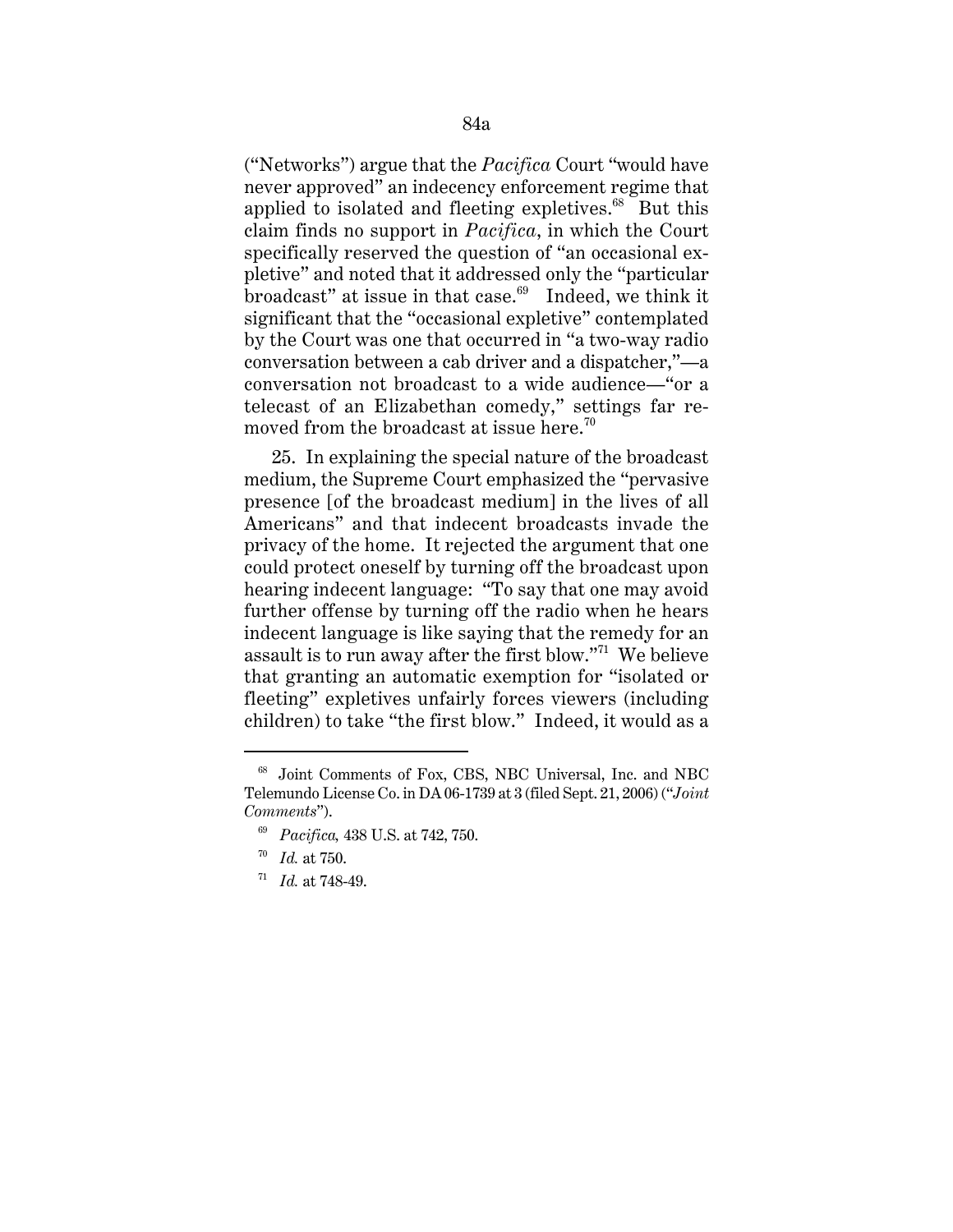("Networks") argue that the *Pacifica* Court "would have never approved" an indecency enforcement regime that applied to isolated and fleeting expletives. $68$  But this claim finds no support in *Pacifica*, in which the Court specifically reserved the question of "an occasional expletive" and noted that it addressed only the "particular  $\frac{1}{2}$  broadcast" at issue in that case. $\frac{69}{2}$  Indeed, we think it significant that the "occasional expletive" contemplated by the Court was one that occurred in "a two-way radio conversation between a cab driver and a dispatcher,"—a conversation not broadcast to a wide audience—"or a telecast of an Elizabethan comedy," settings far removed from the broadcast at issue here.<sup>70</sup>

25. In explaining the special nature of the broadcast medium, the Supreme Court emphasized the "pervasive presence [of the broadcast medium] in the lives of all Americans" and that indecent broadcasts invade the privacy of the home. It rejected the argument that one could protect oneself by turning off the broadcast upon hearing indecent language: "To say that one may avoid further offense by turning off the radio when he hears indecent language is like saying that the remedy for an assault is to run away after the first blow."71 We believe that granting an automatic exemption for "isolated or fleeting" expletives unfairly forces viewers (including children) to take "the first blow." Indeed, it would as a

<sup>68</sup> Joint Comments of Fox, CBS, NBC Universal, Inc. and NBC Telemundo License Co. in DA 06-1739 at 3 (filed Sept. 21, 2006) ("*Joint Comments*").

<sup>69</sup> *Pacifica,* 438 U.S. at 742, 750.

<sup>70</sup> *Id.* at 750.

<sup>71</sup> *Id.* at 748-49.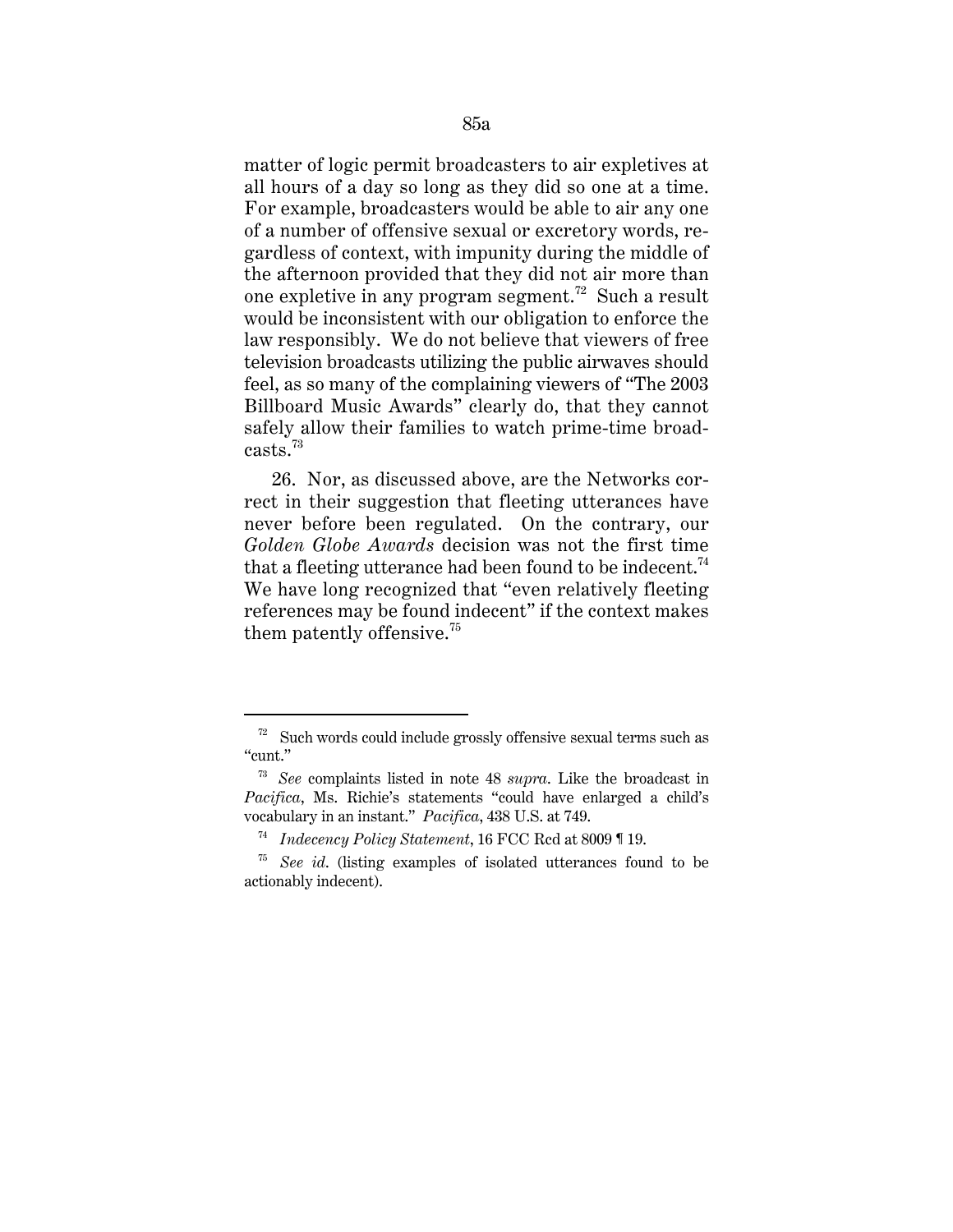matter of logic permit broadcasters to air expletives at all hours of a day so long as they did so one at a time. For example, broadcasters would be able to air any one of a number of offensive sexual or excretory words, regardless of context, with impunity during the middle of the afternoon provided that they did not air more than one expletive in any program segment.72 Such a result would be inconsistent with our obligation to enforce the law responsibly. We do not believe that viewers of free television broadcasts utilizing the public airwaves should feel, as so many of the complaining viewers of "The 2003 Billboard Music Awards" clearly do, that they cannot safely allow their families to watch prime-time broadcasts.<sup>73</sup>

26. Nor, as discussed above, are the Networks correct in their suggestion that fleeting utterances have never before been regulated. On the contrary, our *Golden Globe Awards* decision was not the first time that a fleeting utterance had been found to be indecent.<sup>74</sup> We have long recognized that "even relatively fleeting references may be found indecent" if the context makes them patently offensive.<sup>75</sup>

 $72$  Such words could include grossly offensive sexual terms such as "cunt."

<sup>73</sup> *See* complaints listed in note 48 *supra*. Like the broadcast in *Pacifica*, Ms. Richie's statements "could have enlarged a child's vocabulary in an instant." *Pacifica*, 438 U.S. at 749.

<sup>74</sup> *Indecency Policy Statement*, 16 FCC Rcd at 8009 ¶ 19.

<sup>75</sup> *See id*. (listing examples of isolated utterances found to be actionably indecent).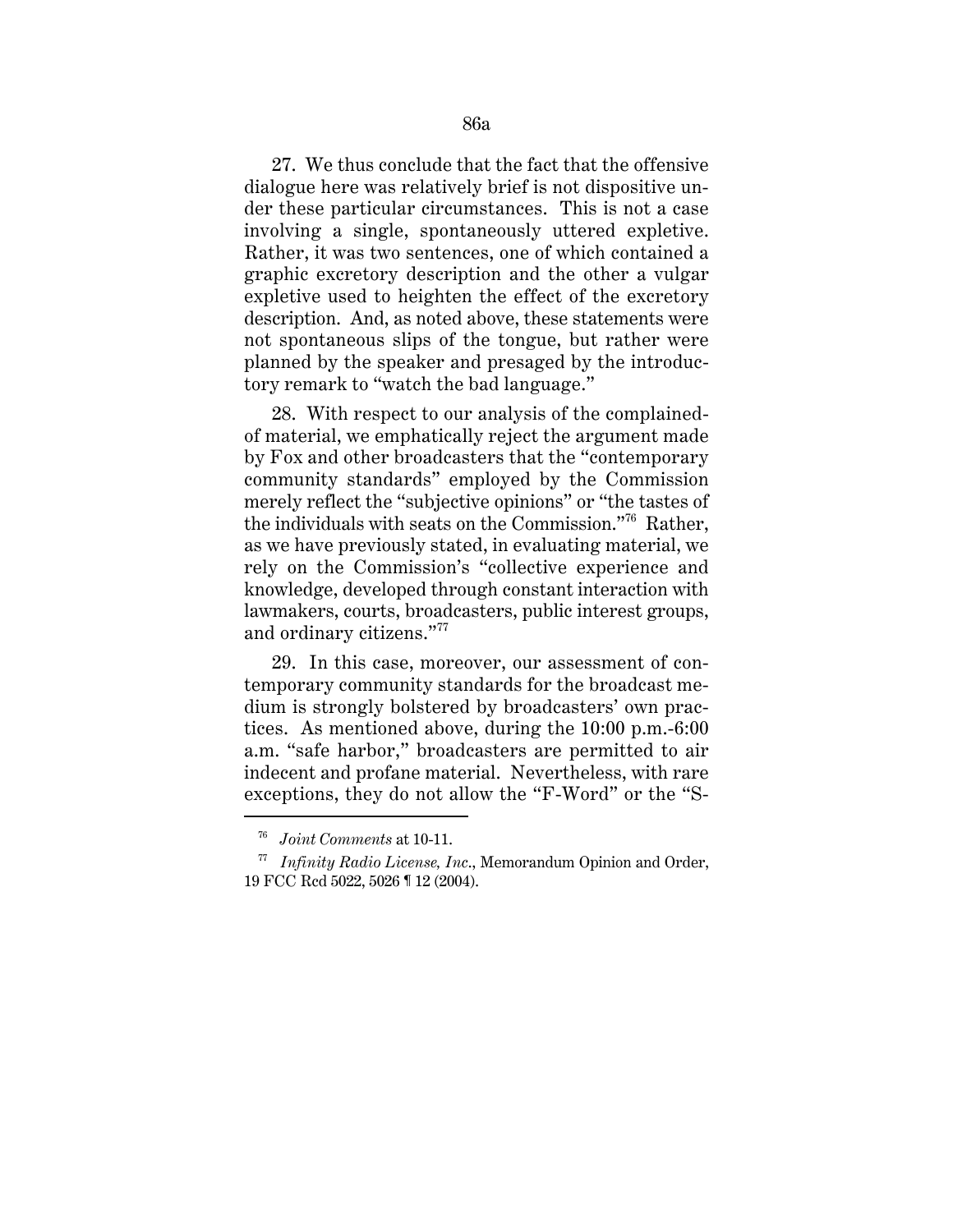27. We thus conclude that the fact that the offensive dialogue here was relatively brief is not dispositive under these particular circumstances. This is not a case involving a single, spontaneously uttered expletive. Rather, it was two sentences, one of which contained a graphic excretory description and the other a vulgar expletive used to heighten the effect of the excretory description. And, as noted above, these statements were not spontaneous slips of the tongue, but rather were planned by the speaker and presaged by the introductory remark to "watch the bad language."

28. With respect to our analysis of the complainedof material, we emphatically reject the argument made by Fox and other broadcasters that the "contemporary community standards" employed by the Commission merely reflect the "subjective opinions" or "the tastes of the individuals with seats on the Commission."76 Rather, as we have previously stated, in evaluating material, we rely on the Commission's "collective experience and knowledge, developed through constant interaction with lawmakers, courts, broadcasters, public interest groups, and ordinary citizens."77

29. In this case, moreover, our assessment of contemporary community standards for the broadcast medium is strongly bolstered by broadcasters' own practices. As mentioned above, during the 10:00 p.m.-6:00 a.m. "safe harbor," broadcasters are permitted to air indecent and profane material. Nevertheless, with rare exceptions, they do not allow the "F-Word" or the "S-

<sup>76</sup> *Joint Comments* at 10-11.

<sup>77</sup> *Infinity Radio License, Inc*., Memorandum Opinion and Order, 19 FCC Rcd 5022, 5026 ¶ 12 (2004).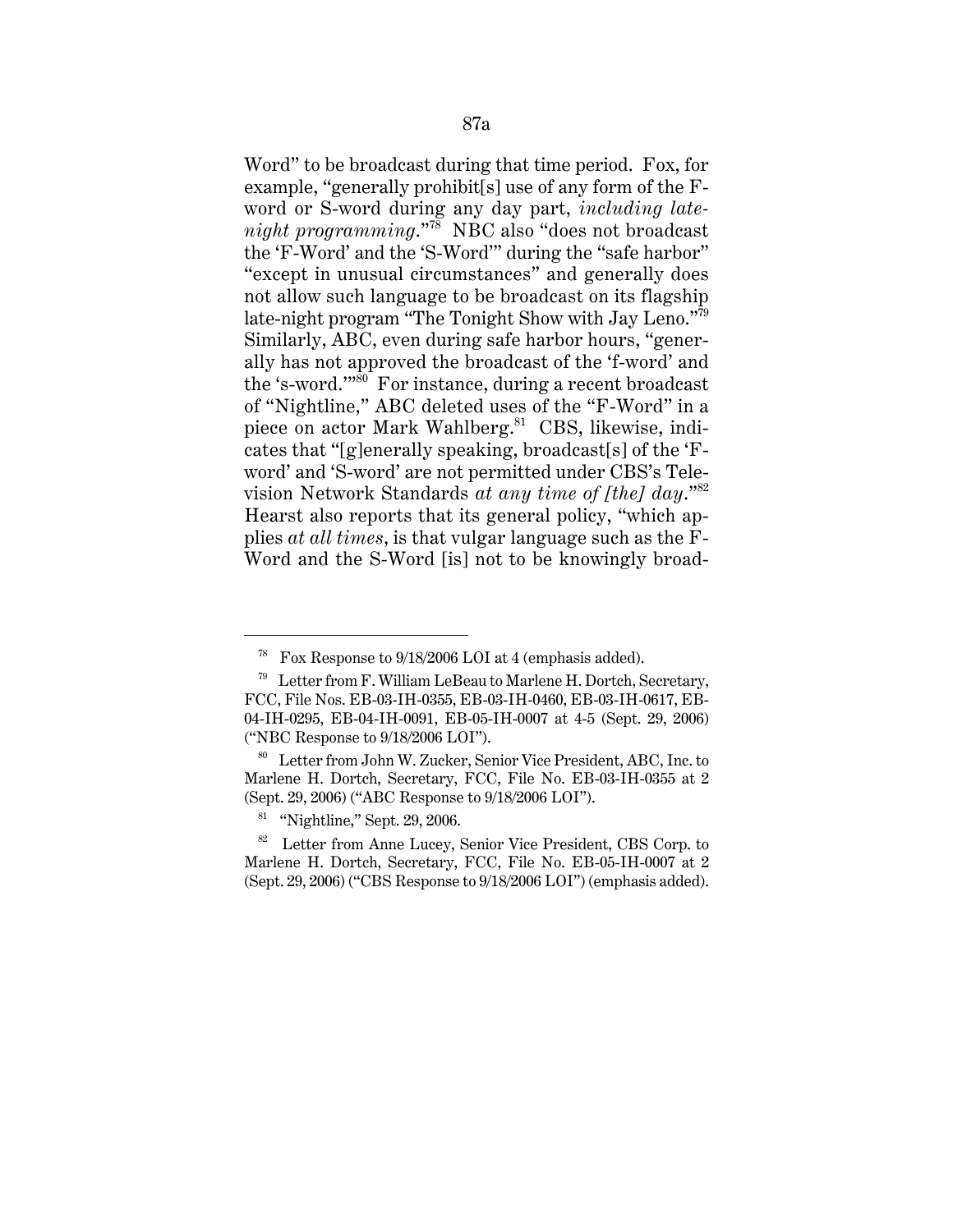Word" to be broadcast during that time period. Fox, for example, "generally prohibit[s] use of any form of the Fword or S-word during any day part, *including latenight programming*."78 NBC also "does not broadcast the 'F-Word' and the 'S-Word'" during the "safe harbor" "except in unusual circumstances" and generally does not allow such language to be broadcast on its flagship late-night program "The Tonight Show with Jay Leno."79 Similarly, ABC, even during safe harbor hours, "generally has not approved the broadcast of the 'f-word' and the 's-word.'"80 For instance, during a recent broadcast of "Nightline," ABC deleted uses of the "F-Word" in a piece on actor Mark Wahlberg.<sup>81</sup> CBS, likewise, indicates that "[g]enerally speaking, broadcast[s] of the 'Fword' and 'S-word' are not permitted under CBS's Television Network Standards *at any time of [the] day*."<sup>82</sup> Hearst also reports that its general policy, "which applies *at all times*, is that vulgar language such as the F-Word and the S-Word [is] not to be knowingly broad-

<sup>&</sup>lt;sup>78</sup> Fox Response to  $9/18/2006$  LOI at 4 (emphasis added).

 $79$  Letter from F. William LeBeau to Marlene H. Dortch, Secretary, FCC, File Nos. EB-03-IH-0355, EB-03-IH-0460, EB-03-IH-0617, EB-04-IH-0295, EB-04-IH-0091, EB-05-IH-0007 at 4-5 (Sept. 29, 2006) ("NBC Response to 9/18/2006 LOI").

<sup>80</sup> Letter from John W. Zucker, Senior Vice President, ABC, Inc. to Marlene H. Dortch, Secretary, FCC, File No. EB-03-IH-0355 at 2 (Sept. 29, 2006) ("ABC Response to 9/18/2006 LOI").

 $81$  "Nightline," Sept. 29, 2006.

<sup>&</sup>lt;sup>82</sup> Letter from Anne Lucey, Senior Vice President, CBS Corp. to Marlene H. Dortch, Secretary, FCC, File No. EB-05-IH-0007 at 2 (Sept. 29, 2006) ("CBS Response to 9/18/2006 LOI") (emphasis added).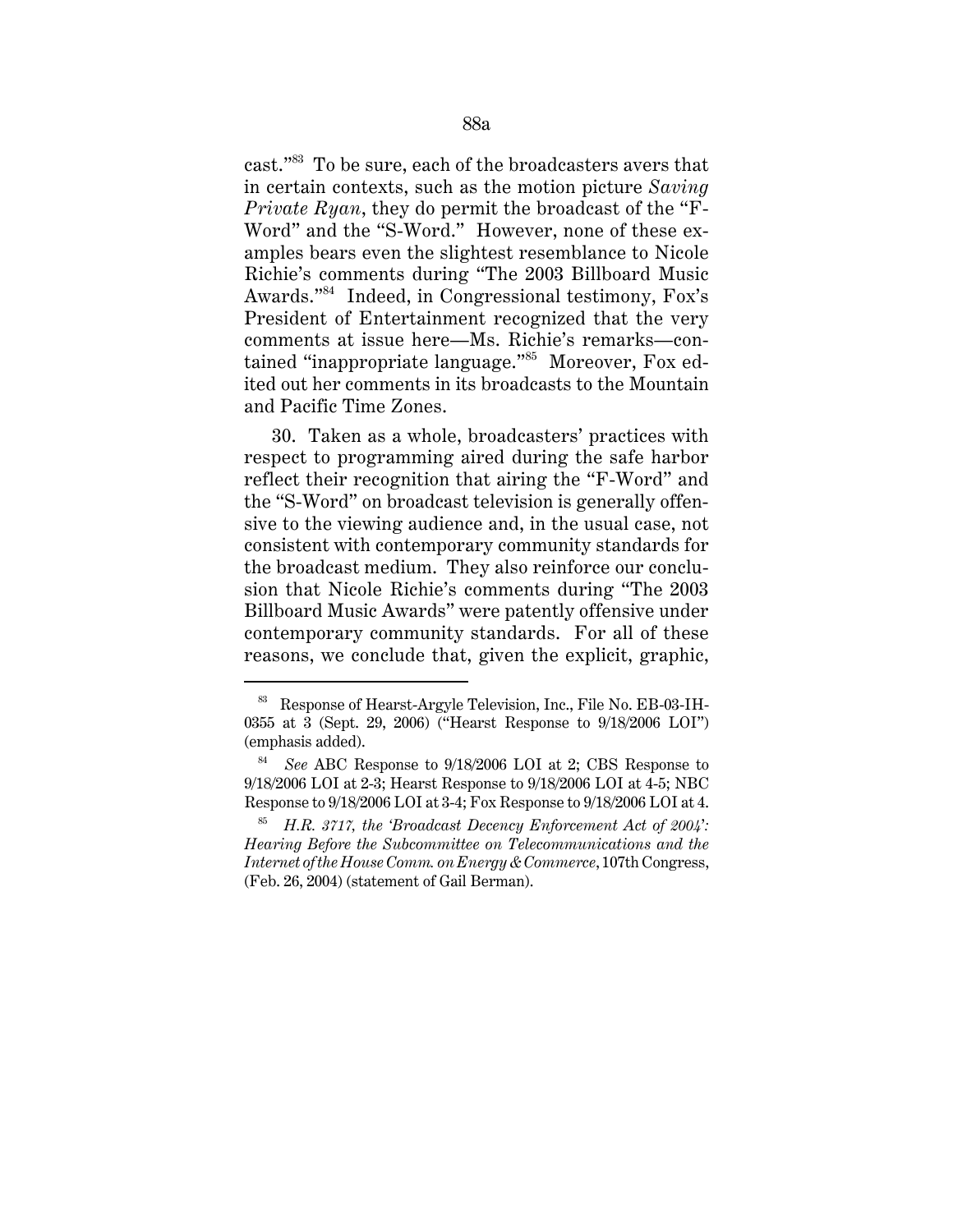cast."83 To be sure, each of the broadcasters avers that in certain contexts, such as the motion picture *Saving Private Ryan*, they do permit the broadcast of the "F-Word" and the "S-Word." However, none of these examples bears even the slightest resemblance to Nicole Richie's comments during "The 2003 Billboard Music Awards."84 Indeed, in Congressional testimony, Fox's President of Entertainment recognized that the very comments at issue here—Ms. Richie's remarks—contained "inappropriate language."85 Moreover, Fox edited out her comments in its broadcasts to the Mountain and Pacific Time Zones.

30. Taken as a whole, broadcasters' practices with respect to programming aired during the safe harbor reflect their recognition that airing the "F-Word" and the "S-Word" on broadcast television is generally offensive to the viewing audience and, in the usual case, not consistent with contemporary community standards for the broadcast medium. They also reinforce our conclusion that Nicole Richie's comments during "The 2003 Billboard Music Awards" were patently offensive under contemporary community standards. For all of these reasons, we conclude that, given the explicit, graphic,

<sup>83</sup> Response of Hearst-Argyle Television, Inc., File No. EB-03-IH-0355 at 3 (Sept. 29, 2006) ("Hearst Response to 9/18/2006 LOI") (emphasis added).

<sup>84</sup> *See* ABC Response to 9/18/2006 LOI at 2; CBS Response to 9/18/2006 LOI at 2-3; Hearst Response to 9/18/2006 LOI at 4-5; NBC Response to 9/18/2006 LOI at 3-4; Fox Response to 9/18/2006 LOI at 4.

<sup>85</sup> *H.R. 3717, the 'Broadcast Decency Enforcement Act of 2004*'*: Hearing Before the Subcommittee on Telecommunications and the Internet of the House Comm. on Energy & Commerce*, 107th Congress, (Feb. 26, 2004) (statement of Gail Berman).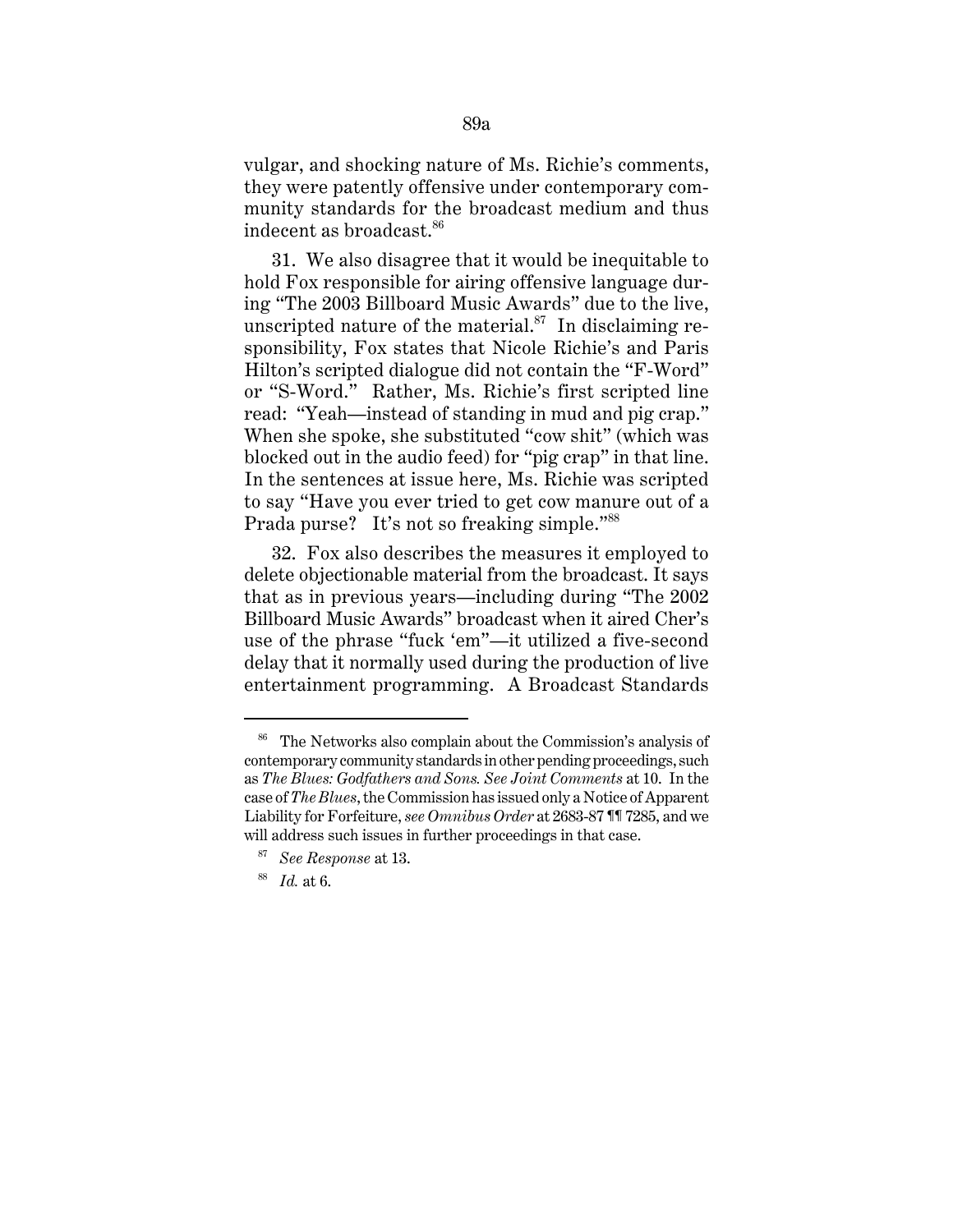vulgar, and shocking nature of Ms. Richie's comments, they were patently offensive under contemporary community standards for the broadcast medium and thus indecent as broadcast.<sup>86</sup>

31. We also disagree that it would be inequitable to hold Fox responsible for airing offensive language during "The 2003 Billboard Music Awards" due to the live, unscripted nature of the material. $87$  In disclaiming responsibility, Fox states that Nicole Richie's and Paris Hilton's scripted dialogue did not contain the "F-Word" or "S-Word." Rather, Ms. Richie's first scripted line read: "Yeah—instead of standing in mud and pig crap." When she spoke, she substituted "cow shit" (which was blocked out in the audio feed) for "pig crap" in that line. In the sentences at issue here, Ms. Richie was scripted to say "Have you ever tried to get cow manure out of a Prada purse? It's not so freaking simple."<sup>88</sup>

32. Fox also describes the measures it employed to delete objectionable material from the broadcast. It says that as in previous years—including during "The 2002 Billboard Music Awards" broadcast when it aired Cher's use of the phrase "fuck 'em"—it utilized a five-second delay that it normally used during the production of live entertainment programming. A Broadcast Standards

<sup>86</sup> The Networks also complain about the Commission's analysis of contemporary community standards in other pending proceedings, such as *The Blues: Godfathers and Sons. See Joint Comments* at 10. In the case of *The Blues*, the Commission has issued only a Notice of Apparent Liability for Forfeiture, *see Omnibus Order* at 2683-87 ¶¶ 7285, and we will address such issues in further proceedings in that case.

<sup>87</sup> *See Response* at 13.

<sup>88</sup> *Id.* at 6.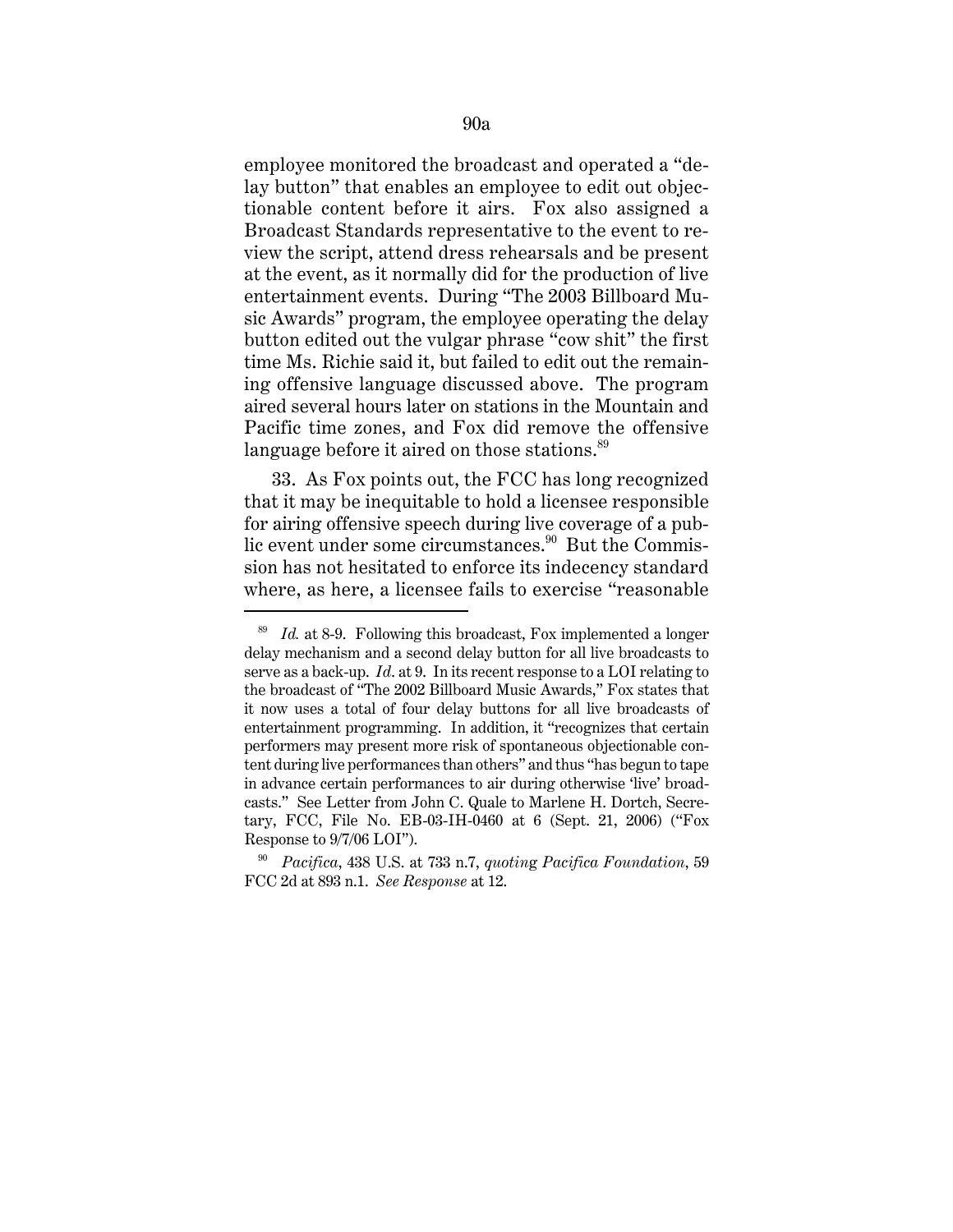employee monitored the broadcast and operated a "delay button" that enables an employee to edit out objectionable content before it airs. Fox also assigned a Broadcast Standards representative to the event to review the script, attend dress rehearsals and be present at the event, as it normally did for the production of live entertainment events. During "The 2003 Billboard Music Awards" program, the employee operating the delay button edited out the vulgar phrase "cow shit" the first time Ms. Richie said it, but failed to edit out the remaining offensive language discussed above. The program aired several hours later on stations in the Mountain and Pacific time zones, and Fox did remove the offensive language before it aired on those stations.<sup>89</sup>

33. As Fox points out, the FCC has long recognized that it may be inequitable to hold a licensee responsible for airing offensive speech during live coverage of a public event under some circumstances. $90$  But the Commission has not hesitated to enforce its indecency standard where, as here, a licensee fails to exercise "reasonable

<sup>89</sup> *Id.* at 8-9. Following this broadcast, Fox implemented a longer delay mechanism and a second delay button for all live broadcasts to serve as a back-up. *Id*. at 9. In its recent response to a LOI relating to the broadcast of "The 2002 Billboard Music Awards," Fox states that it now uses a total of four delay buttons for all live broadcasts of entertainment programming. In addition, it "recognizes that certain performers may present more risk of spontaneous objectionable content during live performances than others" and thus "has begun to tape in advance certain performances to air during otherwise 'live' broadcasts." See Letter from John C. Quale to Marlene H. Dortch, Secretary, FCC, File No. EB-03-IH-0460 at 6 (Sept. 21, 2006) ("Fox Response to 9/7/06 LOI").

<sup>90</sup> *Pacifica*, 438 U.S. at 733 n.7, *quotin*g *Pacifica Foundation*, 59 FCC 2d at 893 n.1. *See Response* at 12.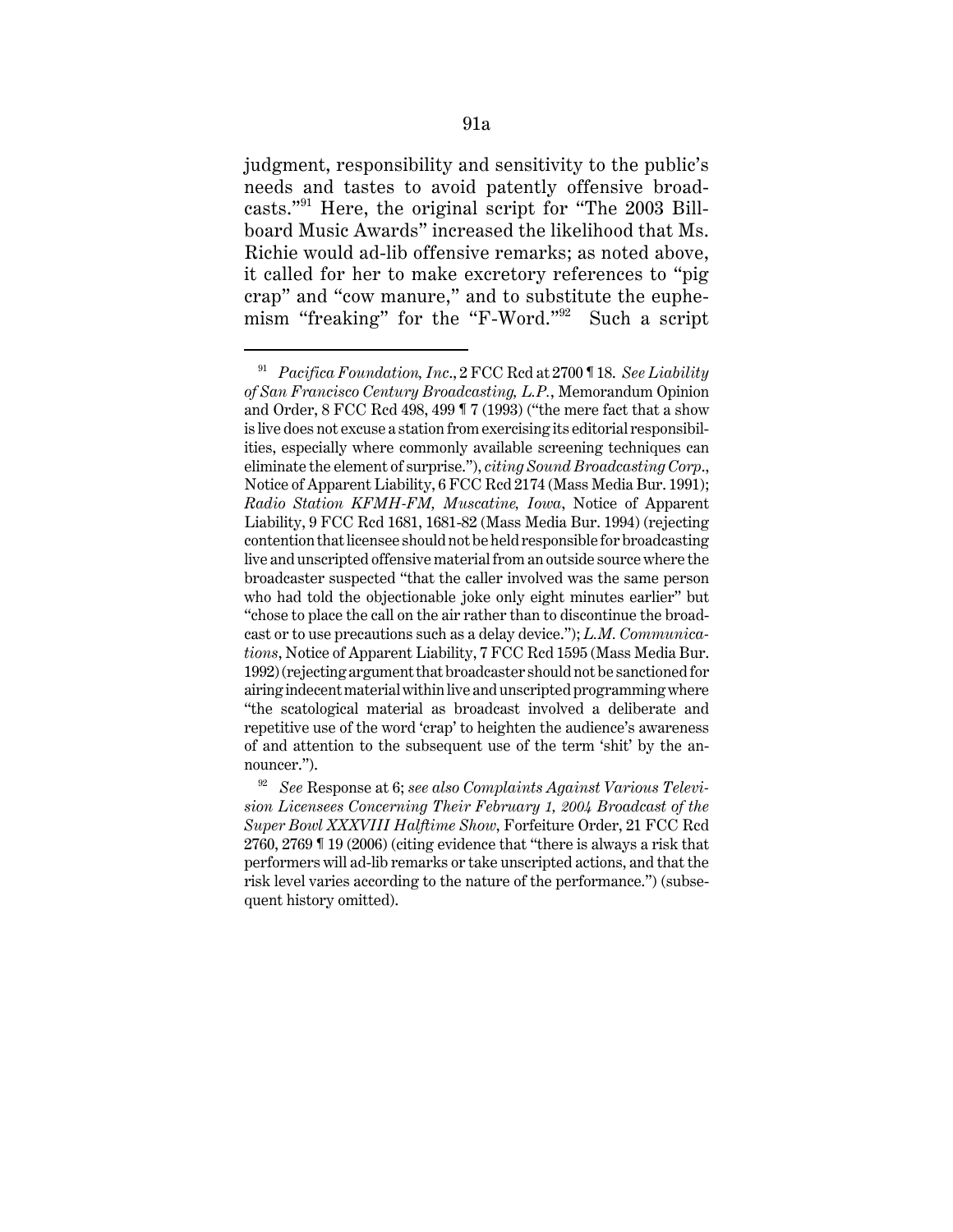judgment, responsibility and sensitivity to the public's needs and tastes to avoid patently offensive broadcasts."91 Here, the original script for "The 2003 Billboard Music Awards" increased the likelihood that Ms. Richie would ad-lib offensive remarks; as noted above, it called for her to make excretory references to "pig crap" and "cow manure," and to substitute the euphemism "freaking" for the "F-Word."92 Such a script

<sup>91</sup> *Pacifica Foundation, Inc*., 2 FCC Rcd at 2700 ¶ 18. *See Liability of San Francisco Century Broadcasting, L.P.*, Memorandum Opinion and Order, 8 FCC Rcd 498, 499 ¶ 7 (1993) ("the mere fact that a show is live does not excuse a station from exercising its editorial responsibilities, especially where commonly available screening techniques can eliminate the element of surprise."), *citing Sound Broadcasting Corp*., Notice of Apparent Liability, 6 FCC Rcd 2174 (Mass Media Bur. 1991); *Radio Station KFMH-FM, Muscatine, Iowa*, Notice of Apparent Liability, 9 FCC Rcd 1681, 1681-82 (Mass Media Bur. 1994) (rejecting contention that licensee should not be held responsible for broadcasting live and unscripted offensive material from an outside source where the broadcaster suspected "that the caller involved was the same person who had told the objectionable joke only eight minutes earlier" but "chose to place the call on the air rather than to discontinue the broadcast or to use precautions such as a delay device."); *L.M. Communications*, Notice of Apparent Liability, 7 FCC Rcd 1595 (Mass Media Bur. 1992) (rejecting argument that broadcaster should not be sanctioned for airing indecent material within live and unscripted programming where "the scatological material as broadcast involved a deliberate and repetitive use of the word 'crap' to heighten the audience's awareness of and attention to the subsequent use of the term 'shit' by the announcer.").

<sup>92</sup> *See* Response at 6; *see also Complaints Against Various Television Licensees Concerning Their February 1, 2004 Broadcast of the Super Bowl XXXVIII Halftime Show*, Forfeiture Order, 21 FCC Rcd 2760, 2769 ¶ 19 (2006) (citing evidence that "there is always a risk that performers will ad-lib remarks or take unscripted actions, and that the risk level varies according to the nature of the performance.") (subsequent history omitted).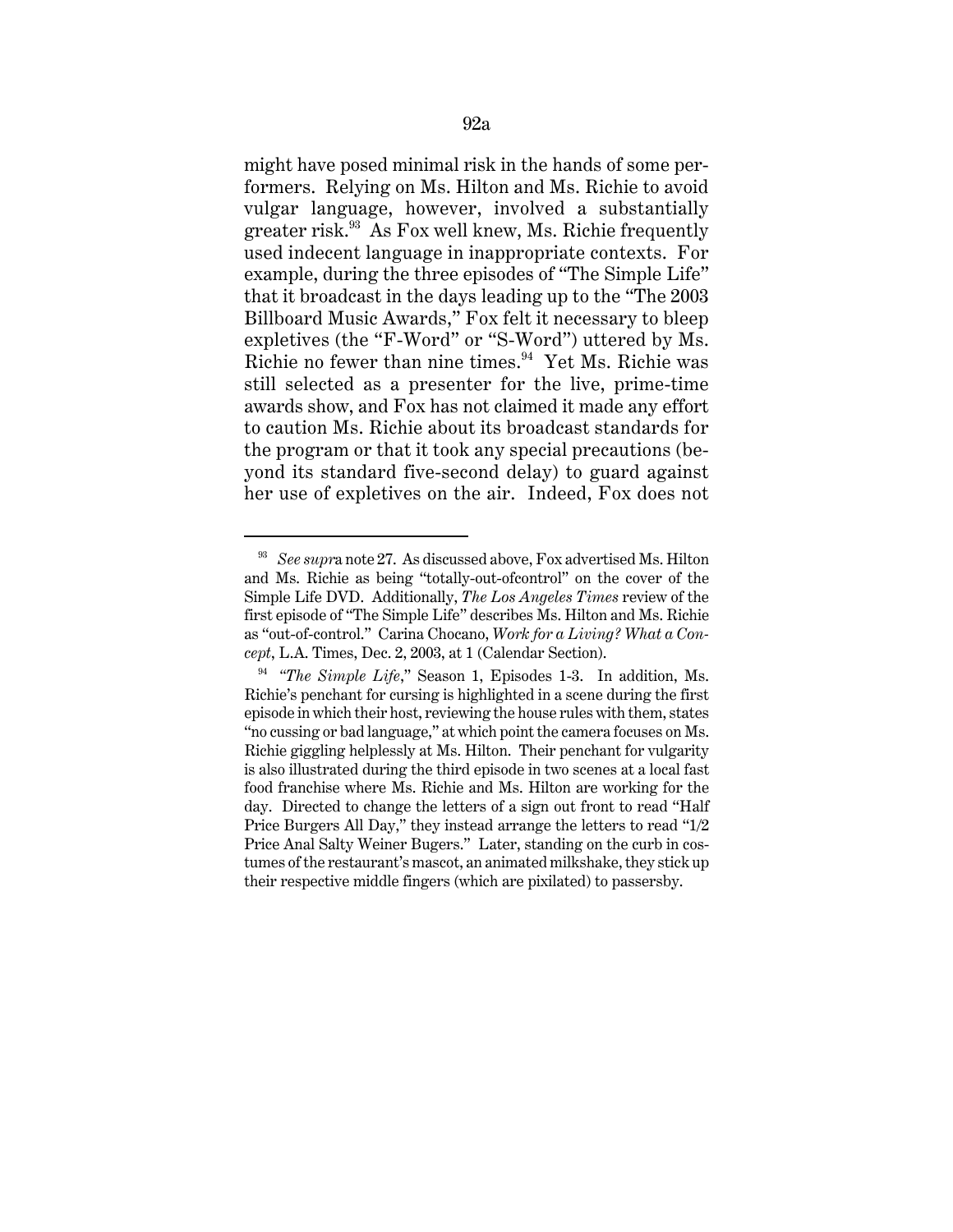might have posed minimal risk in the hands of some performers. Relying on Ms. Hilton and Ms. Richie to avoid vulgar language, however, involved a substantially greater risk.93 As Fox well knew, Ms. Richie frequently used indecent language in inappropriate contexts. For example, during the three episodes of "The Simple Life" that it broadcast in the days leading up to the "The 2003 Billboard Music Awards," Fox felt it necessary to bleep expletives (the "F-Word" or "S-Word") uttered by Ms. Richie no fewer than nine times.<sup>94</sup> Yet Ms. Richie was still selected as a presenter for the live, prime-time awards show, and Fox has not claimed it made any effort to caution Ms. Richie about its broadcast standards for the program or that it took any special precautions (beyond its standard five-second delay) to guard against her use of expletives on the air. Indeed, Fox does not

<sup>93</sup> *See supr*a note 27. As discussed above, Fox advertised Ms. Hilton and Ms. Richie as being "totally-out-ofcontrol" on the cover of the Simple Life DVD. Additionally, *The Los Angeles Times* review of the first episode of "The Simple Life" describes Ms. Hilton and Ms. Richie as "out-of-control." Carina Chocano, *Work for a Living? What a Concept*, L.A. Times, Dec. 2, 2003, at 1 (Calendar Section).

<sup>94</sup> *"The Simple Life*," Season 1, Episodes 1-3. In addition, Ms. Richie's penchant for cursing is highlighted in a scene during the first episode in which their host, reviewing the house rules with them, states "no cussing or bad language," at which point the camera focuses on Ms. Richie giggling helplessly at Ms. Hilton. Their penchant for vulgarity is also illustrated during the third episode in two scenes at a local fast food franchise where Ms. Richie and Ms. Hilton are working for the day. Directed to change the letters of a sign out front to read "Half Price Burgers All Day," they instead arrange the letters to read "1/2 Price Anal Salty Weiner Bugers." Later, standing on the curb in costumes of the restaurant's mascot, an animated milkshake, they stick up their respective middle fingers (which are pixilated) to passersby.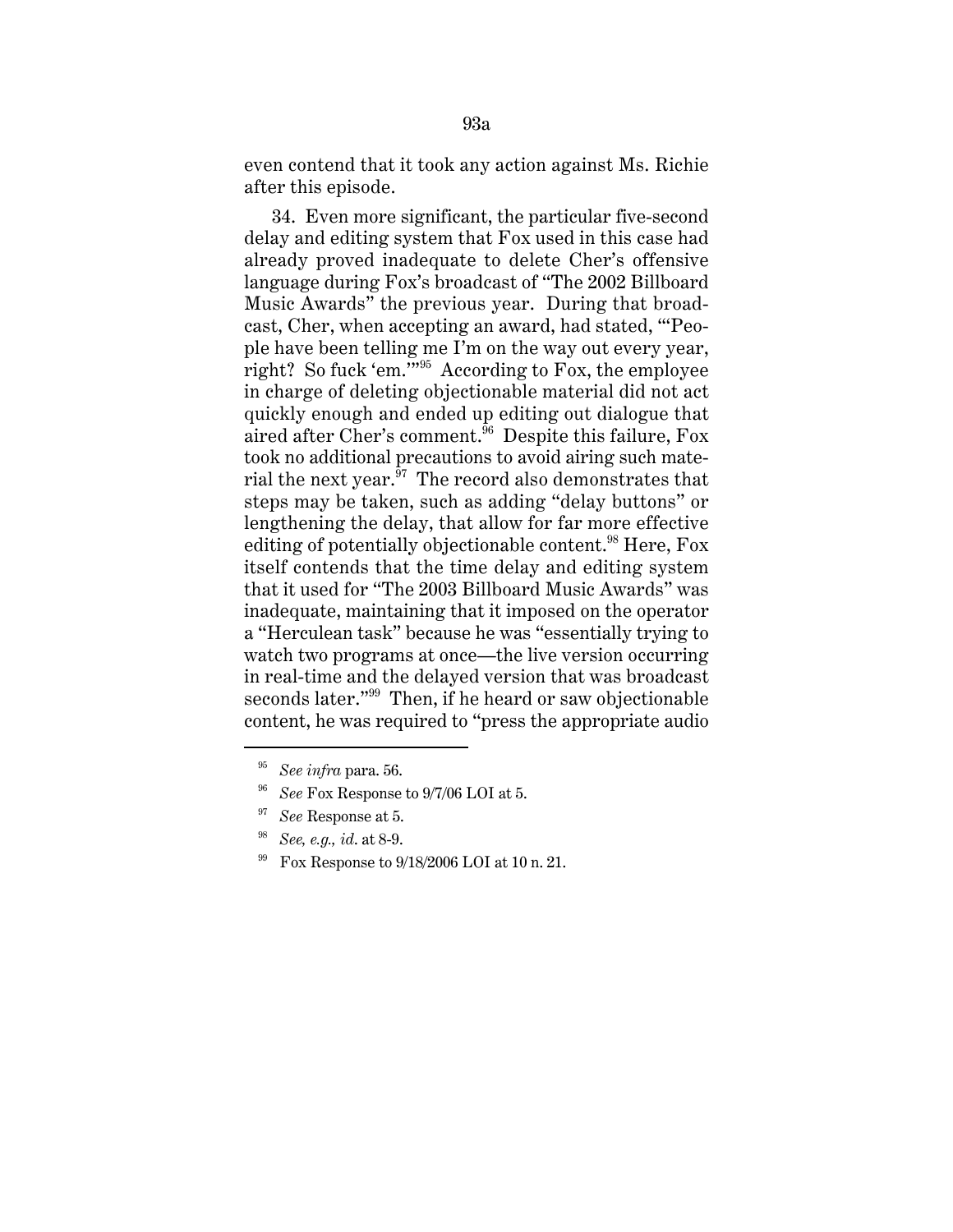even contend that it took any action against Ms. Richie after this episode.

34. Even more significant, the particular five-second delay and editing system that Fox used in this case had already proved inadequate to delete Cher's offensive language during Fox's broadcast of "The 2002 Billboard Music Awards" the previous year. During that broadcast, Cher, when accepting an award, had stated, "'People have been telling me I'm on the way out every year, right? So fuck 'em.'"95 According to Fox, the employee in charge of deleting objectionable material did not act quickly enough and ended up editing out dialogue that aired after Cher's comment.<sup> $56$ </sup> Despite this failure, Fox took no additional precautions to avoid airing such material the next year. $97$  The record also demonstrates that steps may be taken, such as adding "delay buttons" or lengthening the delay, that allow for far more effective editing of potentially objectionable content.<sup>98</sup> Here,  $F$ ox itself contends that the time delay and editing system that it used for "The 2003 Billboard Music Awards" was inadequate, maintaining that it imposed on the operator a "Herculean task" because he was "essentially trying to watch two programs at once—the live version occurring in real-time and the delayed version that was broadcast seconds later."<sup>99</sup> Then, if he heard or saw objectionable content, he was required to "press the appropriate audio

<sup>95</sup> *See infra* para. 56.

<sup>&</sup>lt;sup>96</sup> *See* Fox Response to 9/7/06 LOI at 5.

<sup>97</sup> *See* Response at 5.

<sup>98</sup> *See, e.g., id*. at 8-9.

<sup>&</sup>lt;sup>99</sup> Fox Response to  $9/18/2006$  LOI at 10 n. 21.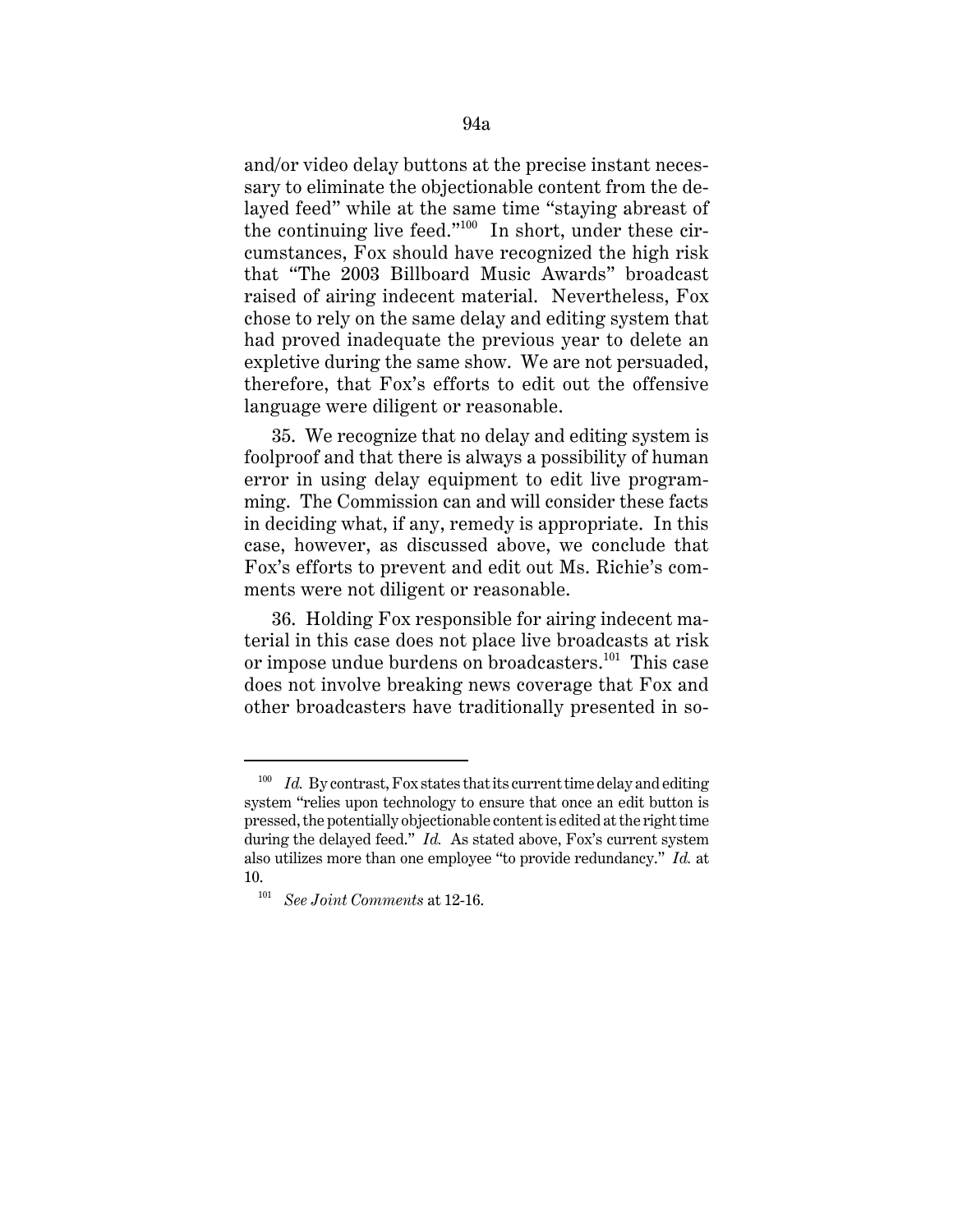and/or video delay buttons at the precise instant necessary to eliminate the objectionable content from the delayed feed" while at the same time "staying abreast of the continuing live feed."100 In short, under these circumstances, Fox should have recognized the high risk that "The 2003 Billboard Music Awards" broadcast raised of airing indecent material. Nevertheless, Fox chose to rely on the same delay and editing system that had proved inadequate the previous year to delete an expletive during the same show. We are not persuaded, therefore, that Fox's efforts to edit out the offensive language were diligent or reasonable.

35. We recognize that no delay and editing system is foolproof and that there is always a possibility of human error in using delay equipment to edit live programming. The Commission can and will consider these facts in deciding what, if any, remedy is appropriate. In this case, however, as discussed above, we conclude that Fox's efforts to prevent and edit out Ms. Richie's comments were not diligent or reasonable.

36. Holding Fox responsible for airing indecent material in this case does not place live broadcasts at risk or impose undue burdens on broadcasters.<sup>101</sup> This case does not involve breaking news coverage that Fox and other broadcasters have traditionally presented in so-

<sup>&</sup>lt;sup>100</sup> *Id.* By contrast, Fox states that its current time delay and editing system "relies upon technology to ensure that once an edit button is pressed, the potentially objectionable content is edited at the right time during the delayed feed." *Id.* As stated above, Fox's current system also utilizes more than one employee "to provide redundancy." *Id.* at 10.

<sup>101</sup> *See Joint Comments* at 12-16.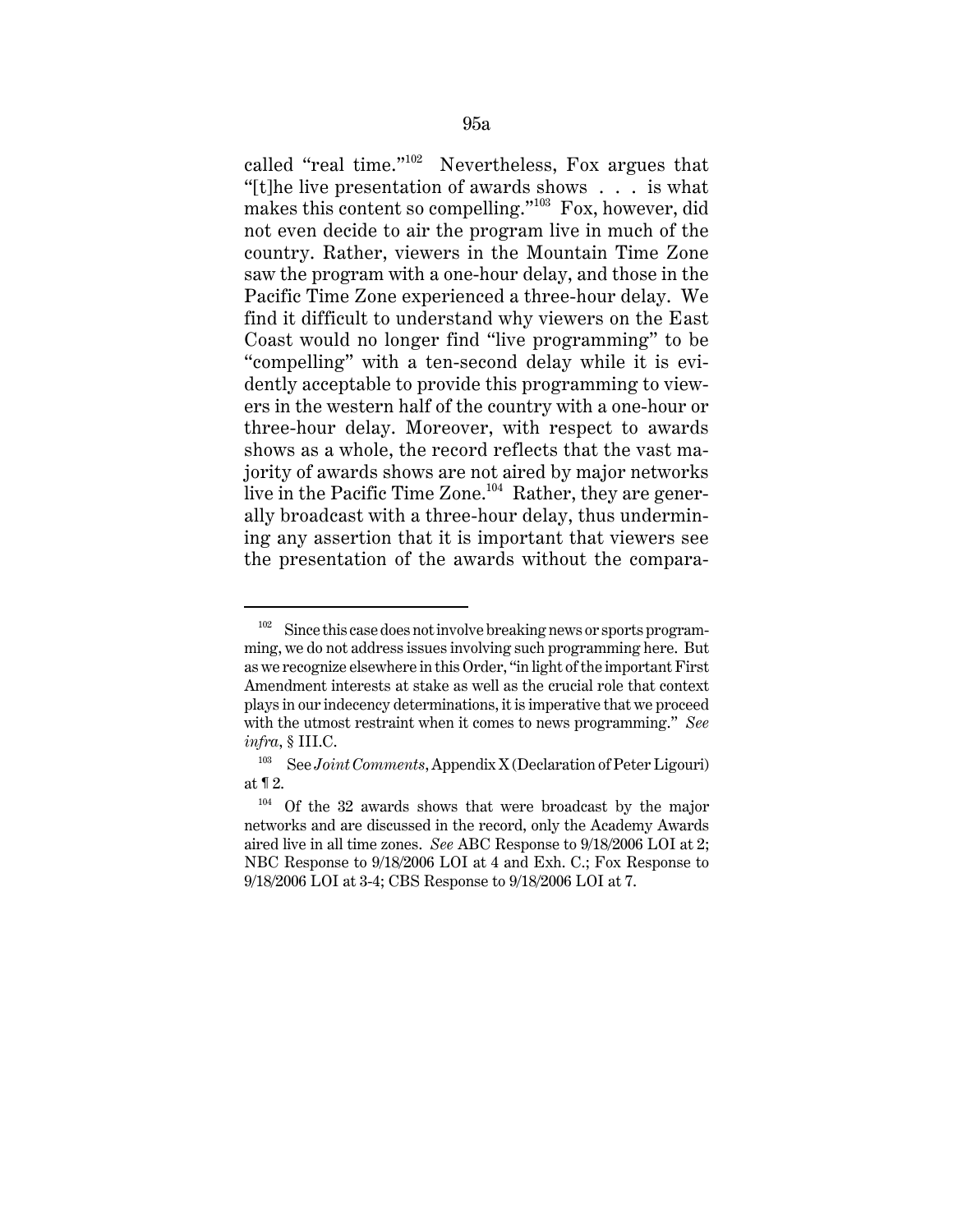called "real time."102 Nevertheless, Fox argues that "[t]he live presentation of awards shows . . . is what makes this content so compelling."<sup>103</sup> Fox, however, did not even decide to air the program live in much of the country. Rather, viewers in the Mountain Time Zone saw the program with a one-hour delay, and those in the Pacific Time Zone experienced a three-hour delay. We find it difficult to understand why viewers on the East Coast would no longer find "live programming" to be "compelling" with a ten-second delay while it is evidently acceptable to provide this programming to viewers in the western half of the country with a one-hour or three-hour delay. Moreover, with respect to awards shows as a whole, the record reflects that the vast majority of awards shows are not aired by major networks live in the Pacific Time Zone.<sup>104</sup> Rather, they are generally broadcast with a three-hour delay, thus undermining any assertion that it is important that viewers see the presentation of the awards without the compara-

 $102$  Since this case does not involve breaking news or sports programming, we do not address issues involving such programming here. But as we recognize elsewhere in this Order, "in light of the important First Amendment interests at stake as well as the crucial role that context plays in our indecency determinations, it is imperative that we proceed with the utmost restraint when it comes to news programming." *See infra*, § III.C.

<sup>103</sup> See *Joint Comments*, Appendix X (Declaration of Peter Ligouri) at ¶ 2.

 $104$  Of the 32 awards shows that were broadcast by the major networks and are discussed in the record, only the Academy Awards aired live in all time zones. *See* ABC Response to 9/18/2006 LOI at 2; NBC Response to 9/18/2006 LOI at 4 and Exh. C.; Fox Response to 9/18/2006 LOI at 3-4; CBS Response to 9/18/2006 LOI at 7.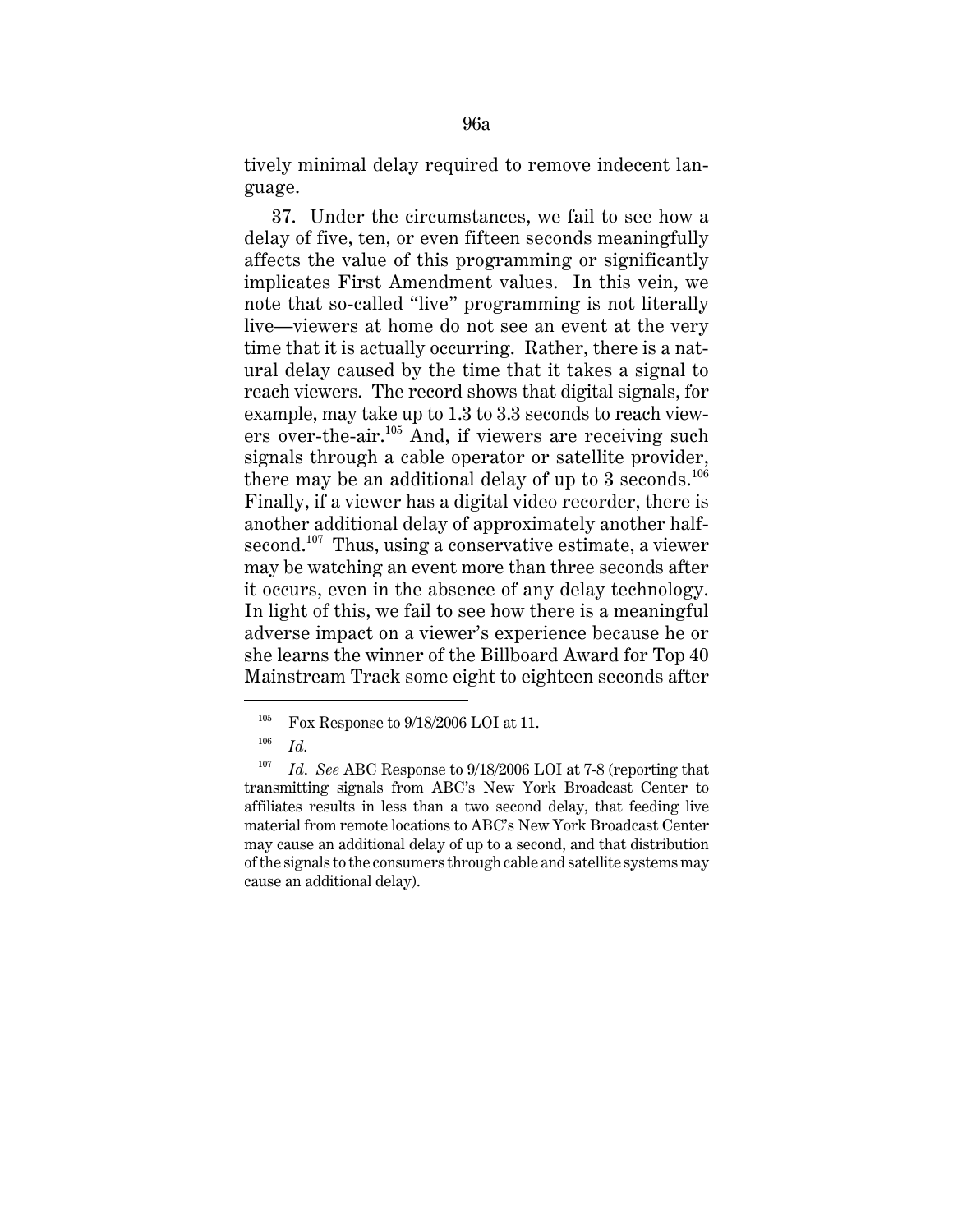tively minimal delay required to remove indecent language.

37. Under the circumstances, we fail to see how a delay of five, ten, or even fifteen seconds meaningfully affects the value of this programming or significantly implicates First Amendment values. In this vein, we note that so-called "live" programming is not literally live—viewers at home do not see an event at the very time that it is actually occurring. Rather, there is a natural delay caused by the time that it takes a signal to reach viewers. The record shows that digital signals, for example, may take up to 1.3 to 3.3 seconds to reach viewers over-the-air.<sup>105</sup> And, if viewers are receiving such signals through a cable operator or satellite provider, there may be an additional delay of up to 3 seconds.<sup>106</sup> Finally, if a viewer has a digital video recorder, there is another additional delay of approximately another halfsecond.<sup>107</sup> Thus, using a conservative estimate, a viewer may be watching an event more than three seconds after it occurs, even in the absence of any delay technology. In light of this, we fail to see how there is a meaningful adverse impact on a viewer's experience because he or she learns the winner of the Billboard Award for Top 40 Mainstream Track some eight to eighteen seconds after

<sup>&</sup>lt;sup>105</sup> Fox Response to  $9/18/2006$  LOI at 11.

<sup>106</sup> *Id*.

<sup>107</sup> *Id*. *See* ABC Response to 9/18/2006 LOI at 7-8 (reporting that transmitting signals from ABC's New York Broadcast Center to affiliates results in less than a two second delay, that feeding live material from remote locations to ABC's New York Broadcast Center may cause an additional delay of up to a second, and that distribution of the signals to the consumers through cable and satellite systems may cause an additional delay).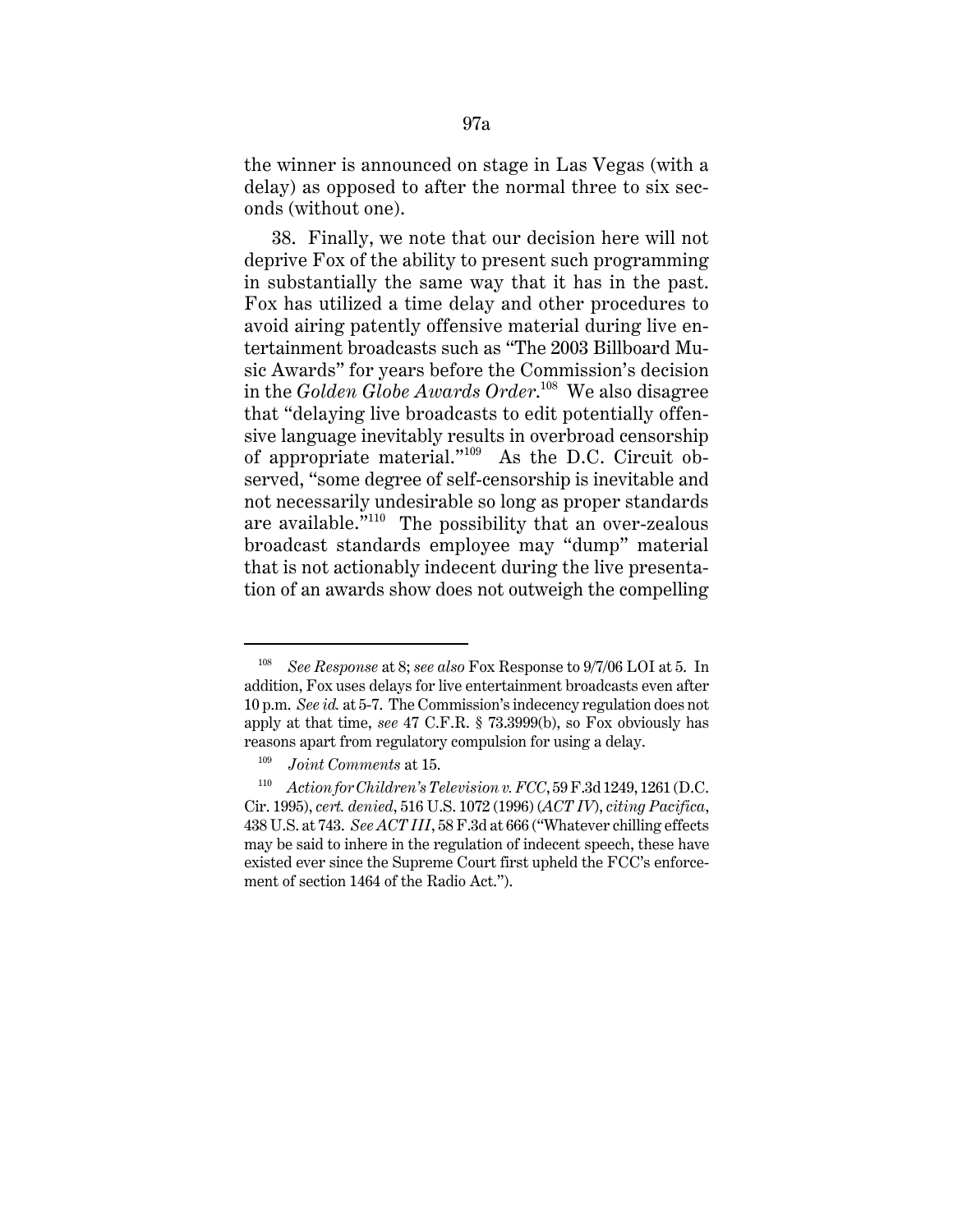the winner is announced on stage in Las Vegas (with a delay) as opposed to after the normal three to six seconds (without one).

38. Finally, we note that our decision here will not deprive Fox of the ability to present such programming in substantially the same way that it has in the past. Fox has utilized a time delay and other procedures to avoid airing patently offensive material during live entertainment broadcasts such as "The 2003 Billboard Music Awards" for years before the Commission's decision in the *Golden Globe Awards Order*. 108 We also disagree that "delaying live broadcasts to edit potentially offensive language inevitably results in overbroad censorship of appropriate material."109 As the D.C. Circuit observed, "some degree of self-censorship is inevitable and not necessarily undesirable so long as proper standards are available."110 The possibility that an over-zealous broadcast standards employee may "dump" material that is not actionably indecent during the live presentation of an awards show does not outweigh the compelling

<sup>108</sup> *See Response* at 8; *see also* Fox Response to 9/7/06 LOI at 5. In addition, Fox uses delays for live entertainment broadcasts even after 10 p.m. *See id.* at 5-7. The Commission's indecency regulation does not apply at that time, *see* 47 C.F.R. § 73.3999(b), so Fox obviously has reasons apart from regulatory compulsion for using a delay.

<sup>109</sup> *Joint Comments* at 15.

<sup>110</sup> *Action for Children's Television v. FCC*, 59 F.3d 1249, 1261 (D.C. Cir. 1995), *cert. denied*, 516 U.S. 1072 (1996) (*ACT IV*), *citing Pacifica*, 438 U.S. at 743. *See ACT III*, 58 F.3d at 666 ("Whatever chilling effects may be said to inhere in the regulation of indecent speech, these have existed ever since the Supreme Court first upheld the FCC's enforcement of section 1464 of the Radio Act.").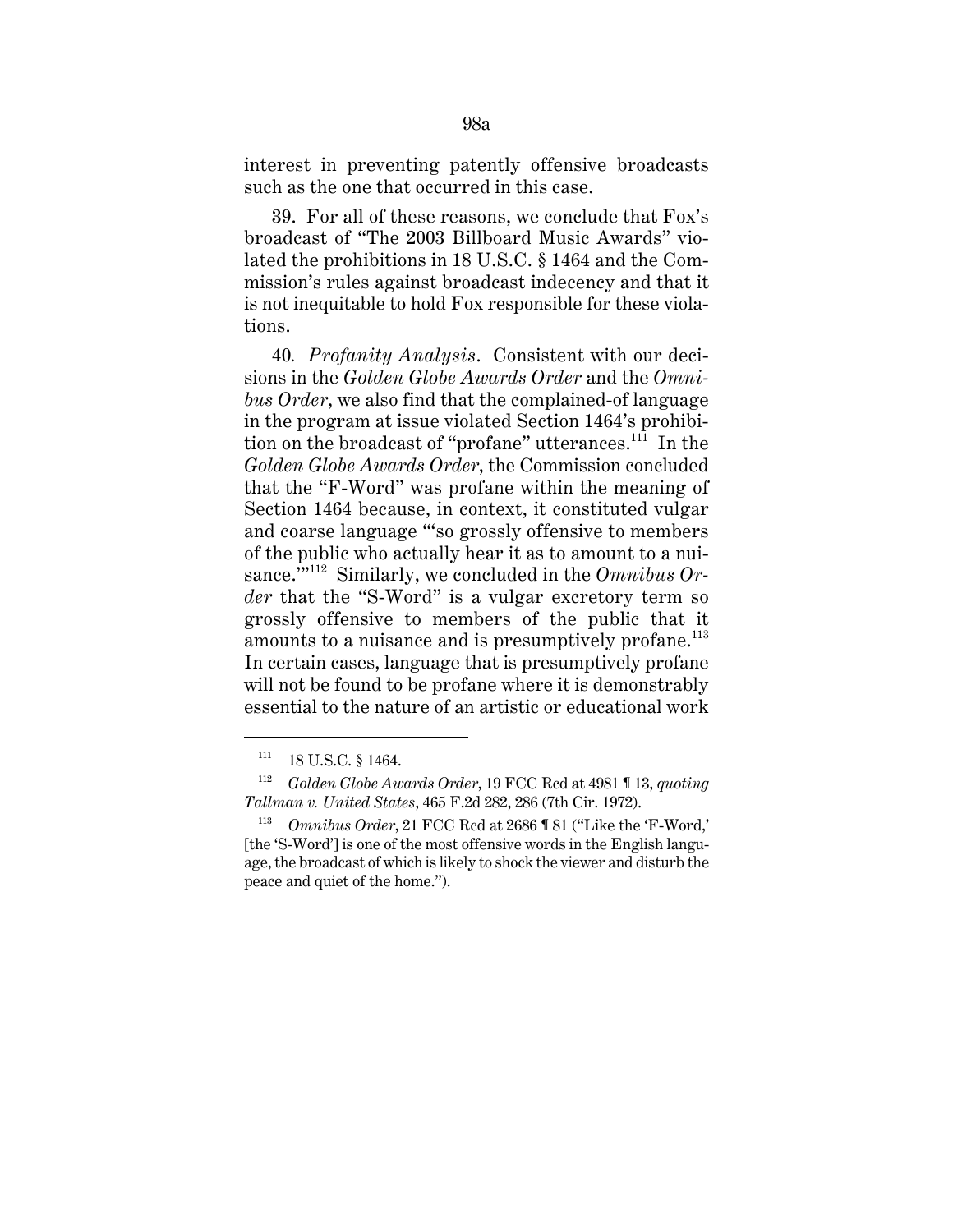interest in preventing patently offensive broadcasts such as the one that occurred in this case.

39. For all of these reasons, we conclude that Fox's broadcast of "The 2003 Billboard Music Awards" violated the prohibitions in 18 U.S.C. § 1464 and the Commission's rules against broadcast indecency and that it is not inequitable to hold Fox responsible for these violations.

40*. Profanity Analysis*. Consistent with our decisions in the *Golden Globe Awards Order* and the *Omnibus Order*, we also find that the complained-of language in the program at issue violated Section 1464's prohibition on the broadcast of "profane" utterances.<sup>111</sup> In the *Golden Globe Awards Order*, the Commission concluded that the "F-Word" was profane within the meaning of Section 1464 because, in context, it constituted vulgar and coarse language "'so grossly offensive to members of the public who actually hear it as to amount to a nuisance.'"112 Similarly, we concluded in the *Omnibus Order* that the "S-Word" is a vulgar excretory term so grossly offensive to members of the public that it amounts to a nuisance and is presumptively profane.<sup>113</sup> In certain cases, language that is presumptively profane will not be found to be profane where it is demonstrably essential to the nature of an artistic or educational work

 $111$  18 U.S.C. § 1464.

<sup>112</sup> *Golden Globe Awards Order*, 19 FCC Rcd at 4981 ¶ 13, *quoting Tallman v. United States*, 465 F.2d 282, 286 (7th Cir. 1972).

<sup>113</sup> *Omnibus Order*, 21 FCC Rcd at 2686 ¶ 81 ("Like the 'F-Word,' [the 'S-Word'] is one of the most offensive words in the English language, the broadcast of which is likely to shock the viewer and disturb the peace and quiet of the home.").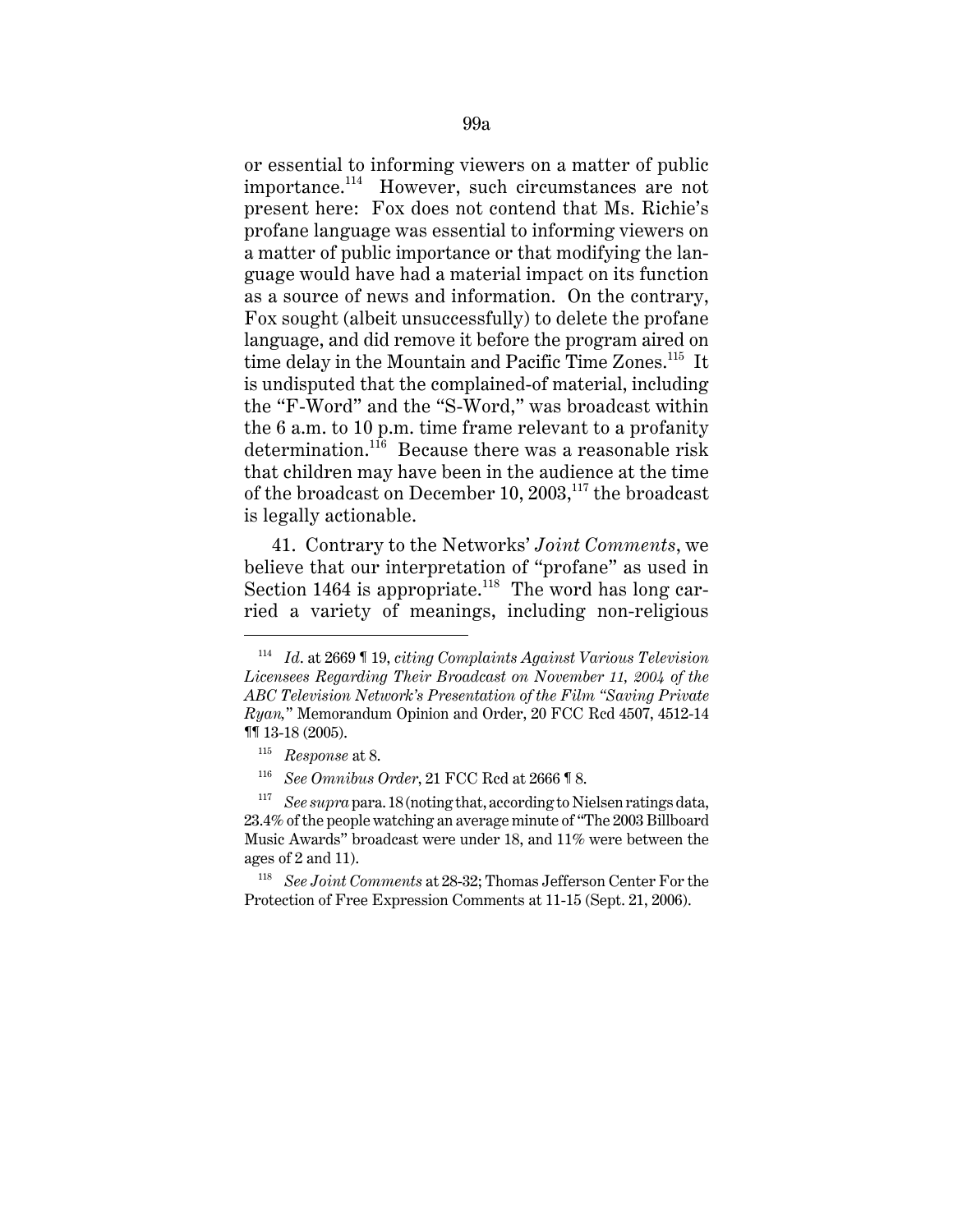or essential to informing viewers on a matter of public importance.114 However, such circumstances are not present here: Fox does not contend that Ms. Richie's profane language was essential to informing viewers on a matter of public importance or that modifying the language would have had a material impact on its function as a source of news and information. On the contrary, Fox sought (albeit unsuccessfully) to delete the profane language, and did remove it before the program aired on time delay in the Mountain and Pacific Time Zones.<sup>115</sup> It is undisputed that the complained-of material, including the "F-Word" and the "S-Word," was broadcast within the 6 a.m. to 10 p.m. time frame relevant to a profanity determination.116 Because there was a reasonable risk that children may have been in the audience at the time of the broadcast on December 10,  $2003$ ,<sup>117</sup>, the broadcast is legally actionable.

41. Contrary to the Networks' *Joint Comments*, we believe that our interpretation of "profane" as used in Section 1464 is appropriate.<sup>118</sup> The word has long carried a variety of meanings, including non-religious

<sup>114</sup> *Id*. at 2669 ¶ 19, *citing Complaints Against Various Television Licensees Regarding Their Broadcast on November 11, 2004 of the ABC Television Network's Presentation of the Film "Saving Private Ryan,*" Memorandum Opinion and Order, 20 FCC Rcd 4507, 4512-14 ¶¶ 13-18 (2005).

<sup>115</sup> *Response* at 8.

<sup>116</sup> *See Omnibus Order*, 21 FCC Rcd at 2666 ¶ 8.

<sup>117</sup> *See supra* para. 18 (noting that, according to Nielsen ratings data, 23.4% of the people watching an average minute of "The 2003 Billboard Music Awards" broadcast were under 18, and 11% were between the ages of 2 and 11).

<sup>118</sup> *See Joint Comments* at 28-32; Thomas Jefferson Center For the Protection of Free Expression Comments at 11-15 (Sept. 21, 2006).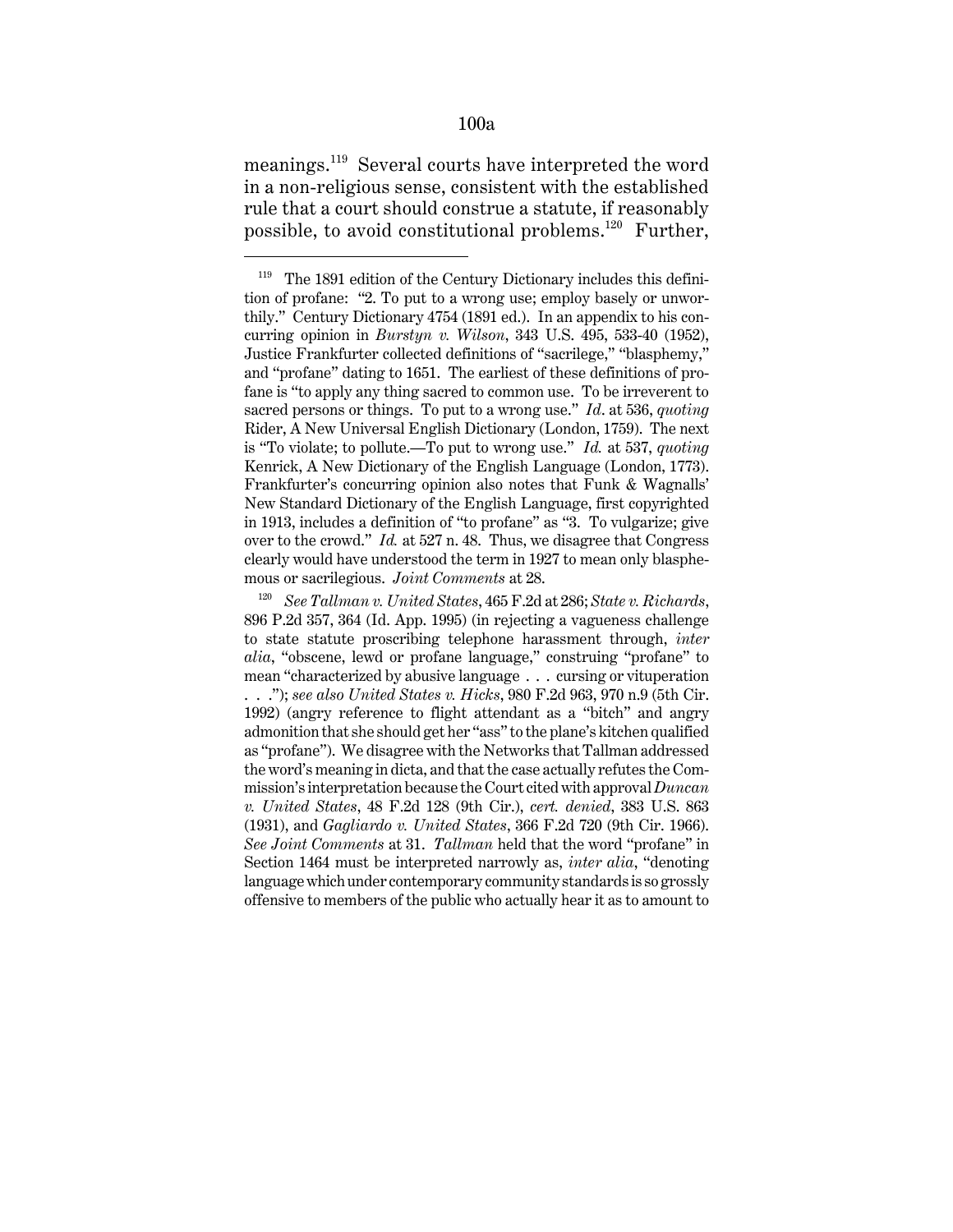## 100a

meanings.119 Several courts have interpreted the word in a non-religious sense, consistent with the established rule that a court should construe a statute, if reasonably possible, to avoid constitutional problems.<sup>120</sup> Further,

<sup>&</sup>lt;sup>119</sup> The 1891 edition of the Century Dictionary includes this definition of profane: "2. To put to a wrong use; employ basely or unworthily." Century Dictionary 4754 (1891 ed.). In an appendix to his concurring opinion in *Burstyn v. Wilson*, 343 U.S. 495, 533-40 (1952), Justice Frankfurter collected definitions of "sacrilege," "blasphemy," and "profane" dating to 1651. The earliest of these definitions of profane is "to apply any thing sacred to common use. To be irreverent to sacred persons or things. To put to a wrong use." *Id*. at 536, *quoting* Rider, A New Universal English Dictionary (London, 1759). The next is "To violate; to pollute.—To put to wrong use." *Id.* at 537, *quoting* Kenrick, A New Dictionary of the English Language (London, 1773). Frankfurter's concurring opinion also notes that Funk & Wagnalls' New Standard Dictionary of the English Language, first copyrighted in 1913, includes a definition of "to profane" as "3. To vulgarize; give over to the crowd." *Id.* at 527 n. 48. Thus, we disagree that Congress clearly would have understood the term in 1927 to mean only blasphemous or sacrilegious. *Joint Comments* at 28.

<sup>120</sup> *See Tallman v. United States*, 465 F.2d at 286; *State v. Richards*, 896 P.2d 357, 364 (Id. App. 1995) (in rejecting a vagueness challenge to state statute proscribing telephone harassment through, *inter alia*, "obscene, lewd or profane language," construing "profane" to mean "characterized by abusive language . . . cursing or vituperation . . ."); *see also United States v. Hicks*, 980 F.2d 963, 970 n.9 (5th Cir. 1992) (angry reference to flight attendant as a "bitch" and angry admonition that she should get her "ass" to the plane's kitchen qualified as "profane"). We disagree with the Networks that Tallman addressed the word's meaning in dicta, and that the case actually refutes the Commission's interpretation because the Court cited with approval *Duncan v. United States*, 48 F.2d 128 (9th Cir.), *cert. denied*, 383 U.S. 863 (1931), and *Gagliardo v. United States*, 366 F.2d 720 (9th Cir. 1966). *See Joint Comments* at 31. *Tallman* held that the word "profane" in Section 1464 must be interpreted narrowly as, *inter alia*, "denoting language which under contemporary community standards is so grossly offensive to members of the public who actually hear it as to amount to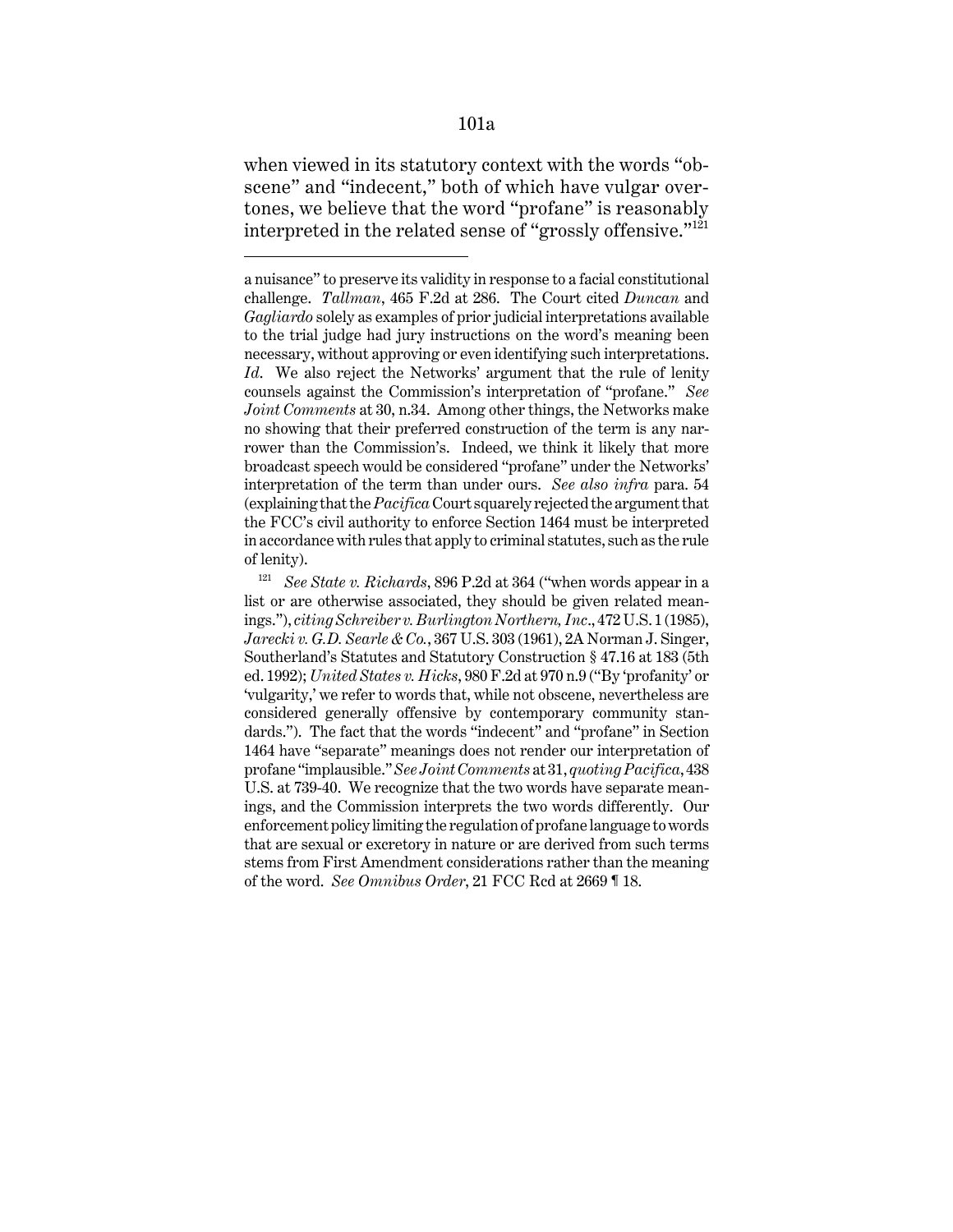101a

when viewed in its statutory context with the words "obscene" and "indecent," both of which have vulgar overtones, we believe that the word "profane" is reasonably interpreted in the related sense of "grossly offensive."<sup>121</sup>

a nuisance" to preserve its validity in response to a facial constitutional challenge. *Tallman*, 465 F.2d at 286. The Court cited *Duncan* and *Gagliardo* solely as examples of prior judicial interpretations available to the trial judge had jury instructions on the word's meaning been necessary, without approving or even identifying such interpretations. *Id*. We also reject the Networks' argument that the rule of lenity counsels against the Commission's interpretation of "profane." *See Joint Comments* at 30, n.34. Among other things, the Networks make no showing that their preferred construction of the term is any narrower than the Commission's. Indeed, we think it likely that more broadcast speech would be considered "profane" under the Networks' interpretation of the term than under ours. *See also infra* para. 54 (explaining that the *Pacifica* Court squarely rejected the argument that the FCC's civil authority to enforce Section 1464 must be interpreted in accordance with rules that apply to criminal statutes, such as the rule of lenity).

<sup>121</sup> *See State v. Richards*, 896 P.2d at 364 ("when words appear in a list or are otherwise associated, they should be given related meanings."), *citing Schreiber v. Burlington Northern, Inc*., 472 U.S. 1 (1985), *Jarecki v. G.D. Searle & Co.*, 367 U.S. 303 (1961), 2A Norman J. Singer, Southerland's Statutes and Statutory Construction § 47.16 at 183 (5th ed. 1992); *United States v. Hicks*, 980 F.2d at 970 n.9 ("By 'profanity' or 'vulgarity,' we refer to words that, while not obscene, nevertheless are considered generally offensive by contemporary community standards."). The fact that the words "indecent" and "profane" in Section 1464 have "separate" meanings does not render our interpretation of profane "implausible." *See Joint Comments* at 31, *quoting Pacifica*, 438 U.S. at 739-40. We recognize that the two words have separate meanings, and the Commission interprets the two words differently. Our enforcement policy limiting the regulation of profane language to words that are sexual or excretory in nature or are derived from such terms stems from First Amendment considerations rather than the meaning of the word. *See Omnibus Order*, 21 FCC Rcd at 2669 ¶ 18.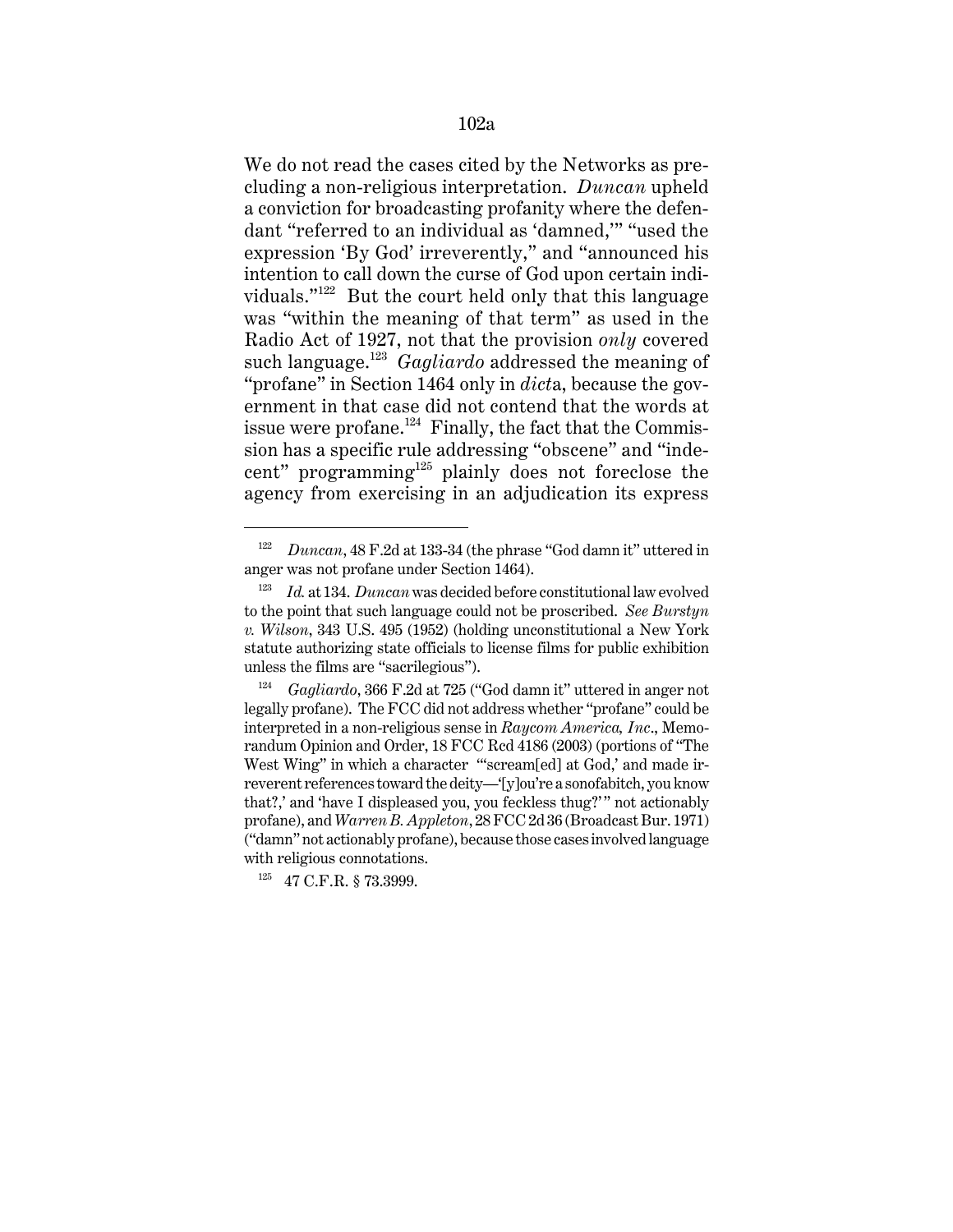We do not read the cases cited by the Networks as precluding a non-religious interpretation. *Duncan* upheld a conviction for broadcasting profanity where the defendant "referred to an individual as 'damned,'" "used the expression 'By God' irreverently," and "announced his intention to call down the curse of God upon certain individuals."122 But the court held only that this language was "within the meaning of that term" as used in the Radio Act of 1927, not that the provision *only* covered such language.123 *Gagliardo* addressed the meaning of "profane" in Section 1464 only in *dict*a, because the government in that case did not contend that the words at issue were profane. $124$  Finally, the fact that the Commission has a specific rule addressing "obscene" and "indecent" programming $125$  plainly does not foreclose the agency from exercising in an adjudication its express

<sup>122</sup> *Duncan*, 48 F.2d at 133-34 (the phrase "God damn it" uttered in anger was not profane under Section 1464).

<sup>123</sup> *Id.* at 134. *Duncan* was decided before constitutional law evolved to the point that such language could not be proscribed. *See Burstyn v. Wilson*, 343 U.S. 495 (1952) (holding unconstitutional a New York statute authorizing state officials to license films for public exhibition unless the films are "sacrilegious").

<sup>124</sup> *Gagliardo*, 366 F.2d at 725 ("God damn it" uttered in anger not legally profane). The FCC did not address whether "profane" could be interpreted in a non-religious sense in *Raycom America, Inc*., Memorandum Opinion and Order, 18 FCC Rcd 4186 (2003) (portions of "The West Wing" in which a character "scream[ed] at God,' and made irreverent references toward the deity—'[y]ou're a sonofabitch, you know that?,' and 'have I displeased you, you feckless thug?'" not actionably profane), and *Warren B. Appleton*, 28 FCC 2d 36 (Broadcast Bur. 1971) ("damn" not actionably profane), because those cases involved language with religious connotations.

 $^{125}$  47 C.F.R. § 73.3999.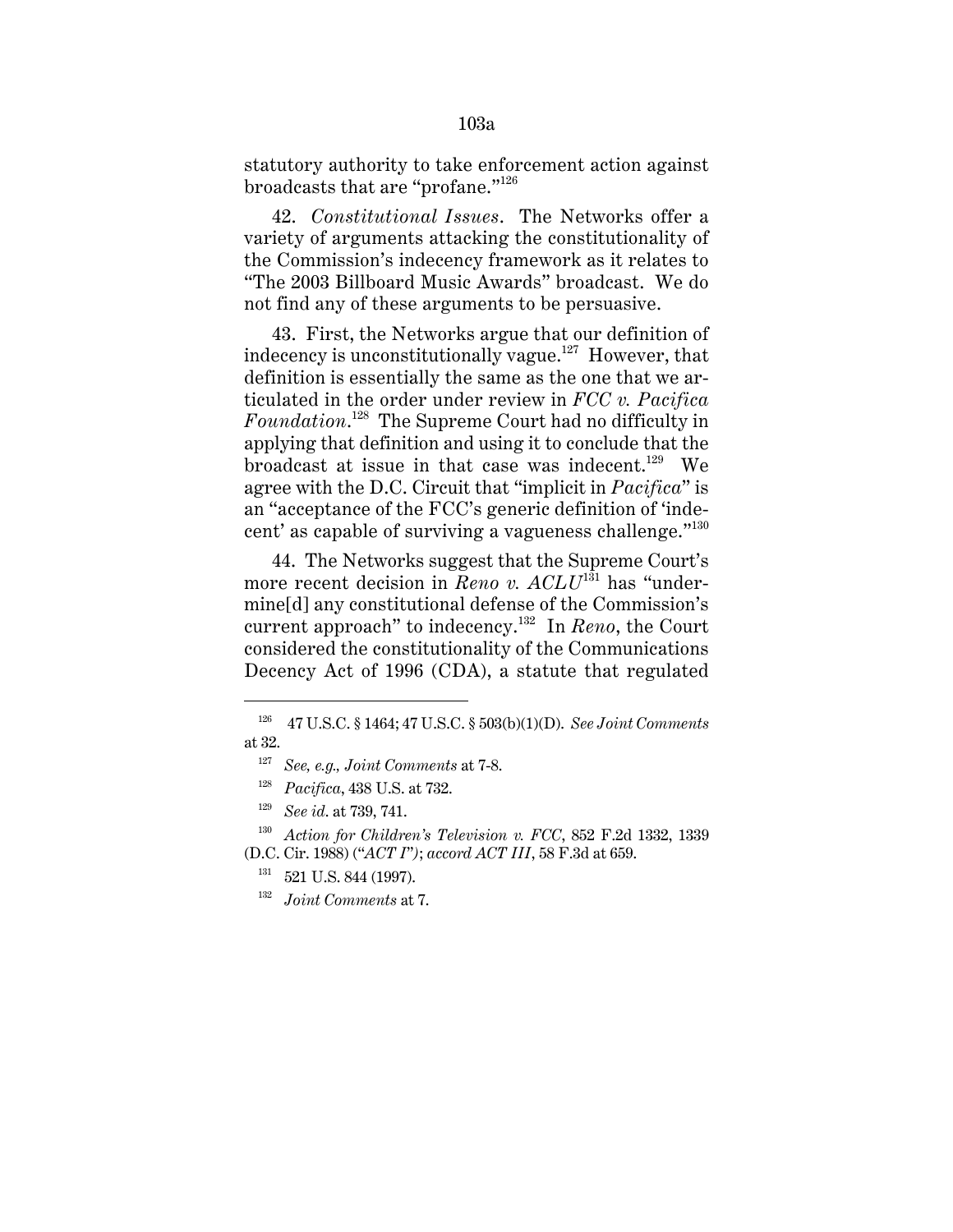statutory authority to take enforcement action against broadcasts that are "profane."<sup>126</sup>

42. *Constitutional Issues*. The Networks offer a variety of arguments attacking the constitutionality of the Commission's indecency framework as it relates to "The 2003 Billboard Music Awards" broadcast. We do not find any of these arguments to be persuasive.

43. First, the Networks argue that our definition of indecency is unconstitutionally vague.<sup>127</sup> However, that definition is essentially the same as the one that we articulated in the order under review in *FCC v. Pacifica Foundation*. 128 The Supreme Court had no difficulty in applying that definition and using it to conclude that the broadcast at issue in that case was indecent.<sup>129</sup> We agree with the D.C. Circuit that "implicit in *Pacifica*" is an "acceptance of the FCC's generic definition of 'indecent' as capable of surviving a vagueness challenge."<sup>130</sup>

44. The Networks suggest that the Supreme Court's more recent decision in *Reno v. ACLU*<sup>131</sup> has "undermine[d] any constitutional defense of the Commission's current approach" to indecency.132 In *Reno*, the Court considered the constitutionality of the Communications Decency Act of 1996 (CDA), a statute that regulated

<sup>126 47</sup> U.S.C. § 1464; 47 U.S.C. § 503(b)(1)(D). *See Joint Comments* at 32.

<sup>127</sup> *See, e.g., Joint Comments* at 7-8.

<sup>128</sup> *Pacifica*, 438 U.S. at 732.

<sup>129</sup> *See id*. at 739, 741.

<sup>130</sup> *Action for Children's Television v. FCC*, 852 F.2d 1332, 1339 (D.C. Cir. 1988) ("*ACT I*"*)*; *accord ACT III*, 58 F.3d at 659.

<sup>&</sup>lt;sup>131</sup> 521 U.S. 844 (1997).

<sup>132</sup> *Joint Comments* at 7.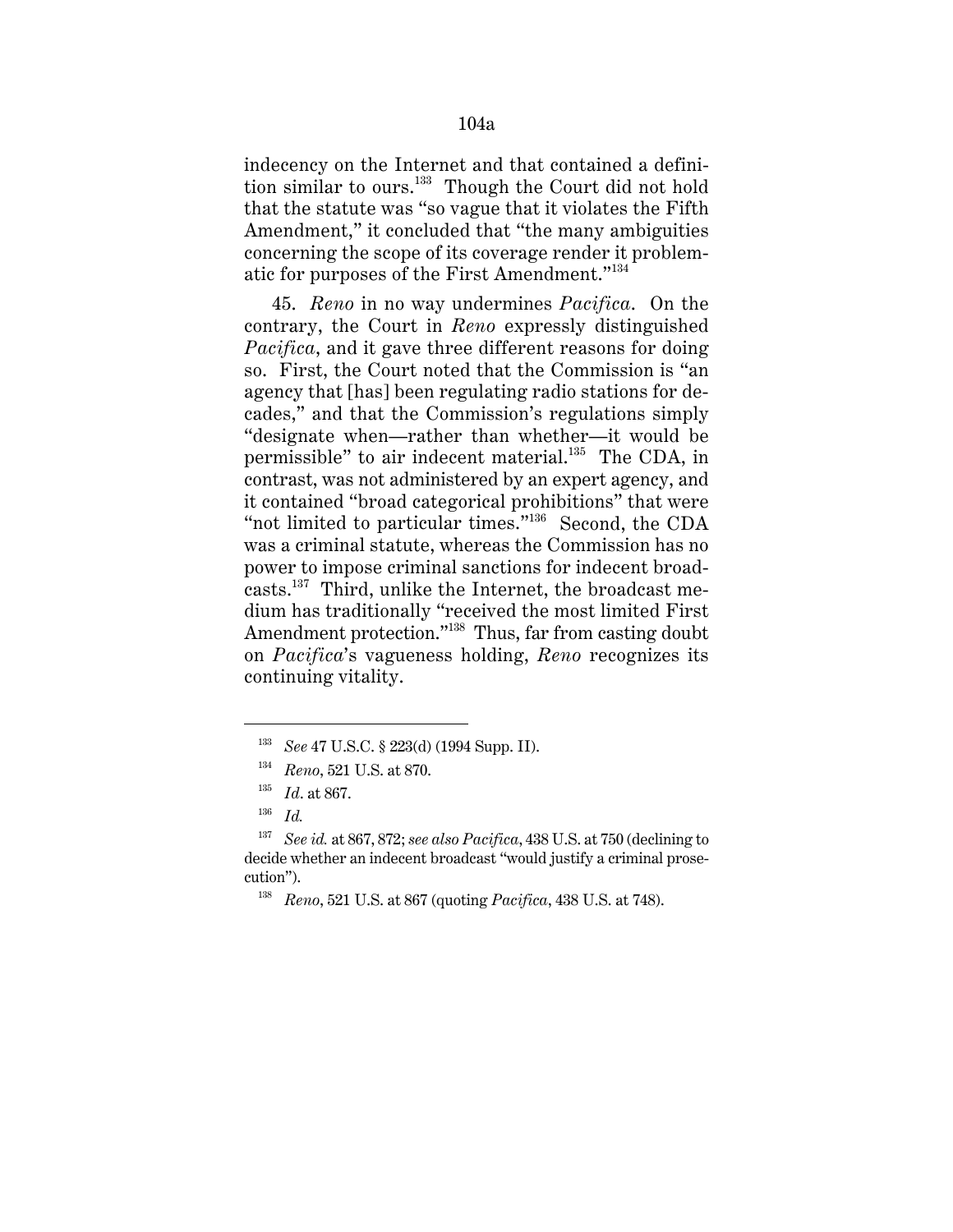indecency on the Internet and that contained a definition similar to ours.<sup>133</sup> Though the Court did not hold that the statute was "so vague that it violates the Fifth Amendment," it concluded that "the many ambiguities concerning the scope of its coverage render it problematic for purposes of the First Amendment."<sup>134</sup>

45. *Reno* in no way undermines *Pacifica*. On the contrary, the Court in *Reno* expressly distinguished *Pacifica*, and it gave three different reasons for doing so. First, the Court noted that the Commission is "an agency that [has] been regulating radio stations for decades," and that the Commission's regulations simply "designate when—rather than whether—it would be permissible" to air indecent material.<sup>135</sup> The CDA, in contrast, was not administered by an expert agency, and it contained "broad categorical prohibitions" that were "not limited to particular times."<sup>136</sup> Second, the CDA was a criminal statute, whereas the Commission has no power to impose criminal sanctions for indecent broadcasts. $137$  Third, unlike the Internet, the broadcast medium has traditionally "received the most limited First Amendment protection."<sup>138</sup> Thus, far from casting doubt on *Pacifica*'s vagueness holding, *Reno* recognizes its continuing vitality.

<sup>133</sup> *See* 47 U.S.C. § 223(d) (1994 Supp. II).

<sup>134</sup> *Reno*, 521 U.S. at 870.

<sup>135</sup> *Id*. at 867.

<sup>136</sup> *Id.*

<sup>137</sup> *See id.* at 867, 872; *see also Pacifica*, 438 U.S. at 750 (declining to decide whether an indecent broadcast "would justify a criminal prosecution").

<sup>138</sup> *Reno*, 521 U.S. at 867 (quoting *Pacifica*, 438 U.S. at 748).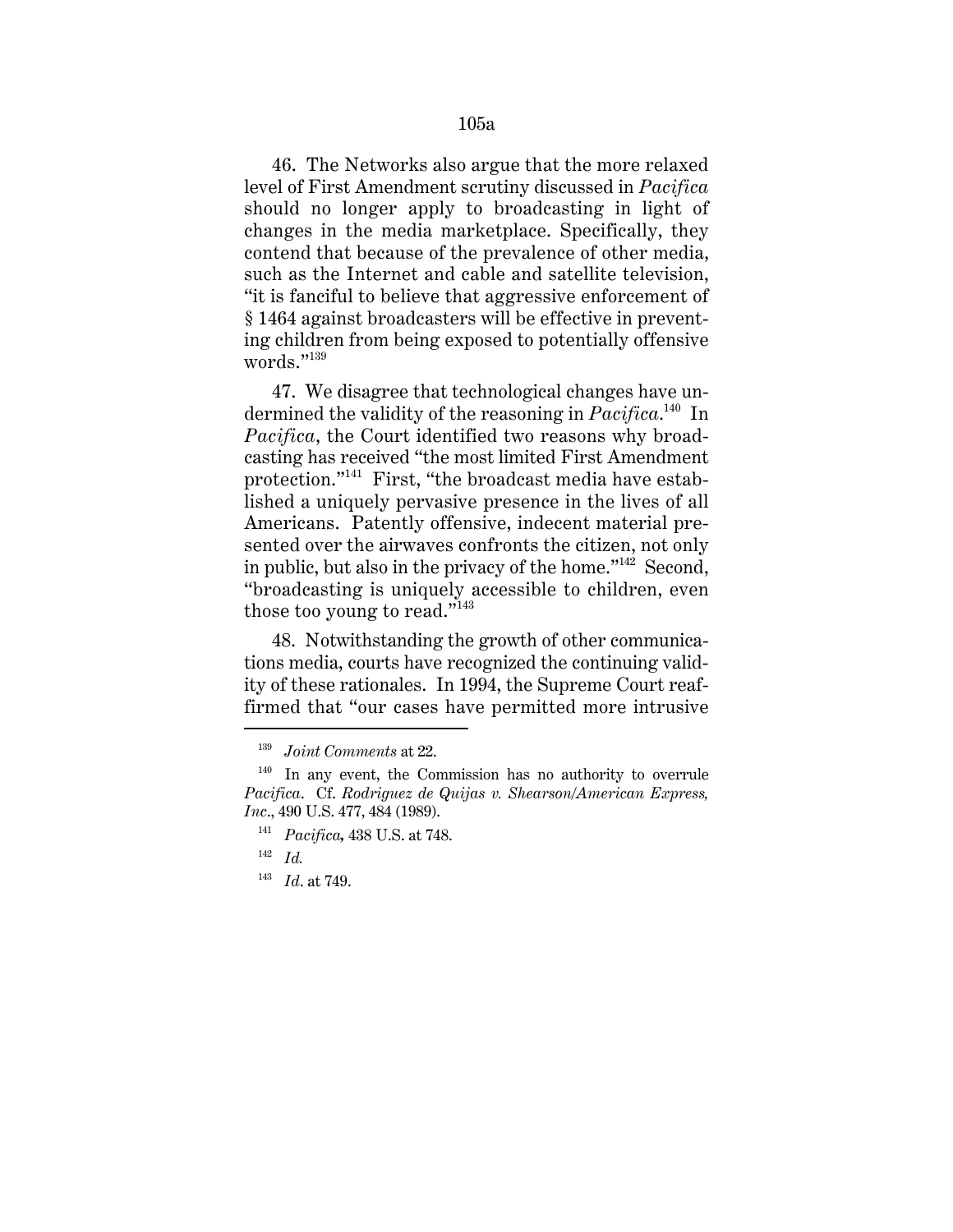46. The Networks also argue that the more relaxed level of First Amendment scrutiny discussed in *Pacifica* should no longer apply to broadcasting in light of changes in the media marketplace. Specifically, they contend that because of the prevalence of other media, such as the Internet and cable and satellite television, "it is fanciful to believe that aggressive enforcement of § 1464 against broadcasters will be effective in preventing children from being exposed to potentially offensive words."139

47. We disagree that technological changes have undermined the validity of the reasoning in *Pacifica*. 140 In *Pacifica*, the Court identified two reasons why broadcasting has received "the most limited First Amendment protection."141 First, "the broadcast media have established a uniquely pervasive presence in the lives of all Americans. Patently offensive, indecent material presented over the airwaves confronts the citizen, not only in public, but also in the privacy of the home." $142$  Second, "broadcasting is uniquely accessible to children, even those too young to read."<sup>143</sup>

48. Notwithstanding the growth of other communications media, courts have recognized the continuing validity of these rationales. In 1994, the Supreme Court reaffirmed that "our cases have permitted more intrusive

<sup>139</sup> *Joint Comments* at 22.

 $140$  In any event, the Commission has no authority to overrule *Pacifica*. Cf. *Rodriguez de Quijas v. Shearson/American Express, Inc*., 490 U.S. 477, 484 (1989).

<sup>141</sup> *Pacifica,* 438 U.S. at 748.

<sup>142</sup> *Id.*

<sup>143</sup> *Id*. at 749.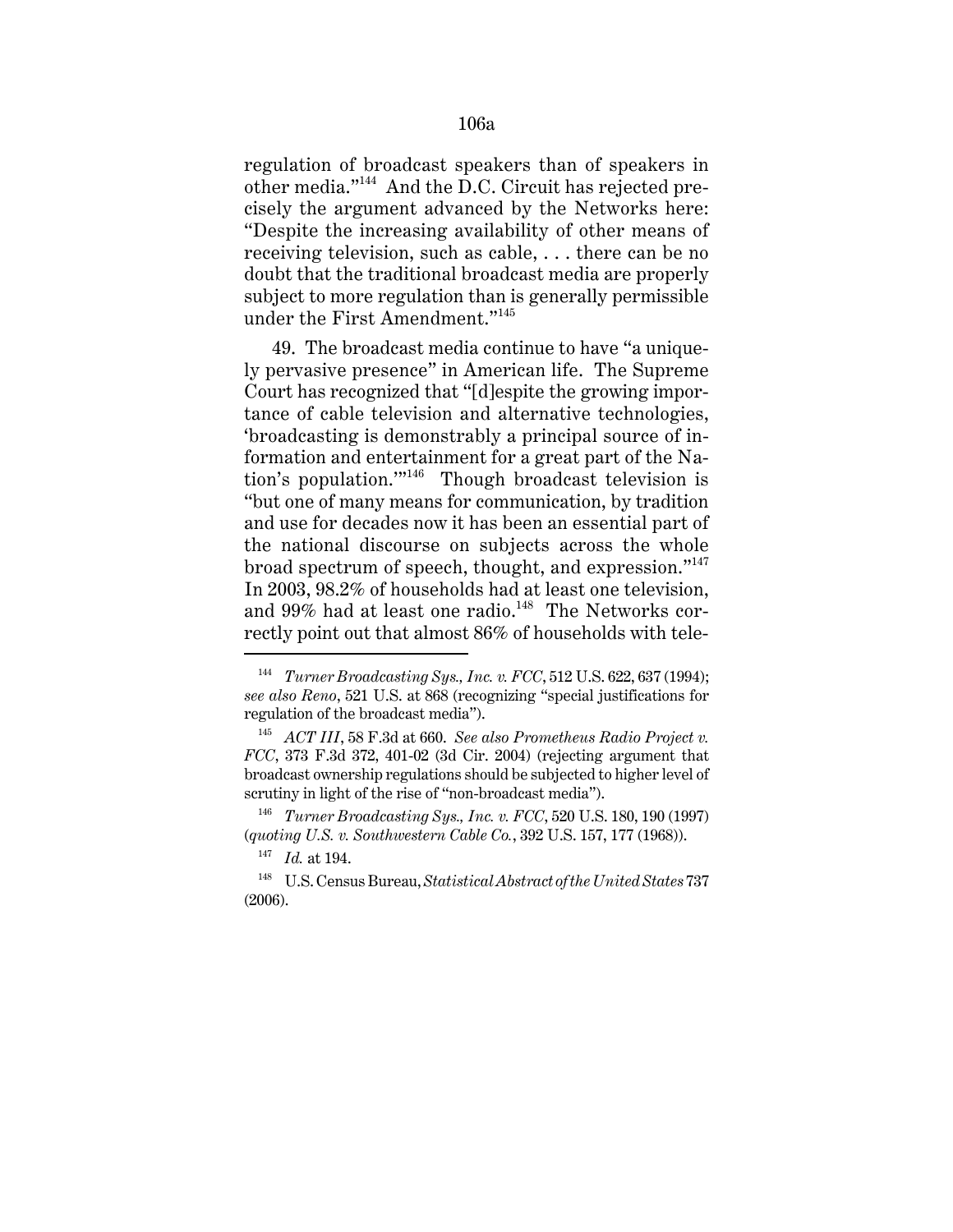regulation of broadcast speakers than of speakers in other media."144 And the D.C. Circuit has rejected precisely the argument advanced by the Networks here: "Despite the increasing availability of other means of receiving television, such as cable, . . . there can be no doubt that the traditional broadcast media are properly subject to more regulation than is generally permissible under the First Amendment."<sup>145</sup>

49. The broadcast media continue to have "a uniquely pervasive presence" in American life. The Supreme Court has recognized that "[d]espite the growing importance of cable television and alternative technologies, 'broadcasting is demonstrably a principal source of information and entertainment for a great part of the Nation's population.'"146 Though broadcast television is "but one of many means for communication, by tradition and use for decades now it has been an essential part of the national discourse on subjects across the whole broad spectrum of speech, thought, and expression."<sup>147</sup> In 2003, 98.2% of households had at least one television, and 99% had at least one radio.<sup>148</sup> The Networks correctly point out that almost 86% of households with tele-

<sup>144</sup> *Turner Broadcasting Sys., Inc. v. FCC*, 512 U.S. 622, 637 (1994); *see also Reno*, 521 U.S. at 868 (recognizing "special justifications for regulation of the broadcast media").

<sup>145</sup> *ACT III*, 58 F.3d at 660. *See also Prometheus Radio Project v. FCC*, 373 F.3d 372, 401-02 (3d Cir. 2004) (rejecting argument that broadcast ownership regulations should be subjected to higher level of scrutiny in light of the rise of "non-broadcast media").

<sup>146</sup> *Turner Broadcasting Sys., Inc. v. FCC*, 520 U.S. 180, 190 (1997) (*quoting U.S. v. Southwestern Cable Co.*, 392 U.S. 157, 177 (1968)).

<sup>147</sup> *Id.* at 194.

<sup>148</sup> U.S. Census Bureau, *Statistical Abstract of the United States* 737 (2006).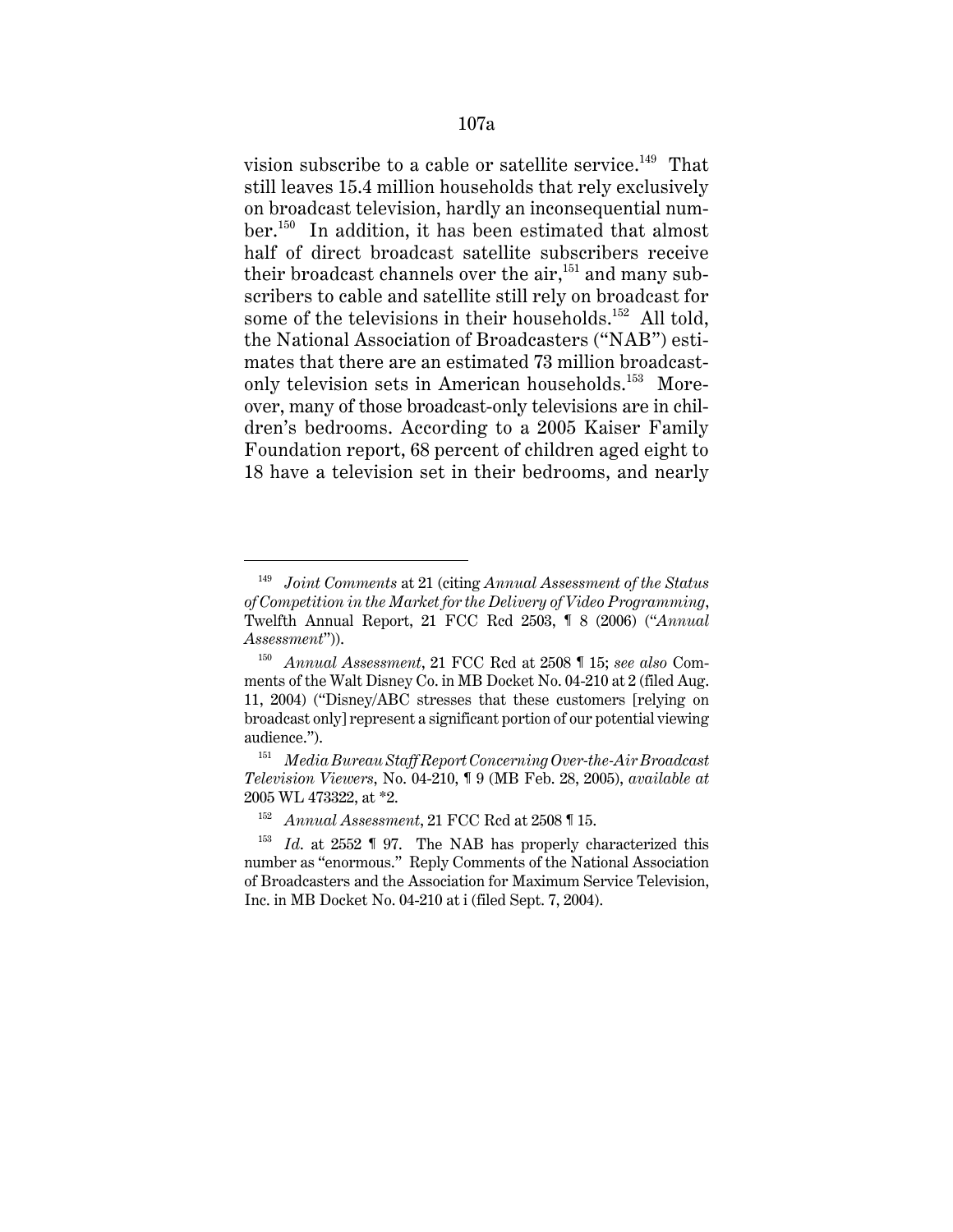vision subscribe to a cable or satellite service.<sup>149</sup> That still leaves 15.4 million households that rely exclusively on broadcast television, hardly an inconsequential number.150 In addition, it has been estimated that almost half of direct broadcast satellite subscribers receive their broadcast channels over the air,  $151$  and many subscribers to cable and satellite still rely on broadcast for some of the televisions in their households.<sup>152</sup> All told, the National Association of Broadcasters ("NAB") estimates that there are an estimated 73 million broadcastonly television sets in American households.<sup>153</sup> Moreover, many of those broadcast-only televisions are in children's bedrooms. According to a 2005 Kaiser Family Foundation report, 68 percent of children aged eight to 18 have a television set in their bedrooms, and nearly

<sup>149</sup> *Joint Comments* at 21 (citing *Annual Assessment of the Status of Competition in the Market for the Delivery of Video Programming*, Twelfth Annual Report, 21 FCC Rcd 2503, ¶ 8 (2006) ("*Annual Assessment*")).

<sup>150</sup> *Annual Assessment*, 21 FCC Rcd at 2508 ¶ 15; *see also* Comments of the Walt Disney Co. in MB Docket No. 04-210 at 2 (filed Aug. 11, 2004) ("Disney/ABC stresses that these customers [relying on broadcast only] represent a significant portion of our potential viewing audience.").

<sup>151</sup> *Media Bureau Staff Report Concerning Over-the-Air Broadcast Television Viewers*, No. 04-210, ¶ 9 (MB Feb. 28, 2005), *available at* 2005 WL 473322, at \*2.

<sup>152</sup> *Annual Assessment*, 21 FCC Rcd at 2508 ¶ 15.

<sup>153</sup> *Id*. at 2552 ¶ 97. The NAB has properly characterized this number as "enormous." Reply Comments of the National Association of Broadcasters and the Association for Maximum Service Television, Inc. in MB Docket No. 04-210 at i (filed Sept. 7, 2004).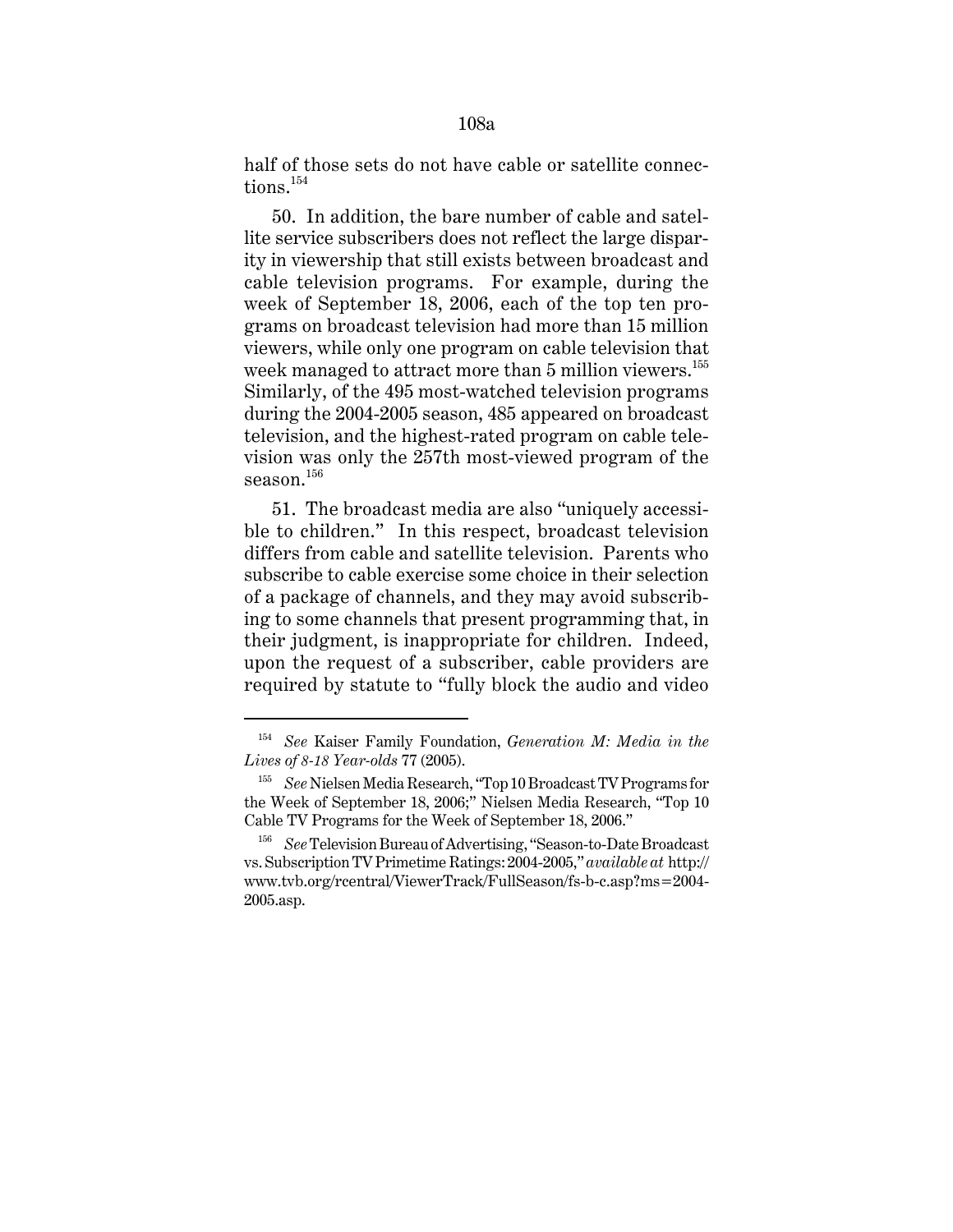half of those sets do not have cable or satellite connections  $^{154}$ 

50. In addition, the bare number of cable and satellite service subscribers does not reflect the large disparity in viewership that still exists between broadcast and cable television programs. For example, during the week of September 18, 2006, each of the top ten programs on broadcast television had more than 15 million viewers, while only one program on cable television that week managed to attract more than 5 million viewers.<sup>155</sup> Similarly, of the 495 most-watched television programs during the 2004-2005 season, 485 appeared on broadcast television, and the highest-rated program on cable television was only the 257th most-viewed program of the season.<sup>156</sup>

51. The broadcast media are also "uniquely accessible to children." In this respect, broadcast television differs from cable and satellite television. Parents who subscribe to cable exercise some choice in their selection of a package of channels, and they may avoid subscribing to some channels that present programming that, in their judgment, is inappropriate for children. Indeed, upon the request of a subscriber, cable providers are required by statute to "fully block the audio and video

<sup>154</sup> *See* Kaiser Family Foundation, *Generation M: Media in the Lives of 8-18 Year-olds* 77 (2005).

<sup>155</sup> *See* Nielsen Media Research, "Top 10 Broadcast TV Programs for the Week of September 18, 2006;" Nielsen Media Research, "Top 10 Cable TV Programs for the Week of September 18, 2006."

<sup>&</sup>lt;sup>156</sup> *See* Television Bureau of Advertising, "Season-to-Date Broadcast vs. Subscription TV Primetime Ratings: 2004-2005," *available at* http:// www.tvb.org/rcentral/ViewerTrack/FullSeason/fs-b-c.asp?ms=2004- 2005.asp.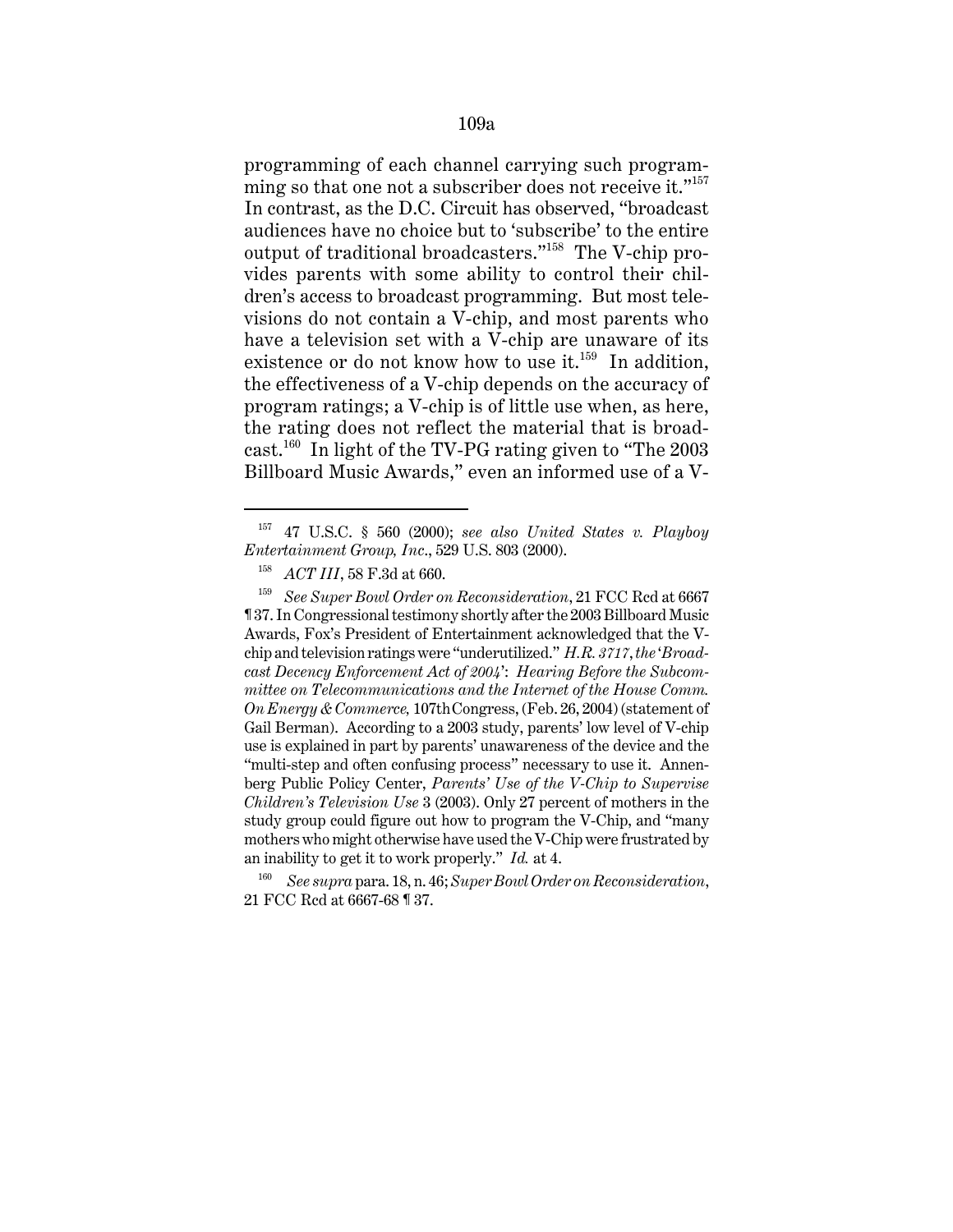programming of each channel carrying such programming so that one not a subscriber does not receive it."<sup>157</sup> In contrast, as the D.C. Circuit has observed, "broadcast audiences have no choice but to 'subscribe' to the entire output of traditional broadcasters."158 The V-chip provides parents with some ability to control their children's access to broadcast programming. But most televisions do not contain a V-chip, and most parents who have a television set with a V-chip are unaware of its existence or do not know how to use it. $159$  In addition, the effectiveness of a V-chip depends on the accuracy of program ratings; a V-chip is of little use when, as here, the rating does not reflect the material that is broadcast.<sup>160</sup> In light of the TV-PG rating given to "The  $2003$ " Billboard Music Awards," even an informed use of a V-

<sup>157</sup> 47 U.S.C. § 560 (2000); *see also United States v. Playboy Entertainment Group, Inc*., 529 U.S. 803 (2000).

<sup>158</sup> *ACT III*, 58 F.3d at 660.

<sup>159</sup> *See Super Bowl Order on Reconsideration*, 21 FCC Rcd at 6667 ¶ 37. In Congressional testimony shortly after the 2003 Billboard Music Awards, Fox's President of Entertainment acknowledged that the Vchip and television ratings were "underutilized." *H.R. 3717*, *the* '*Broadcast Decency Enforcement Act of 2004*': *Hearing Before the Subcommittee on Telecommunications and the Internet of the House Comm. On Energy & Commerce,* 107thCongress, (Feb. 26, 2004) (statement of Gail Berman). According to a 2003 study, parents' low level of V-chip use is explained in part by parents' unawareness of the device and the "multi-step and often confusing process" necessary to use it. Annenberg Public Policy Center, *Parents' Use of the V-Chip to Supervise Children's Television Use* 3 (2003). Only 27 percent of mothers in the study group could figure out how to program the V-Chip, and "many mothers who might otherwise have used the V-Chip were frustrated by an inability to get it to work properly." *Id.* at 4.

<sup>160</sup> *See supra* para. 18, n. 46; *Super Bowl Order on Reconsideration*, 21 FCC Rcd at 6667-68 ¶ 37.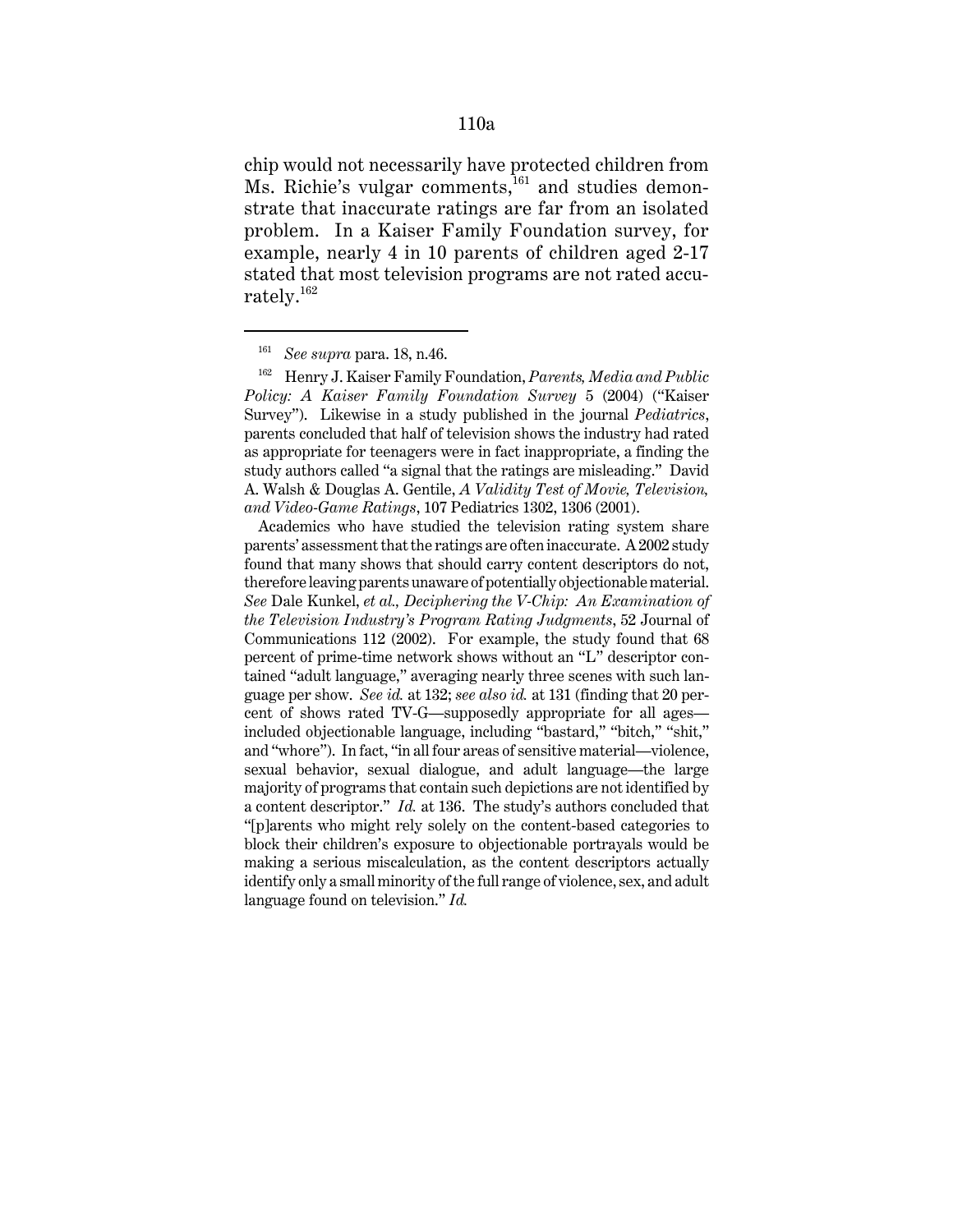chip would not necessarily have protected children from Ms. Richie's vulgar comments,<sup>161</sup> and studies demonstrate that inaccurate ratings are far from an isolated problem. In a Kaiser Family Foundation survey, for example, nearly 4 in 10 parents of children aged 2-17 stated that most television programs are not rated accurately.<sup>162</sup>

Academics who have studied the television rating system share parents' assessment that the ratings are often inaccurate. A 2002 study found that many shows that should carry content descriptors do not, therefore leaving parents unaware of potentially objectionable material. *See* Dale Kunkel, *et al., Deciphering the V-Chip: An Examination of the Television Industry's Program Rating Judgments*, 52 Journal of Communications 112 (2002). For example, the study found that 68 percent of prime-time network shows without an "L" descriptor contained "adult language," averaging nearly three scenes with such language per show. *See id.* at 132; *see also id.* at 131 (finding that 20 percent of shows rated TV-G—supposedly appropriate for all ages included objectionable language, including "bastard," "bitch," "shit," and "whore"). In fact, "in all four areas of sensitive material—violence, sexual behavior, sexual dialogue, and adult language—the large majority of programs that contain such depictions are not identified by a content descriptor." *Id.* at 136. The study's authors concluded that "[p]arents who might rely solely on the content-based categories to block their children's exposure to objectionable portrayals would be making a serious miscalculation, as the content descriptors actually identify only a small minority of the full range of violence, sex, and adult language found on television." *Id.*

<sup>161</sup> *See supra* para. 18, n.46.

<sup>162</sup> Henry J. Kaiser Family Foundation, *Parents, Media and Public Policy: A Kaiser Family Foundation Survey* 5 (2004) ("Kaiser Survey"). Likewise in a study published in the journal *Pediatrics*, parents concluded that half of television shows the industry had rated as appropriate for teenagers were in fact inappropriate, a finding the study authors called "a signal that the ratings are misleading." David A. Walsh & Douglas A. Gentile, *A Validity Test of Movie, Television, and Video-Game Ratings*, 107 Pediatrics 1302, 1306 (2001).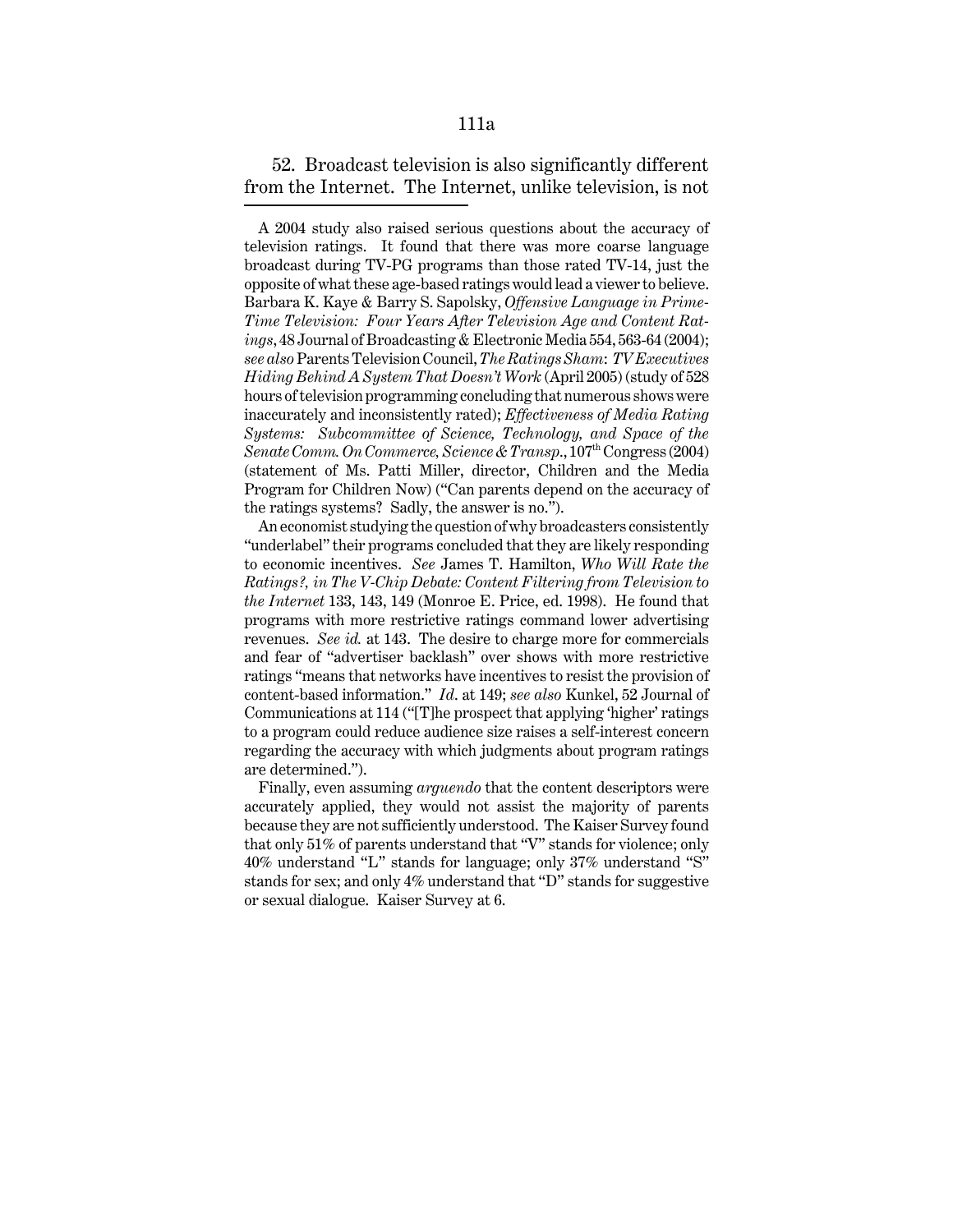52. Broadcast television is also significantly different from the Internet. The Internet, unlike television, is not

An economist studying the question of why broadcasters consistently "underlabel" their programs concluded that they are likely responding to economic incentives. *See* James T. Hamilton, *Who Will Rate the Ratings?, in The V-Chip Debate: Content Filtering from Television to the Internet* 133, 143, 149 (Monroe E. Price, ed. 1998). He found that programs with more restrictive ratings command lower advertising revenues. *See id.* at 143. The desire to charge more for commercials and fear of "advertiser backlash" over shows with more restrictive ratings "means that networks have incentives to resist the provision of content-based information." *Id*. at 149; *see also* Kunkel, 52 Journal of Communications at 114 ("[T]he prospect that applying 'higher' ratings to a program could reduce audience size raises a self-interest concern regarding the accuracy with which judgments about program ratings are determined.").

Finally, even assuming *arguendo* that the content descriptors were accurately applied, they would not assist the majority of parents because they are not sufficiently understood. The Kaiser Survey found that only 51% of parents understand that "V" stands for violence; only 40% understand "L" stands for language; only 37% understand "S" stands for sex; and only 4% understand that "D" stands for suggestive or sexual dialogue. Kaiser Survey at 6.

A 2004 study also raised serious questions about the accuracy of television ratings. It found that there was more coarse language broadcast during TV-PG programs than those rated TV-14, just the opposite of what these age-based ratings would lead a viewer to believe. Barbara K. Kaye & Barry S. Sapolsky, *Offensive Language in Prime-Time Television: Four Years After Television Age and Content Ratings*, 48 Journal of Broadcasting & Electronic Media 554, 563-64 (2004); *see also* Parents Television Council, *The Ratings Sham*: *TV Executives Hiding Behind A System That Doesn't Work* (April 2005) (study of 528 hours of television programming concluding that numerous shows were inaccurately and inconsistently rated); *Effectiveness of Media Rating Systems: Subcommittee of Science, Technology, and Space of the Senate Comm. On Commerce, Science & Transp.*,  $107<sup>th</sup> Congress (2004)$ (statement of Ms. Patti Miller, director, Children and the Media Program for Children Now) ("Can parents depend on the accuracy of the ratings systems? Sadly, the answer is no.").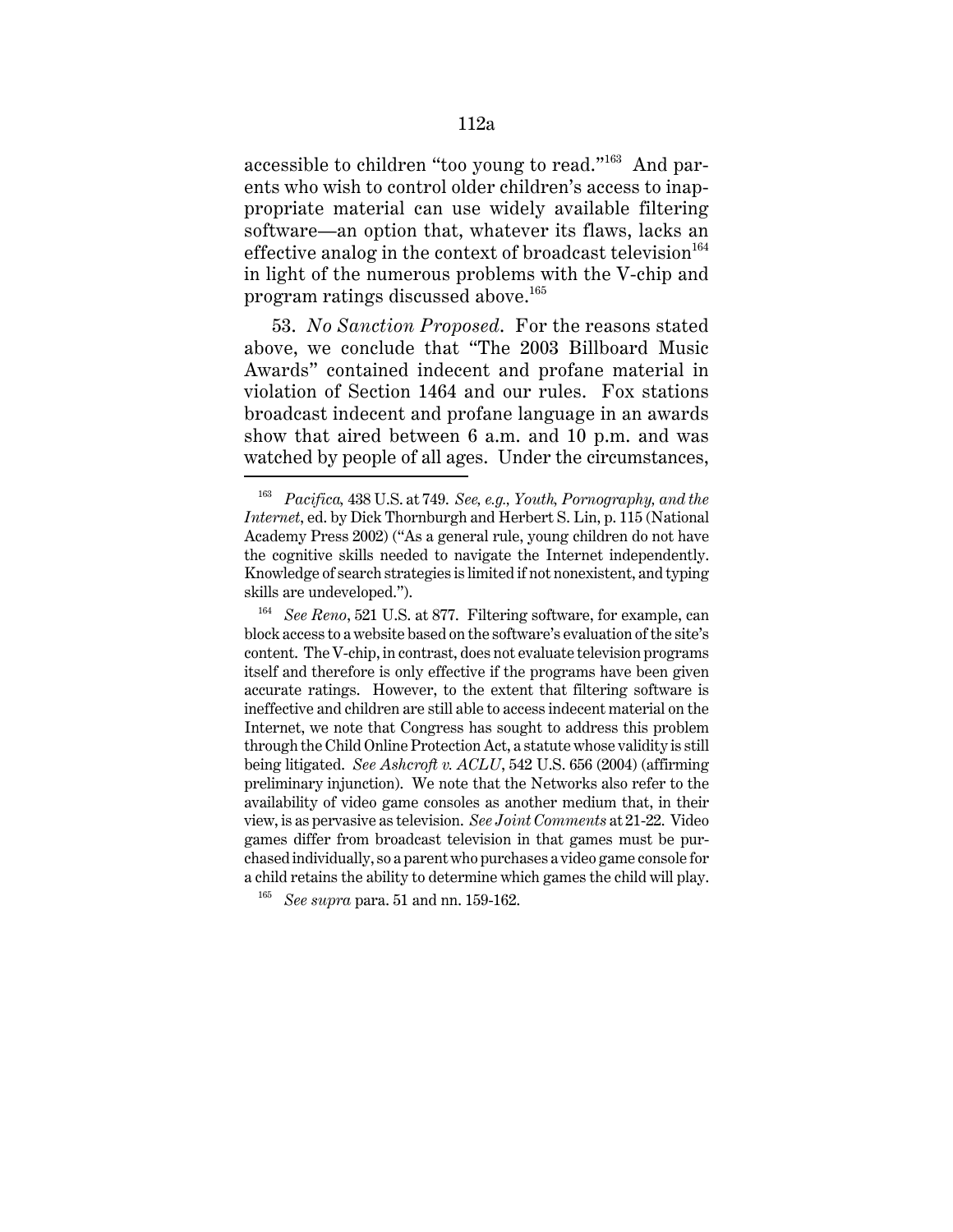accessible to children "too young to read."163 And parents who wish to control older children's access to inappropriate material can use widely available filtering software—an option that, whatever its flaws, lacks an effective analog in the context of broadcast television  $164$ in light of the numerous problems with the V-chip and program ratings discussed above.<sup>165</sup>

53. *No Sanction Proposed*. For the reasons stated above, we conclude that "The 2003 Billboard Music Awards" contained indecent and profane material in violation of Section 1464 and our rules. Fox stations broadcast indecent and profane language in an awards show that aired between 6 a.m. and 10 p.m. and was watched by people of all ages. Under the circumstances,

<sup>163</sup> *Pacifica,* 438 U.S. at 749. *See, e.g., Youth, Pornography, and the Internet*, ed. by Dick Thornburgh and Herbert S. Lin, p. 115 (National Academy Press 2002) ("As a general rule, young children do not have the cognitive skills needed to navigate the Internet independently. Knowledge of search strategies is limited if not nonexistent, and typing skills are undeveloped.").

<sup>164</sup> *See Reno*, 521 U.S. at 877. Filtering software, for example, can block access to a website based on the software's evaluation of the site's content. The V-chip, in contrast, does not evaluate television programs itself and therefore is only effective if the programs have been given accurate ratings. However, to the extent that filtering software is ineffective and children are still able to access indecent material on the Internet, we note that Congress has sought to address this problem through the Child Online Protection Act, a statute whose validity is still being litigated. *See Ashcroft v. ACLU*, 542 U.S. 656 (2004) (affirming preliminary injunction). We note that the Networks also refer to the availability of video game consoles as another medium that, in their view, is as pervasive as television. *See Joint Comments* at 21-22. Video games differ from broadcast television in that games must be purchased individually, so a parent who purchases a video game console for a child retains the ability to determine which games the child will play.

<sup>165</sup> *See supra* para. 51 and nn. 159-162.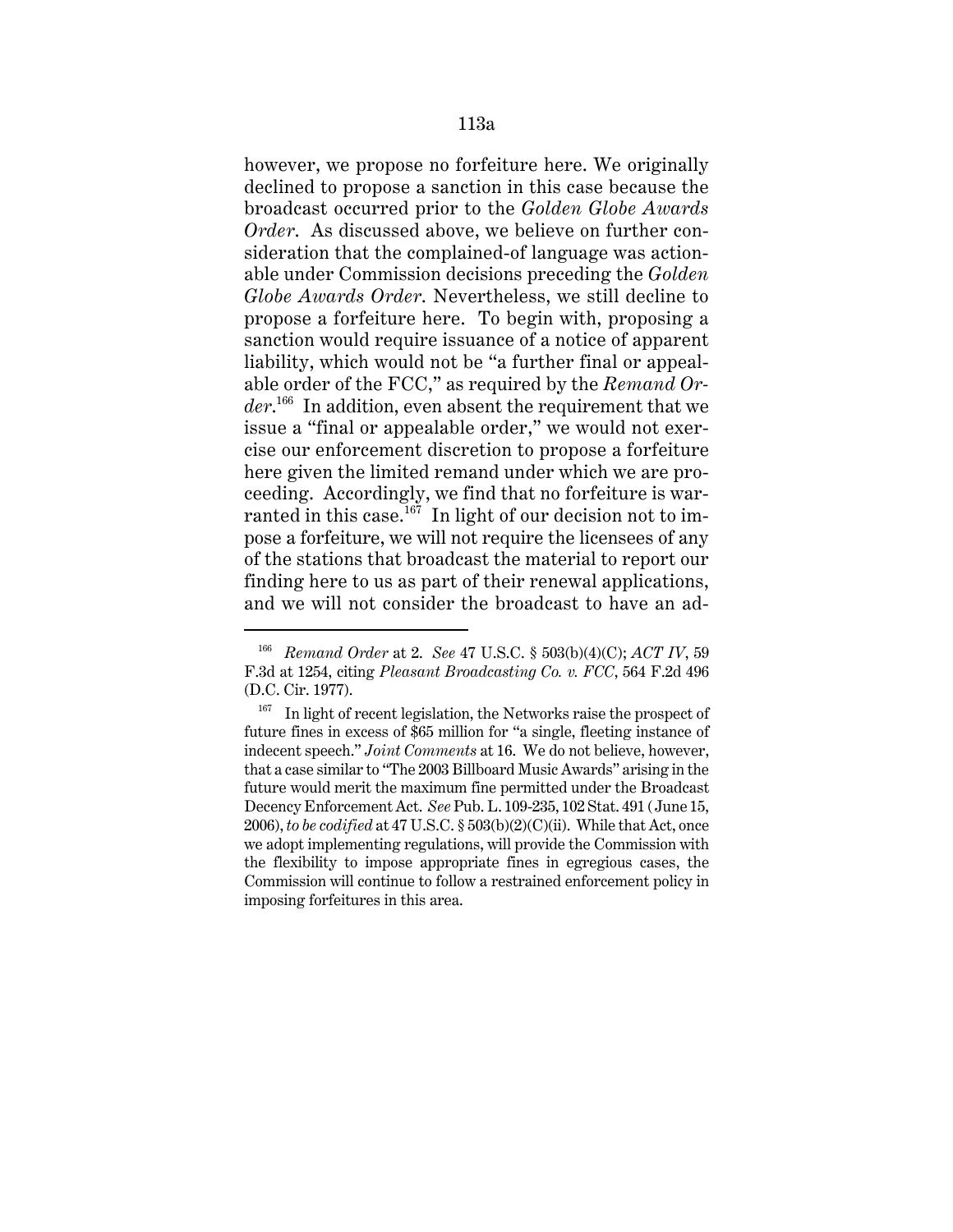however, we propose no forfeiture here. We originally declined to propose a sanction in this case because the broadcast occurred prior to the *Golden Globe Awards Order*. As discussed above, we believe on further consideration that the complained-of language was actionable under Commission decisions preceding the *Golden Globe Awards Order*. Nevertheless, we still decline to propose a forfeiture here. To begin with, proposing a sanction would require issuance of a notice of apparent liability, which would not be "a further final or appealable order of the FCC," as required by the *Remand Order*. 166 In addition, even absent the requirement that we issue a "final or appealable order," we would not exercise our enforcement discretion to propose a forfeiture here given the limited remand under which we are proceeding. Accordingly, we find that no forfeiture is warranted in this case.<sup>167</sup> In light of our decision not to impose a forfeiture, we will not require the licensees of any of the stations that broadcast the material to report our finding here to us as part of their renewal applications, and we will not consider the broadcast to have an ad-

<sup>166</sup> *Remand Order* at 2. *See* 47 U.S.C. § 503(b)(4)(C); *ACT IV*, 59 F.3d at 1254, citing *Pleasant Broadcasting Co. v. FCC*, 564 F.2d 496 (D.C. Cir. 1977).

 $167$  In light of recent legislation, the Networks raise the prospect of future fines in excess of \$65 million for "a single, fleeting instance of indecent speech." *Joint Comments* at 16. We do not believe, however, that a case similar to "The 2003 Billboard Music Awards" arising in the future would merit the maximum fine permitted under the Broadcast Decency Enforcement Act. *See* Pub. L. 109-235, 102 Stat. 491 (June 15, 2006), *to be codified* at 47 U.S.C. § 503(b)(2)(C)(ii). While that Act, once we adopt implementing regulations, will provide the Commission with the flexibility to impose appropriate fines in egregious cases, the Commission will continue to follow a restrained enforcement policy in imposing forfeitures in this area.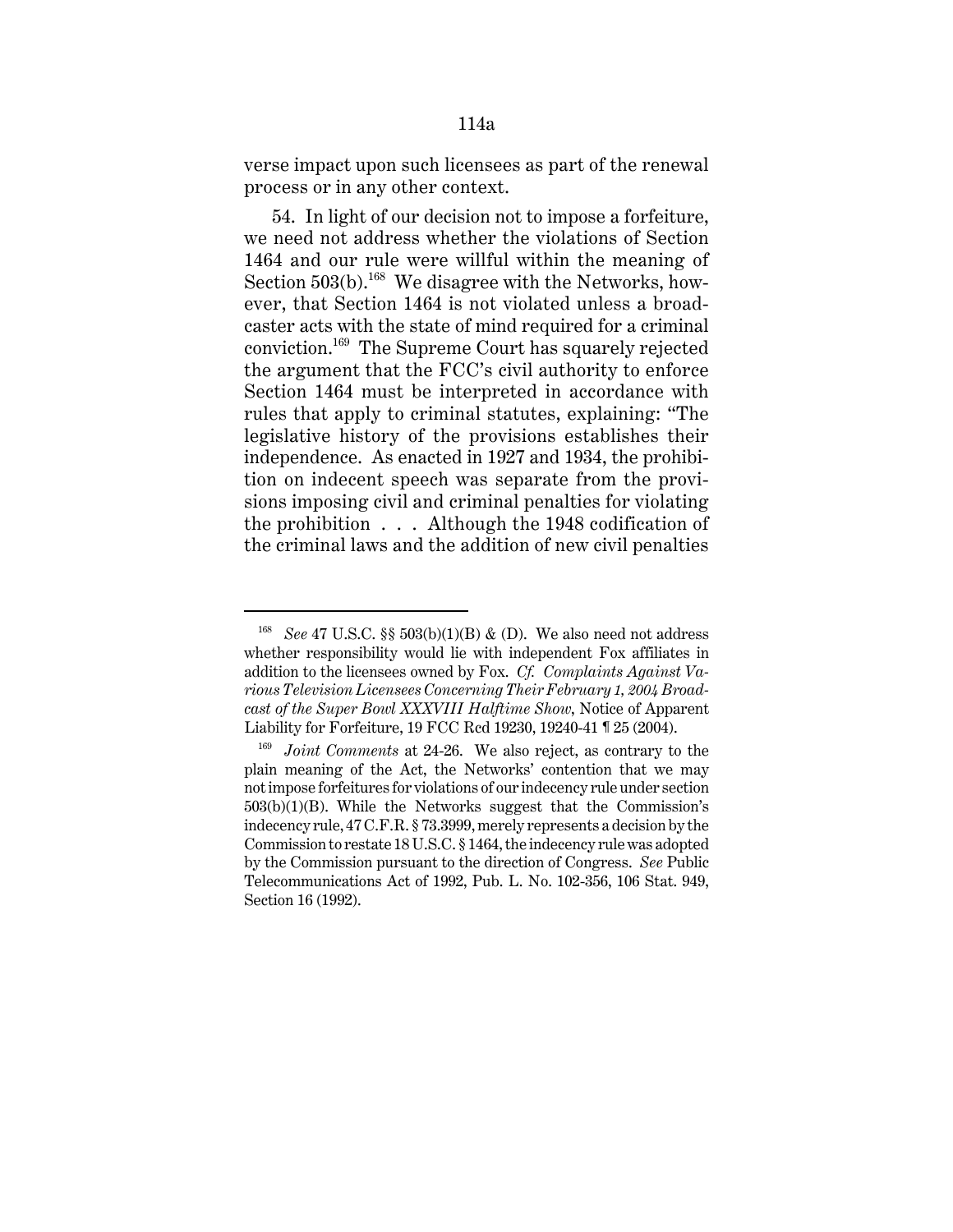verse impact upon such licensees as part of the renewal process or in any other context.

54. In light of our decision not to impose a forfeiture, we need not address whether the violations of Section 1464 and our rule were willful within the meaning of Section  $503(b)$ .<sup>168</sup> We disagree with the Networks, however, that Section 1464 is not violated unless a broadcaster acts with the state of mind required for a criminal conviction.169 The Supreme Court has squarely rejected the argument that the FCC's civil authority to enforce Section 1464 must be interpreted in accordance with rules that apply to criminal statutes, explaining: "The legislative history of the provisions establishes their independence. As enacted in 1927 and 1934, the prohibition on indecent speech was separate from the provisions imposing civil and criminal penalties for violating the prohibition . . . Although the 1948 codification of the criminal laws and the addition of new civil penalties

<sup>&</sup>lt;sup>168</sup> *See* 47 U.S.C. §§ 503(b)(1)(B) & (D). We also need not address whether responsibility would lie with independent Fox affiliates in addition to the licensees owned by Fox. *Cf. Complaints Against Various Television Licensees Concerning Their February 1, 2004 Broadcast of the Super Bowl XXXVIII Halftime Show*, Notice of Apparent Liability for Forfeiture, 19 FCC Rcd 19230, 19240-41 ¶ 25 (2004).

*Joint Comments* at 24-26. We also reject, as contrary to the plain meaning of the Act, the Networks' contention that we may not impose forfeitures for violations of our indecency rule under section 503(b)(1)(B). While the Networks suggest that the Commission's indecency rule, 47 C.F.R. § 73.3999, merely represents a decision by the Commission to restate 18 U.S.C. § 1464, the indecency rule was adopted by the Commission pursuant to the direction of Congress. *See* Public Telecommunications Act of 1992, Pub. L. No. 102-356, 106 Stat. 949, Section 16 (1992).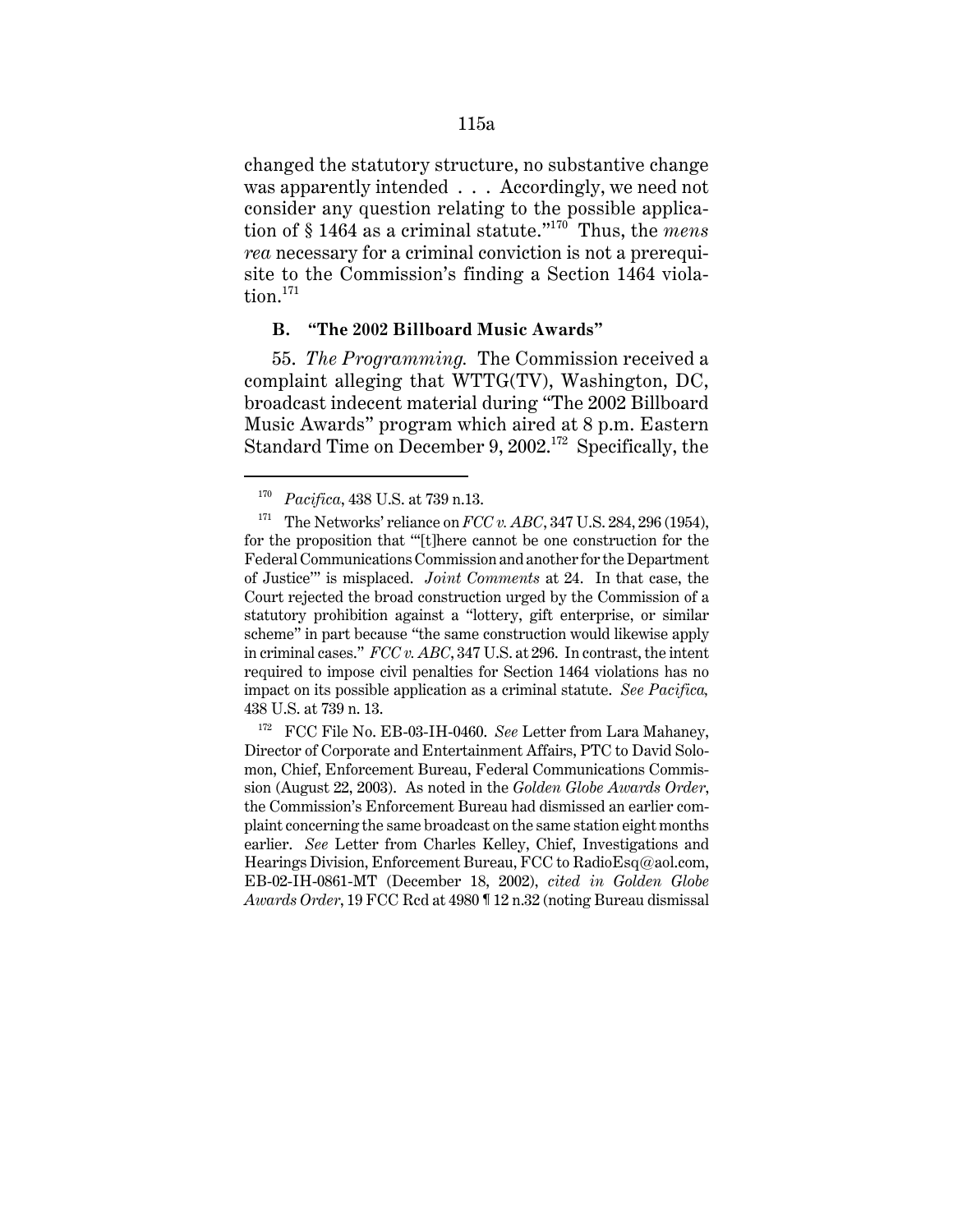changed the statutory structure, no substantive change was apparently intended . . . Accordingly, we need not consider any question relating to the possible application of § 1464 as a criminal statute."170 Thus, the *mens rea* necessary for a criminal conviction is not a prerequisite to the Commission's finding a Section 1464 violation.<sup>171</sup>

#### **B. "The 2002 Billboard Music Awards"**

55. *The Programming.* The Commission received a complaint alleging that WTTG(TV), Washington, DC, broadcast indecent material during "The 2002 Billboard Music Awards" program which aired at 8 p.m. Eastern Standard Time on December 9, 2002.<sup>172</sup> Specifically, the

<sup>170</sup> *Pacifica*, 438 U.S. at 739 n.13.

<sup>&</sup>lt;sup>171</sup> The Networks' reliance on *FCC v. ABC*, 347 U.S. 284, 296 (1954), for the proposition that "'[t]here cannot be one construction for the Federal Communications Commission and another for the Department of Justice'" is misplaced. *Joint Comments* at 24. In that case, the Court rejected the broad construction urged by the Commission of a statutory prohibition against a "lottery, gift enterprise, or similar scheme" in part because "the same construction would likewise apply in criminal cases." *FCC v. ABC*, 347 U.S. at 296. In contrast, the intent required to impose civil penalties for Section 1464 violations has no impact on its possible application as a criminal statute. *See Pacifica,* 438 U.S. at 739 n. 13.

<sup>&</sup>lt;sup>172</sup> FCC File No. EB-03-IH-0460. *See* Letter from Lara Mahaney, Director of Corporate and Entertainment Affairs, PTC to David Solomon, Chief, Enforcement Bureau, Federal Communications Commission (August 22, 2003). As noted in the *Golden Globe Awards Order*, the Commission's Enforcement Bureau had dismissed an earlier complaint concerning the same broadcast on the same station eight months earlier. *See* Letter from Charles Kelley, Chief, Investigations and Hearings Division, Enforcement Bureau, FCC to RadioEsq@aol.com, EB-02-IH-0861-MT (December 18, 2002), *cited in Golden Globe Awards Order*, 19 FCC Rcd at 4980 ¶ 12 n.32 (noting Bureau dismissal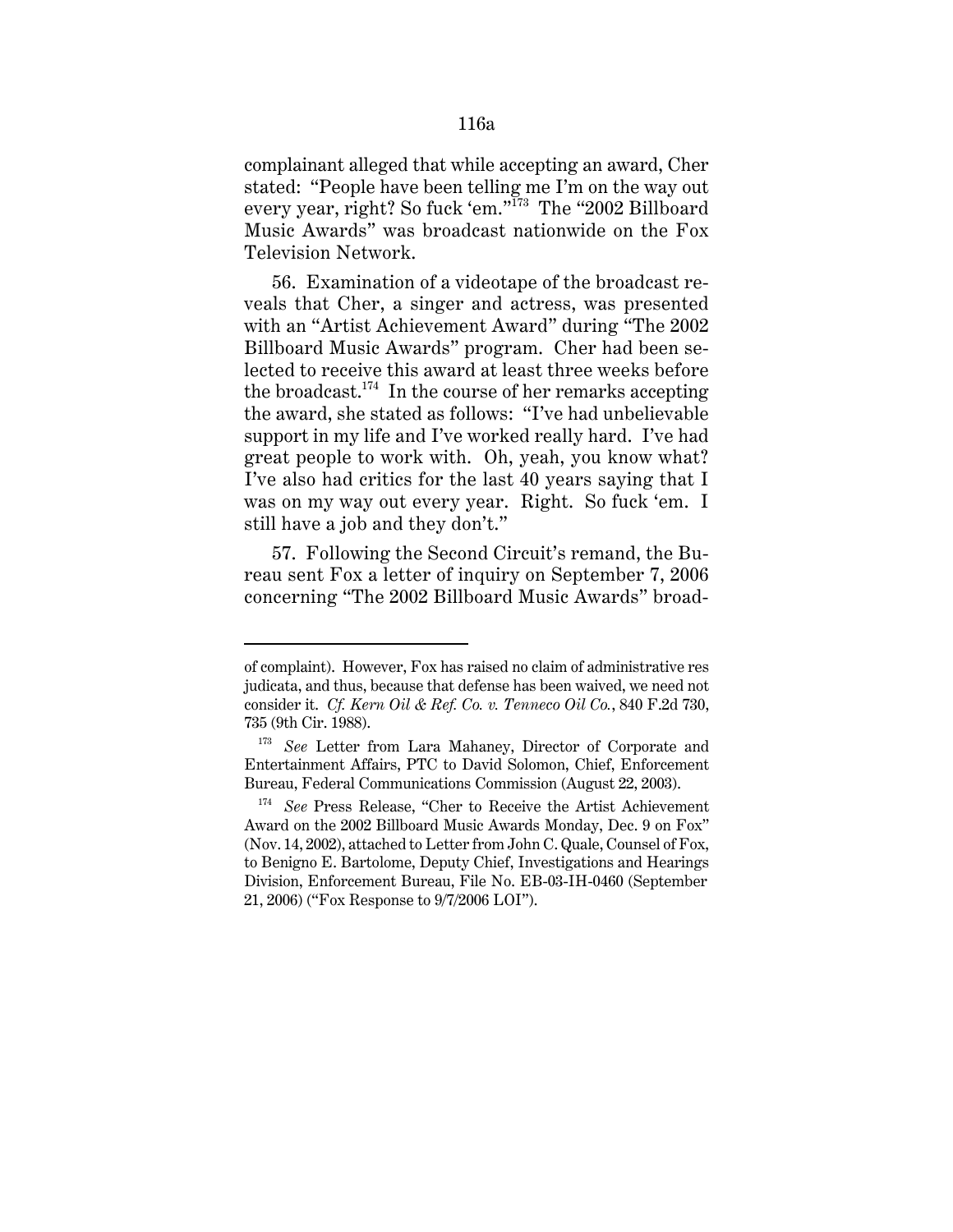complainant alleged that while accepting an award, Cher stated: "People have been telling me I'm on the way out every year, right? So fuck 'em."<sup>173</sup> The "2002 Billboard Music Awards" was broadcast nationwide on the Fox Television Network.

56. Examination of a videotape of the broadcast reveals that Cher, a singer and actress, was presented with an "Artist Achievement Award" during "The 2002 Billboard Music Awards" program. Cher had been selected to receive this award at least three weeks before the broadcast.<sup>174</sup> In the course of her remarks accepting the award, she stated as follows: "I've had unbelievable support in my life and I've worked really hard. I've had great people to work with. Oh, yeah, you know what? I've also had critics for the last 40 years saying that I was on my way out every year. Right. So fuck 'em. I still have a job and they don't."

57. Following the Second Circuit's remand, the Bureau sent Fox a letter of inquiry on September 7, 2006 concerning "The 2002 Billboard Music Awards" broad-

of complaint). However, Fox has raised no claim of administrative res judicata, and thus, because that defense has been waived, we need not consider it. *Cf. Kern Oil & Ref. Co. v. Tenneco Oil Co.*, 840 F.2d 730, 735 (9th Cir. 1988).

<sup>&</sup>lt;sup>173</sup> See Letter from Lara Mahaney, Director of Corporate and Entertainment Affairs, PTC to David Solomon, Chief, Enforcement Bureau, Federal Communications Commission (August 22, 2003).

<sup>174</sup> *See* Press Release, "Cher to Receive the Artist Achievement Award on the 2002 Billboard Music Awards Monday, Dec. 9 on Fox" (Nov. 14, 2002), attached to Letter from John C. Quale, Counsel of Fox, to Benigno E. Bartolome, Deputy Chief, Investigations and Hearings Division, Enforcement Bureau, File No. EB-03-IH-0460 (September 21, 2006) ("Fox Response to 9/7/2006 LOI").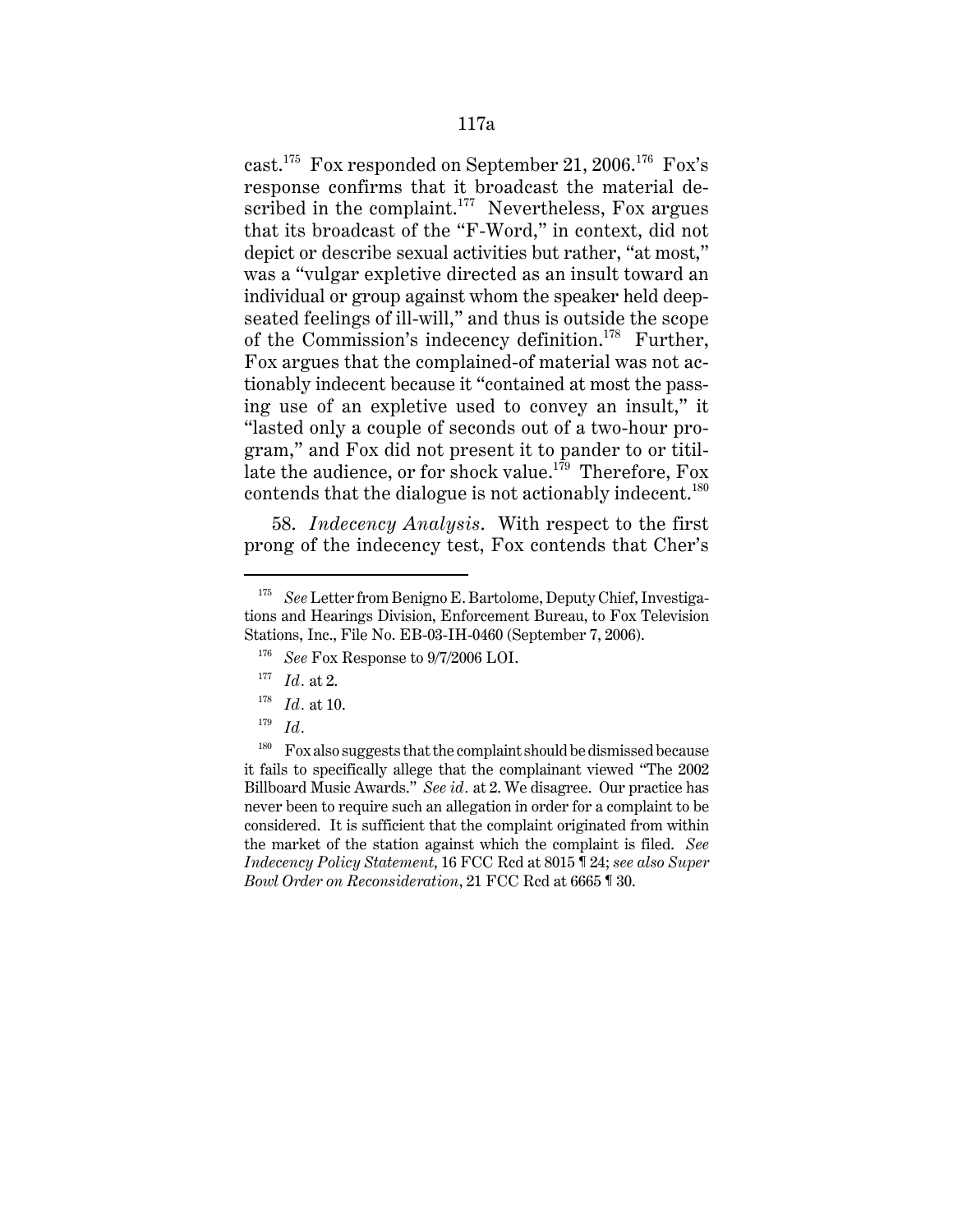cast.175 Fox responded on September 21, 2006.176 Fox's response confirms that it broadcast the material described in the complaint.<sup>177</sup> Nevertheless, Fox argues that its broadcast of the "F-Word," in context, did not depict or describe sexual activities but rather, "at most," was a "vulgar expletive directed as an insult toward an individual or group against whom the speaker held deepseated feelings of ill-will," and thus is outside the scope of the Commission's indecency definition.<sup>178</sup> Further, Fox argues that the complained-of material was not actionably indecent because it "contained at most the passing use of an expletive used to convey an insult," it "lasted only a couple of seconds out of a two-hour program," and Fox did not present it to pander to or titillate the audience, or for shock value.<sup>179</sup> Therefore, Fox contends that the dialogue is not actionably indecent.<sup>180</sup>

58. *Indecency Analysis*. With respect to the first prong of the indecency test, Fox contends that Cher's

<sup>180</sup> Fox also suggests that the complaint should be dismissed because it fails to specifically allege that the complainant viewed "The 2002 Billboard Music Awards." *See id.* at 2. We disagree. Our practice has never been to require such an allegation in order for a complaint to be considered. It is sufficient that the complaint originated from within the market of the station against which the complaint is filed. *See Indecency Policy Statement*, 16 FCC Rcd at 8015 ¶ 24; *see also Super Bowl Order on Reconsideration*, 21 FCC Rcd at 6665 ¶ 30.

<sup>175</sup> *See* Letter from Benigno E. Bartolome, Deputy Chief, Investigations and Hearings Division, Enforcement Bureau, to Fox Television Stations, Inc., File No. EB-03-IH-0460 (September 7, 2006).

<sup>176</sup> *See* Fox Response to 9/7/2006 LOI.

<sup>177</sup> *Id.* at 2.

<sup>178</sup> *Id.* at 10.

<sup>179</sup> *Id.*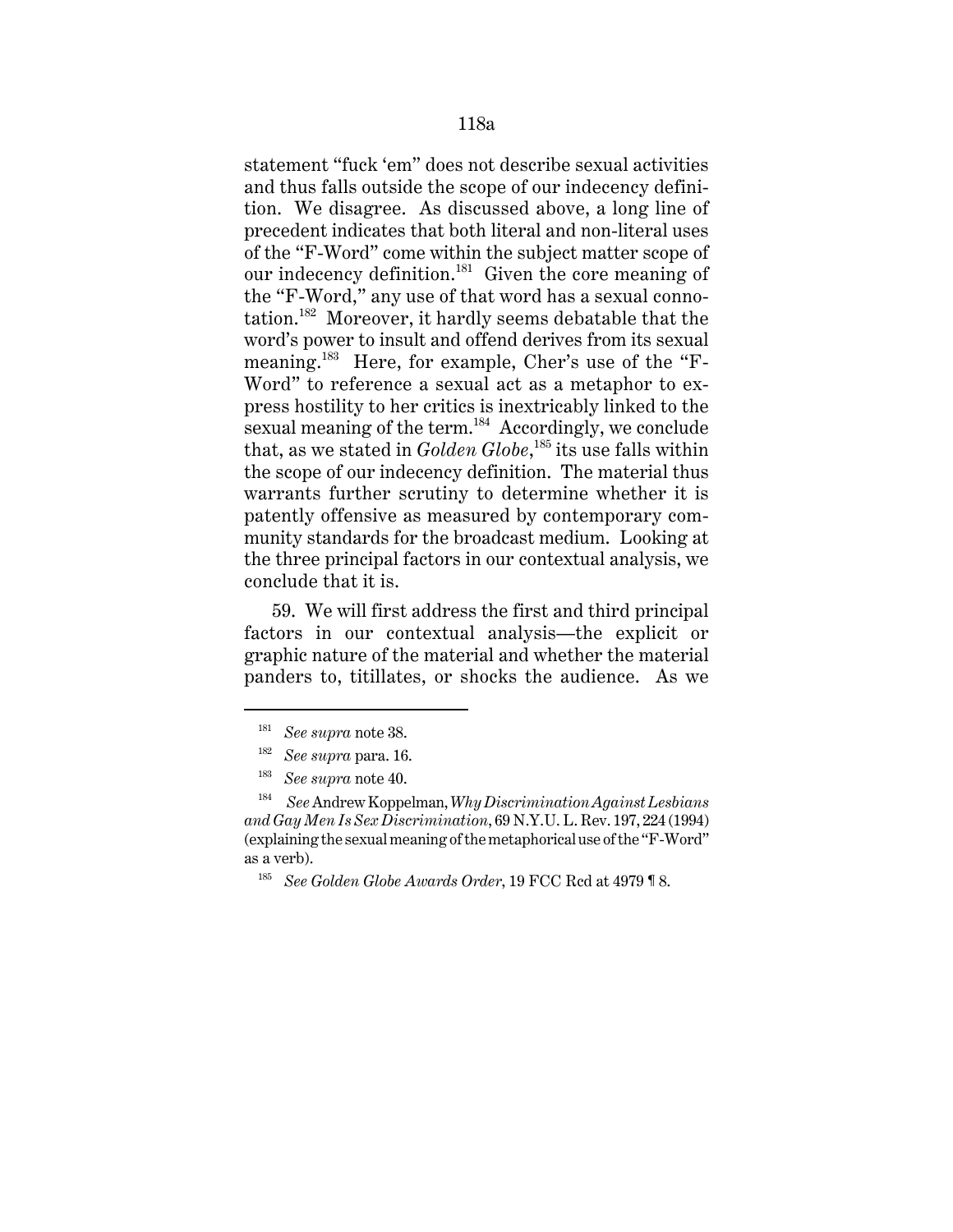statement "fuck 'em" does not describe sexual activities and thus falls outside the scope of our indecency definition. We disagree. As discussed above, a long line of precedent indicates that both literal and non-literal uses of the "F-Word" come within the subject matter scope of our indecency definition.181 Given the core meaning of the "F-Word," any use of that word has a sexual connotation.182 Moreover, it hardly seems debatable that the word's power to insult and offend derives from its sexual meaning.<sup>183</sup> Here, for example, Cher's use of the "F-Word" to reference a sexual act as a metaphor to express hostility to her critics is inextricably linked to the sexual meaning of the term. $184$  Accordingly, we conclude that, as we stated in *Golden Globe*, 185 its use falls within the scope of our indecency definition. The material thus warrants further scrutiny to determine whether it is patently offensive as measured by contemporary community standards for the broadcast medium. Looking at the three principal factors in our contextual analysis, we conclude that it is.

59. We will first address the first and third principal factors in our contextual analysis—the explicit or graphic nature of the material and whether the material panders to, titillates, or shocks the audience. As we

<sup>181</sup> *See supra* note 38.

<sup>182</sup> *See supra* para. 16.

<sup>183</sup> *See supra* note 40.

<sup>184</sup> *See* Andrew Koppelman, *Why Discrimination Against Lesbians and Gay Men Is Sex Discrimination*, 69 N.Y.U. L. Rev. 197, 224 (1994) (explaining the sexual meaning of the metaphorical use of the "F-Word" as a verb).

<sup>185</sup> *See Golden Globe Awards Order*, 19 FCC Rcd at 4979 ¶ 8.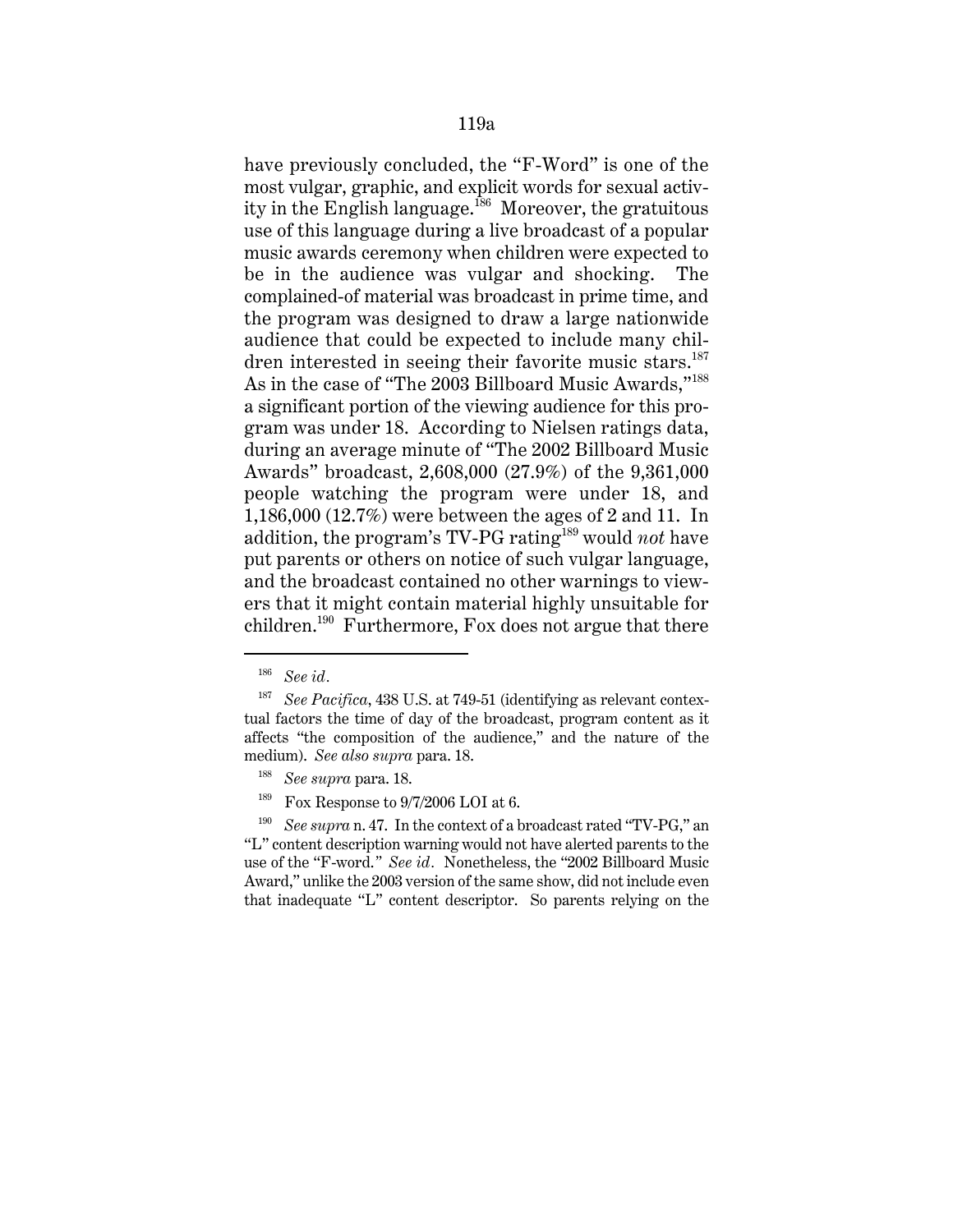have previously concluded, the "F-Word" is one of the most vulgar, graphic, and explicit words for sexual activity in the English language.<sup>186</sup> Moreover, the gratuitous use of this language during a live broadcast of a popular music awards ceremony when children were expected to be in the audience was vulgar and shocking. The complained-of material was broadcast in prime time, and the program was designed to draw a large nationwide audience that could be expected to include many children interested in seeing their favorite music stars.<sup>187</sup> As in the case of "The 2003 Billboard Music Awards,"<sup>188</sup> a significant portion of the viewing audience for this program was under 18. According to Nielsen ratings data, during an average minute of "The 2002 Billboard Music Awards" broadcast, 2,608,000 (27.9%) of the 9,361,000 people watching the program were under 18, and 1,186,000 (12.7%) were between the ages of 2 and 11. In addition, the program's TV-PG rating189 would *not* have put parents or others on notice of such vulgar language, and the broadcast contained no other warnings to viewers that it might contain material highly unsuitable for children.<sup>190</sup> Furthermore, Fox does not argue that there

<sup>186</sup> *See id.*

<sup>187</sup> *See Pacifica*, 438 U.S. at 749-51 (identifying as relevant contextual factors the time of day of the broadcast, program content as it affects "the composition of the audience," and the nature of the medium). *See also supra* para. 18.

<sup>188</sup> *See supra* para. 18.

<sup>&</sup>lt;sup>189</sup> Fox Response to  $9/7/2006$  LOI at 6.

<sup>190</sup> *See supra* n. 47. In the context of a broadcast rated "TV-PG," an "L" content description warning would not have alerted parents to the use of the "F-word.*" See id.* Nonetheless, the "2002 Billboard Music Award," unlike the 2003 version of the same show, did not include even that inadequate "L" content descriptor. So parents relying on the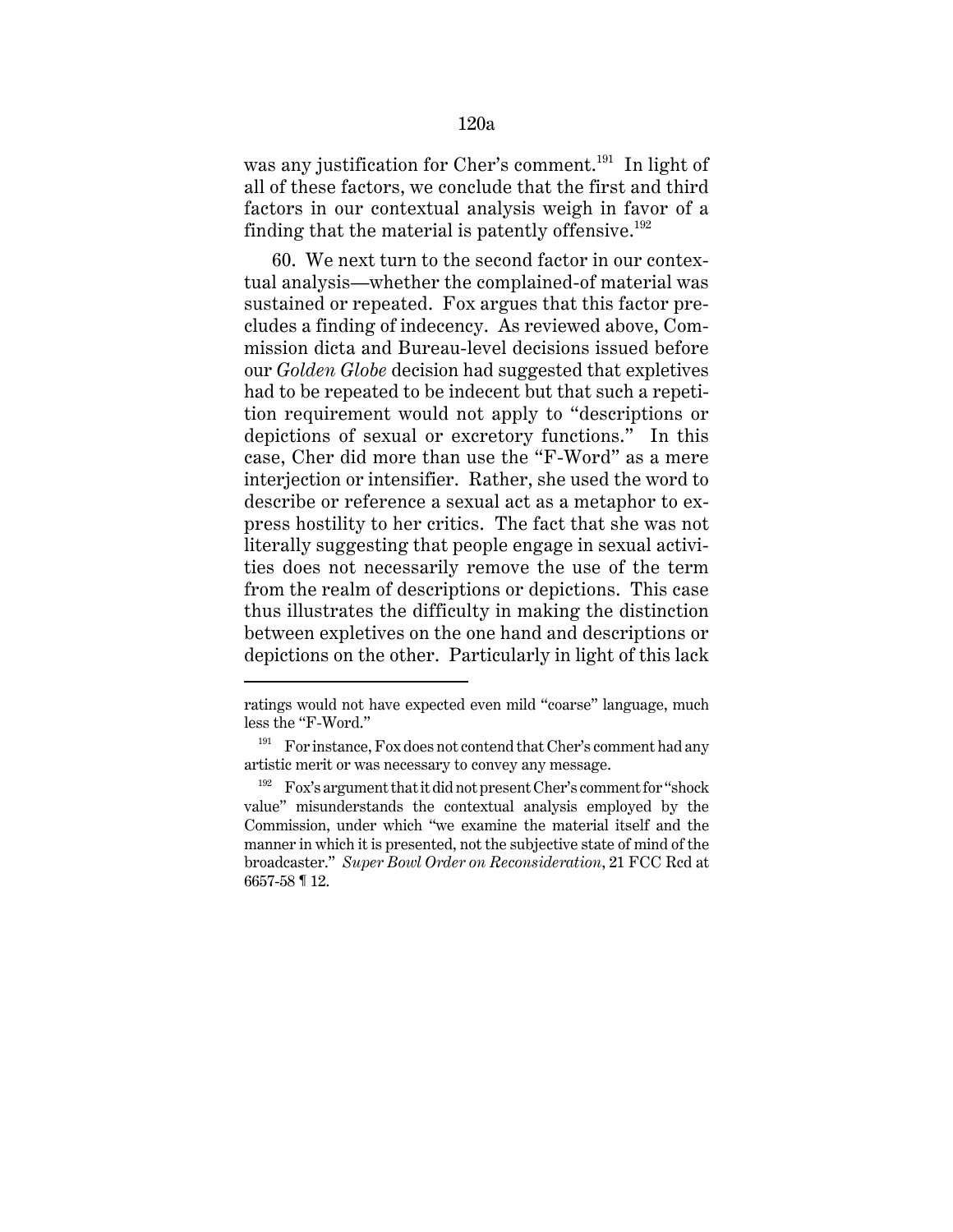was any justification for Cher's comment.<sup>191</sup> In light of all of these factors, we conclude that the first and third factors in our contextual analysis weigh in favor of a finding that the material is patently offensive.<sup>192</sup>

60. We next turn to the second factor in our contextual analysis—whether the complained-of material was sustained or repeated. Fox argues that this factor precludes a finding of indecency. As reviewed above, Commission dicta and Bureau-level decisions issued before our *Golden Globe* decision had suggested that expletives had to be repeated to be indecent but that such a repetition requirement would not apply to "descriptions or depictions of sexual or excretory functions." In this case, Cher did more than use the "F-Word" as a mere interjection or intensifier. Rather, she used the word to describe or reference a sexual act as a metaphor to express hostility to her critics. The fact that she was not literally suggesting that people engage in sexual activities does not necessarily remove the use of the term from the realm of descriptions or depictions. This case thus illustrates the difficulty in making the distinction between expletives on the one hand and descriptions or depictions on the other. Particularly in light of this lack

ratings would not have expected even mild "coarse" language, much less the "F-Word."

 $191$  For instance, Fox does not contend that Cher's comment had any artistic merit or was necessary to convey any message.

<sup>192</sup> Fox's argument that it did not present Cher's comment for "shock value" misunderstands the contextual analysis employed by the Commission, under which "we examine the material itself and the manner in which it is presented, not the subjective state of mind of the broadcaster." *Super Bowl Order on Reconsideration*, 21 FCC Rcd at 6657-58 ¶ 12.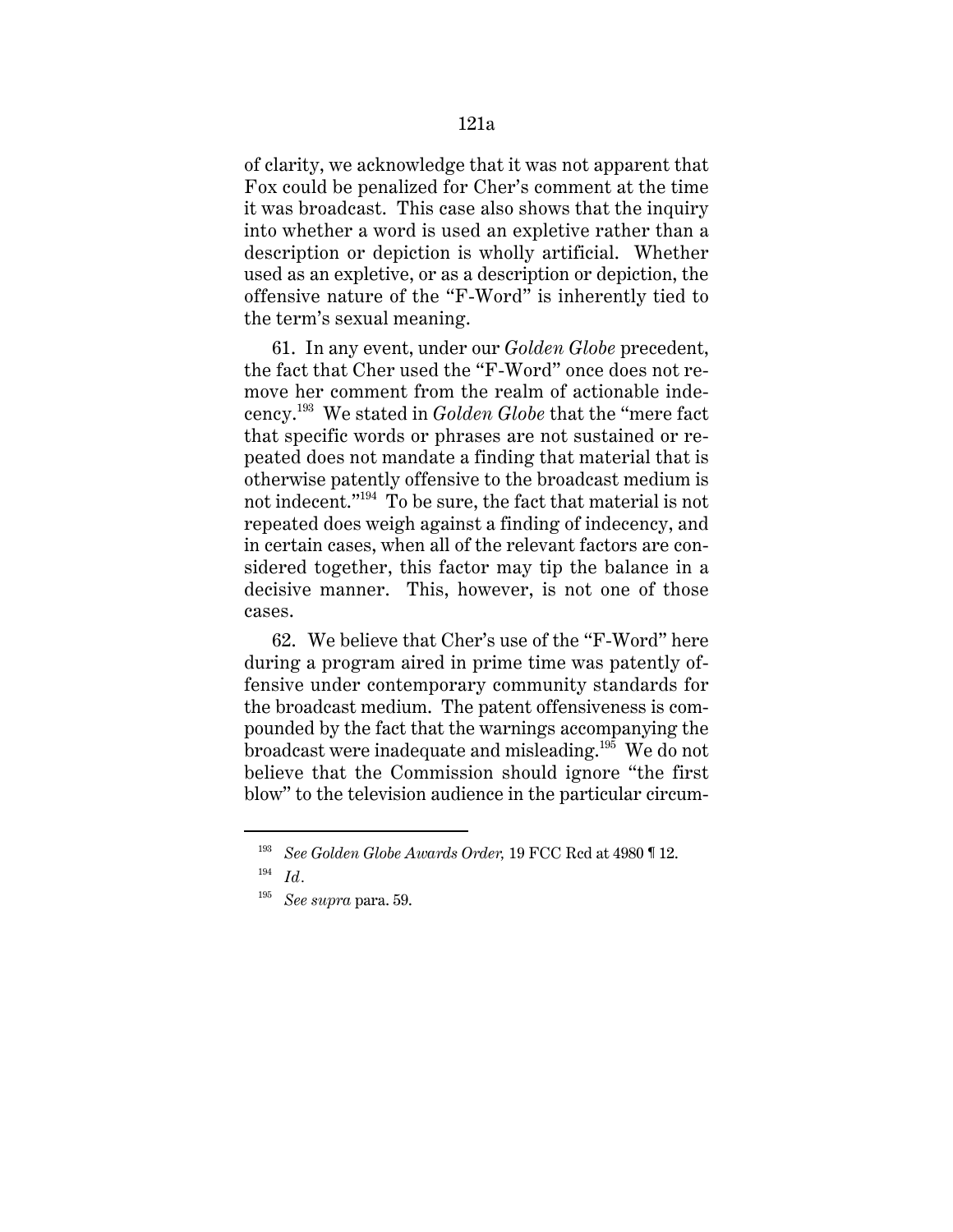of clarity, we acknowledge that it was not apparent that Fox could be penalized for Cher's comment at the time it was broadcast. This case also shows that the inquiry into whether a word is used an expletive rather than a description or depiction is wholly artificial. Whether used as an expletive, or as a description or depiction, the offensive nature of the "F-Word" is inherently tied to the term's sexual meaning.

61. In any event, under our *Golden Globe* precedent, the fact that Cher used the "F-Word" once does not remove her comment from the realm of actionable indecency.193 We stated in *Golden Globe* that the "mere fact that specific words or phrases are not sustained or repeated does not mandate a finding that material that is otherwise patently offensive to the broadcast medium is not indecent."194 To be sure, the fact that material is not repeated does weigh against a finding of indecency, and in certain cases, when all of the relevant factors are considered together, this factor may tip the balance in a decisive manner. This, however, is not one of those cases.

62. We believe that Cher's use of the "F-Word" here during a program aired in prime time was patently offensive under contemporary community standards for the broadcast medium. The patent offensiveness is compounded by the fact that the warnings accompanying the broadcast were inadequate and misleading.<sup>195</sup> We do not believe that the Commission should ignore "the first blow" to the television audience in the particular circum-

<sup>193</sup> *See Golden Globe Awards Order,* 19 FCC Rcd at 4980 ¶ 12.

<sup>194</sup> *Id.*

<sup>195</sup> *See supra* para. 59.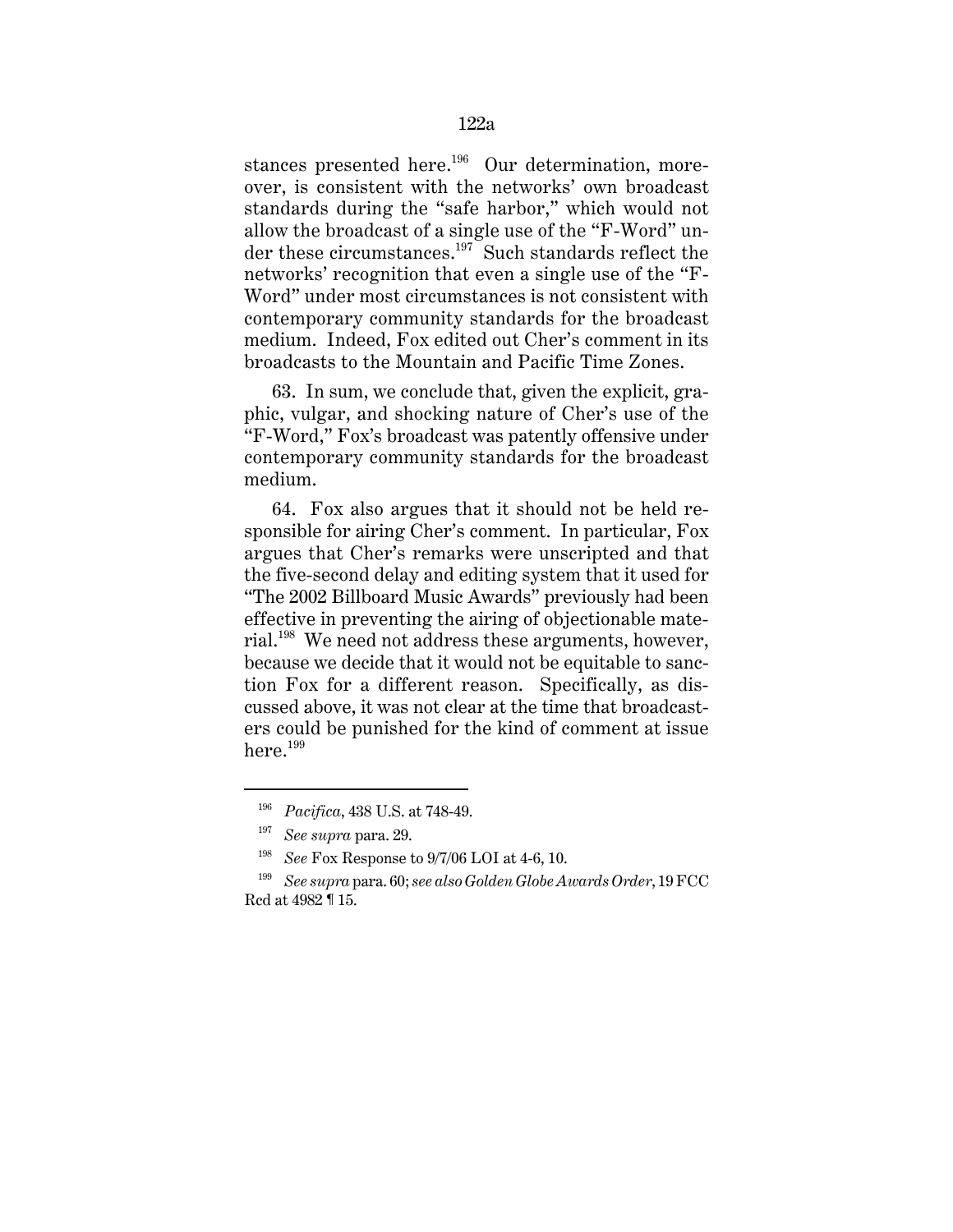stances presented here.<sup>196</sup> Our determination, moreover, is consistent with the networks' own broadcast standards during the "safe harbor," which would not allow the broadcast of a single use of the "F-Word" under these circumstances.<sup>197</sup> Such standards reflect the networks' recognition that even a single use of the "F-Word" under most circumstances is not consistent with contemporary community standards for the broadcast medium. Indeed, Fox edited out Cher's comment in its broadcasts to the Mountain and Pacific Time Zones.

63. In sum, we conclude that, given the explicit, graphic, vulgar, and shocking nature of Cher's use of the "F-Word," Fox's broadcast was patently offensive under contemporary community standards for the broadcast medium.

64. Fox also argues that it should not be held responsible for airing Cher's comment. In particular, Fox argues that Cher's remarks were unscripted and that the five-second delay and editing system that it used for "The 2002 Billboard Music Awards" previously had been effective in preventing the airing of objectionable material.198 We need not address these arguments, however, because we decide that it would not be equitable to sanction Fox for a different reason. Specifically, as discussed above, it was not clear at the time that broadcasters could be punished for the kind of comment at issue  $here.<sup>199</sup>$ 

<sup>196</sup> *Pacifica*, 438 U.S. at 748-49.

<sup>197</sup> *See supra* para. 29.

<sup>198</sup> *See* Fox Response to 9/7/06 LOI at 4-6, 10.

<sup>199</sup> *See supra* para. 60; *see also Golden Globe Awards Order*, 19 FCC Rcd at 4982 ¶ 15.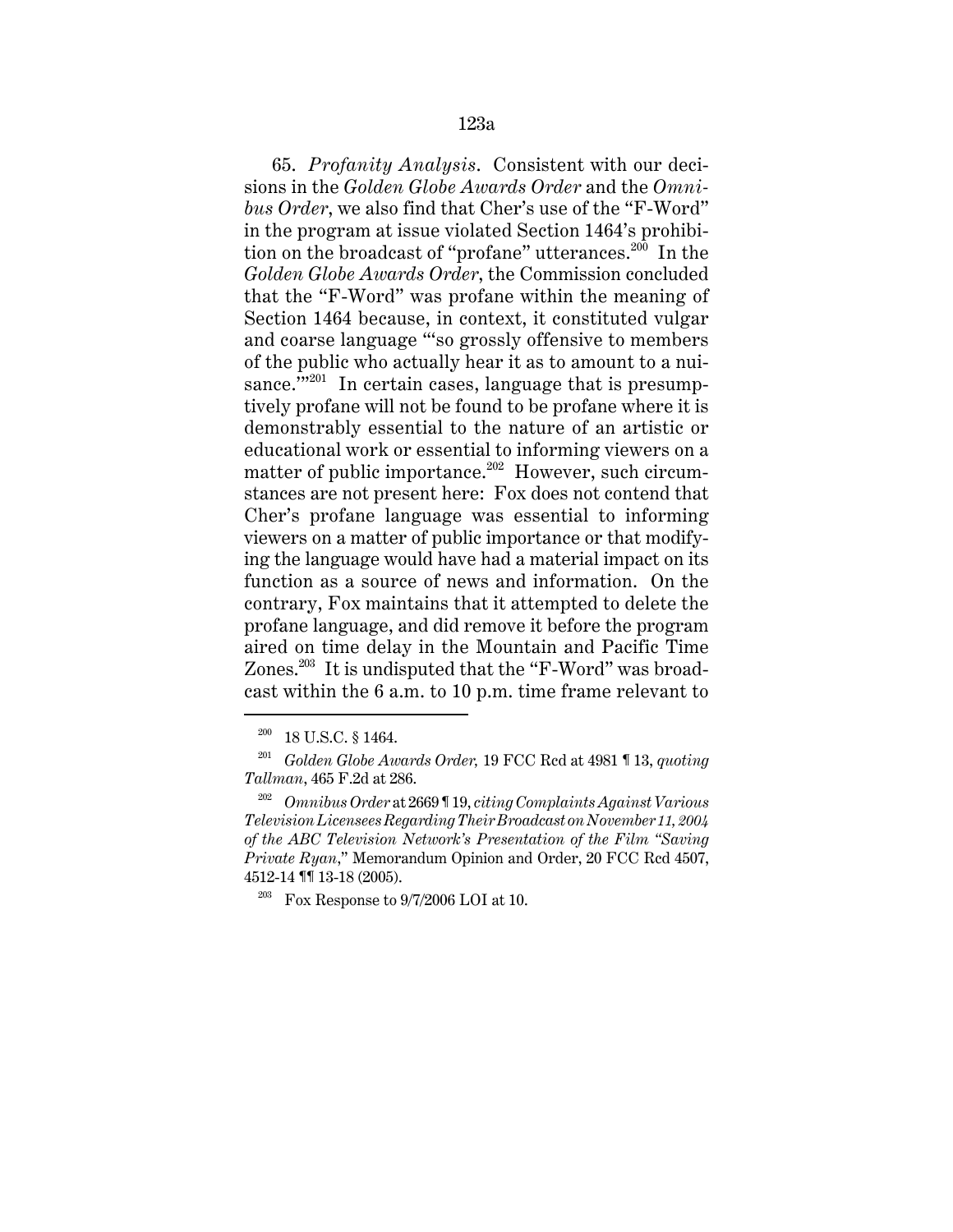#### 123a

65. *Profanity Analysis*. Consistent with our decisions in the *Golden Globe Awards Order* and the *Omnibus Order*, we also find that Cher's use of the "F-Word" in the program at issue violated Section 1464's prohibition on the broadcast of "profane" utterances.<sup>200</sup> In the *Golden Globe Awards Order*, the Commission concluded that the "F-Word" was profane within the meaning of Section 1464 because, in context, it constituted vulgar and coarse language "'so grossly offensive to members of the public who actually hear it as to amount to a nuisance." $201$  In certain cases, language that is presumptively profane will not be found to be profane where it is demonstrably essential to the nature of an artistic or educational work or essential to informing viewers on a matter of public importance.<sup>202</sup> However, such circumstances are not present here: Fox does not contend that Cher's profane language was essential to informing viewers on a matter of public importance or that modifying the language would have had a material impact on its function as a source of news and information. On the contrary, Fox maintains that it attempted to delete the profane language, and did remove it before the program aired on time delay in the Mountain and Pacific Time Zones.<sup>203</sup> It is undisputed that the "F-Word" was broadcast within the 6 a.m. to 10 p.m. time frame relevant to

<sup>&</sup>lt;sup>200</sup> 18 U.S.C. § 1464.

<sup>201</sup> *Golden Globe Awards Order,* 19 FCC Rcd at 4981 ¶ 13, *quoting Tallman*, 465 F.2d at 286.

<sup>202</sup> *Omnibus Order* at 2669 ¶ 19, *citing Complaints Against Various Television Licensees Regarding Their Broadcast on November 11, 2004 of the ABC Television Network's Presentation of the Film "Saving Private Ruan*," Memorandum Opinion and Order, 20 FCC Rcd 4507, 4512-14 ¶¶ 13-18 (2005).

Fox Response to  $9/7/2006$  LOI at 10.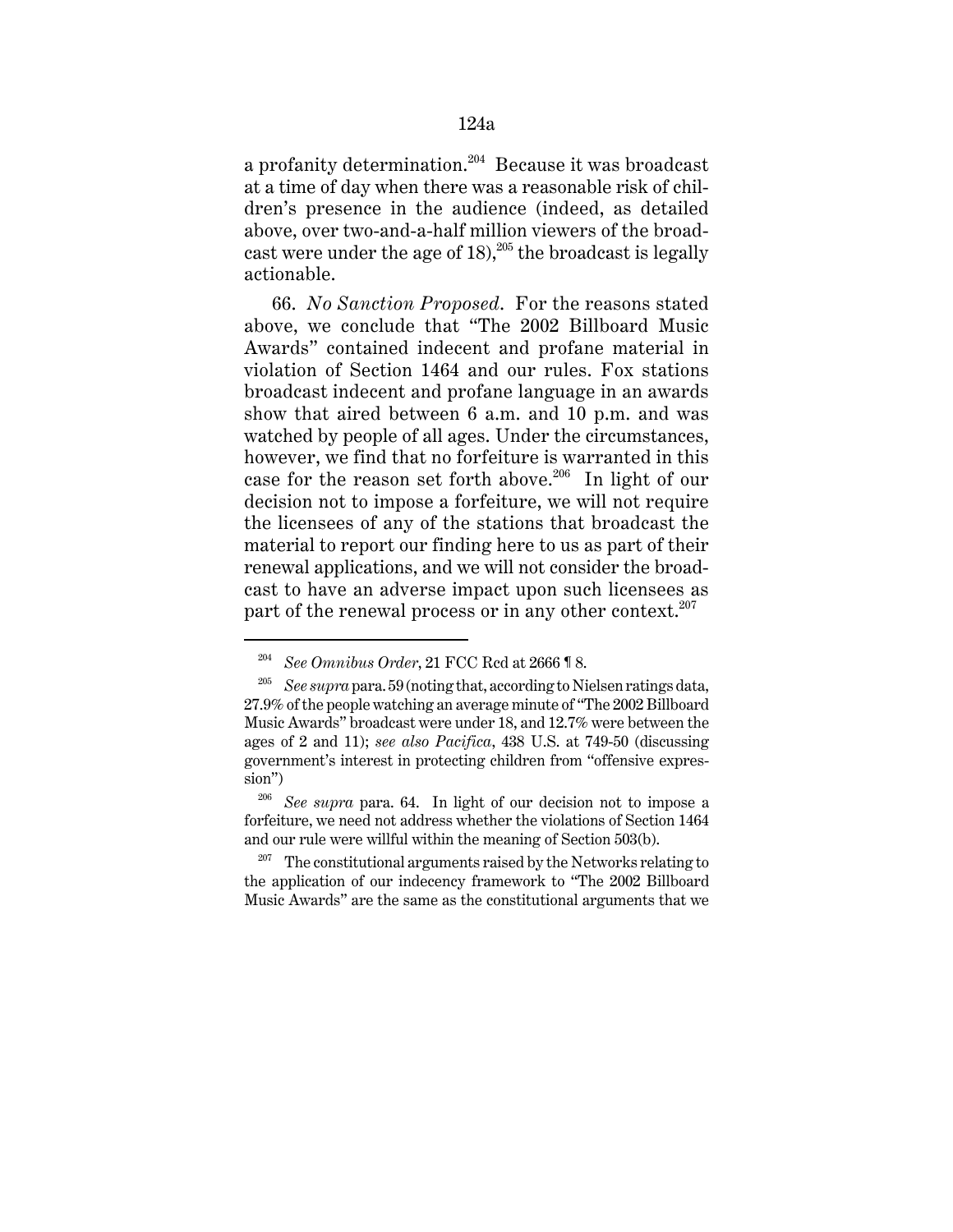a profanity determination.<sup>204</sup> Because it was broadcast at a time of day when there was a reasonable risk of children's presence in the audience (indeed, as detailed above, over two-and-a-half million viewers of the broadcast were under the age of  $18$ ,<sup>205</sup> the broadcast is legally actionable.

66. *No Sanction Proposed*. For the reasons stated above, we conclude that "The 2002 Billboard Music Awards" contained indecent and profane material in violation of Section 1464 and our rules. Fox stations broadcast indecent and profane language in an awards show that aired between 6 a.m. and 10 p.m. and was watched by people of all ages. Under the circumstances, however, we find that no forfeiture is warranted in this case for the reason set forth above.<sup>206</sup> In light of our decision not to impose a forfeiture, we will not require the licensees of any of the stations that broadcast the material to report our finding here to us as part of their renewal applications, and we will not consider the broadcast to have an adverse impact upon such licensees as part of the renewal process or in any other context.<sup>207</sup>

<sup>204</sup> *See Omnibus Order*, 21 FCC Rcd at 2666 ¶ 8.

<sup>205</sup> *See supra* para. 59 (noting that, according to Nielsen ratings data, 27.9% of the people watching an average minute of "The 2002 Billboard Music Awards" broadcast were under 18, and 12.7% were between the ages of 2 and 11); *see also Pacifica*, 438 U.S. at 749-50 (discussing government's interest in protecting children from "offensive expression")

<sup>206</sup> *See supra* para. 64. In light of our decision not to impose a forfeiture, we need not address whether the violations of Section 1464 and our rule were willful within the meaning of Section 503(b).

<sup>&</sup>lt;sup>207</sup> The constitutional arguments raised by the Networks relating to the application of our indecency framework to "The 2002 Billboard Music Awards" are the same as the constitutional arguments that we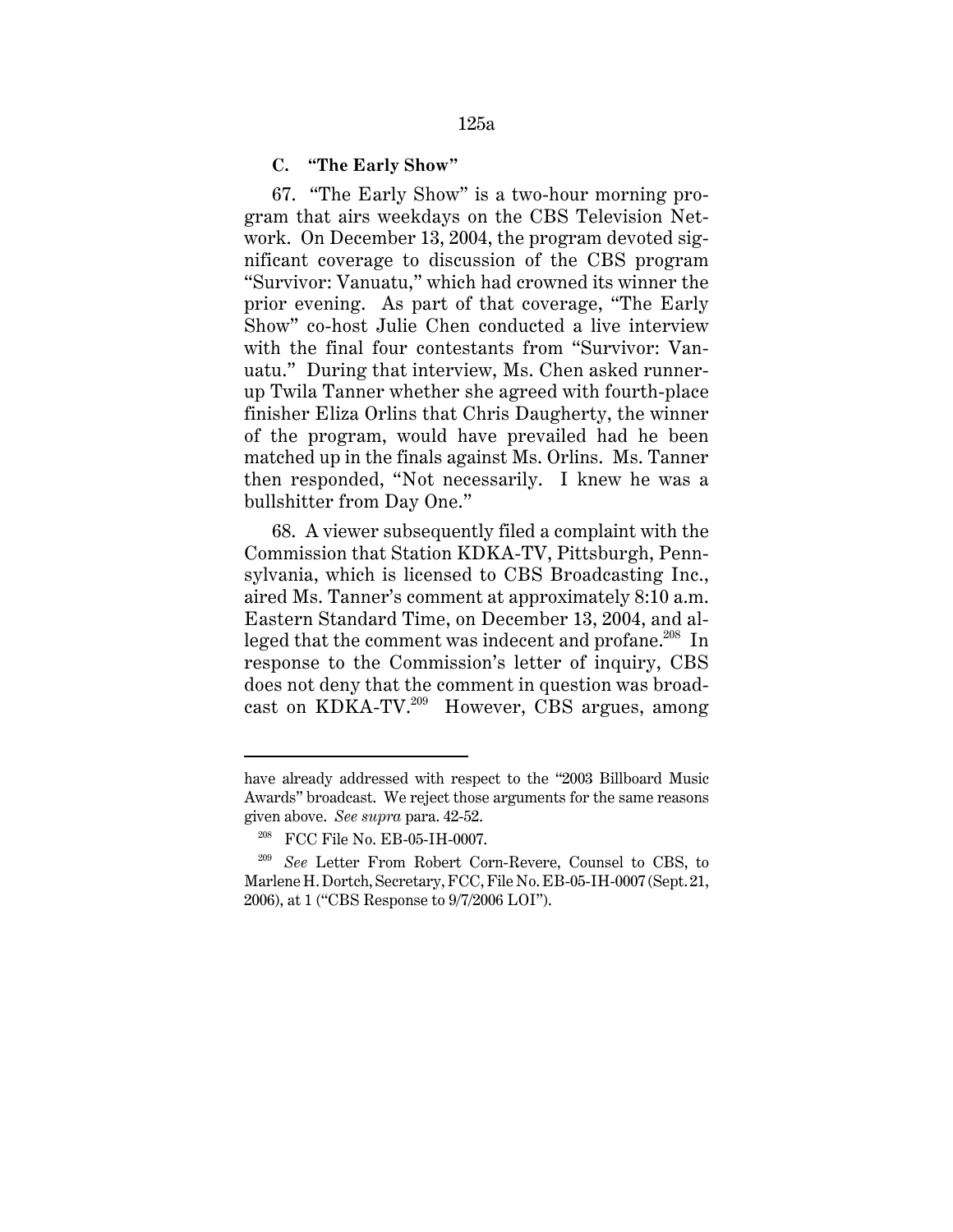#### **C. "The Early Show"**

67. "The Early Show" is a two-hour morning program that airs weekdays on the CBS Television Network. On December 13, 2004, the program devoted significant coverage to discussion of the CBS program "Survivor: Vanuatu," which had crowned its winner the prior evening. As part of that coverage, "The Early Show" co-host Julie Chen conducted a live interview with the final four contestants from "Survivor: Vanuatu." During that interview, Ms. Chen asked runnerup Twila Tanner whether she agreed with fourth-place finisher Eliza Orlins that Chris Daugherty, the winner of the program, would have prevailed had he been matched up in the finals against Ms. Orlins. Ms. Tanner then responded, "Not necessarily. I knew he was a bullshitter from Day One."

68. A viewer subsequently filed a complaint with the Commission that Station KDKA-TV, Pittsburgh, Pennsylvania, which is licensed to CBS Broadcasting Inc., aired Ms. Tanner's comment at approximately 8:10 a.m. Eastern Standard Time, on December 13, 2004, and alleged that the comment was indecent and profane.<sup>208</sup> In response to the Commission's letter of inquiry, CBS does not deny that the comment in question was broadcast on KDKA-TV.<sup>209</sup> However, CBS argues, among

have already addressed with respect to the "2003 Billboard Music Awards" broadcast. We reject those arguments for the same reasons given above. *See supra* para. 42-52.

<sup>208</sup> FCC File No. EB-05-IH-0007.

<sup>209</sup> *See* Letter From Robert Corn-Revere, Counsel to CBS, to Marlene H. Dortch, Secretary, FCC, File No. EB-05-IH-0007 (Sept. 21, 2006), at 1 ("CBS Response to 9/7/2006 LOI").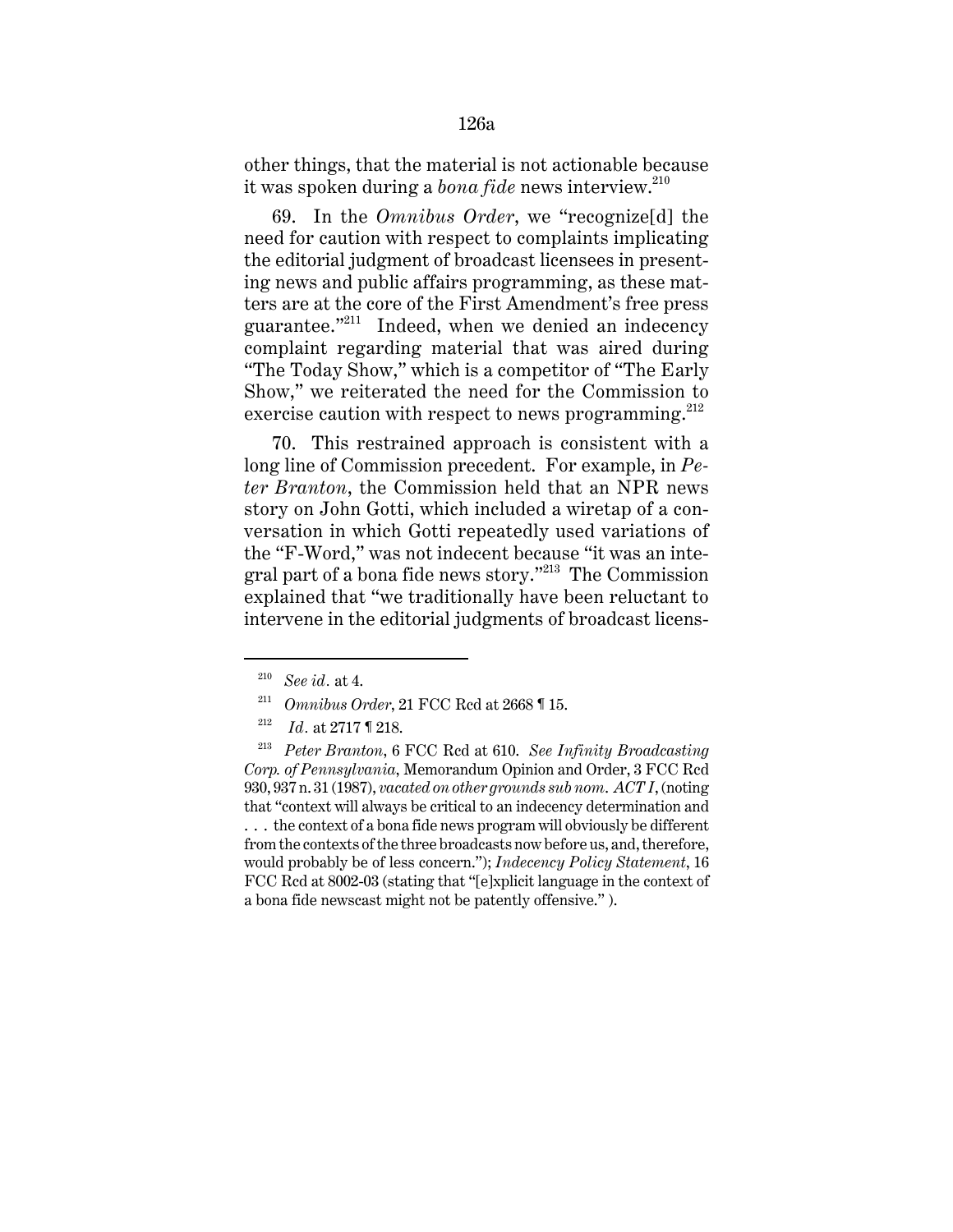# 126a

other things, that the material is not actionable because it was spoken during a *bona fide* news interview.<sup>210</sup>

69. In the *Omnibus Order*, we "recognize[d] the need for caution with respect to complaints implicating the editorial judgment of broadcast licensees in presenting news and public affairs programming, as these matters are at the core of the First Amendment's free press guarantee."211 Indeed, when we denied an indecency complaint regarding material that was aired during "The Today Show," which is a competitor of "The Early Show," we reiterated the need for the Commission to exercise caution with respect to news programming.<sup>212</sup>

70. This restrained approach is consistent with a long line of Commission precedent. For example, in *Peter Branton*, the Commission held that an NPR news story on John Gotti, which included a wiretap of a conversation in which Gotti repeatedly used variations of the "F-Word," was not indecent because "it was an integral part of a bona fide news story."213 The Commission explained that "we traditionally have been reluctant to intervene in the editorial judgments of broadcast licens-

<sup>210</sup> *See id.* at 4.

<sup>211</sup> *Omnibus Order*, 21 FCC Rcd at 2668 ¶ 15.

<sup>212</sup> *Id.* at 2717 ¶ 218.

<sup>213</sup> *Peter Branton*, 6 FCC Rcd at 610. *See Infinity Broadcasting Corp. of Pennsylvania*, Memorandum Opinion and Order, 3 FCC Rcd 930, 937 n. 31 (1987), *vacated on other grounds sub nom*. *ACT I*, (noting that "context will always be critical to an indecency determination and ... the context of a bona fide news program will obviously be different from the contexts of the three broadcasts now before us, and, therefore, would probably be of less concern."); *Indecency Policy Statement*, 16 FCC Rcd at 8002-03 (stating that "[e]xplicit language in the context of a bona fide newscast might not be patently offensive." ).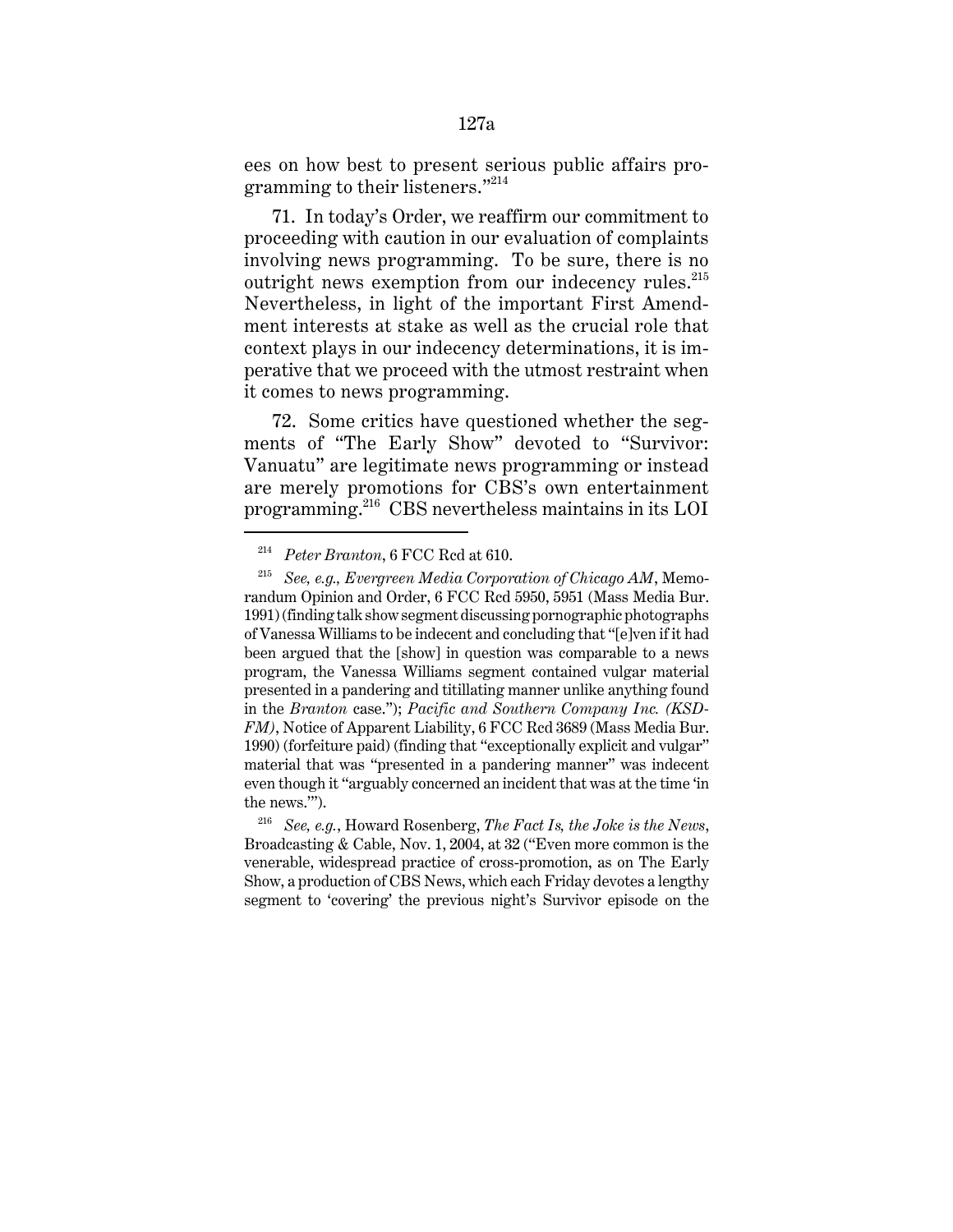ees on how best to present serious public affairs programming to their listeners."<sup>214</sup>

71. In today's Order, we reaffirm our commitment to proceeding with caution in our evaluation of complaints involving news programming. To be sure, there is no outright news exemption from our indecency rules. $^{215}$ Nevertheless, in light of the important First Amendment interests at stake as well as the crucial role that context plays in our indecency determinations, it is imperative that we proceed with the utmost restraint when it comes to news programming.

72. Some critics have questioned whether the segments of "The Early Show" devoted to "Survivor: Vanuatu" are legitimate news programming or instead are merely promotions for CBS's own entertainment programming.216 CBS nevertheless maintains in its LOI

<sup>214</sup> *Peter Branton*, 6 FCC Rcd at 610.

<sup>215</sup> *See, e.g., Evergreen Media Corporation of Chicago AM*, Memorandum Opinion and Order, 6 FCC Rcd 5950, 5951 (Mass Media Bur. 1991) (finding talk show segment discussing pornographic photographs of Vanessa Williams to be indecent and concluding that "[e]ven if it had been argued that the [show] in question was comparable to a news program, the Vanessa Williams segment contained vulgar material presented in a pandering and titillating manner unlike anything found in the *Branton* case."); *Pacific and Southern Company Inc. (KSD-FM)*, Notice of Apparent Liability, 6 FCC Rcd 3689 (Mass Media Bur. 1990) (forfeiture paid) (finding that "exceptionally explicit and vulgar" material that was "presented in a pandering manner" was indecent even though it "arguably concerned an incident that was at the time 'in the news.'").

<sup>216</sup> *See, e.g.*, Howard Rosenberg, *The Fact Is, the Joke is the News*, Broadcasting & Cable, Nov. 1, 2004, at 32 ("Even more common is the venerable, widespread practice of cross-promotion, as on The Early Show, a production of CBS News, which each Friday devotes a lengthy segment to 'covering' the previous night's Survivor episode on the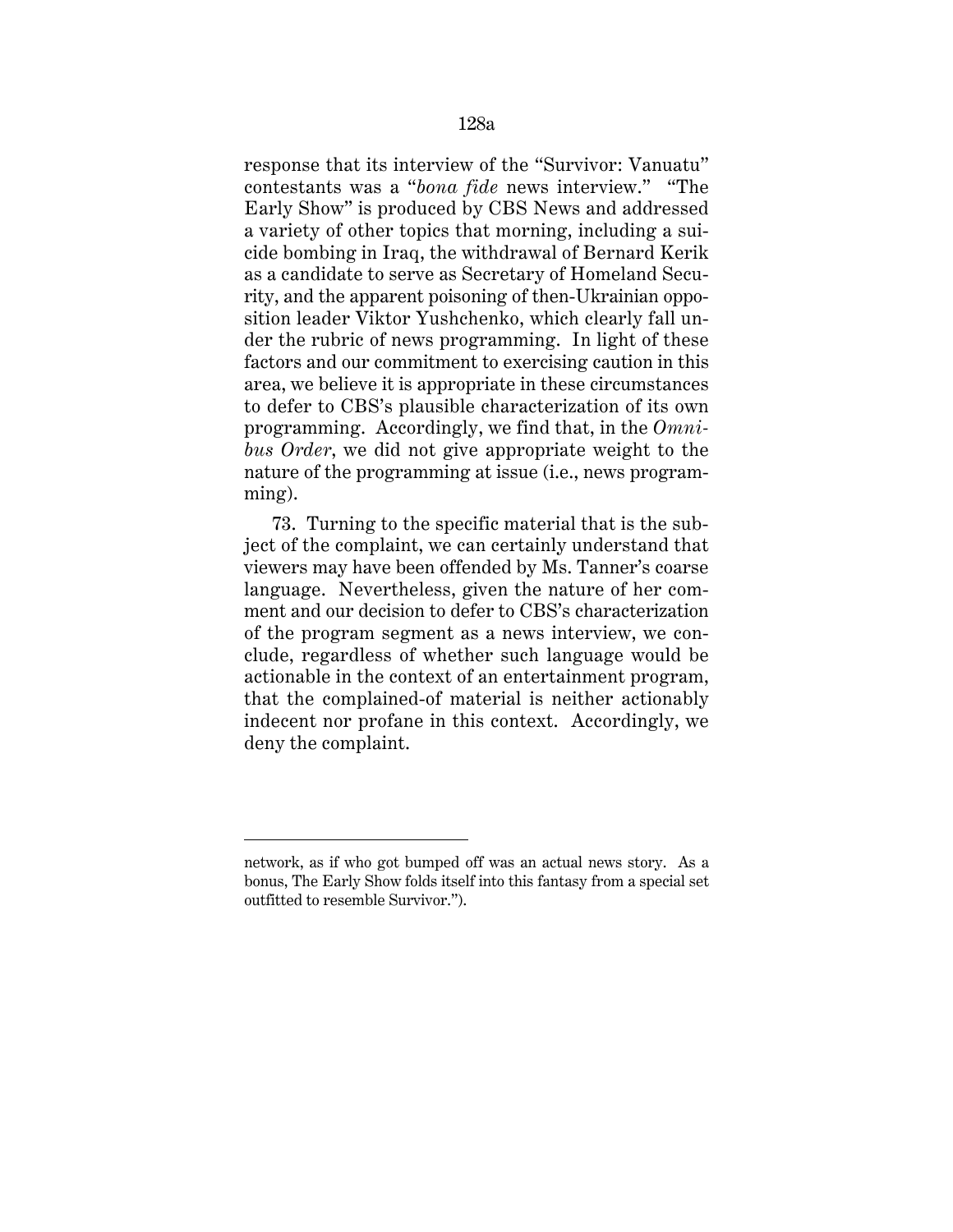response that its interview of the "Survivor: Vanuatu" contestants was a "*bona fide* news interview." "The Early Show" is produced by CBS News and addressed a variety of other topics that morning, including a suicide bombing in Iraq, the withdrawal of Bernard Kerik as a candidate to serve as Secretary of Homeland Security, and the apparent poisoning of then-Ukrainian opposition leader Viktor Yushchenko, which clearly fall under the rubric of news programming. In light of these factors and our commitment to exercising caution in this area, we believe it is appropriate in these circumstances to defer to CBS's plausible characterization of its own programming. Accordingly, we find that, in the *Omnibus Order*, we did not give appropriate weight to the nature of the programming at issue (i.e., news programming).

73. Turning to the specific material that is the subject of the complaint, we can certainly understand that viewers may have been offended by Ms. Tanner's coarse language. Nevertheless, given the nature of her comment and our decision to defer to CBS's characterization of the program segment as a news interview, we conclude, regardless of whether such language would be actionable in the context of an entertainment program, that the complained-of material is neither actionably indecent nor profane in this context. Accordingly, we deny the complaint.

network, as if who got bumped off was an actual news story. As a bonus, The Early Show folds itself into this fantasy from a special set outfitted to resemble Survivor.").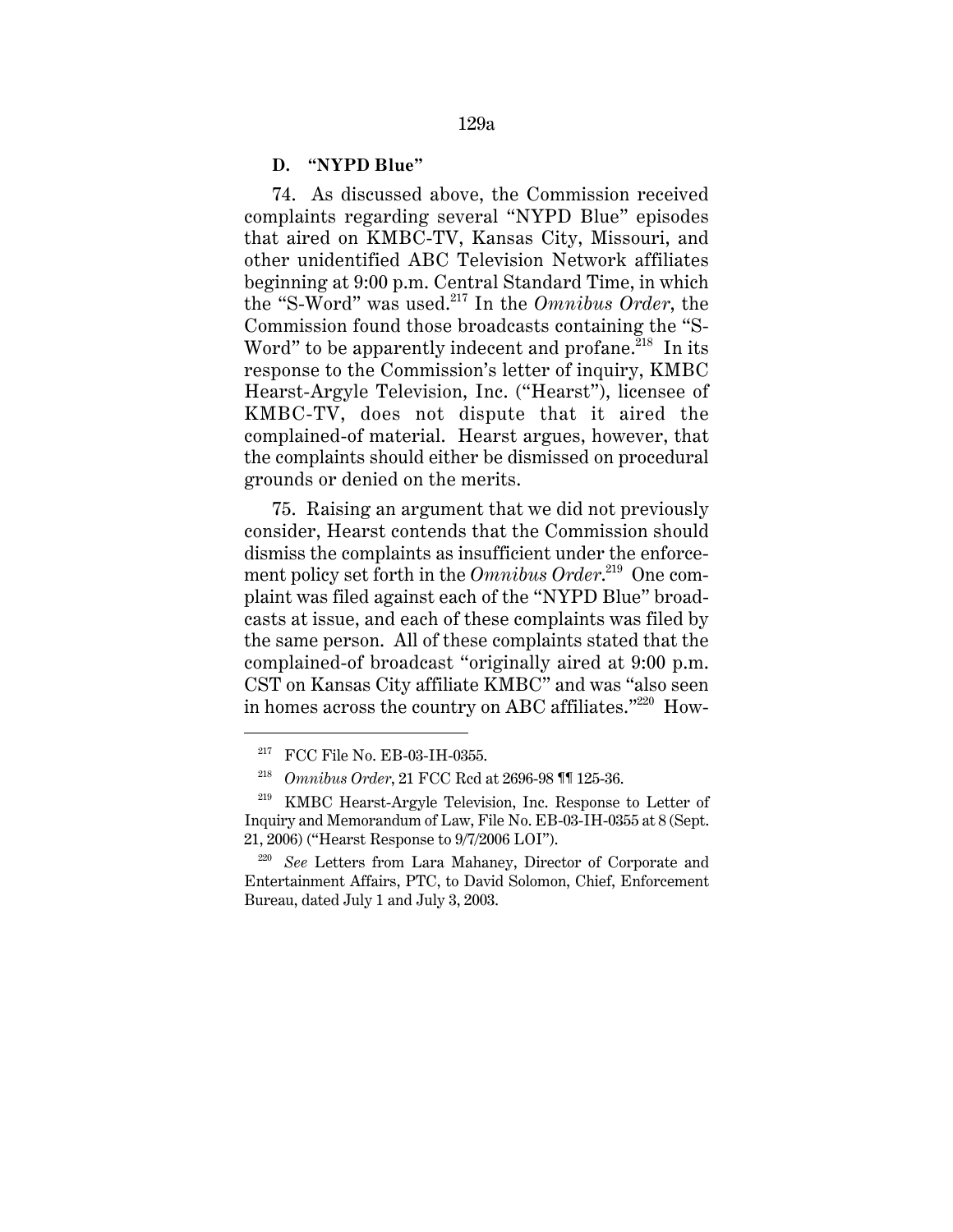#### **D. "NYPD Blue"**

74. As discussed above, the Commission received complaints regarding several "NYPD Blue" episodes that aired on KMBC-TV, Kansas City, Missouri, and other unidentified ABC Television Network affiliates beginning at 9:00 p.m. Central Standard Time, in which the "S-Word" was used.217 In the *Omnibus Order*, the Commission found those broadcasts containing the "S-Word" to be apparently indecent and profane.<sup>218</sup> In its response to the Commission's letter of inquiry, KMBC Hearst-Argyle Television, Inc. ("Hearst"), licensee of KMBC-TV, does not dispute that it aired the complained-of material. Hearst argues, however, that the complaints should either be dismissed on procedural grounds or denied on the merits.

75. Raising an argument that we did not previously consider, Hearst contends that the Commission should dismiss the complaints as insufficient under the enforcement policy set forth in the *Omnibus Order*. 219 One complaint was filed against each of the "NYPD Blue" broadcasts at issue, and each of these complaints was filed by the same person. All of these complaints stated that the complained-of broadcast "originally aired at 9:00 p.m. CST on Kansas City affiliate KMBC" and was "also seen in homes across the country on ABC affiliates." $220$  How-

<sup>&</sup>lt;sup>217</sup> FCC File No. EB-03-IH-0355.

<sup>218</sup> *Omnibus Order*, 21 FCC Rcd at 2696-98 ¶¶ 125-36.

<sup>219</sup> KMBC Hearst-Argyle Television, Inc. Response to Letter of Inquiry and Memorandum of Law, File No. EB-03-IH-0355 at 8 (Sept. 21, 2006) ("Hearst Response to 9/7/2006 LOI").

<sup>220</sup> *See* Letters from Lara Mahaney, Director of Corporate and Entertainment Affairs, PTC, to David Solomon, Chief, Enforcement Bureau, dated July 1 and July 3, 2003.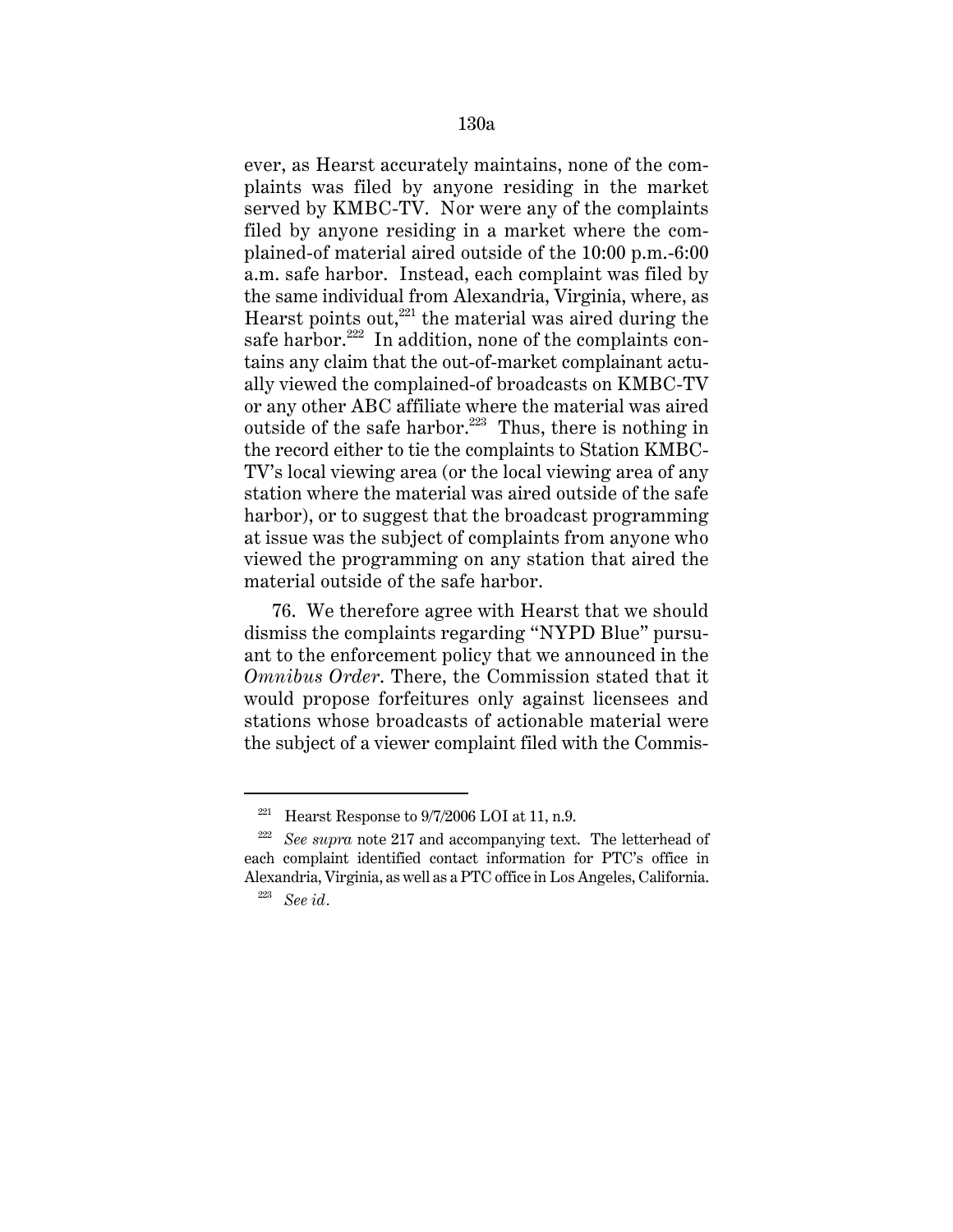ever, as Hearst accurately maintains, none of the complaints was filed by anyone residing in the market served by KMBC-TV. Nor were any of the complaints filed by anyone residing in a market where the complained-of material aired outside of the 10:00 p.m.-6:00 a.m. safe harbor. Instead, each complaint was filed by the same individual from Alexandria, Virginia, where, as Hearst points out, $221$  the material was aired during the safe harbor.<sup>222</sup> In addition, none of the complaints contains any claim that the out-of-market complainant actually viewed the complained-of broadcasts on KMBC-TV or any other ABC affiliate where the material was aired outside of the safe harbor.<sup>223</sup> Thus, there is nothing in the record either to tie the complaints to Station KMBC-TV's local viewing area (or the local viewing area of any station where the material was aired outside of the safe harbor), or to suggest that the broadcast programming at issue was the subject of complaints from anyone who viewed the programming on any station that aired the material outside of the safe harbor.

76. We therefore agree with Hearst that we should dismiss the complaints regarding "NYPD Blue" pursuant to the enforcement policy that we announced in the *Omnibus Order*. There, the Commission stated that it would propose forfeitures only against licensees and stations whose broadcasts of actionable material were the subject of a viewer complaint filed with the Commis-

<sup>&</sup>lt;sup>221</sup> Hearst Response to  $\frac{9}{7}$  2006 LOI at 11, n.9.

<sup>222</sup> *See supra* note 217 and accompanying text. The letterhead of each complaint identified contact information for PTC's office in Alexandria, Virginia, as well as a PTC office in Los Angeles, California.

<sup>223</sup> *See id.*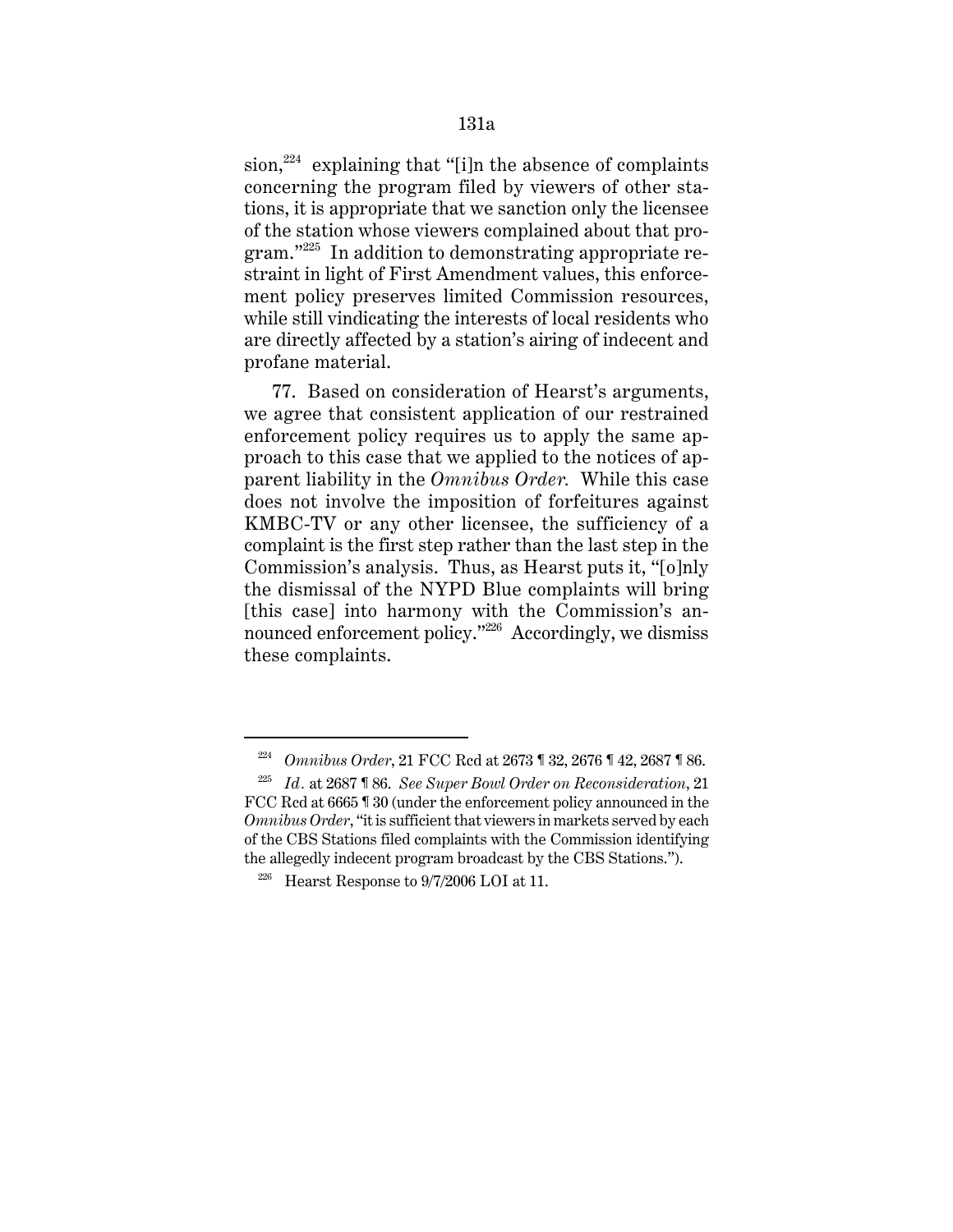sion, $^{224}$  explaining that "[i]n the absence of complaints concerning the program filed by viewers of other stations, it is appropriate that we sanction only the licensee of the station whose viewers complained about that program."225 In addition to demonstrating appropriate restraint in light of First Amendment values, this enforcement policy preserves limited Commission resources, while still vindicating the interests of local residents who are directly affected by a station's airing of indecent and profane material.

77. Based on consideration of Hearst's arguments, we agree that consistent application of our restrained enforcement policy requires us to apply the same approach to this case that we applied to the notices of apparent liability in the *Omnibus Order.* While this case does not involve the imposition of forfeitures against KMBC-TV or any other licensee, the sufficiency of a complaint is the first step rather than the last step in the Commission's analysis. Thus, as Hearst puts it, "[o]nly the dismissal of the NYPD Blue complaints will bring [this case] into harmony with the Commission's announced enforcement policy."<sup>226</sup> Accordingly, we dismiss these complaints.

<sup>224</sup> *Omnibus Order*, 21 FCC Rcd at 2673 ¶ 32, 2676 ¶ 42, 2687 ¶ 86.

<sup>225</sup> *Id.* at 2687 ¶ 86. *See Super Bowl Order on Reconsideration*, 21 FCC Rcd at 6665 ¶ 30 (under the enforcement policy announced in the *Omnibus Order*, "it is sufficient that viewers in markets served by each of the CBS Stations filed complaints with the Commission identifying the allegedly indecent program broadcast by the CBS Stations.").

<sup>&</sup>lt;sup>226</sup> Hearst Response to  $9/7/2006$  LOI at 11.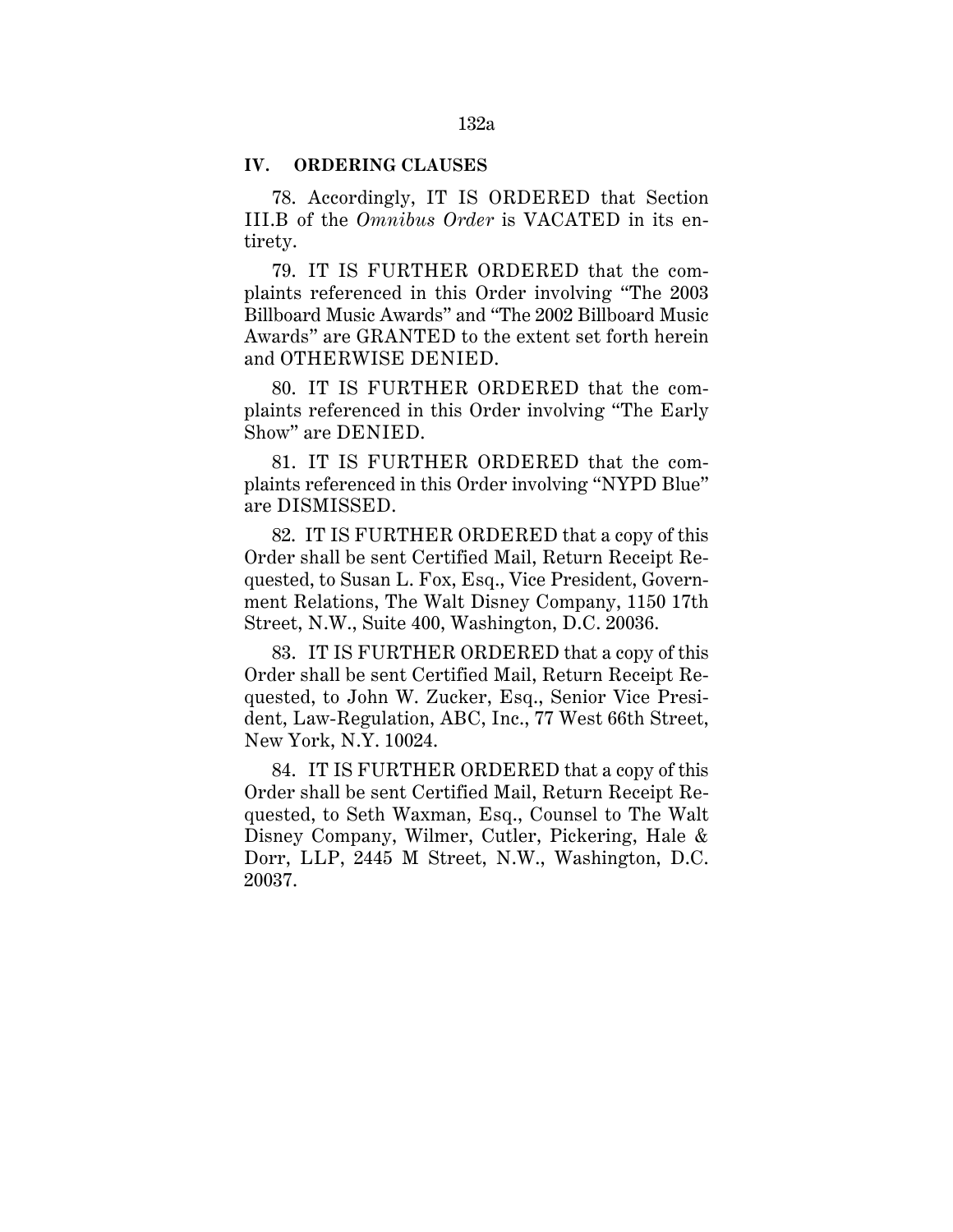## **IV. ORDERING CLAUSES**

78. Accordingly, IT IS ORDERED that Section III.B of the *Omnibus Order* is VACATED in its entirety.

79. IT IS FURTHER ORDERED that the complaints referenced in this Order involving "The 2003 Billboard Music Awards" and "The 2002 Billboard Music Awards" are GRANTED to the extent set forth herein and OTHERWISE DENIED.

80. IT IS FURTHER ORDERED that the complaints referenced in this Order involving "The Early Show" are DENIED.

81. IT IS FURTHER ORDERED that the complaints referenced in this Order involving "NYPD Blue" are DISMISSED.

82. IT IS FURTHER ORDERED that a copy of this Order shall be sent Certified Mail, Return Receipt Requested, to Susan L. Fox, Esq., Vice President, Government Relations, The Walt Disney Company, 1150 17th Street, N.W., Suite 400, Washington, D.C. 20036.

83. IT IS FURTHER ORDERED that a copy of this Order shall be sent Certified Mail, Return Receipt Requested, to John W. Zucker, Esq., Senior Vice President, Law-Regulation, ABC, Inc., 77 West 66th Street, New York, N.Y. 10024.

84. IT IS FURTHER ORDERED that a copy of this Order shall be sent Certified Mail, Return Receipt Requested, to Seth Waxman, Esq., Counsel to The Walt Disney Company, Wilmer, Cutler, Pickering, Hale & Dorr, LLP, 2445 M Street, N.W., Washington, D.C. 20037.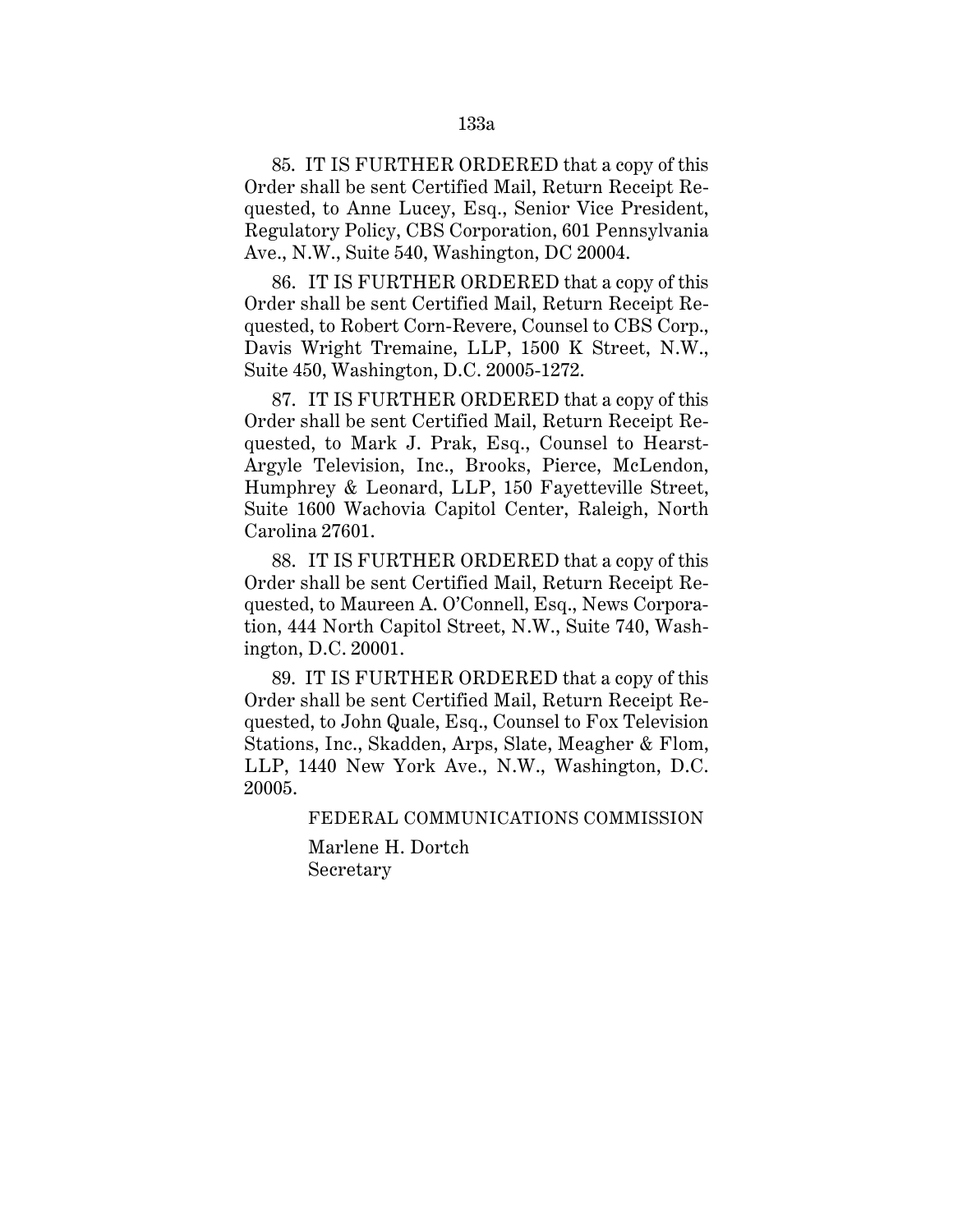85. IT IS FURTHER ORDERED that a copy of this Order shall be sent Certified Mail, Return Receipt Requested, to Anne Lucey, Esq., Senior Vice President, Regulatory Policy, CBS Corporation, 601 Pennsylvania Ave., N.W., Suite 540, Washington, DC 20004.

86. IT IS FURTHER ORDERED that a copy of this Order shall be sent Certified Mail, Return Receipt Requested, to Robert Corn-Revere, Counsel to CBS Corp., Davis Wright Tremaine, LLP, 1500 K Street, N.W., Suite 450, Washington, D.C. 20005-1272.

87. IT IS FURTHER ORDERED that a copy of this Order shall be sent Certified Mail, Return Receipt Requested, to Mark J. Prak, Esq., Counsel to Hearst-Argyle Television, Inc., Brooks, Pierce, McLendon, Humphrey & Leonard, LLP, 150 Fayetteville Street, Suite 1600 Wachovia Capitol Center, Raleigh, North Carolina 27601.

88. IT IS FURTHER ORDERED that a copy of this Order shall be sent Certified Mail, Return Receipt Requested, to Maureen A. O'Connell, Esq., News Corporation, 444 North Capitol Street, N.W., Suite 740, Washington, D.C. 20001.

89. IT IS FURTHER ORDERED that a copy of this Order shall be sent Certified Mail, Return Receipt Requested, to John Quale, Esq., Counsel to Fox Television Stations, Inc., Skadden, Arps, Slate, Meagher & Flom, LLP, 1440 New York Ave., N.W., Washington, D.C. 20005.

FEDERAL COMMUNICATIONS COMMISSION

Marlene H. Dortch Secretary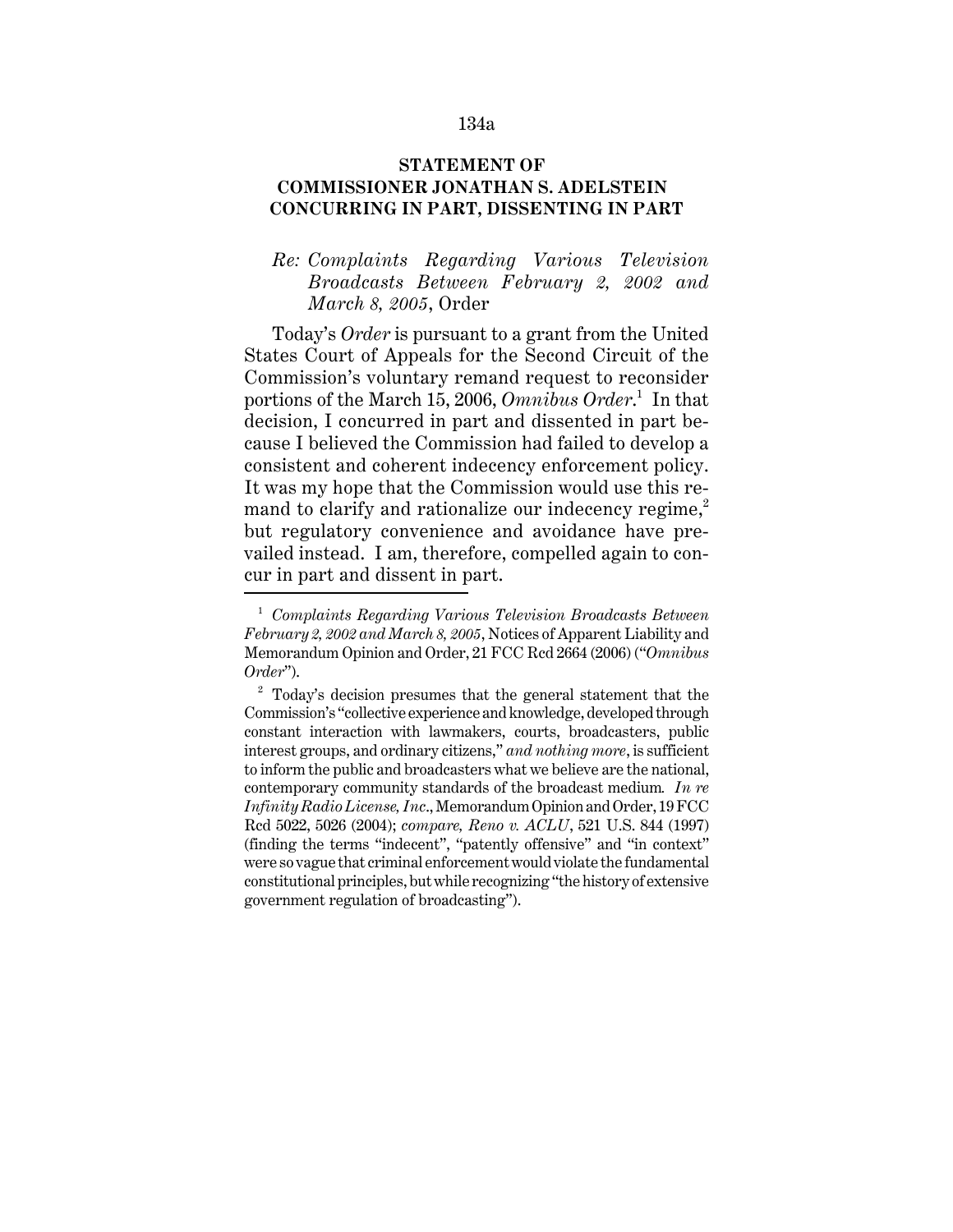#### 134a

## **STATEMENT OF COMMISSIONER JONATHAN S. ADELSTEIN CONCURRING IN PART, DISSENTING IN PART**

# *Re: Complaints Regarding Various Television Broadcasts Between February 2, 2002 and March 8, 2005*, Order

Today's *Order* is pursuant to a grant from the United States Court of Appeals for the Second Circuit of the Commission's voluntary remand request to reconsider portions of the March 15, 2006, *Omnibus Order*. 1 In that decision, I concurred in part and dissented in part because I believed the Commission had failed to develop a consistent and coherent indecency enforcement policy. It was my hope that the Commission would use this remand to clarify and rationalize our indecency regime, $<sup>2</sup>$ </sup> but regulatory convenience and avoidance have prevailed instead. I am, therefore, compelled again to concur in part and dissent in part.

<sup>1</sup> *Complaints Regarding Various Television Broadcasts Between February 2, 2002 and March 8, 2005*, Notices of Apparent Liability and Memorandum Opinion and Order, 21 FCC Rcd 2664 (2006) ("*Omnibus Order*").

 $2^{\circ}$  Today's decision presumes that the general statement that the Commission's "collective experience and knowledge, developed through constant interaction with lawmakers, courts, broadcasters, public interest groups, and ordinary citizens," *and nothing more*, is sufficient to inform the public and broadcasters what we believe are the national, contemporary community standards of the broadcast medium*. In re Infinity Radio License, Inc*., Memorandum Opinion and Order, 19 FCC Rcd 5022, 5026 (2004); *compare, Reno v. ACLU*, 521 U.S. 844 (1997) (finding the terms "indecent", "patently offensive" and "in context" were so vague that criminal enforcement would violate the fundamental constitutional principles, but while recognizing "the history of extensive government regulation of broadcasting").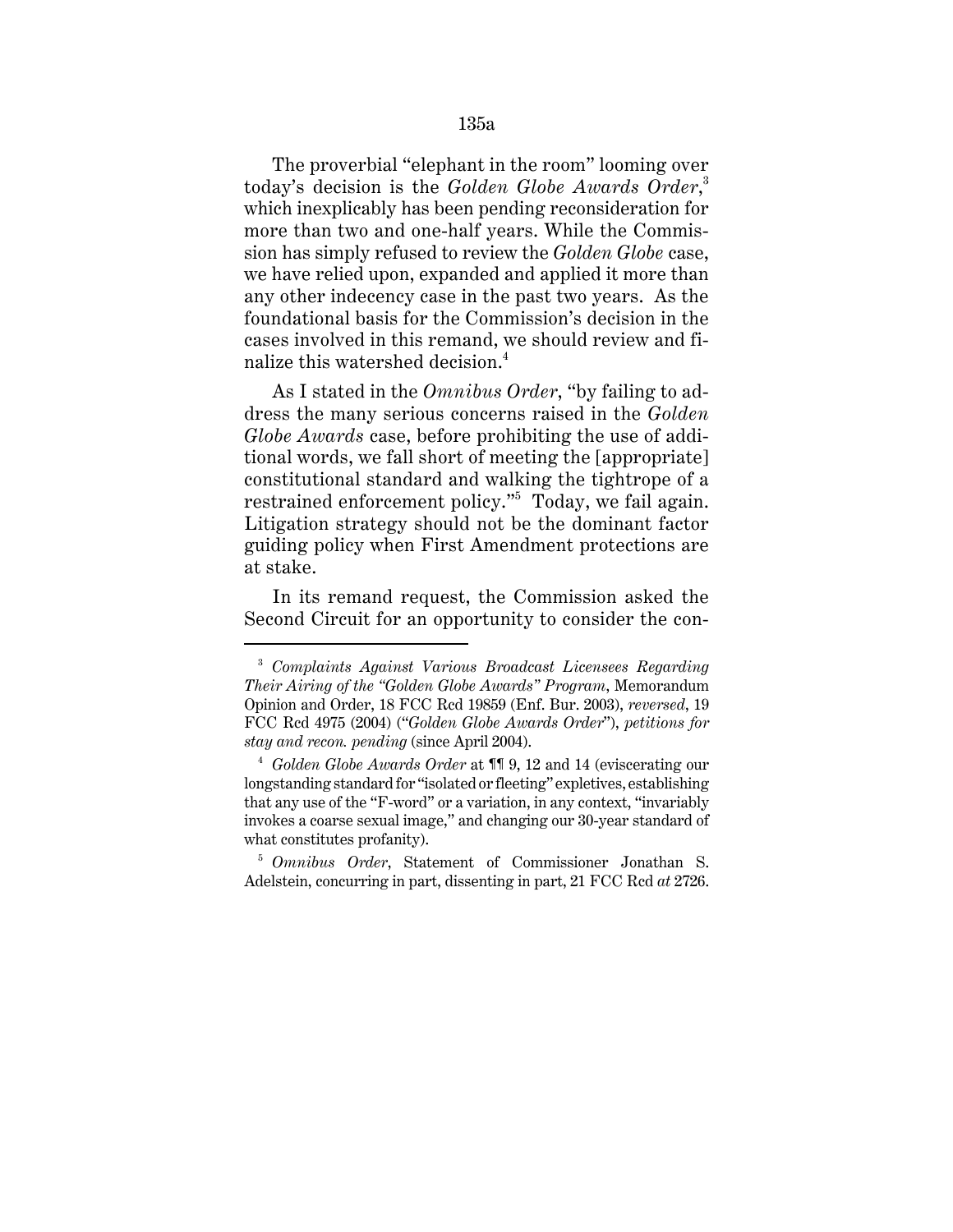The proverbial "elephant in the room" looming over today's decision is the *Golden Globe Awards Order*, 3 which inexplicably has been pending reconsideration for more than two and one-half years. While the Commission has simply refused to review the *Golden Globe* case, we have relied upon, expanded and applied it more than any other indecency case in the past two years. As the foundational basis for the Commission's decision in the cases involved in this remand, we should review and finalize this watershed decision.<sup>4</sup>

As I stated in the *Omnibus Order*, "by failing to address the many serious concerns raised in the *Golden Globe Awards* case, before prohibiting the use of additional words, we fall short of meeting the [appropriate] constitutional standard and walking the tightrope of a restrained enforcement policy."<sup>5</sup> Today, we fail again. Litigation strategy should not be the dominant factor guiding policy when First Amendment protections are at stake.

In its remand request, the Commission asked the Second Circuit for an opportunity to consider the con-

<sup>3</sup> *Complaints Against Various Broadcast Licensees Regarding Their Airing of the "Golden Globe Awards" Program*, Memorandum Opinion and Order, 18 FCC Rcd 19859 (Enf. Bur. 2003), *reversed*, 19 FCC Rcd 4975 (2004) ("*Golden Globe Awards Order*"), *petitions for stay and recon. pending* (since April 2004).

<sup>4</sup> *Golden Globe Awards Order* at ¶¶ 9, 12 and 14 (eviscerating our longstanding standard for "isolated or fleeting" expletives, establishing that any use of the "F-word" or a variation, in any context, "invariably invokes a coarse sexual image," and changing our 30-year standard of what constitutes profanity).

<sup>5</sup> *Omnibus Order*, Statement of Commissioner Jonathan S. Adelstein, concurring in part, dissenting in part, 21 FCC Rcd *at* 2726.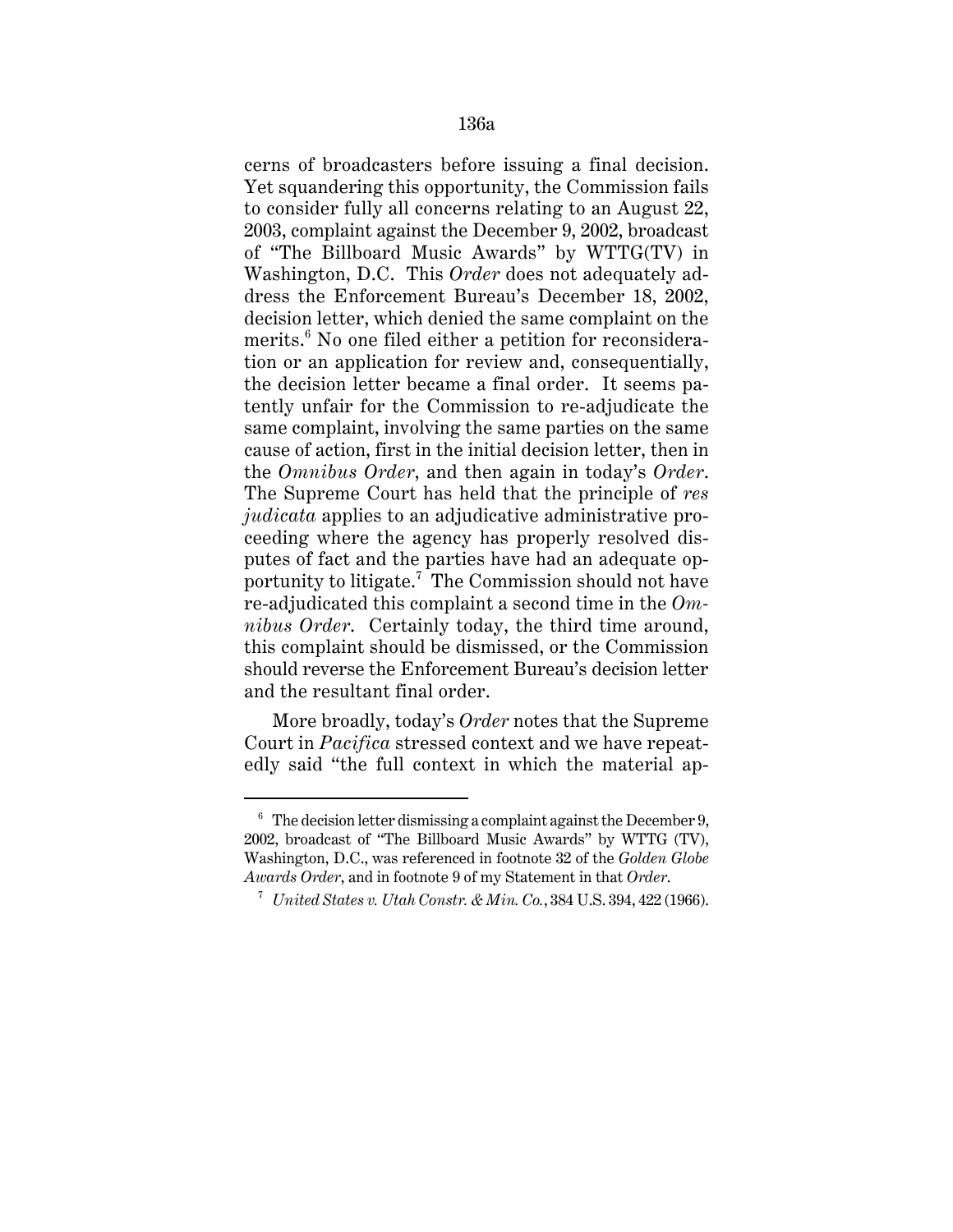cerns of broadcasters before issuing a final decision. Yet squandering this opportunity, the Commission fails to consider fully all concerns relating to an August 22, 2003, complaint against the December 9, 2002, broadcast of "The Billboard Music Awards" by WTTG(TV) in Washington, D.C. This *Order* does not adequately address the Enforcement Bureau's December 18, 2002, decision letter, which denied the same complaint on the merits.<sup>6</sup> No one filed either a petition for reconsideration or an application for review and, consequentially, the decision letter became a final order. It seems patently unfair for the Commission to re-adjudicate the same complaint, involving the same parties on the same cause of action, first in the initial decision letter, then in the *Omnibus Order*, and then again in today's *Order*. The Supreme Court has held that the principle of *res judicata* applies to an adjudicative administrative proceeding where the agency has properly resolved disputes of fact and the parties have had an adequate opportunity to litigate.<sup>7</sup> The Commission should not have re-adjudicated this complaint a second time in the *Omnibus Order*. Certainly today, the third time around, this complaint should be dismissed, or the Commission should reverse the Enforcement Bureau's decision letter and the resultant final order.

More broadly, today's *Order* notes that the Supreme Court in *Pacifica* stressed context and we have repeatedly said "the full context in which the material ap-

 $6\text{ The decision letter}$  dismissing a complaint against the December 9, 2002, broadcast of "The Billboard Music Awards" by WTTG (TV), Washington, D.C., was referenced in footnote 32 of the *Golden Globe Awards Order*, and in footnote 9 of my Statement in that *Order*.

<sup>7</sup> *United States v. Utah Constr. & Min. Co.*, 384 U.S. 394, 422 (1966).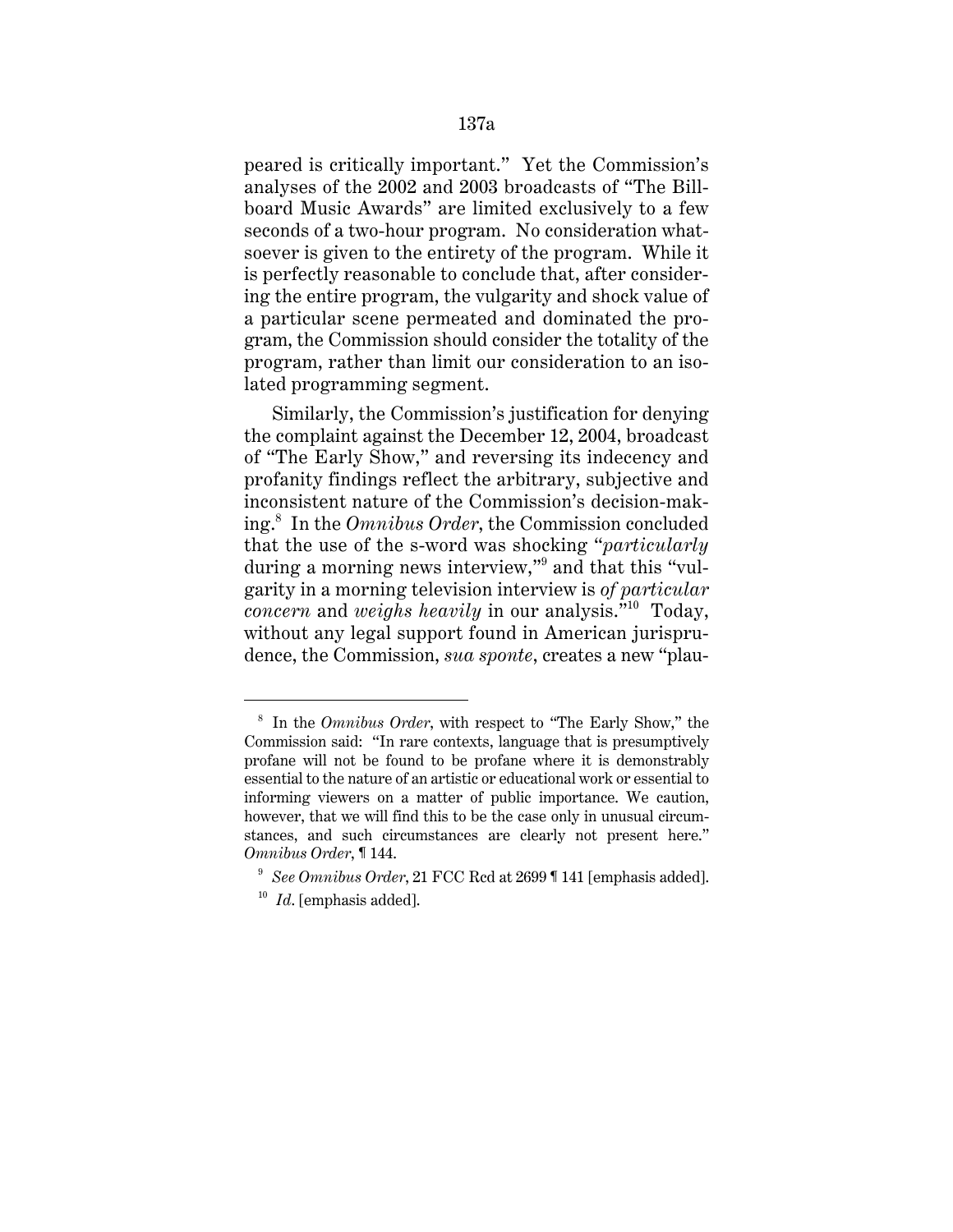peared is critically important." Yet the Commission's analyses of the 2002 and 2003 broadcasts of "The Billboard Music Awards" are limited exclusively to a few seconds of a two-hour program. No consideration whatsoever is given to the entirety of the program. While it is perfectly reasonable to conclude that, after considering the entire program, the vulgarity and shock value of a particular scene permeated and dominated the program, the Commission should consider the totality of the program, rather than limit our consideration to an isolated programming segment.

Similarly, the Commission's justification for denying the complaint against the December 12, 2004, broadcast of "The Early Show," and reversing its indecency and profanity findings reflect the arbitrary, subjective and inconsistent nature of the Commission's decision-making.<sup>8</sup> In the *Omnibus Order*, the Commission concluded that the use of the s-word was shocking "*particularly* during a morning news interview,"<sup>9</sup> and that this "vulgarity in a morning television interview is *of particular concern* and *weighs heavily* in our analysis."10 Today, without any legal support found in American jurisprudence, the Commission, *sua sponte*, creates a new "plau-

<sup>8</sup> In the *Omnibus Order*, with respect to "The Early Show," the Commission said: "In rare contexts, language that is presumptively profane will not be found to be profane where it is demonstrably essential to the nature of an artistic or educational work or essential to informing viewers on a matter of public importance. We caution, however, that we will find this to be the case only in unusual circumstances, and such circumstances are clearly not present here." *Omnibus Order*, ¶ 144.

<sup>9</sup> *See Omnibus Order*, 21 FCC Rcd at 2699 ¶ 141 [emphasis added].

<sup>10</sup> *Id*. [emphasis added].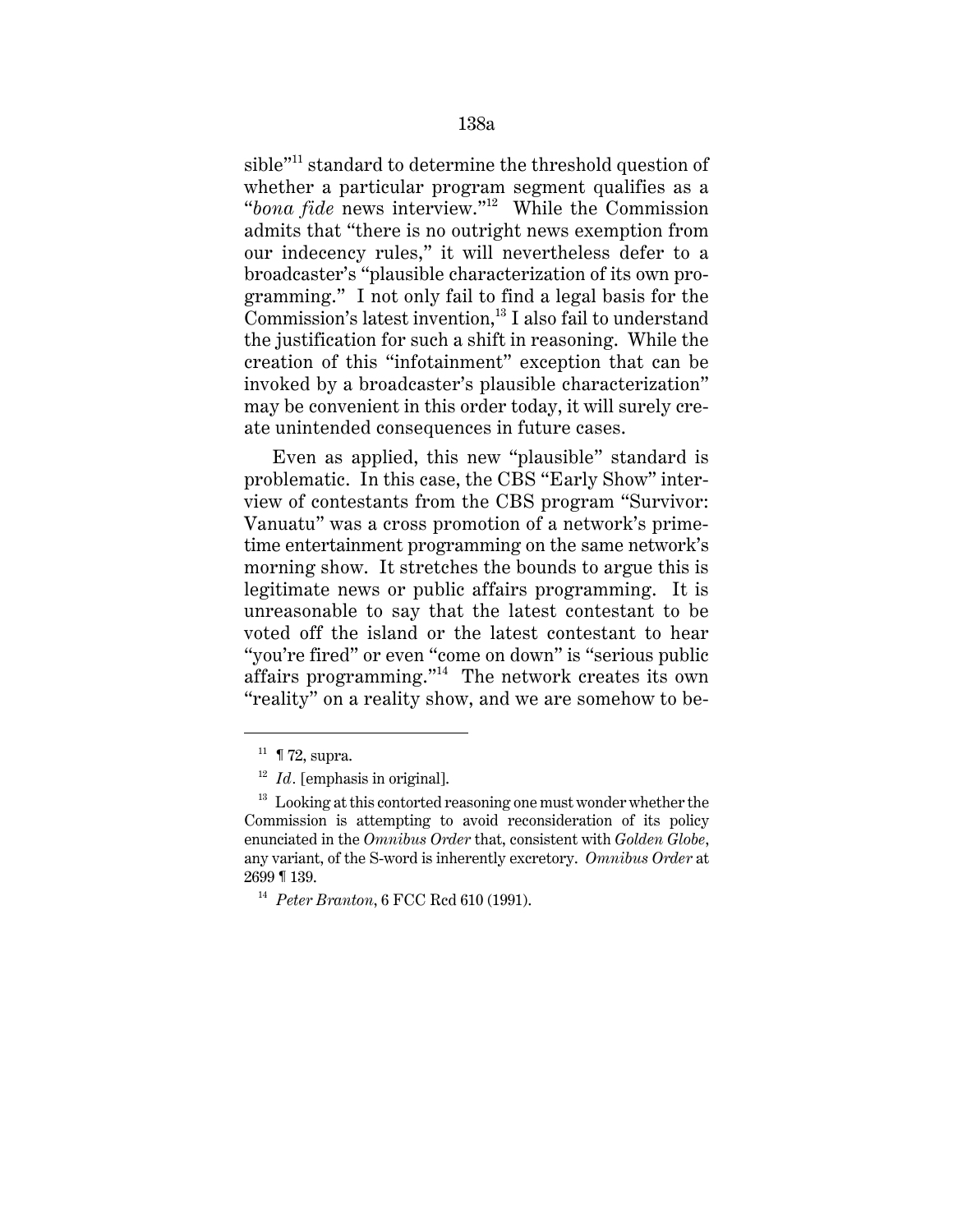sible"11 standard to determine the threshold question of whether a particular program segment qualifies as a "*bona fide* news interview."12 While the Commission admits that "there is no outright news exemption from our indecency rules," it will nevertheless defer to a broadcaster's "plausible characterization of its own programming." I not only fail to find a legal basis for the Commission's latest invention, $^{13}$  I also fail to understand the justification for such a shift in reasoning. While the creation of this "infotainment" exception that can be invoked by a broadcaster's plausible characterization" may be convenient in this order today, it will surely create unintended consequences in future cases.

Even as applied, this new "plausible" standard is problematic. In this case, the CBS "Early Show" interview of contestants from the CBS program "Survivor: Vanuatu" was a cross promotion of a network's primetime entertainment programming on the same network's morning show. It stretches the bounds to argue this is legitimate news or public affairs programming. It is unreasonable to say that the latest contestant to be voted off the island or the latest contestant to hear "you're fired" or even "come on down" is "serious public affairs programming."14 The network creates its own "reality" on a reality show, and we are somehow to be-

 $11 \text{ T2}$ , supra.

<sup>&</sup>lt;sup>12</sup> *Id.* [emphasis in original].

 $13$  Looking at this contorted reasoning one must wonder whether the Commission is attempting to avoid reconsideration of its policy enunciated in the *Omnibus Order* that, consistent with *Golden Globe*, any variant, of the S-word is inherently excretory. *Omnibus Order* at 2699 ¶ 139.

<sup>14</sup> *Peter Branton*, 6 FCC Rcd 610 (1991).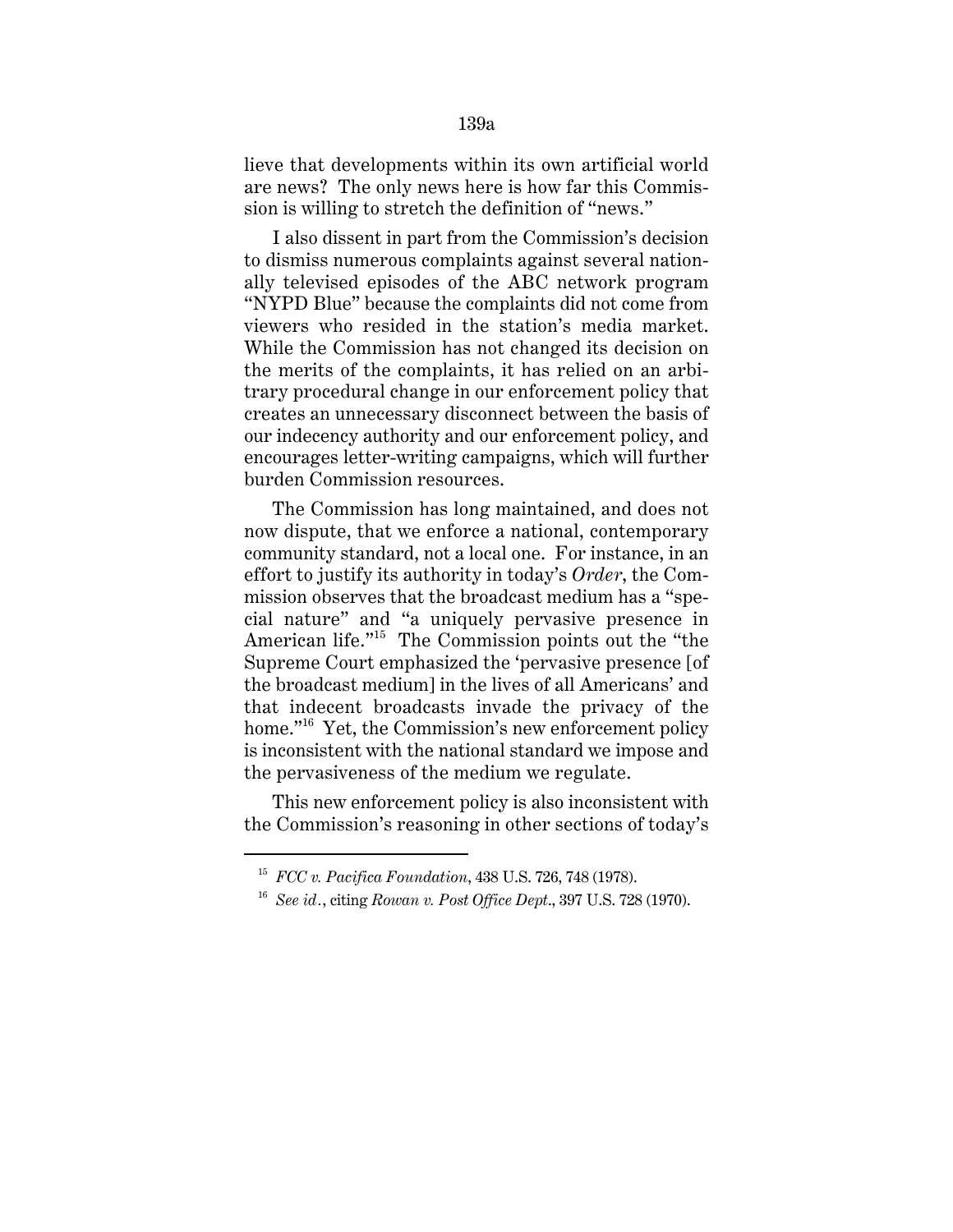lieve that developments within its own artificial world are news? The only news here is how far this Commission is willing to stretch the definition of "news."

I also dissent in part from the Commission's decision to dismiss numerous complaints against several nationally televised episodes of the ABC network program "NYPD Blue" because the complaints did not come from viewers who resided in the station's media market. While the Commission has not changed its decision on the merits of the complaints, it has relied on an arbitrary procedural change in our enforcement policy that creates an unnecessary disconnect between the basis of our indecency authority and our enforcement policy, and encourages letter-writing campaigns, which will further burden Commission resources.

The Commission has long maintained, and does not now dispute, that we enforce a national, contemporary community standard, not a local one. For instance, in an effort to justify its authority in today's *Order*, the Commission observes that the broadcast medium has a "special nature" and "a uniquely pervasive presence in American life."15 The Commission points out the "the Supreme Court emphasized the 'pervasive presence [of the broadcast medium] in the lives of all Americans' and that indecent broadcasts invade the privacy of the home."<sup>16</sup> Yet, the Commission's new enforcement policy is inconsistent with the national standard we impose and the pervasiveness of the medium we regulate.

This new enforcement policy is also inconsistent with the Commission's reasoning in other sections of today's

<sup>15</sup> *FCC v. Pacifica Foundation*, 438 U.S. 726, 748 (1978).

<sup>16</sup> *See id.*, citing *Rowan v. Post Office Dept*., 397 U.S. 728 (1970).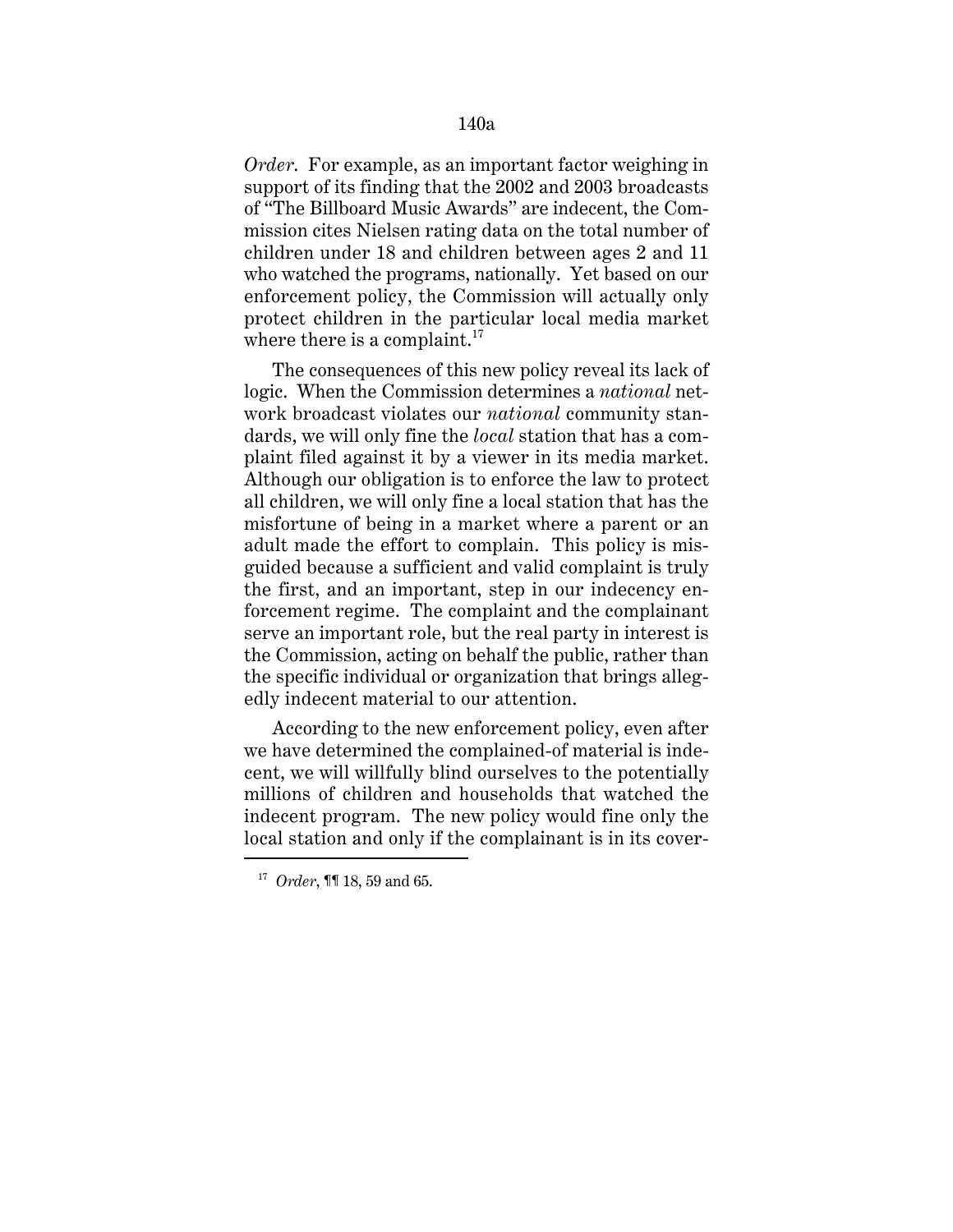*Order*. For example, as an important factor weighing in support of its finding that the 2002 and 2003 broadcasts of "The Billboard Music Awards" are indecent, the Commission cites Nielsen rating data on the total number of children under 18 and children between ages 2 and 11 who watched the programs, nationally. Yet based on our enforcement policy, the Commission will actually only protect children in the particular local media market where there is a complaint.<sup>17</sup>

The consequences of this new policy reveal its lack of logic. When the Commission determines a *national* network broadcast violates our *national* community standards, we will only fine the *local* station that has a complaint filed against it by a viewer in its media market. Although our obligation is to enforce the law to protect all children, we will only fine a local station that has the misfortune of being in a market where a parent or an adult made the effort to complain. This policy is misguided because a sufficient and valid complaint is truly the first, and an important, step in our indecency enforcement regime. The complaint and the complainant serve an important role, but the real party in interest is the Commission, acting on behalf the public, rather than the specific individual or organization that brings allegedly indecent material to our attention.

According to the new enforcement policy, even after we have determined the complained-of material is indecent, we will willfully blind ourselves to the potentially millions of children and households that watched the indecent program. The new policy would fine only the local station and only if the complainant is in its cover-

<sup>17</sup> *Order*, ¶¶ 18, 59 and 65.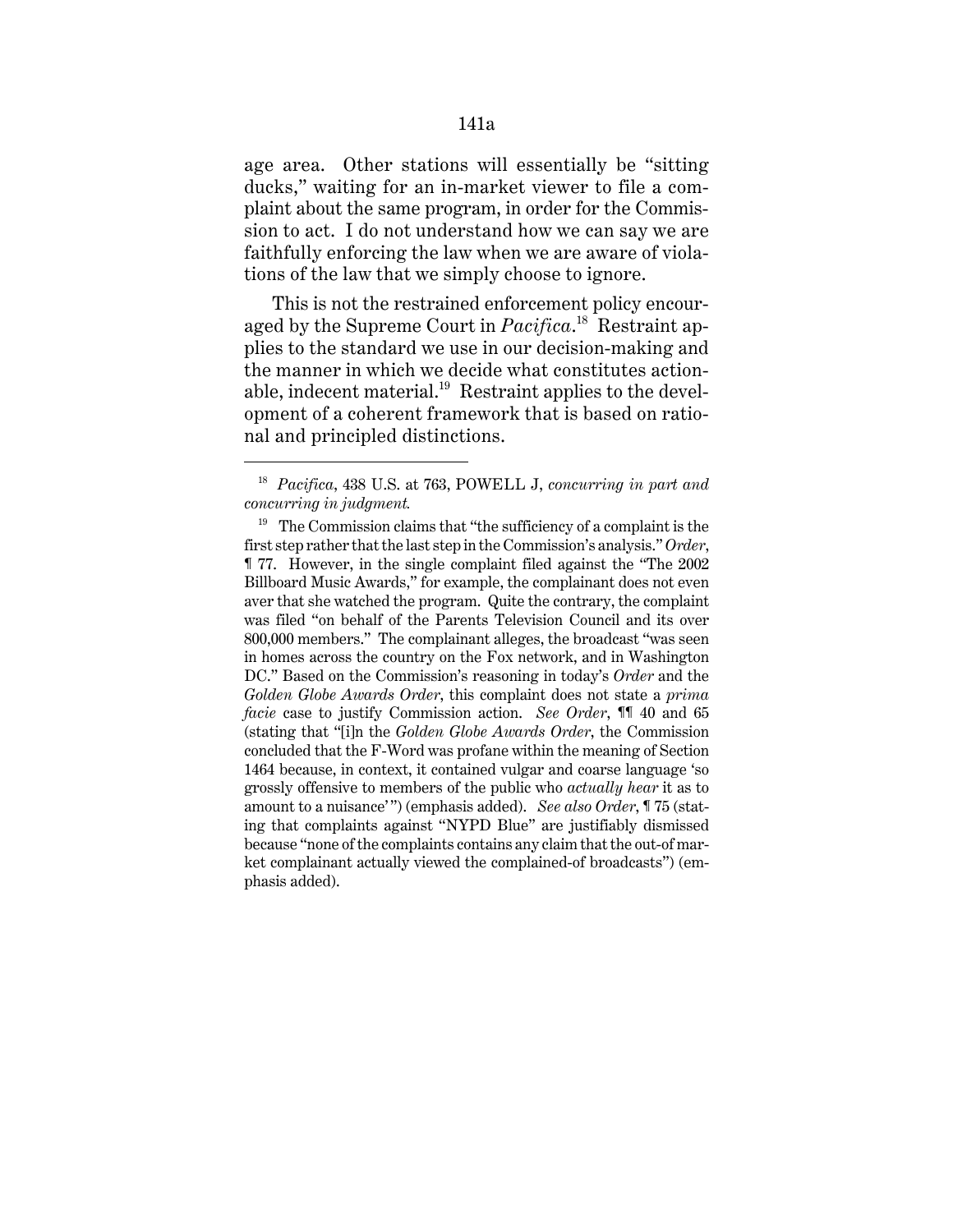age area. Other stations will essentially be "sitting ducks," waiting for an in-market viewer to file a complaint about the same program, in order for the Commission to act. I do not understand how we can say we are faithfully enforcing the law when we are aware of violations of the law that we simply choose to ignore.

This is not the restrained enforcement policy encouraged by the Supreme Court in *Pacifica*. 18 Restraint applies to the standard we use in our decision-making and the manner in which we decide what constitutes actionable, indecent material. $19$  Restraint applies to the development of a coherent framework that is based on rational and principled distinctions.

<sup>18</sup> *Pacifica*, 438 U.S. at 763, POWELL J, *concurring in part and concurring in judgment.* 

 $19$  The Commission claims that "the sufficiency of a complaint is the first step rather that the last step in the Commission's analysis." *Order*, ¶ 77. However, in the single complaint filed against the "The 2002 Billboard Music Awards," for example, the complainant does not even aver that she watched the program. Quite the contrary, the complaint was filed "on behalf of the Parents Television Council and its over 800,000 members." The complainant alleges, the broadcast "was seen in homes across the country on the Fox network, and in Washington DC." Based on the Commission's reasoning in today's *Order* and the *Golden Globe Awards Order*, this complaint does not state a *prima facie* case to justify Commission action. *See Order*, ¶¶ 40 and 65 (stating that "[i]n the *Golden Globe Awards Order*, the Commission concluded that the F-Word was profane within the meaning of Section 1464 because, in context, it contained vulgar and coarse language 'so grossly offensive to members of the public who *actually hear* it as to amount to a nuisance'") (emphasis added). *See also Order*, ¶ 75 (stating that complaints against "NYPD Blue" are justifiably dismissed because "none of the complaints contains any claim that the out-of market complainant actually viewed the complained-of broadcasts") (emphasis added).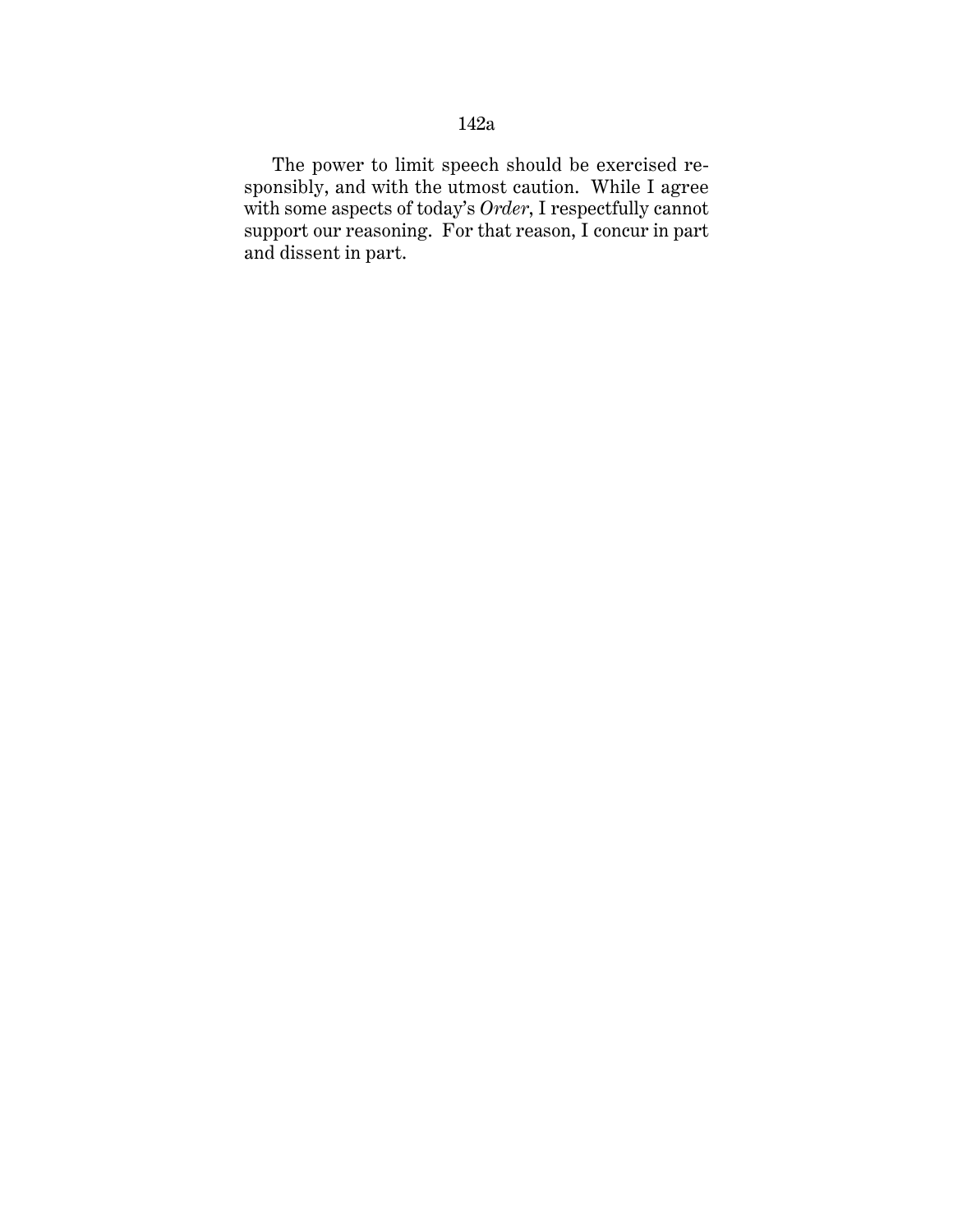The power to limit speech should be exercised responsibly, and with the utmost caution. While I agree with some aspects of today's *Order*, I respectfully cannot support our reasoning. For that reason, I concur in part and dissent in part.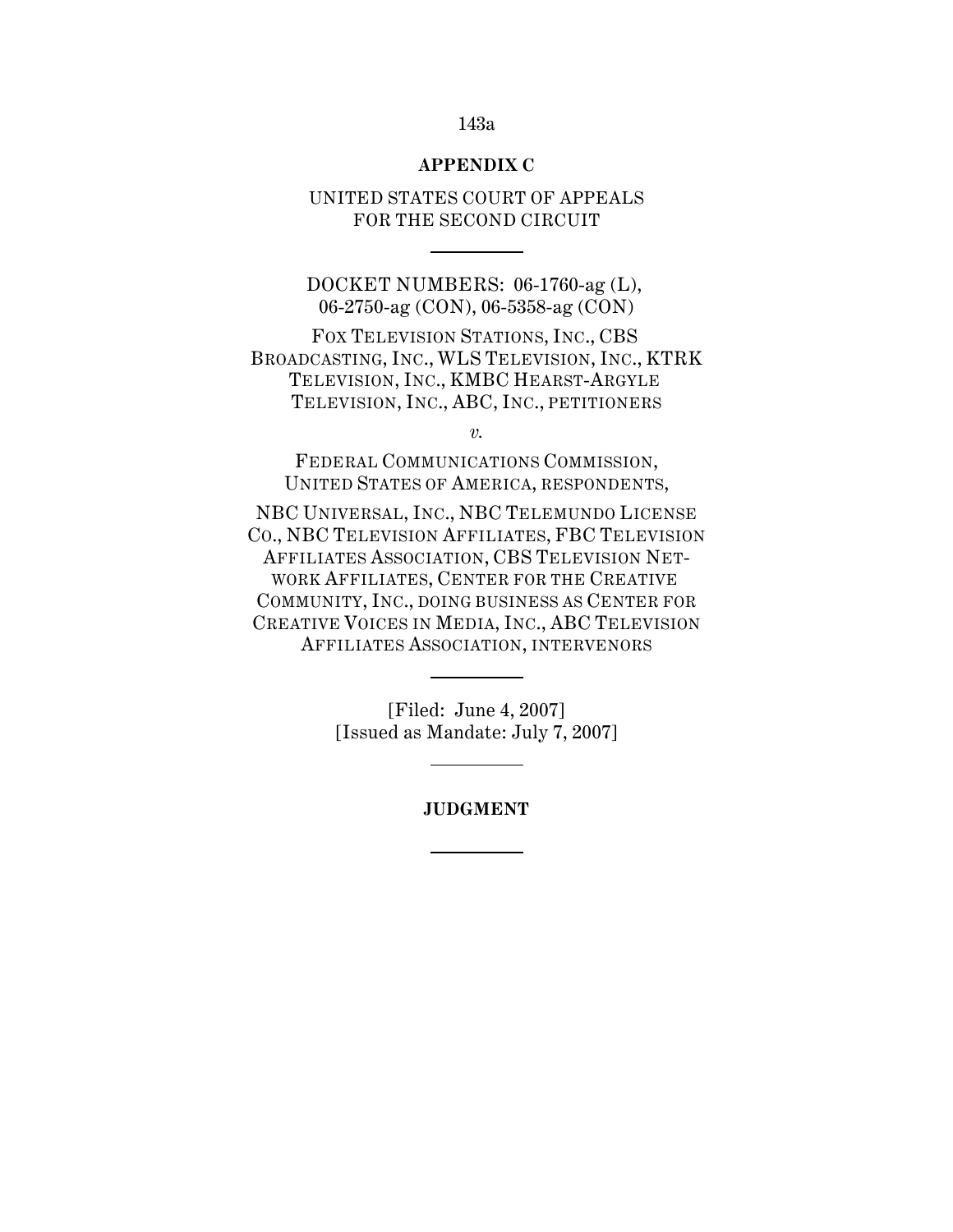# 143a

### **APPENDIX C**

UNITED STATES COURT OF APPEALS FOR THE SECOND CIRCUIT

DOCKET NUMBERS: 06-1760-ag (L), 06-2750-ag (CON), 06-5358-ag (CON)

FOX TELEVISION STATIONS, INC., CBS BROADCASTING, INC., WLS TELEVISION, INC., KTRK TELEVISION, INC., KMBC HEARST-ARGYLE TELEVISION, INC., ABC, INC., PETITIONERS

*v.*

FEDERAL COMMUNICATIONS COMMISSION, UNITED STATES OF AMERICA, RESPONDENTS,

NBC UNIVERSAL, INC., NBC TELEMUNDO LICENSE CO., NBC TELEVISION AFFILIATES, FBC TELEVISION AFFILIATES ASSOCIATION, CBS TELEVISION NET-WORK AFFILIATES, CENTER FOR THE CREATIVE COMMUNITY, INC., DOING BUSINESS AS CENTER FOR CREATIVE VOICES IN MEDIA, INC., ABC TELEVISION AFFILIATES ASSOCIATION, INTERVENORS

> [Filed: June 4, 2007] [Issued as Mandate: July 7, 2007]

> > **JUDGMENT**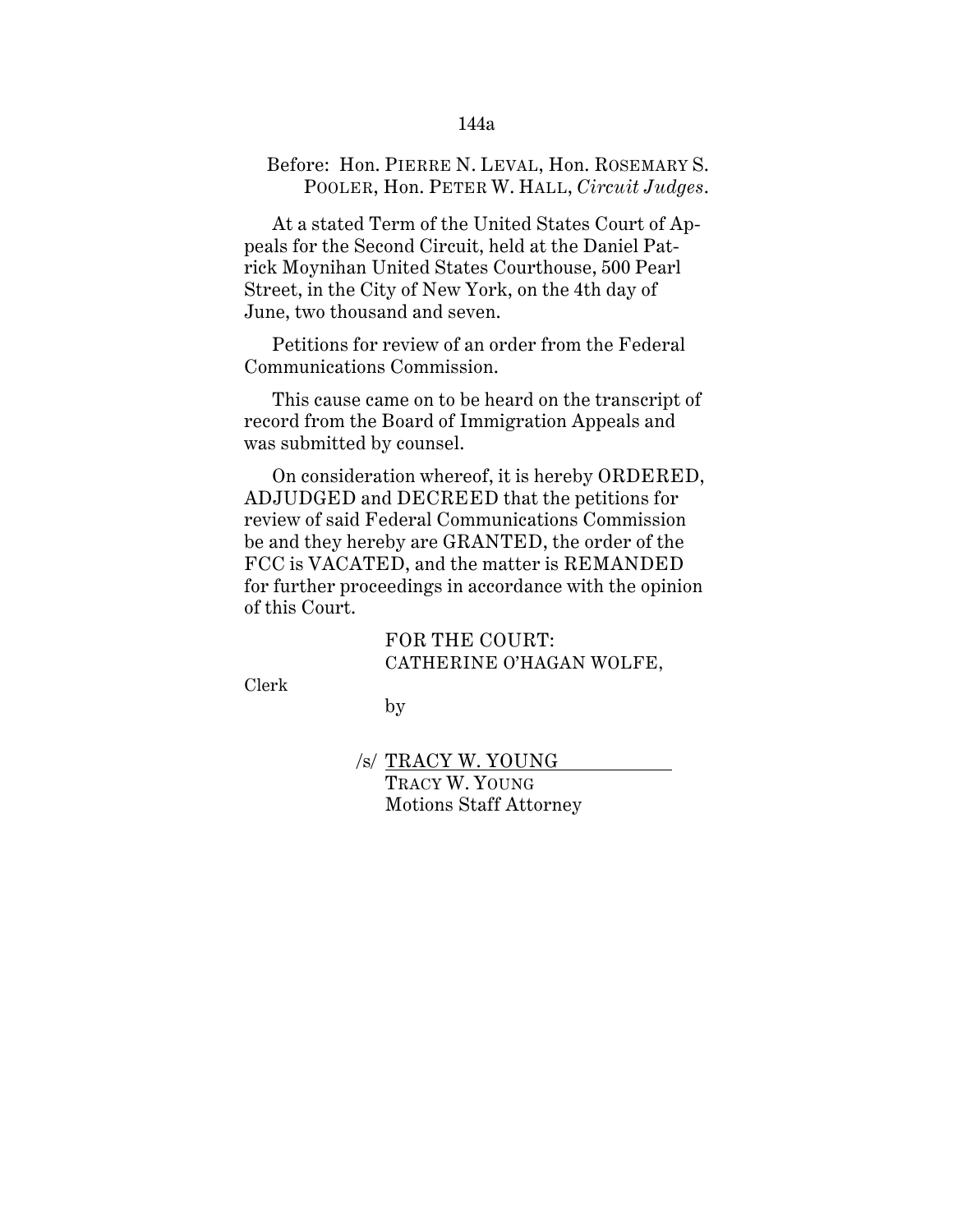### 144a

# Before: Hon. PIERRE N. LEVAL, Hon. ROSEMARY S. POOLER, Hon. PETER W. HALL, *Circuit Judges*.

At a stated Term of the United States Court of Appeals for the Second Circuit, held at the Daniel Patrick Moynihan United States Courthouse, 500 Pearl Street, in the City of New York, on the 4th day of June, two thousand and seven.

Petitions for review of an order from the Federal Communications Commission.

This cause came on to be heard on the transcript of record from the Board of Immigration Appeals and was submitted by counsel.

On consideration whereof, it is hereby ORDERED, ADJUDGED and DECREED that the petitions for review of said Federal Communications Commission be and they hereby are GRANTED, the order of the FCC is VACATED, and the matter is REMANDED for further proceedings in accordance with the opinion of this Court.

> FOR THE COURT: CATHERINE O'HAGAN WOLFE,

Clerk

by

/s/ TRACY W. YOUNG TRACY W. YOUNG Motions Staff Attorney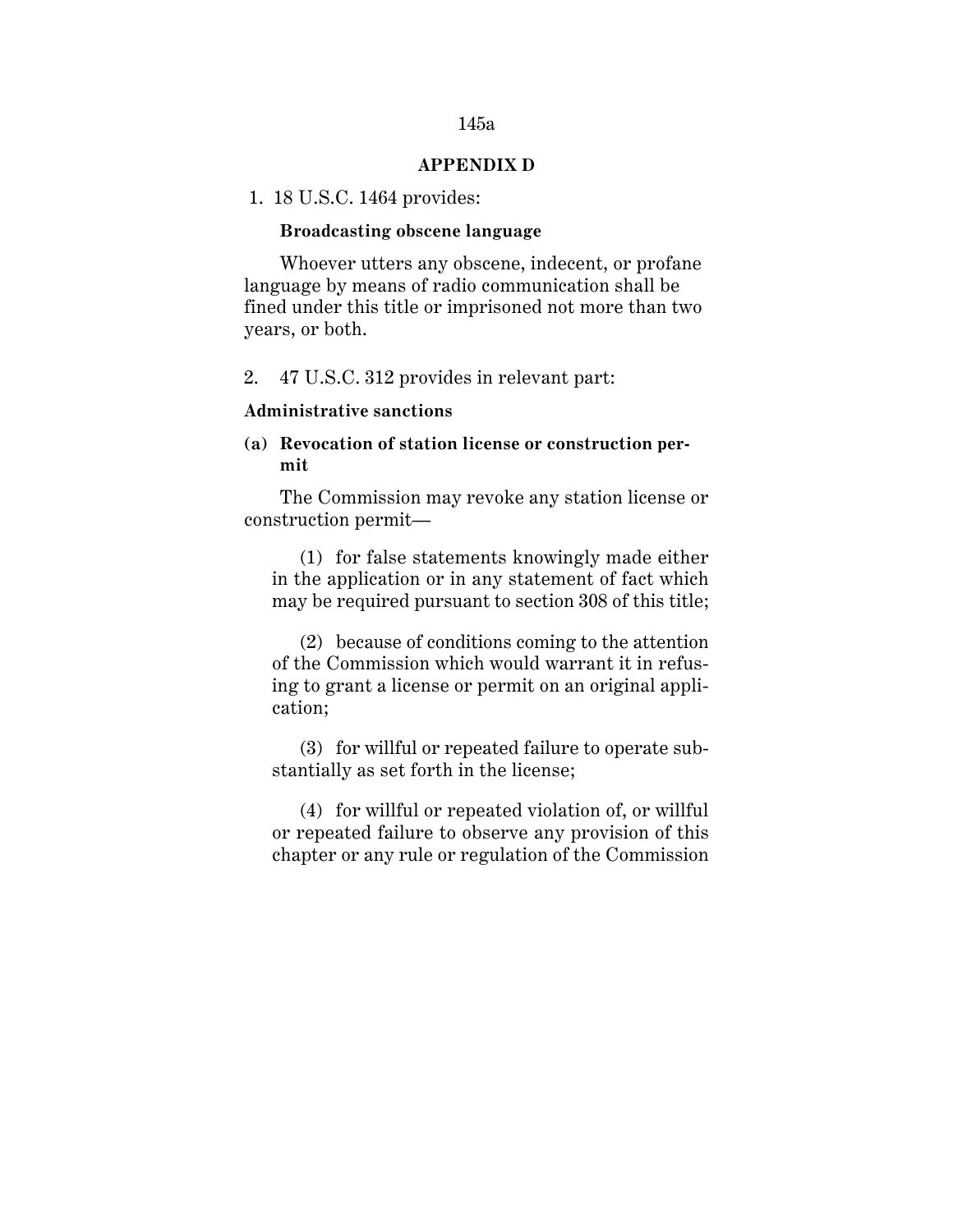#### **APPENDIX D**

1. 18 U.S.C. 1464 provides:

#### **Broadcasting obscene language**

 Whoever utters any obscene, indecent, or profane language by means of radio communication shall be fined under this title or imprisoned not more than two years, or both.

2. 47 U.S.C. 312 provides in relevant part:

# **Administrative sanctions**

# **(a) Revocation of station license or construction permit**

The Commission may revoke any station license or construction permit—

(1) for false statements knowingly made either in the application or in any statement of fact which may be required pursuant to section 308 of this title;

(2) because of conditions coming to the attention of the Commission which would warrant it in refusing to grant a license or permit on an original application;

(3) for willful or repeated failure to operate substantially as set forth in the license;

(4) for willful or repeated violation of, or willful or repeated failure to observe any provision of this chapter or any rule or regulation of the Commission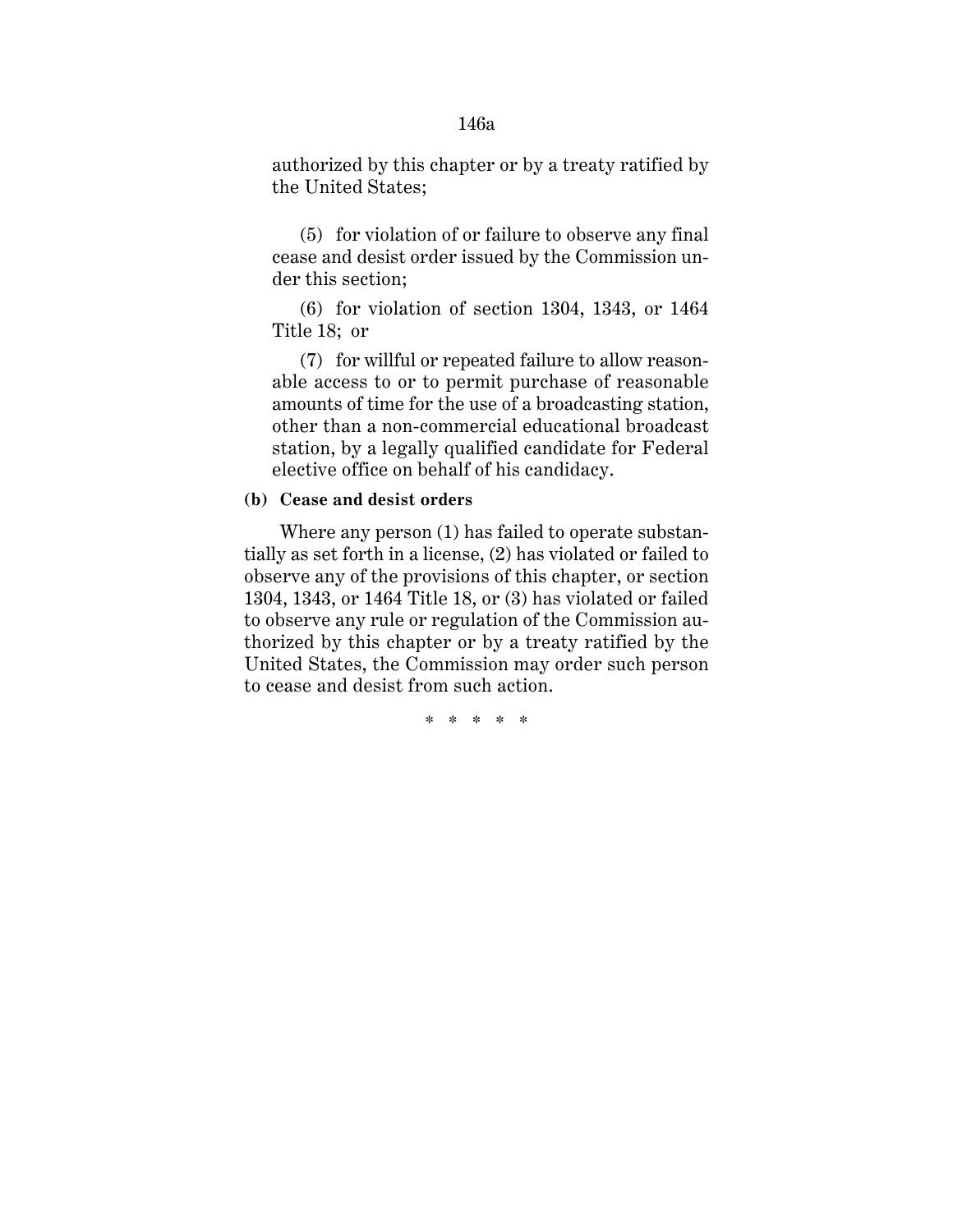authorized by this chapter or by a treaty ratified by

(5) for violation of or failure to observe any final cease and desist order issued by the Commission under this section;

(6) for violation of section 1304, 1343, or 1464 Title 18; or

(7) for willful or repeated failure to allow reasonable access to or to permit purchase of reasonable amounts of time for the use of a broadcasting station, other than a non-commercial educational broadcast station, by a legally qualified candidate for Federal elective office on behalf of his candidacy.

#### **(b) Cease and desist orders**

the United States;

Where any person (1) has failed to operate substantially as set forth in a license, (2) has violated or failed to observe any of the provisions of this chapter, or section 1304, 1343, or 1464 Title 18, or (3) has violated or failed to observe any rule or regulation of the Commission authorized by this chapter or by a treaty ratified by the United States, the Commission may order such person to cease and desist from such action.

\* \* \* \* \*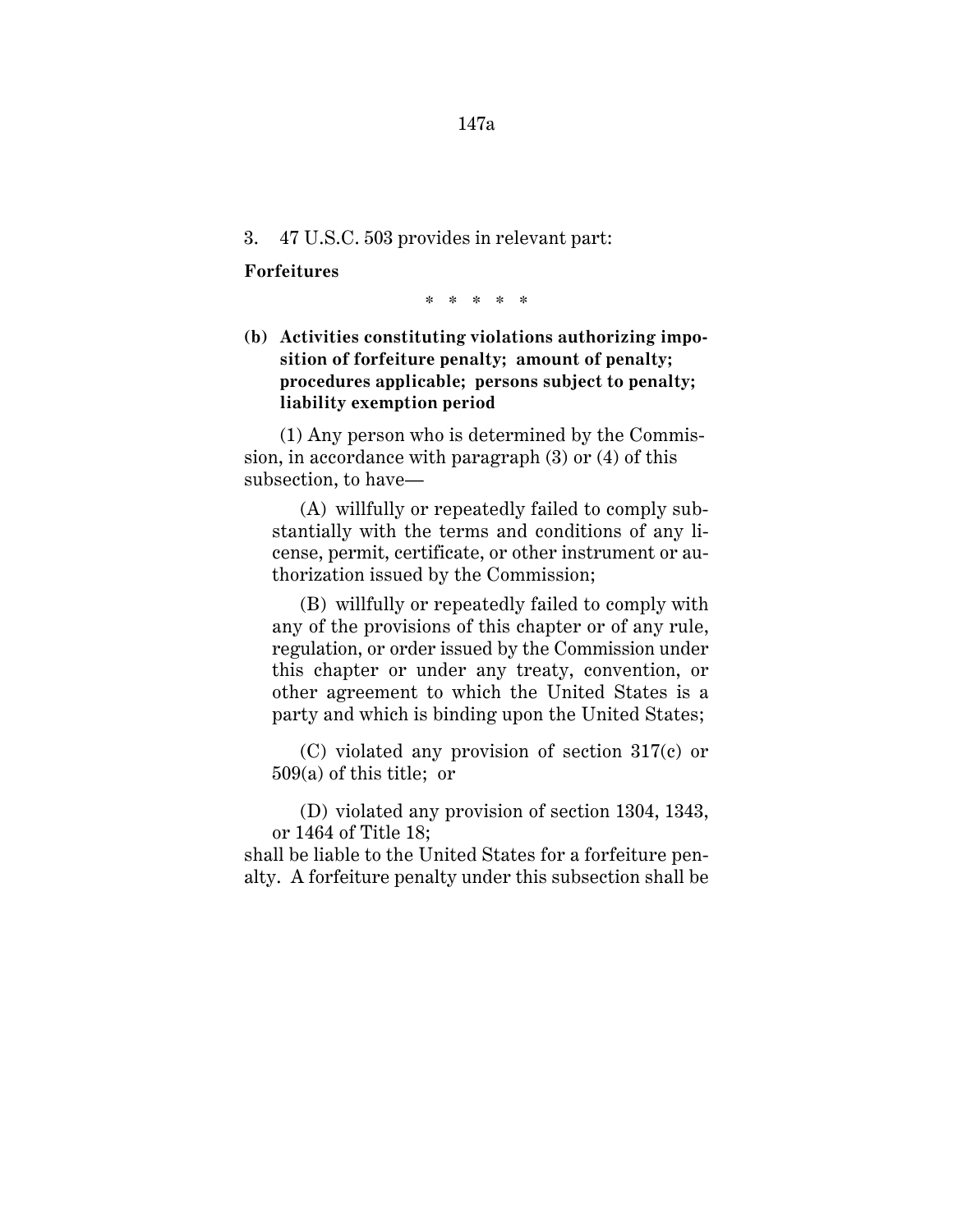### 3. 47 U.S.C. 503 provides in relevant part:

#### **Forfeitures**

\* \* \* \* \*

# **(b) Activities constituting violations authorizing imposition of forfeiture penalty; amount of penalty; procedures applicable; persons subject to penalty; liability exemption period**

(1) Any person who is determined by the Commission, in accordance with paragraph (3) or (4) of this subsection, to have—

(A) willfully or repeatedly failed to comply substantially with the terms and conditions of any license, permit, certificate, or other instrument or authorization issued by the Commission;

(B) willfully or repeatedly failed to comply with any of the provisions of this chapter or of any rule, regulation, or order issued by the Commission under this chapter or under any treaty, convention, or other agreement to which the United States is a party and which is binding upon the United States;

(C) violated any provision of section 317(c) or 509(a) of this title; or

(D) violated any provision of section 1304, 1343, or 1464 of Title 18;

shall be liable to the United States for a forfeiture penalty. A forfeiture penalty under this subsection shall be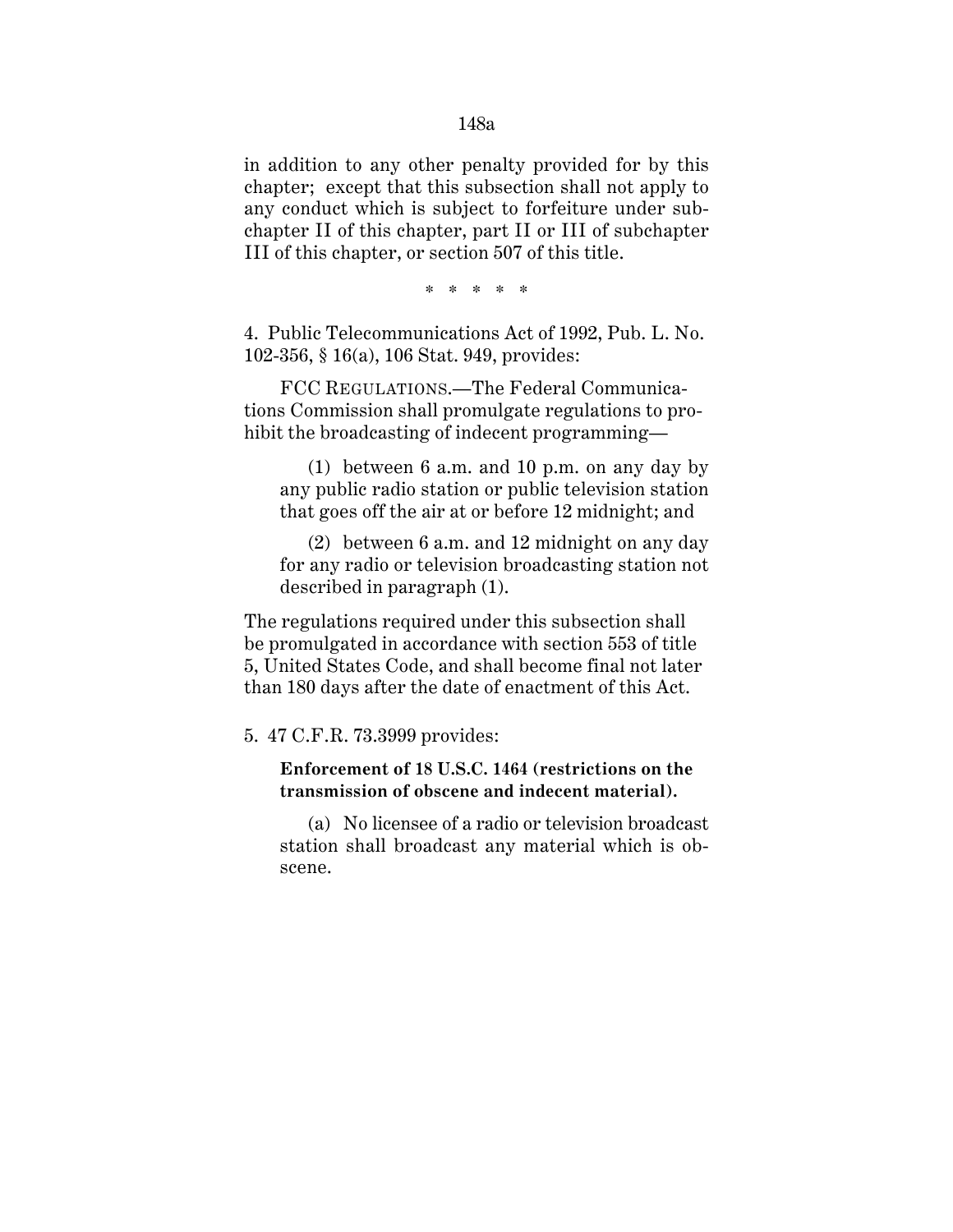in addition to any other penalty provided for by this chapter; except that this subsection shall not apply to any conduct which is subject to forfeiture under subchapter II of this chapter, part II or III of subchapter III of this chapter, or section 507 of this title.

\* \* \* \* \*

4. Public Telecommunications Act of 1992, Pub. L. No. 102-356, § 16(a), 106 Stat. 949, provides:

FCC REGULATIONS.—The Federal Communications Commission shall promulgate regulations to prohibit the broadcasting of indecent programming—

(1) between 6 a.m. and 10 p.m. on any day by any public radio station or public television station that goes off the air at or before 12 midnight; and

(2) between 6 a.m. and 12 midnight on any day for any radio or television broadcasting station not described in paragraph (1).

The regulations required under this subsection shall be promulgated in accordance with section 553 of title 5, United States Code, and shall become final not later than 180 days after the date of enactment of this Act.

5. 47 C.F.R. 73.3999 provides:

# **Enforcement of 18 U.S.C. 1464 (restrictions on the transmission of obscene and indecent material).**

(a) No licensee of a radio or television broadcast station shall broadcast any material which is obscene.